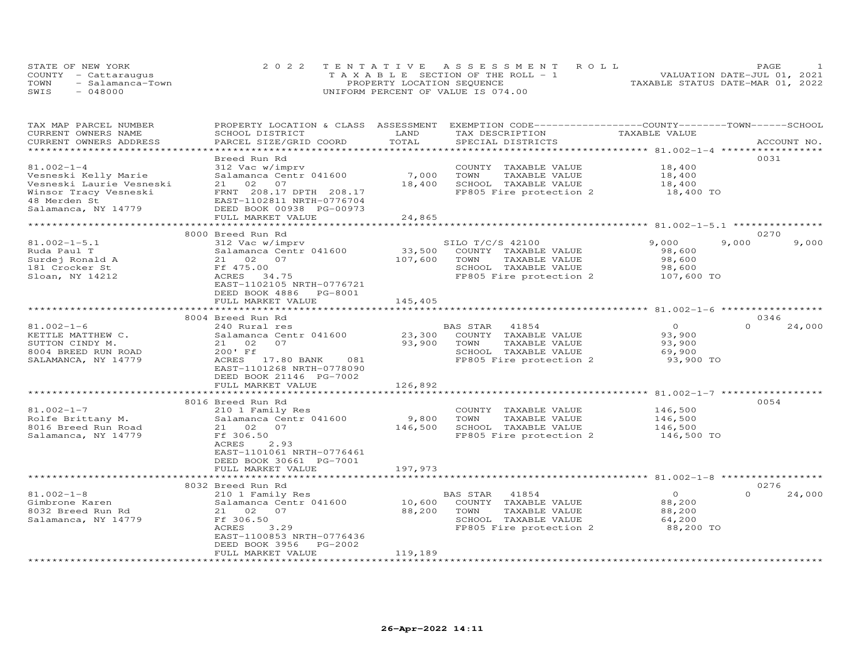|      | STATE OF NEW YORK    | 2022 TENTATIVE ASSESSMENT ROLL        | PAGE                             |
|------|----------------------|---------------------------------------|----------------------------------|
|      | COUNTY - Cattaraugus | T A X A B L E SECTION OF THE ROLL - 1 | VALUATION DATE-JUL 01, 2021      |
| TOWN | - Salamanca-Town     | PROPERTY LOCATION SEQUENCE            | TAXABLE STATUS DATE-MAR 01, 2022 |
| SWIS | 048000               | UNIFORM PERCENT OF VALUE IS 074.00    |                                  |

| TAX MAP PARCEL NUMBER    | PROPERTY LOCATION & CLASS ASSESSMENT |         | EXEMPTION CODE-----------------COUNTY-------TOWN------SCHOOL |                |                    |
|--------------------------|--------------------------------------|---------|--------------------------------------------------------------|----------------|--------------------|
| CURRENT OWNERS NAME      | SCHOOL DISTRICT                      | LAND    | TAX DESCRIPTION                                              | TAXABLE VALUE  |                    |
| CURRENT OWNERS ADDRESS   | PARCEL SIZE/GRID COORD               | TOTAL   | SPECIAL DISTRICTS                                            |                | ACCOUNT NO.        |
| ***********************  |                                      |         |                                                              |                |                    |
|                          | Breed Run Rd                         |         |                                                              |                | 0031               |
| $81.002 - 1 - 4$         | 312 Vac w/imprv                      |         | COUNTY TAXABLE VALUE                                         | 18,400         |                    |
| Vesneski Kelly Marie     | Salamanca Centr 041600               | 7,000   | TOWN<br>TAXABLE VALUE                                        | 18,400         |                    |
| Vesneski Laurie Vesneski | 21 02 07                             | 18,400  | SCHOOL TAXABLE VALUE                                         | 18,400         |                    |
| Winsor Tracy Vesneski    | FRNT 208.17 DPTH 208.17              |         | FP805 Fire protection 2                                      | 18,400 TO      |                    |
| 48 Merden St             | EAST-1102811 NRTH-0776704            |         |                                                              |                |                    |
| Salamanca, NY 14779      | DEED BOOK 00938 PG-00973             |         |                                                              |                |                    |
|                          | FULL MARKET VALUE                    | 24,865  |                                                              |                |                    |
|                          |                                      |         |                                                              |                |                    |
|                          | 8000 Breed Run Rd                    |         |                                                              |                | 0270               |
| $81.002 - 1 - 5.1$       | 312 Vac w/imprv                      |         | SILO T/C/S 42100                                             | 9,000          | 9,000<br>9,000     |
| Ruda Paul T              | Salamanca Centr 041600               | 33,500  | COUNTY TAXABLE VALUE                                         | 98,600         |                    |
| Surdej Ronald A          | 21 02 07                             | 107,600 | TOWN<br>TAXABLE VALUE                                        | 98,600         |                    |
| 181 Crocker St           | Ff 475.00                            |         | SCHOOL TAXABLE VALUE                                         | 98,600         |                    |
| Sloan, NY 14212          | ACRES 34.75                          |         | FP805 Fire protection 2 107,600 TO                           |                |                    |
|                          | EAST-1102105 NRTH-0776721            |         |                                                              |                |                    |
|                          | DEED BOOK 4886 PG-8001               |         |                                                              |                |                    |
|                          | FULL MARKET VALUE                    | 145,405 |                                                              |                |                    |
|                          |                                      |         |                                                              |                |                    |
|                          | 8004 Breed Run Rd                    |         |                                                              |                | 0346               |
| $81.002 - 1 - 6$         | 240 Rural res                        |         | BAS STAR 41854                                               | $\overline{O}$ | $\Omega$<br>24,000 |
| KETTLE MATTHEW C.        | Salamanca Centr 041600               | 23,300  | COUNTY TAXABLE VALUE                                         | 93,900         |                    |
| SUTTON CINDY M.          | 21 02<br>07                          | 93,900  | TOWN<br>TAXABLE VALUE                                        | 93,900         |                    |
| 8004 BREED RUN ROAD      | 200' Ff                              |         | SCHOOL TAXABLE VALUE                                         | 69,900         |                    |
| SALAMANCA, NY 14779      | ACRES 17.80 BANK 081                 |         | FP805 Fire protection 2                                      | 93,900 TO      |                    |
|                          | EAST-1101268 NRTH-0778090            |         |                                                              |                |                    |
|                          | DEED BOOK 21146 PG-7002              |         |                                                              |                |                    |
|                          | FULL MARKET VALUE                    | 126,892 |                                                              |                |                    |
|                          |                                      |         |                                                              |                |                    |
|                          | 8016 Breed Run Rd                    |         |                                                              |                | 0054               |
| $81.002 - 1 - 7$         | 210 1 Family Res                     |         | COUNTY TAXABLE VALUE                                         | 146,500        |                    |
| Rolfe Brittany M.        | Salamanca Centr 041600               | 9,800   | TOWN<br>TAXABLE VALUE                                        | 146,500        |                    |
| 8016 Breed Run Road      | 21 02 07                             | 146,500 | SCHOOL TAXABLE VALUE                                         | 146,500        |                    |
| Salamanca, NY 14779      | Ff 306.50                            |         | FP805 Fire protection 2                                      | 146,500 TO     |                    |
|                          | ACRES<br>2.93                        |         |                                                              |                |                    |
|                          | EAST-1101061 NRTH-0776461            |         |                                                              |                |                    |
|                          | DEED BOOK 30661 PG-7001              |         |                                                              |                |                    |
|                          | FULL MARKET VALUE                    | 197,973 |                                                              |                |                    |
|                          |                                      |         |                                                              |                |                    |
|                          | 8032 Breed Run Rd                    |         |                                                              |                | 0276               |
| $81.002 - 1 - 8$         | 210 1 Family Res                     |         | BAS STAR<br>41854                                            | $\overline{O}$ | $\Omega$<br>24,000 |
| Gimbrone Karen           | Salamanca Centr 041600               | 10,600  | COUNTY TAXABLE VALUE                                         | 88,200         |                    |
| 8032 Breed Run Rd        | 21 02 07                             | 88,200  | TOWN<br>TAXABLE VALUE                                        | 88,200         |                    |
| Salamanca, NY 14779      | Ff 306.50                            |         | SCHOOL TAXABLE VALUE                                         | 64,200         |                    |
|                          | ACRES<br>3.29                        |         | FP805 Fire protection 2                                      | 88,200 TO      |                    |
|                          | EAST-1100853 NRTH-0776436            |         |                                                              |                |                    |
|                          | DEED BOOK 3956<br>PG-2002            |         |                                                              |                |                    |
|                          | FULL MARKET VALUE                    | 119,189 |                                                              |                |                    |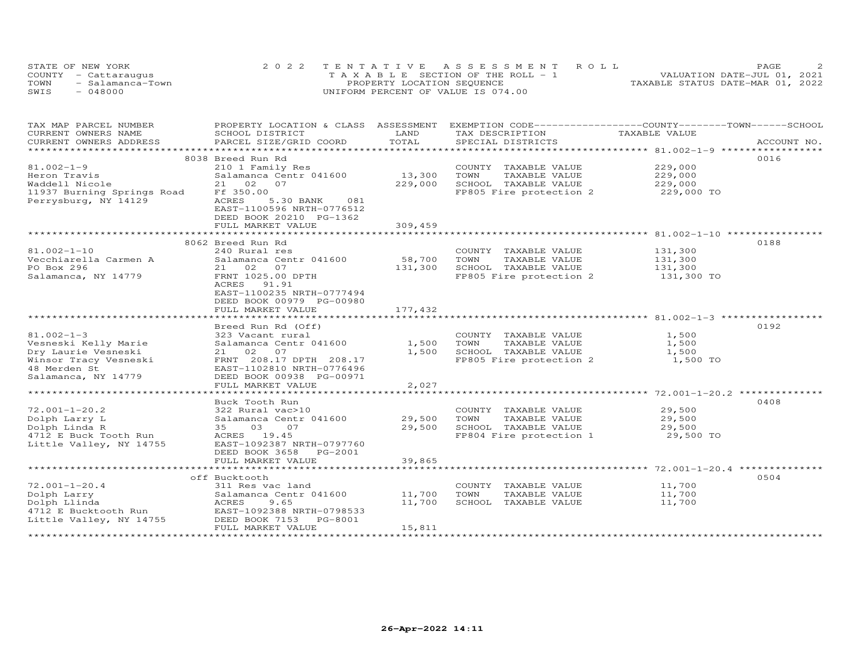| STATE OF NEW YORK        | 2022 TENTATIVE ASSESSMENT ROLL                | PAGE                             |
|--------------------------|-----------------------------------------------|----------------------------------|
| COUNTY - Cattaraugus     | $T A X A B I F S E C T I ON OF THE RO I. - 1$ | VALUATION DATE-JUL 01, 2021      |
| TOWN<br>- Salamanca-Town | PROPERTY LOCATION SEQUENCE                    | TAXABLE STATUS DATE-MAR 01, 2022 |
| SWIS<br>$-048000$        | UNIFORM PERCENT OF VALUE IS 074.00            |                                  |

| TAX MAP PARCEL NUMBER      | PROPERTY LOCATION & CLASS ASSESSMENT |            | EXEMPTION CODE-----------------COUNTY-------TOWN------SCHOOL |               |             |
|----------------------------|--------------------------------------|------------|--------------------------------------------------------------|---------------|-------------|
| CURRENT OWNERS NAME        | SCHOOL DISTRICT                      | LAND       | TAX DESCRIPTION                                              | TAXABLE VALUE |             |
| CURRENT OWNERS ADDRESS     | PARCEL SIZE/GRID COORD               | TOTAL      | SPECIAL DISTRICTS                                            |               | ACCOUNT NO. |
| ************************   |                                      |            |                                                              |               |             |
|                            | 8038 Breed Run Rd                    |            |                                                              |               | 0016        |
| $81.002 - 1 - 9$           | 210 1 Family Res                     |            | COUNTY TAXABLE VALUE                                         | 229,000       |             |
| Heron Travis               | Salamanca Centr 041600               | 13,300     | TOWN<br>TAXABLE VALUE                                        | 229,000       |             |
| Waddell Nicole             | 21 02<br>07                          | 229,000    | SCHOOL TAXABLE VALUE                                         | 229,000       |             |
| 11937 Burning Springs Road | Ff 350.00                            |            | FP805 Fire protection 2                                      | 229,000 TO    |             |
| Perrysburg, NY 14129       | ACRES<br>5.30 BANK<br>081            |            |                                                              |               |             |
|                            | EAST-1100596 NRTH-0776512            |            |                                                              |               |             |
|                            | DEED BOOK 20210 PG-1362              |            |                                                              |               |             |
|                            | FULL MARKET VALUE                    | 309,459    |                                                              |               |             |
|                            |                                      |            |                                                              |               |             |
|                            | 8062 Breed Run Rd                    |            |                                                              |               | 0188        |
| $81.002 - 1 - 10$          | 240 Rural res                        |            | COUNTY TAXABLE VALUE                                         | 131,300       |             |
| Vecchiarella Carmen A      | Salamanca Centr 041600               | 58,700     | TOWN<br>TAXABLE VALUE                                        | 131,300       |             |
| PO Box 296                 | 21 02<br>07                          | 131,300    | SCHOOL TAXABLE VALUE                                         | 131,300       |             |
| Salamanca, NY 14779        | FRNT 1025.00 DPTH                    |            | FP805 Fire protection 2                                      | 131,300 TO    |             |
|                            | ACRES<br>91.91                       |            |                                                              |               |             |
|                            | EAST-1100235 NRTH-0777494            |            |                                                              |               |             |
|                            | DEED BOOK 00979 PG-00980             |            |                                                              |               |             |
|                            | FULL MARKET VALUE                    | 177,432    |                                                              |               |             |
|                            | ******************                   | ********** |                                                              |               |             |
|                            | Breed Run Rd (Off)                   |            |                                                              |               | 0192        |
| $81.002 - 1 - 3$           | 323 Vacant rural                     |            | COUNTY TAXABLE VALUE                                         | 1,500         |             |
| Vesneski Kelly Marie       | Salamanca Centr 041600               | 1,500      | TOWN<br>TAXABLE VALUE                                        | 1,500         |             |
| Dry Laurie Vesneski        | 21 02<br>07                          | 1,500      | SCHOOL TAXABLE VALUE                                         | 1,500         |             |
| Winsor Tracy Vesneski      | FRNT 208.17 DPTH 208.17              |            | FP805 Fire protection 2                                      | 1,500 TO      |             |
| 48 Merden St               | EAST-1102810 NRTH-0776496            |            |                                                              |               |             |
| Salamanca, NY 14779        | DEED BOOK 00938 PG-00971             |            |                                                              |               |             |
|                            | FULL MARKET VALUE                    | 2,027      |                                                              |               |             |
|                            |                                      |            |                                                              |               |             |
|                            | Buck Tooth Run                       |            |                                                              |               | 0408        |
| $72.001 - 1 - 20.2$        | 322 Rural vac>10                     |            | COUNTY TAXABLE VALUE                                         | 29,500        |             |
| Dolph Larry L              | Salamanca Centr 041600               | 29,500     | TOWN<br>TAXABLE VALUE                                        | 29,500        |             |
| Dolph Linda R              | 03<br>35<br>07                       | 29,500     | SCHOOL TAXABLE VALUE                                         | 29,500        |             |
| 4712 E Buck Tooth Run      | ACRES 19.45                          |            | FP804 Fire protection 1                                      | 29,500 TO     |             |
| Little Valley, NY 14755    | EAST-1092387 NRTH-0797760            |            |                                                              |               |             |
|                            | DEED BOOK 3658 PG-2001               |            |                                                              |               |             |
|                            | FULL MARKET VALUE                    | 39,865     |                                                              |               |             |
|                            | ***********************              |            |                                                              |               |             |
|                            | off Bucktooth                        |            |                                                              |               | 0504        |
| $72.001 - 1 - 20.4$        | 311 Res vac land                     |            | COUNTY TAXABLE VALUE                                         | 11,700        |             |
| Dolph Larry                | Salamanca Centr 041600               | 11,700     | TOWN<br>TAXABLE VALUE                                        | 11,700        |             |
| Dolph Llinda               | ACRES<br>9.65                        | 11,700     | SCHOOL TAXABLE VALUE                                         | 11,700        |             |
| 4712 E Bucktooth Run       | EAST-1092388 NRTH-0798533            |            |                                                              |               |             |
| Little Valley, NY 14755    | DEED BOOK 7153<br>PG-8001            |            |                                                              |               |             |
|                            | FULL MARKET VALUE                    | 15,811     |                                                              |               |             |
|                            |                                      |            |                                                              |               |             |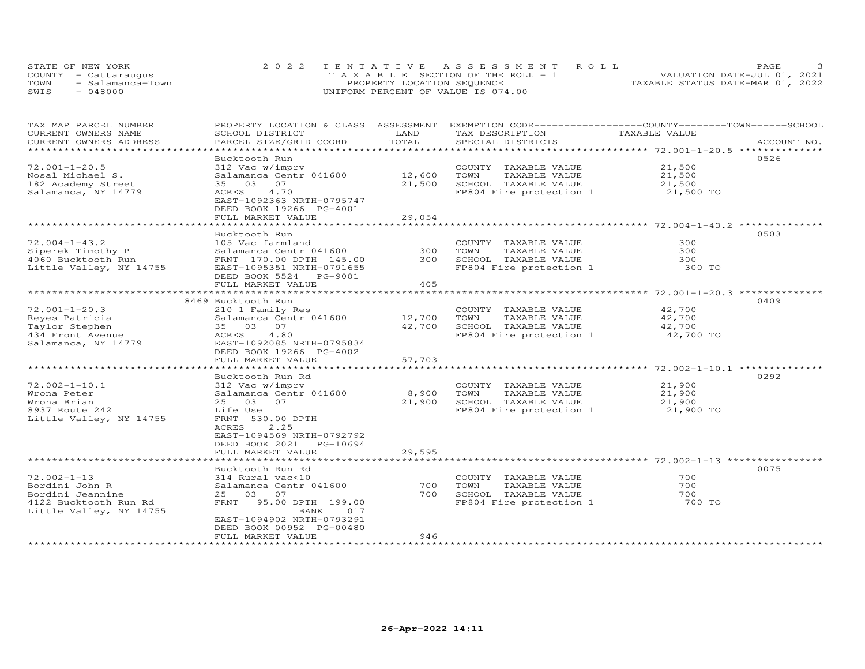| STATE OF NEW YORK |                      | 2022 TENTATIVE ASSESSMENT ROLL        | PAGE.                            |
|-------------------|----------------------|---------------------------------------|----------------------------------|
|                   | COUNTY - Cattaraugus | T A X A B L E SECTION OF THE ROLL - 1 | VALUATION DATE-JUL 01, 2021      |
| TOWN              | - Salamanca-Town     | PROPERTY LOCATION SEQUENCE            | TAXABLE STATUS DATE-MAR 01, 2022 |
| SWIS              | $-048000$            | UNIFORM PERCENT OF VALUE IS 074.00    |                                  |

| TAX MAP PARCEL NUMBER   | PROPERTY LOCATION & CLASS  | ASSESSMENT | EXEMPTION CODE-----------------COUNTY-------TOWN------SCHOOL |                                                    |             |
|-------------------------|----------------------------|------------|--------------------------------------------------------------|----------------------------------------------------|-------------|
| CURRENT OWNERS NAME     | SCHOOL DISTRICT            | LAND       | TAX DESCRIPTION                                              | TAXABLE VALUE                                      |             |
| CURRENT OWNERS ADDRESS  | PARCEL SIZE/GRID COORD     | TOTAL      | SPECIAL DISTRICTS                                            |                                                    | ACCOUNT NO. |
| ******************      |                            |            |                                                              |                                                    |             |
|                         | Bucktooth Run              |            |                                                              |                                                    | 0526        |
| $72.001 - 1 - 20.5$     | 312 Vac w/imprv            |            | COUNTY TAXABLE VALUE                                         | 21,500                                             |             |
| Nosal Michael S.        | Salamanca Centr 041600     | 12,600     | TOWN<br>TAXABLE VALUE                                        | 21,500                                             |             |
| 182 Academy Street      | 03 07<br>35                | 21,500     | SCHOOL TAXABLE VALUE                                         | 21,500                                             |             |
|                         | <b>ACRES</b><br>4.70       |            | FP804 Fire protection 1                                      | 21,500 TO                                          |             |
| Salamanca, NY 14779     |                            |            |                                                              |                                                    |             |
|                         | EAST-1092363 NRTH-0795747  |            |                                                              |                                                    |             |
|                         | DEED BOOK 19266 PG-4001    |            |                                                              |                                                    |             |
|                         | FULL MARKET VALUE          | 29,054     |                                                              |                                                    |             |
|                         |                            |            |                                                              |                                                    |             |
|                         | Bucktooth Run              |            |                                                              |                                                    | 0503        |
| $72.004 - 1 - 43.2$     | 105 Vac farmland           |            | COUNTY TAXABLE VALUE                                         | 300                                                |             |
| Siperek Timothy P       | Salamanca Centr 041600     | 300        | TOWN<br>TAXABLE VALUE                                        | 300                                                |             |
| 4060 Bucktooth Run      | FRNT 170.00 DPTH 145.00    | 300        | SCHOOL TAXABLE VALUE                                         | 300                                                |             |
| Little Valley, NY 14755 | EAST-1095351 NRTH-0791655  |            | FP804 Fire protection 1                                      | 300 TO                                             |             |
|                         | DEED BOOK 5524 PG-9001     |            |                                                              |                                                    |             |
|                         |                            | 405        |                                                              |                                                    |             |
|                         | FULL MARKET VALUE          |            |                                                              |                                                    |             |
|                         |                            |            |                                                              |                                                    |             |
|                         | 8469 Bucktooth Run         |            |                                                              |                                                    | 0409        |
| $72.001 - 1 - 20.3$     | 210 1 Family Res           |            | COUNTY TAXABLE VALUE                                         | 42,700                                             |             |
| Reyes Patricia          | Salamanca Centr 041600     | 12,700     | TOWN<br>TAXABLE VALUE                                        | 42,700                                             |             |
| Taylor Stephen          | 35 03 07                   | 42,700     | SCHOOL TAXABLE VALUE                                         | 42,700                                             |             |
| 434 Front Avenue        | 4.80<br>ACRES              |            | FP804 Fire protection 1                                      | 42,700 TO                                          |             |
| Salamanca, NY 14779     | EAST-1092085 NRTH-0795834  |            |                                                              |                                                    |             |
|                         | DEED BOOK 19266 PG-4002    |            |                                                              |                                                    |             |
|                         | FULL MARKET VALUE          | 57,703     |                                                              |                                                    |             |
|                         | ******************         |            |                                                              | ********************* 72.002-1-10.1 ************** |             |
|                         |                            |            |                                                              |                                                    | 0292        |
|                         | Bucktooth Run Rd           |            |                                                              |                                                    |             |
| $72.002 - 1 - 10.1$     | 312 Vac w/imprv            |            | COUNTY TAXABLE VALUE                                         | 21,900                                             |             |
| Wrona Peter             | Salamanca Centr 041600     | 8,900      | TOWN<br>TAXABLE VALUE                                        | 21,900                                             |             |
| Wrona Brian             | 25 03 07                   | 21,900     | SCHOOL TAXABLE VALUE                                         | 21,900                                             |             |
| 8937 Route 242          | Life Use                   |            | FP804 Fire protection 1                                      | 21,900 TO                                          |             |
| Little Valley, NY 14755 | FRNT 530.00 DPTH           |            |                                                              |                                                    |             |
|                         | 2.25<br>ACRES              |            |                                                              |                                                    |             |
|                         | EAST-1094569 NRTH-0792792  |            |                                                              |                                                    |             |
|                         | DEED BOOK 2021<br>PG-10694 |            |                                                              |                                                    |             |
|                         | FULL MARKET VALUE          | 29,595     |                                                              |                                                    |             |
|                         | ***********************    |            |                                                              |                                                    |             |
|                         |                            |            |                                                              |                                                    | 0075        |
|                         | Bucktooth Run Rd           |            |                                                              |                                                    |             |
| $72.002 - 1 - 13$       | 314 Rural vac<10           |            | COUNTY TAXABLE VALUE                                         | 700                                                |             |
| Bordini John R          | Salamanca Centr 041600     | 700        | TOWN<br>TAXABLE VALUE                                        | 700                                                |             |
| Bordini Jeannine        | 03<br>07<br>25             | 700        | SCHOOL TAXABLE VALUE                                         | 700                                                |             |
| 4122 Bucktooth Run Rd   | FRNT<br>95.00 DPTH 199.00  |            | FP804 Fire protection 1                                      | 700 TO                                             |             |
| Little Valley, NY 14755 | BANK<br>017                |            |                                                              |                                                    |             |
|                         | EAST-1094902 NRTH-0793291  |            |                                                              |                                                    |             |
|                         | DEED BOOK 00952 PG-00480   |            |                                                              |                                                    |             |
|                         | FULL MARKET VALUE          | 946        |                                                              |                                                    |             |
|                         |                            |            |                                                              |                                                    |             |
|                         |                            |            |                                                              |                                                    |             |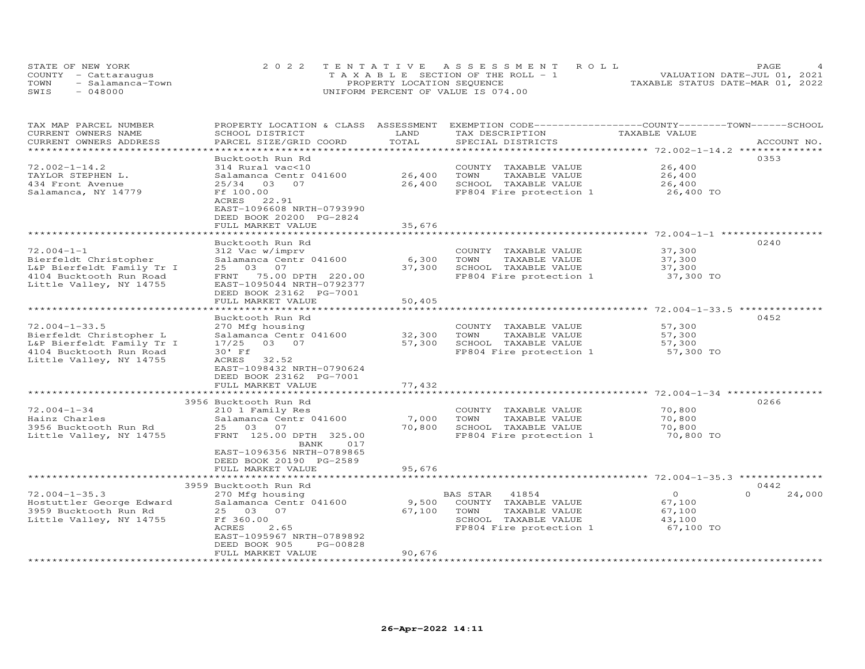|      | STATE OF NEW YORK    | 2022 TENTATIVE ASSESSMENT ROLL        | PAGE                             |
|------|----------------------|---------------------------------------|----------------------------------|
|      | COUNTY - Cattaraugus | T A X A B L E SECTION OF THE ROLL - 1 | VALUATION DATE-JUL 01, 2021      |
| TOWN | - Salamanca-Town     | PROPERTY LOCATION SEQUENCE            | TAXABLE STATUS DATE-MAR 01, 2022 |
| SWIS | 048000               | UNIFORM PERCENT OF VALUE IS 074.00    |                                  |

| TAX MAP PARCEL NUMBER<br>CURRENT OWNERS NAME    | PROPERTY LOCATION & CLASS ASSESSMENT<br>SCHOOL DISTRICT | LAND                   | EXEMPTION CODE-----------------COUNTY-------TOWN------SCHOOL<br>TAX DESCRIPTION | TAXABLE VALUE                               |                    |
|-------------------------------------------------|---------------------------------------------------------|------------------------|---------------------------------------------------------------------------------|---------------------------------------------|--------------------|
| CURRENT OWNERS ADDRESS<br>********************* | PARCEL SIZE/GRID COORD<br>**********************        | TOTAL                  | SPECIAL DISTRICTS                                                               |                                             | ACCOUNT NO.        |
|                                                 | Bucktooth Run Rd                                        |                        |                                                                                 |                                             | 0353               |
| $72.002 - 1 - 14.2$                             | 314 Rural vac<10                                        |                        | COUNTY TAXABLE VALUE                                                            | 26,400                                      |                    |
| TAYLOR STEPHEN L.                               | Salamanca Centr 041600                                  | 26,400                 | TOWN<br>TAXABLE VALUE                                                           | 26,400                                      |                    |
| 434 Front Avenue                                | 25/34<br>03<br>07                                       | 26,400                 | SCHOOL TAXABLE VALUE                                                            | 26,400                                      |                    |
| Salamanca, NY 14779                             | Ff 100.00                                               |                        | FP804 Fire protection 1                                                         | 26,400 TO                                   |                    |
|                                                 | 22.91<br>ACRES                                          |                        |                                                                                 |                                             |                    |
|                                                 | EAST-1096608 NRTH-0793990                               |                        |                                                                                 |                                             |                    |
|                                                 | DEED BOOK 20200 PG-2824                                 |                        |                                                                                 |                                             |                    |
|                                                 | FULL MARKET VALUE                                       | 35,676                 |                                                                                 |                                             |                    |
|                                                 | * * * * * * * * * * * * * * * * *                       | <b>. * * * * * *</b> · |                                                                                 | ******************** 72.004-1-1 *********** |                    |
|                                                 | Bucktooth Run Rd                                        |                        |                                                                                 |                                             | 0240               |
| $72.004 - 1 - 1$                                | 312 Vac w/imprv                                         |                        | COUNTY TAXABLE VALUE                                                            | 37,300                                      |                    |
| Bierfeldt Christopher                           | Salamanca Centr 041600                                  | 6,300                  | TOWN<br>TAXABLE VALUE                                                           | 37,300                                      |                    |
| L&P Bierfeldt Family Tr I                       | 03 07<br>25                                             | 37,300                 | SCHOOL TAXABLE VALUE                                                            | 37,300                                      |                    |
| 4104 Bucktooth Run Road                         | FRNT<br>75.00 DPTH 220.00                               |                        | FP804 Fire protection 1                                                         | 37,300 TO                                   |                    |
| Little Valley, NY 14755                         | EAST-1095044 NRTH-0792377                               |                        |                                                                                 |                                             |                    |
|                                                 | DEED BOOK 23162 PG-7001                                 |                        |                                                                                 |                                             |                    |
|                                                 | FULL MARKET VALUE                                       | 50,405                 |                                                                                 |                                             |                    |
|                                                 | Bucktooth Run Rd                                        |                        |                                                                                 |                                             | 0452               |
| $72.004 - 1 - 33.5$                             | 270 Mfg housing                                         |                        | COUNTY<br>TAXABLE VALUE                                                         | 57,300                                      |                    |
| Bierfeldt Christopher L                         | Salamanca Centr 041600                                  | 32,300                 | TOWN<br>TAXABLE VALUE                                                           | 57,300                                      |                    |
| L&P Bierfeldt Family Tr I                       | 03 07<br>17/25                                          | 57,300                 | SCHOOL TAXABLE VALUE                                                            | 57,300                                      |                    |
| 4104 Bucktooth Run Road                         | 30' Ff                                                  |                        | FP804 Fire protection 1                                                         | 57,300 TO                                   |                    |
| Little Valley, NY 14755                         | 32.52<br>ACRES                                          |                        |                                                                                 |                                             |                    |
|                                                 | EAST-1098432 NRTH-0790624                               |                        |                                                                                 |                                             |                    |
|                                                 | DEED BOOK 23162 PG-7001                                 |                        |                                                                                 |                                             |                    |
|                                                 | FULL MARKET VALUE                                       | 77,432                 |                                                                                 |                                             |                    |
|                                                 |                                                         |                        |                                                                                 |                                             |                    |
|                                                 | 3956 Bucktooth Run Rd                                   |                        |                                                                                 |                                             | 0266               |
| $72.004 - 1 - 34$                               | 210 1 Family Res                                        |                        | COUNTY TAXABLE VALUE                                                            | 70,800                                      |                    |
| Hainz Charles                                   | Salamanca Centr 041600                                  | 7,000                  | TAXABLE VALUE<br>TOWN                                                           | 70,800                                      |                    |
| 3956 Bucktooth Run Rd                           | 25 03 07                                                | 70,800                 | SCHOOL TAXABLE VALUE                                                            | 70,800                                      |                    |
| Little Valley, NY 14755                         | FRNT 125.00 DPTH 325.00                                 |                        | FP804 Fire protection 1                                                         | 70,800 TO                                   |                    |
|                                                 | BANK<br>017                                             |                        |                                                                                 |                                             |                    |
|                                                 | EAST-1096356 NRTH-0789865                               |                        |                                                                                 |                                             |                    |
|                                                 | DEED BOOK 20190 PG-2589                                 |                        |                                                                                 |                                             |                    |
|                                                 | FULL MARKET VALUE                                       | 95,676                 |                                                                                 |                                             |                    |
|                                                 | 3959 Bucktooth Run Rd                                   |                        |                                                                                 |                                             | 0442               |
| $72.004 - 1 - 35.3$                             | 270 Mfg housing                                         |                        | BAS STAR<br>41854                                                               | $\Omega$                                    | $\Omega$<br>24,000 |
| Hostuttler George Edward                        | Salamanca Centr 041600                                  | 9,500                  | COUNTY TAXABLE VALUE                                                            | 67,100                                      |                    |
| 3959 Bucktooth Run Rd                           | 03<br>25<br>07                                          | 67,100                 | TOWN<br>TAXABLE VALUE                                                           | 67,100                                      |                    |
| Little Valley, NY 14755                         | Ff 360.00                                               |                        | SCHOOL TAXABLE VALUE                                                            | 43,100                                      |                    |
|                                                 | <b>ACRES</b><br>2.65                                    |                        | FP804 Fire protection 1                                                         | 67,100 TO                                   |                    |
|                                                 | EAST-1095967 NRTH-0789892                               |                        |                                                                                 |                                             |                    |
|                                                 | DEED BOOK 905<br>PG-00828                               |                        |                                                                                 |                                             |                    |
|                                                 | FULL MARKET VALUE                                       | 90,676                 |                                                                                 |                                             |                    |
| ***********************                         | ***************************                             | *****************      |                                                                                 |                                             |                    |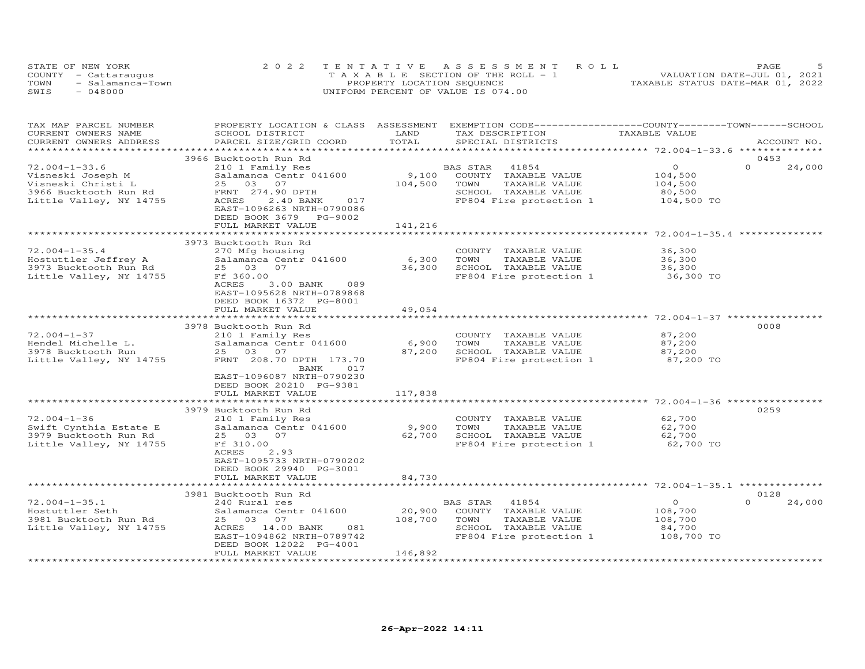| STATE OF NEW YORK    |                  | 2022 TENTATIVE ASSESSMENT ROLL        |  |  |                                  | PAGE |  |
|----------------------|------------------|---------------------------------------|--|--|----------------------------------|------|--|
| COUNTY - Cattaraugus |                  | T A X A B L E SECTION OF THE ROLL - 1 |  |  | VALUATION DATE-JUL 01, 2021      |      |  |
| TOWN                 | - Salamanca-Town | PROPERTY LOCATION SEQUENCE            |  |  | TAXABLE STATUS DATE-MAR 01, 2022 |      |  |
| SWIS                 | $-048000$        | UNIFORM PERCENT OF VALUE IS 074.00    |  |  |                                  |      |  |

| TAX MAP PARCEL NUMBER                                   | PROPERTY LOCATION & CLASS ASSESSMENT |         | EXEMPTION CODE-----------------COUNTY-------TOWN------SCHOOL |                |                    |
|---------------------------------------------------------|--------------------------------------|---------|--------------------------------------------------------------|----------------|--------------------|
| CURRENT OWNERS NAME                                     | SCHOOL DISTRICT                      | LAND    | TAX DESCRIPTION                                              | TAXABLE VALUE  |                    |
| CURRENT OWNERS ADDRESS                                  | PARCEL SIZE/GRID COORD               | TOTAL   | SPECIAL DISTRICTS                                            |                | ACCOUNT NO.        |
|                                                         |                                      |         |                                                              |                |                    |
|                                                         | 3966 Bucktooth Run Rd                |         |                                                              |                | 0453               |
| $72.004 - 1 - 33.6$                                     | 210 1 Family Res                     |         | BAS STAR<br>41854                                            | $\overline{0}$ | $\Omega$<br>24,000 |
| Visneski Joseph M                                       | Salamanca Centr 041600               | 9,100   | COUNTY TAXABLE VALUE                                         | 104,500        |                    |
| Visneski Christi L                                      | 25 03 07                             | 104,500 | TOWN<br>TAXABLE VALUE                                        | 104,500        |                    |
| 3966 Bucktooth Run Rd                                   | FRNT 274.90 DPTH                     |         | SCHOOL TAXABLE VALUE                                         | 80,500         |                    |
| Little Valley, NY 14755                                 | ACRES<br>2.40 BANK<br>017            |         | FP804 Fire protection 1                                      | 104,500 TO     |                    |
|                                                         | EAST-1096263 NRTH-0790086            |         |                                                              |                |                    |
|                                                         | DEED BOOK 3679 PG-9002               |         |                                                              |                |                    |
|                                                         | FULL MARKET VALUE                    | 141,216 |                                                              |                |                    |
|                                                         |                                      |         |                                                              |                |                    |
|                                                         | 3973 Bucktooth Run Rd                |         |                                                              |                |                    |
| $72.004 - 1 - 35.4$                                     | 270 Mfg housing                      |         | COUNTY TAXABLE VALUE                                         | 36,300         |                    |
| Hostuttler Jeffrey A                                    | Salamanca Centr 041600               | 6,300   | TAXABLE VALUE<br>TOWN                                        | 36,300         |                    |
| 3973 Bucktooth Run Rd                                   | 25 03 07                             | 36,300  | SCHOOL TAXABLE VALUE                                         | 36,300         |                    |
| Little Valley, NY 14755                                 | Ff 360.00                            |         | FP804 Fire protection 1 36,300 TO                            |                |                    |
|                                                         | 3.00 BANK<br>089<br>ACRES            |         |                                                              |                |                    |
|                                                         | EAST-1095628 NRTH-0789868            |         |                                                              |                |                    |
|                                                         | DEED BOOK 16372 PG-8001              |         |                                                              |                |                    |
|                                                         | FULL MARKET VALUE                    | 49,054  |                                                              |                |                    |
|                                                         |                                      |         |                                                              |                |                    |
|                                                         | 3978 Bucktooth Run Rd                |         |                                                              |                | 0008               |
| $72.004 - 1 - 37$                                       | 210 1 Family Res                     |         | COUNTY TAXABLE VALUE                                         | 87,200         |                    |
|                                                         | Salamanca Centr 041600               | 6,900   | TOWN<br>TAXABLE VALUE                                        | 87,200         |                    |
| Hendel Michelle L.<br>Hendel Michelle L.<br>Charth Run  | 25 03 07                             | 87,200  | SCHOOL TAXABLE VALUE                                         | 87,200         |                    |
| Little Valley, NY 14755                                 | FRNT 208.70 DPTH 173.70              |         | FP804 Fire protection 1                                      | 87,200 TO      |                    |
|                                                         |                                      |         |                                                              |                |                    |
|                                                         | BANK<br>017                          |         |                                                              |                |                    |
|                                                         | EAST-1096087 NRTH-0790230            |         |                                                              |                |                    |
|                                                         | DEED BOOK 20210 PG-9381              |         |                                                              |                |                    |
|                                                         | FULL MARKET VALUE                    | 117,838 |                                                              |                |                    |
|                                                         |                                      |         |                                                              |                |                    |
|                                                         | 3979 Bucktooth Run Rd                |         |                                                              |                | 0259               |
| $72.004 - 1 - 36$                                       | 210 1 Family Res                     |         | COUNTY TAXABLE VALUE                                         | 62,700         |                    |
| Swift Cynthia Estate E                                  | Salamanca Centr 041600               | 9,900   | TOWN<br>TAXABLE VALUE                                        | 62,700         |                    |
| 3979 Bucktooth Run Rd                                   | 25 03 07                             | 62,700  | SCHOOL TAXABLE VALUE                                         | 62,700         |                    |
| Little Valley, NY 14755                                 | Ff 310.00                            |         | FP804 Fire protection 1                                      | 62,700 TO      |                    |
|                                                         | ACRES<br>2.93                        |         |                                                              |                |                    |
|                                                         | EAST-1095733 NRTH-0790202            |         |                                                              |                |                    |
|                                                         | DEED BOOK 29940 PG-3001              |         |                                                              |                |                    |
|                                                         | FULL MARKET VALUE                    | 84,730  |                                                              |                |                    |
|                                                         |                                      |         |                                                              |                |                    |
|                                                         | 3981 Bucktooth Run Rd                |         |                                                              |                | 0128               |
| $72.004 - 1 - 35.1$                                     | 240 Rural res                        |         | BAS STAR 41854                                               | $\circ$        | $\Omega$<br>24,000 |
| noscuccier Seth<br>3981 Bucktooth Run Rd<br>Iittle Y II | Salamanca Centr 041600               | 20,900  | COUNTY TAXABLE VALUE                                         | 108,700        |                    |
|                                                         | 25 03 07                             | 108,700 | TOWN<br>TAXABLE VALUE                                        | 108,700        |                    |
| Little Valley, NY 14755                                 | ACRES 14.00 BANK<br>081              |         | SCHOOL TAXABLE VALUE                                         | 84,700         |                    |
|                                                         | EAST-1094862 NRTH-0789742            |         | FP804 Fire protection 1                                      | 108,700 TO     |                    |
|                                                         | DEED BOOK 12022 PG-4001              |         |                                                              |                |                    |
|                                                         | FULL MARKET VALUE                    | 146,892 |                                                              |                |                    |
|                                                         |                                      |         |                                                              |                |                    |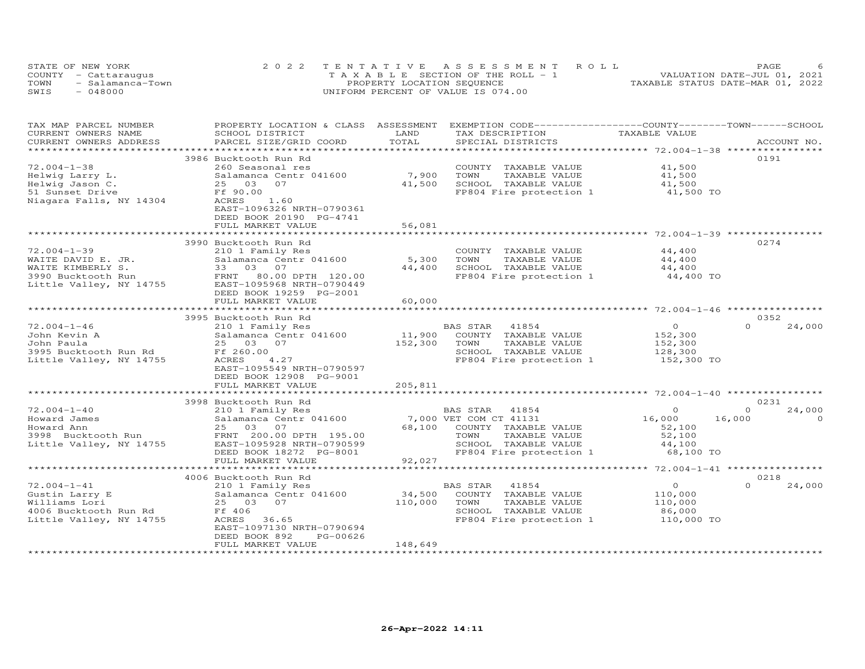|      | STATE OF NEW YORK    | 2022 TENTATIVE ASSESSMENT ROLL        | <b>PAGE</b>                      |
|------|----------------------|---------------------------------------|----------------------------------|
|      | COUNTY - Cattaraugus | T A X A B L E SECTION OF THE ROLL - 1 | VALUATION DATE-JUL 01, 2021      |
| TOWN | - Salamanca-Town     | PROPERTY LOCATION SEOUENCE            | TAXABLE STATUS DATE-MAR 01, 2022 |
| SWIS | $-048000$            | UNIFORM PERCENT OF VALUE IS 074.00    |                                  |

| TAX MAP PARCEL NUMBER<br>CURRENT OWNERS NAME                                                                  | PROPERTY LOCATION & CLASS ASSESSMENT EXEMPTION CODE----------------COUNTY-------TOWN------SCHOOL<br>SCHOOL DISTRICT                                                                          | LAND                      | TAX DESCRIPTION                                                                                                                                        | TAXABLE VALUE                                          |                                          |
|---------------------------------------------------------------------------------------------------------------|----------------------------------------------------------------------------------------------------------------------------------------------------------------------------------------------|---------------------------|--------------------------------------------------------------------------------------------------------------------------------------------------------|--------------------------------------------------------|------------------------------------------|
| CURRENT OWNERS ADDRESS                                                                                        | PARCEL SIZE/GRID COORD                                                                                                                                                                       | TOTAL                     | SPECIAL DISTRICTS                                                                                                                                      |                                                        | ACCOUNT NO.                              |
| $72.004 - 1 - 38$<br>Helwig Larry L.<br>Helwig Jason C.<br>51 Sunset Drive<br>Niagara Falls, NY 14304         | 3986 Bucktooth Run Rd<br>260 Seasonal res<br>Salamanca Centr 041600<br>25 03<br>07<br>Ff 90.00<br>1.60<br>ACRES<br>EAST-1096326 NRTH-0790361<br>DEED BOOK 20190 PG-4741<br>FULL MARKET VALUE | 7,900<br>41,500<br>56,081 | COUNTY TAXABLE VALUE<br>TOWN<br>TAXABLE VALUE<br>SCHOOL TAXABLE VALUE<br>FP804 Fire protection 1                                                       | 41,500<br>41,500<br>41,500<br>41,500 TO                | 0191                                     |
| $72.004 - 1 - 39$<br>WAITE DAVID E. JR.<br>WAITE KIMBERLY S.<br>3990 Bucktooth Run<br>Little Valley, NY 14755 | 3990 Bucktooth Run Rd<br>210 1 Family Res<br>Salamanca Centr 041600<br>33 03 07<br>FRNT 80.00 DPTH 120.00<br>EAST-1095968 NRTH-0790449<br>DEED BOOK 19259 PG-2001<br>FULL MARKET VALUE       | 5,300<br>44,400<br>60,000 | COUNTY TAXABLE VALUE<br>TOWN<br>TAXABLE VALUE<br>SCHOOL TAXABLE VALUE<br>FP804 Fire protection 1                                                       | 44,400<br>44,400<br>44,400<br>44,400 TO                | 0274                                     |
|                                                                                                               | 3995 Bucktooth Run Rd                                                                                                                                                                        |                           |                                                                                                                                                        |                                                        | 0352                                     |
| $72.004 - 1 - 46$<br>John Kevin A<br>John Paula<br>3995 Bucktooth Run Rd<br>Little Valley, NY 14755           | 210 1 Family Res<br>Salamanca Centr 041600<br>25 03 07<br>Ff 260.00<br>ACRES<br>4.27<br>EAST-1095549 NRTH-0790597<br>DEED BOOK 12908 PG-9001                                                 | 11,900<br>152,300         | BAS STAR<br>41854<br>COUNTY TAXABLE VALUE<br>TOWN<br>TAXABLE VALUE<br>SCHOOL TAXABLE VALUE<br>FP804 Fire protection 1                                  | $\circ$<br>152,300<br>152,300<br>128,300<br>152,300 TO | $\Omega$<br>24,000                       |
|                                                                                                               | FULL MARKET VALUE                                                                                                                                                                            | 205,811                   |                                                                                                                                                        |                                                        |                                          |
|                                                                                                               | 3998 Bucktooth Run Rd                                                                                                                                                                        |                           |                                                                                                                                                        |                                                        | 0231                                     |
| $72.004 - 1 - 40$<br>Howard James<br>Howard Ann<br>3998 Bucktooth Run<br>Little Valley, NY 14755              | 210 1 Family Res<br>Salamanca Centr 041600<br>25 03 07<br>FRNT 200.00 DPTH 195.00<br>EAST-1095928 NRTH-0790599<br>DEED BOOK 18272 PG-8001                                                    | 68,100<br>92,027          | BAS STAR 41854<br>7,000 VET COM CT 41131<br>COUNTY TAXABLE VALUE<br>TAXABLE VALUE<br>TOWN<br>SCHOOL TAXABLE VALUE<br>FP804 Fire protection 1 68,100 TO | $\Omega$<br>16,000<br>52,100<br>52,100<br>44,100       | $\Omega$<br>24,000<br>16,000<br>$\Omega$ |
|                                                                                                               | FULL MARKET VALUE                                                                                                                                                                            |                           |                                                                                                                                                        |                                                        |                                          |
| $72.004 - 1 - 41$                                                                                             | 4006 Bucktooth Run Rd<br>210 1 Family Res                                                                                                                                                    |                           | BAS STAR<br>41854                                                                                                                                      | $\circ$                                                | 0218<br>$\Omega$<br>24,000               |
| Gustin Larry E<br>Williams Lori<br>4006 Bucktooth Run Rd<br>Little Valley, NY 14755                           | Salamanca Centr 041600<br>25 03 07<br>Ff 406<br>ACRES<br>36.65<br>EAST-1097130 NRTH-0790694<br>DEED BOOK 892<br>PG-00626                                                                     | 34,500<br>110,000         | COUNTY TAXABLE VALUE<br>TOWN<br>TAXABLE VALUE<br>SCHOOL TAXABLE VALUE<br>FP804 Fire protection 1                                                       | 110,000<br>110,000<br>86,000<br>110,000 TO             |                                          |
|                                                                                                               | FULL MARKET VALUE                                                                                                                                                                            | 148,649                   |                                                                                                                                                        |                                                        |                                          |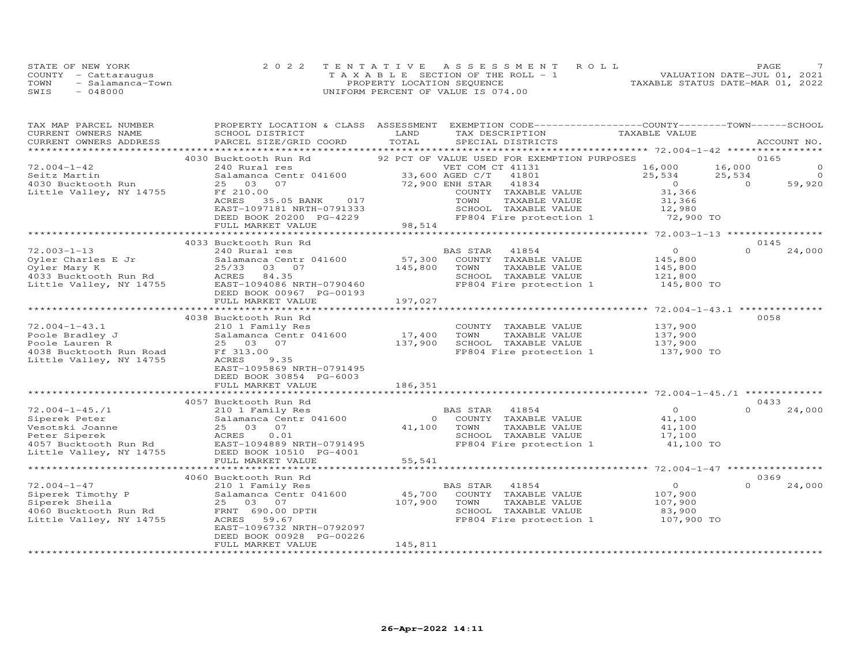| STATE OF NEW YORK |                      | 2022 TENTATIVE ASSESSMENT ROLL        | PAGE                             |
|-------------------|----------------------|---------------------------------------|----------------------------------|
|                   | COUNTY - Cattaraugus | T A X A B L E SECTION OF THE ROLL - 1 | VALUATION DATE-JUL 01, 2021      |
| TOWN              | - Salamanca-Town     | PROPERTY LOCATION SEQUENCE            | TAXABLE STATUS DATE-MAR 01, 2022 |
| SWIS              | $-048000$            | UNIFORM PERCENT OF VALUE IS 074.00    |                                  |

| TAX MAP PARCEL NUMBER<br>CURRENT OWNERS NAME | PROPERTY LOCATION & CLASS ASSESSMENT<br>SCHOOL DISTRICT | EXEMPTION CODE-----------------COUNTY-------TOWN------SCHOOL<br>LAND<br>TAX DESCRIPTION | TAXABLE VALUE                       |                    |
|----------------------------------------------|---------------------------------------------------------|-----------------------------------------------------------------------------------------|-------------------------------------|--------------------|
| CURRENT OWNERS ADDRESS                       | PARCEL SIZE/GRID COORD                                  | TOTAL<br>SPECIAL DISTRICTS                                                              |                                     | ACCOUNT NO.        |
|                                              |                                                         |                                                                                         |                                     |                    |
| $72.004 - 1 - 42$                            | 4030 Bucktooth Run Rd                                   | 92 PCT OF VALUE USED FOR EXEMPTION PURPOSES                                             | 16,000<br>16,000                    | 0165<br>$\Omega$   |
|                                              | 240 Rural res                                           | VET COM CT 41131<br>33,600 AGED C/T<br>41801                                            | 25,534                              | $\Omega$           |
| Seitz Martin<br>4030 Bucktooth Run           | Salamanca Centr 041600<br>25 03<br>07                   | 72,900 ENH STAR<br>41834                                                                | 25,534<br>$\overline{0}$            | 59,920<br>$\Omega$ |
| Little Valley, NY 14755                      | Ff 210.00                                               | COUNTY TAXABLE VALUE                                                                    | 31,366                              |                    |
|                                              | 017<br>ACRES<br>35.05 BANK                              | TOWN<br>TAXABLE VALUE                                                                   | 31,366                              |                    |
|                                              | EAST-1097181 NRTH-0791333                               | SCHOOL TAXABLE VALUE                                                                    | 12,980                              |                    |
|                                              | DEED BOOK 20200 PG-4229                                 | FP804 Fire protection 1                                                                 | 72,900 TO                           |                    |
|                                              | FULL MARKET VALUE                                       | 98,514                                                                                  |                                     |                    |
|                                              | ****************************                            |                                                                                         |                                     | 0145               |
| $72.003 - 1 - 13$                            | 4033 Bucktooth Run Rd                                   | BAS STAR<br>41854                                                                       | $\overline{0}$                      | $\Omega$           |
| Oyler Charles E Jr                           | 240 Rural res<br>Salamanca Centr 041600                 | 57,300<br>COUNTY TAXABLE VALUE                                                          | 145,800                             | 24,000             |
| Oyler Mary K                                 | 25/33 03 07                                             | 145,800<br>TOWN<br>TAXABLE VALUE                                                        | 145,800                             |                    |
| 4033 Bucktooth Run Rd                        | ACRES 84.35                                             | SCHOOL TAXABLE VALUE                                                                    | 121,800                             |                    |
| Little Valley, NY 14755                      | EAST-1094086 NRTH-0790460                               | FP804 Fire protection 1                                                                 | 145,800 TO                          |                    |
|                                              | DEED BOOK 00967 PG-00193                                |                                                                                         |                                     |                    |
|                                              | FULL MARKET VALUE                                       | 197,027                                                                                 |                                     |                    |
|                                              | 4038 Bucktooth Run Rd                                   |                                                                                         |                                     | 0058               |
| $72.004 - 1 - 43.1$                          | 210 1 Family Res                                        | COUNTY TAXABLE VALUE                                                                    | 137,900                             |                    |
| Poole Bradley J                              | Salamanca Centr 041600                                  | 17,400<br>TOWN<br>TAXABLE VALUE                                                         | 137,900                             |                    |
| Poole Lauren R                               | 25 03 07                                                | 137,900<br>SCHOOL TAXABLE VALUE                                                         | 137,900                             |                    |
| 4038 Bucktooth Run Road                      | Ff 313.00                                               | FP804 Fire protection 1                                                                 | 137,900 TO                          |                    |
| Little Valley, NY 14755                      | ACRES<br>9.35                                           |                                                                                         |                                     |                    |
|                                              | EAST-1095869 NRTH-0791495                               |                                                                                         |                                     |                    |
|                                              | DEED BOOK 30854 PG-6003                                 |                                                                                         |                                     |                    |
|                                              | FULL MARKET VALUE                                       | 186,351                                                                                 |                                     |                    |
|                                              |                                                         | ************                                                                            |                                     |                    |
|                                              | 4057 Bucktooth Run Rd                                   |                                                                                         |                                     | 0433               |
| $72.004 - 1 - 45.71$                         | 210 1 Family Res                                        | BAS STAR<br>41854                                                                       | $\overline{O}$                      | 24,000<br>$\Omega$ |
| Siperek Peter                                | Salamanca Centr 041600                                  | COUNTY TAXABLE VALUE<br>$\circ$                                                         | 41,100                              |                    |
| Vesotski Joanne                              | 25 03 07                                                | 41,100<br>TOWN<br>TAXABLE VALUE                                                         | 41,100                              |                    |
| Peter Siperek                                | ACRES<br>0.01                                           | SCHOOL TAXABLE VALUE                                                                    | 17,100                              |                    |
| 4057 Bucktooth Run Rd                        | EAST-1094889 NRTH-0791495                               | FP804 Fire protection 1                                                                 | 41,100 TO                           |                    |
| Little Valley, NY 14755                      | DEED BOOK 10510 PG-4001                                 |                                                                                         |                                     |                    |
|                                              | FULL MARKET VALUE                                       | 55,541                                                                                  |                                     |                    |
|                                              |                                                         |                                                                                         | *********** 72.004-1-47 *********** |                    |
|                                              | 4060 Bucktooth Run Rd                                   |                                                                                         |                                     | 0369<br>$\Omega$   |
| $72.004 - 1 - 47$                            | 210 1 Family Res                                        | BAS STAR<br>41854                                                                       | $\overline{O}$                      | 24,000             |
| Siperek Timothy P                            | Salamanca Centr 041600<br>25 03 07                      | 45,700<br>COUNTY TAXABLE VALUE<br>107,900<br>TOWN<br>TAXABLE VALUE                      | 107,900<br>107,900                  |                    |
| Siperek Sheila<br>4060 Bucktooth Run Rd      | FRNT 690.00 DPTH                                        | SCHOOL TAXABLE VALUE                                                                    | 83,900                              |                    |
| Little Valley, NY 14755                      | ACRES<br>59.67                                          | FP804 Fire protection 1                                                                 | 107,900 TO                          |                    |
|                                              | EAST-1096732 NRTH-0792097                               |                                                                                         |                                     |                    |
|                                              | DEED BOOK 00928 PG-00226                                |                                                                                         |                                     |                    |
|                                              | FULL MARKET VALUE                                       | 145,811                                                                                 |                                     |                    |
| ************************                     | ************************                                | ******************                                                                      |                                     |                    |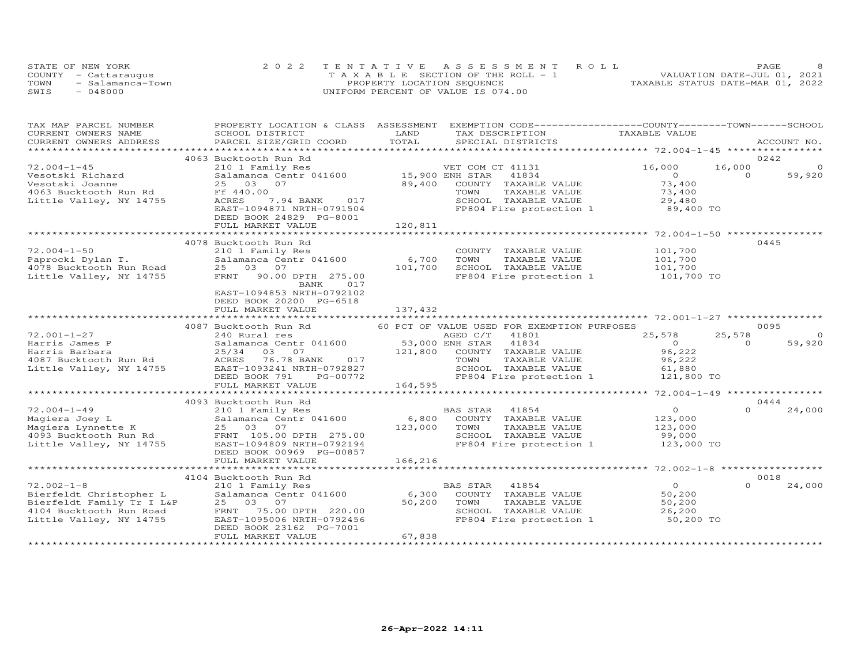|      | STATE OF NEW YORK    | 2022 TENTATIVE ASSESSMENT ROLL        | PAGE                             |
|------|----------------------|---------------------------------------|----------------------------------|
|      | COUNTY - Cattaraugus | T A X A B L E SECTION OF THE ROLL - 1 | VALUATION DATE-JUL 01, 2021      |
| TOWN | - Salamanca-Town     | PROPERTY LOCATION SEQUENCE            | TAXABLE STATUS DATE-MAR 01, 2022 |
| SWIS | $-048000$            | UNIFORM PERCENT OF VALUE IS 074.00    |                                  |

| TAX MAP PARCEL NUMBER                                                                          | PROPERTY LOCATION & CLASS ASSESSMENT                                                                                                            |                                             | EXEMPTION CODE------------------COUNTY-------TOWN------SCHOOL    |
|------------------------------------------------------------------------------------------------|-------------------------------------------------------------------------------------------------------------------------------------------------|---------------------------------------------|------------------------------------------------------------------|
| CURRENT OWNERS NAME                                                                            | SCHOOL DISTRICT                                                                                                                                 | LAND<br>TAX DESCRIPTION                     | TAXABLE VALUE                                                    |
| CURRENT OWNERS ADDRESS                                                                         | PARCEL SIZE/GRID COORD                                                                                                                          | TOTAL<br>SPECIAL DISTRICTS                  | ACCOUNT NO.                                                      |
|                                                                                                |                                                                                                                                                 |                                             |                                                                  |
|                                                                                                | 4063 Bucktooth Run Rd                                                                                                                           |                                             | 0242                                                             |
| $72.004 - 1 - 45$                                                                              | 210 1 Family Res                                                                                                                                | VET COM CT 41131                            | 16,000<br>16,000<br>$\Omega$                                     |
| Vesotski Richard                                                                               | Salamanca Centr 041600 15,900 ENH STAR                                                                                                          | 41834                                       | $\Omega$<br>59,920<br>$\Omega$                                   |
| Vesotski Joanne                                                                                | 25 03 07                                                                                                                                        | 89,400<br>COUNTY TAXABLE VALUE              | 73,400                                                           |
| 4063 Bucktooth Run Rd                                                                          | Ff 440.00                                                                                                                                       | TOWN<br>TAXABLE VALUE                       | 73,400                                                           |
| Little Valley, NY 14755                                                                        | 7.94 BANK 017<br>ACRES                                                                                                                          |                                             | SCHOOL TAXABLE VALUE 29,480<br>FP804 Fire protection 1 89,400 TO |
|                                                                                                | EAST-1094871 NRTH-0791504                                                                                                                       |                                             |                                                                  |
|                                                                                                | DEED BOOK 24829 PG-8001                                                                                                                         |                                             |                                                                  |
|                                                                                                | FULL MARKET VALUE                                                                                                                               | 120,811                                     |                                                                  |
|                                                                                                |                                                                                                                                                 |                                             |                                                                  |
|                                                                                                | 4078 Bucktooth Run Rd                                                                                                                           |                                             | 0445                                                             |
| $72.004 - 1 - 50$                                                                              | 210 1 Family Res                                                                                                                                | COUNTY TAXABLE VALUE                        | 101,700                                                          |
|                                                                                                |                                                                                                                                                 | TOWN<br>TAXABLE VALUE                       |                                                                  |
|                                                                                                |                                                                                                                                                 | SCHOOL TAXABLE VALUE                        | 101,700<br>101,700                                               |
|                                                                                                | Paprocki Dylan T.<br>Salamanca Centr 041600 6,700<br>4078 Bucktooth Run Road 25 03 07 101,700<br>Little Valley, NY 14755 FRNT 90.00 DPTH 275.00 |                                             | FP804 Fire protection 1 101,700 TO                               |
|                                                                                                | BANK<br>017                                                                                                                                     |                                             |                                                                  |
|                                                                                                | EAST-1094853 NRTH-0792102                                                                                                                       |                                             |                                                                  |
|                                                                                                | DEED BOOK 20200 PG-6518                                                                                                                         |                                             |                                                                  |
|                                                                                                | FULL MARKET VALUE                                                                                                                               | 137,432                                     |                                                                  |
|                                                                                                |                                                                                                                                                 |                                             |                                                                  |
|                                                                                                | 4087 Bucktooth Run Rd                                                                                                                           | 60 PCT OF VALUE USED FOR EXEMPTION PURPOSES | 0095                                                             |
| $72.001 - 1 - 27$                                                                              | 240 Rural res                                                                                                                                   | AGED C/T<br>41801                           | $\overline{0}$<br>25,578<br>25,578                               |
| Harris James P                                                                                 | 240 Nurai Test 041600 53,000 ENH STAR<br>25/34 03 07 121,800 COUNTY<br>ACRES 76.78 BANK 017 TOWN EAST-1093241 NRTH-0792827 SCHOOL               | 41834                                       | 59,920<br>$\bigcirc$<br>$\bigcap$                                |
| Harris Barbara                                                                                 |                                                                                                                                                 | COUNTY TAXABLE VALUE                        | 96,222                                                           |
|                                                                                                |                                                                                                                                                 | TAXABLE VALUE                               | 96,222                                                           |
| Harris Balbala<br>4087 Bucktooth Run Rd<br>Iithio Vollev - NY 14755<br>Little Valley, NY 14755 |                                                                                                                                                 | SCHOOL TAXABLE VALUE                        | 61,880                                                           |
|                                                                                                | DEED BOOK 791<br>PG-00772                                                                                                                       | FP804 Fire protection 1                     | 121,800 TO                                                       |
|                                                                                                | FULL MARKET VALUE                                                                                                                               | 164,595                                     |                                                                  |
|                                                                                                |                                                                                                                                                 |                                             |                                                                  |
|                                                                                                | 4093 Bucktooth Run Rd                                                                                                                           |                                             | 0444                                                             |
| $72.004 - 1 - 49$                                                                              | 210 1 Family Res                                                                                                                                | BAS STAR 41854                              | $\overline{O}$<br>24,000<br>$\Omega$                             |
|                                                                                                | Salamanca Centr 041600                                                                                                                          | 6,800<br>COUNTY TAXABLE VALUE               | 123,000                                                          |
|                                                                                                |                                                                                                                                                 | 123,000<br>TOWN<br>TAXABLE VALUE            | 123,000                                                          |
|                                                                                                | V2.004-1-49<br>Magiera Johnette K Salamanca Centr 041600<br>Magiera Lynnette K 25 03 07<br>4093 Bucktooth Run Rd FRNT 105.00 DPTH 275.00        | SCHOOL TAXABLE VALUE                        | 99,000                                                           |
| Little Valley, NY 14755                                                                        | EAST-1094809 NRTH-0792194                                                                                                                       | FP804 Fire protection 1                     | 123,000 TO                                                       |
|                                                                                                | DEED BOOK 00969 PG-00857                                                                                                                        |                                             |                                                                  |
|                                                                                                | FULL MARKET VALUE                                                                                                                               | 166,216                                     |                                                                  |
|                                                                                                | **********************************                                                                                                              |                                             |                                                                  |
|                                                                                                | 4104 Bucktooth Run Rd                                                                                                                           |                                             | 0018                                                             |
| $72.002 - 1 - 8$                                                                               | 210 1 Family Res                                                                                                                                | BAS STAR<br>41854                           | $\overline{0}$<br>$\Omega$<br>24,000                             |
| Bierfeldt Christopher L                                                                        | Salamanca Centr 041600                                                                                                                          | 6,300<br>COUNTY TAXABLE VALUE               | 50,200                                                           |
|                                                                                                | 25 03 07                                                                                                                                        | 50,200<br>TOWN<br>TAXABLE VALUE             | 50,200                                                           |
| Bierfeldt Family Tr I L&P<br>4104 Bucktooth Run Road<br>4104 Bucktooth Run Road                | 75.00 DPTH 220.00<br>FRNT                                                                                                                       | SCHOOL TAXABLE VALUE                        | 26,200                                                           |
| Little Valley, NY 14755                                                                        | EAST-1095006 NRTH-0792456                                                                                                                       |                                             | FP804 Fire protection 1 50,200 TO                                |
|                                                                                                | DEED BOOK 23162 PG-7001                                                                                                                         |                                             |                                                                  |
|                                                                                                | FULL MARKET VALUE                                                                                                                               | 67,838                                      |                                                                  |
|                                                                                                |                                                                                                                                                 |                                             |                                                                  |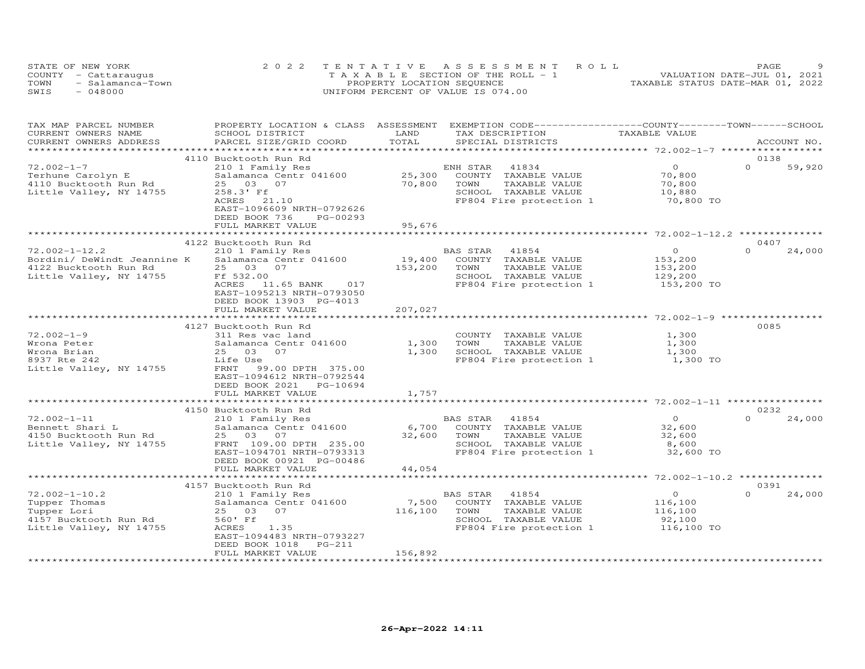|      | STATE OF NEW YORK    | 2022 TENTATIVE ASSESSMENT ROLL        | PAGE                             |
|------|----------------------|---------------------------------------|----------------------------------|
|      | COUNTY - Cattaraugus | T A X A B L E SECTION OF THE ROLL - 1 | VALUATION DATE-JUL 01, 2021      |
| TOWN | - Salamanca-Town     | PROPERTY LOCATION SEQUENCE            | TAXABLE STATUS DATE-MAR 01, 2022 |
| SWIS | $-048000$            | UNIFORM PERCENT OF VALUE IS 074.00    |                                  |

| CURRENT OWNERS NAME<br>SCHOOL DISTRICT<br>TAX DESCRIPTION<br>TAXABLE VALUE<br>TOTAL<br>CURRENT OWNERS ADDRESS<br>PARCEL SIZE/GRID COORD<br>SPECIAL DISTRICTS<br>ACCOUNT NO.<br>******************<br>0138<br>4110 Bucktooth Run Rd<br>$\Omega$<br>$72.002 - 1 - 7$<br>210 1 Family Res<br>ENH STAR<br>41834<br>$\Omega$<br>59,920<br>Terhune Carolyn E<br>Salamanca Centr 041600<br>25,300<br>COUNTY TAXABLE VALUE<br>70,800<br>70,800<br>70,800<br>4110 Bucktooth Run Rd<br>25 03 07<br>TOWN<br>TAXABLE VALUE<br>258.3' Ff<br>SCHOOL TAXABLE VALUE<br>Little Valley, NY 14755<br>10,880<br>21.10<br>FP804 Fire protection 1<br>70,800 TO<br>ACRES<br>EAST-1096609 NRTH-0792626<br>DEED BOOK 736<br>PG-00293<br>95,676<br>FULL MARKET VALUE<br>************<br>************************<br>0407<br>4122 Bucktooth Run Rd<br>$72.002 - 1 - 12.2$<br>210 1 Family Res<br>$\circ$<br>$\Omega$<br>24,000<br>BAS STAR<br>41854<br>19,400<br>Bordini/ DeWindt Jeannine K<br>Salamanca Centr 041600<br>COUNTY TAXABLE VALUE<br>153,200<br>25 03 07<br>4122 Bucktooth Run Rd<br>153,200<br>TOWN<br>TAXABLE VALUE<br>153,200<br>Little Valley, NY 14755<br>Ff 532.00<br>SCHOOL TAXABLE VALUE<br>129,200<br>FP804 Fire protection 1<br>ACRES 11.65 BANK<br>017<br>153,200 TO<br>EAST-1095213 NRTH-0793050<br>DEED BOOK 13903 PG-4013<br>FULL MARKET VALUE<br>207,027<br>*************<br>******************************** 72.002-1-9 ***************<br>**************************<br>0085<br>4127 Bucktooth Run Rd<br>$72.002 - 1 - 9$<br>COUNTY TAXABLE VALUE<br>1,300<br>311 Res vac land<br>1,300<br>Wrona Peter<br>Salamanca Centr 041600<br>TOWN<br>TAXABLE VALUE<br>1,300<br>1,300<br>SCHOOL TAXABLE VALUE<br>Wrona Brian<br>25 03<br>07<br>1,300<br>8937 Rte 242<br>Life Use<br>FP804 Fire protection 1<br>1,300 TO<br>Little Valley, NY 14755<br>FRNT 99.00 DPTH 375.00<br>EAST-1094612 NRTH-0792544<br>DEED BOOK 2021 PG-10694<br>FULL MARKET VALUE<br>1,757<br>4150 Bucktooth Run Rd<br>0232<br>24,000<br>$72.002 - 1 - 11$<br>41854<br>$\overline{O}$<br>210 1 Family Res<br>BAS STAR<br>6,700<br>Bennett Shari L<br>Salamanca Centr 041600<br>COUNTY TAXABLE VALUE<br>32,600<br>4150 Bucktooth Run Rd<br>25 03 07<br>32,600<br>TAXABLE VALUE<br>32,600<br>TOWN<br>FRNT 109.00 DPTH 235.00<br>SCHOOL TAXABLE VALUE<br>8,600<br>EAST-1094701 NRTH-0793313<br>FP804 Fire protection 1<br>32,600 TO<br>DEED BOOK 00921 PG-00486<br>44,054<br>FULL MARKET VALUE<br>4157 Bucktooth Run Rd<br>0391<br>$72.002 - 1 - 10.2$<br>$\circ$<br>$\Omega$<br>24,000<br>210 1 Family Res<br>BAS STAR<br>41854<br>Tupper Thomas<br>Salamanca Centr 041600<br>7,500<br>COUNTY TAXABLE VALUE<br>116,100<br>116,100<br>TAXABLE VALUE<br>Tupper Lori<br>25 03<br>07<br>TOWN<br>116,100<br>4157 Bucktooth Run Rd<br>560' Ff<br>SCHOOL TAXABLE VALUE<br>92,100<br>1.35<br>FP804 Fire protection 1<br>ACRES<br>116,100 TO<br>EAST-1094483 NRTH-0793227<br>DEED BOOK 1018<br>PG-211<br>FULL MARKET VALUE<br>156,892<br>******************** | TAX MAP PARCEL NUMBER   | PROPERTY LOCATION & CLASS ASSESSMENT | LAND | EXEMPTION CODE-----------------COUNTY-------TOWN------SCHOOL |
|----------------------------------------------------------------------------------------------------------------------------------------------------------------------------------------------------------------------------------------------------------------------------------------------------------------------------------------------------------------------------------------------------------------------------------------------------------------------------------------------------------------------------------------------------------------------------------------------------------------------------------------------------------------------------------------------------------------------------------------------------------------------------------------------------------------------------------------------------------------------------------------------------------------------------------------------------------------------------------------------------------------------------------------------------------------------------------------------------------------------------------------------------------------------------------------------------------------------------------------------------------------------------------------------------------------------------------------------------------------------------------------------------------------------------------------------------------------------------------------------------------------------------------------------------------------------------------------------------------------------------------------------------------------------------------------------------------------------------------------------------------------------------------------------------------------------------------------------------------------------------------------------------------------------------------------------------------------------------------------------------------------------------------------------------------------------------------------------------------------------------------------------------------------------------------------------------------------------------------------------------------------------------------------------------------------------------------------------------------------------------------------------------------------------------------------------------------------------------------------------------------------------------------------------------------------------------------------------------------------------------------------------------------------------------------------------------------------------------------------------------------------------------------------------------------------------------------------------------------------------------------------------------------------------------------------------------------------------------------------------------------------------|-------------------------|--------------------------------------|------|--------------------------------------------------------------|
|                                                                                                                                                                                                                                                                                                                                                                                                                                                                                                                                                                                                                                                                                                                                                                                                                                                                                                                                                                                                                                                                                                                                                                                                                                                                                                                                                                                                                                                                                                                                                                                                                                                                                                                                                                                                                                                                                                                                                                                                                                                                                                                                                                                                                                                                                                                                                                                                                                                                                                                                                                                                                                                                                                                                                                                                                                                                                                                                                                                                                      |                         |                                      |      |                                                              |
|                                                                                                                                                                                                                                                                                                                                                                                                                                                                                                                                                                                                                                                                                                                                                                                                                                                                                                                                                                                                                                                                                                                                                                                                                                                                                                                                                                                                                                                                                                                                                                                                                                                                                                                                                                                                                                                                                                                                                                                                                                                                                                                                                                                                                                                                                                                                                                                                                                                                                                                                                                                                                                                                                                                                                                                                                                                                                                                                                                                                                      |                         |                                      |      |                                                              |
|                                                                                                                                                                                                                                                                                                                                                                                                                                                                                                                                                                                                                                                                                                                                                                                                                                                                                                                                                                                                                                                                                                                                                                                                                                                                                                                                                                                                                                                                                                                                                                                                                                                                                                                                                                                                                                                                                                                                                                                                                                                                                                                                                                                                                                                                                                                                                                                                                                                                                                                                                                                                                                                                                                                                                                                                                                                                                                                                                                                                                      |                         |                                      |      |                                                              |
|                                                                                                                                                                                                                                                                                                                                                                                                                                                                                                                                                                                                                                                                                                                                                                                                                                                                                                                                                                                                                                                                                                                                                                                                                                                                                                                                                                                                                                                                                                                                                                                                                                                                                                                                                                                                                                                                                                                                                                                                                                                                                                                                                                                                                                                                                                                                                                                                                                                                                                                                                                                                                                                                                                                                                                                                                                                                                                                                                                                                                      |                         |                                      |      |                                                              |
|                                                                                                                                                                                                                                                                                                                                                                                                                                                                                                                                                                                                                                                                                                                                                                                                                                                                                                                                                                                                                                                                                                                                                                                                                                                                                                                                                                                                                                                                                                                                                                                                                                                                                                                                                                                                                                                                                                                                                                                                                                                                                                                                                                                                                                                                                                                                                                                                                                                                                                                                                                                                                                                                                                                                                                                                                                                                                                                                                                                                                      |                         |                                      |      |                                                              |
|                                                                                                                                                                                                                                                                                                                                                                                                                                                                                                                                                                                                                                                                                                                                                                                                                                                                                                                                                                                                                                                                                                                                                                                                                                                                                                                                                                                                                                                                                                                                                                                                                                                                                                                                                                                                                                                                                                                                                                                                                                                                                                                                                                                                                                                                                                                                                                                                                                                                                                                                                                                                                                                                                                                                                                                                                                                                                                                                                                                                                      |                         |                                      |      |                                                              |
|                                                                                                                                                                                                                                                                                                                                                                                                                                                                                                                                                                                                                                                                                                                                                                                                                                                                                                                                                                                                                                                                                                                                                                                                                                                                                                                                                                                                                                                                                                                                                                                                                                                                                                                                                                                                                                                                                                                                                                                                                                                                                                                                                                                                                                                                                                                                                                                                                                                                                                                                                                                                                                                                                                                                                                                                                                                                                                                                                                                                                      |                         |                                      |      |                                                              |
|                                                                                                                                                                                                                                                                                                                                                                                                                                                                                                                                                                                                                                                                                                                                                                                                                                                                                                                                                                                                                                                                                                                                                                                                                                                                                                                                                                                                                                                                                                                                                                                                                                                                                                                                                                                                                                                                                                                                                                                                                                                                                                                                                                                                                                                                                                                                                                                                                                                                                                                                                                                                                                                                                                                                                                                                                                                                                                                                                                                                                      |                         |                                      |      |                                                              |
|                                                                                                                                                                                                                                                                                                                                                                                                                                                                                                                                                                                                                                                                                                                                                                                                                                                                                                                                                                                                                                                                                                                                                                                                                                                                                                                                                                                                                                                                                                                                                                                                                                                                                                                                                                                                                                                                                                                                                                                                                                                                                                                                                                                                                                                                                                                                                                                                                                                                                                                                                                                                                                                                                                                                                                                                                                                                                                                                                                                                                      |                         |                                      |      |                                                              |
|                                                                                                                                                                                                                                                                                                                                                                                                                                                                                                                                                                                                                                                                                                                                                                                                                                                                                                                                                                                                                                                                                                                                                                                                                                                                                                                                                                                                                                                                                                                                                                                                                                                                                                                                                                                                                                                                                                                                                                                                                                                                                                                                                                                                                                                                                                                                                                                                                                                                                                                                                                                                                                                                                                                                                                                                                                                                                                                                                                                                                      |                         |                                      |      |                                                              |
|                                                                                                                                                                                                                                                                                                                                                                                                                                                                                                                                                                                                                                                                                                                                                                                                                                                                                                                                                                                                                                                                                                                                                                                                                                                                                                                                                                                                                                                                                                                                                                                                                                                                                                                                                                                                                                                                                                                                                                                                                                                                                                                                                                                                                                                                                                                                                                                                                                                                                                                                                                                                                                                                                                                                                                                                                                                                                                                                                                                                                      |                         |                                      |      |                                                              |
|                                                                                                                                                                                                                                                                                                                                                                                                                                                                                                                                                                                                                                                                                                                                                                                                                                                                                                                                                                                                                                                                                                                                                                                                                                                                                                                                                                                                                                                                                                                                                                                                                                                                                                                                                                                                                                                                                                                                                                                                                                                                                                                                                                                                                                                                                                                                                                                                                                                                                                                                                                                                                                                                                                                                                                                                                                                                                                                                                                                                                      |                         |                                      |      |                                                              |
|                                                                                                                                                                                                                                                                                                                                                                                                                                                                                                                                                                                                                                                                                                                                                                                                                                                                                                                                                                                                                                                                                                                                                                                                                                                                                                                                                                                                                                                                                                                                                                                                                                                                                                                                                                                                                                                                                                                                                                                                                                                                                                                                                                                                                                                                                                                                                                                                                                                                                                                                                                                                                                                                                                                                                                                                                                                                                                                                                                                                                      |                         |                                      |      |                                                              |
|                                                                                                                                                                                                                                                                                                                                                                                                                                                                                                                                                                                                                                                                                                                                                                                                                                                                                                                                                                                                                                                                                                                                                                                                                                                                                                                                                                                                                                                                                                                                                                                                                                                                                                                                                                                                                                                                                                                                                                                                                                                                                                                                                                                                                                                                                                                                                                                                                                                                                                                                                                                                                                                                                                                                                                                                                                                                                                                                                                                                                      |                         |                                      |      |                                                              |
|                                                                                                                                                                                                                                                                                                                                                                                                                                                                                                                                                                                                                                                                                                                                                                                                                                                                                                                                                                                                                                                                                                                                                                                                                                                                                                                                                                                                                                                                                                                                                                                                                                                                                                                                                                                                                                                                                                                                                                                                                                                                                                                                                                                                                                                                                                                                                                                                                                                                                                                                                                                                                                                                                                                                                                                                                                                                                                                                                                                                                      |                         |                                      |      |                                                              |
|                                                                                                                                                                                                                                                                                                                                                                                                                                                                                                                                                                                                                                                                                                                                                                                                                                                                                                                                                                                                                                                                                                                                                                                                                                                                                                                                                                                                                                                                                                                                                                                                                                                                                                                                                                                                                                                                                                                                                                                                                                                                                                                                                                                                                                                                                                                                                                                                                                                                                                                                                                                                                                                                                                                                                                                                                                                                                                                                                                                                                      |                         |                                      |      |                                                              |
|                                                                                                                                                                                                                                                                                                                                                                                                                                                                                                                                                                                                                                                                                                                                                                                                                                                                                                                                                                                                                                                                                                                                                                                                                                                                                                                                                                                                                                                                                                                                                                                                                                                                                                                                                                                                                                                                                                                                                                                                                                                                                                                                                                                                                                                                                                                                                                                                                                                                                                                                                                                                                                                                                                                                                                                                                                                                                                                                                                                                                      |                         |                                      |      |                                                              |
|                                                                                                                                                                                                                                                                                                                                                                                                                                                                                                                                                                                                                                                                                                                                                                                                                                                                                                                                                                                                                                                                                                                                                                                                                                                                                                                                                                                                                                                                                                                                                                                                                                                                                                                                                                                                                                                                                                                                                                                                                                                                                                                                                                                                                                                                                                                                                                                                                                                                                                                                                                                                                                                                                                                                                                                                                                                                                                                                                                                                                      |                         |                                      |      |                                                              |
|                                                                                                                                                                                                                                                                                                                                                                                                                                                                                                                                                                                                                                                                                                                                                                                                                                                                                                                                                                                                                                                                                                                                                                                                                                                                                                                                                                                                                                                                                                                                                                                                                                                                                                                                                                                                                                                                                                                                                                                                                                                                                                                                                                                                                                                                                                                                                                                                                                                                                                                                                                                                                                                                                                                                                                                                                                                                                                                                                                                                                      |                         |                                      |      |                                                              |
|                                                                                                                                                                                                                                                                                                                                                                                                                                                                                                                                                                                                                                                                                                                                                                                                                                                                                                                                                                                                                                                                                                                                                                                                                                                                                                                                                                                                                                                                                                                                                                                                                                                                                                                                                                                                                                                                                                                                                                                                                                                                                                                                                                                                                                                                                                                                                                                                                                                                                                                                                                                                                                                                                                                                                                                                                                                                                                                                                                                                                      |                         |                                      |      |                                                              |
|                                                                                                                                                                                                                                                                                                                                                                                                                                                                                                                                                                                                                                                                                                                                                                                                                                                                                                                                                                                                                                                                                                                                                                                                                                                                                                                                                                                                                                                                                                                                                                                                                                                                                                                                                                                                                                                                                                                                                                                                                                                                                                                                                                                                                                                                                                                                                                                                                                                                                                                                                                                                                                                                                                                                                                                                                                                                                                                                                                                                                      |                         |                                      |      |                                                              |
|                                                                                                                                                                                                                                                                                                                                                                                                                                                                                                                                                                                                                                                                                                                                                                                                                                                                                                                                                                                                                                                                                                                                                                                                                                                                                                                                                                                                                                                                                                                                                                                                                                                                                                                                                                                                                                                                                                                                                                                                                                                                                                                                                                                                                                                                                                                                                                                                                                                                                                                                                                                                                                                                                                                                                                                                                                                                                                                                                                                                                      |                         |                                      |      |                                                              |
|                                                                                                                                                                                                                                                                                                                                                                                                                                                                                                                                                                                                                                                                                                                                                                                                                                                                                                                                                                                                                                                                                                                                                                                                                                                                                                                                                                                                                                                                                                                                                                                                                                                                                                                                                                                                                                                                                                                                                                                                                                                                                                                                                                                                                                                                                                                                                                                                                                                                                                                                                                                                                                                                                                                                                                                                                                                                                                                                                                                                                      |                         |                                      |      |                                                              |
|                                                                                                                                                                                                                                                                                                                                                                                                                                                                                                                                                                                                                                                                                                                                                                                                                                                                                                                                                                                                                                                                                                                                                                                                                                                                                                                                                                                                                                                                                                                                                                                                                                                                                                                                                                                                                                                                                                                                                                                                                                                                                                                                                                                                                                                                                                                                                                                                                                                                                                                                                                                                                                                                                                                                                                                                                                                                                                                                                                                                                      |                         |                                      |      |                                                              |
|                                                                                                                                                                                                                                                                                                                                                                                                                                                                                                                                                                                                                                                                                                                                                                                                                                                                                                                                                                                                                                                                                                                                                                                                                                                                                                                                                                                                                                                                                                                                                                                                                                                                                                                                                                                                                                                                                                                                                                                                                                                                                                                                                                                                                                                                                                                                                                                                                                                                                                                                                                                                                                                                                                                                                                                                                                                                                                                                                                                                                      |                         |                                      |      |                                                              |
|                                                                                                                                                                                                                                                                                                                                                                                                                                                                                                                                                                                                                                                                                                                                                                                                                                                                                                                                                                                                                                                                                                                                                                                                                                                                                                                                                                                                                                                                                                                                                                                                                                                                                                                                                                                                                                                                                                                                                                                                                                                                                                                                                                                                                                                                                                                                                                                                                                                                                                                                                                                                                                                                                                                                                                                                                                                                                                                                                                                                                      |                         |                                      |      |                                                              |
|                                                                                                                                                                                                                                                                                                                                                                                                                                                                                                                                                                                                                                                                                                                                                                                                                                                                                                                                                                                                                                                                                                                                                                                                                                                                                                                                                                                                                                                                                                                                                                                                                                                                                                                                                                                                                                                                                                                                                                                                                                                                                                                                                                                                                                                                                                                                                                                                                                                                                                                                                                                                                                                                                                                                                                                                                                                                                                                                                                                                                      |                         |                                      |      |                                                              |
|                                                                                                                                                                                                                                                                                                                                                                                                                                                                                                                                                                                                                                                                                                                                                                                                                                                                                                                                                                                                                                                                                                                                                                                                                                                                                                                                                                                                                                                                                                                                                                                                                                                                                                                                                                                                                                                                                                                                                                                                                                                                                                                                                                                                                                                                                                                                                                                                                                                                                                                                                                                                                                                                                                                                                                                                                                                                                                                                                                                                                      |                         |                                      |      |                                                              |
|                                                                                                                                                                                                                                                                                                                                                                                                                                                                                                                                                                                                                                                                                                                                                                                                                                                                                                                                                                                                                                                                                                                                                                                                                                                                                                                                                                                                                                                                                                                                                                                                                                                                                                                                                                                                                                                                                                                                                                                                                                                                                                                                                                                                                                                                                                                                                                                                                                                                                                                                                                                                                                                                                                                                                                                                                                                                                                                                                                                                                      |                         |                                      |      |                                                              |
|                                                                                                                                                                                                                                                                                                                                                                                                                                                                                                                                                                                                                                                                                                                                                                                                                                                                                                                                                                                                                                                                                                                                                                                                                                                                                                                                                                                                                                                                                                                                                                                                                                                                                                                                                                                                                                                                                                                                                                                                                                                                                                                                                                                                                                                                                                                                                                                                                                                                                                                                                                                                                                                                                                                                                                                                                                                                                                                                                                                                                      |                         |                                      |      |                                                              |
|                                                                                                                                                                                                                                                                                                                                                                                                                                                                                                                                                                                                                                                                                                                                                                                                                                                                                                                                                                                                                                                                                                                                                                                                                                                                                                                                                                                                                                                                                                                                                                                                                                                                                                                                                                                                                                                                                                                                                                                                                                                                                                                                                                                                                                                                                                                                                                                                                                                                                                                                                                                                                                                                                                                                                                                                                                                                                                                                                                                                                      |                         |                                      |      |                                                              |
|                                                                                                                                                                                                                                                                                                                                                                                                                                                                                                                                                                                                                                                                                                                                                                                                                                                                                                                                                                                                                                                                                                                                                                                                                                                                                                                                                                                                                                                                                                                                                                                                                                                                                                                                                                                                                                                                                                                                                                                                                                                                                                                                                                                                                                                                                                                                                                                                                                                                                                                                                                                                                                                                                                                                                                                                                                                                                                                                                                                                                      |                         |                                      |      |                                                              |
|                                                                                                                                                                                                                                                                                                                                                                                                                                                                                                                                                                                                                                                                                                                                                                                                                                                                                                                                                                                                                                                                                                                                                                                                                                                                                                                                                                                                                                                                                                                                                                                                                                                                                                                                                                                                                                                                                                                                                                                                                                                                                                                                                                                                                                                                                                                                                                                                                                                                                                                                                                                                                                                                                                                                                                                                                                                                                                                                                                                                                      |                         |                                      |      |                                                              |
|                                                                                                                                                                                                                                                                                                                                                                                                                                                                                                                                                                                                                                                                                                                                                                                                                                                                                                                                                                                                                                                                                                                                                                                                                                                                                                                                                                                                                                                                                                                                                                                                                                                                                                                                                                                                                                                                                                                                                                                                                                                                                                                                                                                                                                                                                                                                                                                                                                                                                                                                                                                                                                                                                                                                                                                                                                                                                                                                                                                                                      |                         |                                      |      |                                                              |
|                                                                                                                                                                                                                                                                                                                                                                                                                                                                                                                                                                                                                                                                                                                                                                                                                                                                                                                                                                                                                                                                                                                                                                                                                                                                                                                                                                                                                                                                                                                                                                                                                                                                                                                                                                                                                                                                                                                                                                                                                                                                                                                                                                                                                                                                                                                                                                                                                                                                                                                                                                                                                                                                                                                                                                                                                                                                                                                                                                                                                      |                         |                                      |      |                                                              |
|                                                                                                                                                                                                                                                                                                                                                                                                                                                                                                                                                                                                                                                                                                                                                                                                                                                                                                                                                                                                                                                                                                                                                                                                                                                                                                                                                                                                                                                                                                                                                                                                                                                                                                                                                                                                                                                                                                                                                                                                                                                                                                                                                                                                                                                                                                                                                                                                                                                                                                                                                                                                                                                                                                                                                                                                                                                                                                                                                                                                                      |                         |                                      |      |                                                              |
|                                                                                                                                                                                                                                                                                                                                                                                                                                                                                                                                                                                                                                                                                                                                                                                                                                                                                                                                                                                                                                                                                                                                                                                                                                                                                                                                                                                                                                                                                                                                                                                                                                                                                                                                                                                                                                                                                                                                                                                                                                                                                                                                                                                                                                                                                                                                                                                                                                                                                                                                                                                                                                                                                                                                                                                                                                                                                                                                                                                                                      | Little Valley, NY 14755 |                                      |      |                                                              |
|                                                                                                                                                                                                                                                                                                                                                                                                                                                                                                                                                                                                                                                                                                                                                                                                                                                                                                                                                                                                                                                                                                                                                                                                                                                                                                                                                                                                                                                                                                                                                                                                                                                                                                                                                                                                                                                                                                                                                                                                                                                                                                                                                                                                                                                                                                                                                                                                                                                                                                                                                                                                                                                                                                                                                                                                                                                                                                                                                                                                                      |                         |                                      |      |                                                              |
|                                                                                                                                                                                                                                                                                                                                                                                                                                                                                                                                                                                                                                                                                                                                                                                                                                                                                                                                                                                                                                                                                                                                                                                                                                                                                                                                                                                                                                                                                                                                                                                                                                                                                                                                                                                                                                                                                                                                                                                                                                                                                                                                                                                                                                                                                                                                                                                                                                                                                                                                                                                                                                                                                                                                                                                                                                                                                                                                                                                                                      |                         |                                      |      |                                                              |
|                                                                                                                                                                                                                                                                                                                                                                                                                                                                                                                                                                                                                                                                                                                                                                                                                                                                                                                                                                                                                                                                                                                                                                                                                                                                                                                                                                                                                                                                                                                                                                                                                                                                                                                                                                                                                                                                                                                                                                                                                                                                                                                                                                                                                                                                                                                                                                                                                                                                                                                                                                                                                                                                                                                                                                                                                                                                                                                                                                                                                      |                         |                                      |      |                                                              |
|                                                                                                                                                                                                                                                                                                                                                                                                                                                                                                                                                                                                                                                                                                                                                                                                                                                                                                                                                                                                                                                                                                                                                                                                                                                                                                                                                                                                                                                                                                                                                                                                                                                                                                                                                                                                                                                                                                                                                                                                                                                                                                                                                                                                                                                                                                                                                                                                                                                                                                                                                                                                                                                                                                                                                                                                                                                                                                                                                                                                                      |                         |                                      |      |                                                              |
|                                                                                                                                                                                                                                                                                                                                                                                                                                                                                                                                                                                                                                                                                                                                                                                                                                                                                                                                                                                                                                                                                                                                                                                                                                                                                                                                                                                                                                                                                                                                                                                                                                                                                                                                                                                                                                                                                                                                                                                                                                                                                                                                                                                                                                                                                                                                                                                                                                                                                                                                                                                                                                                                                                                                                                                                                                                                                                                                                                                                                      |                         |                                      |      |                                                              |
|                                                                                                                                                                                                                                                                                                                                                                                                                                                                                                                                                                                                                                                                                                                                                                                                                                                                                                                                                                                                                                                                                                                                                                                                                                                                                                                                                                                                                                                                                                                                                                                                                                                                                                                                                                                                                                                                                                                                                                                                                                                                                                                                                                                                                                                                                                                                                                                                                                                                                                                                                                                                                                                                                                                                                                                                                                                                                                                                                                                                                      |                         |                                      |      |                                                              |
|                                                                                                                                                                                                                                                                                                                                                                                                                                                                                                                                                                                                                                                                                                                                                                                                                                                                                                                                                                                                                                                                                                                                                                                                                                                                                                                                                                                                                                                                                                                                                                                                                                                                                                                                                                                                                                                                                                                                                                                                                                                                                                                                                                                                                                                                                                                                                                                                                                                                                                                                                                                                                                                                                                                                                                                                                                                                                                                                                                                                                      |                         |                                      |      |                                                              |
|                                                                                                                                                                                                                                                                                                                                                                                                                                                                                                                                                                                                                                                                                                                                                                                                                                                                                                                                                                                                                                                                                                                                                                                                                                                                                                                                                                                                                                                                                                                                                                                                                                                                                                                                                                                                                                                                                                                                                                                                                                                                                                                                                                                                                                                                                                                                                                                                                                                                                                                                                                                                                                                                                                                                                                                                                                                                                                                                                                                                                      |                         |                                      |      |                                                              |
|                                                                                                                                                                                                                                                                                                                                                                                                                                                                                                                                                                                                                                                                                                                                                                                                                                                                                                                                                                                                                                                                                                                                                                                                                                                                                                                                                                                                                                                                                                                                                                                                                                                                                                                                                                                                                                                                                                                                                                                                                                                                                                                                                                                                                                                                                                                                                                                                                                                                                                                                                                                                                                                                                                                                                                                                                                                                                                                                                                                                                      |                         |                                      |      |                                                              |
|                                                                                                                                                                                                                                                                                                                                                                                                                                                                                                                                                                                                                                                                                                                                                                                                                                                                                                                                                                                                                                                                                                                                                                                                                                                                                                                                                                                                                                                                                                                                                                                                                                                                                                                                                                                                                                                                                                                                                                                                                                                                                                                                                                                                                                                                                                                                                                                                                                                                                                                                                                                                                                                                                                                                                                                                                                                                                                                                                                                                                      | Little Valley, NY 14755 |                                      |      |                                                              |
|                                                                                                                                                                                                                                                                                                                                                                                                                                                                                                                                                                                                                                                                                                                                                                                                                                                                                                                                                                                                                                                                                                                                                                                                                                                                                                                                                                                                                                                                                                                                                                                                                                                                                                                                                                                                                                                                                                                                                                                                                                                                                                                                                                                                                                                                                                                                                                                                                                                                                                                                                                                                                                                                                                                                                                                                                                                                                                                                                                                                                      |                         |                                      |      |                                                              |
|                                                                                                                                                                                                                                                                                                                                                                                                                                                                                                                                                                                                                                                                                                                                                                                                                                                                                                                                                                                                                                                                                                                                                                                                                                                                                                                                                                                                                                                                                                                                                                                                                                                                                                                                                                                                                                                                                                                                                                                                                                                                                                                                                                                                                                                                                                                                                                                                                                                                                                                                                                                                                                                                                                                                                                                                                                                                                                                                                                                                                      |                         |                                      |      |                                                              |
|                                                                                                                                                                                                                                                                                                                                                                                                                                                                                                                                                                                                                                                                                                                                                                                                                                                                                                                                                                                                                                                                                                                                                                                                                                                                                                                                                                                                                                                                                                                                                                                                                                                                                                                                                                                                                                                                                                                                                                                                                                                                                                                                                                                                                                                                                                                                                                                                                                                                                                                                                                                                                                                                                                                                                                                                                                                                                                                                                                                                                      |                         |                                      |      |                                                              |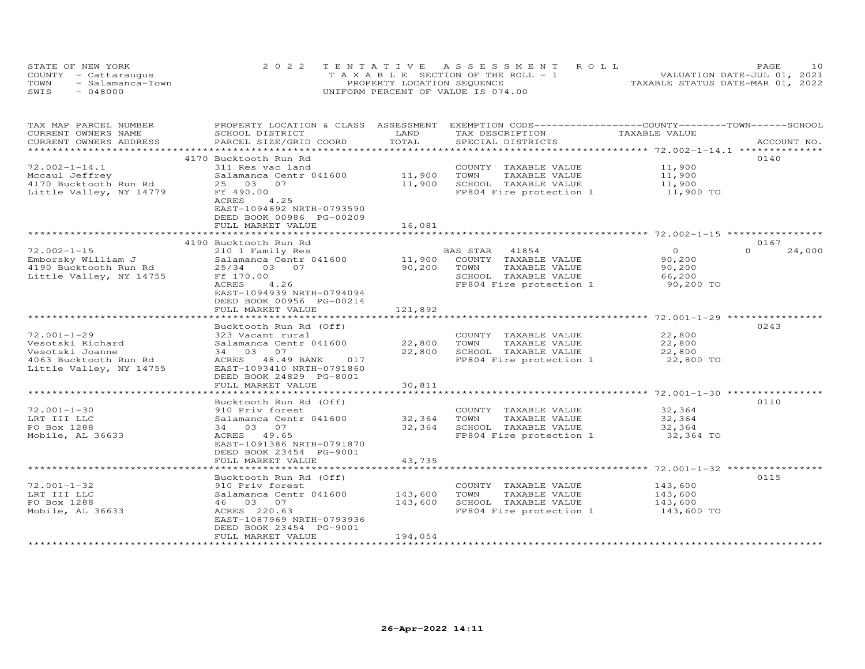| STATE OF NEW YORK |                      | 2022 TENTATIVE ASSESSMENT ROLL        | 1 O<br>PAGE                      |
|-------------------|----------------------|---------------------------------------|----------------------------------|
|                   | COUNTY - Cattaraugus | T A X A B L E SECTION OF THE ROLL - 1 | VALUATION DATE-JUL 01, 2021      |
| TOWN              | - Salamanca-Town     | PROPERTY LOCATION SEQUENCE            | TAXABLE STATUS DATE-MAR 01, 2022 |
| SWIS              | $-048000$            | UNIFORM PERCENT OF VALUE IS 074.00    |                                  |

| TAX MAP PARCEL NUMBER   | PROPERTY LOCATION & CLASS ASSESSMENT EXEMPTION CODE----------------COUNTY-------TOWN-----SCHOOL |           |                         |                |                    |
|-------------------------|-------------------------------------------------------------------------------------------------|-----------|-------------------------|----------------|--------------------|
| CURRENT OWNERS NAME     | SCHOOL DISTRICT                                                                                 | LAND      | TAX DESCRIPTION         | TAXABLE VALUE  |                    |
| CURRENT OWNERS ADDRESS  | PARCEL SIZE/GRID COORD                                                                          | TOTAL     | SPECIAL DISTRICTS       |                | ACCOUNT NO.        |
|                         |                                                                                                 |           |                         |                |                    |
|                         | 4170 Bucktooth Run Rd                                                                           |           |                         |                | 0140               |
| $72.002 - 1 - 14.1$     | 311 Res vac land                                                                                |           | COUNTY TAXABLE VALUE    | 11,900         |                    |
| Mccaul Jeffrey          | Salamanca Centr 041600 11,900                                                                   |           | TAXABLE VALUE<br>TOWN   | 11,900         |                    |
| 4170 Bucktooth Run Rd   | 25 03 07                                                                                        | 11,900    | SCHOOL TAXABLE VALUE    | 11,900         |                    |
| Little Valley, NY 14779 | Ff 490.00                                                                                       |           | FP804 Fire protection 1 | 11,900 TO      |                    |
|                         | 4.25<br>ACRES                                                                                   |           |                         |                |                    |
|                         | EAST-1094692 NRTH-0793590                                                                       |           |                         |                |                    |
|                         | DEED BOOK 00986 PG-00209                                                                        |           |                         |                |                    |
|                         | FULL MARKET VALUE                                                                               | 16,081    |                         |                |                    |
|                         |                                                                                                 |           |                         |                |                    |
|                         | 4190 Bucktooth Run Rd                                                                           |           |                         |                | 0167               |
| $72.002 - 1 - 15$       | 210 1 Family Res                                                                                |           | BAS STAR 41854          | $\overline{O}$ | $\Omega$<br>24,000 |
| Emborsky William J      | Salamanca Centr 041600 11,900 COUNTY TAXABLE VALUE                                              |           |                         | 90,200         |                    |
| 4190 Bucktooth Run Rd   | 25/34 03 07                                                                                     | 90,200    | TOWN<br>TAXABLE VALUE   | 90,200         |                    |
| Little Valley, NY 14755 | Ff 170.00                                                                                       |           | SCHOOL TAXABLE VALUE    | 66,200         |                    |
|                         | ACRES<br>4.26                                                                                   |           | FP804 Fire protection 1 | 90,200 TO      |                    |
|                         | EAST-1094939 NRTH-0794094                                                                       |           |                         |                |                    |
|                         | DEED BOOK 00956 PG-00214                                                                        |           |                         |                |                    |
|                         | FULL MARKET VALUE                                                                               | 121,892   |                         |                |                    |
|                         |                                                                                                 |           |                         |                |                    |
|                         | Bucktooth Run Rd (Off)                                                                          |           |                         |                | 0243               |
| $72.001 - 1 - 29$       | 323 Vacant rural                                                                                |           | COUNTY TAXABLE VALUE    | 22,800         |                    |
| Vesotski Richard        | Salamanca Centr 041600                                                                          | 22,800    | TAXABLE VALUE<br>TOWN   | 22,800         |                    |
| Vesotski Joanne         | 34 03 07                                                                                        | 22,800    | SCHOOL TAXABLE VALUE    | 22,800         |                    |
| 4063 Bucktooth Run Rd   | ACRES 48.49 BANK 017                                                                            |           | FP804 Fire protection 1 | 22,800 TO      |                    |
| Little Valley, NY 14755 | EAST-1093410 NRTH-0791860                                                                       |           |                         |                |                    |
|                         | DEED BOOK 24829 PG-8001                                                                         |           |                         |                |                    |
|                         | FULL MARKET VALUE                                                                               | 30,811    |                         |                |                    |
|                         |                                                                                                 |           |                         |                |                    |
|                         | Bucktooth Run Rd (Off)                                                                          |           |                         |                | 0110               |
| $72.001 - 1 - 30$       | 910 Priv forest                                                                                 |           | COUNTY TAXABLE VALUE    | 32,364         |                    |
| LRT III LLC             | Salamanca Centr 041600                                                                          | 32,364    | TOWN<br>TAXABLE VALUE   | 32,364         |                    |
| PO Box 1288             | 34 03 07                                                                                        | 32,364    | SCHOOL TAXABLE VALUE    | 32,364         |                    |
| Mobile, AL 36633        | ACRES 49.65                                                                                     |           | FP804 Fire protection 1 | 32,364 TO      |                    |
|                         | EAST-1091386 NRTH-0791870                                                                       |           |                         |                |                    |
|                         | DEED BOOK 23454 PG-9001                                                                         |           |                         |                |                    |
|                         | FULL MARKET VALUE                                                                               | 43,735    |                         |                |                    |
|                         | *********************                                                                           | ********* |                         |                |                    |
|                         | Bucktooth Run Rd (Off)                                                                          |           |                         |                | 0115               |
| $72.001 - 1 - 32$       | 910 Priv forest                                                                                 |           | COUNTY TAXABLE VALUE    | 143,600        |                    |
| LRT III LLC             | Salamanca Centr 041600                                                                          | 143,600   | TOWN<br>TAXABLE VALUE   | 143,600        |                    |
| PO Box 1288             | 46 03 07                                                                                        | 143,600   | SCHOOL TAXABLE VALUE    | 143,600        |                    |
| Mobile, AL 36633        | ACRES 220.63                                                                                    |           | FP804 Fire protection 1 | 143,600 TO     |                    |
|                         | EAST-1087969 NRTH-0793936                                                                       |           |                         |                |                    |
|                         | DEED BOOK 23454 PG-9001                                                                         |           |                         |                |                    |
|                         | FULL MARKET VALUE                                                                               | 194,054   |                         |                |                    |
|                         |                                                                                                 |           |                         |                |                    |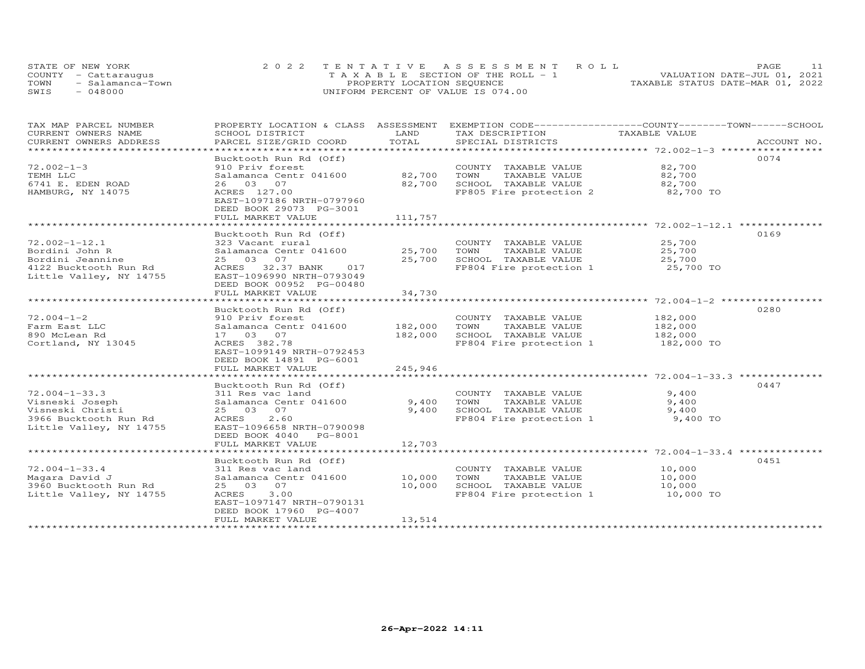| STATE OF NEW YORK        | 2022 TENTATIVE ASSESSMENT ROLL        | <b>PAGE</b>                      |
|--------------------------|---------------------------------------|----------------------------------|
| COUNTY - Cattaraugus     | T A X A B L E SECTION OF THE ROLL - 1 | VALUATION DATE-JUL 01, 2021      |
| TOWN<br>- Salamanca-Town | PROPERTY LOCATION SEQUENCE            | TAXABLE STATUS DATE-MAR 01, 2022 |
| SWIS<br>048000           | UNIFORM PERCENT OF VALUE IS 074.00    |                                  |

| TAX MAP PARCEL NUMBER<br>CURRENT OWNERS NAME | PROPERTY LOCATION & CLASS ASSESSMENT<br>SCHOOL DISTRICT | LAND    | EXEMPTION CODE-----------------COUNTY-------TOWN------SCHOOL<br>TAX DESCRIPTION | TAXABLE VALUE |             |
|----------------------------------------------|---------------------------------------------------------|---------|---------------------------------------------------------------------------------|---------------|-------------|
| CURRENT OWNERS ADDRESS                       | PARCEL SIZE/GRID COORD                                  | TOTAL   | SPECIAL DISTRICTS                                                               |               | ACCOUNT NO. |
| **********************                       | <b>++++++++++++++++++</b>                               |         |                                                                                 |               |             |
|                                              | Bucktooth Run Rd (Off)                                  |         |                                                                                 |               | 0074        |
| $72.002 - 1 - 3$                             | 910 Priv forest                                         |         | COUNTY TAXABLE VALUE                                                            | 82,700        |             |
| TEMH LLC                                     | Salamanca Centr 041600                                  | 82,700  | TAXABLE VALUE<br>TOWN                                                           | 82,700        |             |
| 6741 E. EDEN ROAD                            | 26 03 07                                                | 82,700  | SCHOOL TAXABLE VALUE                                                            | 82,700        |             |
| HAMBURG, NY 14075                            | ACRES 127.00                                            |         | FP805 Fire protection 2                                                         | 82,700 TO     |             |
|                                              | EAST-1097186 NRTH-0797960                               |         |                                                                                 |               |             |
|                                              | DEED BOOK 29073 PG-3001                                 |         |                                                                                 |               |             |
|                                              | FULL MARKET VALUE                                       | 111,757 |                                                                                 |               |             |
|                                              |                                                         |         |                                                                                 |               |             |
|                                              |                                                         |         |                                                                                 |               |             |
|                                              | Bucktooth Run Rd (Off)                                  |         |                                                                                 |               | 0169        |
| $72.002 - 1 - 12.1$                          | 323 Vacant rural                                        |         | COUNTY TAXABLE VALUE                                                            | 25,700        |             |
| Bordini John R                               | Salamanca Centr 041600                                  |         | 25,700 TOWN<br>TAXABLE VALUE                                                    | 25,700        |             |
| Bordini Jeannine                             | 25 03 07                                                | 25,700  | SCHOOL TAXABLE VALUE                                                            | 25,700        |             |
| 4122 Bucktooth Run Rd                        | ACRES 32.37 BANK<br>017                                 |         | FP804 Fire protection 1                                                         | 25,700 TO     |             |
| Little Valley, NY 14755                      | EAST-1096990 NRTH-0793049                               |         |                                                                                 |               |             |
|                                              | DEED BOOK 00952 PG-00480                                |         |                                                                                 |               |             |
|                                              | FULL MARKET VALUE                                       | 34,730  |                                                                                 |               |             |
|                                              |                                                         |         |                                                                                 |               |             |
|                                              | Bucktooth Run Rd (Off)                                  |         |                                                                                 |               | 0280        |
| $72.004 - 1 - 2$                             | 910 Priv forest                                         |         | COUNTY TAXABLE VALUE                                                            | 182,000       |             |
| Farm East LLC                                | Salamanca Centr 041600                                  | 182,000 | TOWN<br>TAXABLE VALUE                                                           | 182,000       |             |
| 890 McLean Rd                                | 17 03 07                                                | 182,000 | SCHOOL TAXABLE VALUE                                                            | 182,000       |             |
| Cortland, NY 13045                           | ACRES 382.78                                            |         | FP804 Fire protection 1                                                         | 182,000 TO    |             |
|                                              | EAST-1099149 NRTH-0792453                               |         |                                                                                 |               |             |
|                                              | DEED BOOK 14891 PG-6001                                 |         |                                                                                 |               |             |
|                                              | FULL MARKET VALUE                                       | 245,946 |                                                                                 |               |             |
|                                              |                                                         |         |                                                                                 |               |             |
|                                              | Bucktooth Run Rd (Off)                                  |         |                                                                                 |               | 0447        |
| $72.004 - 1 - 33.3$                          | 311 Res vac land                                        |         | COUNTY TAXABLE VALUE                                                            | 9,400         |             |
| Visneski Joseph                              | Salamanca Centr 041600                                  | 9,400   | TOWN<br>TAXABLE VALUE                                                           | 9,400         |             |
| Visneski Christi                             | 25 03 07                                                | 9,400   | SCHOOL TAXABLE VALUE                                                            | 9,400         |             |
| 3966 Bucktooth Run Rd                        | ACRES 2.60                                              |         | FP804 Fire protection 1                                                         | 9,400 TO      |             |
| Little Valley, NY 14755                      | EAST-1096658 NRTH-0790098                               |         |                                                                                 |               |             |
|                                              | DEED BOOK 4040 PG-8001                                  |         |                                                                                 |               |             |
|                                              | FULL MARKET VALUE                                       | 12,703  |                                                                                 |               |             |
|                                              |                                                         |         |                                                                                 |               |             |
|                                              | Bucktooth Run Rd (Off)                                  |         |                                                                                 |               | 0451        |
| $72.004 - 1 - 33.4$                          | 311 Res vac land                                        |         | COUNTY TAXABLE VALUE                                                            | 10,000        |             |
| Magara David J                               | Salamanca Centr 041600                                  | 10,000  | TOWN<br>TAXABLE VALUE                                                           | 10,000        |             |
| 3960 Bucktooth Run Rd                        | 25 03 07                                                | 10,000  | SCHOOL TAXABLE VALUE                                                            | 10,000        |             |
| Little Valley, NY 14755                      | ACRES 3.00                                              |         | FP804 Fire protection 1                                                         | 10,000 TO     |             |
|                                              | EAST-1097147 NRTH-0790131                               |         |                                                                                 |               |             |
|                                              |                                                         |         |                                                                                 |               |             |
|                                              | DEED BOOK 17960 PG-4007                                 |         |                                                                                 |               |             |
|                                              | FULL MARKET VALUE                                       | 13,514  |                                                                                 |               |             |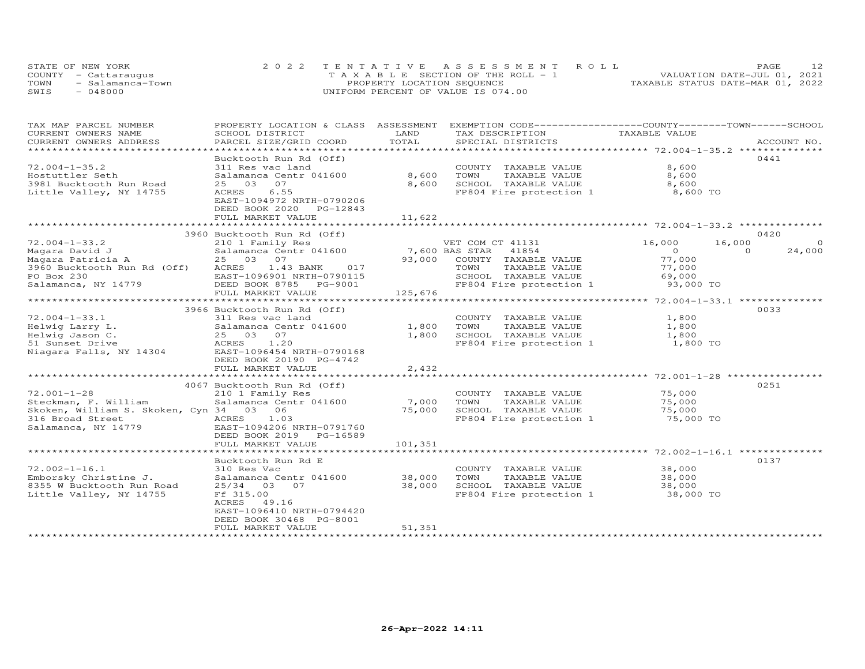| STATE OF NEW YORK        | 2022 TENTATIVE ASSESSMENT ROLL        | PAGE                             |
|--------------------------|---------------------------------------|----------------------------------|
| COUNTY - Cattaraugus     | T A X A B L E SECTION OF THE ROLL - 1 | VALUATION DATE-JUL 01, 2021      |
| TOWN<br>- Salamanca-Town | PROPERTY LOCATION SEQUENCE            | TAXABLE STATUS DATE-MAR 01, 2022 |
| SWIS<br>- 048000         | UNIFORM PERCENT OF VALUE IS 074.00    |                                  |

| TAX MAP PARCEL NUMBER                | PROPERTY LOCATION & CLASS   | ASSESSMENT     | EXEMPTION CODE------------------COUNTY-------TOWN------SCHOOL |                                                   |                    |
|--------------------------------------|-----------------------------|----------------|---------------------------------------------------------------|---------------------------------------------------|--------------------|
| CURRENT OWNERS NAME                  | SCHOOL DISTRICT             | LAND           | TAX DESCRIPTION                                               | TAXABLE VALUE                                     |                    |
| CURRENT OWNERS ADDRESS               | PARCEL SIZE/GRID COORD      | TOTAL          | SPECIAL DISTRICTS                                             |                                                   | ACCOUNT NO.        |
|                                      |                             |                |                                                               |                                                   |                    |
|                                      | Bucktooth Run Rd (Off)      |                |                                                               |                                                   | 0441               |
| $72.004 - 1 - 35.2$                  | 311 Res vac land            |                | COUNTY TAXABLE VALUE                                          | 8,600                                             |                    |
| Hostuttler Seth                      | Salamanca Centr 041600      | 8,600          | TOWN<br>TAXABLE VALUE                                         | 8,600                                             |                    |
| 3981 Bucktooth Run Road              | 03<br>07<br>25              | 8,600          | SCHOOL TAXABLE VALUE                                          | 8,600                                             |                    |
| Little Valley, NY 14755              | 6.55<br>ACRES               |                | FP804 Fire protection 1                                       | 8,600 TO                                          |                    |
|                                      | EAST-1094972 NRTH-0790206   |                |                                                               |                                                   |                    |
|                                      | DEED BOOK 2020<br>PG-12843  |                |                                                               |                                                   |                    |
|                                      | FULL MARKET VALUE           | 11,622         |                                                               |                                                   |                    |
|                                      |                             |                |                                                               |                                                   |                    |
|                                      | 3960 Bucktooth Run Rd (Off) |                |                                                               |                                                   | 0420               |
| $72.004 - 1 - 33.2$                  | 210 1 Family Res            |                | VET COM CT 41131                                              | 16,000<br>16,000                                  | $\circ$            |
| Magara David J                       | Salamanca Centr 041600      | 7,600 BAS STAR | 41854                                                         | $\circ$                                           | $\Omega$<br>24,000 |
| Magara Patricia A                    | 25 03 07                    | 93,000         | COUNTY TAXABLE VALUE                                          | 77,000                                            |                    |
| 3960 Bucktooth Run Rd (Off)          | ACRES<br>1.43 BANK<br>017   |                | TAXABLE VALUE<br>TOWN                                         | 77,000                                            |                    |
| PO Box 230                           | EAST-1096901 NRTH-0790115   |                | SCHOOL TAXABLE VALUE                                          | 69,000                                            |                    |
| Salamanca, NY 14779                  | DEED BOOK 8785 PG-9001      |                | FP804 Fire protection 1                                       | 93,000 TO                                         |                    |
|                                      | FULL MARKET VALUE           | 125,676        |                                                               |                                                   |                    |
|                                      |                             |                |                                                               |                                                   |                    |
|                                      | 3966 Bucktooth Run Rd (Off) |                |                                                               |                                                   | 0033               |
| $72.004 - 1 - 33.1$                  | 311 Res vac land            |                | COUNTY TAXABLE VALUE                                          | 1,800                                             |                    |
| Helwig Larry L.                      | Salamanca Centr 041600      | 1,800          | TOWN<br>TAXABLE VALUE                                         | 1,800                                             |                    |
| Helwig Jason C.                      | 25 03 07                    | 1,800          | SCHOOL TAXABLE VALUE                                          | 1,800                                             |                    |
| 51 Sunset Drive                      | ACRES 1.20                  |                | FP804 Fire protection 1                                       | 1,800 TO                                          |                    |
| Niagara Falls, NY 14304              | EAST-1096454 NRTH-0790168   |                |                                                               |                                                   |                    |
|                                      | DEED BOOK 20190 PG-4742     |                |                                                               |                                                   |                    |
|                                      | FULL MARKET VALUE           | 2,432          |                                                               |                                                   |                    |
|                                      | **************************  |                |                                                               | *********************** 72.001-1-28 ************* |                    |
|                                      | 4067 Bucktooth Run Rd (Off) |                |                                                               |                                                   | 0251               |
| $72.001 - 1 - 28$                    | 210 1 Family Res            |                | COUNTY TAXABLE VALUE                                          | 75,000                                            |                    |
| Steckman, F. William                 | Salamanca Centr 041600      | 7,000          | TOWN<br>TAXABLE VALUE                                         | 75,000                                            |                    |
| Skoken, William S. Skoken, Cyn 34 03 | 06                          | 75,000         | SCHOOL TAXABLE VALUE                                          | 75,000                                            |                    |
| 316 Broad Street                     | ACRES<br>1.03               |                | FP804 Fire protection 1                                       | 75,000 TO                                         |                    |
| Salamanca, NY 14779                  | EAST-1094206 NRTH-0791760   |                |                                                               |                                                   |                    |
|                                      | DEED BOOK 2019 PG-16589     |                |                                                               |                                                   |                    |
|                                      | FULL MARKET VALUE           | 101,351        |                                                               |                                                   |                    |
|                                      |                             |                |                                                               |                                                   |                    |
|                                      | Bucktooth Run Rd E          |                |                                                               |                                                   | 0137               |
| $72.002 - 1 - 16.1$                  | 310 Res Vac                 |                | COUNTY TAXABLE VALUE                                          | 38,000                                            |                    |
| Emborsky Christine J.                | Salamanca Centr 041600      | 38,000         | TOWN<br>TAXABLE VALUE                                         | 38,000                                            |                    |
| 8355 W Bucktooth Run Road            | 25/34 03 07                 | 38,000         | SCHOOL TAXABLE VALUE                                          | 38,000                                            |                    |
| Little Valley, NY 14755              | Ff 315.00                   |                | FP804 Fire protection 1                                       | 38,000 TO                                         |                    |
|                                      | ACRES 49.16                 |                |                                                               |                                                   |                    |
|                                      | EAST-1096410 NRTH-0794420   |                |                                                               |                                                   |                    |
|                                      | DEED BOOK 30468 PG-8001     |                |                                                               |                                                   |                    |
|                                      | FULL MARKET VALUE           | 51,351         |                                                               |                                                   |                    |
|                                      |                             |                |                                                               |                                                   |                    |
|                                      |                             |                |                                                               |                                                   |                    |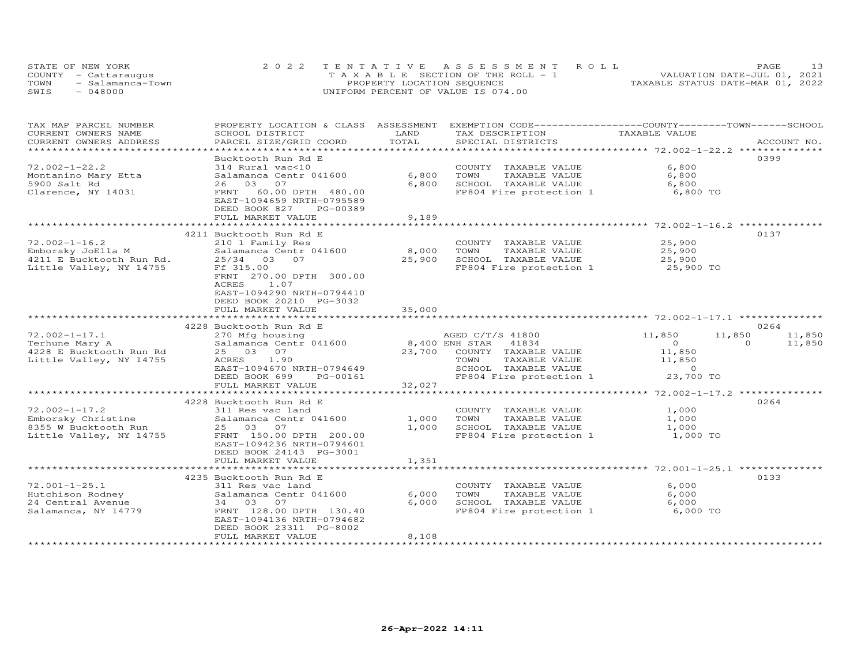| STATE OF NEW YORK        | 2022 TENTATIVE ASSESSMENT ROLL        | PAGE                             |
|--------------------------|---------------------------------------|----------------------------------|
| COUNTY - Cattaraugus     | T A X A B L E SECTION OF THE ROLL - 1 | VALUATION DATE-JUL 01, 2021      |
| TOWN<br>- Salamanca-Town | PROPERTY LOCATION SEQUENCE            | TAXABLE STATUS DATE-MAR 01, 2022 |
| SWIS<br>$-048000$        | UNIFORM PERCENT OF VALUE IS 074.00    |                                  |

| LAND<br>TAXABLE VALUE<br>CURRENT OWNERS NAME<br>SCHOOL DISTRICT<br>TAX DESCRIPTION<br>TOTAL<br>CURRENT OWNERS ADDRESS<br>PARCEL SIZE/GRID COORD<br>SPECIAL DISTRICTS<br>ACCOUNT NO.<br>0399<br>Bucktooth Run Rd E<br>314 Rural vac<10<br>6,800<br>$72.002 - 1 - 22.2$<br>COUNTY TAXABLE VALUE<br>6,800<br>Salamanca Centr 041600<br>TOWN<br>TAXABLE VALUE<br>6,800<br>Montanino Mary Etta<br>6,800<br>5900 Salt Rd<br>26 03 07<br>SCHOOL TAXABLE VALUE<br>6,800<br>FP804 Fire protection 1<br>Clarence, NY 14031<br>FRNT 60.00 DPTH 480.00<br>6,800 TO<br>EAST-1094659 NRTH-0795589<br>DEED BOOK 827<br>PG-00389<br>9,189<br>FULL MARKET VALUE<br>0137<br>4211 Bucktooth Run Rd E<br>$72.002 - 1 - 16.2$<br>25,900<br>210 1 Family Res<br>COUNTY TAXABLE VALUE<br>Emborsky JoElla M<br>8,000<br>TOWN<br>TAXABLE VALUE<br>25,900<br>Salamanca Centr 041600<br>4211 E Bucktooth Run Rd.<br>25,900<br>SCHOOL TAXABLE VALUE<br>25/34 03 07<br>25,900<br>Little Valley, NY 14755<br>Ff 315.00<br>FP804 Fire protection 1<br>25,900 TO<br>FRNT 270.00 DPTH 300.00<br>ACRES<br>1.07<br>EAST-1094290 NRTH-0794410<br>DEED BOOK 20210 PG-3032<br>FULL MARKET VALUE<br>35,000<br>0264<br>4228 Bucktooth Run Rd E<br>$72.002 - 1 - 17.1$<br>11,850<br>270 Mfg housing<br>AGED C/T/S 41800<br>11,850<br>11,850<br>Salamanca Centr 041600<br>8,400 ENH STAR 41834<br>$\Omega$<br>11,850<br>Terhune Mary A<br>$\overline{0}$<br>4228 E Bucktooth Run Rd<br>25 03 07<br>23,700<br>11,850<br>COUNTY TAXABLE VALUE<br>11,850<br>Little Valley, NY 14755<br>ACRES 1.90<br>TOWN<br>TAXABLE VALUE<br>$\overline{0}$<br>EAST-1094670 NRTH-0794649<br>SCHOOL TAXABLE VALUE<br>FP804 Fire protection $1$ 23,700 TO<br>DEED BOOK 699<br>PG-00161<br>32,027<br>FULL MARKET VALUE<br>0264<br>4228 Bucktooth Run Rd E<br>$72.002 - 1 - 17.2$<br>COUNTY TAXABLE VALUE<br>1,000<br>311 Res vac land<br>Emborsky Christine<br>Salamanca Centr 041600<br>1,000<br>TOWN<br>TAXABLE VALUE<br>1,000<br>8355 W Bucktooth Run<br>1,000<br>SCHOOL TAXABLE VALUE<br>25 03 07<br>1,000<br>FRNT 150.00 DPTH 200.00<br>Little Valley, NY 14755<br>FP804 Fire protection 1<br>1,000 TO<br>EAST-1094236 NRTH-0794601<br>DEED BOOK 24143 PG-3001<br>1,351<br>FULL MARKET VALUE<br>0133<br>4235 Bucktooth Run Rd E<br>$72.001 - 1 - 25.1$<br>6,000<br>311 Res vac land<br>COUNTY TAXABLE VALUE<br>Hutchison Rodney<br>6,000<br>TOWN<br>6,000<br>Salamanca Centr 041600<br>TAXABLE VALUE<br>SCHOOL TAXABLE VALUE<br>6,000<br>24 Central Avenue<br>34 03 07<br>6,000<br>Salamanca, NY 14779<br>6,000 TO<br>FRNT 128.00 DPTH 130.40<br>FP804 Fire protection 1<br>EAST-1094136 NRTH-0794682<br>DEED BOOK 23311 PG-8002<br>FULL MARKET VALUE<br>8,108 | TAX MAP PARCEL NUMBER |  | PROPERTY LOCATION & CLASS ASSESSMENT EXEMPTION CODE----------------COUNTY-------TOWN------SCHOOL |  |
|------------------------------------------------------------------------------------------------------------------------------------------------------------------------------------------------------------------------------------------------------------------------------------------------------------------------------------------------------------------------------------------------------------------------------------------------------------------------------------------------------------------------------------------------------------------------------------------------------------------------------------------------------------------------------------------------------------------------------------------------------------------------------------------------------------------------------------------------------------------------------------------------------------------------------------------------------------------------------------------------------------------------------------------------------------------------------------------------------------------------------------------------------------------------------------------------------------------------------------------------------------------------------------------------------------------------------------------------------------------------------------------------------------------------------------------------------------------------------------------------------------------------------------------------------------------------------------------------------------------------------------------------------------------------------------------------------------------------------------------------------------------------------------------------------------------------------------------------------------------------------------------------------------------------------------------------------------------------------------------------------------------------------------------------------------------------------------------------------------------------------------------------------------------------------------------------------------------------------------------------------------------------------------------------------------------------------------------------------------------------------------------------------------------------------------------------------------------------------------------------------------------------------------------------------------------------------------------------------------------------------------------------------------------------------------------------------|-----------------------|--|--------------------------------------------------------------------------------------------------|--|
|                                                                                                                                                                                                                                                                                                                                                                                                                                                                                                                                                                                                                                                                                                                                                                                                                                                                                                                                                                                                                                                                                                                                                                                                                                                                                                                                                                                                                                                                                                                                                                                                                                                                                                                                                                                                                                                                                                                                                                                                                                                                                                                                                                                                                                                                                                                                                                                                                                                                                                                                                                                                                                                                                                      |                       |  |                                                                                                  |  |
|                                                                                                                                                                                                                                                                                                                                                                                                                                                                                                                                                                                                                                                                                                                                                                                                                                                                                                                                                                                                                                                                                                                                                                                                                                                                                                                                                                                                                                                                                                                                                                                                                                                                                                                                                                                                                                                                                                                                                                                                                                                                                                                                                                                                                                                                                                                                                                                                                                                                                                                                                                                                                                                                                                      |                       |  |                                                                                                  |  |
|                                                                                                                                                                                                                                                                                                                                                                                                                                                                                                                                                                                                                                                                                                                                                                                                                                                                                                                                                                                                                                                                                                                                                                                                                                                                                                                                                                                                                                                                                                                                                                                                                                                                                                                                                                                                                                                                                                                                                                                                                                                                                                                                                                                                                                                                                                                                                                                                                                                                                                                                                                                                                                                                                                      |                       |  |                                                                                                  |  |
|                                                                                                                                                                                                                                                                                                                                                                                                                                                                                                                                                                                                                                                                                                                                                                                                                                                                                                                                                                                                                                                                                                                                                                                                                                                                                                                                                                                                                                                                                                                                                                                                                                                                                                                                                                                                                                                                                                                                                                                                                                                                                                                                                                                                                                                                                                                                                                                                                                                                                                                                                                                                                                                                                                      |                       |  |                                                                                                  |  |
|                                                                                                                                                                                                                                                                                                                                                                                                                                                                                                                                                                                                                                                                                                                                                                                                                                                                                                                                                                                                                                                                                                                                                                                                                                                                                                                                                                                                                                                                                                                                                                                                                                                                                                                                                                                                                                                                                                                                                                                                                                                                                                                                                                                                                                                                                                                                                                                                                                                                                                                                                                                                                                                                                                      |                       |  |                                                                                                  |  |
|                                                                                                                                                                                                                                                                                                                                                                                                                                                                                                                                                                                                                                                                                                                                                                                                                                                                                                                                                                                                                                                                                                                                                                                                                                                                                                                                                                                                                                                                                                                                                                                                                                                                                                                                                                                                                                                                                                                                                                                                                                                                                                                                                                                                                                                                                                                                                                                                                                                                                                                                                                                                                                                                                                      |                       |  |                                                                                                  |  |
|                                                                                                                                                                                                                                                                                                                                                                                                                                                                                                                                                                                                                                                                                                                                                                                                                                                                                                                                                                                                                                                                                                                                                                                                                                                                                                                                                                                                                                                                                                                                                                                                                                                                                                                                                                                                                                                                                                                                                                                                                                                                                                                                                                                                                                                                                                                                                                                                                                                                                                                                                                                                                                                                                                      |                       |  |                                                                                                  |  |
|                                                                                                                                                                                                                                                                                                                                                                                                                                                                                                                                                                                                                                                                                                                                                                                                                                                                                                                                                                                                                                                                                                                                                                                                                                                                                                                                                                                                                                                                                                                                                                                                                                                                                                                                                                                                                                                                                                                                                                                                                                                                                                                                                                                                                                                                                                                                                                                                                                                                                                                                                                                                                                                                                                      |                       |  |                                                                                                  |  |
|                                                                                                                                                                                                                                                                                                                                                                                                                                                                                                                                                                                                                                                                                                                                                                                                                                                                                                                                                                                                                                                                                                                                                                                                                                                                                                                                                                                                                                                                                                                                                                                                                                                                                                                                                                                                                                                                                                                                                                                                                                                                                                                                                                                                                                                                                                                                                                                                                                                                                                                                                                                                                                                                                                      |                       |  |                                                                                                  |  |
|                                                                                                                                                                                                                                                                                                                                                                                                                                                                                                                                                                                                                                                                                                                                                                                                                                                                                                                                                                                                                                                                                                                                                                                                                                                                                                                                                                                                                                                                                                                                                                                                                                                                                                                                                                                                                                                                                                                                                                                                                                                                                                                                                                                                                                                                                                                                                                                                                                                                                                                                                                                                                                                                                                      |                       |  |                                                                                                  |  |
|                                                                                                                                                                                                                                                                                                                                                                                                                                                                                                                                                                                                                                                                                                                                                                                                                                                                                                                                                                                                                                                                                                                                                                                                                                                                                                                                                                                                                                                                                                                                                                                                                                                                                                                                                                                                                                                                                                                                                                                                                                                                                                                                                                                                                                                                                                                                                                                                                                                                                                                                                                                                                                                                                                      |                       |  |                                                                                                  |  |
|                                                                                                                                                                                                                                                                                                                                                                                                                                                                                                                                                                                                                                                                                                                                                                                                                                                                                                                                                                                                                                                                                                                                                                                                                                                                                                                                                                                                                                                                                                                                                                                                                                                                                                                                                                                                                                                                                                                                                                                                                                                                                                                                                                                                                                                                                                                                                                                                                                                                                                                                                                                                                                                                                                      |                       |  |                                                                                                  |  |
|                                                                                                                                                                                                                                                                                                                                                                                                                                                                                                                                                                                                                                                                                                                                                                                                                                                                                                                                                                                                                                                                                                                                                                                                                                                                                                                                                                                                                                                                                                                                                                                                                                                                                                                                                                                                                                                                                                                                                                                                                                                                                                                                                                                                                                                                                                                                                                                                                                                                                                                                                                                                                                                                                                      |                       |  |                                                                                                  |  |
|                                                                                                                                                                                                                                                                                                                                                                                                                                                                                                                                                                                                                                                                                                                                                                                                                                                                                                                                                                                                                                                                                                                                                                                                                                                                                                                                                                                                                                                                                                                                                                                                                                                                                                                                                                                                                                                                                                                                                                                                                                                                                                                                                                                                                                                                                                                                                                                                                                                                                                                                                                                                                                                                                                      |                       |  |                                                                                                  |  |
|                                                                                                                                                                                                                                                                                                                                                                                                                                                                                                                                                                                                                                                                                                                                                                                                                                                                                                                                                                                                                                                                                                                                                                                                                                                                                                                                                                                                                                                                                                                                                                                                                                                                                                                                                                                                                                                                                                                                                                                                                                                                                                                                                                                                                                                                                                                                                                                                                                                                                                                                                                                                                                                                                                      |                       |  |                                                                                                  |  |
|                                                                                                                                                                                                                                                                                                                                                                                                                                                                                                                                                                                                                                                                                                                                                                                                                                                                                                                                                                                                                                                                                                                                                                                                                                                                                                                                                                                                                                                                                                                                                                                                                                                                                                                                                                                                                                                                                                                                                                                                                                                                                                                                                                                                                                                                                                                                                                                                                                                                                                                                                                                                                                                                                                      |                       |  |                                                                                                  |  |
|                                                                                                                                                                                                                                                                                                                                                                                                                                                                                                                                                                                                                                                                                                                                                                                                                                                                                                                                                                                                                                                                                                                                                                                                                                                                                                                                                                                                                                                                                                                                                                                                                                                                                                                                                                                                                                                                                                                                                                                                                                                                                                                                                                                                                                                                                                                                                                                                                                                                                                                                                                                                                                                                                                      |                       |  |                                                                                                  |  |
|                                                                                                                                                                                                                                                                                                                                                                                                                                                                                                                                                                                                                                                                                                                                                                                                                                                                                                                                                                                                                                                                                                                                                                                                                                                                                                                                                                                                                                                                                                                                                                                                                                                                                                                                                                                                                                                                                                                                                                                                                                                                                                                                                                                                                                                                                                                                                                                                                                                                                                                                                                                                                                                                                                      |                       |  |                                                                                                  |  |
|                                                                                                                                                                                                                                                                                                                                                                                                                                                                                                                                                                                                                                                                                                                                                                                                                                                                                                                                                                                                                                                                                                                                                                                                                                                                                                                                                                                                                                                                                                                                                                                                                                                                                                                                                                                                                                                                                                                                                                                                                                                                                                                                                                                                                                                                                                                                                                                                                                                                                                                                                                                                                                                                                                      |                       |  |                                                                                                  |  |
|                                                                                                                                                                                                                                                                                                                                                                                                                                                                                                                                                                                                                                                                                                                                                                                                                                                                                                                                                                                                                                                                                                                                                                                                                                                                                                                                                                                                                                                                                                                                                                                                                                                                                                                                                                                                                                                                                                                                                                                                                                                                                                                                                                                                                                                                                                                                                                                                                                                                                                                                                                                                                                                                                                      |                       |  |                                                                                                  |  |
|                                                                                                                                                                                                                                                                                                                                                                                                                                                                                                                                                                                                                                                                                                                                                                                                                                                                                                                                                                                                                                                                                                                                                                                                                                                                                                                                                                                                                                                                                                                                                                                                                                                                                                                                                                                                                                                                                                                                                                                                                                                                                                                                                                                                                                                                                                                                                                                                                                                                                                                                                                                                                                                                                                      |                       |  |                                                                                                  |  |
|                                                                                                                                                                                                                                                                                                                                                                                                                                                                                                                                                                                                                                                                                                                                                                                                                                                                                                                                                                                                                                                                                                                                                                                                                                                                                                                                                                                                                                                                                                                                                                                                                                                                                                                                                                                                                                                                                                                                                                                                                                                                                                                                                                                                                                                                                                                                                                                                                                                                                                                                                                                                                                                                                                      |                       |  |                                                                                                  |  |
|                                                                                                                                                                                                                                                                                                                                                                                                                                                                                                                                                                                                                                                                                                                                                                                                                                                                                                                                                                                                                                                                                                                                                                                                                                                                                                                                                                                                                                                                                                                                                                                                                                                                                                                                                                                                                                                                                                                                                                                                                                                                                                                                                                                                                                                                                                                                                                                                                                                                                                                                                                                                                                                                                                      |                       |  |                                                                                                  |  |
|                                                                                                                                                                                                                                                                                                                                                                                                                                                                                                                                                                                                                                                                                                                                                                                                                                                                                                                                                                                                                                                                                                                                                                                                                                                                                                                                                                                                                                                                                                                                                                                                                                                                                                                                                                                                                                                                                                                                                                                                                                                                                                                                                                                                                                                                                                                                                                                                                                                                                                                                                                                                                                                                                                      |                       |  |                                                                                                  |  |
|                                                                                                                                                                                                                                                                                                                                                                                                                                                                                                                                                                                                                                                                                                                                                                                                                                                                                                                                                                                                                                                                                                                                                                                                                                                                                                                                                                                                                                                                                                                                                                                                                                                                                                                                                                                                                                                                                                                                                                                                                                                                                                                                                                                                                                                                                                                                                                                                                                                                                                                                                                                                                                                                                                      |                       |  |                                                                                                  |  |
|                                                                                                                                                                                                                                                                                                                                                                                                                                                                                                                                                                                                                                                                                                                                                                                                                                                                                                                                                                                                                                                                                                                                                                                                                                                                                                                                                                                                                                                                                                                                                                                                                                                                                                                                                                                                                                                                                                                                                                                                                                                                                                                                                                                                                                                                                                                                                                                                                                                                                                                                                                                                                                                                                                      |                       |  |                                                                                                  |  |
|                                                                                                                                                                                                                                                                                                                                                                                                                                                                                                                                                                                                                                                                                                                                                                                                                                                                                                                                                                                                                                                                                                                                                                                                                                                                                                                                                                                                                                                                                                                                                                                                                                                                                                                                                                                                                                                                                                                                                                                                                                                                                                                                                                                                                                                                                                                                                                                                                                                                                                                                                                                                                                                                                                      |                       |  |                                                                                                  |  |
|                                                                                                                                                                                                                                                                                                                                                                                                                                                                                                                                                                                                                                                                                                                                                                                                                                                                                                                                                                                                                                                                                                                                                                                                                                                                                                                                                                                                                                                                                                                                                                                                                                                                                                                                                                                                                                                                                                                                                                                                                                                                                                                                                                                                                                                                                                                                                                                                                                                                                                                                                                                                                                                                                                      |                       |  |                                                                                                  |  |
|                                                                                                                                                                                                                                                                                                                                                                                                                                                                                                                                                                                                                                                                                                                                                                                                                                                                                                                                                                                                                                                                                                                                                                                                                                                                                                                                                                                                                                                                                                                                                                                                                                                                                                                                                                                                                                                                                                                                                                                                                                                                                                                                                                                                                                                                                                                                                                                                                                                                                                                                                                                                                                                                                                      |                       |  |                                                                                                  |  |
|                                                                                                                                                                                                                                                                                                                                                                                                                                                                                                                                                                                                                                                                                                                                                                                                                                                                                                                                                                                                                                                                                                                                                                                                                                                                                                                                                                                                                                                                                                                                                                                                                                                                                                                                                                                                                                                                                                                                                                                                                                                                                                                                                                                                                                                                                                                                                                                                                                                                                                                                                                                                                                                                                                      |                       |  |                                                                                                  |  |
|                                                                                                                                                                                                                                                                                                                                                                                                                                                                                                                                                                                                                                                                                                                                                                                                                                                                                                                                                                                                                                                                                                                                                                                                                                                                                                                                                                                                                                                                                                                                                                                                                                                                                                                                                                                                                                                                                                                                                                                                                                                                                                                                                                                                                                                                                                                                                                                                                                                                                                                                                                                                                                                                                                      |                       |  |                                                                                                  |  |
|                                                                                                                                                                                                                                                                                                                                                                                                                                                                                                                                                                                                                                                                                                                                                                                                                                                                                                                                                                                                                                                                                                                                                                                                                                                                                                                                                                                                                                                                                                                                                                                                                                                                                                                                                                                                                                                                                                                                                                                                                                                                                                                                                                                                                                                                                                                                                                                                                                                                                                                                                                                                                                                                                                      |                       |  |                                                                                                  |  |
|                                                                                                                                                                                                                                                                                                                                                                                                                                                                                                                                                                                                                                                                                                                                                                                                                                                                                                                                                                                                                                                                                                                                                                                                                                                                                                                                                                                                                                                                                                                                                                                                                                                                                                                                                                                                                                                                                                                                                                                                                                                                                                                                                                                                                                                                                                                                                                                                                                                                                                                                                                                                                                                                                                      |                       |  |                                                                                                  |  |
|                                                                                                                                                                                                                                                                                                                                                                                                                                                                                                                                                                                                                                                                                                                                                                                                                                                                                                                                                                                                                                                                                                                                                                                                                                                                                                                                                                                                                                                                                                                                                                                                                                                                                                                                                                                                                                                                                                                                                                                                                                                                                                                                                                                                                                                                                                                                                                                                                                                                                                                                                                                                                                                                                                      |                       |  |                                                                                                  |  |
|                                                                                                                                                                                                                                                                                                                                                                                                                                                                                                                                                                                                                                                                                                                                                                                                                                                                                                                                                                                                                                                                                                                                                                                                                                                                                                                                                                                                                                                                                                                                                                                                                                                                                                                                                                                                                                                                                                                                                                                                                                                                                                                                                                                                                                                                                                                                                                                                                                                                                                                                                                                                                                                                                                      |                       |  |                                                                                                  |  |
|                                                                                                                                                                                                                                                                                                                                                                                                                                                                                                                                                                                                                                                                                                                                                                                                                                                                                                                                                                                                                                                                                                                                                                                                                                                                                                                                                                                                                                                                                                                                                                                                                                                                                                                                                                                                                                                                                                                                                                                                                                                                                                                                                                                                                                                                                                                                                                                                                                                                                                                                                                                                                                                                                                      |                       |  |                                                                                                  |  |
|                                                                                                                                                                                                                                                                                                                                                                                                                                                                                                                                                                                                                                                                                                                                                                                                                                                                                                                                                                                                                                                                                                                                                                                                                                                                                                                                                                                                                                                                                                                                                                                                                                                                                                                                                                                                                                                                                                                                                                                                                                                                                                                                                                                                                                                                                                                                                                                                                                                                                                                                                                                                                                                                                                      |                       |  |                                                                                                  |  |
|                                                                                                                                                                                                                                                                                                                                                                                                                                                                                                                                                                                                                                                                                                                                                                                                                                                                                                                                                                                                                                                                                                                                                                                                                                                                                                                                                                                                                                                                                                                                                                                                                                                                                                                                                                                                                                                                                                                                                                                                                                                                                                                                                                                                                                                                                                                                                                                                                                                                                                                                                                                                                                                                                                      |                       |  |                                                                                                  |  |
|                                                                                                                                                                                                                                                                                                                                                                                                                                                                                                                                                                                                                                                                                                                                                                                                                                                                                                                                                                                                                                                                                                                                                                                                                                                                                                                                                                                                                                                                                                                                                                                                                                                                                                                                                                                                                                                                                                                                                                                                                                                                                                                                                                                                                                                                                                                                                                                                                                                                                                                                                                                                                                                                                                      |                       |  |                                                                                                  |  |
|                                                                                                                                                                                                                                                                                                                                                                                                                                                                                                                                                                                                                                                                                                                                                                                                                                                                                                                                                                                                                                                                                                                                                                                                                                                                                                                                                                                                                                                                                                                                                                                                                                                                                                                                                                                                                                                                                                                                                                                                                                                                                                                                                                                                                                                                                                                                                                                                                                                                                                                                                                                                                                                                                                      |                       |  |                                                                                                  |  |
|                                                                                                                                                                                                                                                                                                                                                                                                                                                                                                                                                                                                                                                                                                                                                                                                                                                                                                                                                                                                                                                                                                                                                                                                                                                                                                                                                                                                                                                                                                                                                                                                                                                                                                                                                                                                                                                                                                                                                                                                                                                                                                                                                                                                                                                                                                                                                                                                                                                                                                                                                                                                                                                                                                      |                       |  |                                                                                                  |  |
|                                                                                                                                                                                                                                                                                                                                                                                                                                                                                                                                                                                                                                                                                                                                                                                                                                                                                                                                                                                                                                                                                                                                                                                                                                                                                                                                                                                                                                                                                                                                                                                                                                                                                                                                                                                                                                                                                                                                                                                                                                                                                                                                                                                                                                                                                                                                                                                                                                                                                                                                                                                                                                                                                                      |                       |  |                                                                                                  |  |
|                                                                                                                                                                                                                                                                                                                                                                                                                                                                                                                                                                                                                                                                                                                                                                                                                                                                                                                                                                                                                                                                                                                                                                                                                                                                                                                                                                                                                                                                                                                                                                                                                                                                                                                                                                                                                                                                                                                                                                                                                                                                                                                                                                                                                                                                                                                                                                                                                                                                                                                                                                                                                                                                                                      |                       |  |                                                                                                  |  |
|                                                                                                                                                                                                                                                                                                                                                                                                                                                                                                                                                                                                                                                                                                                                                                                                                                                                                                                                                                                                                                                                                                                                                                                                                                                                                                                                                                                                                                                                                                                                                                                                                                                                                                                                                                                                                                                                                                                                                                                                                                                                                                                                                                                                                                                                                                                                                                                                                                                                                                                                                                                                                                                                                                      |                       |  |                                                                                                  |  |
|                                                                                                                                                                                                                                                                                                                                                                                                                                                                                                                                                                                                                                                                                                                                                                                                                                                                                                                                                                                                                                                                                                                                                                                                                                                                                                                                                                                                                                                                                                                                                                                                                                                                                                                                                                                                                                                                                                                                                                                                                                                                                                                                                                                                                                                                                                                                                                                                                                                                                                                                                                                                                                                                                                      |                       |  |                                                                                                  |  |
|                                                                                                                                                                                                                                                                                                                                                                                                                                                                                                                                                                                                                                                                                                                                                                                                                                                                                                                                                                                                                                                                                                                                                                                                                                                                                                                                                                                                                                                                                                                                                                                                                                                                                                                                                                                                                                                                                                                                                                                                                                                                                                                                                                                                                                                                                                                                                                                                                                                                                                                                                                                                                                                                                                      |                       |  |                                                                                                  |  |
|                                                                                                                                                                                                                                                                                                                                                                                                                                                                                                                                                                                                                                                                                                                                                                                                                                                                                                                                                                                                                                                                                                                                                                                                                                                                                                                                                                                                                                                                                                                                                                                                                                                                                                                                                                                                                                                                                                                                                                                                                                                                                                                                                                                                                                                                                                                                                                                                                                                                                                                                                                                                                                                                                                      |                       |  |                                                                                                  |  |
|                                                                                                                                                                                                                                                                                                                                                                                                                                                                                                                                                                                                                                                                                                                                                                                                                                                                                                                                                                                                                                                                                                                                                                                                                                                                                                                                                                                                                                                                                                                                                                                                                                                                                                                                                                                                                                                                                                                                                                                                                                                                                                                                                                                                                                                                                                                                                                                                                                                                                                                                                                                                                                                                                                      |                       |  |                                                                                                  |  |
|                                                                                                                                                                                                                                                                                                                                                                                                                                                                                                                                                                                                                                                                                                                                                                                                                                                                                                                                                                                                                                                                                                                                                                                                                                                                                                                                                                                                                                                                                                                                                                                                                                                                                                                                                                                                                                                                                                                                                                                                                                                                                                                                                                                                                                                                                                                                                                                                                                                                                                                                                                                                                                                                                                      |                       |  |                                                                                                  |  |
|                                                                                                                                                                                                                                                                                                                                                                                                                                                                                                                                                                                                                                                                                                                                                                                                                                                                                                                                                                                                                                                                                                                                                                                                                                                                                                                                                                                                                                                                                                                                                                                                                                                                                                                                                                                                                                                                                                                                                                                                                                                                                                                                                                                                                                                                                                                                                                                                                                                                                                                                                                                                                                                                                                      |                       |  |                                                                                                  |  |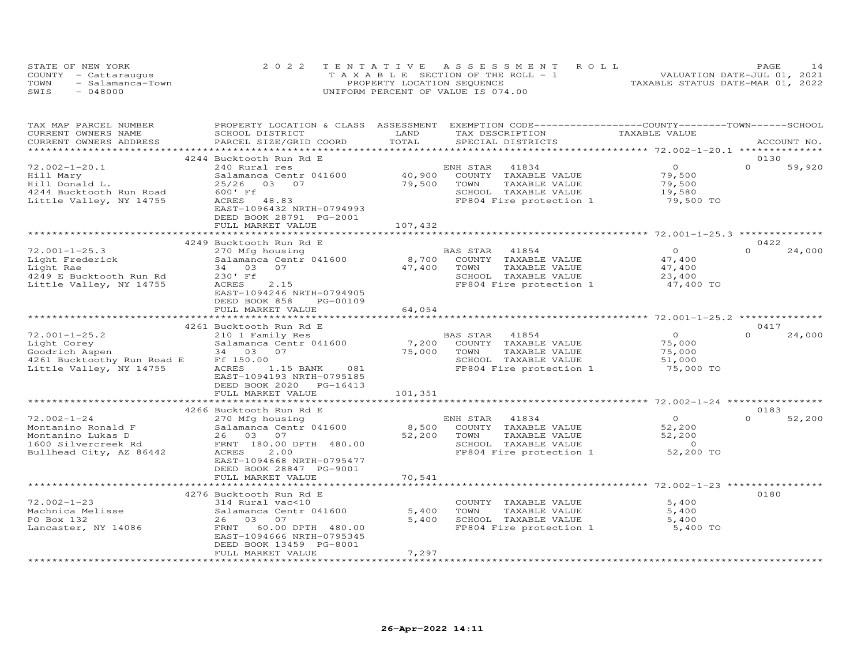|      | STATE OF NEW YORK    | 2022 TENTATIVE ASSESSMENT ROLL        | PAGE                             |
|------|----------------------|---------------------------------------|----------------------------------|
|      | COUNTY - Cattaraugus | T A X A B L E SECTION OF THE ROLL - 1 | VALUATION DATE-JUL 01, 2021      |
| TOWN | - Salamanca-Town     | PROPERTY LOCATION SEQUENCE            | TAXABLE STATUS DATE-MAR 01, 2022 |
| SWIS | $-048000$            | UNIFORM PERCENT OF VALUE IS 074.00    |                                  |

| TAX MAP PARCEL NUMBER                | PROPERTY LOCATION & CLASS ASSESSMENT |                         | EXEMPTION CODE-----------------COUNTY-------TOWN------SCHOOL |                                            |                    |
|--------------------------------------|--------------------------------------|-------------------------|--------------------------------------------------------------|--------------------------------------------|--------------------|
| CURRENT OWNERS NAME                  | SCHOOL DISTRICT                      | LAND                    | TAX DESCRIPTION                                              | TAXABLE VALUE                              |                    |
| CURRENT OWNERS ADDRESS               | PARCEL SIZE/GRID COORD               | TOTAL                   | SPECIAL DISTRICTS                                            |                                            | ACCOUNT NO.        |
|                                      |                                      | *********************** |                                                              | ******************** 72.002-1-20.1 ******* |                    |
|                                      | 4244 Bucktooth Run Rd E              |                         |                                                              |                                            | 0130               |
| $72.002 - 1 - 20.1$                  | 240 Rural res                        |                         | ENH STAR 41834                                               | $\Omega$                                   | $\Omega$<br>59,920 |
| Hill Mary                            | Salamanca Centr 041600               | 40,900                  | COUNTY TAXABLE VALUE                                         | 79,500                                     |                    |
| Hill Donald L.                       | 25/26<br>03 07                       | 79,500                  | TOWN<br>TAXABLE VALUE                                        | 79,500                                     |                    |
| 4244 Bucktooth Run Road              | 600' Ff                              |                         | SCHOOL TAXABLE VALUE                                         | 19,580                                     |                    |
| Little Valley, NY 14755              | ACRES 48.83                          |                         | FP804 Fire protection 1                                      | 79,500 TO                                  |                    |
|                                      | EAST-1096432 NRTH-0794993            |                         |                                                              |                                            |                    |
|                                      |                                      |                         |                                                              |                                            |                    |
|                                      | DEED BOOK 28791 PG-2001              |                         |                                                              |                                            |                    |
|                                      | FULL MARKET VALUE                    | 107,432                 |                                                              |                                            |                    |
|                                      |                                      |                         |                                                              |                                            |                    |
|                                      | 4249 Bucktooth Run Rd E              |                         |                                                              |                                            | 0422               |
| $72.001 - 1 - 25.3$                  | 270 Mfg housing                      |                         | BAS STAR 41854                                               | $\Omega$                                   | $\Omega$<br>24,000 |
| Light Frederick                      | Salamanca Centr 041600               | 8,700                   | COUNTY TAXABLE VALUE                                         | 47,400                                     |                    |
| Light Rae                            | 34 03 07                             | 47,400                  | TOWN<br>TAXABLE VALUE                                        | 47,400                                     |                    |
| 4249 E Bucktooth Run Rd              | 230' Ff                              |                         | SCHOOL TAXABLE VALUE                                         | 23,400                                     |                    |
| Little Valley, NY 14755              | 2.15<br>ACRES                        |                         | FP804 Fire protection 1                                      | 47,400 TO                                  |                    |
|                                      | EAST-1094246 NRTH-0794905            |                         |                                                              |                                            |                    |
|                                      | DEED BOOK 858<br>PG-00109            |                         |                                                              |                                            |                    |
|                                      | FULL MARKET VALUE                    | 64,054                  |                                                              |                                            |                    |
|                                      |                                      | * * * * * * * * * *     |                                                              |                                            |                    |
|                                      | 4261 Bucktooth Run Rd E              |                         |                                                              |                                            | 0417               |
| $72.001 - 1 - 25.2$                  | 210 1 Family Res                     |                         | BAS STAR 41854                                               | $\bigcirc$                                 | $\Omega$<br>24,000 |
| Light Corey                          | Salamanca Centr 041600               | 7,200                   | COUNTY TAXABLE VALUE                                         | 75,000                                     |                    |
|                                      | 34 03 07                             |                         | TAXABLE VALUE<br>TOWN                                        |                                            |                    |
| Goodrich Aspen                       |                                      | 75,000                  | SCHOOL TAXABLE VALUE                                         | 75,000                                     |                    |
| 4261 Bucktoothy Run Road E Ff 150.00 |                                      |                         |                                                              | 51,000                                     |                    |
| Little Valley, NY 14755              | ACRES<br>081<br>1.15 BANK            |                         | FP804 Fire protection 1                                      | 75,000 TO                                  |                    |
|                                      | EAST-1094193 NRTH-0795185            |                         |                                                              |                                            |                    |
|                                      | DEED BOOK 2020 PG-16413              |                         |                                                              |                                            |                    |
|                                      | FULL MARKET VALUE                    | 101,351                 |                                                              |                                            |                    |
|                                      |                                      |                         |                                                              |                                            |                    |
|                                      | 4266 Bucktooth Run Rd E              |                         |                                                              |                                            | 0183               |
| $72.002 - 1 - 24$                    | 270 Mfg housing                      |                         | ENH STAR<br>41834                                            | $\overline{O}$                             | $\Omega$<br>52,200 |
| Montanino Ronald F                   | Salamanca Centr 041600               | 8,500                   | COUNTY TAXABLE VALUE                                         | 52,200                                     |                    |
| Montanino Lukas D                    | 26 03 07                             | 52,200                  | TOWN<br>TAXABLE VALUE                                        | 52,200                                     |                    |
| 1600 Silvercreek Rd                  | FRNT 180.00 DPTH 480.00              |                         | SCHOOL TAXABLE VALUE                                         | $\overline{0}$                             |                    |
| Bullhead City, AZ 86442              | ACRES<br>2.00                        |                         | FP804 Fire protection 1                                      | 52,200 TO                                  |                    |
|                                      | EAST-1094668 NRTH-0795477            |                         |                                                              |                                            |                    |
|                                      | DEED BOOK 28847 PG-9001              |                         |                                                              |                                            |                    |
|                                      | FULL MARKET VALUE                    | 70,541                  |                                                              |                                            |                    |
|                                      | ****************************         |                         |                                                              |                                            |                    |
|                                      | 4276 Bucktooth Run Rd E              |                         |                                                              |                                            | 0180               |
| $72.002 - 1 - 23$                    | 314 Rural vac<10                     |                         |                                                              | 5,400                                      |                    |
|                                      |                                      |                         | COUNTY TAXABLE VALUE<br>TOWN                                 |                                            |                    |
| Machnica Melisse                     | Salamanca Centr 041600               | 5,400                   | TAXABLE VALUE                                                | 5,400                                      |                    |
| PO Box 132                           | 26 03 07                             | 5,400                   | SCHOOL TAXABLE VALUE                                         | 5,400                                      |                    |
| Lancaster, NY 14086                  | FRNT<br>60.00 DPTH 480.00            |                         | FP804 Fire protection 1                                      | 5,400 TO                                   |                    |
|                                      | EAST-1094666 NRTH-0795345            |                         |                                                              |                                            |                    |
|                                      | DEED BOOK 13459 PG-8001              |                         |                                                              |                                            |                    |
|                                      | FULL MARKET VALUE                    | 7,297                   |                                                              |                                            |                    |
|                                      |                                      | ***************         |                                                              |                                            |                    |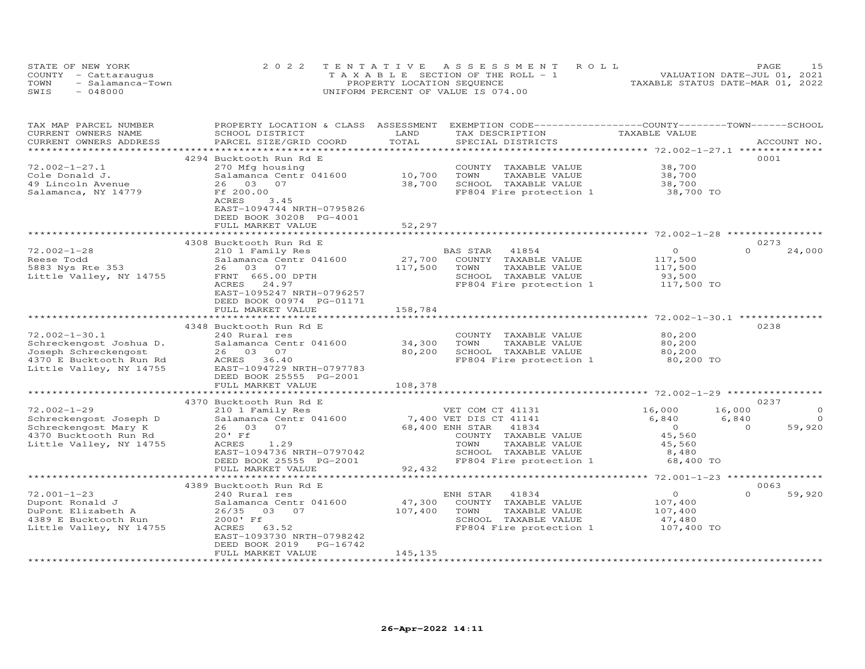|      | STATE OF NEW YORK    | 2022 TENTATIVE ASSESSMENT ROLL        | 15<br>PAGE                       |
|------|----------------------|---------------------------------------|----------------------------------|
|      | COUNTY - Cattaraugus | T A X A B L E SECTION OF THE ROLL - 1 | VALUATION DATE-JUL 01, 2021      |
| TOWN | - Salamanca-Town     | PROPERTY LOCATION SEQUENCE            | TAXABLE STATUS DATE-MAR 01, 2022 |
| SWIS | $-048000$            | UNIFORM PERCENT OF VALUE IS 074.00    |                                  |

| TAX MAP PARCEL NUMBER    | PROPERTY LOCATION & CLASS ASSESSMENT |                          | EXEMPTION CODE-----------------COUNTY-------TOWN------SCHOOL |                                                    |          |             |
|--------------------------|--------------------------------------|--------------------------|--------------------------------------------------------------|----------------------------------------------------|----------|-------------|
| CURRENT OWNERS NAME      | SCHOOL DISTRICT                      | LAND                     | TAX DESCRIPTION                                              | TAXABLE VALUE                                      |          |             |
| CURRENT OWNERS ADDRESS   | PARCEL SIZE/GRID COORD               | TOTAL                    | SPECIAL DISTRICTS                                            |                                                    |          | ACCOUNT NO. |
|                          |                                      | ************************ |                                                              | ******************** 72.002-1-27.1 *************** |          |             |
|                          | 4294 Bucktooth Run Rd E              |                          |                                                              |                                                    |          | 0001        |
| $72.002 - 1 - 27.1$      | 270 Mfg housing                      |                          | COUNTY TAXABLE VALUE                                         | 38,700                                             |          |             |
| Cole Donald J.           | Salamanca Centr 041600               | 10,700                   | TOWN<br>TAXABLE VALUE                                        | 38,700                                             |          |             |
| 49 Lincoln Avenue        | 26 03<br>07                          | 38,700                   | SCHOOL TAXABLE VALUE                                         | 38,700                                             |          |             |
| Salamanca, NY 14779      | Ff 200.00                            |                          | FP804 Fire protection 1                                      | 38,700 TO                                          |          |             |
|                          | 3.45<br>ACRES                        |                          |                                                              |                                                    |          |             |
|                          | EAST-1094744 NRTH-0795826            |                          |                                                              |                                                    |          |             |
|                          | DEED BOOK 30208 PG-4001              |                          |                                                              |                                                    |          |             |
|                          | FULL MARKET VALUE                    | 52,297                   |                                                              |                                                    |          |             |
|                          |                                      |                          |                                                              |                                                    |          |             |
|                          | 4308 Bucktooth Run Rd E              |                          |                                                              |                                                    |          | 0273        |
| $72.002 - 1 - 28$        | 210 1 Family Res                     |                          | BAS STAR<br>41854                                            | $\circ$                                            | $\Omega$ | 24,000      |
| Reese Todd               | Salamanca Centr 041600               | 27,700                   | COUNTY<br>TAXABLE VALUE                                      | 117,500                                            |          |             |
| 5883 Nys Rte 353         | 26 03 07                             | 117,500                  | TOWN<br>TAXABLE VALUE                                        | 117,500                                            |          |             |
| Little Valley, NY 14755  | FRNT 665.00 DPTH                     |                          | SCHOOL TAXABLE VALUE                                         | 93,500                                             |          |             |
|                          | ACRES<br>24.97                       |                          | FP804 Fire protection 1                                      | 117,500 TO                                         |          |             |
|                          | EAST-1095247 NRTH-0796257            |                          |                                                              |                                                    |          |             |
|                          | DEED BOOK 00974 PG-01171             |                          |                                                              |                                                    |          |             |
|                          | FULL MARKET VALUE                    | 158,784                  |                                                              |                                                    |          |             |
|                          | **************************           | *************            |                                                              |                                                    |          |             |
|                          | 4348 Bucktooth Run Rd E              |                          |                                                              |                                                    |          | 0238        |
| $72.002 - 1 - 30.1$      | 240 Rural res                        |                          | COUNTY TAXABLE VALUE                                         | 80,200                                             |          |             |
|                          | Salamanca Centr 041600               | 34,300                   | TOWN<br>TAXABLE VALUE                                        | 80,200                                             |          |             |
| Schreckengost Joshua D.  |                                      |                          |                                                              |                                                    |          |             |
| Joseph Schreckengost     | 26 03 07                             | 80,200                   | SCHOOL TAXABLE VALUE                                         | 80,200                                             |          |             |
| 4370 E Bucktooth Run Rd  | ACRES 36.40                          |                          | FP804 Fire protection 1                                      | 80,200 TO                                          |          |             |
| Little Valley, NY 14755  | EAST-1094729 NRTH-0797783            |                          |                                                              |                                                    |          |             |
|                          | DEED BOOK 25555 PG-2001              |                          |                                                              |                                                    |          |             |
|                          | FULL MARKET VALUE                    | 108,378                  |                                                              |                                                    |          |             |
|                          |                                      |                          |                                                              | ******************** 72.002-1-29 *******           |          |             |
|                          | 4370 Bucktooth Run Rd E              |                          |                                                              |                                                    |          | 0237        |
| $72.002 - 1 - 29$        | 210 1 Family Res                     |                          | VET COM CT 41131                                             | 16,000                                             | 16,000   | $\Omega$    |
| Schreckengost Joseph D   | Salamanca Centr 041600               |                          | 7,400 VET DIS CT 41141                                       | 6,840                                              | 6,840    | $\Omega$    |
| Schreckengost Mary K     | 26 03 07                             |                          | 68,400 ENH STAR<br>41834                                     | $\overline{O}$                                     | $\Omega$ | 59,920      |
| 4370 Bucktooth Run Rd    | $20'$ Ff                             |                          | COUNTY TAXABLE VALUE                                         | 45,560                                             |          |             |
| Little Valley, NY 14755  | ACRES<br>1.29                        |                          | TOWN<br>TAXABLE VALUE                                        | 45,560                                             |          |             |
|                          | EAST-1094736 NRTH-0797042            |                          | SCHOOL TAXABLE VALUE                                         | 8,480                                              |          |             |
|                          | DEED BOOK 25555 PG-2001              |                          | FP804 Fire protection 1                                      | 68,400 TO                                          |          |             |
|                          | FULL MARKET VALUE                    | 92,432                   |                                                              |                                                    |          |             |
|                          |                                      |                          |                                                              |                                                    |          |             |
|                          | 4389 Bucktooth Run Rd E              |                          |                                                              |                                                    |          | 0063        |
| $72.001 - 1 - 23$        | 240 Rural res                        |                          | ENH STAR<br>41834                                            | $\circ$                                            | $\Omega$ | 59,920      |
| Dupont Ronald J          | Salamanca Centr 041600               | 47,300                   | COUNTY TAXABLE VALUE                                         | 107,400                                            |          |             |
| DuPont Elizabeth A       | 26/35 03 07                          | 107,400                  | TOWN<br>TAXABLE VALUE                                        | 107,400                                            |          |             |
| 4389 E Bucktooth Run     | 2000' Ff                             |                          | SCHOOL TAXABLE VALUE                                         | 47,480                                             |          |             |
| Little Valley, NY 14755  | ACRES<br>63.52                       |                          | FP804 Fire protection 1                                      | 107,400 TO                                         |          |             |
|                          | EAST-1093730 NRTH-0798242            |                          |                                                              |                                                    |          |             |
|                          | DEED BOOK 2019<br>PG-16742           |                          |                                                              |                                                    |          |             |
|                          | FULL MARKET VALUE                    | 145,135                  |                                                              |                                                    |          |             |
| ************************ | **************************           | ****************         |                                                              |                                                    |          |             |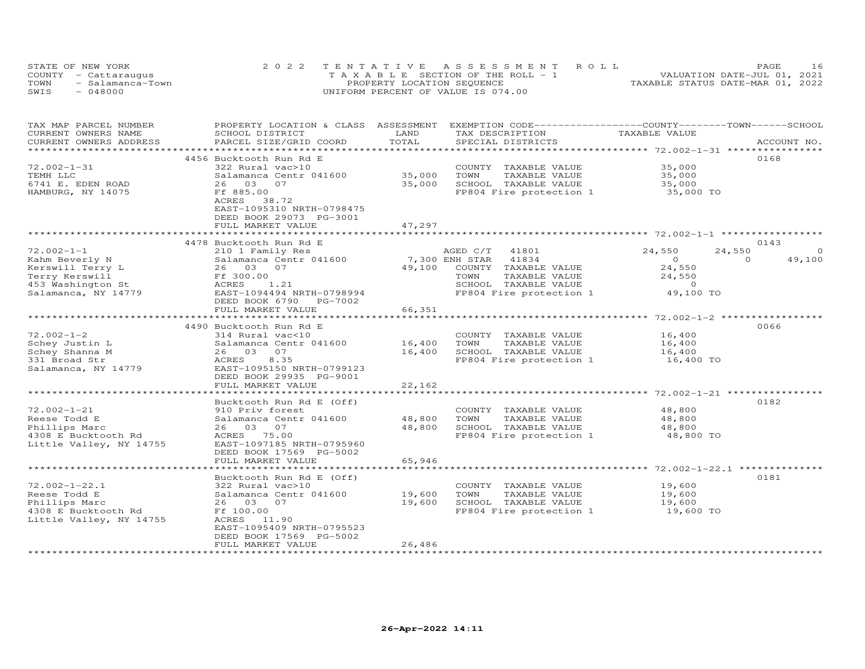| STATE OF NEW YORK        | 2022 TENTATIVE ASSESSMENT ROLL        | PAGE                             |
|--------------------------|---------------------------------------|----------------------------------|
| COUNTY - Cattaraugus     | T A X A B L E SECTION OF THE ROLL - 1 | VALUATION DATE-JUL 01, 2021      |
| TOWN<br>- Salamanca-Town | PROPERTY LOCATION SEQUENCE            | TAXABLE STATUS DATE-MAR 01, 2022 |
| SWIS<br>$-048000$        | UNIFORM PERCENT OF VALUE IS 074.00    |                                  |

| TAX MAP PARCEL NUMBER<br>CURRENT OWNERS NAME | PROPERTY LOCATION & CLASS ASSESSMENT<br>SCHOOL DISTRICT | LAND                    | EXEMPTION CODE-----------------COUNTY-------TOWN------SCHOOL<br>TAX DESCRIPTION | TAXABLE VALUE                                           |                    |
|----------------------------------------------|---------------------------------------------------------|-------------------------|---------------------------------------------------------------------------------|---------------------------------------------------------|--------------------|
| CURRENT OWNERS ADDRESS                       | PARCEL SIZE/GRID COORD                                  | TOTAL                   | SPECIAL DISTRICTS                                                               |                                                         | ACCOUNT NO.        |
|                                              | *******************************                         | *********************** |                                                                                 | ************************* 72.002-1-31 ***************** |                    |
|                                              | 4456 Bucktooth Run Rd E                                 |                         |                                                                                 |                                                         | 0168               |
| $72.002 - 1 - 31$                            | 322 Rural vac>10                                        |                         | COUNTY TAXABLE VALUE                                                            | 35,000                                                  |                    |
| TEMH LLC                                     | Salamanca Centr 041600                                  | 35,000                  | TAXABLE VALUE<br>TOWN                                                           | 35,000                                                  |                    |
| 6741 E. EDEN ROAD                            | 26 03<br>07                                             | 35,000                  | SCHOOL TAXABLE VALUE                                                            | 35,000                                                  |                    |
|                                              |                                                         |                         |                                                                                 |                                                         |                    |
| HAMBURG, NY 14075                            | Ff 885.00                                               |                         | FP804 Fire protection 1                                                         | 35,000 TO                                               |                    |
|                                              | ACRES<br>38.72<br>EAST-1095310 NRTH-0798475             |                         |                                                                                 |                                                         |                    |
|                                              | DEED BOOK 29073 PG-3001                                 |                         |                                                                                 |                                                         |                    |
|                                              | FULL MARKET VALUE                                       | 47,297                  |                                                                                 |                                                         |                    |
|                                              |                                                         |                         |                                                                                 |                                                         |                    |
|                                              | 4478 Bucktooth Run Rd E                                 |                         |                                                                                 |                                                         | 0143               |
| $72.002 - 1 - 1$                             | 210 1 Family Res                                        |                         | AGED C/T<br>41801                                                               | 24,550                                                  | 24,550             |
| Kahm Beverly N                               | Salamanca Centr 041600                                  |                         | 7,300 ENH STAR<br>41834                                                         | $\circ$                                                 | 49,100<br>$\Omega$ |
| Kerswill Terry L                             | 26 03 07                                                | 49,100                  | COUNTY<br>TAXABLE VALUE                                                         | 24,550                                                  |                    |
| Terry Kerswill                               | Ff 300.00                                               |                         | TOWN<br>TAXABLE VALUE                                                           | 24,550                                                  |                    |
| 453 Washington St                            | ACRES<br>1.21                                           |                         | SCHOOL TAXABLE VALUE                                                            | $\circ$                                                 |                    |
| Salamanca, NY 14779                          | EAST-1094494 NRTH-0798994                               |                         | FP804 Fire protection 1                                                         | 49,100 TO                                               |                    |
|                                              | DEED BOOK 6790 PG-7002                                  |                         |                                                                                 |                                                         |                    |
|                                              | FULL MARKET VALUE                                       | 66,351                  |                                                                                 |                                                         |                    |
|                                              |                                                         |                         |                                                                                 |                                                         |                    |
|                                              | 4490 Bucktooth Run Rd E                                 |                         |                                                                                 |                                                         | 0066               |
| $72.002 - 1 - 2$                             | 314 Rural vac<10                                        |                         | COUNTY TAXABLE VALUE                                                            | 16,400                                                  |                    |
| Schey Justin L                               | Salamanca Centr 041600                                  | 16,400                  | TOWN<br>TAXABLE VALUE                                                           | 16,400                                                  |                    |
| Schey Shanna M                               | 26 03 07                                                | 16,400                  | SCHOOL TAXABLE VALUE                                                            | 16,400                                                  |                    |
| 331 Broad Str                                | ACRES<br>8.35                                           |                         | FP804 Fire protection 1                                                         | 16,400 TO                                               |                    |
| Salamanca, NY 14779                          | EAST-1095150 NRTH-0799123                               |                         |                                                                                 |                                                         |                    |
|                                              | DEED BOOK 29935 PG-9001                                 |                         |                                                                                 |                                                         |                    |
|                                              | FULL MARKET VALUE                                       | 22,162                  |                                                                                 |                                                         |                    |
|                                              |                                                         |                         |                                                                                 |                                                         |                    |
|                                              | Bucktooth Run Rd E (Off)                                |                         |                                                                                 |                                                         | 0182               |
| $72.002 - 1 - 21$                            | 910 Priv forest                                         |                         | COUNTY TAXABLE VALUE                                                            | 48,800                                                  |                    |
| Reese Todd E                                 | Salamanca Centr 041600                                  | 48,800                  | TOWN<br>TAXABLE VALUE                                                           | 48,800                                                  |                    |
| Phillips Marc                                | 26 03 07                                                | 48,800                  | SCHOOL TAXABLE VALUE                                                            | 48,800                                                  |                    |
| 4308 E Bucktooth Rd                          | ACRES 75.00                                             |                         | FP804 Fire protection 1                                                         | 48,800 TO                                               |                    |
| Little Valley, NY 14755                      | EAST-1097185 NRTH-0795960                               |                         |                                                                                 |                                                         |                    |
|                                              | DEED BOOK 17569 PG-5002                                 |                         |                                                                                 |                                                         |                    |
|                                              | FULL MARKET VALUE                                       | 65,946                  |                                                                                 |                                                         |                    |
|                                              |                                                         |                         |                                                                                 | *********************** 72.002-1-22.1 **                |                    |
|                                              | Bucktooth Run Rd E (Off)                                |                         |                                                                                 |                                                         | 0181               |
| $72.002 - 1 - 22.1$                          | 322 Rural vac>10                                        |                         | COUNTY TAXABLE VALUE                                                            | 19,600                                                  |                    |
| Reese Todd E                                 | Salamanca Centr 041600                                  | 19,600                  | TAXABLE VALUE<br>TOWN                                                           | 19,600                                                  |                    |
| Phillips Marc                                | 26 03 07                                                | 19,600                  | SCHOOL TAXABLE VALUE                                                            | 19,600                                                  |                    |
| 4308 E Bucktooth Rd                          | Ff 100.00                                               |                         | FP804 Fire protection 1                                                         | 19,600 TO                                               |                    |
| Little Valley, NY 14755                      | ACRES 11.90                                             |                         |                                                                                 |                                                         |                    |
|                                              | EAST-1095409 NRTH-0795523                               |                         |                                                                                 |                                                         |                    |
|                                              | DEED BOOK 17569 PG-5002                                 |                         |                                                                                 |                                                         |                    |
|                                              | FULL MARKET VALUE                                       | 26,486                  |                                                                                 |                                                         |                    |
| **********************                       | ************************                                | *******************     |                                                                                 |                                                         |                    |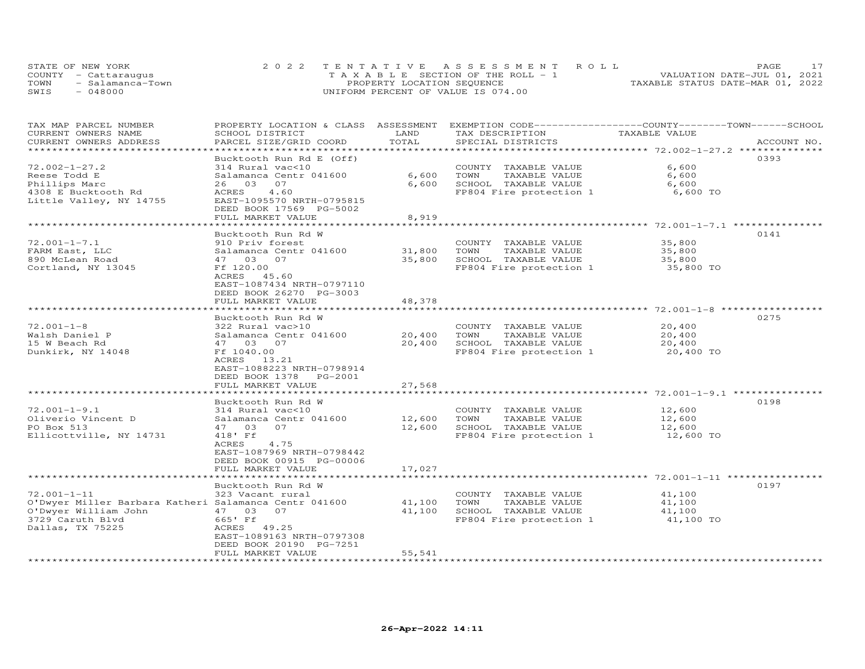| STATE OF NEW YORK    |                  | 2022 TENTATIVE ASSESSMENT ROLL |                                       |  |                                  | PAGE. |  |
|----------------------|------------------|--------------------------------|---------------------------------------|--|----------------------------------|-------|--|
| COUNTY - Cattaraugus |                  |                                | T A X A B L E SECTION OF THE ROLL - 1 |  | VALUATION DATE-JUL 01, 2021      |       |  |
| TOWN                 | - Salamanca-Town |                                | PROPERTY LOCATION SEQUENCE            |  | TAXABLE STATUS DATE-MAR 01, 2022 |       |  |
| SWIS<br>$-048000$    |                  |                                | UNIFORM PERCENT OF VALUE IS 074.00    |  |                                  |       |  |

| TAX MAP PARCEL NUMBER                                 | PROPERTY LOCATION & CLASS | ASSESSMENT    | EXEMPTION CODE-----------------COUNTY-------TOWN------SCHOOL |                                          |             |
|-------------------------------------------------------|---------------------------|---------------|--------------------------------------------------------------|------------------------------------------|-------------|
| CURRENT OWNERS NAME                                   | SCHOOL DISTRICT           | LAND          | TAX DESCRIPTION                                              | TAXABLE VALUE                            |             |
| CURRENT OWNERS ADDRESS                                | PARCEL SIZE/GRID COORD    | TOTAL         | SPECIAL DISTRICTS                                            |                                          | ACCOUNT NO. |
|                                                       |                           | ************* |                                                              | ***************** 72.002-1-27.2 ******** |             |
|                                                       | Bucktooth Run Rd E (Off)  |               |                                                              |                                          | 0393        |
| $72.002 - 1 - 27.2$                                   | 314 Rural vac<10          |               | COUNTY TAXABLE VALUE                                         | 6,600                                    |             |
| Reese Todd E                                          | Salamanca Centr 041600    | 6,600         | TAXABLE VALUE<br>TOWN                                        | 6,600                                    |             |
| Phillips Marc                                         | 26 03<br>07               | 6,600         | SCHOOL TAXABLE VALUE                                         | 6,600                                    |             |
| 4308 E Bucktooth Rd                                   | 4.60<br>ACRES             |               | FP804 Fire protection 1                                      | 6,600 TO                                 |             |
|                                                       | EAST-1095570 NRTH-0795815 |               |                                                              |                                          |             |
| Little Valley, NY 14755                               |                           |               |                                                              |                                          |             |
|                                                       | DEED BOOK 17569 PG-5002   |               |                                                              |                                          |             |
|                                                       | FULL MARKET VALUE         | 8,919         |                                                              |                                          |             |
|                                                       | ************************* |               |                                                              |                                          |             |
|                                                       | Bucktooth Run Rd W        |               |                                                              |                                          | 0141        |
| $72.001 - 1 - 7.1$                                    | 910 Priv forest           |               | COUNTY TAXABLE VALUE                                         | 35,800                                   |             |
| FARM East, LLC                                        | Salamanca Centr 041600    | 31,800        | TOWN<br>TAXABLE VALUE                                        | 35,800                                   |             |
| 890 McLean Road                                       | 47 03 07                  | 35,800        | SCHOOL TAXABLE VALUE                                         | 35,800                                   |             |
| Cortland, NY 13045                                    | Ff 120.00                 |               | FP804 Fire protection 1                                      | 35,800 TO                                |             |
|                                                       | ACRES 45.60               |               |                                                              |                                          |             |
|                                                       | EAST-1087434 NRTH-0797110 |               |                                                              |                                          |             |
|                                                       | DEED BOOK 26270 PG-3003   |               |                                                              |                                          |             |
|                                                       | FULL MARKET VALUE         | 48,378        |                                                              |                                          |             |
|                                                       |                           |               |                                                              |                                          |             |
|                                                       | Bucktooth Run Rd W        |               |                                                              |                                          | 0275        |
| $72.001 - 1 - 8$                                      | 322 Rural vac>10          |               | COUNTY TAXABLE VALUE                                         | 20,400                                   |             |
| Walsh Daniel P                                        | Salamanca Centr 041600    | 20,400        | TOWN<br>TAXABLE VALUE                                        | 20,400                                   |             |
|                                                       |                           |               |                                                              |                                          |             |
| 15 W Beach Rd                                         | 47 03 07                  | 20,400        | SCHOOL TAXABLE VALUE                                         | 20,400                                   |             |
| Dunkirk, NY 14048                                     | Ff 1040.00                |               | FP804 Fire protection 1                                      | 20,400 TO                                |             |
|                                                       | ACRES 13.21               |               |                                                              |                                          |             |
|                                                       | EAST-1088223 NRTH-0798914 |               |                                                              |                                          |             |
|                                                       | DEED BOOK 1378<br>PG-2001 |               |                                                              |                                          |             |
|                                                       | FULL MARKET VALUE         | 27,568        |                                                              |                                          |             |
|                                                       |                           |               |                                                              |                                          |             |
|                                                       | Bucktooth Run Rd W        |               |                                                              |                                          | 0198        |
| $72.001 - 1 - 9.1$                                    | 314 Rural vac<10          |               | COUNTY TAXABLE VALUE                                         | 12,600                                   |             |
| Oliverio Vincent D                                    | Salamanca Centr 041600    | 12,600        | TOWN<br>TAXABLE VALUE                                        | 12,600                                   |             |
| PO Box 513                                            | 47 03<br>07               | 12,600        | SCHOOL TAXABLE VALUE                                         | 12,600                                   |             |
| Ellicottville, NY 14731                               | 418' Ff                   |               | FP804 Fire protection 1                                      | 12,600 TO                                |             |
|                                                       | ACRES<br>4.75             |               |                                                              |                                          |             |
|                                                       | EAST-1087969 NRTH-0798442 |               |                                                              |                                          |             |
|                                                       | DEED BOOK 00915 PG-00006  |               |                                                              |                                          |             |
|                                                       | FULL MARKET VALUE         | 17,027        |                                                              |                                          |             |
|                                                       |                           |               |                                                              |                                          |             |
|                                                       | Bucktooth Run Rd W        |               |                                                              |                                          | 0197        |
|                                                       |                           |               |                                                              |                                          |             |
| $72.001 - 1 - 11$                                     | 323 Vacant rural          |               | COUNTY TAXABLE VALUE                                         | 41,100                                   |             |
| O'Dwyer Miller Barbara Katheri Salamanca Centr 041600 |                           | 41,100        | TAXABLE VALUE<br>TOWN                                        | 41,100                                   |             |
| O'Dwyer William John                                  | 47 03<br>07               | 41,100        | SCHOOL TAXABLE VALUE                                         | 41,100                                   |             |
| 3729 Caruth Blvd                                      | 665' Ff                   |               | FP804 Fire protection 1                                      | 41,100 TO                                |             |
| Dallas, TX 75225                                      | ACRES 49.25               |               |                                                              |                                          |             |
|                                                       | EAST-1089163 NRTH-0797308 |               |                                                              |                                          |             |
|                                                       | DEED BOOK 20190 PG-7251   |               |                                                              |                                          |             |
|                                                       | FULL MARKET VALUE         | 55,541        |                                                              |                                          |             |
|                                                       |                           |               |                                                              |                                          |             |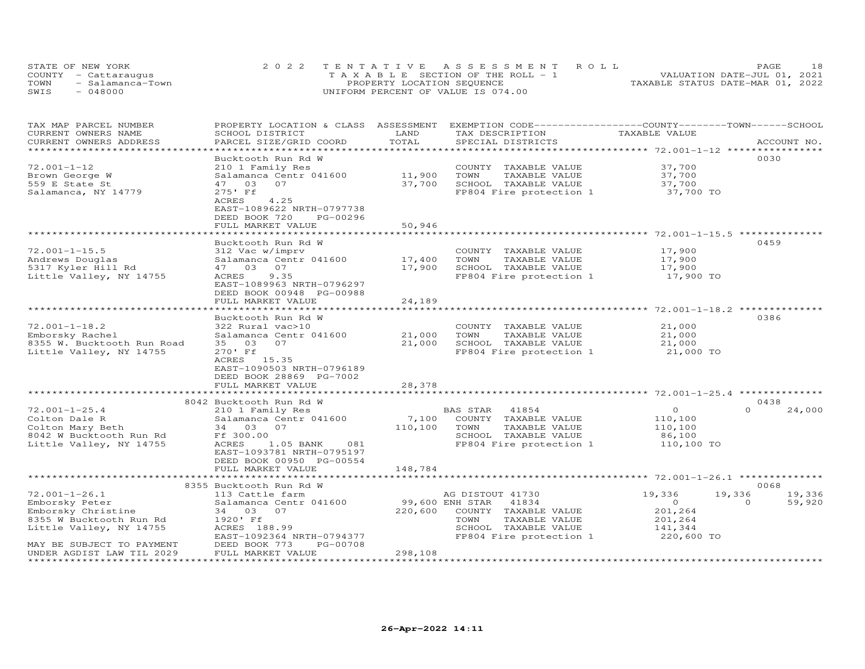| STATE OF NEW YORK        | 2022 TENTATIVE ASSESSMENT ROLL        | PAGE                             |
|--------------------------|---------------------------------------|----------------------------------|
| COUNTY - Cattaraugus     | T A X A B L E SECTION OF THE ROLL - 1 | VALUATION DATE-JUL 01, 2021      |
| TOWN<br>- Salamanca-Town | PROPERTY LOCATION SEQUENCE            | TAXABLE STATUS DATE-MAR 01, 2022 |
| SWIS<br>- 048000         | UNIFORM PERCENT OF VALUE IS 074.00    |                                  |

| TAX MAP PARCEL NUMBER                                  | PROPERTY LOCATION & CLASS ASSESSMENT |                 | EXEMPTION CODE------------------COUNTY-------TOWN------SCHOOL |                                                        |                    |
|--------------------------------------------------------|--------------------------------------|-----------------|---------------------------------------------------------------|--------------------------------------------------------|--------------------|
| CURRENT OWNERS NAME                                    | SCHOOL DISTRICT                      | LAND            | TAX DESCRIPTION                                               | TAXABLE VALUE                                          |                    |
| CURRENT OWNERS ADDRESS                                 | PARCEL SIZE/GRID COORD               | TOTAL           | SPECIAL DISTRICTS                                             |                                                        | ACCOUNT NO.        |
|                                                        |                                      |                 |                                                               |                                                        |                    |
|                                                        | Bucktooth Run Rd W                   |                 |                                                               |                                                        | 0030               |
| $72.001 - 1 - 12$                                      | 210 1 Family Res                     |                 | COUNTY TAXABLE VALUE                                          | 37,700                                                 |                    |
| Brown George W                                         | Salamanca Centr 041600               | 11,900          | TOWN<br>TAXABLE VALUE                                         | 37,700                                                 |                    |
| 559 E State St                                         | 47 03<br>07                          | 37,700          | SCHOOL TAXABLE VALUE                                          | 37,700                                                 |                    |
| Salamanca, NY 14779                                    | 275' Ff                              |                 | FP804 Fire protection 1                                       | 37,700 TO                                              |                    |
|                                                        | 4.25<br>ACRES                        |                 |                                                               |                                                        |                    |
|                                                        | EAST-1089622 NRTH-0797738            |                 |                                                               |                                                        |                    |
|                                                        | DEED BOOK 720<br>PG-00296            |                 |                                                               |                                                        |                    |
|                                                        | FULL MARKET VALUE                    | 50,946          |                                                               |                                                        |                    |
|                                                        | *****************                    | *********       |                                                               |                                                        |                    |
|                                                        | Bucktooth Run Rd W                   |                 |                                                               |                                                        | 0459               |
| $72.001 - 1 - 15.5$                                    | 312 Vac w/imprv                      |                 | COUNTY TAXABLE VALUE                                          | 17,900                                                 |                    |
| Andrews Douglas                                        | Salamanca Centr 041600               | 17,400          | TAXABLE VALUE<br>TOWN                                         | 17,900                                                 |                    |
| 5317 Kyler Hill Rd                                     | 47 03<br>07                          | 17,900          | SCHOOL TAXABLE VALUE                                          | 17,900                                                 |                    |
| Little Valley, NY 14755                                | ACRES<br>9.35                        |                 | FP804 Fire protection 1                                       | 17,900 TO                                              |                    |
|                                                        | EAST-1089963 NRTH-0796297            |                 |                                                               |                                                        |                    |
|                                                        | DEED BOOK 00948 PG-00988             |                 |                                                               |                                                        |                    |
|                                                        | FULL MARKET VALUE                    | 24,189          |                                                               |                                                        |                    |
|                                                        | **************************           |                 |                                                               | ************************ 72.001-1-18.2 *************** |                    |
|                                                        | Bucktooth Run Rd W                   |                 |                                                               |                                                        | 0386               |
| $72.001 - 1 - 18.2$                                    | 322 Rural vac>10                     |                 | COUNTY TAXABLE VALUE                                          | 21,000                                                 |                    |
| Emborsky Rachel                                        | Salamanca Centr 041600               | 21,000          | TOWN<br>TAXABLE VALUE                                         | 21,000                                                 |                    |
| 8355 W. Bucktooth Run Road                             | 35 03<br>07                          | 21,000          | SCHOOL TAXABLE VALUE                                          | 21,000                                                 |                    |
| Little Valley, NY 14755                                | 270' Ff                              |                 | FP804 Fire protection 1                                       | 21,000 TO                                              |                    |
|                                                        | ACRES 15.35                          |                 |                                                               |                                                        |                    |
|                                                        | EAST-1090503 NRTH-0796189            |                 |                                                               |                                                        |                    |
|                                                        | DEED BOOK 28869 PG-7002              |                 |                                                               |                                                        |                    |
|                                                        | FULL MARKET VALUE                    | 28,378          |                                                               |                                                        |                    |
|                                                        |                                      |                 |                                                               |                                                        |                    |
|                                                        | 8042 Bucktooth Run Rd W              |                 |                                                               |                                                        | 0438               |
| $72.001 - 1 - 25.4$                                    | 210 1 Family Res                     |                 | 41854<br>BAS STAR                                             | $\Omega$                                               | $\Omega$<br>24,000 |
| Colton Dale R                                          | Salamanca Centr 041600               | 7,100           | COUNTY TAXABLE VALUE                                          | 110,100                                                |                    |
| Colton Mary Beth                                       | 34 03 07                             | 110,100         | TOWN<br>TAXABLE VALUE                                         | 110,100                                                |                    |
| 8042 W Bucktooth Run Rd                                | Ff 300.00                            |                 | SCHOOL TAXABLE VALUE                                          | 86,100                                                 |                    |
| Little Valley, NY 14755                                | ACRES<br>081<br>1.05 BANK            |                 | FP804 Fire protection 1                                       | 110,100 TO                                             |                    |
|                                                        | EAST-1093781 NRTH-0795197            |                 |                                                               |                                                        |                    |
|                                                        |                                      |                 |                                                               |                                                        |                    |
|                                                        | DEED BOOK 00950 PG-00554             | 148,784         |                                                               |                                                        |                    |
|                                                        | FULL MARKET VALUE                    |                 |                                                               |                                                        |                    |
|                                                        | 8355 Bucktooth Run Rd W              |                 |                                                               |                                                        | 0068               |
| $72.001 - 1 - 26.1$                                    | 113 Cattle farm                      |                 | AG DISTOUT 41730                                              | 19,336                                                 | 19,336<br>19,336   |
| Emborsky Peter                                         | Salamanca Centr 041600               | 99,600 ENH STAR | 41834                                                         | $\circ$                                                | $\Omega$<br>59,920 |
|                                                        |                                      | 220,600         |                                                               | 201,264                                                |                    |
| Emborsky Christine                                     | 34 03 07<br>1920' Ff                 |                 | COUNTY TAXABLE VALUE<br>TOWN                                  |                                                        |                    |
| 8355 W Bucktooth Run Rd                                |                                      |                 | TAXABLE VALUE                                                 | 201,264                                                |                    |
| Little Valley, NY 14755                                | ACRES 188.99                         |                 | SCHOOL TAXABLE VALUE                                          | 141,344                                                |                    |
|                                                        | EAST-1092364 NRTH-0794377            |                 | FP804 Fire protection 1                                       | 220,600 TO                                             |                    |
| MAY BE SUBJECT TO PAYMENT                              | DEED BOOK 773<br>PG-00708            |                 |                                                               |                                                        |                    |
| UNDER AGDIST LAW TIL 2029<br>************************* | FULL MARKET VALUE                    | 298,108         |                                                               |                                                        |                    |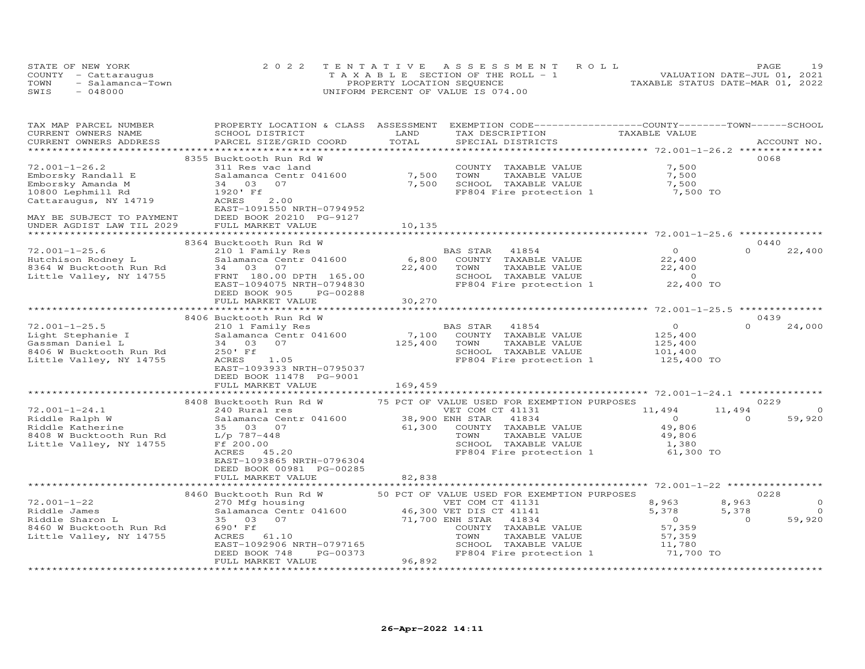|      | STATE OF NEW YORK    | 2022 TENTATIVE ASSESSMENT ROLL        | 19<br>PAGE                       |
|------|----------------------|---------------------------------------|----------------------------------|
|      | COUNTY - Cattaraugus | T A X A B L E SECTION OF THE ROLL - 1 | VALUATION DATE-JUL 01, 2021      |
| TOWN | - Salamanca-Town     | PROPERTY LOCATION SEQUENCE            | TAXABLE STATUS DATE-MAR 01, 2022 |
| SWIS | - 048000             | UNIFORM PERCENT OF VALUE IS 074.00    |                                  |

| TAX MAP PARCEL NUMBER<br>CURRENT OWNERS NAME<br>CURRENT OWNERS ADDRESS                                          | PROPERTY LOCATION & CLASS ASSESSMENT EXEMPTION CODE----------------COUNTY-------TOWN------SCHOOL<br>SCHOOL DISTRICT<br>PARCEL SIZE/GRID COORD                                   | LAND<br>TOTAL    | TAX DESCRIPTION<br>SPECIAL DISTRICTS                                                                                 | TAXABLE VALUE                                                   | ACCOUNT NO.                                                       |
|-----------------------------------------------------------------------------------------------------------------|---------------------------------------------------------------------------------------------------------------------------------------------------------------------------------|------------------|----------------------------------------------------------------------------------------------------------------------|-----------------------------------------------------------------|-------------------------------------------------------------------|
|                                                                                                                 |                                                                                                                                                                                 |                  |                                                                                                                      |                                                                 |                                                                   |
| $72.001 - 1 - 26.2$<br>Emborsky Randall E<br>Emborsky Amanda M                                                  | 8355 Bucktooth Run Rd W<br>311 Res vac land<br>Salamanca Centr 041600<br>34 03<br>07                                                                                            | 7,500<br>7,500   | COUNTY TAXABLE VALUE<br>TOWN      TAXABLE VALUE<br>SCHOOL   TAXABLE VALUE                                            | 7,500<br>7,500<br>7,500                                         | 0068                                                              |
| 10800 Lephmill Rd<br>Cattaraugus, NY 14719<br>MAY BE SUBJECT TO PAYMENT                                         | 1920' Ff<br>ACRES<br>2.00<br>EAST-1091550 NRTH-0794952<br>DEED BOOK 20210 PG-9127                                                                                               |                  | FP804 Fire protection 1                                                                                              | 7,500 TO                                                        |                                                                   |
|                                                                                                                 | FULL MARKET VALUE                                                                                                                                                               | 10,135           |                                                                                                                      |                                                                 |                                                                   |
|                                                                                                                 |                                                                                                                                                                                 |                  |                                                                                                                      |                                                                 |                                                                   |
| $72.001 - 1 - 25.6$<br>Hutchison Rodney L<br>8364 W Bucktooth Run Rd<br>Little Valley, NY 14755                 | 8364 Bucktooth Run Rd W<br>210 1 Family Res<br>Salamanca Centr 041600<br>34 03 07<br>FRNT 180.00 DPTH 165.00<br>EAST-1094075 NRTH-0794830                                       | 6,800<br>22,400  | BAS STAR 41854<br>COUNTY TAXABLE VALUE<br>TOWN<br>TAXABLE VALUE<br>SCHOOL TAXABLE VALUE<br>FP804 Fire protection 1   | $\Omega$<br>22,400<br>22,400<br>$\overline{0}$<br>22,400 TO     | 0440<br>$\Omega$<br>22,400                                        |
|                                                                                                                 | DEED BOOK 905<br>PG-00288<br>FULL MARKET VALUE                                                                                                                                  | 30,270           |                                                                                                                      |                                                                 |                                                                   |
|                                                                                                                 |                                                                                                                                                                                 |                  |                                                                                                                      |                                                                 |                                                                   |
|                                                                                                                 | 8406 Bucktooth Run Rd W                                                                                                                                                         |                  |                                                                                                                      |                                                                 | 0439                                                              |
| $72.001 - 1 - 25.5$<br>Light Stephanie I<br>Gassman Daniel L                                                    | 210 1 Family Res<br>Salamanca Centr 041600<br>34 03 07                                                                                                                          | 7,100<br>125,400 | BAS STAR<br>41854<br>COUNTY TAXABLE VALUE<br>TAXABLE VALUE<br>TOWN                                                   | $\overline{O}$<br>125,400<br>125,400                            | $\Omega$<br>24,000                                                |
| 8406 W Bucktooth Run Rd<br>Little Valley, NY 14755                                                              | 250' Ff<br>ACRES 1.05<br>EAST-1093933 NRTH-0795037<br>DEED BOOK 11478 PG-9001                                                                                                   |                  | SCHOOL TAXABLE VALUE<br>FP804 Fire protection 1                                                                      | 101,400<br>125,400 TO                                           |                                                                   |
|                                                                                                                 | FULL MARKET VALUE                                                                                                                                                               | 169,459          |                                                                                                                      |                                                                 |                                                                   |
|                                                                                                                 | 8408 Bucktooth Run Rd W                                                                                                                                                         |                  | 75 PCT OF VALUE USED FOR EXEMPTION PURPOSES                                                                          |                                                                 | 0229                                                              |
| $72.001 - 1 - 24.1$<br>Riddle Ralph W<br>Riddle Katherine<br>8408 W Bucktooth Run Rd<br>Little Valley, NY 14755 | 240 Rural res<br>Salamanca Centr 041600 38,900 ENH STAR 41834<br>35 03 07<br>$L/p$ 787-448<br>Ff 200.00<br>ACRES 45.20<br>EAST-1093865 NRTH-0796304<br>DEED BOOK 00981 PG-00285 | 61,300           | VET COM CT 41131<br>COUNTY TAXABLE VALUE<br>TOWN<br>TAXABLE VALUE<br>SCHOOL TAXABLE VALUE<br>FP804 Fire protection 1 | 11,494<br>$\sim$ 0<br>49,806<br>49,806<br>1,380<br>61,300 TO    | 11,494<br>$\Omega$<br>$\Omega$<br>59,920                          |
|                                                                                                                 | FULL MARKET VALUE                                                                                                                                                               | 82,838           |                                                                                                                      |                                                                 |                                                                   |
|                                                                                                                 | 8460 Bucktooth Run Rd W                                                                                                                                                         |                  | 50 PCT OF VALUE USED FOR EXEMPTION PURPOSES                                                                          |                                                                 | 0228                                                              |
| $72.001 - 1 - 22$<br>Riddle James<br>Riddle Sharon L<br>8460 W Bucktooth Run Rd<br>Little Valley, NY 14755      | 270 Mfg housing<br>Salamanca Centr 041600 46,300 VET DIS CT 41141<br>35 03 07<br>690' Ff<br>ACRES 61.10<br>EAST-1092906 NRTH-0797165                                            | 71,700 ENH STAR  | VET COM CT 41131<br>41834<br>COUNTY TAXABLE VALUE<br>TAXABLE VALUE<br>TOWN<br>SCHOOL TAXABLE VALUE                   | 8,963<br>5,378<br>$\overline{0}$<br>57, 359<br>57,359<br>11,780 | $\circ$<br>8,963<br>5,378<br>$\Omega$<br>$\overline{0}$<br>59,920 |
|                                                                                                                 | PG-00373<br>DEED BOOK 748<br>FULL MARKET VALUE                                                                                                                                  | 96,892           | FP804 Fire protection 1                                                                                              | 71,700 TO                                                       |                                                                   |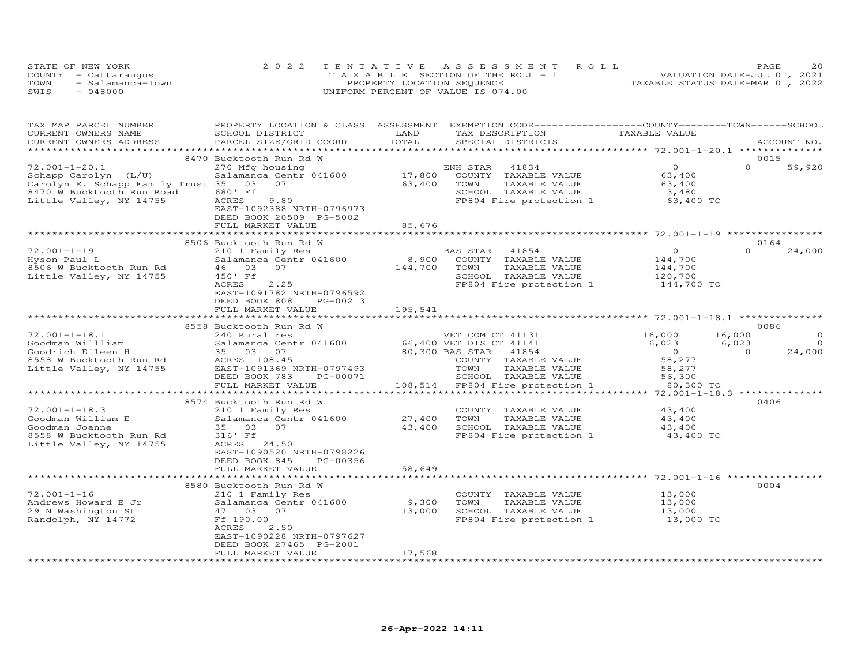|      | STATE OF NEW YORK    | 2022 TENTATIVE ASSESSMENT ROLL        | 20<br>PAGE                       |
|------|----------------------|---------------------------------------|----------------------------------|
|      | COUNTY - Cattaraugus | T A X A B L E SECTION OF THE ROLL - 1 | VALUATION DATE-JUL 01, 2021      |
| TOWN | - Salamanca-Town     | PROPERTY LOCATION SEQUENCE            | TAXABLE STATUS DATE-MAR 01, 2022 |
| SWIS | $-048000$            | UNIFORM PERCENT OF VALUE IS 074.00    |                                  |

| TAX MAP PARCEL NUMBER             | PROPERTY LOCATION & CLASS ASSESSMENT |         | EXEMPTION CODE-----------------COUNTY-------TOWN------SCHOOL |                                               |          |                |
|-----------------------------------|--------------------------------------|---------|--------------------------------------------------------------|-----------------------------------------------|----------|----------------|
| CURRENT OWNERS NAME               | SCHOOL DISTRICT                      | LAND    | TAX DESCRIPTION                                              | TAXABLE VALUE                                 |          |                |
| CURRENT OWNERS ADDRESS            | PARCEL SIZE/GRID COORD               | TOTAL   | SPECIAL DISTRICTS                                            |                                               |          | ACCOUNT NO.    |
|                                   |                                      |         |                                                              |                                               |          |                |
|                                   | 8470 Bucktooth Run Rd W              |         |                                                              |                                               | 0015     |                |
| $72.001 - 1 - 20.1$               | 270 Mfg housing                      |         | 41834<br>ENH STAR                                            | $\Omega$                                      | $\Omega$ | 59,920         |
| Schapp Carolyn (L/U)              | Salamanca Centr 041600               | 17,800  | COUNTY TAXABLE VALUE                                         | 63,400                                        |          |                |
| Carolyn E. Schapp Family Trust 35 | 07<br>03                             | 63,400  | TAXABLE VALUE<br>TOWN                                        | 63,400                                        |          |                |
| 8470 W Bucktooth Run Road         | 680' Ff                              |         | SCHOOL TAXABLE VALUE                                         |                                               |          |                |
|                                   | ACRES<br>9.80                        |         |                                                              | 3,480<br>63,400 TO                            |          |                |
| Little Valley, NY 14755           |                                      |         | FP804 Fire protection 1                                      |                                               |          |                |
|                                   | EAST-1092388 NRTH-0796973            |         |                                                              |                                               |          |                |
|                                   | DEED BOOK 20509 PG-5002              |         |                                                              |                                               |          |                |
|                                   | FULL MARKET VALUE                    | 85,676  |                                                              |                                               |          |                |
|                                   |                                      |         |                                                              |                                               |          |                |
|                                   | 8506 Bucktooth Run Rd W              |         |                                                              |                                               | 0164     |                |
| $72.001 - 1 - 19$                 | 210 1 Family Res                     |         | BAS STAR<br>41854                                            | $\Omega$                                      | $\Omega$ | 24,000         |
| Hyson Paul L                      | Salamanca Centr 041600               | 8,900   | COUNTY TAXABLE VALUE                                         | 144,700                                       |          |                |
| 8506 W Bucktooth Run Rd           | 46 03 07                             | 144,700 | TOWN<br>TAXABLE VALUE                                        | 144,700                                       |          |                |
| Little Valley, NY 14755           | 450' Ff                              |         | SCHOOL TAXABLE VALUE                                         | 120,700                                       |          |                |
|                                   | 2.25<br>ACRES                        |         | FP804 Fire protection 1                                      | 144,700 TO                                    |          |                |
|                                   | EAST-1091782 NRTH-0796592            |         |                                                              |                                               |          |                |
|                                   | DEED BOOK 808<br>PG-00213            |         |                                                              |                                               |          |                |
|                                   | FULL MARKET VALUE                    | 195,541 |                                                              |                                               |          |                |
|                                   |                                      |         |                                                              |                                               |          |                |
|                                   | 8558 Bucktooth Run Rd W              |         |                                                              |                                               | 0086     |                |
| $72.001 - 1 - 18.1$               |                                      |         |                                                              |                                               |          | $\circ$        |
|                                   | 240 Rural res                        |         | VET COM CT 41131<br>66,400 VET DIS CT 41141                  | 16,000                                        | 16,000   |                |
| Goodman Willliam                  | Salamanca Centr 041600               |         |                                                              | 6,023                                         | 6,023    | $\overline{0}$ |
| Goodrich Eileen H                 | 35 03 07                             |         | 80,300 BAS STAR 41854                                        | $\overline{0}$                                | $\Omega$ | 24,000         |
| 8558 W Bucktooth Run Rd           | ACRES 108.45                         |         | COUNTY TAXABLE VALUE                                         | 58,277                                        |          |                |
| Little Valley, NY 14755           | EAST-1091369 NRTH-0797493            |         | TOWN<br>TAXABLE VALUE                                        | 58,277                                        |          |                |
|                                   | DEED BOOK 783<br>PG-00071            |         | SCHOOL TAXABLE VALUE                                         | 56,300                                        |          |                |
|                                   | FULL MARKET VALUE                    |         | 108,514 FP804 Fire protection 1                              | 80,300 TO                                     |          |                |
|                                   | ************************             |         |                                                              | *************** 72.001-1-18.3 *************** |          |                |
|                                   | 8574 Bucktooth Run Rd W              |         |                                                              |                                               | 0406     |                |
| $72.001 - 1 - 18.3$               | 210 1 Family Res                     |         | COUNTY TAXABLE VALUE                                         | 43,400                                        |          |                |
| Goodman William E                 | Salamanca Centr 041600               | 27,400  | TOWN<br>TAXABLE VALUE                                        | 43,400                                        |          |                |
| Goodman Joanne                    | 35 03 07                             | 43,400  | SCHOOL TAXABLE VALUE                                         | 43,400                                        |          |                |
| 8558 W Bucktooth Run Rd           | 316' Ff                              |         | FP804 Fire protection 1 43,400 TO                            |                                               |          |                |
| Little Valley, NY 14755           | ACRES 24.50                          |         |                                                              |                                               |          |                |
|                                   | EAST-1090520 NRTH-0798226            |         |                                                              |                                               |          |                |
|                                   | DEED BOOK 845<br>PG-00356            |         |                                                              |                                               |          |                |
|                                   | FULL MARKET VALUE                    |         |                                                              |                                               |          |                |
|                                   |                                      | 58,649  |                                                              |                                               |          |                |
|                                   |                                      |         |                                                              |                                               |          |                |
|                                   | 8580 Bucktooth Run Rd W              |         |                                                              |                                               | 0004     |                |
| $72.001 - 1 - 16$                 | 210 1 Family Res                     |         | COUNTY TAXABLE VALUE                                         | 13,000                                        |          |                |
| Andrews Howard E Jr               | Salamanca Centr 041600               | 9,300   | TOWN<br>TAXABLE VALUE                                        | 13,000                                        |          |                |
| 29 N Washington St                | 47 03 07                             | 13,000  | SCHOOL TAXABLE VALUE                                         | 13,000                                        |          |                |
| Randolph, NY 14772                | Ff 190.00                            |         | FP804 Fire protection 1                                      | 13,000 TO                                     |          |                |
|                                   | ACRES<br>2.50                        |         |                                                              |                                               |          |                |
|                                   | EAST-1090228 NRTH-0797627            |         |                                                              |                                               |          |                |
|                                   | DEED BOOK 27465 PG-2001              |         |                                                              |                                               |          |                |
|                                   | FULL MARKET VALUE                    | 17,568  |                                                              |                                               |          |                |
|                                   |                                      |         |                                                              |                                               |          |                |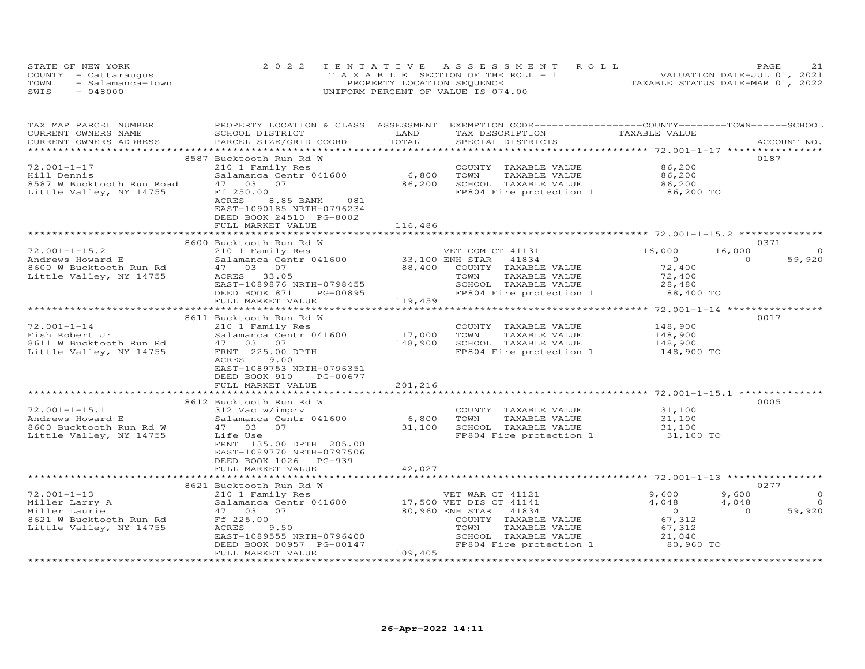| STATE OF NEW YORK        | 2022 TENTATIVE ASSESSMENT ROLL        | 21<br>PAGE                       |
|--------------------------|---------------------------------------|----------------------------------|
| COUNTY - Cattaraugus     | T A X A B L E SECTION OF THE ROLL - 1 | VALUATION DATE-JUL 01, 2021      |
| TOWN<br>- Salamanca-Town | PROPERTY LOCATION SEQUENCE            | TAXABLE STATUS DATE-MAR 01, 2022 |
| SWIS<br>- 048000         | UNIFORM PERCENT OF VALUE IS 074.00    |                                  |

| TAX MAP PARCEL NUMBER     | PROPERTY LOCATION & CLASS ASSESSMENT EXEMPTION CODE-----------------COUNTY-------TOWN------SCHOOL |         |                                               |                              |                    |
|---------------------------|---------------------------------------------------------------------------------------------------|---------|-----------------------------------------------|------------------------------|--------------------|
| CURRENT OWNERS NAME       | SCHOOL DISTRICT                                                                                   | LAND    | TAX DESCRIPTION                               | TAXABLE VALUE                |                    |
| CURRENT OWNERS ADDRESS    | PARCEL SIZE/GRID COORD                                                                            | TOTAL   | SPECIAL DISTRICTS                             |                              | ACCOUNT NO.        |
|                           | 8587 Bucktooth Run Rd W                                                                           |         |                                               |                              | 0187               |
| $72.001 - 1 - 17$         | 210 1 Family Res                                                                                  |         | COUNTY TAXABLE VALUE                          | 86,200                       |                    |
| Hill Dennis               | Salamanca Centr 041600                                                                            | 6,800   | TOWN<br>TAXABLE VALUE                         | 86,200                       |                    |
| 8587 W Bucktooth Run Road | 47 03 07                                                                                          | 86,200  | SCHOOL TAXABLE VALUE                          | 86,200                       |                    |
| Little Valley, NY 14755   | Ff 250.00                                                                                         |         | FP804 Fire protection 1                       | 86,200 TO                    |                    |
|                           | ACRES<br>8.85 BANK<br>081                                                                         |         |                                               |                              |                    |
|                           | EAST-1090185 NRTH-0796234                                                                         |         |                                               |                              |                    |
|                           | DEED BOOK 24510 PG-8002                                                                           |         |                                               |                              |                    |
|                           | FULL MARKET VALUE                                                                                 | 116,486 |                                               |                              |                    |
|                           |                                                                                                   |         |                                               |                              |                    |
|                           | 8600 Bucktooth Run Rd W                                                                           |         |                                               |                              | 0371               |
| $72.001 - 1 - 15.2$       | 210 1 Family Res                                                                                  |         | VET COM CT 41131                              | 16,000                       | 16,000<br>$\circ$  |
| Andrews Howard E          | Salamanca Centr 041600 33,100 ENH STAR                                                            |         | 41834                                         | $\overline{O}$               | 59,920<br>$\Omega$ |
| 8600 W Bucktooth Run Rd   | 47 03 07                                                                                          | 88,400  | COUNTY TAXABLE VALUE                          | 72,400                       |                    |
| Little Valley, NY 14755   | ACRES 33.05                                                                                       |         | TOWN<br>TAXABLE VALUE                         | 72,400                       |                    |
|                           | EAST-1089876 NRTH-0798455                                                                         |         | SCHOOL TAXABLE VALUE                          | 28,480                       |                    |
|                           | DEED BOOK 871<br>PG-00895                                                                         |         | FP804 Fire protection 1                       | 88,400 TO                    |                    |
|                           | FULL MARKET VALUE                                                                                 | 119,459 |                                               |                              |                    |
|                           |                                                                                                   |         |                                               |                              |                    |
|                           | 8611 Bucktooth Run Rd W                                                                           |         |                                               |                              | 0017               |
| $72.001 - 1 - 14$         | 210 1 Family Res                                                                                  |         | COUNTY TAXABLE VALUE                          | 148,900                      |                    |
| Fish Robert Jr            | Salamanca Centr 041600                                                                            | 17,000  | TOWN<br>TAXABLE VALUE                         | 148,900                      |                    |
| 8611 W Bucktooth Run Rd   | 47 03 07                                                                                          | 148,900 | SCHOOL TAXABLE VALUE                          | 148,900                      |                    |
| Little Valley, NY 14755   | FRNT 225.00 DPTH                                                                                  |         | FP804 Fire protection 1 148,900 TO            |                              |                    |
|                           | ACRES<br>9.00                                                                                     |         |                                               |                              |                    |
|                           | EAST-1089753 NRTH-0796351                                                                         |         |                                               |                              |                    |
|                           | DEED BOOK 910<br>PG-00677                                                                         |         |                                               |                              |                    |
|                           | FULL MARKET VALUE                                                                                 | 201,216 |                                               |                              |                    |
|                           |                                                                                                   |         |                                               |                              |                    |
|                           | 8612 Bucktooth Run Rd W                                                                           |         |                                               |                              | 0005               |
| $72.001 - 1 - 15.1$       | 312 Vac w/imprv                                                                                   |         | COUNTY TAXABLE VALUE                          | 31,100                       |                    |
| Andrews Howard E          | Salamanca Centr 041600                                                                            | 6,800   | TOWN<br>TAXABLE VALUE                         | 31,100                       |                    |
| 8600 Bucktooth Run Rd W   | 47 03 07                                                                                          | 31,100  | SCHOOL TAXABLE VALUE                          | 31,100                       |                    |
| Little Valley, NY 14755   | Life Use                                                                                          |         | FP804 Fire protection 1                       | 31,100 TO                    |                    |
|                           | FRNT 135.00 DPTH 205.00                                                                           |         |                                               |                              |                    |
|                           | EAST-1089770 NRTH-0797506                                                                         |         |                                               |                              |                    |
|                           | DEED BOOK 1026 PG-939                                                                             |         |                                               |                              |                    |
|                           | FULL MARKET VALUE                                                                                 | 42,027  |                                               |                              |                    |
|                           |                                                                                                   |         |                                               |                              |                    |
|                           | 8621 Bucktooth Run Rd W                                                                           |         |                                               |                              | 0277               |
| $72.001 - 1 - 13$         | 210 1 Family Res                                                                                  |         | VET WAR CT 41121                              | 9,600                        | 9,600<br>$\circ$   |
| Miller Larry A            | Salamanca Centr 041600                                                                            |         | 17,500 VET DIS CT 41141                       | 4,048                        | 4,048<br>$\circ$   |
| Miller Laurie             | 47 03 07                                                                                          |         | 80,960 ENH STAR<br>41834                      | $0$<br>67,312                | $\Omega$<br>59,920 |
| 8621 W Bucktooth Run Rd   | Ff 225.00                                                                                         |         | COUNTY TAXABLE VALUE                          |                              |                    |
| Little Valley, NY 14755   | ACRES<br>9.50<br>EAST-1089555 NRTH-0796400                                                        |         | TAXABLE VALUE<br>TOWN<br>SCHOOL TAXABLE VALUE | 67,312                       |                    |
|                           | DEED BOOK 00957 PG-00147                                                                          |         | FP804 Fire protection 1                       | 21,040<br>80,960 TO          |                    |
|                           | FULL MARKET VALUE                                                                                 | 109,405 |                                               |                              |                    |
| ************************* |                                                                                                   |         |                                               | **************************** |                    |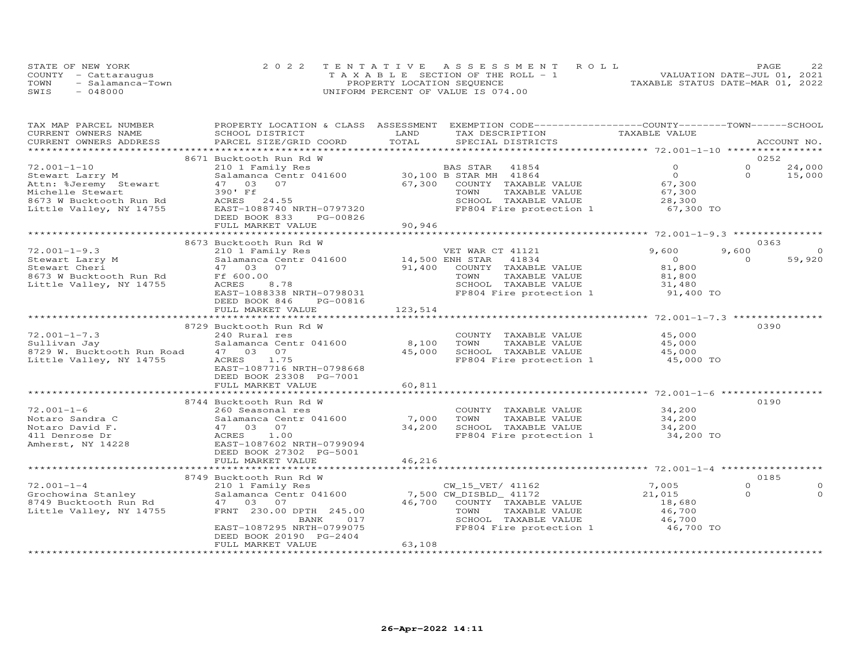|      | STATE OF NEW YORK    | 2022 TENTATIVE ASSESSMENT ROLL        | つつ<br><b>PAGE</b>                |
|------|----------------------|---------------------------------------|----------------------------------|
|      | COUNTY - Cattaraugus | T A X A B L E SECTION OF THE ROLL - 1 | VALUATION DATE-JUL 01, 2021      |
| TOWN | - Salamanca-Town     | PROPERTY LOCATION SEQUENCE            | TAXABLE STATUS DATE-MAR 01, 2022 |
| SWIS | $-048000$            | UNIFORM PERCENT OF VALUE IS 074.00    |                                  |

| TAX MAP PARCEL NUMBER                                                  | PROPERTY LOCATION & CLASS ASSESSMENT                       |         | EXEMPTION CODE-----------------COUNTY-------TOWN-----SCHOOL      |                             |          |             |
|------------------------------------------------------------------------|------------------------------------------------------------|---------|------------------------------------------------------------------|-----------------------------|----------|-------------|
| CURRENT OWNERS NAME                                                    | SCHOOL DISTRICT                                            | LAND    | TAX DESCRIPTION                                                  | TAXABLE VALUE               |          |             |
| CURRENT OWNERS ADDRESS                                                 | PARCEL SIZE/GRID COORD                                     | TOTAL   | SPECIAL DISTRICTS                                                |                             |          | ACCOUNT NO. |
|                                                                        | 8671 Bucktooth Run Rd W                                    |         |                                                                  |                             |          | 0252        |
| $72.001 - 1 - 10$                                                      | 210 1 Family Res                                           |         | BAS STAR 41854                                                   | $\Omega$                    | $\Omega$ | 24,000      |
| Stewart Larry M                                                        | Salamanca Centr 041600 30,100 B STAR MH 41864              |         |                                                                  | $\overline{O}$              | $\Omega$ | 15,000      |
| Attn: %Jeremy Stewart                                                  | 47 03 07                                                   | 67,300  | COUNTY TAXABLE VALUE                                             | 67,300                      |          |             |
| Michelle Stewart                                                       | 390' Ff                                                    |         | TOWN                                                             |                             |          |             |
| 8673 W Bucktooth Run Rd                                                | ACRES 24.55                                                |         | TAXABLE VALUE<br>SCHOOL TAXABLE VALUE                            | 67,300<br>$0,100$<br>28,300 |          |             |
| Little Valley, NY 14755                                                | EAST-1088740 NRTH-0797320                                  |         | FP804 Fire protection 1 67,300 TO                                |                             |          |             |
|                                                                        | DEED BOOK 833<br>PG-00826                                  |         |                                                                  |                             |          |             |
|                                                                        | FULL MARKET VALUE                                          | 90,946  |                                                                  |                             |          |             |
|                                                                        |                                                            |         |                                                                  |                             |          |             |
|                                                                        | 8673 Bucktooth Run Rd W                                    |         |                                                                  |                             |          | 0363        |
| $72.001 - 1 - 9.3$                                                     |                                                            |         | VET WAR CT 41121                                                 | 9,600                       | 9,600    | $\Omega$    |
| Stewart Larry M                                                        | 210 1 Family Res<br>Salamanca Centr 041600 14,500 ENH STAR |         | 41834                                                            | $\overline{O}$              | $\Omega$ | 59,920      |
| Stewart Cheri                                                          | 47 03 07                                                   | 91,400  | COUNTY TAXABLE VALUE                                             | 81,800                      |          |             |
| 8673 W Bucktooth Run Rd                                                | Ff 600.00                                                  |         | TOWN<br>TAXABLE VALUE                                            | 81,800                      |          |             |
| Little Valley, NY 14755                                                | ACRES<br>8.78                                              |         | SCHOOL TAXABLE VALUE                                             | 31,480                      |          |             |
|                                                                        | EAST-1088338 NRTH-0798031                                  |         | FP804 Fire protection 1                                          | 91,400 TO                   |          |             |
|                                                                        | DEED BOOK 846<br>PG-00816                                  |         |                                                                  |                             |          |             |
|                                                                        | FULL MARKET VALUE                                          | 123,514 |                                                                  |                             |          |             |
|                                                                        |                                                            |         |                                                                  |                             |          |             |
|                                                                        | 8729 Bucktooth Run Rd W                                    |         |                                                                  |                             |          | 0390        |
| $72.001 - 1 - 7.3$                                                     | 240 Rural res                                              |         | COUNTY TAXABLE VALUE                                             | 45,000                      |          |             |
| Sullivan Jay                                                           | Salamanca Centr 041600 8,100                               |         | TOWN<br>TAXABLE VALUE                                            | 45,000                      |          |             |
| 8729 W. Bucktooth Run Road                                             | 47 03 07                                                   | 45,000  | SCHOOL TAXABLE VALUE                                             | 45,000                      |          |             |
| Little Valley, NY 14755                                                | 1.75<br>ACRES                                              |         | FP804 Fire protection 1 45,000 TO                                |                             |          |             |
|                                                                        | EAST-1087716 NRTH-0798668                                  |         |                                                                  |                             |          |             |
|                                                                        | DEED BOOK 23308 PG-7001                                    |         |                                                                  |                             |          |             |
|                                                                        | FULL MARKET VALUE                                          | 60,811  |                                                                  |                             |          |             |
|                                                                        |                                                            |         |                                                                  |                             |          |             |
|                                                                        | 8744 Bucktooth Run Rd W                                    |         |                                                                  |                             |          | 0190        |
| $72.001 - 1 - 6$                                                       | 260 Seasonal res                                           |         | COUNTY TAXABLE VALUE                                             | 34,200                      |          |             |
| Notaro Sandra C                                                        | Salamanca Centr 041600 7,000                               |         | TAXABLE VALUE<br>TOWN                                            | 34,200                      |          |             |
| Notaro David F.                                                        | 47 03 07                                                   | 34,200  | SCHOOL TAXABLE VALUE                                             | 34,200                      |          |             |
| 411 Denrose Dr                                                         | ACRES<br>1.00                                              |         | SCHOOL IAXABLE VALUE 74,200<br>FP804 Fire protection 1 34,200 TO |                             |          |             |
| Amherst, NY 14228                                                      | EAST-1087602 NRTH-0799094                                  |         |                                                                  |                             |          |             |
|                                                                        | DEED BOOK 27302 PG-5001                                    |         |                                                                  |                             |          |             |
|                                                                        | FULL MARKET VALUE                                          | 46,216  |                                                                  |                             |          |             |
|                                                                        |                                                            |         |                                                                  |                             |          |             |
|                                                                        | 8749 Bucktooth Run Rd W                                    |         |                                                                  |                             |          | 0185        |
| $72.001 - 1 - 4$                                                       | 210 1 Family Res                                           |         | CW 15 VET/ 41162                                                 | 7,005                       | $\Omega$ | $\Omega$    |
| Grochowina Stanley<br>8749 Bucktooth Run Rd<br>Little Valley, NY 14755 | Salamanca Centr 041600                                     |         | 7,500 CW_DISBLD_ 41172                                           | 21,015                      | $\Omega$ | $\Omega$    |
|                                                                        | 47 03 07                                                   |         | 46,700 COUNTY TAXABLE VALUE                                      | 18,680                      |          |             |
|                                                                        | FRNT 230.00 DPTH 245.00                                    |         | TOWN<br>TAXABLE VALUE                                            | 46,700                      |          |             |
|                                                                        | BANK<br>017                                                |         | SCHOOL TAXABLE VALUE                                             | 46,700                      |          |             |
|                                                                        | EAST-1087295 NRTH-0799075                                  |         | FP804 Fire protection 1                                          | 46,700 TO                   |          |             |
|                                                                        | DEED BOOK 20190 PG-2404                                    |         |                                                                  |                             |          |             |
|                                                                        | FULL MARKET VALUE                                          | 63,108  |                                                                  |                             |          |             |
|                                                                        |                                                            |         |                                                                  |                             |          |             |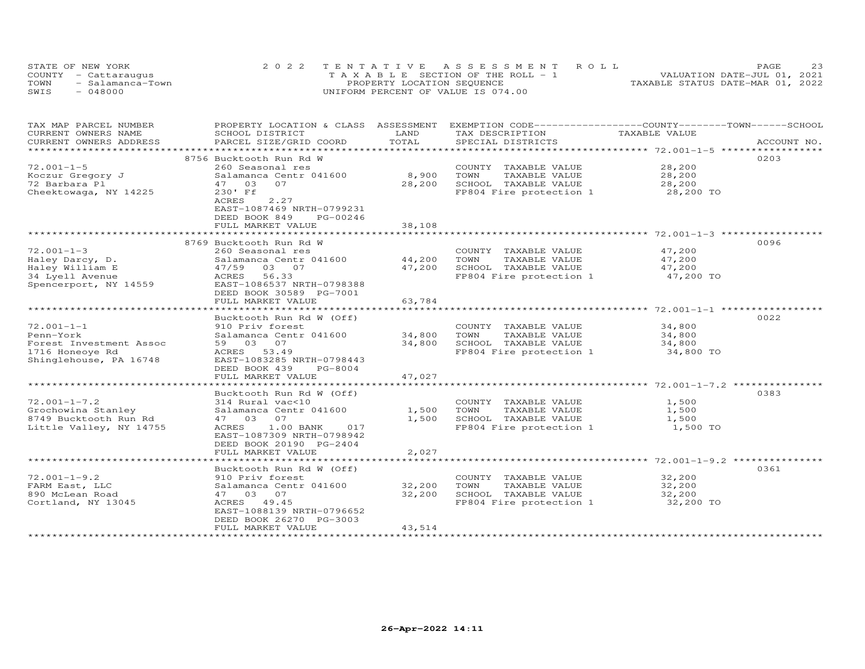|      | STATE OF NEW YORK    | 2022 TENTATIVE ASSESSMENT ROLL        | 23<br>PAGE                       |
|------|----------------------|---------------------------------------|----------------------------------|
|      | COUNTY - Cattaraugus | T A X A B L E SECTION OF THE ROLL - 1 | VALUATION DATE-JUL 01, 2021      |
| TOWN | - Salamanca-Town     | PROPERTY LOCATION SEQUENCE            | TAXABLE STATUS DATE-MAR 01, 2022 |
| SWIS | $-048000$            | UNIFORM PERCENT OF VALUE IS 074.00    |                                  |

| TAX MAP PARCEL NUMBER                       |                                                  |                          | PROPERTY LOCATION & CLASS ASSESSMENT EXEMPTION CODE----------------COUNTY-------TOWN-----SCHOOL |                                                 |             |
|---------------------------------------------|--------------------------------------------------|--------------------------|-------------------------------------------------------------------------------------------------|-------------------------------------------------|-------------|
| CURRENT OWNERS NAME                         | SCHOOL DISTRICT                                  | LAND                     | TAX DESCRIPTION                                                                                 | TAXABLE VALUE                                   |             |
| CURRENT OWNERS ADDRESS                      | PARCEL SIZE/GRID COORD                           | TOTAL                    | SPECIAL DISTRICTS                                                                               |                                                 | ACCOUNT NO. |
| *********************                       |                                                  |                          |                                                                                                 |                                                 |             |
|                                             | 8756 Bucktooth Run Rd W                          |                          |                                                                                                 |                                                 | 0203        |
| $72.001 - 1 - 5$                            | 260 Seasonal res                                 |                          | COUNTY TAXABLE VALUE                                                                            | 28,200                                          |             |
| Koczur Gregory J                            | Salamanca Centr 041600                           | 8,900                    | TOWN<br>TAXABLE VALUE                                                                           | 28,200                                          |             |
| 72 Barbara Pl                               | 47 03<br>07                                      | 28,200                   | SCHOOL TAXABLE VALUE                                                                            | 28,200                                          |             |
| Cheektowaga, NY 14225                       | 230' Ff                                          |                          | FP804 Fire protection 1                                                                         | 28,200 TO                                       |             |
|                                             | 2.27<br>ACRES                                    |                          |                                                                                                 |                                                 |             |
|                                             | EAST-1087469 NRTH-0799231                        |                          |                                                                                                 |                                                 |             |
|                                             | DEED BOOK 849<br>PG-00246                        |                          |                                                                                                 |                                                 |             |
|                                             | FULL MARKET VALUE                                | 38,108                   |                                                                                                 |                                                 |             |
|                                             |                                                  |                          |                                                                                                 |                                                 |             |
|                                             | 8769 Bucktooth Run Rd W                          |                          |                                                                                                 |                                                 | 0096        |
| $72.001 - 1 - 3$                            | 260 Seasonal res                                 |                          | COUNTY TAXABLE VALUE                                                                            | 47,200                                          |             |
| Haley Darcy, D.                             | Salamanca Centr 041600                           | 44,200                   | TAXABLE VALUE<br>TOWN                                                                           | 47,200                                          |             |
| Haley William E                             | 47/59 03 07                                      | 47,200                   | SCHOOL TAXABLE VALUE                                                                            | 47,200                                          |             |
| 34 Lyell Avenue                             | 56.33<br>ACRES                                   |                          | FP804 Fire protection 1                                                                         | 47,200 TO                                       |             |
| Spencerport, NY 14559                       | EAST-1086537 NRTH-0798388                        |                          |                                                                                                 |                                                 |             |
|                                             | DEED BOOK 30589 PG-7001                          |                          |                                                                                                 |                                                 |             |
|                                             | FULL MARKET VALUE                                | 63,784                   |                                                                                                 |                                                 |             |
|                                             |                                                  |                          |                                                                                                 |                                                 |             |
|                                             | Bucktooth Run Rd W (Off)                         |                          |                                                                                                 |                                                 | 0022        |
| $72.001 - 1 - 1$                            | 910 Priv forest                                  |                          | COUNTY TAXABLE VALUE                                                                            | 34,800                                          |             |
| Penn-York                                   | Salamanca Centr 041600                           | 34,800                   | TOWN<br>TAXABLE VALUE                                                                           | 34,800                                          |             |
| Forest Investment Assoc                     | 59 03 07                                         | 34,800                   | SCHOOL TAXABLE VALUE                                                                            | 34,800                                          |             |
| 1716 Honeoye Rd                             | ACRES 53.49                                      |                          | FP804 Fire protection 1 34,800 TO                                                               |                                                 |             |
| Shinglehouse, PA 16748                      | EAST-1083285 NRTH-0798443                        |                          |                                                                                                 |                                                 |             |
|                                             | DEED BOOK 439<br>PG-8004                         |                          |                                                                                                 |                                                 |             |
|                                             | FULL MARKET VALUE                                | 47,027                   |                                                                                                 |                                                 |             |
|                                             |                                                  | * * * * * * * * * *      |                                                                                                 | ************************ 72.001-1-7.2 ********* |             |
|                                             | Bucktooth Run Rd W (Off)                         |                          |                                                                                                 |                                                 | 0383        |
| $72.001 - 1 - 7.2$                          | 314 Rural vac<10                                 |                          |                                                                                                 | 1,500                                           |             |
|                                             | Salamanca Centr 041600                           | 1,500                    | COUNTY TAXABLE VALUE<br>TOWN<br>TAXABLE VALUE                                                   | 1,500                                           |             |
| Grochowina Stanley<br>8749 Bucktooth Run Rd | 47 03 07                                         | 1,500                    | SCHOOL TAXABLE VALUE                                                                            | 1,500                                           |             |
| Little Valley, NY 14755                     | ACRES<br>1.00 BANK<br>017                        |                          | FP804 Fire protection 1                                                                         |                                                 |             |
|                                             | EAST-1087309 NRTH-0798942                        |                          |                                                                                                 | 1,500 TO                                        |             |
|                                             |                                                  |                          |                                                                                                 |                                                 |             |
|                                             | DEED BOOK 20190 PG-2404                          |                          |                                                                                                 |                                                 |             |
|                                             | FULL MARKET VALUE<br>*************************** | 2,027<br>*************** |                                                                                                 |                                                 |             |
|                                             |                                                  |                          |                                                                                                 |                                                 |             |
|                                             | Bucktooth Run Rd W (Off)                         |                          |                                                                                                 |                                                 | 0361        |
| $72.001 - 1 - 9.2$                          | 910 Priv forest                                  |                          | COUNTY TAXABLE VALUE                                                                            | 32,200                                          |             |
| FARM East, LLC                              | Salamanca Centr 041600                           | 32,200                   | TOWN<br>TAXABLE VALUE                                                                           | 32,200                                          |             |
| 890 McLean Road                             | 47 03 07                                         | 32,200                   | SCHOOL TAXABLE VALUE                                                                            | 32,200                                          |             |
| Cortland, NY 13045                          | ACRES 49.45                                      |                          | FP804 Fire protection 1 32,200 TO                                                               |                                                 |             |
|                                             | EAST-1088139 NRTH-0796652                        |                          |                                                                                                 |                                                 |             |
|                                             | DEED BOOK 26270 PG-3003                          |                          |                                                                                                 |                                                 |             |
|                                             | FULL MARKET VALUE<br>*******************         | 43,514                   |                                                                                                 |                                                 |             |
|                                             |                                                  |                          |                                                                                                 |                                                 |             |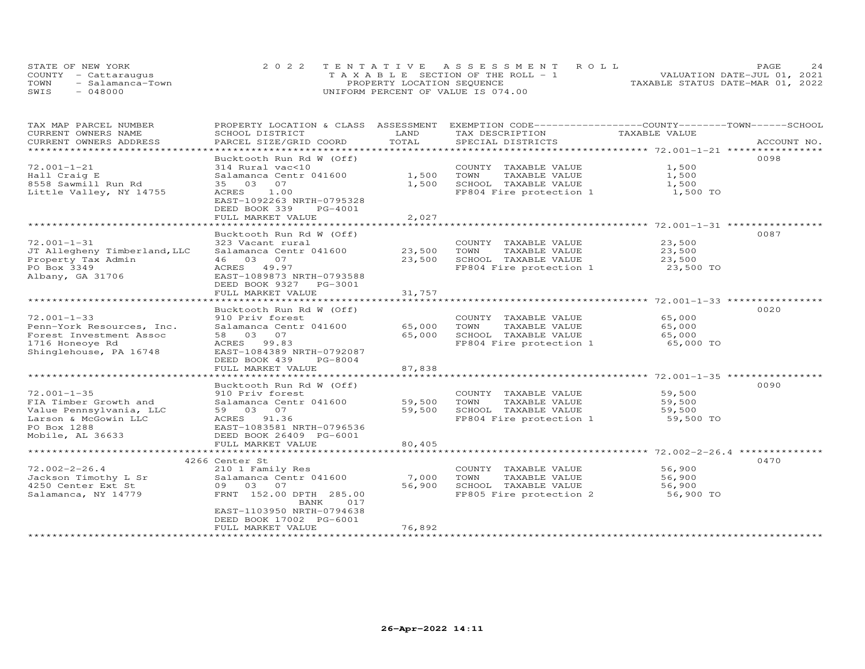| STATE OF NEW YORK |                      | 2022 TENTATIVE ASSESSMENT ROLL        | PAGE.                            |
|-------------------|----------------------|---------------------------------------|----------------------------------|
|                   | COUNTY - Cattaraugus | T A X A B L E SECTION OF THE ROLL - 1 | VALUATION DATE-JUL 01, 2021      |
| TOWN              | - Salamanca-Town     | PROPERTY LOCATION SEQUENCE            | TAXABLE STATUS DATE-MAR 01, 2022 |
| SWIS              | $-048000$            | UNIFORM PERCENT OF VALUE IS 074.00    |                                  |

| TAX MAP PARCEL NUMBER        |                                        |        | PROPERTY LOCATION & CLASS ASSESSMENT EXEMPTION CODE----------------COUNTY-------TOWN-----SCHOOL |               |             |
|------------------------------|----------------------------------------|--------|-------------------------------------------------------------------------------------------------|---------------|-------------|
| CURRENT OWNERS NAME          | SCHOOL DISTRICT                        | LAND   | TAX DESCRIPTION                                                                                 | TAXABLE VALUE |             |
| CURRENT OWNERS ADDRESS       | PARCEL SIZE/GRID COORD                 | TOTAL  | SPECIAL DISTRICTS                                                                               |               | ACCOUNT NO. |
| ***********************      |                                        |        |                                                                                                 |               |             |
|                              | Bucktooth Run Rd W (Off)               |        |                                                                                                 |               | 0098        |
| $72.001 - 1 - 21$            | 314 Rural vac<10                       |        | COUNTY TAXABLE VALUE                                                                            | 1,500         |             |
| Hall Craig E                 | Salamanca Centr 041600                 | 1,500  | TOWN<br>TAXABLE VALUE                                                                           | 1,500         |             |
| 8558 Sawmill Run Rd          | 35 03<br>07                            | 1,500  | SCHOOL TAXABLE VALUE                                                                            | 1,500         |             |
| Little Valley, NY 14755      | 1.00<br>ACRES                          |        | FP804 Fire protection 1                                                                         | 1,500 TO      |             |
|                              | EAST-1092263 NRTH-0795328              |        |                                                                                                 |               |             |
|                              | DEED BOOK 339<br>PG-4001               |        |                                                                                                 |               |             |
|                              | FULL MARKET VALUE                      | 2,027  |                                                                                                 |               |             |
|                              |                                        |        |                                                                                                 |               |             |
|                              | Bucktooth Run Rd W (Off)               |        |                                                                                                 |               | 0087        |
| $72.001 - 1 - 31$            |                                        |        |                                                                                                 |               |             |
|                              | 323 Vacant rural                       |        | COUNTY TAXABLE VALUE                                                                            | 23,500        |             |
| JT Allegheny Timberland, LLC | Salamanca Centr 041600                 | 23,500 | TAXABLE VALUE<br>TOWN                                                                           | 23,500        |             |
| Property Tax Admin           | 46 03 07                               | 23,500 | SCHOOL TAXABLE VALUE                                                                            | 23,500        |             |
| PO Box 3349                  | ACRES 49.97                            |        | FP804 Fire protection 1                                                                         | 23,500 TO     |             |
| Albany, GA 31706             | EAST-1089873 NRTH-0793588              |        |                                                                                                 |               |             |
|                              | DEED BOOK 9327<br>PG-3001              |        |                                                                                                 |               |             |
|                              | FULL MARKET VALUE                      | 31,757 |                                                                                                 |               |             |
|                              |                                        |        |                                                                                                 |               |             |
|                              | Bucktooth Run Rd W (Off)               |        |                                                                                                 |               | 0020        |
| $72.001 - 1 - 33$            | 910 Priv forest                        |        | COUNTY TAXABLE VALUE                                                                            | 65,000        |             |
| Penn-York Resources, Inc.    | Salamanca Centr 041600                 | 65,000 | TOWN<br>TAXABLE VALUE                                                                           | 65,000        |             |
| Forest Investment Assoc      | 58 03 07                               | 65,000 | SCHOOL TAXABLE VALUE                                                                            | 65,000        |             |
| 1716 Honeoye Rd              | ACRES 99.83                            |        | FP804 Fire protection 1                                                                         | 65,000 TO     |             |
| Shinglehouse, PA 16748       | EAST-1084389 NRTH-0792087              |        |                                                                                                 |               |             |
|                              | DEED BOOK 439<br>$PG-8004$             |        |                                                                                                 |               |             |
|                              | FULL MARKET VALUE                      | 87,838 |                                                                                                 |               |             |
|                              | ************************               |        |                                                                                                 |               |             |
|                              | Bucktooth Run Rd W (Off)               |        |                                                                                                 |               | 0090        |
| $72.001 - 1 - 35$            | 910 Priv forest                        |        | COUNTY TAXABLE VALUE                                                                            | 59,500        |             |
| FIA Timber Growth and        | Salamanca Centr 041600                 | 59,500 | TOWN<br>TAXABLE VALUE                                                                           | 59,500        |             |
| Value Pennsylvania, LLC      | 59 03 07                               | 59,500 | SCHOOL TAXABLE VALUE                                                                            | 59,500        |             |
| Larson & McGowin LLC         | ACRES 91.36                            |        | FP804 Fire protection 1                                                                         | 59,500 TO     |             |
| PO Box 1288                  | EAST-1083581 NRTH-0796536              |        |                                                                                                 |               |             |
| Mobile, AL 36633             | DEED BOOK 26409 PG-6001                |        |                                                                                                 |               |             |
|                              | FULL MARKET VALUE                      | 80,405 |                                                                                                 |               |             |
|                              |                                        |        |                                                                                                 |               |             |
|                              | 4266 Center St                         |        |                                                                                                 |               | 0470        |
| $72.002 - 2 - 26.4$          | 210 1 Family Res                       |        | COUNTY TAXABLE VALUE                                                                            | 56,900        |             |
|                              |                                        |        |                                                                                                 |               |             |
| Jackson Timothy L Sr         | Salamanca Centr 041600                 | 7,000  | TOWN<br>TAXABLE VALUE                                                                           | 56,900        |             |
| 4250 Center Ext St           | 09 03<br>07                            | 56,900 | SCHOOL TAXABLE VALUE                                                                            | 56,900        |             |
| Salamanca, NY 14779          | FRNT 152.00 DPTH 285.00<br>017<br>BANK |        | FP805 Fire protection 2                                                                         | 56,900 TO     |             |
|                              | EAST-1103950 NRTH-0794638              |        |                                                                                                 |               |             |
|                              | DEED BOOK 17002 PG-6001                |        |                                                                                                 |               |             |
|                              | FULL MARKET VALUE                      | 76,892 |                                                                                                 |               |             |
|                              |                                        |        |                                                                                                 |               |             |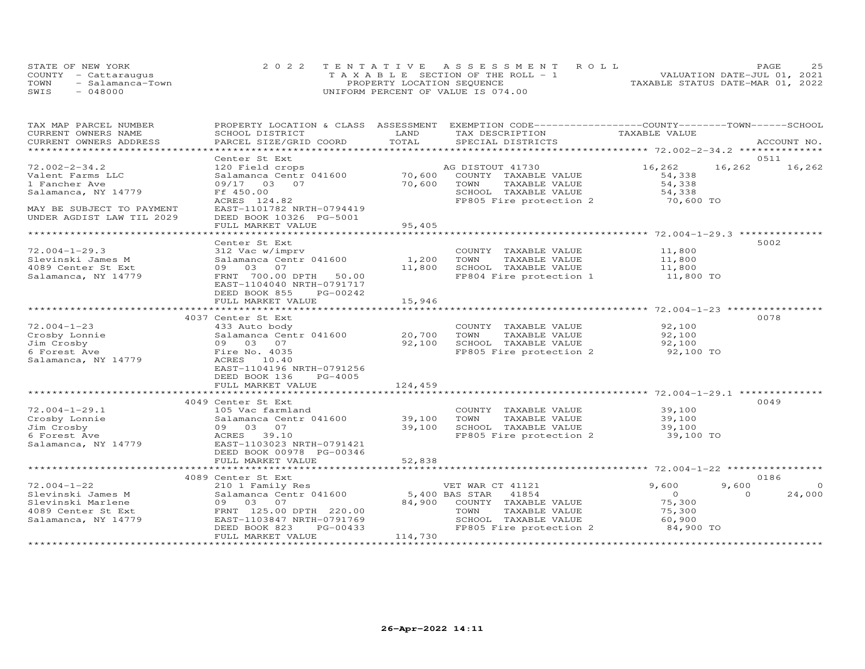| STATE OF NEW YORK    |                  | 2022 TENTATIVE ASSESSMENT ROLL        |  |                                  | <b>PAGE</b> | つら |
|----------------------|------------------|---------------------------------------|--|----------------------------------|-------------|----|
| COUNTY - Cattaraugus |                  | T A X A B L E SECTION OF THE ROLL - 1 |  | VALUATION DATE-JUL 01, 2021      |             |    |
| TOWN                 | - Salamanca-Town | PROPERTY LOCATION SEQUENCE            |  | TAXABLE STATUS DATE-MAR 01, 2022 |             |    |
| SWIS<br>$-048000$    |                  | UNIFORM PERCENT OF VALUE IS 074.00    |  |                                  |             |    |

| TAX MAP PARCEL NUMBER     | PROPERTY LOCATION & CLASS | ASSESSMENT    | EXEMPTION CODE-----------------COUNTY-------TOWN------SCHOOL |                                                         |                    |
|---------------------------|---------------------------|---------------|--------------------------------------------------------------|---------------------------------------------------------|--------------------|
| CURRENT OWNERS NAME       | SCHOOL DISTRICT           | LAND          | TAX DESCRIPTION                                              | TAXABLE VALUE                                           |                    |
| CURRENT OWNERS ADDRESS    | PARCEL SIZE/GRID COORD    | TOTAL         | SPECIAL DISTRICTS                                            |                                                         | ACCOUNT NO.        |
| *******************       |                           |               |                                                              | ************************* 72.002-2-34.2 *************** |                    |
|                           | Center St Ext             |               |                                                              |                                                         | 0511               |
| $72.002 - 2 - 34.2$       | 120 Field crops           |               | AG DISTOUT 41730                                             | 16,262                                                  | 16,262<br>16,262   |
| Valent Farms LLC          | Salamanca Centr 041600    | 70,600        | COUNTY TAXABLE VALUE                                         | 54,338                                                  |                    |
| 1 Fancher Ave             | 09/17 03 07               | 70,600        | TOWN<br>TAXABLE VALUE                                        | 54,338                                                  |                    |
| Salamanca, NY 14779       | Ff 450.00                 |               | SCHOOL TAXABLE VALUE                                         | 54,338                                                  |                    |
|                           | ACRES 124.82              |               | FP805 Fire protection 2                                      | 70,600 TO                                               |                    |
| MAY BE SUBJECT TO PAYMENT | EAST-1101782 NRTH-0794419 |               |                                                              |                                                         |                    |
| UNDER AGDIST LAW TIL 2029 | DEED BOOK 10326 PG-5001   |               |                                                              |                                                         |                    |
|                           | FULL MARKET VALUE         | 95,405        |                                                              |                                                         |                    |
|                           |                           |               |                                                              |                                                         |                    |
|                           | Center St Ext             |               |                                                              |                                                         | 5002               |
| $72.004 - 1 - 29.3$       | 312 Vac w/imprv           |               | COUNTY TAXABLE VALUE                                         | 11,800                                                  |                    |
| Slevinski James M         | Salamanca Centr 041600    | 1,200         | TOWN<br>TAXABLE VALUE                                        | 11,800                                                  |                    |
| 4089 Center St Ext        | 09 03 07                  | 11,800        | SCHOOL TAXABLE VALUE                                         | 11,800                                                  |                    |
| Salamanca, NY 14779       | FRNT 700.00 DPTH 50.00    |               | FP804 Fire protection 1                                      | 11,800 TO                                               |                    |
|                           | EAST-1104040 NRTH-0791717 |               |                                                              |                                                         |                    |
|                           | DEED BOOK 855<br>PG-00242 |               |                                                              |                                                         |                    |
|                           | FULL MARKET VALUE         | 15,946        |                                                              |                                                         |                    |
|                           |                           | ************* |                                                              |                                                         |                    |
|                           | 4037 Center St Ext        |               |                                                              |                                                         | 0078               |
| $72.004 - 1 - 23$         | 433 Auto body             |               | COUNTY TAXABLE VALUE                                         | 92,100                                                  |                    |
| Crosby Lonnie             | Salamanca Centr 041600    | 20,700        | TOWN<br>TAXABLE VALUE                                        | 92,100                                                  |                    |
| Jim Crosby                | 03<br>07<br>09            | 92,100        | SCHOOL TAXABLE VALUE                                         | 92,100                                                  |                    |
| 6 Forest Ave              | Fire No. 4035             |               | FP805 Fire protection 2                                      | 92,100 TO                                               |                    |
| Salamanca, NY 14779       | ACRES 10.40               |               |                                                              |                                                         |                    |
|                           | EAST-1104196 NRTH-0791256 |               |                                                              |                                                         |                    |
|                           | DEED BOOK 136<br>PG-4005  |               |                                                              |                                                         |                    |
|                           | FULL MARKET VALUE         | 124,459       |                                                              |                                                         |                    |
|                           |                           |               |                                                              |                                                         |                    |
|                           | 4049 Center St Ext        |               |                                                              |                                                         | 0049               |
| $72.004 - 1 - 29.1$       | 105 Vac farmland          |               | COUNTY TAXABLE VALUE                                         | 39,100                                                  |                    |
| Crosby Lonnie             | Salamanca Centr 041600    | 39,100        | TOWN<br>TAXABLE VALUE                                        | 39,100                                                  |                    |
| Jim Crosby                | 09 03 07                  | 39,100        | SCHOOL TAXABLE VALUE                                         | 39,100                                                  |                    |
| 6 Forest Ave              | ACRES 39.10               |               | FP805 Fire protection 2                                      | 39,100 TO                                               |                    |
| Salamanca, NY 14779       | EAST-1103023 NRTH-0791421 |               |                                                              |                                                         |                    |
|                           | DEED BOOK 00978 PG-00346  |               |                                                              |                                                         |                    |
|                           | FULL MARKET VALUE         | 52,838        |                                                              |                                                         |                    |
|                           |                           |               |                                                              |                                                         |                    |
|                           | 4089 Center St Ext        |               |                                                              |                                                         | 0186               |
| $72.004 - 1 - 22$         | 210 1 Family Res          |               | VET WAR CT 41121                                             | 9,600                                                   | 9,600<br>$\Omega$  |
| Slevinski James M         | Salamanca Centr 041600    |               | 5,400 BAS STAR<br>41854                                      | $\Omega$                                                | 24,000<br>$\Omega$ |
| Slevinski Marlene         | 09 03 07                  | 84,900        | COUNTY TAXABLE VALUE                                         | 75,300                                                  |                    |
| 4089 Center St Ext        | FRNT 125.00 DPTH 220.00   |               | TAXABLE VALUE<br>TOWN                                        | 75,300                                                  |                    |
| Salamanca, NY 14779       | EAST-1103847 NRTH-0791769 |               | SCHOOL TAXABLE VALUE                                         | 60,900                                                  |                    |
|                           | DEED BOOK 823<br>PG-00433 |               | FP805 Fire protection 2                                      | 84,900 TO                                               |                    |
|                           | FULL MARKET VALUE         | 114,730       |                                                              |                                                         |                    |
|                           |                           |               |                                                              |                                                         |                    |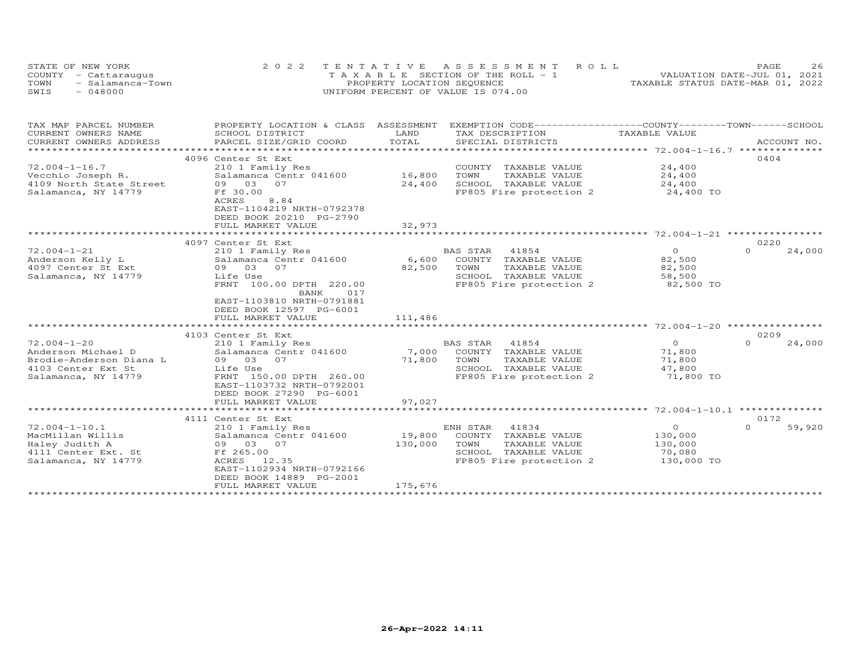|      | STATE OF NEW YORK    | 2022 TENTATIVE ASSESSMENT ROLL        | 2.6<br>PAGE                      |
|------|----------------------|---------------------------------------|----------------------------------|
|      | COUNTY - Cattaraugus | T A X A B L E SECTION OF THE ROLL - 1 | VALUATION DATE-JUL 01, 2021      |
| TOWN | - Salamanca-Town     | PROPERTY LOCATION SEQUENCE            | TAXABLE STATUS DATE-MAR 01, 2022 |
| SWIS | - 048000             | UNIFORM PERCENT OF VALUE IS 074.00    |                                  |

| TAX MAP PARCEL NUMBER                      | PROPERTY LOCATION & CLASS ASSESSMENT |         | EXEMPTION CODE------------------COUNTY-------TOWN------SCHOOL |                                                    |                    |
|--------------------------------------------|--------------------------------------|---------|---------------------------------------------------------------|----------------------------------------------------|--------------------|
| CURRENT OWNERS NAME                        | SCHOOL DISTRICT                      | LAND    | TAX DESCRIPTION                                               | TAXABLE VALUE                                      |                    |
| CURRENT OWNERS ADDRESS                     | PARCEL SIZE/GRID COORD               | TOTAL   | SPECIAL DISTRICTS                                             |                                                    | ACCOUNT NO.        |
| ********************                       |                                      |         |                                                               |                                                    |                    |
|                                            | 4096 Center St Ext                   |         |                                                               |                                                    | 0404               |
| $72.004 - 1 - 16.7$                        | 210 1 Family Res                     |         | COUNTY TAXABLE VALUE                                          | 24,400                                             |                    |
| Vecchio Joseph R.                          | Salamanca Centr 041600               | 16,800  | TOWN<br>TAXABLE VALUE                                         | 24,400                                             |                    |
| 4109 North State Street                    | 09 03<br>07                          | 24,400  | SCHOOL TAXABLE VALUE                                          | 24,400                                             |                    |
| Salamanca, NY 14779                        | Ff 30.00<br>8.84                     |         | FP805 Fire protection 2                                       | 24,400 TO                                          |                    |
|                                            | ACRES<br>EAST-1104219 NRTH-0792378   |         |                                                               |                                                    |                    |
|                                            | DEED BOOK 20210 PG-2790              |         |                                                               |                                                    |                    |
|                                            | FULL MARKET VALUE                    | 32,973  |                                                               |                                                    |                    |
|                                            |                                      |         |                                                               |                                                    |                    |
|                                            | 4097 Center St Ext                   |         |                                                               |                                                    | 0220               |
| $72.004 - 1 - 21$                          | 210 1 Family Res                     |         | BAS STAR<br>41854                                             | $\circ$                                            | $\Omega$<br>24,000 |
| Anderson Kelly L                           | Salamanca Centr 041600               | 6,600   | COUNTY TAXABLE VALUE                                          | 82,500                                             |                    |
| 4097 Center St Ext                         | 09 03 07                             | 82,500  | TOWN<br>TAXABLE VALUE                                         | 82,500                                             |                    |
| Salamanca, NY 14779                        | Life Use                             |         | SCHOOL TAXABLE VALUE                                          | 58,500                                             |                    |
|                                            | FRNT 100.00 DPTH 220.00              |         | FP805 Fire protection 2                                       | 82,500 TO                                          |                    |
|                                            | 017<br>BANK                          |         |                                                               |                                                    |                    |
|                                            | EAST-1103810 NRTH-0791881            |         |                                                               |                                                    |                    |
|                                            | DEED BOOK 12597 PG-6001              |         |                                                               |                                                    |                    |
|                                            | FULL MARKET VALUE                    | 111,486 |                                                               |                                                    |                    |
|                                            |                                      |         |                                                               |                                                    |                    |
|                                            | 4103 Center St Ext                   |         |                                                               |                                                    | 0209               |
| $72.004 - 1 - 20$                          | 210 1 Family Res                     |         | 41854<br><b>BAS STAR</b>                                      | $\circ$                                            | 24,000<br>$\Omega$ |
| Anderson Michael D                         | Salamanca Centr 041600               | 7,000   | COUNTY TAXABLE VALUE                                          | 71,800                                             |                    |
| Brodie-Anderson Diana L                    | 09 03<br>07                          | 71,800  | TOWN<br>TAXABLE VALUE                                         | 71,800                                             |                    |
| 4103 Center Ext St                         | Life Use                             |         | SCHOOL<br>TAXABLE VALUE                                       | 47,800                                             |                    |
| Salamanca, NY 14779                        | FRNT 150.00 DPTH 260.00              |         | FP805 Fire protection 2                                       | 71,800 TO                                          |                    |
|                                            | EAST-1103732 NRTH-0792001            |         |                                                               |                                                    |                    |
|                                            | DEED BOOK 27290 PG-6001              |         |                                                               |                                                    |                    |
|                                            | FULL MARKET VALUE                    | 97,027  |                                                               |                                                    |                    |
|                                            |                                      |         |                                                               | ******************** 72.004-1-10.1 *************** |                    |
|                                            | 4111 Center St Ext                   |         |                                                               |                                                    | 0172               |
| $72.004 - 1 - 10.1$                        | 210 1 Family Res                     |         | ENH STAR<br>41834                                             | $\circ$                                            | $\Omega$<br>59,920 |
| MacMillan Willis                           | Salamanca Centr 041600               | 19,800  | COUNTY TAXABLE VALUE                                          | 130,000                                            |                    |
| Haley Judith A                             | 09 03 07<br>Ff 265.00                | 130,000 | TOWN<br>TAXABLE VALUE<br>SCHOOL TAXABLE VALUE                 | 130,000<br>70,080                                  |                    |
| 4111 Center Ext. St<br>Salamanca, NY 14779 | 12.35<br>ACRES                       |         | FP805 Fire protection 2                                       | 130,000 TO                                         |                    |
|                                            | EAST-1102934 NRTH-0792166            |         |                                                               |                                                    |                    |
|                                            | DEED BOOK 14889 PG-2001              |         |                                                               |                                                    |                    |
|                                            | FULL MARKET VALUE                    | 175,676 |                                                               |                                                    |                    |
|                                            |                                      |         |                                                               |                                                    |                    |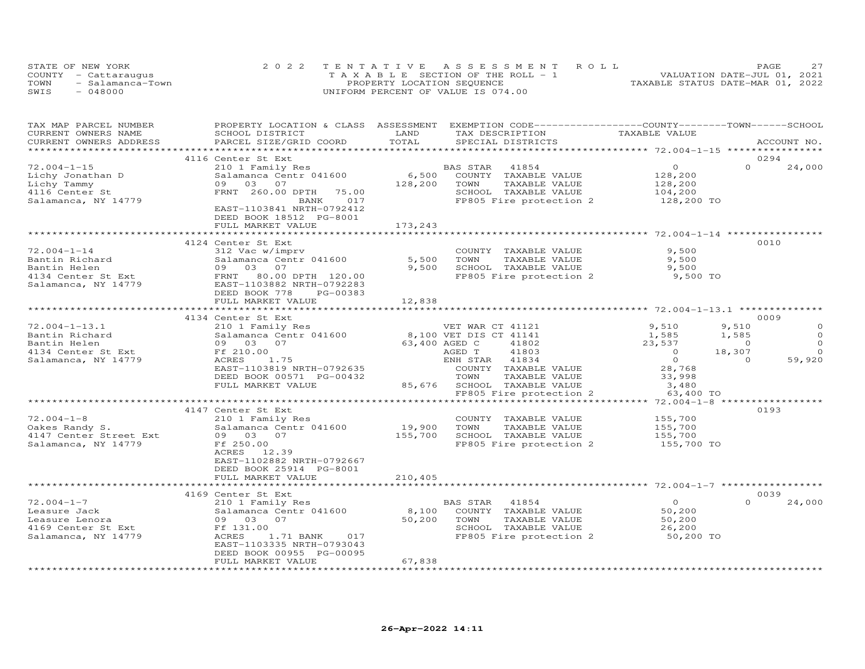|      | STATE OF NEW YORK    | 2022 TENTATIVE ASSESSMENT ROLL        | 27<br>PAGE.                      |
|------|----------------------|---------------------------------------|----------------------------------|
|      | COUNTY - Cattaraugus | T A X A B L E SECTION OF THE ROLL - 1 | VALUATION DATE-JUL 01, 2021      |
| TOWN | - Salamanca-Town     | PROPERTY LOCATION SEQUENCE            | TAXABLE STATUS DATE-MAR 01, 2022 |
| SWIS | $-048000$            | UNIFORM PERCENT OF VALUE IS 074.00    |                                  |

| TAX MAP PARCEL NUMBER           |                                                                                                                                                                            | PROPERTY LOCATION & CLASS ASSESSMENT EXEMPTION CODE----------------COUNTY-------TOWN-----SCHOOL |                                                            |                    |
|---------------------------------|----------------------------------------------------------------------------------------------------------------------------------------------------------------------------|-------------------------------------------------------------------------------------------------|------------------------------------------------------------|--------------------|
| CURRENT OWNERS NAME             | SCHOOL DISTRICT                                                                                                                                                            | LAND<br>TAX DESCRIPTION                                                                         | TAXABLE VALUE                                              |                    |
| CURRENT OWNERS ADDRESS          | PARCEL SIZE/GRID COORD                                                                                                                                                     | TOTAL<br>SPECIAL DISTRICTS                                                                      |                                                            | ACCOUNT NO.        |
|                                 |                                                                                                                                                                            |                                                                                                 |                                                            |                    |
|                                 | 4116 Center St Ext                                                                                                                                                         |                                                                                                 |                                                            | 0294               |
| $72.004 - 1 - 15$               | 210 1 Family Res                                                                                                                                                           | BAS STAR 41854                                                                                  | $\overline{O}$                                             | $\Omega$<br>24,000 |
| Lichy Jonathan D                | Salamanca Centr 041600                                                                                                                                                     | 6,500 COUNTY TAXABLE VALUE                                                                      | 128,200                                                    |                    |
| Lichy Tammy                     |                                                                                                                                                                            | 128,200 TOWN<br>TAXABLE VALUE                                                                   |                                                            |                    |
| 4116 Center St                  | 09 03 07<br>FRNT 260.00 DPTH 75.00<br>RANK 017                                                                                                                             | SCHOOL TAXABLE VALUE                                                                            | 128,200<br>104,200                                         |                    |
| Salamanca, NY 14779             |                                                                                                                                                                            |                                                                                                 | FP805 Fire protection 2 128,200 TO                         |                    |
|                                 | EAST-1103841 NRTH-0792412                                                                                                                                                  |                                                                                                 |                                                            |                    |
|                                 |                                                                                                                                                                            |                                                                                                 |                                                            |                    |
|                                 | DEED BOOK 18512 PG-8001                                                                                                                                                    |                                                                                                 |                                                            |                    |
|                                 | FULL MARKET VALUE                                                                                                                                                          | 173,243                                                                                         |                                                            |                    |
|                                 |                                                                                                                                                                            |                                                                                                 |                                                            |                    |
|                                 | 4124 Center St Ext                                                                                                                                                         |                                                                                                 |                                                            | 0010               |
| $72.004 - 1 - 14$               | 312 Vac w/imprv                                                                                                                                                            | COUNTY TAXABLE VALUE                                                                            | 9,500                                                      |                    |
| Bantin Richard                  | Salamanca Centr 041600                                                                                                                                                     | 5,500 TOWN<br>TAXABLE VALUE                                                                     | 9,500                                                      |                    |
|                                 |                                                                                                                                                                            | 9,500 SCHOOL TAXABLE VALUE                                                                      | 9,500                                                      |                    |
|                                 | Bantin Kichard<br>Bantin Helen<br>4134 Center St Ext<br>52 Salamanca, NY 14779<br>52 Salamanca, NY 14779<br>2000 PTEN POOK 778<br>2000 PTEN POOK 778<br>2000 PTEN PG-00383 | FP805 Fire protection 2                                                                         | 9,500 TO                                                   |                    |
|                                 |                                                                                                                                                                            |                                                                                                 |                                                            |                    |
|                                 | DEED BOOK 778<br>PG-00383                                                                                                                                                  |                                                                                                 |                                                            |                    |
|                                 | FULL MARKET VALUE                                                                                                                                                          | 12,838                                                                                          |                                                            |                    |
|                                 |                                                                                                                                                                            | * * * * * * * * * * *                                                                           |                                                            |                    |
|                                 | 4134 Center St Ext                                                                                                                                                         |                                                                                                 |                                                            | 0009               |
| $72.004 - 1 - 13.1$             | 210 1 Family Res                                                                                                                                                           | VET WAR CT 41121                                                                                | 9,510                                                      | 9,510<br>$\circ$   |
| Bantin Richard                  |                                                                                                                                                                            | Salamanca Centr 041600 8,100 VET DIS CT 41141                                                   | 1,585                                                      | $\circ$<br>1,585   |
| Bantin Helen                    | 09 03 07                                                                                                                                                                   |                                                                                                 |                                                            | $\Omega$           |
|                                 |                                                                                                                                                                            | 63,400 AGED C<br>41802                                                                          | $23,537$ 0<br>0<br>18,307                                  |                    |
| 4134 Center St Ext Ff 210.00    |                                                                                                                                                                            | AGED T<br>41803                                                                                 |                                                            | $\Omega$           |
| Salamanca, NY 14779             | ACRES<br>1.75                                                                                                                                                              | ENH STAR 41834                                                                                  | $\overline{0}$                                             | 59,920<br>$\sim$ 0 |
|                                 | EAST-1103819 NRTH-0792635                                                                                                                                                  | COUNTY TAXABLE VALUE<br>TOWN     TAXABLE VALUE                                                  | 28,768<br>33,998                                           |                    |
|                                 | DEED BOOK 00571 PG-00432                                                                                                                                                   |                                                                                                 |                                                            |                    |
|                                 | FULL MARKET VALUE                                                                                                                                                          | 85,676 SCHOOL TAXABLE VALUE                                                                     | 3,480                                                      |                    |
|                                 |                                                                                                                                                                            | FP805 Fire protection 2                                                                         | 63,400 TO                                                  |                    |
|                                 |                                                                                                                                                                            |                                                                                                 |                                                            |                    |
|                                 | 4147 Center St Ext                                                                                                                                                         |                                                                                                 |                                                            | 0193               |
| $72.004 - 1 - 8$                | 210 1 Family Res                                                                                                                                                           |                                                                                                 |                                                            |                    |
| 72.004–1–8<br>Oakes Randy S.    | Salamanca Centr 041600                                                                                                                                                     | 19,900 TOWN TAXABLE VALUE<br>155,700 SCHOOL TAXABLE VALUE                                       | COUNTY TAXABLE VALUE 155,700<br>TOWN TAXABLE VALUE 155,700 |                    |
| 4147 Center Street Ext 09 03 07 |                                                                                                                                                                            |                                                                                                 | 155,700                                                    |                    |
| Salamanca, NY 14779             | Ff 250.00                                                                                                                                                                  | FP805 Fire protection 2                                                                         | 155,700 TO                                                 |                    |
|                                 | ACRES 12.39                                                                                                                                                                |                                                                                                 |                                                            |                    |
|                                 | EAST-1102882 NRTH-0792667                                                                                                                                                  |                                                                                                 |                                                            |                    |
|                                 | DEED BOOK 25914 PG-8001                                                                                                                                                    |                                                                                                 |                                                            |                    |
|                                 |                                                                                                                                                                            |                                                                                                 |                                                            |                    |
|                                 | FULL MARKET VALUE                                                                                                                                                          | 210,405                                                                                         |                                                            |                    |
|                                 |                                                                                                                                                                            |                                                                                                 |                                                            |                    |
|                                 | 4169 Center St Ext                                                                                                                                                         |                                                                                                 |                                                            | 0039               |
| $72.004 - 1 - 7$                | 210 1 Family Res                                                                                                                                                           | BAS STAR 41854                                                                                  | $\overline{O}$                                             | $\Omega$<br>24,000 |
| Leasure Jack                    | Salamanca Centr 041600                                                                                                                                                     | 8,100 COUNTY TAXABLE VALUE                                                                      | 50,200                                                     |                    |
| Leasure Lenora                  | 09 03 07                                                                                                                                                                   | 50,200 TOWN<br>TAXABLE VALUE                                                                    | 50,200<br>26,200                                           |                    |
| 4169 Center St Ext              | Ff 131.00                                                                                                                                                                  | SCHOOL TAXABLE VALUE                                                                            |                                                            |                    |
| Salamanca, NY 14779             | 1.71 BANK 017<br>ACRES                                                                                                                                                     |                                                                                                 | FP805 Fire protection 2 50,200 TO                          |                    |
|                                 | EAST-1103335 NRTH-0793043                                                                                                                                                  |                                                                                                 |                                                            |                    |
|                                 | DEED BOOK 00955 PG-00095                                                                                                                                                   |                                                                                                 |                                                            |                    |
|                                 | FULL MARKET VALUE                                                                                                                                                          | 67,838                                                                                          |                                                            |                    |
|                                 |                                                                                                                                                                            |                                                                                                 |                                                            |                    |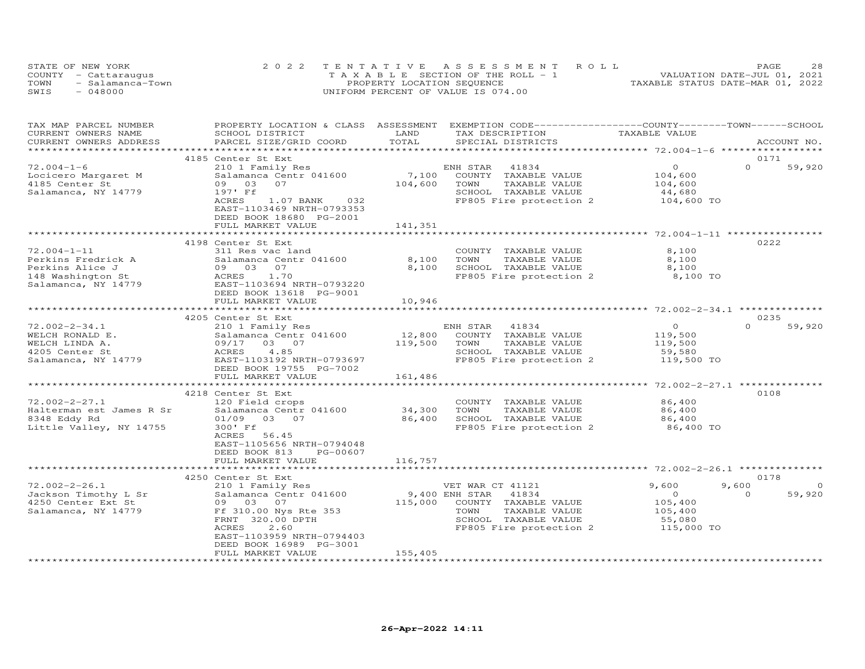| STATE OF NEW YORK        | 2022 TENTATIVE ASSESSMENT ROLL        | 28<br><b>PAGE</b>                |
|--------------------------|---------------------------------------|----------------------------------|
| COUNTY - Cattaraugus     | T A X A B L E SECTION OF THE ROLL - 1 | VALUATION DATE-JUL 01, 2021      |
| TOWN<br>- Salamanca-Town | PROPERTY LOCATION SEQUENCE            | TAXABLE STATUS DATE-MAR 01, 2022 |
| SWIS<br>- 048000         | UNIFORM PERCENT OF VALUE IS 074.00    |                                  |

| TAX MAP PARCEL NUMBER                                                                                                                     | PROPERTY LOCATION & CLASS ASSESSMENT EXEMPTION CODE-----------------COUNTY-------TOWN------SCHOOL |                  |                                                           |                    |                         |
|-------------------------------------------------------------------------------------------------------------------------------------------|---------------------------------------------------------------------------------------------------|------------------|-----------------------------------------------------------|--------------------|-------------------------|
| CURRENT OWNERS NAME                                                                                                                       | SCHOOL DISTRICT                                                                                   | LAND             | TAX DESCRIPTION                                           | TAXABLE VALUE      |                         |
| CURRENT OWNERS ADDRESS                                                                                                                    | PARCEL SIZE/GRID COORD                                                                            | TOTAL            | SPECIAL DISTRICTS                                         |                    | ACCOUNT NO.             |
|                                                                                                                                           |                                                                                                   |                  |                                                           |                    |                         |
|                                                                                                                                           | 4185 Center St Ext                                                                                |                  |                                                           |                    | 0171                    |
| $72.004 - 1 - 6$                                                                                                                          | 210 1 Family Res                                                                                  |                  | ENH STAR 41834                                            | $\overline{O}$     | $\Omega$<br>59,920      |
| Locicero Margaret M                                                                                                                       | Salamanca Centr 041600                                                                            | 7,100            | COUNTY TAXABLE VALUE                                      | 104,600<br>104,600 |                         |
| 4185 Center St                                                                                                                            | 09 03<br>07                                                                                       | 104,600          | TOWN<br>TAXABLE VALUE                                     |                    |                         |
| Salamanca, NY 14779                                                                                                                       | 197' Ff                                                                                           |                  | SCHOOL TAXABLE VALUE                                      | 44,680             |                         |
|                                                                                                                                           | $1.07$ BANK<br>032<br>ACRES                                                                       |                  | FP805 Fire protection 2 104,600 TO                        |                    |                         |
|                                                                                                                                           | EAST-1103469 NRTH-0793353                                                                         |                  |                                                           |                    |                         |
|                                                                                                                                           | DEED BOOK 18680 PG-2001                                                                           |                  |                                                           |                    |                         |
|                                                                                                                                           | FULL MARKET VALUE                                                                                 | 141,351          |                                                           |                    |                         |
|                                                                                                                                           |                                                                                                   |                  |                                                           |                    |                         |
|                                                                                                                                           | 4198 Center St Ext                                                                                |                  |                                                           |                    | 0222                    |
| $72.004-1-11$<br>Perkins Fredrick A Salamanca Cent<br>Perkins Alice J 09 03 07<br>148 Washington St ACRES 1.70<br>NY 14779 EAST-1103694 1 | 311 Res vac land                                                                                  |                  | COUNTY TAXABLE VALUE                                      | 8,100              |                         |
|                                                                                                                                           | Salamanca Centr 041600 8,100                                                                      |                  | TAXABLE VALUE<br>TOWN                                     | 8,100              |                         |
|                                                                                                                                           |                                                                                                   | 8,100            | SCHOOL TAXABLE VALUE                                      | 8,100              |                         |
|                                                                                                                                           |                                                                                                   |                  | FP805 Fire protection 2 8,100 TO                          |                    |                         |
|                                                                                                                                           | EAST-1103694 NRTH-0793220                                                                         |                  |                                                           |                    |                         |
|                                                                                                                                           | DEED BOOK 13618 PG-9001                                                                           |                  |                                                           |                    |                         |
|                                                                                                                                           | FULL MARKET VALUE                                                                                 | 10,946           |                                                           |                    |                         |
|                                                                                                                                           |                                                                                                   |                  |                                                           |                    |                         |
|                                                                                                                                           | 4205 Center St Ext                                                                                |                  |                                                           |                    | 0235                    |
| $72.002 - 2 - 34.1$                                                                                                                       | 210 1 Family Res                                                                                  |                  | ENH STAR 41834                                            | $\overline{O}$     | $\Omega$<br>59,920      |
| WELCH RONALD E.                                                                                                                           | Salamanca Centr 041600                                                                            |                  |                                                           |                    |                         |
| WELCH LINDA A.                                                                                                                            |                                                                                                   |                  | 12,800 COUNTY TAXABLE VALUE<br>119,500 TOWN TAXABLE VALUE | 119,500            |                         |
|                                                                                                                                           | 09/17 03 07                                                                                       |                  |                                                           | 119,500            |                         |
| 4205 Center St                                                                                                                            | 4.85<br>ACRES                                                                                     |                  | SCHOOL TAXABLE VALUE<br>FP805 Fire protection 2           | 59,580             |                         |
| Salamanca, NY 14779                                                                                                                       | EAST-1103192 NRTH-0793697                                                                         |                  |                                                           | 119,500 TO         |                         |
|                                                                                                                                           | DEED BOOK 19755 PG-7002                                                                           |                  |                                                           |                    |                         |
|                                                                                                                                           | FULL MARKET VALUE                                                                                 | 161,486          |                                                           |                    |                         |
|                                                                                                                                           |                                                                                                   |                  |                                                           |                    |                         |
|                                                                                                                                           | 4218 Center St Ext                                                                                |                  |                                                           |                    | 0108                    |
| $72.002 - 2 - 27.1$                                                                                                                       | 120 Field crops                                                                                   |                  | COUNTY TAXABLE VALUE                                      | 86,400             |                         |
| Halterman est James R Sr                                                                                                                  | Salamanca Centr 041600                                                                            | 34,300<br>86,400 | TOWN      TAXABLE VALUE<br>SCHOOL   TAXABLE VALUE         | 86,400             |                         |
| 8348 Eddy Rd                                                                                                                              | 01/09 03 07                                                                                       |                  |                                                           | 86,400             |                         |
| Little Valley, NY 14755                                                                                                                   | 300' Ff                                                                                           |                  | FP805 Fire protection 2                                   | 86,400 TO          |                         |
|                                                                                                                                           | 56.45<br>ACRES                                                                                    |                  |                                                           |                    |                         |
|                                                                                                                                           | EAST-1105656 NRTH-0794048                                                                         |                  |                                                           |                    |                         |
|                                                                                                                                           | DEED BOOK 813<br>PG-00607                                                                         |                  |                                                           |                    |                         |
|                                                                                                                                           | FULL MARKET VALUE                                                                                 | 116,757          |                                                           |                    |                         |
|                                                                                                                                           |                                                                                                   |                  |                                                           |                    |                         |
|                                                                                                                                           | 4250 Center St Ext                                                                                |                  |                                                           |                    | 0178                    |
| $72.002 - 2 - 26.1$                                                                                                                       | 210 1 Family Res                                                                                  |                  | VET WAR CT 41121                                          | 9,600              | $\overline{0}$<br>9,600 |
| Jackson Timothy L Sr                                                                                                                      | Salamanca Centr 041600                                                                            | 9,400 ENH STAR   | 41834                                                     | $\overline{0}$     | $\Omega$<br>59,920      |
| 4250 Center Ext St                                                                                                                        | 09 03 07                                                                                          | 115,000          | COUNTY TAXABLE VALUE                                      | 105,400            |                         |
|                                                                                                                                           | Salamanca, NY 14779 Ff 310.00 Nys Rte 353                                                         |                  | TAXABLE VALUE<br>TOWN                                     | 105,400<br>55,080  |                         |
|                                                                                                                                           | FRNT 320.00 DPTH                                                                                  |                  | SCHOOL TAXABLE VALUE                                      |                    |                         |
|                                                                                                                                           | 2.60<br>ACRES                                                                                     |                  | FP805 Fire protection 2 115,000 TO                        |                    |                         |
|                                                                                                                                           | EAST-1103959 NRTH-0794403                                                                         |                  |                                                           |                    |                         |
|                                                                                                                                           | DEED BOOK 16989 PG-3001                                                                           |                  |                                                           |                    |                         |
|                                                                                                                                           | FULL MARKET VALUE                                                                                 | 155,405          |                                                           |                    |                         |
|                                                                                                                                           |                                                                                                   |                  |                                                           |                    |                         |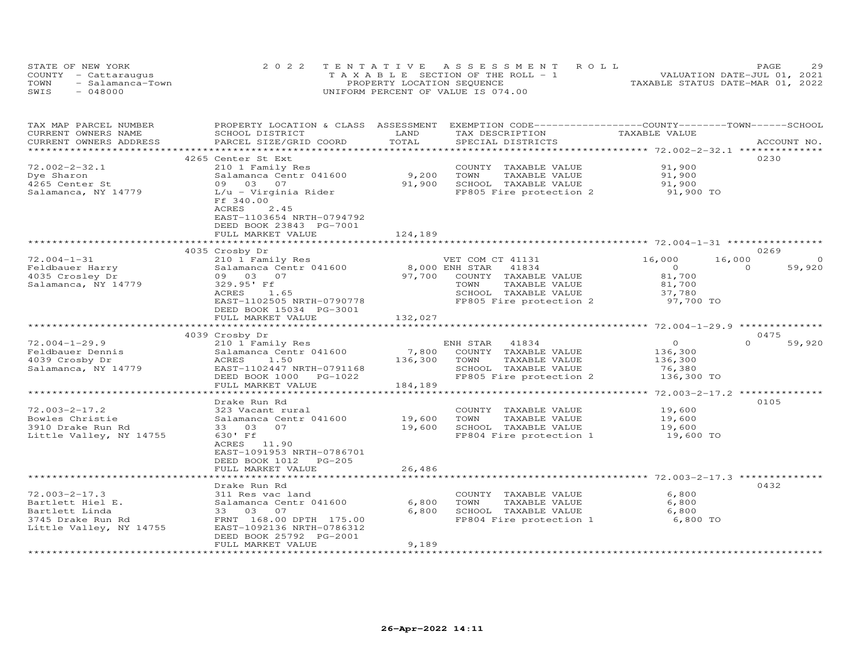|      | STATE OF NEW YORK    | 2022 TENTATIVE ASSESSMENT ROLL        | 29<br>PAGE.                      |
|------|----------------------|---------------------------------------|----------------------------------|
|      | COUNTY - Cattaraugus | T A X A B L E SECTION OF THE ROLL - 1 | VALUATION DATE-JUL 01, 2021      |
| TOWN | - Salamanca-Town     | PROPERTY LOCATION SEQUENCE            | TAXABLE STATUS DATE-MAR 01, 2022 |
| SWTS | - 048000             | UNIFORM PERCENT OF VALUE IS 074.00    |                                  |

| TAX MAP PARCEL NUMBER<br>CURRENT OWNERS NAME | PROPERTY LOCATION & CLASS ASSESSMENT<br>SCHOOL DISTRICT | LAND              | EXEMPTION CODE-----------------COUNTY-------TOWN------SCHOOL<br>TAX DESCRIPTION | TAXABLE VALUE                          |                          |
|----------------------------------------------|---------------------------------------------------------|-------------------|---------------------------------------------------------------------------------|----------------------------------------|--------------------------|
| CURRENT OWNERS ADDRESS                       | PARCEL SIZE/GRID COORD                                  | TOTAL             | SPECIAL DISTRICTS                                                               |                                        | ACCOUNT NO.              |
| *****************                            | *****************************                           |                   |                                                                                 |                                        |                          |
|                                              | 4265 Center St Ext                                      |                   |                                                                                 |                                        | 0230                     |
| $72.002 - 2 - 32.1$                          | 210 1 Family Res                                        |                   | COUNTY TAXABLE VALUE                                                            | 91,900                                 |                          |
| Dye Sharon                                   | Salamanca Centr 041600                                  | 9,200             | TOWN<br>TAXABLE VALUE                                                           | 91,900                                 |                          |
| 4265 Center St                               | 09 03 07                                                | 91,900            | SCHOOL TAXABLE VALUE                                                            | 91,900                                 |                          |
| Salamanca, NY 14779                          | L/u - Virginia Rider                                    |                   | FP805 Fire protection 2                                                         | 91,900 TO                              |                          |
|                                              | Ff 340.00                                               |                   |                                                                                 |                                        |                          |
|                                              | ACRES<br>2.45                                           |                   |                                                                                 |                                        |                          |
|                                              | EAST-1103654 NRTH-0794792                               |                   |                                                                                 |                                        |                          |
|                                              | DEED BOOK 23843 PG-7001                                 |                   |                                                                                 |                                        |                          |
|                                              | FULL MARKET VALUE                                       | 124,189           |                                                                                 |                                        |                          |
|                                              | **********************                                  |                   |                                                                                 |                                        |                          |
|                                              | 4035 Crosby Dr                                          |                   |                                                                                 |                                        | 0269                     |
| $72.004 - 1 - 31$                            |                                                         |                   | VET COM CT 41131                                                                | 16,000                                 | $\circ$<br>16,000        |
| Feldbauer Harry                              | 210 1 Family Res<br>Salamanca Centr 041600              | 8,000 ENH STAR    | 41834                                                                           | $\Omega$                               | 59,920<br>$\Omega$       |
| 4035 Crosley Dr                              | 09 03 07                                                | 97,700            | COUNTY TAXABLE VALUE                                                            | 81,700                                 |                          |
| Salamanca, NY 14779                          |                                                         |                   | TOWN                                                                            |                                        |                          |
|                                              | 329.95' Ff                                              |                   | TAXABLE VALUE                                                                   | 81,700                                 |                          |
|                                              | ACRES<br>1.65                                           |                   | SCHOOL TAXABLE VALUE                                                            | 37,780                                 |                          |
|                                              | EAST-1102505 NRTH-0790778                               |                   | FP805 Fire protection 2                                                         | 97,700 TO                              |                          |
|                                              | DEED BOOK 15034 PG-3001                                 |                   |                                                                                 |                                        |                          |
|                                              | FULL MARKET VALUE<br>************************           | 132,027           |                                                                                 |                                        | **************           |
|                                              |                                                         |                   |                                                                                 |                                        |                          |
| $72.004 - 1 - 29.9$                          | 4039 Crosby Dr<br>210 1 Family Res                      |                   | ENH STAR<br>41834                                                               | $\overline{0}$                         | 0475<br>$\cap$<br>59,920 |
| Feldbauer Dennis                             | Salamanca Centr 041600                                  | 7,800             | COUNTY TAXABLE VALUE                                                            | 136,300                                |                          |
| 4039 Crosby Dr                               | ACRES<br>1.50                                           | 136,300           | TAXABLE VALUE<br>TOWN                                                           | 136,300                                |                          |
|                                              | EAST-1102447 NRTH-0791168                               |                   | SCHOOL TAXABLE VALUE                                                            |                                        |                          |
| Salamanca, NY 14779                          |                                                         |                   | FP805 Fire protection 2                                                         | 76,380<br>136,300 TO                   |                          |
|                                              | DEED BOOK 1000 PG-1022                                  |                   |                                                                                 |                                        |                          |
|                                              | FULL MARKET VALUE                                       | 184,189           |                                                                                 | ********* 72.003-2-17.2 ************** |                          |
|                                              | Drake Run Rd                                            |                   |                                                                                 |                                        | 0105                     |
| $72.003 - 2 - 17.2$                          | 323 Vacant rural                                        |                   | COUNTY TAXABLE VALUE                                                            | 19,600                                 |                          |
| Bowles Christie                              | Salamanca Centr 041600                                  | 19,600            | TOWN<br>TAXABLE VALUE                                                           | 19,600                                 |                          |
| 3910 Drake Run Rd                            | 33 03<br>07                                             | 19,600            | SCHOOL TAXABLE VALUE                                                            | 19,600                                 |                          |
| Little Valley, NY 14755                      | 630' Ff                                                 |                   | FP804 Fire protection 1                                                         | 19,600 TO                              |                          |
|                                              | ACRES 11.90                                             |                   |                                                                                 |                                        |                          |
|                                              | EAST-1091953 NRTH-0786701                               |                   |                                                                                 |                                        |                          |
|                                              | DEED BOOK 1012<br>$PG-205$                              |                   |                                                                                 |                                        |                          |
|                                              | FULL MARKET VALUE                                       | 26,486            |                                                                                 |                                        |                          |
|                                              |                                                         |                   |                                                                                 |                                        |                          |
|                                              | Drake Run Rd                                            |                   |                                                                                 |                                        | 0432                     |
| $72.003 - 2 - 17.3$                          |                                                         |                   |                                                                                 | 6,800                                  |                          |
| Bartlett Hiel E.                             | 311 Res vac land<br>Salamanca Centr 041600              | 6,800             | COUNTY TAXABLE VALUE<br>TOWN<br>TAXABLE VALUE                                   | 6,800                                  |                          |
| Bartlett Linda                               | 33 03 07                                                | 6,800             | SCHOOL TAXABLE VALUE                                                            | 6,800                                  |                          |
|                                              | FRNT 168.00 DPTH 175.00                                 |                   | FP804 Fire protection 1                                                         | 6,800 TO                               |                          |
| 3745 Drake Run Rd<br>Little Valley, NY 14755 | EAST-1092136 NRTH-0786312                               |                   |                                                                                 |                                        |                          |
|                                              | DEED BOOK 25792 PG-2001                                 |                   |                                                                                 |                                        |                          |
|                                              | FULL MARKET VALUE                                       | 9,189             |                                                                                 |                                        |                          |
|                                              | **********************                                  | ***************** |                                                                                 |                                        |                          |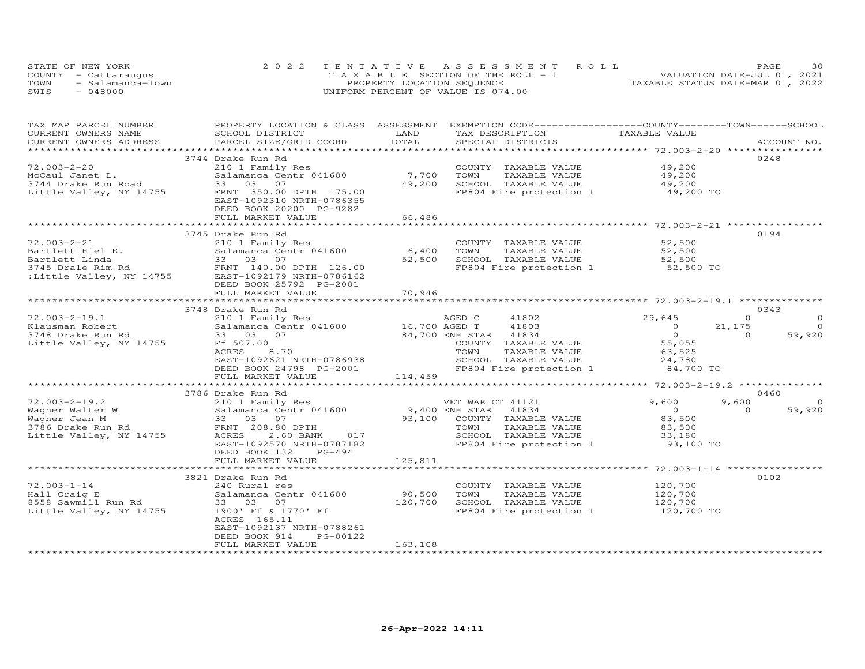| STATE OF NEW YORK        | 2022 TENTATIVE ASSESSMENT ROLL        | 30<br>PAGE                       |
|--------------------------|---------------------------------------|----------------------------------|
| COUNTY - Cattaraugus     | T A X A B L E SECTION OF THE ROLL - 1 | VALUATION DATE-JUL 01, 2021      |
| TOWN<br>- Salamanca-Town | PROPERTY LOCATION SEQUENCE            | TAXABLE STATUS DATE-MAR 01, 2022 |
| SWIS<br>- 048000         | UNIFORM PERCENT OF VALUE IS 074.00    |                                  |

| TAX MAP PARCEL NUMBER   | PROPERTY LOCATION & CLASS ASSESSMENT                                    |                | EXEMPTION CODE-----------------COUNTY-------TOWN-----SCHOOL |                                                        |                     |
|-------------------------|-------------------------------------------------------------------------|----------------|-------------------------------------------------------------|--------------------------------------------------------|---------------------|
| CURRENT OWNERS NAME     | SCHOOL DISTRICT                                                         | LAND           | TAX DESCRIPTION                                             | TAXABLE VALUE                                          |                     |
| CURRENT OWNERS ADDRESS  | PARCEL SIZE/GRID COORD                                                  | TOTAL          | SPECIAL DISTRICTS                                           |                                                        | ACCOUNT NO.         |
|                         |                                                                         |                |                                                             |                                                        |                     |
|                         | 3744 Drake Run Rd                                                       |                |                                                             |                                                        | 0248                |
| $72.003 - 2 - 20$       | 210 1 Family Res                                                        |                | COUNTY TAXABLE VALUE                                        | 49,200                                                 |                     |
| McCaul Janet L.         | Salamanca Centr 041600                                                  | 7,700          | TAXABLE VALUE<br>TOWN                                       | 49,200                                                 |                     |
| 3744 Drake Run Road     | 33 03<br>07                                                             | 49,200         | SCHOOL TAXABLE VALUE                                        | 49,200                                                 |                     |
| Little Valley, NY 14755 | FRNT 350.00 DPTH 175.00                                                 |                | FP804 Fire protection 1 49,200 TO                           |                                                        |                     |
|                         | EAST-1092310 NRTH-0786355                                               |                |                                                             |                                                        |                     |
|                         | DEED BOOK 20200 PG-9282                                                 |                |                                                             |                                                        |                     |
|                         | FULL MARKET VALUE                                                       | 66,486         |                                                             |                                                        |                     |
|                         |                                                                         |                |                                                             |                                                        |                     |
|                         | 3745 Drake Run Rd                                                       |                |                                                             |                                                        | 0194                |
| $72.003 - 2 - 21$       | 210 1 Family Res                                                        |                | COUNTY TAXABLE VALUE                                        | 52,500                                                 |                     |
| Bartlett Hiel E.        | Salamanca Centr 041600                                                  | 6,400          | TOWN<br>TAXABLE VALUE                                       | 52,500                                                 |                     |
| Bartlett Linda          | 33 03 07                                                                | 52,500         | SCHOOL TAXABLE VALUE                                        | 52,500                                                 |                     |
|                         |                                                                         |                | FP804 Fire protection 1 52,500 TO                           |                                                        |                     |
|                         | 3745 Drale Rim Rd<br>:Little Valley, NY 14755 EAST-1092179 NRTH-0786162 |                |                                                             |                                                        |                     |
|                         | DEED BOOK 25792 PG-2001                                                 |                |                                                             |                                                        |                     |
|                         | FULL MARKET VALUE                                                       | 70,946         |                                                             |                                                        |                     |
|                         |                                                                         |                |                                                             |                                                        |                     |
|                         | 3748 Drake Run Rd                                                       |                |                                                             |                                                        | 0343                |
| $72.003 - 2 - 19.1$     | 210 1 Family Res                                                        |                | AGED C<br>41802                                             | 29,645                                                 | $\Omega$<br>$\circ$ |
| Klausman Robert         | Salamanca Centr 041600 16,700 AGED T                                    |                | 41803                                                       | $\circ$                                                | 21,175<br>$\Omega$  |
| 3748 Drake Run Rd       | 33 03 07                                                                |                | 84,700 ENH STAR<br>41834                                    | $\circ$                                                | $\Omega$<br>59,920  |
| Little Valley, NY 14755 | Ff 507.00                                                               |                | COUNTY TAXABLE VALUE                                        | 55,055                                                 |                     |
|                         | ACRES<br>8,70                                                           |                | TOWN<br>TAXABLE VALUE                                       | 63,525                                                 |                     |
|                         | EAST-1092621 NRTH-0786938                                               |                | SCHOOL TAXABLE VALUE                                        | 24,780                                                 |                     |
|                         | DEED BOOK 24798 PG-2001                                                 |                | FP804 Fire protection 1                                     | 84,700 TO                                              |                     |
|                         | FULL MARKET VALUE                                                       | 114,459        |                                                             |                                                        |                     |
|                         | **************************                                              |                |                                                             |                                                        |                     |
|                         | 3786 Drake Run Rd                                                       |                |                                                             |                                                        | 0460                |
| $72.003 - 2 - 19.2$     | 210 1 Family Res                                                        |                |                                                             | 9,600                                                  | 9,600               |
|                         | Salamanca Centr 041600                                                  | 9,400 ENH STAR | VET WAR CT 41121                                            | $\overline{0}$                                         | $\circ$<br>$\Omega$ |
| Wagner Walter W         |                                                                         |                | 41834                                                       |                                                        | 59,920              |
| Wagner Jean M           | 33 03 07                                                                |                | 93,100 COUNTY TAXABLE VALUE                                 | 83,500                                                 |                     |
| 3786 Drake Run Rd       | FRNT 208.80 DPTH                                                        |                | TAXABLE VALUE<br>TOWN                                       | 83,500                                                 |                     |
| Little Valley, NY 14755 | ACRES<br>2.60 BANK<br>017                                               |                | SCHOOL TAXABLE VALUE                                        | 33,180                                                 |                     |
|                         | EAST-1092570 NRTH-0787182                                               |                | FP804 Fire protection 1                                     | 93,100 TO                                              |                     |
|                         | DEED BOOK 132<br>PG-494                                                 |                |                                                             |                                                        |                     |
|                         | FULL MARKET VALUE<br>************************                           | 125,811        |                                                             |                                                        |                     |
|                         |                                                                         |                |                                                             | ************************ 72.003-1-14 ***************** |                     |
|                         | 3821 Drake Run Rd                                                       |                |                                                             |                                                        | 0102                |
| $72.003 - 1 - 14$       | 240 Rural res                                                           |                | COUNTY TAXABLE VALUE                                        | 120,700                                                |                     |
| Hall Craig E            | Salamanca Centr 041600                                                  | 90,500         | TOWN<br>TAXABLE VALUE                                       | 120,700                                                |                     |
| 8558 Sawmill Run Rd     | 33 03 07                                                                | 120,700        | SCHOOL TAXABLE VALUE                                        | 120,700                                                |                     |
| Little Valley, NY 14755 | 1900' Ff & 1770' Ff                                                     |                | FP804 Fire protection 1                                     | 120,700 TO                                             |                     |
|                         | ACRES 165.11                                                            |                |                                                             |                                                        |                     |
|                         | EAST-1092137 NRTH-0788261                                               |                |                                                             |                                                        |                     |
|                         | DEED BOOK 914<br>PG-00122                                               |                |                                                             |                                                        |                     |
|                         | FULL MARKET VALUE                                                       | 163,108        |                                                             |                                                        |                     |
|                         |                                                                         |                |                                                             |                                                        |                     |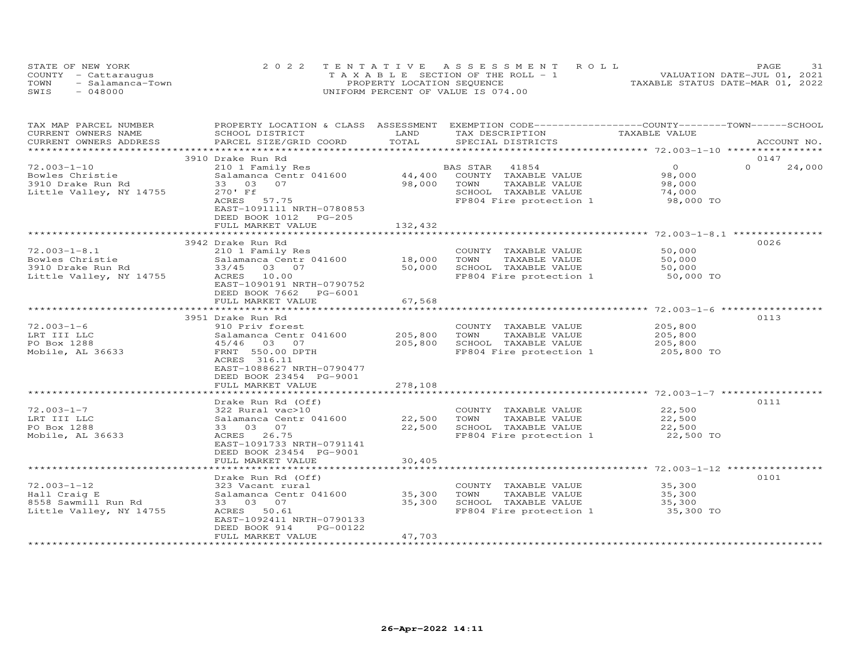| STATE OF NEW YORK        | 2022 TENTATIVE ASSESSMENT ROLL        | 31<br>PAGE                       |
|--------------------------|---------------------------------------|----------------------------------|
| COUNTY - Cattaraugus     | T A X A B L E SECTION OF THE ROLL - 1 | VALUATION DATE-JUL 01, 2021      |
| TOWN<br>- Salamanca-Town | PROPERTY LOCATION SEQUENCE            | TAXABLE STATUS DATE-MAR 01, 2022 |
| SWIS<br>- 048000         | UNIFORM PERCENT OF VALUE IS 074.00    |                                  |

| TAX MAP PARCEL NUMBER   |                           |             | PROPERTY LOCATION & CLASS ASSESSMENT EXEMPTION CODE----------------COUNTY-------TOWN------SCHOOL |                |                    |
|-------------------------|---------------------------|-------------|--------------------------------------------------------------------------------------------------|----------------|--------------------|
| CURRENT OWNERS NAME     | SCHOOL DISTRICT           | LAND        | TAX DESCRIPTION                                                                                  | TAXABLE VALUE  |                    |
| CURRENT OWNERS ADDRESS  | PARCEL SIZE/GRID COORD    | TOTAL       | SPECIAL DISTRICTS                                                                                |                | ACCOUNT NO.        |
| *********************** |                           |             |                                                                                                  |                |                    |
|                         | 3910 Drake Run Rd         |             |                                                                                                  |                | 0147               |
| $72.003 - 1 - 10$       | 210 1 Family Res          |             | BAS STAR<br>41854                                                                                | $\overline{O}$ | $\Omega$<br>24,000 |
| Bowles Christie         | Salamanca Centr 041600    | 44,400      | COUNTY TAXABLE VALUE                                                                             | 98,000         |                    |
| 3910 Drake Run Rd       | 33 03<br>07               | 98,000      | TOWN<br>TAXABLE VALUE                                                                            | 98,000         |                    |
| Little Valley, NY 14755 | 270' Ff                   |             | SCHOOL TAXABLE VALUE                                                                             | 74,000         |                    |
|                         | ACRES 57.75               |             | FP804 Fire protection 1                                                                          | 98,000 TO      |                    |
|                         | EAST-1091111 NRTH-0780853 |             |                                                                                                  |                |                    |
|                         | DEED BOOK 1012 PG-205     |             |                                                                                                  |                |                    |
|                         | FULL MARKET VALUE         | 132,432     |                                                                                                  |                |                    |
|                         |                           |             |                                                                                                  |                |                    |
|                         | 3942 Drake Run Rd         |             |                                                                                                  |                | 0026               |
| $72.003 - 1 - 8.1$      | 210 1 Family Res          |             | COUNTY TAXABLE VALUE                                                                             | 50,000         |                    |
| Bowles Christie         | Salamanca Centr 041600    | 18,000      | TOWN<br>TAXABLE VALUE                                                                            | 50,000         |                    |
| 3910 Drake Run Rd       | 33/45 03 07               | 50,000      | SCHOOL TAXABLE VALUE                                                                             | 50,000         |                    |
| Little Valley, NY 14755 | ACRES 10.00               |             | FP804 Fire protection 1                                                                          | 50,000 TO      |                    |
|                         | EAST-1090191 NRTH-0790752 |             |                                                                                                  |                |                    |
|                         | DEED BOOK 7662 PG-6001    |             |                                                                                                  |                |                    |
|                         | FULL MARKET VALUE         | 67,568      |                                                                                                  |                |                    |
|                         |                           | *********** |                                                                                                  |                |                    |
|                         | 3951 Drake Run Rd         |             |                                                                                                  |                | 0113               |
| $72.003 - 1 - 6$        | 910 Priv forest           |             | COUNTY TAXABLE VALUE                                                                             | 205,800        |                    |
| LRT III LLC             | Salamanca Centr 041600    | 205,800     | TOWN<br>TAXABLE VALUE                                                                            | 205,800        |                    |
| PO Box 1288             | 45/46 03 07               | 205,800     | SCHOOL TAXABLE VALUE                                                                             | 205,800        |                    |
| Mobile, AL 36633        | FRNT 550.00 DPTH          |             | FP804 Fire protection 1                                                                          | 205,800 TO     |                    |
|                         | ACRES 316.11              |             |                                                                                                  |                |                    |
|                         | EAST-1088627 NRTH-0790477 |             |                                                                                                  |                |                    |
|                         | DEED BOOK 23454 PG-9001   |             |                                                                                                  |                |                    |
|                         | FULL MARKET VALUE         | 278,108     |                                                                                                  |                |                    |
|                         |                           |             |                                                                                                  |                |                    |
|                         | Drake Run Rd (Off)        |             |                                                                                                  |                | 0111               |
| $72.003 - 1 - 7$        | 322 Rural vac>10          |             | COUNTY TAXABLE VALUE                                                                             | 22,500         |                    |
| LRT III LLC             | Salamanca Centr 041600    | 22,500      | TOWN<br>TAXABLE VALUE                                                                            | 22,500         |                    |
| PO Box 1288             | 33 03 07                  | 22,500      | SCHOOL TAXABLE VALUE                                                                             | 22,500         |                    |
| Mobile, AL 36633        | ACRES 26.75               |             | FP804 Fire protection 1                                                                          | 22,500 TO      |                    |
|                         | EAST-1091733 NRTH-0791141 |             |                                                                                                  |                |                    |
|                         | DEED BOOK 23454 PG-9001   |             |                                                                                                  |                |                    |
|                         | FULL MARKET VALUE         | 30,405      |                                                                                                  |                |                    |
|                         |                           |             |                                                                                                  |                |                    |
|                         | Drake Run Rd (Off)        |             |                                                                                                  |                | 0101               |
| $72.003 - 1 - 12$       | 323 Vacant rural          |             | COUNTY TAXABLE VALUE                                                                             | 35,300         |                    |
| Hall Craig E            | Salamanca Centr 041600    | 35,300      | TOWN<br>TAXABLE VALUE                                                                            | 35,300         |                    |
| 8558 Sawmill Run Rd     | 33 03 07                  | 35,300      | SCHOOL TAXABLE VALUE                                                                             | 35,300         |                    |
| Little Valley, NY 14755 | ACRES 50.61               |             | FP804 Fire protection 1                                                                          | 35,300 TO      |                    |
|                         | EAST-1092411 NRTH-0790133 |             |                                                                                                  |                |                    |
|                         | DEED BOOK 914<br>PG-00122 |             |                                                                                                  |                |                    |
|                         | FULL MARKET VALUE         | 47,703      |                                                                                                  |                |                    |
|                         |                           |             |                                                                                                  |                |                    |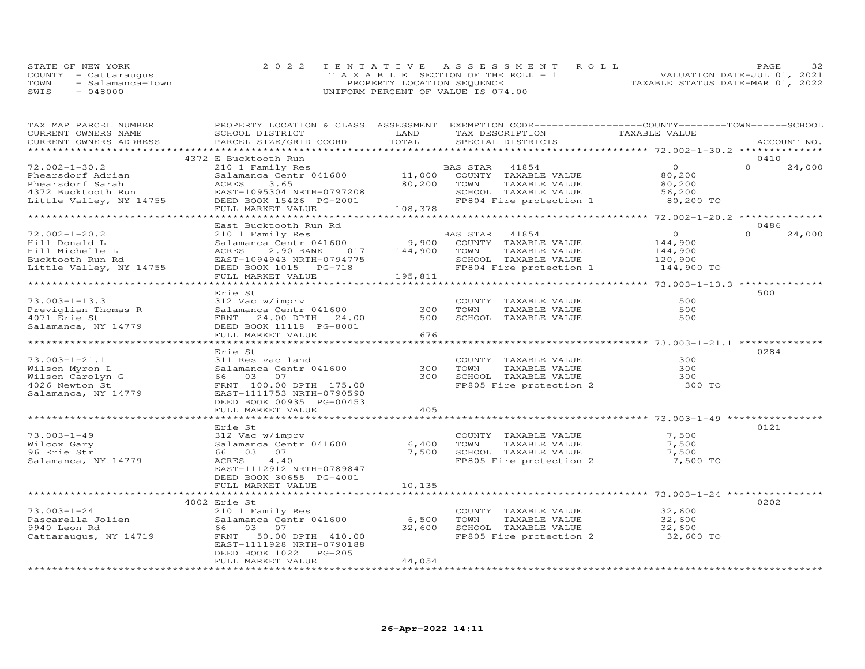|      | STATE OF NEW YORK    | 2022 TENTATIVE ASSESSMENT ROLL        | 32<br>PAGE                       |
|------|----------------------|---------------------------------------|----------------------------------|
|      | COUNTY - Cattaraugus | T A X A B L E SECTION OF THE ROLL - 1 | VALUATION DATE-JUL 01, 2021      |
| TOWN | - Salamanca-Town     | PROPERTY LOCATION SEQUENCE            | TAXABLE STATUS DATE-MAR 01, 2022 |
| SWIS | - 048000             | UNIFORM PERCENT OF VALUE IS 074.00    |                                  |

| TAX MAP PARCEL NUMBER                                             | PROPERTY LOCATION & CLASS ASSESSMENT EXEMPTION CODE----------------COUNTY-------TOWN------SCHOOL |                        |                |                                                          |                                                                |                    |
|-------------------------------------------------------------------|--------------------------------------------------------------------------------------------------|------------------------|----------------|----------------------------------------------------------|----------------------------------------------------------------|--------------------|
| CURRENT OWNERS NAME                                               | SCHOOL DISTRICT                                                                                  | LAND                   |                | TAX DESCRIPTION                                          |                                                                |                    |
| CURRENT OWNERS ADDRESS                                            | PARCEL SIZE/GRID COORD                                                                           | TOTAL                  |                | SPECIAL DISTRICTS                                        |                                                                | ACCOUNT NO.        |
|                                                                   |                                                                                                  |                        |                |                                                          |                                                                |                    |
|                                                                   | 4372 E Bucktooth Run                                                                             |                        |                |                                                          |                                                                | 0410               |
| $72.002 - 1 - 30.2$                                               | 210 1 Family Res                                                                                 |                        | BAS STAR       | 41854                                                    | $\overline{O}$                                                 | $\Omega$<br>24,000 |
|                                                                   | Salamanca Centr 041600                                                                           | $11,000$ <sup>BA</sup> |                |                                                          | 80,200                                                         |                    |
| Phearsdorf Adrian                                                 |                                                                                                  |                        |                | COUNTY TAXABLE VALUE                                     |                                                                |                    |
| Phearsdorf Sarah<br>4372 Bucktooth Run<br>Little Valley, NY 14755 | ACRES<br>3.65                                                                                    | 80,200 TOWN            |                | TAXABLE VALUE                                            | 80,200                                                         |                    |
|                                                                   | EAST-1095304 NRTH-0797208                                                                        |                        |                | SCHOOL TAXABLE VALUE                                     | 56,200                                                         |                    |
|                                                                   | DEED BOOK 15426 PG-2001                                                                          |                        |                |                                                          | FP804 Fire protection 1 80,200 TO                              |                    |
|                                                                   | FULL MARKET VALUE                                                                                | 108,378                |                |                                                          |                                                                |                    |
|                                                                   |                                                                                                  |                        |                |                                                          |                                                                |                    |
|                                                                   | East Bucktooth Run Rd                                                                            |                        |                |                                                          |                                                                | 0486               |
| $72.002 - 1 - 20.2$                                               | 210 1 Family Res                                                                                 |                        | BAS STAR 41854 |                                                          | $\overline{0}$                                                 | $\Omega$<br>24,000 |
| Hill Donald L                                                     | Salamanca Centr 041600 9,900 COUNTY TAXABLE VALUE                                                |                        |                |                                                          | 144,900                                                        |                    |
| Hill Michelle L                                                   | 2.90 BANK<br>017<br>ACRES                                                                        | 144,900 TOWN           |                | TAXABLE VALUE                                            | 144,900                                                        |                    |
| Bucktooth Run Rd                                                  | EAST-1094943 NRTH-0794775                                                                        |                        |                | SCHOOL TAXABLE VALUE                                     | 120,900                                                        |                    |
|                                                                   |                                                                                                  |                        |                |                                                          |                                                                |                    |
| Little Valley, NY 14755                                           |                                                                                                  |                        |                |                                                          | FP804 Fire protection 1 144,900 TO                             |                    |
|                                                                   | FULL MARKET VALUE                                                                                | 195,811                |                |                                                          |                                                                |                    |
|                                                                   |                                                                                                  |                        |                |                                                          |                                                                |                    |
|                                                                   | Erie St                                                                                          |                        |                |                                                          |                                                                | 500                |
| $73.003 - 1 - 13.3$                                               | 312 Vac w/imprv                                                                                  |                        |                | COUNTY TAXABLE VALUE                                     | 500                                                            |                    |
| Previglian Thomas R                                               | Salamanca Centr 041600                                                                           | 300                    | TOWN           |                                                          | 500                                                            |                    |
| 4071 Erie St                                                      | FRNT 24.00 DPTH 24.00                                                                            | 500                    |                | TAXABLE VALUE<br>TAXABLE VALUE<br>SCHOOL TAXABLE VALUE   | 500                                                            |                    |
| Salamanca, NY 14779                                               | DEED BOOK 11118 PG-8001                                                                          |                        |                |                                                          |                                                                |                    |
|                                                                   | FULL MARKET VALUE                                                                                | 676                    |                |                                                          |                                                                |                    |
|                                                                   | ***************************                                                                      | ***********            |                |                                                          | ***************** 73.003-1-21.1 ***************                |                    |
|                                                                   |                                                                                                  |                        |                |                                                          |                                                                |                    |
|                                                                   | Erie St                                                                                          |                        |                |                                                          |                                                                | 0284               |
| $73.003 - 1 - 21.1$                                               | 311 Res vac land                                                                                 |                        |                | COUNTY TAXABLE VALUE                                     | 300                                                            |                    |
| Wilson Myron L                                                    | Salamanca Centr 041600                                                                           | 300                    |                | TOWN      TAXABLE VALUE<br>SCHOOL   TAXABLE VALUE        | 300                                                            |                    |
| Wilson Carolyn G                                                  | 66 03 07                                                                                         | 300                    |                |                                                          | 300                                                            |                    |
| 4026 Newton St                                                    | FRNT 100.00 DPTH 175.00                                                                          |                        |                | FP805 Fire protection 2                                  | 300 TO                                                         |                    |
| Salamanca, NY 14779                                               | EAST-1111753 NRTH-0790590                                                                        |                        |                |                                                          |                                                                |                    |
|                                                                   | DEED BOOK 00935 PG-00453                                                                         |                        |                |                                                          |                                                                |                    |
|                                                                   | FULL MARKET VALUE                                                                                | 405                    |                |                                                          |                                                                |                    |
|                                                                   |                                                                                                  | * * * * * * * * *      |                |                                                          | ********************** 73.003-1-49 ***********                 |                    |
|                                                                   | Erie St                                                                                          |                        |                |                                                          |                                                                | 0121               |
| $73.003 - 1 - 49$                                                 | 312 Vac w/imprv                                                                                  |                        |                | COUNTY TAXABLE VALUE                                     | 7,500                                                          |                    |
|                                                                   |                                                                                                  |                        |                |                                                          |                                                                |                    |
| Wilcox Gary                                                       | Salamanca Centr 041600                                                                           | 6,400                  | TOWN           | TAXABLE VALUE                                            | 7,500                                                          |                    |
| 96 Erie Str                                                       | 66 03 07                                                                                         | 7,500                  |                |                                                          | SCHOOL TAXABLE VALUE 7,500<br>FP805 Fire protection 2 7,500 TO |                    |
| Salamanca, NY 14779                                               | 4.40<br>ACRES                                                                                    |                        |                |                                                          |                                                                |                    |
|                                                                   | EAST-1112912 NRTH-0789847                                                                        |                        |                |                                                          |                                                                |                    |
|                                                                   | DEED BOOK 30655 PG-4001                                                                          |                        |                |                                                          |                                                                |                    |
|                                                                   | FULL MARKET VALUE                                                                                | 10,135                 |                |                                                          |                                                                |                    |
|                                                                   |                                                                                                  |                        |                |                                                          |                                                                |                    |
|                                                                   | 4002 Erie St                                                                                     |                        |                |                                                          |                                                                | 0202               |
| $73.003 - 1 - 24$                                                 | 210 1 Family Res                                                                                 |                        |                | COUNTY TAXABLE VALUE                                     | 32,600                                                         |                    |
|                                                                   | Salamanca Centr 041600                                                                           | 6,500                  |                |                                                          |                                                                |                    |
| Pascarella Jolien<br>9940 Iocr Pd                                 |                                                                                                  |                        |                | TOWN TAXABLE VALUE 32,600<br>SCHOOL TAXABLE VALUE 32,600 |                                                                |                    |
| 9940 Leon Rd                                                      | 66 03 07                                                                                         | 32,600                 |                |                                                          |                                                                |                    |
| Cattaraugus, NY 14719                                             | FRNT 50.00 DPTH 410.00                                                                           |                        |                |                                                          | FP805 Fire protection 2 32,600 TO                              |                    |
|                                                                   | EAST-1111928 NRTH-0790188                                                                        |                        |                |                                                          |                                                                |                    |
|                                                                   | DEED BOOK 1022 PG-205                                                                            |                        |                |                                                          |                                                                |                    |
|                                                                   | FULL MARKET VALUE                                                                                | 44,054                 |                |                                                          |                                                                |                    |
|                                                                   |                                                                                                  |                        |                |                                                          |                                                                |                    |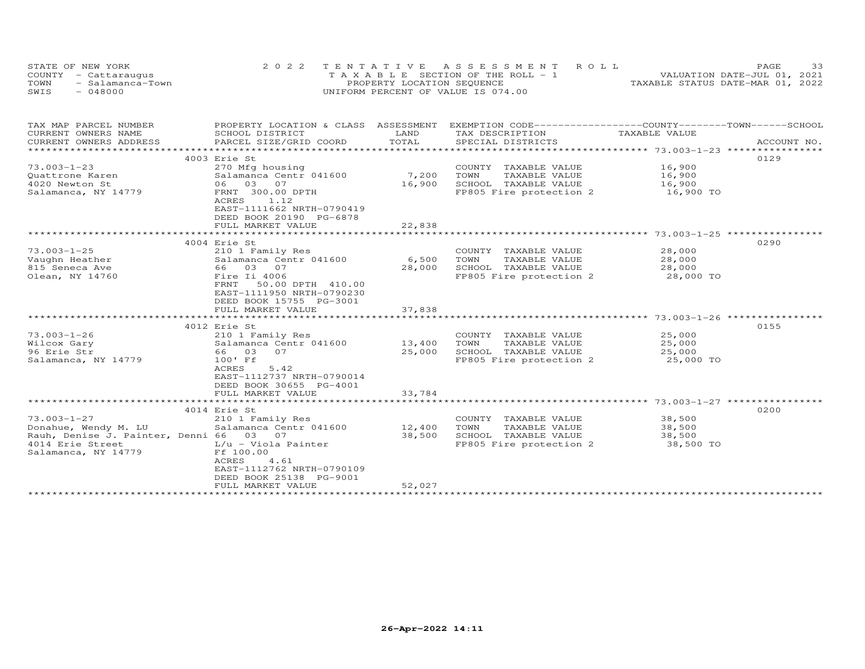| STATE OF NEW YORK        | 2022 TENTATIVE ASSESSMENT ROLL        | 33<br>PAGE.                      |
|--------------------------|---------------------------------------|----------------------------------|
| COUNTY - Cattaraugus     | T A X A B L E SECTION OF THE ROLL - 1 | VALUATION DATE-JUL 01, 2021      |
| TOWN<br>- Salamanca-Town | PROPERTY LOCATION SEQUENCE            | TAXABLE STATUS DATE-MAR 01, 2022 |
| SWTS<br>- 048000         | UNIFORM PERCENT OF VALUE IS 074.00    |                                  |

| TAX MAP PARCEL NUMBER<br>CURRENT OWNERS NAME                                                                                                                                                                                   | PROPERTY LOCATION & CLASS ASSESSMENT<br>SCHOOL DISTRICT                                                                | LAND           | EXEMPTION CODE-----------------COUNTY-------TOWN------SCHOOL<br>TAX DESCRIPTION | TAXABLE VALUE           |             |
|--------------------------------------------------------------------------------------------------------------------------------------------------------------------------------------------------------------------------------|------------------------------------------------------------------------------------------------------------------------|----------------|---------------------------------------------------------------------------------|-------------------------|-------------|
| CURRENT OWNERS ADDRESS<br>*************************                                                                                                                                                                            | PARCEL SIZE/GRID COORD                                                                                                 | TOTAL          | SPECIAL DISTRICTS                                                               |                         | ACCOUNT NO. |
|                                                                                                                                                                                                                                | 4003 Erie St                                                                                                           |                |                                                                                 |                         | 0129        |
| $73.003 - 1 - 23$                                                                                                                                                                                                              | 270 Mfg housing                                                                                                        |                | COUNTY TAXABLE VALUE                                                            | 16,900                  |             |
| Quattrone Karen                                                                                                                                                                                                                | Salamanca Centr 041600                                                                                                 | 7,200          | TOWN<br>TAXABLE VALUE                                                           | 16,900                  |             |
| 4020 Newton St                                                                                                                                                                                                                 | 06 03 07                                                                                                               | 16,900         | SCHOOL TAXABLE VALUE                                                            | 16,900                  |             |
| Salamanca, NY 14779                                                                                                                                                                                                            | FRNT 300.00 DPTH<br>1.12<br>ACRES<br>EAST-1111662 NRTH-0790419<br>DEED BOOK 20190 PG-6878<br>FULL MARKET VALUE         | 22,838         | FP805 Fire protection 2 16,900 TO                                               |                         |             |
|                                                                                                                                                                                                                                |                                                                                                                        |                |                                                                                 |                         |             |
|                                                                                                                                                                                                                                | 4004 Erie St                                                                                                           |                |                                                                                 |                         | 0290        |
| $73.003 - 1 - 25$                                                                                                                                                                                                              | 210 1 Family Res                                                                                                       |                | COUNTY TAXABLE VALUE                                                            | 28,000                  |             |
| Vaughn Heather and the state of the state of the State of the State of the State of the State of the State of the State of the State of the State of the State of the State of the State of the State of the State of the Stat | Salamanca Centr 041600 6,500                                                                                           |                | TOWN<br>TAXABLE VALUE                                                           | 28,000                  |             |
| 815 Seneca Ave                                                                                                                                                                                                                 | 66 03 07                                                                                                               | 28,000         | SCHOOL TAXABLE VALUE                                                            | 28,000<br>28,000 TO     |             |
| Olean, NY 14760                                                                                                                                                                                                                | Fire Ii 4006<br>50.00 DPTH 410.00<br>FRNT<br>EAST-1111950 NRTH-0790230<br>DEED BOOK 15755 PG-3001<br>FULL MARKET VALUE | 37,838         | FP805 Fire protection 2                                                         |                         |             |
|                                                                                                                                                                                                                                | ********************************                                                                                       | ************** |                                                                                 |                         |             |
|                                                                                                                                                                                                                                | 4012 Erie St                                                                                                           |                |                                                                                 |                         | 0155        |
| $73.003 - 1 - 26$                                                                                                                                                                                                              | 210 1 Family Res                                                                                                       |                | COUNTY TAXABLE VALUE 25,000                                                     |                         |             |
| Wilcox Gary                                                                                                                                                                                                                    | Salamanca Centr 041600                                                                                                 | 13,400         | TAXABLE VALUE 25,000<br>TOWN                                                    |                         |             |
| 96 Erie Str                                                                                                                                                                                                                    | 66 03 07                                                                                                               | 25,000         | SCHOOL TAXABLE VALUE                                                            |                         |             |
| Salamanca, NY 14779                                                                                                                                                                                                            | 100' Ff<br>5.42<br>ACRES<br>EAST-1112737 NRTH-0790014<br>DEED BOOK 30655 PG-4001                                       |                | SCHOOL TAXABLE VALUE<br>FP805 Fire protection 2                                 | $25,000$ TO $25,000$ TO |             |
|                                                                                                                                                                                                                                | FULL MARKET VALUE                                                                                                      | 33,784         |                                                                                 |                         |             |
|                                                                                                                                                                                                                                |                                                                                                                        |                |                                                                                 |                         |             |
| $73.003 - 1 - 27$                                                                                                                                                                                                              | 4014 Erie St                                                                                                           |                |                                                                                 |                         | 0200        |
|                                                                                                                                                                                                                                | 210 1 Family Res<br>Salamanca Centr 041600                                                                             | 12,400         | COUNTY TAXABLE VALUE<br>TOWN<br>TAXABLE VALUE                                   | 38,500<br>38,500        |             |
| Donahue, Wendy M. LU<br>Rauh, Denise J. Painter, Denni 66 03 07                                                                                                                                                                |                                                                                                                        | 38,500         | SCHOOL TAXABLE VALUE                                                            | 38,500                  |             |
| 4014 Erie Street                                                                                                                                                                                                               | L/u - Viola Painter                                                                                                    |                | FP805 Fire protection 2 38,500 TO                                               |                         |             |
| Salamanca, NY 14779                                                                                                                                                                                                            | Ff 100.00<br>4.61<br>ACRES<br>EAST-1112762 NRTH-0790109<br>DEED BOOK 25138 PG-9001                                     |                |                                                                                 |                         |             |
|                                                                                                                                                                                                                                | FULL MARKET VALUE                                                                                                      | 52,027         |                                                                                 |                         |             |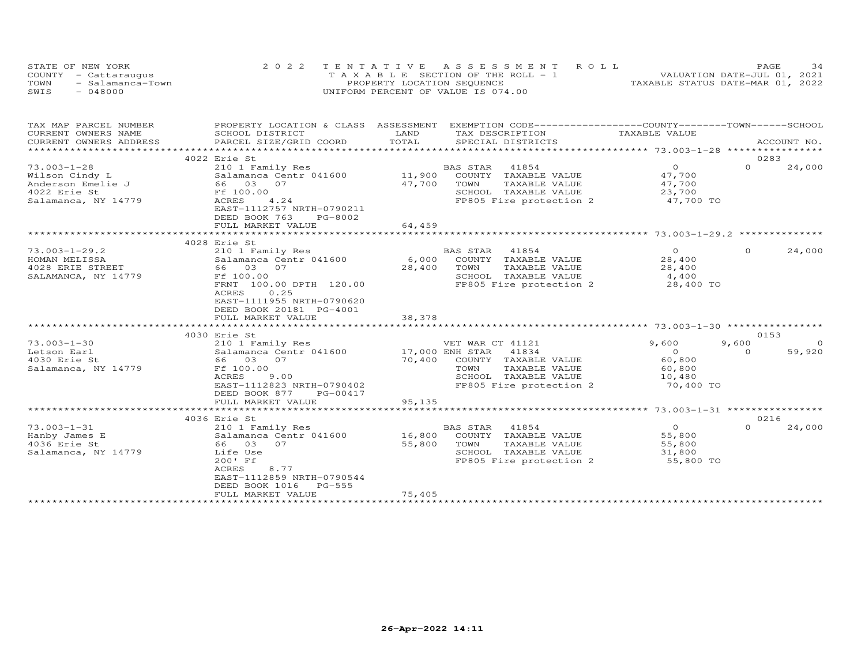| STATE OF NEW YORK        | 2022 TENTATIVE ASSESSMENT ROLL        | 34<br>PAGE.                      |
|--------------------------|---------------------------------------|----------------------------------|
| COUNTY - Cattaraugus     | T A X A B L E SECTION OF THE ROLL - 1 | VALUATION DATE-JUL 01, 2021      |
| TOWN<br>- Salamanca-Town | PROPERTY LOCATION SEQUENCE            | TAXABLE STATUS DATE-MAR 01, 2022 |
| - 048000<br>SWIS         | UNIFORM PERCENT OF VALUE IS 074.00    |                                  |

| TAX MAP PARCEL NUMBER      |                                                   |                           | PROPERTY LOCATION & CLASS ASSESSMENT EXEMPTION CODE-----------------COUNTY-------TOWN------SCHOOL |                   |          |             |
|----------------------------|---------------------------------------------------|---------------------------|---------------------------------------------------------------------------------------------------|-------------------|----------|-------------|
| CURRENT OWNERS NAME        | SCHOOL DISTRICT                                   | LAND                      | TAX DESCRIPTION                                                                                   | TAXABLE VALUE     |          |             |
| CURRENT OWNERS ADDRESS     | PARCEL SIZE/GRID COORD                            | TOTAL                     | SPECIAL DISTRICTS                                                                                 |                   |          | ACCOUNT NO. |
| *************************  |                                                   |                           |                                                                                                   |                   |          |             |
|                            | 4022 Erie St                                      |                           |                                                                                                   |                   | 0283     |             |
| $73.003 - 1 - 28$          | 210 1 Family Res                                  |                           | BAS STAR 41854                                                                                    | $\overline{O}$    | $\Omega$ | 24,000      |
| Wilson Cindy L             | Salamanca Centr 041600                            |                           | 11,900 COUNTY TAXABLE VALUE                                                                       | 47,700            |          |             |
| Anderson Emelie J 66 03 07 |                                                   | 47,700                    | TOWN<br>TAXABLE VALUE                                                                             | 47,700            |          |             |
| 4022 Erie St               | Ff 100.00                                         |                           | SCHOOL TAXABLE VALUE                                                                              | 23,700            |          |             |
| Salamanca, NY 14779        | 4.24<br>ACRES                                     |                           | FP805 Fire protection 2                                                                           | 47,700 TO         |          |             |
|                            | EAST-1112757 NRTH-0790211                         |                           |                                                                                                   |                   |          |             |
|                            | DEED BOOK 763<br>PG-8002                          |                           |                                                                                                   |                   |          |             |
|                            | FULL MARKET VALUE                                 | 64,459                    |                                                                                                   |                   |          |             |
|                            |                                                   |                           |                                                                                                   |                   |          |             |
|                            | 4028 Erie St                                      |                           |                                                                                                   |                   |          |             |
| $73.003 - 1 - 29.2$        | 210 1 Family Res                                  |                           | BAS STAR<br>41854                                                                                 | $\Omega$          | $\Omega$ | 24,000      |
| HOMAN MELISSA              | Salamanca Centr 041600                            |                           | 6,000 COUNTY TAXABLE VALUE                                                                        | 28,400            |          |             |
| 4028 ERIE STREET           | 66 03 07                                          | 28,400                    | TOWN<br>TAXABLE VALUE                                                                             | 28,400            |          |             |
| SALAMANCA, NY 14779        | Ff 100.00                                         |                           | SCHOOL TAXABLE VALUE                                                                              | 4,400             |          |             |
|                            | FRNT 100.00 DPTH 120.00                           |                           | FP805 Fire protection 2                                                                           | 28,400 TO         |          |             |
|                            | 0.25<br>ACRES                                     |                           |                                                                                                   |                   |          |             |
|                            | EAST-1111955 NRTH-0790620                         |                           |                                                                                                   |                   |          |             |
|                            | DEED BOOK 20181 PG-4001                           |                           |                                                                                                   |                   |          |             |
|                            | FULL MARKET VALUE                                 | 38,378                    |                                                                                                   |                   |          |             |
|                            |                                                   |                           |                                                                                                   |                   |          |             |
|                            | 4030 Erie St                                      |                           |                                                                                                   |                   | 0153     |             |
| $73.003 - 1 - 30$          | 210 1 Family Res                                  |                           | VET WAR CT 41121                                                                                  | 9,600             | 9,600    | $\Omega$    |
| Letson Earl                | Salamanca Centr 041600                            |                           | 41834                                                                                             | $\overline{0}$    | $\Omega$ | 59,920      |
| 4030 Erie St               | 66 03 07                                          | 17,000 ENH STAR<br>70,400 | COUNTY TAXABLE VALUE                                                                              | 60,800            |          |             |
| Salamanca, NY 14779        | Ff 100.00                                         |                           | TOWN<br>TAXABLE VALUE                                                                             |                   |          |             |
|                            | ACRES<br>9.00                                     |                           | SCHOOL TAXABLE VALUE                                                                              | 60, 800<br>10,480 |          |             |
|                            |                                                   |                           |                                                                                                   |                   |          |             |
|                            | EAST-1112823 NRTH-0790402                         |                           | FP805 Fire protection 2                                                                           | 70,400 TO         |          |             |
|                            | DEED BOOK 877<br>PG-00417                         |                           |                                                                                                   |                   |          |             |
|                            | FULL MARKET VALUE<br>*************************    | 95,135                    |                                                                                                   |                   |          |             |
|                            | 4036 Erie St                                      |                           |                                                                                                   |                   | 0216     |             |
| $73.003 - 1 - 31$          |                                                   |                           | BAS STAR 41854                                                                                    | $\overline{O}$    | $\Omega$ | 24,000      |
|                            | 210 1 Family Res<br>Salamanca Centr 041600 16,800 |                           | COUNTY TAXABLE VALUE                                                                              | 55,800            |          |             |
| Hanby James E              |                                                   |                           |                                                                                                   |                   |          |             |
| 4036 Erie St               | 66 03 07                                          | 55,800                    | TOWN<br>TAXABLE VALUE                                                                             | 55,800            |          |             |
| Salamanca, NY 14779        | Life Use                                          |                           | SCHOOL TAXABLE VALUE                                                                              | 31,800            |          |             |
|                            | 200' Ff                                           |                           | FP805 Fire protection 2                                                                           | 55,800 TO         |          |             |
|                            | ACRES<br>8.77                                     |                           |                                                                                                   |                   |          |             |
|                            | EAST-1112859 NRTH-0790544                         |                           |                                                                                                   |                   |          |             |
|                            | DEED BOOK 1016<br>$PG-555$                        |                           |                                                                                                   |                   |          |             |
|                            | FULL MARKET VALUE                                 | 75,405                    |                                                                                                   |                   |          |             |
|                            |                                                   |                           |                                                                                                   |                   |          |             |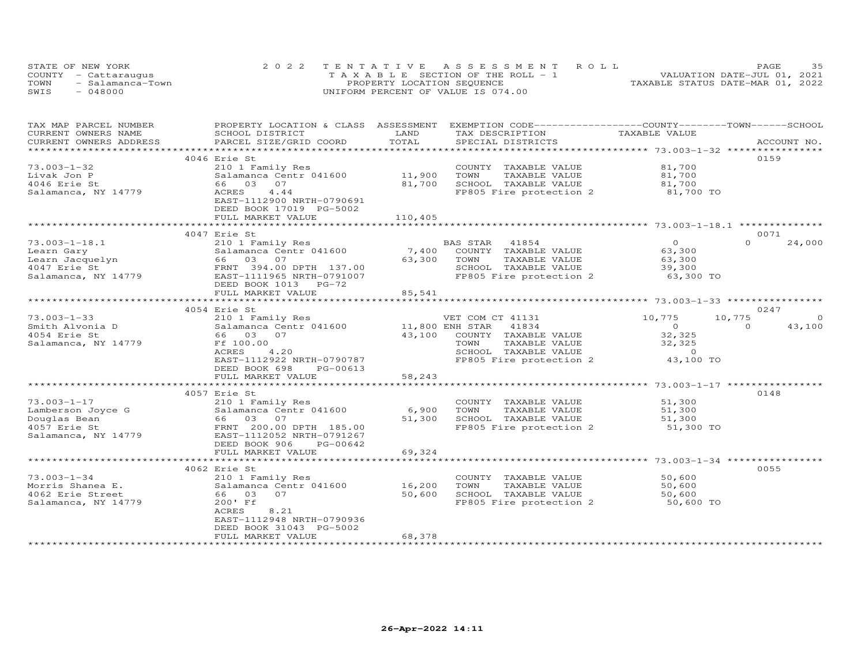| STATE OF NEW YORK        | 2022 TENTATIVE ASSESSMENT ROLL        | PAGE.                            |
|--------------------------|---------------------------------------|----------------------------------|
| COUNTY - Cattaraugus     | T A X A B L E SECTION OF THE ROLL - 1 | VALUATION DATE-JUL 01, 2021      |
| TOWN<br>- Salamanca-Town | PROPERTY LOCATION SEQUENCE            | TAXABLE STATUS DATE-MAR 01, 2022 |
| SWIS<br>048000           | UNIFORM PERCENT OF VALUE IS 074.00    |                                  |

| TAX MAP PARCEL NUMBER                         |                                                                                                                                                                                                                                                                                                                                                                       |                | PROPERTY LOCATION & CLASS ASSESSMENT EXEMPTION CODE----------------COUNTY-------TOWN------SCHOOL |                |                    |
|-----------------------------------------------|-----------------------------------------------------------------------------------------------------------------------------------------------------------------------------------------------------------------------------------------------------------------------------------------------------------------------------------------------------------------------|----------------|--------------------------------------------------------------------------------------------------|----------------|--------------------|
| CURRENT OWNERS NAME                           | SCHOOL DISTRICT                                                                                                                                                                                                                                                                                                                                                       | LAND           | TAX DESCRIPTION                                                                                  | TAXABLE VALUE  |                    |
| CURRENT OWNERS ADDRESS                        | PARCEL SIZE/GRID COORD                                                                                                                                                                                                                                                                                                                                                | TOTAL          | SPECIAL DISTRICTS                                                                                |                | ACCOUNT NO.        |
|                                               |                                                                                                                                                                                                                                                                                                                                                                       |                |                                                                                                  |                |                    |
|                                               | 4046 Erie St                                                                                                                                                                                                                                                                                                                                                          |                |                                                                                                  |                | 0159               |
| $73.003 - 1 - 32$                             | 210 1 Family Res                                                                                                                                                                                                                                                                                                                                                      |                | COUNTY TAXABLE VALUE                                                                             | 81,700         |                    |
| Livak Jon P                                   | Salamanca Centr 041600 11,900                                                                                                                                                                                                                                                                                                                                         |                | TOWN<br>TAXABLE VALUE                                                                            | 81,700         |                    |
|                                               |                                                                                                                                                                                                                                                                                                                                                                       |                |                                                                                                  |                |                    |
| 4046 Erie St                                  | 66 03<br>07                                                                                                                                                                                                                                                                                                                                                           | 81,700         | SCHOOL TAXABLE VALUE                                                                             | 81,700         |                    |
| Salamanca, NY 14779                           | ACRES<br>4.44                                                                                                                                                                                                                                                                                                                                                         |                | FP805 Fire protection 2 81,700 TO                                                                |                |                    |
|                                               | EAST-1112900 NRTH-0790691                                                                                                                                                                                                                                                                                                                                             |                |                                                                                                  |                |                    |
|                                               | DEED BOOK 17019 PG-5002                                                                                                                                                                                                                                                                                                                                               |                |                                                                                                  |                |                    |
|                                               | FULL MARKET VALUE                                                                                                                                                                                                                                                                                                                                                     | 110,405        |                                                                                                  |                |                    |
|                                               |                                                                                                                                                                                                                                                                                                                                                                       |                |                                                                                                  |                |                    |
|                                               | 4047 Erie St                                                                                                                                                                                                                                                                                                                                                          |                |                                                                                                  |                | 0071               |
| $73.003 - 1 - 18.1$                           | 210 1 Family Res                                                                                                                                                                                                                                                                                                                                                      |                | BAS STAR 41854                                                                                   | $\overline{O}$ | $\Omega$<br>24,000 |
| Learn Gary                                    | Salamanca Centr 041600                                                                                                                                                                                                                                                                                                                                                | 7,400          | COUNTY TAXABLE VALUE                                                                             | 63,300         |                    |
| Learn Gary<br>Learn Jacquelyn<br>4047 Erie St | 66 03 07                                                                                                                                                                                                                                                                                                                                                              | 63,300 TOWN    | TAXABLE VALUE                                                                                    | 63,300         |                    |
|                                               |                                                                                                                                                                                                                                                                                                                                                                       |                |                                                                                                  | 39,300         |                    |
| 4047 Erie St                                  | FRNT 394.00 DPTH 137.00                                                                                                                                                                                                                                                                                                                                               |                | SCHOOL TAXABLE VALUE                                                                             |                |                    |
| Salamanca, NY 14779                           | EAST-1111965 NRTH-0791007                                                                                                                                                                                                                                                                                                                                             |                | FP805 Fire protection 2                                                                          | 63,300 TO      |                    |
|                                               | DEED BOOK 1013<br>$PG-72$                                                                                                                                                                                                                                                                                                                                             |                |                                                                                                  |                |                    |
|                                               | FULL MARKET VALUE                                                                                                                                                                                                                                                                                                                                                     | 85,541         |                                                                                                  |                |                    |
|                                               | **********************************                                                                                                                                                                                                                                                                                                                                    |                |                                                                                                  |                |                    |
|                                               | 4054 Erie St                                                                                                                                                                                                                                                                                                                                                          |                |                                                                                                  |                | 0247               |
| $73.003 - 1 - 33$                             |                                                                                                                                                                                                                                                                                                                                                                       |                | VET COM CT 41131                                                                                 | 10,775         | 10,775<br>$\Omega$ |
|                                               | 210 1 Family Res<br>Salamanca Centr 041600 11,800 ENH STAR 41834<br>Salamanca Centr 041600                                                                                                                                                                                                                                                                            |                |                                                                                                  | $\overline{O}$ | $\Omega$<br>43,100 |
| Smith Alvonia D<br>4054 Erie St               | 66 03 07                                                                                                                                                                                                                                                                                                                                                              |                | 43,100 COUNTY TAXABLE VALUE                                                                      | 32,325         |                    |
|                                               |                                                                                                                                                                                                                                                                                                                                                                       |                |                                                                                                  |                |                    |
| Salamanca, NY 14779                           | Ff 100.00                                                                                                                                                                                                                                                                                                                                                             |                | TOWN<br>TAXABLE VALUE                                                                            | 32,325         |                    |
|                                               | 4.20<br>ACRES                                                                                                                                                                                                                                                                                                                                                         |                | SCHOOL TAXABLE VALUE                                                                             | $\overline{0}$ |                    |
|                                               | EAST-1112922 NRTH-0790787                                                                                                                                                                                                                                                                                                                                             |                | FP805 Fire protection 2                                                                          | 43,100 TO      |                    |
|                                               | DEED BOOK 698<br>PG-00613                                                                                                                                                                                                                                                                                                                                             |                |                                                                                                  |                |                    |
|                                               | FULL MARKET VALUE                                                                                                                                                                                                                                                                                                                                                     | 58,243         |                                                                                                  |                |                    |
|                                               |                                                                                                                                                                                                                                                                                                                                                                       |                |                                                                                                  |                |                    |
|                                               | 4057 Erie St                                                                                                                                                                                                                                                                                                                                                          |                |                                                                                                  |                | 0148               |
| $73.003 - 1 - 17$                             | 210 1 Family Res                                                                                                                                                                                                                                                                                                                                                      |                | COUNTY TAXABLE VALUE                                                                             | 51,300         |                    |
|                                               |                                                                                                                                                                                                                                                                                                                                                                       | 6,900          | TOWN<br>TAXABLE VALUE                                                                            | 51,300         |                    |
|                                               |                                                                                                                                                                                                                                                                                                                                                                       | 51,300         | SCHOOL TAXABLE VALUE                                                                             |                |                    |
|                                               |                                                                                                                                                                                                                                                                                                                                                                       |                |                                                                                                  | 51,300         |                    |
|                                               | 73.003-1-17<br>Lamberson Joyce G<br>Douglas Bean<br>4057 Erie St<br>$\begin{array}{ccc}\n & \text{Equation 1: } 210 - 1 \text{ r} \text{ amm} + \text{r} \text{ is 0.01600} \\  & \text{Salamanca Centr} \text{ 041600} \\  & \text{66} \text{ 03} \text{ 07} \\  & \text{FR} \text{ 185.00} \\  & \text{R} \text{ 200.00} \text{ NPTH} \text{ 0791267}\n\end{array}$ |                | FP805 Fire protection 2                                                                          | 51,300 TO      |                    |
| Salamanca, NY 14779                           | EAST-1112052 NRTH-0791267                                                                                                                                                                                                                                                                                                                                             |                |                                                                                                  |                |                    |
|                                               | DEED BOOK 906<br>PG-00642                                                                                                                                                                                                                                                                                                                                             |                |                                                                                                  |                |                    |
|                                               | FULL MARKET VALUE                                                                                                                                                                                                                                                                                                                                                     | 69,324         |                                                                                                  |                |                    |
|                                               | *************                                                                                                                                                                                                                                                                                                                                                         | ************** |                                                                                                  |                |                    |
|                                               | 4062 Erie St                                                                                                                                                                                                                                                                                                                                                          |                |                                                                                                  |                | 0055               |
| $73.003 - 1 - 34$                             | 210 1 Family Res                                                                                                                                                                                                                                                                                                                                                      |                | COUNTY TAXABLE VALUE 50,600                                                                      |                |                    |
| Morris Shanea E.                              | Salamanca Centr 041600                                                                                                                                                                                                                                                                                                                                                | 16,200         |                                                                                                  | 50,600         |                    |
| 4062 Erie Street                              | 66 03<br>07                                                                                                                                                                                                                                                                                                                                                           | 50,600         | TOWN       TAXABLE  VALUE<br>SCHOOL    TAXABLE  VALUE                                            | 50,600         |                    |
|                                               |                                                                                                                                                                                                                                                                                                                                                                       |                |                                                                                                  |                |                    |
| Salamanca, NY 14779                           | 200' Ff                                                                                                                                                                                                                                                                                                                                                               |                | FP805 Fire protection 2 50,600 TO                                                                |                |                    |
|                                               | 8.21<br>ACRES                                                                                                                                                                                                                                                                                                                                                         |                |                                                                                                  |                |                    |
|                                               | EAST-1112948 NRTH-0790936                                                                                                                                                                                                                                                                                                                                             |                |                                                                                                  |                |                    |
|                                               | DEED BOOK 31043 PG-5002                                                                                                                                                                                                                                                                                                                                               |                |                                                                                                  |                |                    |
|                                               | FULL MARKET VALUE                                                                                                                                                                                                                                                                                                                                                     | 68,378         |                                                                                                  |                |                    |
|                                               |                                                                                                                                                                                                                                                                                                                                                                       |                |                                                                                                  |                |                    |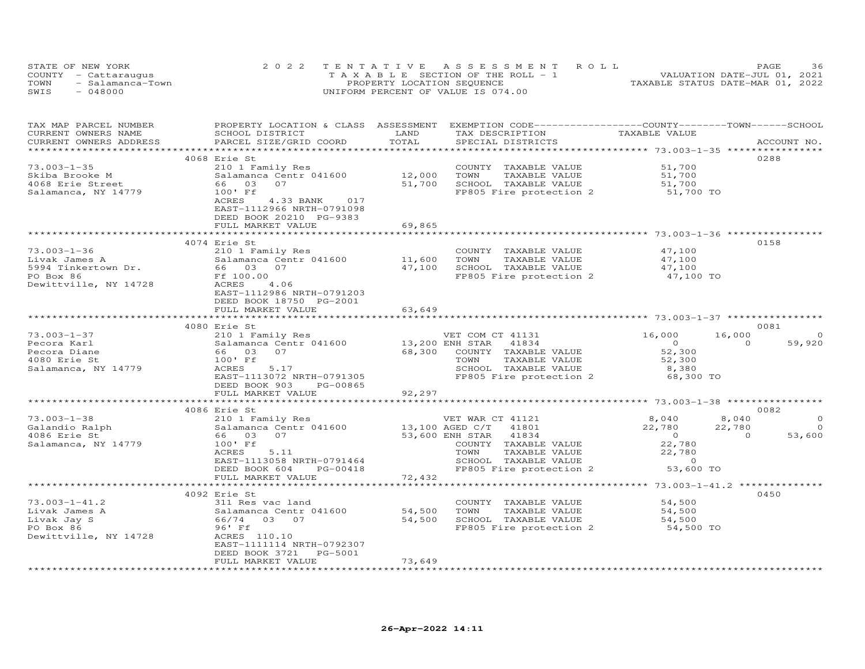| STATE OF NEW YORK        | 2022 TENTATIVE ASSESSMENT ROLL        | 36<br>PAGE                       |
|--------------------------|---------------------------------------|----------------------------------|
| COUNTY - Cattaraugus     | T A X A B L E SECTION OF THE ROLL - 1 | VALUATION DATE-JUL 01, 2021      |
| TOWN<br>- Salamanca-Town | PROPERTY LOCATION SEQUENCE            | TAXABLE STATUS DATE-MAR 01, 2022 |
| $-048000$<br>SWIS        | UNIFORM PERCENT OF VALUE IS 074.00    |                                  |

| TAX MAP PARCEL NUMBER                      |                                                              |        | PROPERTY LOCATION & CLASS ASSESSMENT EXEMPTION CODE----------------COUNTY-------TOWN------SCHOOL |                                            |                          |
|--------------------------------------------|--------------------------------------------------------------|--------|--------------------------------------------------------------------------------------------------|--------------------------------------------|--------------------------|
| CURRENT OWNERS NAME                        | SCHOOL DISTRICT                                              | LAND   | TAX DESCRIPTION                                                                                  | TAXABLE VALUE                              |                          |
| CURRENT OWNERS ADDRESS                     | PARCEL SIZE/GRID COORD                                       | TOTAL  | SPECIAL DISTRICTS                                                                                |                                            | ACCOUNT NO.              |
|                                            |                                                              |        |                                                                                                  | ****************** 73.003-1-35 **********  |                          |
|                                            | 4068 Erie St                                                 |        |                                                                                                  |                                            | 0288                     |
| $73.003 - 1 - 35$                          | 210 1 Family Res                                             |        | COUNTY TAXABLE VALUE                                                                             | 51,700                                     |                          |
| Skiba Brooke M                             | Salamanca Centr 041600                                       | 12,000 | TOWN<br>TAXABLE VALUE                                                                            | 51,700                                     |                          |
| 4068 Erie Street                           | 66 03<br>07                                                  | 51,700 | SCHOOL TAXABLE VALUE                                                                             | 51,700                                     |                          |
| Salamanca, NY 14779                        | 100' Ff                                                      |        | FP805 Fire protection 2                                                                          | 51,700 TO                                  |                          |
|                                            | 4.33 BANK 017<br>ACRES                                       |        |                                                                                                  |                                            |                          |
|                                            | EAST-1112966 NRTH-0791098                                    |        |                                                                                                  |                                            |                          |
|                                            | DEED BOOK 20210 PG-9383                                      |        |                                                                                                  |                                            |                          |
|                                            | FULL MARKET VALUE                                            | 69,865 |                                                                                                  |                                            |                          |
|                                            |                                                              |        |                                                                                                  |                                            |                          |
|                                            | 4074 Erie St                                                 |        |                                                                                                  |                                            | 0158                     |
|                                            |                                                              |        |                                                                                                  |                                            |                          |
| $73.003 - 1 - 36$                          | 210 1 Family Res                                             |        | COUNTY TAXABLE VALUE 47,100                                                                      |                                            |                          |
| Livak James A                              |                                                              | 11,600 | TAXABLE VALUE<br>TOWN                                                                            | 47,100                                     |                          |
| 5994 Tinkertown Dr.                        | Salamanca Centr 041600<br>Salamanca Centr 041600<br>66 03 07 |        | 47,100 SCHOOL TAXABLE VALUE                                                                      | 47,100<br>47,100 TO                        |                          |
| PO Box 86                                  | Ff 100.00                                                    |        | FP805 Fire protection 2                                                                          |                                            |                          |
| Dewittville, NY 14728                      | ACRES<br>4.06                                                |        |                                                                                                  |                                            |                          |
|                                            | EAST-1112986 NRTH-0791203                                    |        |                                                                                                  |                                            |                          |
|                                            | DEED BOOK 18750 PG-2001                                      |        |                                                                                                  |                                            |                          |
|                                            | FULL MARKET VALUE                                            | 63,649 |                                                                                                  |                                            |                          |
|                                            |                                                              |        |                                                                                                  |                                            |                          |
|                                            | 4080 Erie St                                                 |        |                                                                                                  |                                            | 0081                     |
| $73.003 - 1 - 37$                          | 210 1 Family Res                                             |        | VET COM CT 41131<br>13,200 ENH STAR 41834                                                        | 16,000                                     | 16,000<br>$\Omega$       |
| Pecora Karl                                | Salamanca Centr 041600                                       |        |                                                                                                  | $\overline{0}$                             | $\Omega$<br>59,920       |
| Pecora Diane                               | 66 03 07                                                     |        | 68,300 COUNTY TAXABLE VALUE                                                                      | 52,300                                     |                          |
| 4080 Erie St                               | 100' Ff                                                      |        | TAXABLE VALUE<br>TOWN                                                                            | 52,300                                     |                          |
| Salamanca, NY 14779                        | ACRES<br>5.17                                                |        | SCHOOL TAXABLE VALUE                                                                             | 8,380                                      |                          |
|                                            | EAST-1113072 NRTH-0791305                                    |        | FP805 Fire protection 2 68,300 TO                                                                |                                            |                          |
|                                            | DEED BOOK 903<br>PG-00865                                    |        |                                                                                                  |                                            |                          |
|                                            | FULL MARKET VALUE                                            | 92,297 |                                                                                                  |                                            |                          |
|                                            | *************************                                    |        |                                                                                                  |                                            |                          |
|                                            | 4086 Erie St                                                 |        |                                                                                                  |                                            | 0082                     |
| 73.003-1-38<br>Galandio Ralph<br>- Article | 210 1 Family Res                                             |        | VET WAR CT 41121                                                                                 | 8,040                                      | 8,040<br>$\circ$         |
|                                            | Salamanca Centr 041600 13,100 AGED C/T 41801                 |        |                                                                                                  | 22,780                                     | 22,780<br>$\Omega$       |
| 4086 Erie St                               | 66 03 07                                                     |        | 53,600 ENH STAR 41834                                                                            |                                            | 53,600<br>$\overline{0}$ |
| Salamanca, NY 14779                        | 100' Ff                                                      |        | COUNTY TAXABLE VALUE                                                                             | $\begin{array}{c} 0 \\ 22,780 \end{array}$ |                          |
|                                            | 5.11<br>ACRES                                                |        |                                                                                                  |                                            |                          |
|                                            | EAST-1113058 NRTH-0791464                                    |        | TOWN TAXABLE VALUE 22,780<br>SCHOOL TAXABLE VALUE 0<br>FP805 Fire protection 2 53,600 TO         |                                            |                          |
|                                            | DEED BOOK 604<br>PG-00418                                    |        |                                                                                                  |                                            |                          |
|                                            | FULL MARKET VALUE                                            | 72,432 |                                                                                                  |                                            |                          |
|                                            | ***********************                                      |        |                                                                                                  |                                            |                          |
|                                            | 4092 Erie St                                                 |        |                                                                                                  |                                            | 0450                     |
| $73.003 - 1 - 41.2$                        | 311 Res vac land                                             |        | COUNTY TAXABLE VALUE                                                                             | 54,500                                     |                          |
| Livak James A                              |                                                              | 54,500 | TAXABLE VALUE<br>TOWN                                                                            | 54,500                                     |                          |
|                                            |                                                              | 54,500 | SCHOOL TAXABLE VALUE                                                                             |                                            |                          |
| Livak Jay S                                |                                                              |        | FP805 Fire protection 2 54,500 TO                                                                | 54,500                                     |                          |
| PO Box 86                                  | 96' Ff                                                       |        |                                                                                                  |                                            |                          |
| Dewittville, NY 14728                      | ACRES 110.10                                                 |        |                                                                                                  |                                            |                          |
|                                            | EAST-1111114 NRTH-0792307                                    |        |                                                                                                  |                                            |                          |
|                                            | DEED BOOK 3721<br>PG-5001                                    |        |                                                                                                  |                                            |                          |
|                                            | FULL MARKET VALUE                                            | 73,649 |                                                                                                  |                                            |                          |
|                                            |                                                              |        |                                                                                                  |                                            |                          |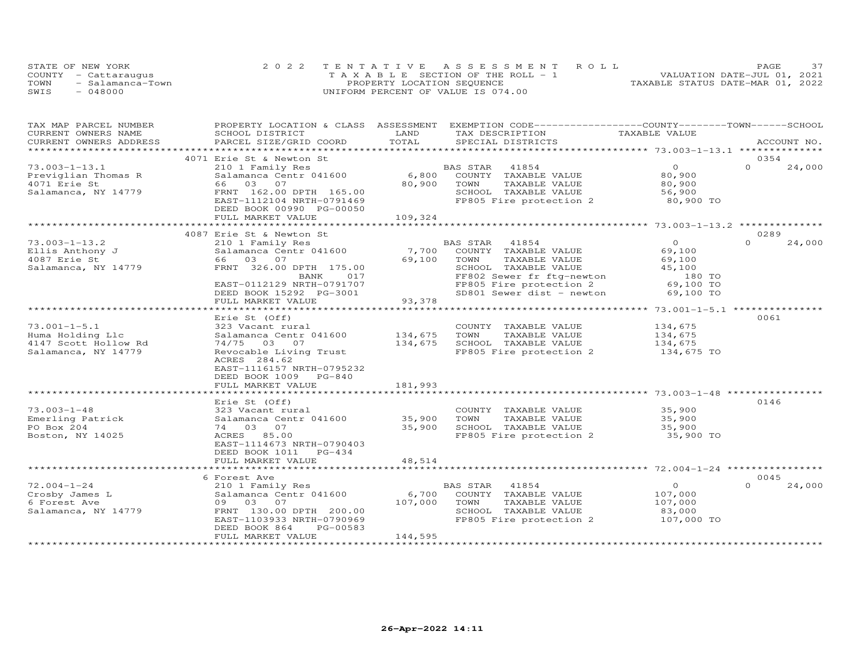| STATE OF NEW YORK        | 2022 TENTATIVE ASSESSMENT ROLL     |                                       | PAGE.                            |  |
|--------------------------|------------------------------------|---------------------------------------|----------------------------------|--|
| COUNTY - Cattaraugus     |                                    | T A X A B L E SECTION OF THE ROLL - 1 | VALUATION DATE-JUL 01, 2021      |  |
| TOWN<br>- Salamanca-Town | PROPERTY LOCATION SEQUENCE         |                                       | TAXABLE STATUS DATE-MAR 01, 2022 |  |
| SWIS<br>048000           | UNIFORM PERCENT OF VALUE IS 074.00 |                                       |                                  |  |

| TAX MAP PARCEL NUMBER  | PROPERTY LOCATION & CLASS      | ASSESSMENT | EXEMPTION CODE-----------------COUNTY-------TOWN-----SCHOOL |                |                    |
|------------------------|--------------------------------|------------|-------------------------------------------------------------|----------------|--------------------|
| CURRENT OWNERS NAME    | SCHOOL DISTRICT                | LAND       | TAX DESCRIPTION                                             | TAXABLE VALUE  |                    |
| CURRENT OWNERS ADDRESS | PARCEL SIZE/GRID COORD         | TOTAL      | SPECIAL DISTRICTS                                           |                | ACCOUNT NO.        |
| ******************     |                                |            |                                                             |                |                    |
|                        | 4071 Erie St & Newton St       |            |                                                             |                | 0354               |
| $73.003 - 1 - 13.1$    | 210 1 Family Res               |            | BAS STAR<br>41854                                           | $\Omega$       | $\Omega$<br>24,000 |
| Previglian Thomas R    | Salamanca Centr 041600         | 6,800      | COUNTY TAXABLE VALUE                                        | 80,900         |                    |
| 4071 Erie St           | 66 03 07                       | 80,900     | TOWN<br>TAXABLE VALUE                                       | 80,900         |                    |
| Salamanca, NY 14779    | FRNT 162.00 DPTH 165.00        |            | SCHOOL TAXABLE VALUE                                        | 56,900         |                    |
|                        | EAST-1112104 NRTH-0791469      |            | FP805 Fire protection 2                                     | 80,900 TO      |                    |
|                        | DEED BOOK 00990 PG-00050       |            |                                                             |                |                    |
|                        | FULL MARKET VALUE              | 109,324    |                                                             |                |                    |
|                        |                                |            |                                                             |                |                    |
|                        | 4087 Erie St & Newton St       |            |                                                             |                | 0289               |
| $73.003 - 1 - 13.2$    | 210 1 Family Res               |            | BAS STAR<br>41854                                           | $\overline{O}$ | $\Omega$<br>24,000 |
| Ellis Anthony J        | Salamanca Centr 041600         | 7,700      | COUNTY TAXABLE VALUE                                        | 69,100         |                    |
| 4087 Erie St           | 66 03 07                       | 69,100     | TOWN<br>TAXABLE VALUE                                       | 69,100         |                    |
| Salamanca, NY 14779    | FRNT 326.00 DPTH 175.00        |            | SCHOOL TAXABLE VALUE                                        | 45,100         |                    |
|                        | BANK<br>017                    |            | FF802 Sewer fr ftg-newton                                   | 180 TO         |                    |
|                        | EAST-0112129 NRTH-0791707      |            | FP805 Fire protection 2                                     | 69,100 TO      |                    |
|                        | DEED BOOK 15292 PG-3001        |            | SD801 Sewer dist - newton                                   | 69,100 TO      |                    |
|                        | FULL MARKET VALUE              | 93,378     |                                                             |                |                    |
|                        | *************************      |            |                                                             |                |                    |
|                        | Erie St (Off)                  |            |                                                             |                | 0061               |
| $73.001 - 1 - 5.1$     | 323 Vacant rural               |            | COUNTY TAXABLE VALUE                                        | 134,675        |                    |
| Huma Holding Llc       | Salamanca Centr 041600         | 134,675    | TOWN<br>TAXABLE VALUE                                       | 134,675        |                    |
| 4147 Scott Hollow Rd   | 74/75 03 07                    | 134,675    | SCHOOL TAXABLE VALUE                                        | 134,675        |                    |
| Salamanca, NY 14779    | Revocable Living Trust         |            | FP805 Fire protection 2                                     | 134,675 TO     |                    |
|                        | ACRES 284.62                   |            |                                                             |                |                    |
|                        | EAST-1116157 NRTH-0795232      |            |                                                             |                |                    |
|                        | DEED BOOK 1009 PG-840          |            |                                                             |                |                    |
|                        | FULL MARKET VALUE              | 181,993    |                                                             |                |                    |
|                        | ****************************** |            |                                                             |                |                    |
|                        | Erie St (Off)                  |            |                                                             |                | 0146               |
| $73.003 - 1 - 48$      | 323 Vacant rural               |            | COUNTY TAXABLE VALUE                                        | 35,900         |                    |
| Emerling Patrick       | Salamanca Centr 041600         | 35,900     | TAXABLE VALUE<br>TOWN                                       | 35,900         |                    |
| PO Box 204             | 74 03 07                       | 35,900     | SCHOOL TAXABLE VALUE                                        | 35,900         |                    |
| Boston, NY 14025       | ACRES 85.00                    |            | FP805 Fire protection 2                                     | 35,900 TO      |                    |
|                        | EAST-1114673 NRTH-0790403      |            |                                                             |                |                    |
|                        | DEED BOOK 1011<br>PG-434       |            |                                                             |                |                    |
|                        | FULL MARKET VALUE              | 48,514     |                                                             |                |                    |
|                        |                                |            |                                                             |                |                    |
|                        | 6 Forest Ave                   |            |                                                             |                | 0045               |
| $72.004 - 1 - 24$      | 210 1 Family Res               |            | BAS STAR<br>41854                                           | $\overline{O}$ | $\Omega$<br>24,000 |
| Crosby James L         | Salamanca Centr 041600         | 6,700      | COUNTY TAXABLE VALUE                                        | 107,000        |                    |
| 6 Forest Ave           | 09 03 07                       | 107,000    | TAXABLE VALUE<br>TOWN                                       | 107,000        |                    |
| Salamanca, NY 14779    | FRNT 130.00 DPTH 200.00        |            | SCHOOL TAXABLE VALUE                                        | 83,000         |                    |
|                        | EAST-1103933 NRTH-0790969      |            | FP805 Fire protection 2                                     | 107,000 TO     |                    |
|                        | DEED BOOK 864<br>PG-00583      |            |                                                             |                |                    |
|                        | FULL MARKET VALUE              | 144,595    |                                                             |                |                    |
|                        |                                |            |                                                             |                |                    |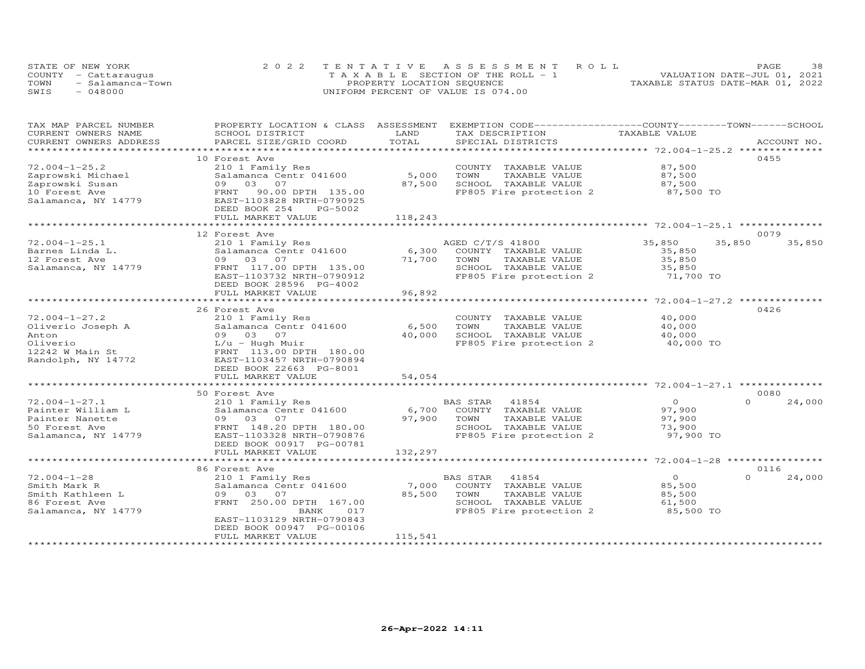|      | STATE OF NEW YORK    | 2022 TENTATIVE ASSESSMENT ROLL        | 38.<br>PAGE.                     |
|------|----------------------|---------------------------------------|----------------------------------|
|      | COUNTY - Cattaraugus | T A X A B L E SECTION OF THE ROLL - 1 | VALUATION DATE-JUL 01, 2021      |
| TOWN | - Salamanca-Town     | PROPERTY LOCATION SEQUENCE            | TAXABLE STATUS DATE-MAR 01, 2022 |
| SWIS | $-048000$            | UNIFORM PERCENT OF VALUE IS 074.00    |                                  |

| TAX MAP PARCEL NUMBER  | PROPERTY LOCATION & CLASS    | ASSESSMENT            | EXEMPTION CODE-----------------COUNTY-------TOWN------SCHOOL |                                                        |          |             |
|------------------------|------------------------------|-----------------------|--------------------------------------------------------------|--------------------------------------------------------|----------|-------------|
| CURRENT OWNERS NAME    | SCHOOL DISTRICT              | LAND                  | TAX DESCRIPTION                                              | TAXABLE VALUE                                          |          |             |
| CURRENT OWNERS ADDRESS | PARCEL SIZE/GRID COORD       | TOTAL                 | SPECIAL DISTRICTS                                            |                                                        |          | ACCOUNT NO. |
| **************         |                              |                       |                                                              | ******************** 72.004-1-25.2 **************      |          |             |
|                        | 10 Forest Ave                |                       |                                                              |                                                        |          | 0455        |
| $72.004 - 1 - 25.2$    | 210 1 Family Res             |                       | COUNTY TAXABLE VALUE                                         | 87,500                                                 |          |             |
| Zaprowski Michael      | Salamanca Centr 041600       | 5,000                 | TOWN<br>TAXABLE VALUE                                        | 87,500                                                 |          |             |
| Zaprowski Susan        | 09 03<br>07                  | 87,500                | SCHOOL TAXABLE VALUE                                         | 87,500                                                 |          |             |
| 10 Forest Ave          | FRNT<br>90.00 DPTH 135.00    |                       | FP805 Fire protection 2                                      | 87,500 TO                                              |          |             |
| Salamanca, NY 14779    | EAST-1103828 NRTH-0790925    |                       |                                                              |                                                        |          |             |
|                        | DEED BOOK 254<br>PG-5002     |                       |                                                              |                                                        |          |             |
|                        | FULL MARKET VALUE            | 118,243               |                                                              |                                                        |          |             |
|                        | **************************** |                       |                                                              |                                                        |          |             |
|                        | 12 Forest Ave                |                       |                                                              |                                                        |          | 0079        |
| $72.004 - 1 - 25.1$    | 210 1 Family Res             |                       | AGED C/T/S 41800                                             | 35,850                                                 | 35,850   | 35,850      |
| Barnes Linda L.        | Salamanca Centr 041600       | 6,300                 | COUNTY TAXABLE VALUE                                         | 35,850                                                 |          |             |
| 12 Forest Ave          | 09 03<br>07                  | 71,700                | TOWN<br>TAXABLE VALUE                                        | 35,850                                                 |          |             |
| Salamanca, NY 14779    | FRNT 117.00 DPTH 135.00      |                       | SCHOOL TAXABLE VALUE                                         | 35,850                                                 |          |             |
|                        | EAST-1103732 NRTH-0790912    |                       | FP805 Fire protection 2                                      | 71,700 TO                                              |          |             |
|                        |                              |                       |                                                              |                                                        |          |             |
|                        | DEED BOOK 28596 PG-4002      |                       |                                                              |                                                        |          |             |
|                        | FULL MARKET VALUE            | 96,892                |                                                              |                                                        |          |             |
|                        |                              |                       |                                                              | ******** 72.004-1-27.2 *************                   |          |             |
|                        | 26 Forest Ave                |                       |                                                              |                                                        |          | 0426        |
| $72.004 - 1 - 27.2$    | 210 1 Family Res             |                       | COUNTY TAXABLE VALUE                                         | 40,000                                                 |          |             |
| Oliverio Joseph A      | Salamanca Centr 041600       | 6,500                 | TOWN<br>TAXABLE VALUE                                        | 40,000                                                 |          |             |
| Anton                  | 09 03 07                     | 40,000                | SCHOOL TAXABLE VALUE                                         | 40,000                                                 |          |             |
| Oliverio               | L/u - Hugh Muir              |                       | FP805 Fire protection 2                                      | 40,000 TO                                              |          |             |
| 12242 W Main St        | FRNT 113.00 DPTH 180.00      |                       |                                                              |                                                        |          |             |
| Randolph, NY 14772     | EAST-1103457 NRTH-0790894    |                       |                                                              |                                                        |          |             |
|                        | DEED BOOK 22663 PG-8001      |                       |                                                              |                                                        |          |             |
|                        | FULL MARKET VALUE            | 54,054                |                                                              |                                                        |          |             |
|                        | *********************        |                       |                                                              |                                                        |          |             |
|                        | 50 Forest Ave                |                       |                                                              |                                                        |          | 0080        |
| $72.004 - 1 - 27.1$    | 210 1 Family Res             |                       | 41854<br>BAS STAR                                            | $\circ$                                                | $\Omega$ | 24,000      |
| Painter William L      | Salamanca Centr 041600       | 6,700                 | COUNTY TAXABLE VALUE                                         | 97,900                                                 |          |             |
| Painter Nanette        | 09 03 07                     | 97,900                | TOWN<br>TAXABLE VALUE                                        | 97,900                                                 |          |             |
| 50 Forest Ave          | FRNT 148.20 DPTH 180.00      |                       | SCHOOL TAXABLE VALUE                                         | 73,900                                                 |          |             |
| Salamanca, NY 14779    | EAST-1103328 NRTH-0790876    |                       | FP805 Fire protection 2                                      | 97,900 TO                                              |          |             |
|                        | DEED BOOK 00917 PG-00781     |                       |                                                              |                                                        |          |             |
|                        | FULL MARKET VALUE            | 132,297               |                                                              |                                                        |          |             |
|                        | ***********************      | ********************* |                                                              | ************************ 72.004-1-28 ***************** |          |             |
|                        | 86 Forest Ave                |                       |                                                              |                                                        |          | 0116        |
| $72.004 - 1 - 28$      | 210 1 Family Res             |                       | BAS STAR<br>41854                                            | $\circ$                                                | $\Omega$ | 24,000      |
| Smith Mark R           | Salamanca Centr 041600       | 7,000                 | COUNTY TAXABLE VALUE                                         | 85,500                                                 |          |             |
| Smith Kathleen L       | 03<br>07<br>09               | 85,500                | TAXABLE VALUE                                                | 85,500                                                 |          |             |
|                        |                              |                       | TOWN                                                         |                                                        |          |             |
| 86 Forest Ave          | FRNT 250.00 DPTH 167.00      |                       | SCHOOL TAXABLE VALUE                                         | 61,500                                                 |          |             |
| Salamanca, NY 14779    | BANK<br>017                  |                       | FP805 Fire protection 2                                      | 85,500 TO                                              |          |             |
|                        | EAST-1103129 NRTH-0790843    |                       |                                                              |                                                        |          |             |
|                        | DEED BOOK 00947 PG-00106     |                       |                                                              |                                                        |          |             |
|                        | FULL MARKET VALUE            | 115,541               |                                                              |                                                        |          |             |
|                        |                              |                       |                                                              |                                                        |          |             |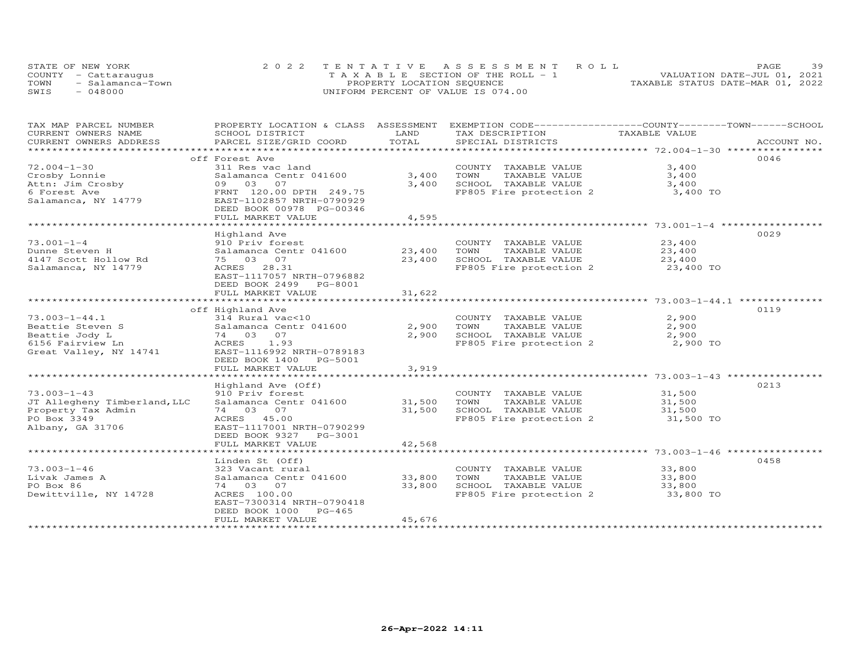| STATE OF NEW YORK        | 2022 TENTATIVE ASSESSMENT ROLL        | 39<br>PAGE.                      |
|--------------------------|---------------------------------------|----------------------------------|
| COUNTY - Cattaraugus     | T A X A B L E SECTION OF THE ROLL - 1 | VALUATION DATE-JUL 01, 2021      |
| TOWN<br>- Salamanca-Town | PROPERTY LOCATION SEQUENCE            | TAXABLE STATUS DATE-MAR 01, 2022 |
| SWIS<br>048000           | UNIFORM PERCENT OF VALUE IS 074.00    |                                  |

| TAX MAP PARCEL NUMBER        |                           |        | PROPERTY LOCATION & CLASS ASSESSMENT EXEMPTION CODE---------------COUNTY-------TOWN-----SCHOOL |               |             |
|------------------------------|---------------------------|--------|------------------------------------------------------------------------------------------------|---------------|-------------|
| CURRENT OWNERS NAME          | SCHOOL DISTRICT           | LAND   | TAX DESCRIPTION                                                                                | TAXABLE VALUE |             |
| CURRENT OWNERS ADDRESS       | PARCEL SIZE/GRID COORD    | TOTAL  | SPECIAL DISTRICTS                                                                              |               | ACCOUNT NO. |
|                              |                           |        |                                                                                                |               |             |
|                              | off Forest Ave            |        |                                                                                                |               | 0046        |
|                              |                           |        |                                                                                                |               |             |
| $72.004 - 1 - 30$            | 311 Res vac land          |        | COUNTY TAXABLE VALUE                                                                           | 3,400         |             |
| Crosby Lonnie                | Salamanca Centr 041600    | 3,400  | TOWN<br>TAXABLE VALUE                                                                          | 3,400         |             |
| Attn: Jim Crosby             | 09 03 07                  | 3,400  | SCHOOL TAXABLE VALUE                                                                           | 3,400         |             |
| 6 Forest Ave                 | FRNT 120.00 DPTH 249.75   |        | FP805 Fire protection 2                                                                        | 3,400 TO      |             |
| Salamanca, NY 14779          | EAST-1102857 NRTH-0790929 |        |                                                                                                |               |             |
|                              | DEED BOOK 00978 PG-00346  |        |                                                                                                |               |             |
|                              | FULL MARKET VALUE         | 4,595  |                                                                                                |               |             |
|                              |                           |        |                                                                                                |               |             |
|                              |                           |        |                                                                                                |               |             |
|                              | Highland Ave              |        |                                                                                                |               | 0029        |
| $73.001 - 1 - 4$             | 910 Priv forest           |        | COUNTY TAXABLE VALUE                                                                           | 23,400        |             |
| Dunne Steven H               | Salamanca Centr 041600    | 23,400 | TOWN<br>TAXABLE VALUE                                                                          | 23,400        |             |
| 4147 Scott Hollow Rd         | 75 03 07                  | 23,400 | SCHOOL TAXABLE VALUE                                                                           | 23,400        |             |
| Salamanca, NY 14779          | ACRES 28.31               |        | FP805 Fire protection 2                                                                        | 23,400 TO     |             |
|                              | EAST-1117057 NRTH-0796882 |        |                                                                                                |               |             |
|                              |                           |        |                                                                                                |               |             |
|                              | DEED BOOK 2499 PG-8001    |        |                                                                                                |               |             |
|                              | FULL MARKET VALUE         | 31,622 |                                                                                                |               |             |
|                              |                           |        |                                                                                                |               |             |
|                              | off Highland Ave          |        |                                                                                                |               | 0119        |
| $73.003 - 1 - 44.1$          | 314 Rural vac<10          |        | COUNTY TAXABLE VALUE                                                                           | 2,900         |             |
| Beattie Steven S             | Salamanca Centr 041600    | 2,900  | TAXABLE VALUE<br>TOWN                                                                          | 2,900         |             |
| Beattie Jody L               | 74 03 07                  | 2,900  | SCHOOL TAXABLE VALUE                                                                           | 2,900         |             |
|                              | ACRES 1.93                |        | FP805 Fire protection 2                                                                        | 2,900 TO      |             |
| 6156 Fairview Ln             |                           |        |                                                                                                |               |             |
| Great Valley, NY 14741       | EAST-1116992 NRTH-0789183 |        |                                                                                                |               |             |
|                              | DEED BOOK 1400 PG-5001    |        |                                                                                                |               |             |
|                              | FULL MARKET VALUE         | 3,919  |                                                                                                |               |             |
|                              |                           |        |                                                                                                |               |             |
|                              | Highland Ave (Off)        |        |                                                                                                |               | 0213        |
| $73.003 - 1 - 43$            | 910 Priv forest           |        | COUNTY TAXABLE VALUE                                                                           | 31,500        |             |
| JT Allegheny Timberland, LLC | Salamanca Centr 041600    | 31,500 | TOWN<br>TAXABLE VALUE                                                                          | 31,500        |             |
| Property Tax Admin           | 74 03 07                  | 31,500 |                                                                                                | 31,500        |             |
|                              |                           |        | SCHOOL TAXABLE VALUE<br>FP805 Fire protection 2                                                |               |             |
| PO Box 3349                  | ACRES 45.00               |        |                                                                                                | 31,500 TO     |             |
| Albany, GA 31706             | EAST-1117001 NRTH-0790299 |        |                                                                                                |               |             |
|                              | DEED BOOK 9327 PG-3001    |        |                                                                                                |               |             |
|                              | FULL MARKET VALUE         | 42,568 |                                                                                                |               |             |
|                              |                           |        |                                                                                                |               |             |
|                              | Linden St (Off)           |        |                                                                                                |               | 0458        |
| $73.003 - 1 - 46$            | 323 Vacant rural          |        | COUNTY TAXABLE VALUE                                                                           | 33,800        |             |
|                              |                           |        |                                                                                                |               |             |
| Livak James A                | Salamanca Centr 041600    | 33,800 | TOWN<br>TAXABLE VALUE                                                                          | 33,800        |             |
| PO Box 86                    | 74 03 07                  | 33,800 | SCHOOL TAXABLE VALUE<br>SUNUUL TAXABLE VALUE<br>FP805 Fire protection 2                        | 33,800        |             |
| Dewittville, NY 14728        | ACRES 100.00              |        |                                                                                                | 33,800 TO     |             |
|                              | EAST-7300314 NRTH-0790418 |        |                                                                                                |               |             |
|                              | DEED BOOK 1000<br>PG-465  |        |                                                                                                |               |             |
|                              | FULL MARKET VALUE         | 45,676 |                                                                                                |               |             |
|                              |                           |        |                                                                                                |               |             |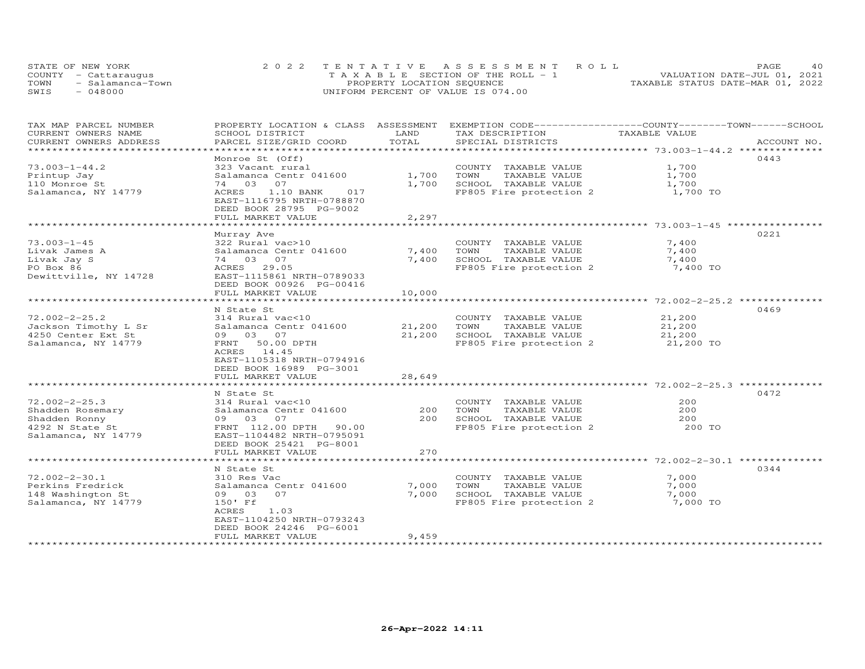|      | STATE OF NEW YORK    | 2022 TENTATIVE ASSESSMENT ROLL        | PAGE.                            |
|------|----------------------|---------------------------------------|----------------------------------|
|      | COUNTY - Cattaraugus | T A X A B L E SECTION OF THE ROLL - 1 | VALUATION DATE-JUL 01, 2021      |
| TOWN | - Salamanca-Town     | PROPERTY LOCATION SEQUENCE            | TAXABLE STATUS DATE-MAR 01, 2022 |
| SWIS | 048000               | UNIFORM PERCENT OF VALUE IS 074.00    |                                  |

| TAX MAP PARCEL NUMBER  | PROPERTY LOCATION & CLASS ASSESSMENT |                | EXEMPTION CODE-----------------COUNTY-------TOWN------SCHOOL |               |             |
|------------------------|--------------------------------------|----------------|--------------------------------------------------------------|---------------|-------------|
| CURRENT OWNERS NAME    | SCHOOL DISTRICT                      | LAND           | TAX DESCRIPTION                                              | TAXABLE VALUE |             |
| CURRENT OWNERS ADDRESS | PARCEL SIZE/GRID COORD               | TOTAL          | SPECIAL DISTRICTS                                            |               | ACCOUNT NO. |
|                        |                                      |                |                                                              |               |             |
|                        | Monroe St (Off)                      |                |                                                              |               | 0443        |
| $73.003 - 1 - 44.2$    |                                      |                | COUNTY TAXABLE VALUE                                         | 1,700         |             |
|                        | 323 Vacant rural                     |                |                                                              |               |             |
| Printup Jay            | Salamanca Centr 041600               | 1,700          | TAXABLE VALUE<br>TOWN                                        | 1,700         |             |
| 110 Monroe St          | 74 03 07                             | 1,700          | SCHOOL TAXABLE VALUE                                         | 1,700         |             |
| Salamanca, NY 14779    | ACRES<br>1.10 BANK<br>017            |                | FP805 Fire protection 2                                      | 1,700 TO      |             |
|                        | EAST-1116795 NRTH-0788870            |                |                                                              |               |             |
|                        | DEED BOOK 28795 PG-9002              |                |                                                              |               |             |
|                        | FULL MARKET VALUE                    | 2,297          |                                                              |               |             |
|                        |                                      |                |                                                              |               |             |
|                        |                                      |                |                                                              |               | 0221        |
|                        | Murray Ave                           |                |                                                              |               |             |
| $73.003 - 1 - 45$      | 322 Rural vac>10                     |                | COUNTY TAXABLE VALUE                                         | 7,400         |             |
| Livak James A          | Salamanca Centr 041600               | 7,400          | TOWN<br>TAXABLE VALUE                                        | 7,400         |             |
| Livak Jay S            | 74 03 07                             | 7,400          | SCHOOL TAXABLE VALUE                                         | 7,400         |             |
| PO Box 86              | ACRES 29.05                          |                | FP805 Fire protection 2                                      | 7,400 TO      |             |
| Dewittville, NY 14728  | EAST-1115861 NRTH-0789033            |                |                                                              |               |             |
|                        | DEED BOOK 00926 PG-00416             |                |                                                              |               |             |
|                        | FULL MARKET VALUE                    | 10,000         |                                                              |               |             |
|                        | *******************************      | ************** |                                                              |               |             |
|                        |                                      |                |                                                              |               |             |
|                        | N State St                           |                |                                                              |               | 0469        |
| $72.002 - 2 - 25.2$    | 314 Rural vac<10                     |                | COUNTY TAXABLE VALUE                                         | 21,200        |             |
| Jackson Timothy L Sr   | Salamanca Centr 041600               | 21,200         | TAXABLE VALUE<br>TOWN                                        | 21,200        |             |
| 4250 Center Ext St     | 09 03 07                             | 21,200         | SCHOOL TAXABLE VALUE                                         | 21,200        |             |
| Salamanca, NY 14779    | FRNT 50.00 DPTH                      |                | FP805 Fire protection 2                                      | 21,200 TO     |             |
|                        | ACRES 14.45                          |                |                                                              |               |             |
|                        | EAST-1105318 NRTH-0794916            |                |                                                              |               |             |
|                        | DEED BOOK 16989 PG-3001              |                |                                                              |               |             |
|                        |                                      |                |                                                              |               |             |
|                        | FULL MARKET VALUE                    | 28,649         |                                                              |               |             |
|                        |                                      |                |                                                              |               |             |
|                        | N State St                           |                |                                                              |               | 0472        |
| $72.002 - 2 - 25.3$    | 314 Rural vac<10                     |                | COUNTY TAXABLE VALUE                                         | 200           |             |
| Shadden Rosemary       | Salamanca Centr 041600               | 200            | TOWN<br>TAXABLE VALUE                                        | 200           |             |
| Shadden Ronny          | 09 03 07                             | 200            | SCHOOL TAXABLE VALUE                                         | 200           |             |
| 4292 N State St        | FRNT 112.00 DPTH 90.00               |                | FP805 Fire protection 2                                      | 200 TO        |             |
| Salamanca, NY 14779    | EAST-1104482 NRTH-0795091            |                |                                                              |               |             |
|                        |                                      |                |                                                              |               |             |
|                        | DEED BOOK 25421 PG-8001              |                |                                                              |               |             |
|                        | FULL MARKET VALUE                    | 270            |                                                              |               |             |
|                        |                                      |                |                                                              |               |             |
|                        | N State St                           |                |                                                              |               | 0344        |
| $72.002 - 2 - 30.1$    | 310 Res Vac                          |                | COUNTY TAXABLE VALUE                                         | 7,000         |             |
| Perkins Fredrick       | Salamanca Centr 041600               | 7,000          | TOWN<br>TAXABLE VALUE                                        | 7,000         |             |
| 148 Washington St      | 09 03<br>07                          | 7,000          | SCHOOL TAXABLE VALUE                                         | 7,000         |             |
| Salamanca, NY 14779    | 150' Ff                              |                | FP805 Fire protection 2                                      | 7,000 TO      |             |
|                        | ACRES<br>1.03                        |                |                                                              |               |             |
|                        |                                      |                |                                                              |               |             |
|                        | EAST-1104250 NRTH-0793243            |                |                                                              |               |             |
|                        | DEED BOOK 24246 PG-6001              |                |                                                              |               |             |
|                        | FULL MARKET VALUE                    | 9,459          |                                                              |               |             |
|                        |                                      |                | *****************************                                |               |             |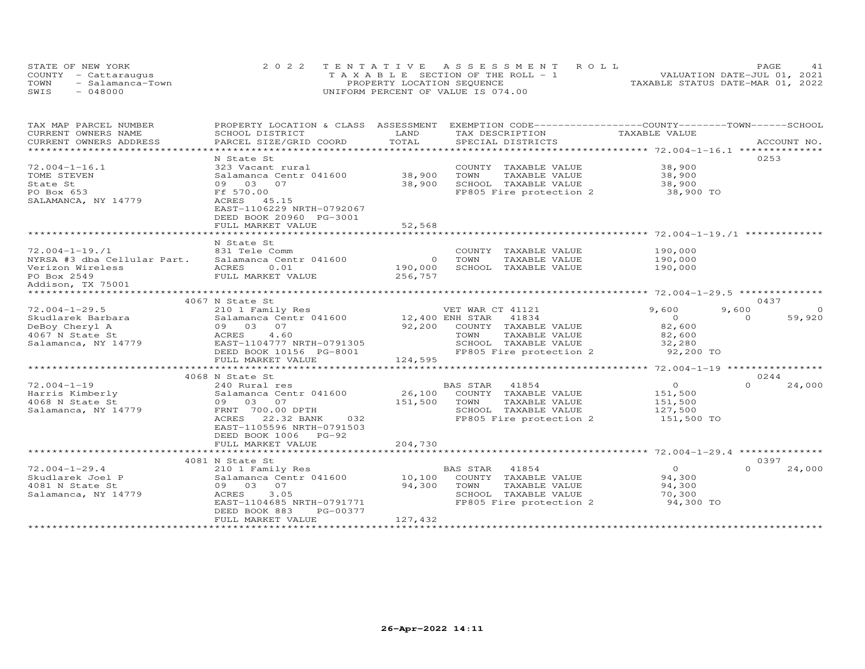| STATE OF NEW YORK        |  |                                       | 2022 TENTATIVE ASSESSMENT ROLL |                                  | PAGE. |  |
|--------------------------|--|---------------------------------------|--------------------------------|----------------------------------|-------|--|
| COUNTY - Cattaraugus     |  | T A X A B L E SECTION OF THE ROLL - 1 |                                | VALUATION DATE-JUL 01, 2021      |       |  |
| TOWN<br>- Salamanca-Town |  | PROPERTY LOCATION SEQUENCE            |                                | TAXABLE STATUS DATE-MAR 01, 2022 |       |  |
| SWIS<br>$-048000$        |  | UNIFORM PERCENT OF VALUE IS 074.00    |                                |                                  |       |  |

| TAX MAP PARCEL NUMBER               | PROPERTY LOCATION & CLASS ASSESSMENT |                                   | EXEMPTION CODE-----------------COUNTY-------TOWN------SCHOOL |                                               |                    |
|-------------------------------------|--------------------------------------|-----------------------------------|--------------------------------------------------------------|-----------------------------------------------|--------------------|
| CURRENT OWNERS NAME                 | SCHOOL DISTRICT                      | LAND                              | TAX DESCRIPTION                                              | TAXABLE VALUE                                 |                    |
| CURRENT OWNERS ADDRESS              | PARCEL SIZE/GRID COORD               | TOTAL                             | SPECIAL DISTRICTS                                            |                                               | ACCOUNT NO.        |
| ************************            |                                      |                                   |                                                              |                                               |                    |
|                                     | N State St                           |                                   |                                                              |                                               | 0253               |
| $72.004 - 1 - 16.1$                 | 323 Vacant rural                     |                                   | COUNTY TAXABLE VALUE                                         | 38,900                                        |                    |
| TOME STEVEN                         | Salamanca Centr 041600               | 38,900                            | TOWN<br>TAXABLE VALUE                                        | 38,900                                        |                    |
| State St                            | 09 03 07                             | 38,900                            | SCHOOL TAXABLE VALUE                                         | 38,900                                        |                    |
| PO Box 653                          | Ff 570.00                            |                                   | FP805 Fire protection 2                                      | 38,900 TO                                     |                    |
| SALAMANCA, NY 14779                 | ACRES 45.15                          |                                   |                                                              |                                               |                    |
|                                     | EAST-1106229 NRTH-0792067            |                                   |                                                              |                                               |                    |
|                                     | DEED BOOK 20960 PG-3001              |                                   |                                                              |                                               |                    |
|                                     | FULL MARKET VALUE                    | 52,568                            |                                                              |                                               |                    |
|                                     | ***********************              | **************                    |                                                              |                                               |                    |
|                                     | N State St                           |                                   |                                                              |                                               |                    |
| $72.004 - 1 - 19.1$                 | 831 Tele Comm                        |                                   | COUNTY TAXABLE VALUE                                         | 190,000                                       |                    |
| NYRSA #3 dba Cellular Part.         | Salamanca Centr 041600               | $\circ$                           | TOWN<br>TAXABLE VALUE                                        | 190,000                                       |                    |
| Verizon Wireless                    | ACRES<br>0.01                        | 190,000                           | SCHOOL TAXABLE VALUE                                         | 190,000                                       |                    |
| PO Box 2549                         | FULL MARKET VALUE                    | 256,757                           |                                                              |                                               |                    |
| Addison, TX 75001                   |                                      |                                   |                                                              |                                               |                    |
|                                     |                                      |                                   |                                                              |                                               |                    |
|                                     | 4067 N State St                      |                                   |                                                              |                                               | 0437               |
| $72.004 - 1 - 29.5$                 | 210 1 Family Res                     |                                   | VET WAR CT 41121                                             | 9,600                                         | 9,600<br>$\Omega$  |
| Skudlarek Barbara                   | Salamanca Centr 041600               | 12,400 ENH STAR                   | 41834                                                        | $\overline{O}$                                | $\Omega$<br>59,920 |
| DeBoy Cheryl A                      | 09 03<br>07                          |                                   | 92,200 COUNTY TAXABLE VALUE                                  | 82,600                                        |                    |
| 4067 N State St                     | ACRES<br>4.60                        |                                   | TOWN<br>TAXABLE VALUE                                        | 82,600                                        |                    |
| Salamanca, NY 14779                 | EAST-1104777 NRTH-0791305            |                                   | SCHOOL TAXABLE VALUE                                         | 32,280                                        |                    |
|                                     | DEED BOOK 10156 PG-8001              |                                   | FP805 Fire protection 2                                      | 92,200 TO                                     |                    |
|                                     | FULL MARKET VALUE                    | 124,595<br>********************** |                                                              |                                               |                    |
|                                     | ***************************          |                                   |                                                              | ***************** 72.004-1-19 *************** |                    |
|                                     | 4068 N State St                      |                                   |                                                              |                                               | 0244               |
| $72.004 - 1 - 19$                   | 240 Rural res                        |                                   | 41854<br>BAS STAR                                            | $\circ$                                       | $\Omega$<br>24,000 |
| Harris Kimberly                     | Salamanca Centr 041600               |                                   | 26,100 COUNTY TAXABLE VALUE                                  | 151,500                                       |                    |
| 4068 N State St                     | 09 03 07                             | 151,500                           | TOWN<br>TAXABLE VALUE                                        | 151,500                                       |                    |
| Salamanca, NY 14779                 | FRNT 700.00 DPTH                     |                                   | SCHOOL TAXABLE VALUE                                         | 127,500                                       |                    |
|                                     | 22.32 BANK<br>ACRES<br>032           |                                   | FP805 Fire protection 2                                      | 151,500 TO                                    |                    |
|                                     | EAST-1105596 NRTH-0791503            |                                   |                                                              |                                               |                    |
|                                     | DEED BOOK 1006 PG-92                 |                                   |                                                              |                                               |                    |
|                                     | FULL MARKET VALUE                    | 204,730                           |                                                              |                                               |                    |
|                                     |                                      |                                   |                                                              |                                               | 0397               |
|                                     | 4081 N State St                      |                                   |                                                              | $\overline{0}$                                | $\Omega$           |
| $72.004 - 1 - 29.4$                 | 210 1 Family Res                     |                                   | 41854<br>BAS STAR                                            |                                               | 24,000             |
| Skudlarek Joel P<br>4081 N State St | Salamanca Centr 041600<br>09 03 07   | 10,100<br>94,300                  | COUNTY TAXABLE VALUE<br>TAXABLE VALUE<br>TOWN                | 94,300<br>94,300                              |                    |
|                                     | ACRES<br>3.05                        |                                   |                                                              |                                               |                    |
| Salamanca, NY 14779                 | EAST-1104685 NRTH-0791771            |                                   | SCHOOL TAXABLE VALUE<br>FP805 Fire protection 2              | 70,300<br>94,300 TO                           |                    |
|                                     | PG-00377<br>DEED BOOK 883            |                                   |                                                              |                                               |                    |
|                                     | FULL MARKET VALUE                    | 127,432                           |                                                              |                                               |                    |
|                                     |                                      |                                   |                                                              |                                               |                    |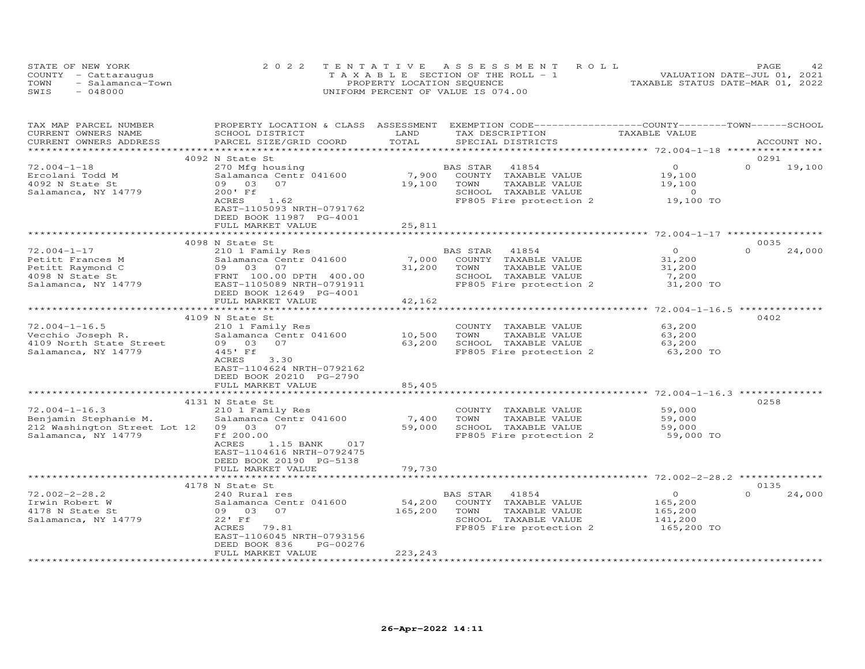| STATE OF NEW YORK        | 2022 TENTATIVE ASSESSMENT ROLL     | 42.<br>PAGE                      |
|--------------------------|------------------------------------|----------------------------------|
| COUNTY - Cattaraugus     | TAXABLE SECTION OF THE ROLL - 1    | VALUATION DATE-JUL 01, 2021      |
| TOWN<br>- Salamanca-Town | PROPERTY LOCATION SEQUENCE         | TAXABLE STATUS DATE-MAR 01, 2022 |
| $-048000$<br>SWIS        | UNIFORM PERCENT OF VALUE IS 074.00 |                                  |

| TAX MAP PARCEL NUMBER              |                                    |                    | PROPERTY LOCATION & CLASS ASSESSMENT EXEMPTION CODE-----------------COUNTY-------TOWN------SCHOOL |                                          |                    |
|------------------------------------|------------------------------------|--------------------|---------------------------------------------------------------------------------------------------|------------------------------------------|--------------------|
| CURRENT OWNERS NAME                | SCHOOL DISTRICT                    | LAND               | TAX DESCRIPTION                                                                                   | TAXABLE VALUE                            |                    |
| CURRENT OWNERS ADDRESS             | PARCEL SIZE/GRID COORD             | TOTAL              | SPECIAL DISTRICTS                                                                                 |                                          | ACCOUNT NO.        |
|                                    |                                    |                    |                                                                                                   |                                          |                    |
|                                    | 4092 N State St                    |                    |                                                                                                   | $\circ$                                  | 0291<br>$\Omega$   |
| $72.004 - 1 - 18$                  | 270 Mfg housing                    |                    | BAS STAR<br>41854                                                                                 |                                          | 19,100             |
| Ercolani Todd M                    | Salamanca Centr 041600             | 7,900              | COUNTY TAXABLE VALUE                                                                              | 19,100                                   |                    |
| 4092 N State St                    | 09 03<br>07                        | 19,100             | TOWN<br>TAXABLE VALUE                                                                             | 19,100                                   |                    |
| Salamanca, NY 14779                | 200' Ff<br>1.62                    |                    | SCHOOL TAXABLE VALUE                                                                              | $\circ$                                  |                    |
|                                    | ACRES<br>EAST-1105093 NRTH-0791762 |                    | FP805 Fire protection 2                                                                           | 19,100 TO                                |                    |
|                                    | DEED BOOK 11987 PG-4001            |                    |                                                                                                   |                                          |                    |
|                                    | FULL MARKET VALUE                  | 25,811             |                                                                                                   |                                          |                    |
|                                    |                                    |                    |                                                                                                   |                                          |                    |
|                                    | 4098 N State St                    |                    |                                                                                                   |                                          | 0035               |
| $72.004 - 1 - 17$                  | 210 1 Family Res                   |                    | BAS STAR<br>41854                                                                                 | $\circ$                                  | $\Omega$<br>24,000 |
| Petitt Frances M                   | Salamanca Centr 041600             | 7,000              | COUNTY TAXABLE VALUE                                                                              | 31,200                                   |                    |
| Petitt Raymond C                   | 09 03<br>07                        | 31,200             | TOWN<br>TAXABLE VALUE                                                                             | 31,200                                   |                    |
| 4098 N State St                    | FRNT 100.00 DPTH 400.00            |                    | SCHOOL TAXABLE VALUE                                                                              | 7,200                                    |                    |
| Salamanca, NY 14779                | EAST-1105089 NRTH-0791911          |                    | FP805 Fire protection 2                                                                           | 31,200 TO                                |                    |
|                                    | DEED BOOK 12649 PG-4001            |                    |                                                                                                   |                                          |                    |
|                                    | FULL MARKET VALUE                  | 42,162             |                                                                                                   |                                          |                    |
|                                    |                                    |                    |                                                                                                   |                                          |                    |
|                                    | 4109 N State St                    |                    |                                                                                                   |                                          | 0402               |
| $72.004 - 1 - 16.5$                | 210 1 Family Res                   |                    | COUNTY TAXABLE VALUE                                                                              | 63,200                                   |                    |
| Vecchio Joseph R.                  | Salamanca Centr 041600             | 10,500             | TOWN<br>TAXABLE VALUE                                                                             | 63,200                                   |                    |
| 4109 North State Street            | 09 03<br>07                        | 63,200             | SCHOOL TAXABLE VALUE                                                                              | 63,200                                   |                    |
| Salamanca, NY 14779                | 445' Ff                            |                    | FP805 Fire protection 2                                                                           | 63,200 TO                                |                    |
|                                    | ACRES<br>3.30                      |                    |                                                                                                   |                                          |                    |
|                                    | EAST-1104624 NRTH-0792162          |                    |                                                                                                   |                                          |                    |
|                                    | DEED BOOK 20210 PG-2790            |                    |                                                                                                   |                                          |                    |
|                                    | FULL MARKET VALUE                  | 85,405             |                                                                                                   |                                          |                    |
|                                    |                                    |                    |                                                                                                   | *********************** 72.004-1-16.3 ** |                    |
|                                    | 4131 N State St                    |                    |                                                                                                   |                                          | 0258               |
| $72.004 - 1 - 16.3$                | 210 1 Family Res                   |                    | COUNTY TAXABLE VALUE                                                                              | 59,000                                   |                    |
| Benjamin Stephanie M.              | Salamanca Centr 041600             | 7,400              | TAXABLE VALUE<br>TOWN                                                                             | 59,000                                   |                    |
| 212 Washington Street Lot 12 09 03 | 07                                 | 59,000             | SCHOOL TAXABLE VALUE                                                                              | 59,000                                   |                    |
| Salamanca, NY 14779                | Ff 200.00                          |                    | FP805 Fire protection 2                                                                           | 59,000 TO                                |                    |
|                                    | <b>ACRES</b><br>1.15 BANK<br>017   |                    |                                                                                                   |                                          |                    |
|                                    | EAST-1104616 NRTH-0792475          |                    |                                                                                                   |                                          |                    |
|                                    | DEED BOOK 20190 PG-5138            |                    |                                                                                                   |                                          |                    |
|                                    | FULL MARKET VALUE                  | 79,730             |                                                                                                   |                                          |                    |
|                                    |                                    |                    |                                                                                                   |                                          |                    |
|                                    | 4178 N State St                    |                    |                                                                                                   |                                          | 0135               |
| $72.002 - 2 - 28.2$                | 240 Rural res                      |                    | BAS STAR<br>41854                                                                                 | $\circ$                                  | $\Omega$<br>24,000 |
| Irwin Robert W                     | Salamanca Centr 041600             | 54,200             | COUNTY TAXABLE VALUE                                                                              | 165,200                                  |                    |
| 4178 N State St                    | 09 03<br>07                        | 165,200            | TAXABLE VALUE<br>TOWN                                                                             | 165,200                                  |                    |
| Salamanca, NY 14779                | $22'$ Ff                           |                    | SCHOOL TAXABLE VALUE                                                                              | 141,200                                  |                    |
|                                    | ACRES<br>79.81                     |                    | FP805 Fire protection 2                                                                           | 165,200 TO                               |                    |
|                                    | EAST-1106045 NRTH-0793156          |                    |                                                                                                   |                                          |                    |
|                                    | DEED BOOK 836<br>PG-00276          |                    |                                                                                                   |                                          |                    |
|                                    | FULL MARKET VALUE                  | 223, 243           |                                                                                                   |                                          |                    |
| **********************             | **************************         | ****************** |                                                                                                   |                                          |                    |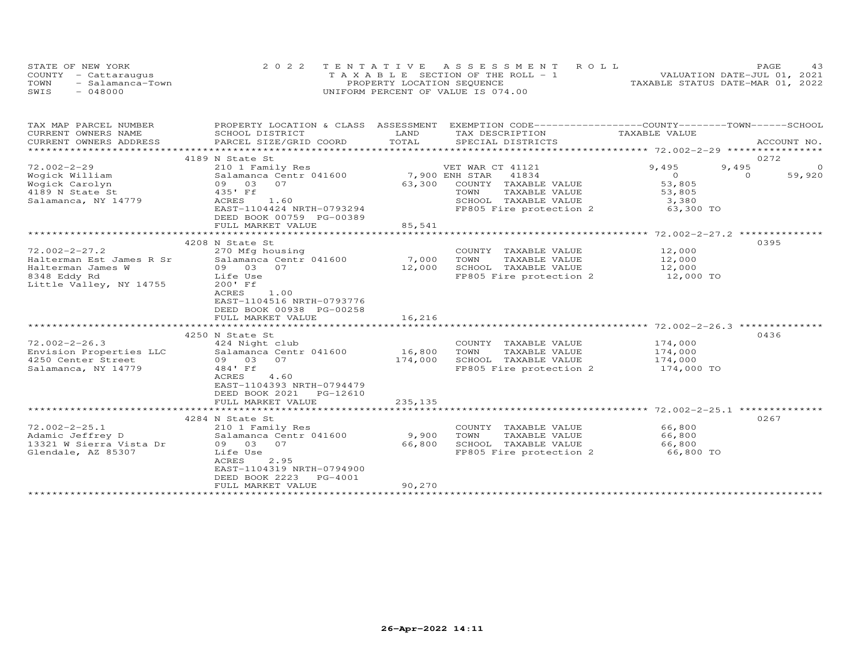| STATE OF NEW YORK        | 2022 TENTATIVE ASSESSMENT ROLL     | 43<br>PAGE.                      |
|--------------------------|------------------------------------|----------------------------------|
| COUNTY - Cattaraugus     | TAXABLE SECTION OF THE ROLL - 1    | VALUATION DATE-JUL 01, 2021      |
| TOWN<br>- Salamanca-Town | PROPERTY LOCATION SEQUENCE         | TAXABLE STATUS DATE-MAR 01, 2022 |
| SWIS<br>- 048000         | UNIFORM PERCENT OF VALUE IS 074.00 |                                  |

| TAX MAP PARCEL NUMBER                  | PROPERTY LOCATION & CLASS ASSESSMENT EXEMPTION CODE----------------COUNTY-------TOWN-----SCHOOL |         |                                               |                    |         |             |
|----------------------------------------|-------------------------------------------------------------------------------------------------|---------|-----------------------------------------------|--------------------|---------|-------------|
| CURRENT OWNERS NAME                    | SCHOOL DISTRICT                                                                                 | LAND    | TAX DESCRIPTION                               | TAXABLE VALUE      |         |             |
| CURRENT OWNERS ADDRESS                 | PARCEL SIZE/GRID COORD                                                                          | TOTAL   | SPECIAL DISTRICTS                             |                    |         | ACCOUNT NO. |
|                                        |                                                                                                 |         |                                               |                    |         |             |
|                                        | 4189 N State St                                                                                 |         |                                               |                    | 0272    |             |
| $72.002 - 2 - 29$                      | 210 1 Family Res                                                                                |         | VET WAR CT 41121                              | 9,495              | 9,495   | $\circ$     |
| Wogick William                         | Salamanca Centr 041600                                                                          |         | 7,900 ENH STAR<br>41834                       | $\overline{O}$     | $\circ$ | 59,920      |
| Wogick Carolyn                         | 09 03<br>07                                                                                     | 63,300  | COUNTY TAXABLE VALUE                          | 53,805             |         |             |
| 4189 N State St<br>Salamanca, NY 14779 | 435' Ff<br>ACRES<br>1.60                                                                        |         | TOWN<br>TAXABLE VALUE<br>SCHOOL TAXABLE VALUE | 53,805<br>3,380    |         |             |
|                                        | EAST-1104424 NRTH-0793294                                                                       |         | FP805 Fire protection 2                       | 63,300 TO          |         |             |
|                                        | DEED BOOK 00759 PG-00389                                                                        |         |                                               |                    |         |             |
|                                        | FULL MARKET VALUE                                                                               | 85,541  |                                               |                    |         |             |
|                                        |                                                                                                 |         |                                               |                    |         |             |
|                                        | 4208 N State St                                                                                 |         |                                               |                    | 0395    |             |
| $72.002 - 2 - 27.2$                    | 270 Mfg housing                                                                                 |         | COUNTY TAXABLE VALUE                          | 12,000             |         |             |
| Halterman Est James R Sr               | Salamanca Centr 041600                                                                          | 7,000   | TOWN<br>TAXABLE VALUE                         | 12,000             |         |             |
| Halterman James W                      | 09 03 07                                                                                        | 12,000  | SCHOOL TAXABLE VALUE                          | 12,000             |         |             |
| 8348 Eddy Rd                           | Life Use                                                                                        |         | FP805 Fire protection 2                       | 12,000 TO          |         |             |
| Little Valley, NY 14755                | 200' Ff                                                                                         |         |                                               |                    |         |             |
|                                        | ACRES<br>1.00                                                                                   |         |                                               |                    |         |             |
|                                        | EAST-1104516 NRTH-0793776                                                                       |         |                                               |                    |         |             |
|                                        | DEED BOOK 00938 PG-00258                                                                        |         |                                               |                    |         |             |
|                                        | FULL MARKET VALUE                                                                               | 16,216  |                                               |                    |         |             |
|                                        |                                                                                                 |         |                                               |                    |         |             |
|                                        | 4250 N State St                                                                                 |         |                                               |                    | 0436    |             |
| $72.002 - 2 - 26.3$                    | 424 Night club                                                                                  |         | COUNTY TAXABLE VALUE                          | 174,000            |         |             |
| Envision Properties LLC                | Salamanca Centr 041600                                                                          | 16,800  | TOWN<br>TAXABLE VALUE                         | 174,000<br>174,000 |         |             |
| 4250 Center Street                     | 09 03 07                                                                                        | 174,000 | SCHOOL TAXABLE VALUE                          |                    |         |             |
| Salamanca, NY 14779                    | 484' Ff                                                                                         |         | FP805 Fire protection 2                       | 174,000 TO         |         |             |
|                                        | ACRES<br>4.60                                                                                   |         |                                               |                    |         |             |
|                                        | EAST-1104393 NRTH-0794479<br>DEED BOOK 2021<br>PG-12610                                         |         |                                               |                    |         |             |
|                                        | FULL MARKET VALUE                                                                               | 235,135 |                                               |                    |         |             |
|                                        |                                                                                                 |         |                                               |                    |         |             |
|                                        | 4284 N State St                                                                                 |         |                                               |                    | 0267    |             |
| $72.002 - 2 - 25.1$                    | 210 1 Family Res                                                                                |         | COUNTY TAXABLE VALUE                          | 66,800             |         |             |
| Adamic Jeffrey D                       | Salamanca Centr 041600                                                                          | 9,900   | TOWN<br>TAXABLE VALUE                         | 66,800             |         |             |
| 13321 W Sierra Vista Dr                | 09 03 07                                                                                        | 66,800  | SCHOOL TAXABLE VALUE                          | 66,800             |         |             |
| Glendale, AZ 85307                     | Life Use                                                                                        |         | FP805 Fire protection 2                       | 66,800 TO          |         |             |
|                                        | ACRES<br>2.95                                                                                   |         |                                               |                    |         |             |
|                                        | EAST-1104319 NRTH-0794900                                                                       |         |                                               |                    |         |             |
|                                        | DEED BOOK 2223<br>PG-4001                                                                       |         |                                               |                    |         |             |
|                                        | FULL MARKET VALUE                                                                               | 90,270  |                                               |                    |         |             |
|                                        |                                                                                                 |         |                                               |                    |         |             |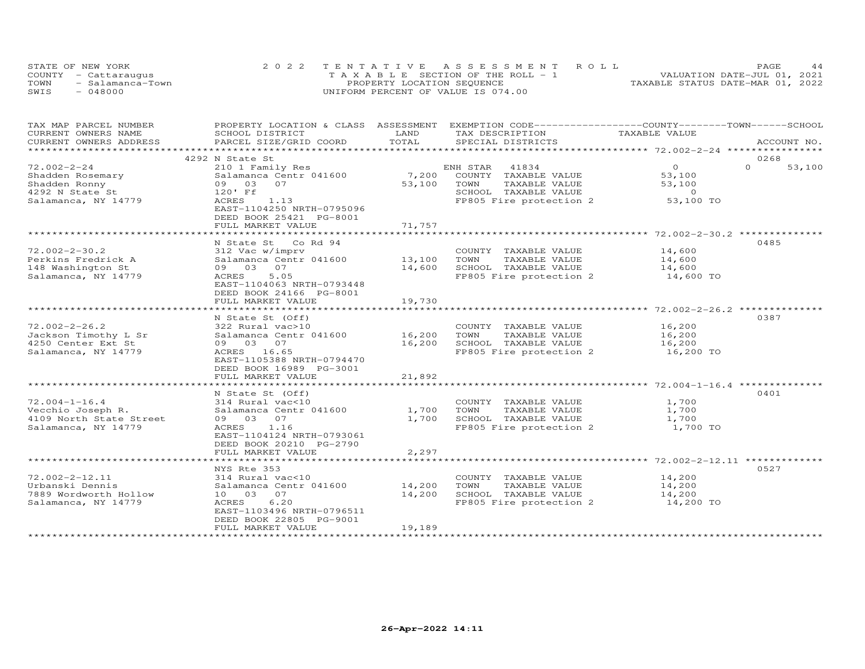| STATE OF NEW YORK        |  |                                    | 2022 TENTATIVE ASSESSMENT ROLL        |                                  | PAGE. |  |
|--------------------------|--|------------------------------------|---------------------------------------|----------------------------------|-------|--|
| COUNTY - Cattaraugus     |  |                                    | T A X A B L E SECTION OF THE ROLL - 1 | VALUATION DATE-JUL 01, 2021      |       |  |
| TOWN<br>- Salamanca-Town |  | PROPERTY LOCATION SEQUENCE         |                                       | TAXABLE STATUS DATE-MAR 01, 2022 |       |  |
| SWIS<br>$-048000$        |  | UNIFORM PERCENT OF VALUE IS 074.00 |                                       |                                  |       |  |

| TAX MAP PARCEL NUMBER   | PROPERTY LOCATION & CLASS ASSESSMENT                 |                     | EXEMPTION CODE-----------------COUNTY-------TOWN------SCHOOL |                                                  |                    |
|-------------------------|------------------------------------------------------|---------------------|--------------------------------------------------------------|--------------------------------------------------|--------------------|
| CURRENT OWNERS NAME     | SCHOOL DISTRICT                                      | LAND                | TAX DESCRIPTION                                              | TAXABLE VALUE                                    |                    |
| CURRENT OWNERS ADDRESS  | PARCEL SIZE/GRID COORD                               | TOTAL               | SPECIAL DISTRICTS                                            |                                                  | ACCOUNT NO.        |
|                         |                                                      |                     |                                                              |                                                  |                    |
|                         | 4292 N State St                                      |                     |                                                              |                                                  | 0268               |
| $72.002 - 2 - 24$       | 210 1 Family Res                                     |                     | ENH STAR<br>41834                                            | $\overline{O}$                                   | $\Omega$<br>53,100 |
| Shadden Rosemary        | Salamanca Centr 041600                               | 7,200               | COUNTY TAXABLE VALUE                                         | 53,100                                           |                    |
| Shadden Ronny           | 09 03<br>07                                          | 53,100              | TOWN<br>TAXABLE VALUE                                        | 53,100                                           |                    |
| 4292 N State St         | 120' Ff                                              |                     | SCHOOL TAXABLE VALUE                                         | $\sim$ 0                                         |                    |
| Salamanca, NY 14779     | 1.13<br>ACRES                                        |                     | FP805 Fire protection 2                                      | 53,100 TO                                        |                    |
|                         | EAST-1104250 NRTH-0795096                            |                     |                                                              |                                                  |                    |
|                         | DEED BOOK 25421 PG-8001                              |                     |                                                              |                                                  |                    |
|                         | FULL MARKET VALUE                                    | 71,757              |                                                              |                                                  |                    |
|                         |                                                      |                     |                                                              |                                                  |                    |
|                         | N State St Co Rd 94                                  |                     |                                                              |                                                  | 0485               |
| $72.002 - 2 - 30.2$     | 312 Vac w/imprv                                      |                     | COUNTY TAXABLE VALUE                                         | 14,600                                           |                    |
| Perkins Fredrick A      | Salamanca Centr 041600                               | 13,100              | TAXABLE VALUE<br>TOWN                                        | 14,600                                           |                    |
| 148 Washington St       | 09 03 07                                             | 14,600              | SCHOOL TAXABLE VALUE                                         | 14,600                                           |                    |
| Salamanca, NY 14779     | ACRES<br>5.05                                        |                     | FP805 Fire protection 2                                      | 14,600 TO                                        |                    |
|                         | EAST-1104063 NRTH-0793448                            |                     |                                                              |                                                  |                    |
|                         | DEED BOOK 24166 PG-8001                              |                     |                                                              |                                                  |                    |
|                         | FULL MARKET VALUE                                    | 19,730              |                                                              |                                                  |                    |
|                         |                                                      |                     |                                                              | $************************72.002-2-26.2**$        |                    |
|                         | N State St (Off)                                     |                     |                                                              |                                                  | 0387               |
| $72.002 - 2 - 26.2$     | 322 Rural vac>10                                     |                     | COUNTY TAXABLE VALUE                                         | 16,200                                           |                    |
| Jackson Timothy L Sr    | Salamanca Centr 041600                               | 16,200              | TOWN<br>TAXABLE VALUE                                        | 16,200                                           |                    |
| 4250 Center Ext St      | 09 03 07                                             | 16,200              | SCHOOL TAXABLE VALUE                                         | 16,200                                           |                    |
| Salamanca, NY 14779     | ACRES 16.65                                          |                     | FP805 Fire protection 2                                      | 16,200 TO                                        |                    |
|                         |                                                      |                     |                                                              |                                                  |                    |
|                         | EAST-1105388 NRTH-0794470<br>DEED BOOK 16989 PG-3001 |                     |                                                              |                                                  |                    |
|                         | FULL MARKET VALUE                                    | 21,892              |                                                              |                                                  |                    |
|                         |                                                      | * * * * * * * * * * |                                                              | ******************** 72.004-1-16.4 ************* |                    |
|                         |                                                      |                     |                                                              |                                                  | 0401               |
|                         | N State St (Off)                                     |                     |                                                              |                                                  |                    |
| $72.004 - 1 - 16.4$     | 314 Rural vac<10                                     |                     | COUNTY TAXABLE VALUE                                         | 1,700                                            |                    |
| Vecchio Joseph R.       | Salamanca Centr 041600                               | 1,700               | TOWN<br>TAXABLE VALUE                                        | 1,700                                            |                    |
| 4109 North State Street | 09 03 07                                             | 1,700               | SCHOOL TAXABLE VALUE                                         | 1,700                                            |                    |
| Salamanca, NY 14779     | 1.16<br>ACRES                                        |                     | FP805 Fire protection 2                                      | 1,700 TO                                         |                    |
|                         | EAST-1104124 NRTH-0793061                            |                     |                                                              |                                                  |                    |
|                         | DEED BOOK 20210 PG-2790                              |                     |                                                              |                                                  |                    |
|                         | FULL MARKET VALUE                                    | 2,297               |                                                              |                                                  |                    |
|                         | ******************************                       |                     |                                                              |                                                  |                    |
|                         | NYS Rte 353                                          |                     |                                                              |                                                  | 0527               |
| 72.002-2-12.11          | 314 Rural vac<10                                     |                     | COUNTY TAXABLE VALUE                                         | 14,200                                           |                    |
| Urbanski Dennis         | Salamanca Centr 041600                               | 14,200              | TOWN<br>TAXABLE VALUE                                        | 14,200                                           |                    |
| 7889 Wordworth Hollow   | 07<br>10 03                                          | 14,200              | SCHOOL TAXABLE VALUE                                         | 14,200                                           |                    |
| Salamanca, NY 14779     | 6.20<br>ACRES                                        |                     | FP805 Fire protection 2                                      | 14,200 TO                                        |                    |
|                         | EAST-1103496 NRTH-0796511                            |                     |                                                              |                                                  |                    |
|                         | DEED BOOK 22805 PG-9001                              |                     |                                                              |                                                  |                    |
|                         | FULL MARKET VALUE                                    | 19,189              |                                                              |                                                  |                    |
|                         |                                                      |                     |                                                              |                                                  |                    |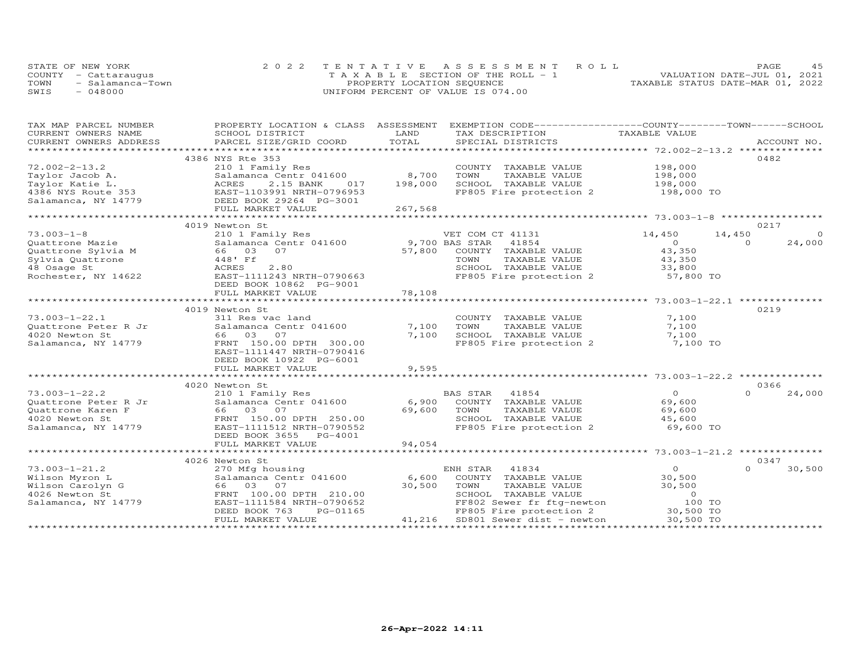| STATE OF NEW YORK        | 2022 TENTATIVE ASSESSMENT ROLL        | 4.5<br>PAGE.                     |
|--------------------------|---------------------------------------|----------------------------------|
| COUNTY - Cattaraugus     | T A X A B L E SECTION OF THE ROLL - 1 | VALUATION DATE-JUL 01, 2021      |
| TOWN<br>- Salamanca-Town | PROPERTY LOCATION SEQUENCE            | TAXABLE STATUS DATE-MAR 01, 2022 |
| - 048000<br>SWTS         | UNIFORM PERCENT OF VALUE IS 074.00    |                                  |

| TAX MAP PARCEL NUMBER                                       |                                     |         | PROPERTY LOCATION & CLASS ASSESSMENT EXEMPTION CODE----------------COUNTY-------TOWN------SCHOOL       |                    |                    |
|-------------------------------------------------------------|-------------------------------------|---------|--------------------------------------------------------------------------------------------------------|--------------------|--------------------|
| CURRENT OWNERS NAME                                         | SCHOOL DISTRICT                     | LAND    | TAX DESCRIPTION                                                                                        | TAXABLE VALUE      |                    |
| CURRENT OWNERS ADDRESS                                      | PARCEL SIZE/GRID COORD              | TOTAL   | SPECIAL DISTRICTS                                                                                      |                    | ACCOUNT NO.        |
|                                                             |                                     |         |                                                                                                        |                    |                    |
|                                                             | 4386 NYS Rte 353                    |         |                                                                                                        |                    | 0482               |
| $72.002 - 2 - 13.2$                                         | 210 1 Family Res                    |         | COUNTY TAXABLE VALUE                                                                                   |                    |                    |
| Taylor Jacob A.                                             | Salamanca Centr 041600              | 8,700   | TOWN<br>TAXABLE VALUE                                                                                  | 198,000<br>198,000 |                    |
| Taylor Katie L.                                             | ACRES<br>2.15 BANK<br>017           | 198,000 | SCHOOL TAXABLE VALUE                                                                                   | 198,000            |                    |
| 4386 NYS Route 353                                          | EAST-1103991 NRTH-0796953           |         | FP805 Fire protection 2                                                                                | 198,000 TO         |                    |
| Salamanca, NY 14779                                         | DEED BOOK 29264 PG-3001             |         |                                                                                                        |                    |                    |
|                                                             | FULL MARKET VALUE                   | 267,568 |                                                                                                        |                    |                    |
|                                                             |                                     |         |                                                                                                        |                    |                    |
|                                                             | 4019 Newton St                      |         |                                                                                                        |                    | 0217               |
| $73.003 - 1 - 8$                                            |                                     |         |                                                                                                        |                    |                    |
|                                                             | 210 1 Family Res                    |         | VET COM CT 41131                                                                                       | 14,450<br>14,450   | $\circ$            |
|                                                             | Salamanca Centr 041600              |         | 9,700 BAS STAR 41854                                                                                   | $\overline{0}$     | 24,000<br>$\Omega$ |
|                                                             |                                     |         | 57,800 COUNTY TAXABLE VALUE                                                                            | 43,350             |                    |
| Sylvia Quattrone                                            | 448' Ff                             |         | TOWN<br>TAXABLE VALUE                                                                                  | 43,350<br>33,800   |                    |
| 48 Osage St                                                 | ACRES<br>2.80                       |         | SCHOOL TAXABLE VALUE                                                                                   |                    |                    |
| Rochester, NY 14622                                         | EAST-1111243 NRTH-0790663           |         | FP805 Fire protection 2 57,800 TO                                                                      |                    |                    |
|                                                             | DEED BOOK 10862 PG-9001             |         |                                                                                                        |                    |                    |
|                                                             | FULL MARKET VALUE                   | 78,108  |                                                                                                        |                    |                    |
|                                                             |                                     |         |                                                                                                        |                    |                    |
|                                                             | 4019 Newton St                      |         |                                                                                                        |                    | 0219               |
| $73.003 - 1 - 22.1$                                         | 311 Res vac land                    |         |                                                                                                        | 7,100              |                    |
|                                                             | Salamanca Centr 041600              | 7,100   | COUNTY TAXABLE VALUE<br>TOWN      TAXABLE VALUE                                                        | 7,100              |                    |
| Quattrone Peter R Jr<br>4020 Newton St<br>Salamar           | 66 03 07                            | 7,100   | SCHOOL TAXABLE VALUE                                                                                   | 7,100              |                    |
| Salamanca, NY 14779                                         | FRNT 150.00 DPTH 300.00             |         | FP805 Fire protection 2                                                                                | 7,100 TO           |                    |
|                                                             | EAST-1111447 NRTH-0790416           |         |                                                                                                        |                    |                    |
|                                                             | DEED BOOK 10922 PG-6001             |         |                                                                                                        |                    |                    |
|                                                             | FULL MARKET VALUE                   | 9,595   |                                                                                                        |                    |                    |
|                                                             |                                     |         |                                                                                                        |                    |                    |
|                                                             | 4020 Newton St                      |         |                                                                                                        |                    | 0366               |
| $73.003 - 1 - 22.2$                                         | 210 1 Family Res                    |         | BAS STAR 41854                                                                                         | $\overline{O}$     | $\Omega$<br>24,000 |
|                                                             | Salamanca Centr $041600$ 6,900      |         |                                                                                                        |                    |                    |
| Quattrone Peter R Jr<br>Quattrone Karen F<br>4020 Newton St |                                     |         | COUNTY TAXABLE VALUE                                                                                   | 69,600             |                    |
|                                                             | 66 03 07                            | 69,600  | TOWN<br>TAXABLE VALUE                                                                                  | 69,600             |                    |
| 4020 Newton St                                              | FRNT 150.00 DPTH 250.00             |         | SCHOOL TAXABLE VALUE                                                                                   | 45,600             |                    |
| Salamanca, NY 14779                                         | EAST-1111512 NRTH-0790552           |         | FP805 Fire protection 2 69,600 TO                                                                      |                    |                    |
|                                                             | DEED BOOK 3655 PG-4001              |         |                                                                                                        |                    |                    |
|                                                             | FULL MARKET VALUE                   | 94,054  |                                                                                                        |                    |                    |
|                                                             |                                     |         |                                                                                                        |                    |                    |
|                                                             | 4026 Newton St                      |         |                                                                                                        |                    | 0347               |
| 73.003-1-21.2                                               | 270 Mfg housing                     |         | ENH STAR 41834                                                                                         | $\overline{O}$     | $\cap$<br>30,500   |
| Wilson Myron L                                              | Salamanca Centr 041600 6,600        |         | COUNTY TAXABLE VALUE                                                                                   | 30,500             |                    |
| Wilson Carolyn G                                            |                                     | 30,500  | TOWN<br>TAXABLE VALUE                                                                                  | 30,500             |                    |
| 4026 Newton St                                              | 66 03 07<br>FRNT 100.00 DPTH 210.00 |         | SCHOOL TAXABLE VALUE                                                                                   | $\overline{0}$     |                    |
| Salamanca, NY 14779                                         | EAST-1111584 NRTH-0790652           |         | FF802 Sewer fr ftg-newton 100 TO<br>FF802 Sewer fr ftg-newton 100 TO                                   |                    |                    |
|                                                             | PG-01165<br>DEED BOOK 763           |         |                                                                                                        |                    |                    |
|                                                             | FULL MARKET VALUE                   |         | 52<br>FF802 Sewer fr ftg-newton<br>65<br>FF802 Sewer fr ftg-newton<br>41,216 SD801 Sewer dist - newton | 30,500 TO          |                    |
|                                                             |                                     |         |                                                                                                        |                    |                    |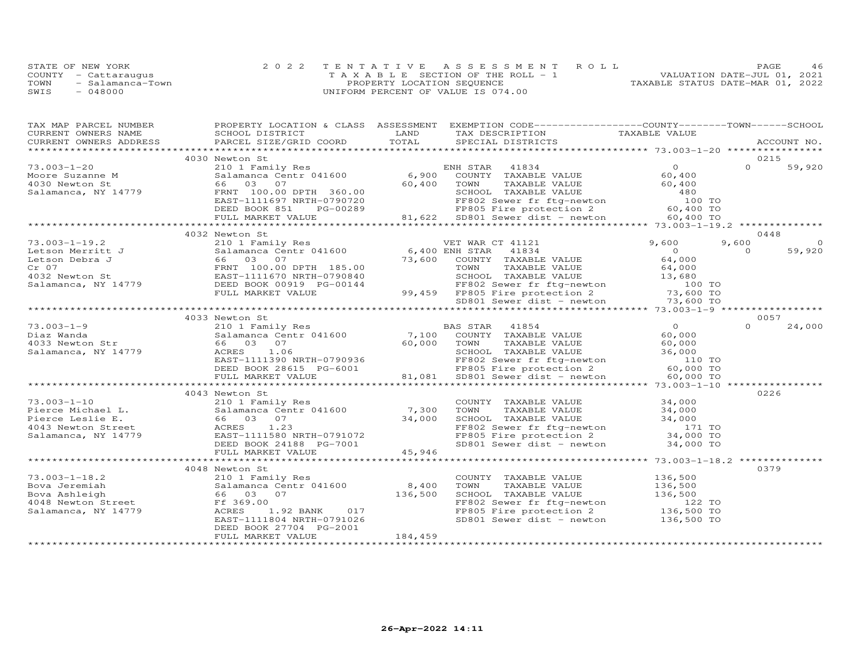| STATE OF NEW YORK |                      | 2022 TENTATIVE ASSESSMENT ROLL        |  |  |                                  | PAGE. |  |
|-------------------|----------------------|---------------------------------------|--|--|----------------------------------|-------|--|
|                   | COUNTY - Cattaraugus | T A X A B L E SECTION OF THE ROLL - 1 |  |  | VALUATION DATE-JUL 01, 2021      |       |  |
| TOWN              | - Salamanca-Town     | PROPERTY LOCATION SEQUENCE            |  |  | TAXABLE STATUS DATE-MAR 01, 2022 |       |  |
| SWIS              | $-048000$            | UNIFORM PERCENT OF VALUE IS 074.00    |  |  |                                  |       |  |

| TAX MAP PARCEL NUMBER                                                                             |                                                                                                                                                                                                                                         |         | PROPERTY LOCATION & CLASS ASSESSMENT EXEMPTION CODE----------------COUNTY-------TOWN------SCHOOL                                                                                                                                     |                |          |             |
|---------------------------------------------------------------------------------------------------|-----------------------------------------------------------------------------------------------------------------------------------------------------------------------------------------------------------------------------------------|---------|--------------------------------------------------------------------------------------------------------------------------------------------------------------------------------------------------------------------------------------|----------------|----------|-------------|
|                                                                                                   |                                                                                                                                                                                                                                         |         | TAX DESCRIPTION TAXABLE VALUE<br>SPECIAL DISTRICTS                                                                                                                                                                                   |                |          |             |
|                                                                                                   | CURRENT OWNERS NAME SCHOOL DISTRICT THAND CURRENT OWNERS ADDRESS PARCEL SIZE/GRID COORD TOTAL                                                                                                                                           |         |                                                                                                                                                                                                                                      |                |          | ACCOUNT NO. |
|                                                                                                   |                                                                                                                                                                                                                                         |         |                                                                                                                                                                                                                                      |                |          |             |
|                                                                                                   | 4030 Newton St                                                                                                                                                                                                                          |         |                                                                                                                                                                                                                                      |                |          | 0215        |
| 73.003-1-20                                                                                       |                                                                                                                                                                                                                                         |         |                                                                                                                                                                                                                                      |                | $\Omega$ | 59,920      |
|                                                                                                   |                                                                                                                                                                                                                                         |         | 210 1 Family Res<br>Salamanca Centr 041600 6,900 COUNTY TAXABLE VALUE 60,400                                                                                                                                                         |                |          |             |
|                                                                                                   |                                                                                                                                                                                                                                         |         |                                                                                                                                                                                                                                      |                |          |             |
| /3.003-1-20<br>Moore Suzanne M<br>4030 Newton St<br>Salamanca, NY 14779                           |                                                                                                                                                                                                                                         |         |                                                                                                                                                                                                                                      |                |          |             |
|                                                                                                   |                                                                                                                                                                                                                                         |         |                                                                                                                                                                                                                                      |                |          |             |
|                                                                                                   |                                                                                                                                                                                                                                         |         |                                                                                                                                                                                                                                      |                |          |             |
|                                                                                                   |                                                                                                                                                                                                                                         |         |                                                                                                                                                                                                                                      |                |          |             |
|                                                                                                   | MOTE Suzuri PRIM 100.00 DPTH 360.00<br>Salamanca, NY 14779 66 03 07<br>ERNT 100.00 DPTH 360.00<br>ERST-1111697 NRTH-0790720<br>DEED BOOK 851 PG-00289 FF802 Sever fr ftg-newton 2<br>FULL MARKET VALUE 81,622 SD801 Sever dist - newton |         |                                                                                                                                                                                                                                      |                |          |             |
|                                                                                                   |                                                                                                                                                                                                                                         |         |                                                                                                                                                                                                                                      |                |          | 0448        |
|                                                                                                   |                                                                                                                                                                                                                                         |         |                                                                                                                                                                                                                                      |                | 9,600    | $\Omega$    |
|                                                                                                   |                                                                                                                                                                                                                                         |         |                                                                                                                                                                                                                                      |                | $\Omega$ | 59,920      |
|                                                                                                   |                                                                                                                                                                                                                                         |         |                                                                                                                                                                                                                                      |                |          |             |
|                                                                                                   |                                                                                                                                                                                                                                         |         |                                                                                                                                                                                                                                      |                |          |             |
|                                                                                                   |                                                                                                                                                                                                                                         |         |                                                                                                                                                                                                                                      |                |          |             |
|                                                                                                   |                                                                                                                                                                                                                                         |         |                                                                                                                                                                                                                                      |                |          |             |
|                                                                                                   |                                                                                                                                                                                                                                         |         |                                                                                                                                                                                                                                      |                |          |             |
|                                                                                                   |                                                                                                                                                                                                                                         |         |                                                                                                                                                                                                                                      |                |          |             |
|                                                                                                   |                                                                                                                                                                                                                                         |         |                                                                                                                                                                                                                                      |                |          |             |
|                                                                                                   | 4033 Newton St                                                                                                                                                                                                                          |         |                                                                                                                                                                                                                                      |                |          | 0057        |
| 73.003-1-9<br>Diaz Wanda<br>4033 Newton Str<br>56 03 07<br>Salamanca, NY 14779<br>ACRES<br>111390 |                                                                                                                                                                                                                                         |         |                                                                                                                                                                                                                                      | $\overline{0}$ |          | 24,000      |
|                                                                                                   |                                                                                                                                                                                                                                         |         |                                                                                                                                                                                                                                      | 60,000         |          |             |
|                                                                                                   |                                                                                                                                                                                                                                         |         |                                                                                                                                                                                                                                      |                |          |             |
|                                                                                                   |                                                                                                                                                                                                                                         |         |                                                                                                                                                                                                                                      |                |          |             |
|                                                                                                   |                                                                                                                                                                                                                                         |         |                                                                                                                                                                                                                                      |                |          |             |
|                                                                                                   |                                                                                                                                                                                                                                         |         |                                                                                                                                                                                                                                      |                |          |             |
|                                                                                                   |                                                                                                                                                                                                                                         |         | 31 ACRES 1.06 03 07 60,000 10000 10000 10000 10000 10000 10000 10000 10000 10000 10000 10000 10000 10000 10000<br>ACRES 1.06 5CHOOL TAXABLE VALUE 36,000<br>EAST-111390 NRTH-0790936 FF802 Sewer fr ftg-newton 110 TO<br>DEED BOOK 2 |                |          |             |
|                                                                                                   |                                                                                                                                                                                                                                         |         |                                                                                                                                                                                                                                      |                |          |             |
|                                                                                                   | 4043 Newton St                                                                                                                                                                                                                          |         |                                                                                                                                                                                                                                      |                |          | 0226        |
| $73.003 - 1 - 10$                                                                                 |                                                                                                                                                                                                                                         |         | COUNTY TAXABLE VALUE 34,000                                                                                                                                                                                                          |                |          |             |
|                                                                                                   |                                                                                                                                                                                                                                         |         |                                                                                                                                                                                                                                      |                |          |             |
|                                                                                                   |                                                                                                                                                                                                                                         |         |                                                                                                                                                                                                                                      |                |          |             |
|                                                                                                   |                                                                                                                                                                                                                                         |         |                                                                                                                                                                                                                                      |                |          |             |
|                                                                                                   |                                                                                                                                                                                                                                         |         | COWN TAXABLE VALUE<br>TOWN TAXABLE VALUE 34,000<br>SCHOOL TAXABLE VALUE 34,000<br>FF802 Sewer fr ftg-newton 171 TO<br>FP805 Fire protection 2 34,000 TO                                                                              |                |          |             |
|                                                                                                   |                                                                                                                                                                                                                                         |         |                                                                                                                                                                                                                                      |                |          |             |
|                                                                                                   |                                                                                                                                                                                                                                         |         | SD801 Sewer dist - newton $34,000$ TO                                                                                                                                                                                                |                |          |             |
|                                                                                                   |                                                                                                                                                                                                                                         |         |                                                                                                                                                                                                                                      |                |          |             |
|                                                                                                   |                                                                                                                                                                                                                                         |         |                                                                                                                                                                                                                                      |                |          |             |
|                                                                                                   | 4048 Newton St                                                                                                                                                                                                                          |         |                                                                                                                                                                                                                                      |                |          | 0379        |
|                                                                                                   |                                                                                                                                                                                                                                         |         | COUNTY TAXABLE VALUE                                                                                                                                                                                                                 | 136,500        |          |             |
|                                                                                                   |                                                                                                                                                                                                                                         |         |                                                                                                                                                                                                                                      |                |          |             |
|                                                                                                   | 73.003-1-18.2<br>Bova Jeremiah Salamanca Centr 041600 8,400<br>Bova Ashleigh 66 03 07 136,500<br>4048 Newton Street Ff 369.00<br>Salamanca, NY 14779 ACRES 1.92 BANK 017<br>EAST-1111804 NRTH-0791026                                   |         | COWN TAXABLE VALUE<br>TOWN TAXABLE VALUE<br>SCHOOL TAXABLE VALUE<br>FF802 Sewer fr ftg-newton 136,500<br>FF805 Fire protection 2 136,500 TO<br>SD801 Sewer dist - newton 136,500 TO                                                  |                |          |             |
|                                                                                                   |                                                                                                                                                                                                                                         |         |                                                                                                                                                                                                                                      |                |          |             |
|                                                                                                   |                                                                                                                                                                                                                                         |         |                                                                                                                                                                                                                                      |                |          |             |
|                                                                                                   |                                                                                                                                                                                                                                         |         |                                                                                                                                                                                                                                      |                |          |             |
|                                                                                                   | DEED BOOK 27704 PG-2001                                                                                                                                                                                                                 |         |                                                                                                                                                                                                                                      |                |          |             |
|                                                                                                   | FULL MARKET VALUE                                                                                                                                                                                                                       | 184,459 |                                                                                                                                                                                                                                      |                |          |             |
|                                                                                                   |                                                                                                                                                                                                                                         |         |                                                                                                                                                                                                                                      |                |          |             |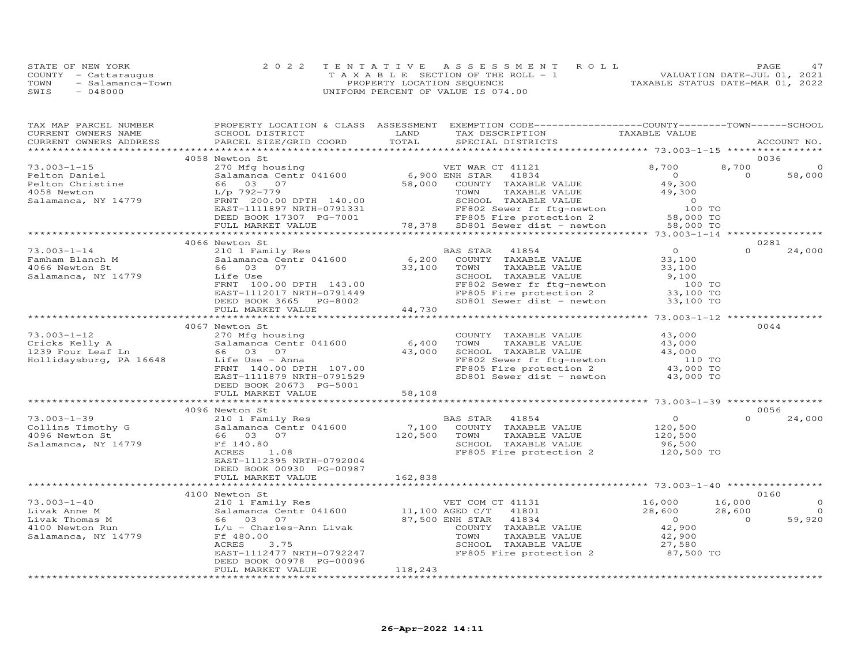|      | STATE OF NEW YORK    | 2022 TENTATIVE ASSESSMENT ROLL        | 47<br>PAGE                       |
|------|----------------------|---------------------------------------|----------------------------------|
|      | COUNTY - Cattaraugus | T A X A B L E SECTION OF THE ROLL - 1 | VALUATION DATE-JUL 01, 2021      |
| TOWN | - Salamanca-Town     | PROPERTY LOCATION SEQUENCE            | TAXABLE STATUS DATE-MAR 01, 2022 |
| SWIS | - 048000             | UNIFORM PERCENT OF VALUE IS 074.00    |                                  |

| TAX MAP PARCEL NUMBER                                           |                                                                                                                                                                                                                                                                                                                                              |         | PROPERTY LOCATION & CLASS ASSESSMENT EXEMPTION CODE----------------COUNTY-------TOWN------SCHOOL                                                                             |                      |                |             |
|-----------------------------------------------------------------|----------------------------------------------------------------------------------------------------------------------------------------------------------------------------------------------------------------------------------------------------------------------------------------------------------------------------------------------|---------|------------------------------------------------------------------------------------------------------------------------------------------------------------------------------|----------------------|----------------|-------------|
| CURRENT OWNERS NAME                                             | SCHOOL DISTRICT                                                                                                                                                                                                                                                                                                                              | LAND    |                                                                                                                                                                              |                      |                |             |
| CURRENT OWNERS ADDRESS                                          | PARCEL SIZE/GRID COORD                                                                                                                                                                                                                                                                                                                       | TOTAL   | TAX DESCRIPTION TAXABLE VALUE<br>SPECIAL DISTRICTS                                                                                                                           |                      |                | ACCOUNT NO. |
|                                                                 |                                                                                                                                                                                                                                                                                                                                              |         |                                                                                                                                                                              |                      |                |             |
|                                                                 | 4058 Newton St                                                                                                                                                                                                                                                                                                                               |         |                                                                                                                                                                              |                      |                | 0036        |
| $73.003 - 1 - 15$                                               | 270 Mfg housing<br>270 Mfg housing<br>58,000 ENH STAR 41834<br>66 03 07<br>58,000 COUNTY TAXABLE VALUE<br>FRIT 200.00 DPTH 140.00<br>ERST-111897 NRTH-0791331<br>ERST-111897 NRTH-0791331<br>ERST-111897 NRTH-0791331<br>ERST-111897 NRTH-079133                                                                                             |         |                                                                                                                                                                              |                      | 8,700          | $\Omega$    |
|                                                                 |                                                                                                                                                                                                                                                                                                                                              |         |                                                                                                                                                                              |                      | $\overline{0}$ | 58,000      |
|                                                                 |                                                                                                                                                                                                                                                                                                                                              |         |                                                                                                                                                                              |                      |                |             |
| Pelton Daniel<br>Pelton Christine<br>4058 Newton<br>4058 Newton |                                                                                                                                                                                                                                                                                                                                              |         |                                                                                                                                                                              |                      |                |             |
|                                                                 |                                                                                                                                                                                                                                                                                                                                              |         |                                                                                                                                                                              |                      |                |             |
| Salamanca, NY 14779                                             |                                                                                                                                                                                                                                                                                                                                              |         |                                                                                                                                                                              |                      |                |             |
|                                                                 |                                                                                                                                                                                                                                                                                                                                              |         |                                                                                                                                                                              |                      |                |             |
|                                                                 |                                                                                                                                                                                                                                                                                                                                              |         |                                                                                                                                                                              |                      |                |             |
|                                                                 |                                                                                                                                                                                                                                                                                                                                              |         |                                                                                                                                                                              |                      |                |             |
|                                                                 |                                                                                                                                                                                                                                                                                                                                              |         |                                                                                                                                                                              |                      |                |             |
|                                                                 | 4066 Newton St                                                                                                                                                                                                                                                                                                                               |         |                                                                                                                                                                              |                      |                | 0281        |
| $73.003 - 1 - 14$                                               | 210 1 Family Res                                                                                                                                                                                                                                                                                                                             |         | BAS STAR 41854                                                                                                                                                               | $\overline{0}$       | $\Omega$       | 24,000      |
|                                                                 |                                                                                                                                                                                                                                                                                                                                              |         |                                                                                                                                                                              | $33,100$<br>$33,100$ |                |             |
|                                                                 |                                                                                                                                                                                                                                                                                                                                              |         |                                                                                                                                                                              |                      |                |             |
|                                                                 |                                                                                                                                                                                                                                                                                                                                              |         |                                                                                                                                                                              | 9,100                |                |             |
|                                                                 |                                                                                                                                                                                                                                                                                                                                              |         |                                                                                                                                                                              | 100 TO<br>33,100 TO  |                |             |
|                                                                 |                                                                                                                                                                                                                                                                                                                                              |         |                                                                                                                                                                              |                      |                |             |
|                                                                 |                                                                                                                                                                                                                                                                                                                                              |         | SD801 Sewer dist - newton $33,100$ TO                                                                                                                                        |                      |                |             |
|                                                                 | 73.003-1-14<br>Famham Blanch M<br>Easter Mulle Salamanca Centr 041600<br>4066 Newton St<br>Salamanca, NY 14779<br>$\begin{array}{r} \text{E485 SIAK} \end{array}$<br>$\begin{array}{r} \text{B48 S IAK} \end{array}$<br>$\begin{array}{r} \text{B4954} \\ \text{B406} \\ \text{S406} \\ \text{S407} \\ \text{S41amanca, NY} \end{array}$<br> |         |                                                                                                                                                                              |                      |                |             |
|                                                                 |                                                                                                                                                                                                                                                                                                                                              |         |                                                                                                                                                                              |                      |                |             |
|                                                                 | 4067 Newton St                                                                                                                                                                                                                                                                                                                               |         |                                                                                                                                                                              |                      |                | 0044        |
| $73.003 - 1 - 12$                                               | 270 Mfg housing                                                                                                                                                                                                                                                                                                                              |         | COUNTY TAXABLE VALUE 43,000                                                                                                                                                  |                      |                |             |
|                                                                 |                                                                                                                                                                                                                                                                                                                                              |         | TAXABLE VALUE<br>TOWN                                                                                                                                                        | 43,000               |                |             |
|                                                                 | 73.003-1-12<br>Cricks Kelly A and Salamanca Centr 041600 6,400<br>Cricks Kelly A 56 03 07 43,000<br>Hollidaysburg, PA 16648 Life Use - Anna 43,000                                                                                                                                                                                           |         | SCHOOL TAXABLE VALUE 43,000                                                                                                                                                  |                      |                |             |
|                                                                 |                                                                                                                                                                                                                                                                                                                                              | 43,000  |                                                                                                                                                                              |                      |                |             |
|                                                                 | FRNT 140.00 DPTH 107.00                                                                                                                                                                                                                                                                                                                      |         | FF802 Sewer fr ftg-newton 110 TO<br>FP805 Fire protection 2 43,000 TO<br>SD801 Sewer dist - newton 43,000 TO                                                                 |                      |                |             |
|                                                                 |                                                                                                                                                                                                                                                                                                                                              |         |                                                                                                                                                                              |                      |                |             |
|                                                                 | EAST-1111879 NRTH-0791529                                                                                                                                                                                                                                                                                                                    |         |                                                                                                                                                                              |                      |                |             |
|                                                                 | DEED BOOK 20673 PG-5001                                                                                                                                                                                                                                                                                                                      |         |                                                                                                                                                                              |                      |                |             |
|                                                                 | FULL MARKET VALUE                                                                                                                                                                                                                                                                                                                            | 58,108  |                                                                                                                                                                              |                      |                |             |
|                                                                 |                                                                                                                                                                                                                                                                                                                                              |         |                                                                                                                                                                              |                      |                |             |
|                                                                 | 4096 Newton St                                                                                                                                                                                                                                                                                                                               |         |                                                                                                                                                                              |                      |                | 0056        |
|                                                                 |                                                                                                                                                                                                                                                                                                                                              |         |                                                                                                                                                                              |                      | $\Omega$       | 24,000      |
|                                                                 |                                                                                                                                                                                                                                                                                                                                              |         |                                                                                                                                                                              |                      |                |             |
|                                                                 | $120,500$ TOWN                                                                                                                                                                                                                                                                                                                               |         |                                                                                                                                                                              |                      |                |             |
| Salamanca, NY 14779 Ff 140.80                                   |                                                                                                                                                                                                                                                                                                                                              |         | AS STAR 41854 0<br>COUNTY TAXABLE VALUE 120,500<br>TOWN TAXABLE VALUE 120,500<br>SCHOOL TAXABLE VALUE 96,500                                                                 |                      |                |             |
|                                                                 | ACRES 1.08                                                                                                                                                                                                                                                                                                                                   |         | FP805 Fire protection 2                                                                                                                                                      | 120,500 TO           |                |             |
|                                                                 | EAST-1112395 NRTH-0792004                                                                                                                                                                                                                                                                                                                    |         |                                                                                                                                                                              |                      |                |             |
|                                                                 | DEED BOOK 00930 PG-00987                                                                                                                                                                                                                                                                                                                     |         |                                                                                                                                                                              |                      |                |             |
|                                                                 | FULL MARKET VALUE                                                                                                                                                                                                                                                                                                                            | 162,838 |                                                                                                                                                                              |                      |                |             |
|                                                                 | ************************                                                                                                                                                                                                                                                                                                                     |         |                                                                                                                                                                              |                      |                |             |
|                                                                 |                                                                                                                                                                                                                                                                                                                                              |         |                                                                                                                                                                              |                      |                | 0160        |
|                                                                 |                                                                                                                                                                                                                                                                                                                                              |         |                                                                                                                                                                              | 16,000<br>28,600     | 16,000         | $\circ$     |
|                                                                 |                                                                                                                                                                                                                                                                                                                                              |         |                                                                                                                                                                              | 28,600 28,600        |                | $\Omega$    |
|                                                                 |                                                                                                                                                                                                                                                                                                                                              |         | NH STAR 41834<br>COUNTY TAXABLE VALUE 42,900<br>TOWN TAXABLE VALUE 42,900<br>SCHOOL TAXABLE VALUE 42,900<br>SCHOOL TAXABLE VALUE 27,580<br>FP805 Fire protection 2 87,500 TO |                      | $\overline{0}$ | 59,920      |
|                                                                 |                                                                                                                                                                                                                                                                                                                                              |         |                                                                                                                                                                              |                      |                |             |
|                                                                 |                                                                                                                                                                                                                                                                                                                                              |         |                                                                                                                                                                              |                      |                |             |
|                                                                 | 3.75<br>ACRES                                                                                                                                                                                                                                                                                                                                |         |                                                                                                                                                                              |                      |                |             |
|                                                                 | EAST-1112477 NRTH-0792247                                                                                                                                                                                                                                                                                                                    |         |                                                                                                                                                                              |                      |                |             |
|                                                                 | DEED BOOK 00978 PG-00096                                                                                                                                                                                                                                                                                                                     |         |                                                                                                                                                                              |                      |                |             |
|                                                                 | FULL MARKET VALUE                                                                                                                                                                                                                                                                                                                            | 118,243 |                                                                                                                                                                              |                      |                |             |
|                                                                 |                                                                                                                                                                                                                                                                                                                                              |         |                                                                                                                                                                              |                      |                |             |
|                                                                 |                                                                                                                                                                                                                                                                                                                                              |         |                                                                                                                                                                              |                      |                |             |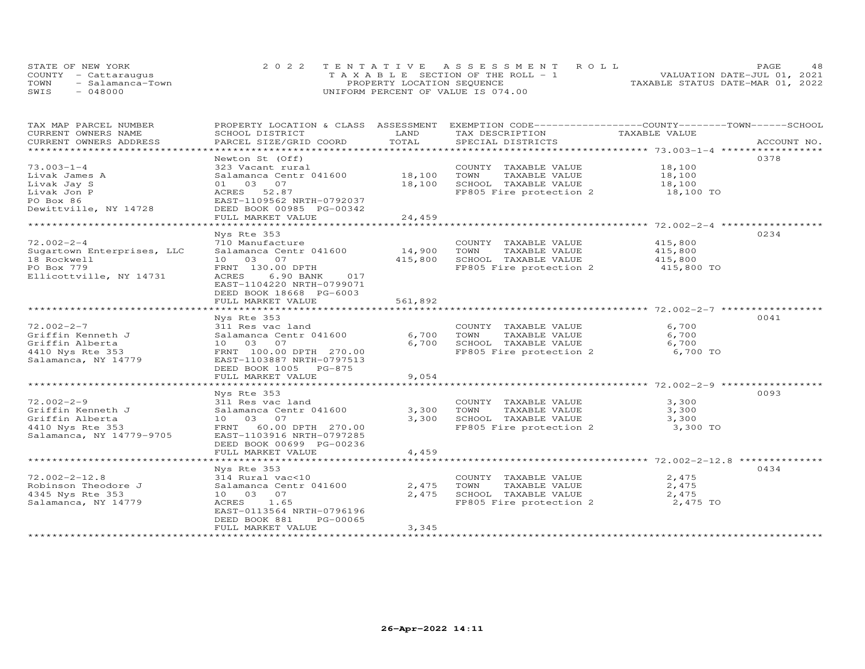|      | STATE OF NEW YORK    | 2022 TENTATIVE ASSESSMENT ROLL        | 48<br>PAGE.                      |
|------|----------------------|---------------------------------------|----------------------------------|
|      | COUNTY - Cattaraugus | T A X A B L E SECTION OF THE ROLL - 1 | VALUATION DATE-JUL 01, 2021      |
| TOWN | - Salamanca-Town     | PROPERTY LOCATION SEQUENCE            | TAXABLE STATUS DATE-MAR 01, 2022 |
| SWIS | $-048000$            | UNIFORM PERCENT OF VALUE IS 074.00    |                                  |

| TAX MAP PARCEL NUMBER      | PROPERTY LOCATION & CLASS ASSESSMENT           |                | EXEMPTION CODE-----------------COUNTY-------TOWN------SCHOOL |               |             |
|----------------------------|------------------------------------------------|----------------|--------------------------------------------------------------|---------------|-------------|
| CURRENT OWNERS NAME        | SCHOOL DISTRICT                                | LAND           | TAX DESCRIPTION                                              | TAXABLE VALUE |             |
| CURRENT OWNERS ADDRESS     | PARCEL SIZE/GRID COORD                         | TOTAL          | SPECIAL DISTRICTS                                            |               | ACCOUNT NO. |
| ***********************    |                                                |                |                                                              |               |             |
|                            | Newton St (Off)                                |                |                                                              |               | 0378        |
| $73.003 - 1 - 4$           | 323 Vacant rural                               |                | COUNTY TAXABLE VALUE                                         | 18,100        |             |
| Livak James A              | Salamanca Centr 041600                         | 18,100         | TOWN<br>TAXABLE VALUE                                        | 18,100        |             |
| Livak Jay S                | 01 03 07                                       | 18,100         | SCHOOL TAXABLE VALUE                                         | 18,100        |             |
| Livak Jon P                | ACRES 52.87                                    |                | FP805 Fire protection 2                                      | 18,100 TO     |             |
| PO Box 86                  | EAST-1109562 NRTH-0792037                      |                |                                                              |               |             |
| Dewittville, NY 14728      | DEED BOOK 00985 PG-00342                       |                |                                                              |               |             |
|                            | FULL MARKET VALUE                              | 24,459         |                                                              |               |             |
|                            |                                                |                |                                                              |               |             |
|                            | Nys Rte 353                                    |                |                                                              |               | 0234        |
| $72.002 - 2 - 4$           | 710 Manufacture                                |                | COUNTY TAXABLE VALUE                                         | 415,800       |             |
|                            |                                                |                |                                                              |               |             |
| Sugartown Enterprises, LLC | Salamanca Centr 041600                         | 14,900         | TAXABLE VALUE<br>TOWN                                        | 415,800       |             |
| 18 Rockwell                | 10 03 07                                       | 415,800        | SCHOOL TAXABLE VALUE                                         | 415,800       |             |
| PO Box 779                 | FRNT 130.00 DPTH                               |                | FP805 Fire protection 2 415,800 TO                           |               |             |
| Ellicottville, NY 14731    | 6.90 BANK<br>ACRES<br>017                      |                |                                                              |               |             |
|                            | EAST-1104220 NRTH-0799071                      |                |                                                              |               |             |
|                            | DEED BOOK 18668 PG-6003                        |                |                                                              |               |             |
|                            | FULL MARKET VALUE                              | 561,892        |                                                              |               |             |
|                            |                                                |                |                                                              |               |             |
|                            | Nys Rte 353                                    |                |                                                              |               | 0041        |
| $72.002 - 2 - 7$           | 311 Res vac land                               |                | COUNTY TAXABLE VALUE                                         | 6,700         |             |
| Griffin Kenneth J          | Salamanca Centr 041600                         | 6,700          | TOWN<br>TAXABLE VALUE                                        | 6,700         |             |
| Griffin Alberta            | 10 03 07                                       | 6,700          | SCHOOL TAXABLE VALUE                                         | 6,700         |             |
| 4410 Nys Rte 353           | FRNT 100.00 DPTH 270.00                        |                | FP805 Fire protection 2 6,700 TO                             |               |             |
| Salamanca, NY 14779        | EAST-1103887 NRTH-0797513                      |                |                                                              |               |             |
|                            | DEED BOOK 1005 PG-875                          |                |                                                              |               |             |
|                            | FULL MARKET VALUE                              | 9,054          |                                                              |               |             |
|                            | * * * * * * * * * * * * * * * * * * * *        | ***********    |                                                              |               |             |
|                            | Nys Rte 353                                    |                |                                                              |               | 0093        |
| $72.002 - 2 - 9$           | 311 Res vac land                               |                | COUNTY TAXABLE VALUE                                         | 3,300         |             |
| Griffin Kenneth J          | Salamanca Centr 041600                         | 3,300          | TOWN<br>TAXABLE VALUE                                        | 3,300         |             |
| Griffin Alberta            | 10 03 07                                       | 3,300          | SCHOOL TAXABLE VALUE                                         | 3,300         |             |
| 4410 Nys Rte 353           | FRNT 60.00 DPTH 270.00                         |                | FP805 Fire protection 2                                      | 3,300 TO      |             |
|                            |                                                |                |                                                              |               |             |
| Salamanca, NY 14779-9705   | EAST-1103916 NRTH-0797285                      |                |                                                              |               |             |
|                            | DEED BOOK 00699 PG-00236                       |                |                                                              |               |             |
|                            | FULL MARKET VALUE<br>************************* | 4,459          |                                                              |               |             |
|                            |                                                | ************** |                                                              |               |             |
|                            | Nys Rte 353                                    |                |                                                              |               | 0434        |
| $72.002 - 2 - 12.8$        | 314 Rural vac<10                               |                | COUNTY TAXABLE VALUE                                         | 2,475         |             |
| Robinson Theodore J        | Salamanca Centr 041600                         | 2,475          | TOWN<br>TAXABLE VALUE                                        | 2,475         |             |
| 4345 Nys Rte 353           | 10 03 07                                       | 2,475          | SCHOOL TAXABLE VALUE                                         | 2,475         |             |
| Salamanca, NY 14779        | ACRES 1.65                                     |                | FP805 Fire protection 2 $2,475$ TO                           |               |             |
|                            | EAST-0113564 NRTH-0796196                      |                |                                                              |               |             |
|                            | DEED BOOK 881<br>PG-00065                      |                |                                                              |               |             |
|                            | FULL MARKET VALUE                              | 3,345          |                                                              |               |             |
|                            | ********************                           |                |                                                              |               |             |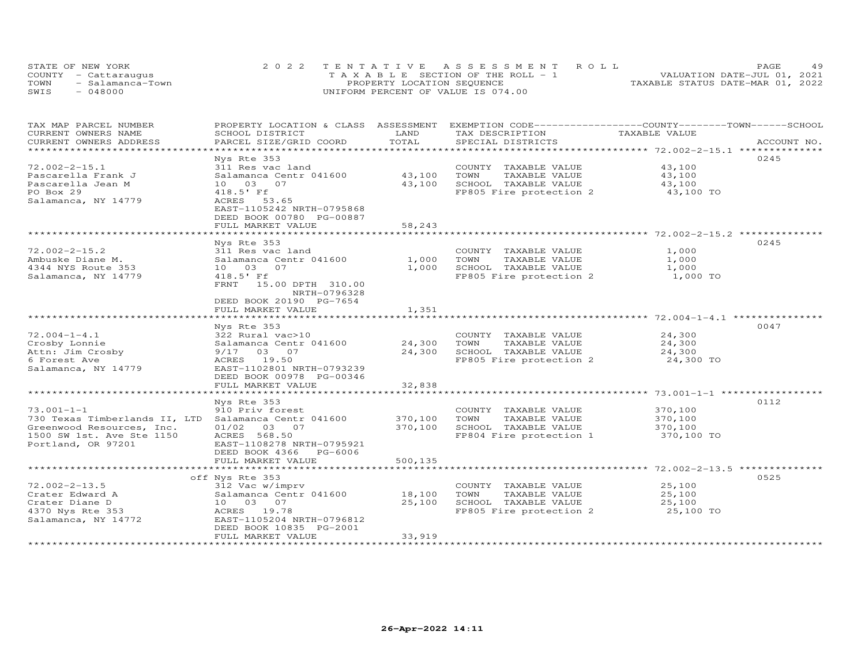| STATE OF NEW YORK        | 2022 TENTATIVE ASSESSMENT ROLL        | 49<br><b>PAGE</b>                |
|--------------------------|---------------------------------------|----------------------------------|
| COUNTY - Cattaraugus     | T A X A B L E SECTION OF THE ROLL - 1 | VALUATION DATE-JUL 01, 2021      |
| TOWN<br>- Salamanca-Town | PROPERTY LOCATION SEQUENCE            | TAXABLE STATUS DATE-MAR 01, 2022 |
| SWIS<br>$-048000$        | UNIFORM PERCENT OF VALUE IS 074.00    |                                  |

| TAX MAP PARCEL NUMBER         | PROPERTY LOCATION & CLASS ASSESSMENT               |                               | EXEMPTION CODE-----------------COUNTY-------TOWN------SCHOOL |               |             |
|-------------------------------|----------------------------------------------------|-------------------------------|--------------------------------------------------------------|---------------|-------------|
| CURRENT OWNERS NAME           | SCHOOL DISTRICT                                    | LAND                          | TAX DESCRIPTION                                              | TAXABLE VALUE |             |
| CURRENT OWNERS ADDRESS        | PARCEL SIZE/GRID COORD                             | TOTAL                         | SPECIAL DISTRICTS                                            |               | ACCOUNT NO. |
| *******************           |                                                    |                               |                                                              |               |             |
|                               | Nys Rte 353                                        |                               |                                                              |               | 0245        |
| $72.002 - 2 - 15.1$           | 311 Res vac land                                   |                               | COUNTY TAXABLE VALUE                                         | 43,100        |             |
| Pascarella Frank J            | Salamanca Centr 041600                             | 43,100                        | TAXABLE VALUE<br>TOWN                                        | 43,100        |             |
| Pascarella Jean M             | 10 03<br>07                                        | 43,100                        | SCHOOL TAXABLE VALUE                                         | 43,100        |             |
| PO Box 29                     | 418.5' Ff                                          |                               | FP805 Fire protection 2                                      | 43,100 TO     |             |
| Salamanca, NY 14779           | ACRES 53.65                                        |                               |                                                              |               |             |
|                               | EAST-1105242 NRTH-0795868                          |                               |                                                              |               |             |
|                               | DEED BOOK 00780 PG-00887                           |                               |                                                              |               |             |
|                               | FULL MARKET VALUE                                  | 58,243                        |                                                              |               |             |
|                               |                                                    |                               |                                                              |               |             |
|                               | Nys Rte 353                                        |                               |                                                              |               | 0245        |
| $72.002 - 2 - 15.2$           | 311 Res vac land                                   |                               | COUNTY TAXABLE VALUE                                         | 1,000         |             |
| Ambuske Diane M.              | Salamanca Centr 041600                             | 1,000                         | TOWN<br>TAXABLE VALUE                                        | 1,000         |             |
| 4344 NYS Route 353            | 10 03<br>07                                        | 1,000                         | SCHOOL TAXABLE VALUE                                         | 1,000         |             |
| Salamanca, NY 14779           | 418.5' Ff                                          |                               | FP805 Fire protection 2                                      | 1,000 TO      |             |
|                               | FRNT<br>15.00 DPTH 310.00                          |                               |                                                              |               |             |
|                               | NRTH-0796328                                       |                               |                                                              |               |             |
|                               | DEED BOOK 20190 PG-7654                            |                               |                                                              |               |             |
|                               | FULL MARKET VALUE                                  | 1,351                         |                                                              |               |             |
|                               | **********************                             | *************                 |                                                              |               |             |
|                               | Nys Rte 353                                        |                               |                                                              |               | 0047        |
| $72.004 - 1 - 4.1$            | 322 Rural vac>10                                   |                               | COUNTY TAXABLE VALUE                                         | 24,300        |             |
| Crosby Lonnie                 | Salamanca Centr 041600                             | 24,300                        | TOWN<br>TAXABLE VALUE                                        | 24,300        |             |
| Attn: Jim Crosby              | 9/17 03 07                                         | 24,300                        | SCHOOL TAXABLE VALUE                                         | 24,300        |             |
| 6 Forest Ave                  | ACRES 19.50                                        |                               | FP805 Fire protection 2                                      | 24,300 TO     |             |
| Salamanca, NY 14779           | EAST-1102801 NRTH-0793239                          |                               |                                                              |               |             |
|                               | DEED BOOK 00978 PG-00346                           |                               |                                                              |               |             |
|                               | FULL MARKET VALUE                                  | 32,838                        |                                                              |               |             |
|                               |                                                    |                               |                                                              |               |             |
|                               | Nys Rte 353                                        |                               |                                                              |               | 0112        |
| $73.001 - 1 - 1$              | 910 Priv forest                                    |                               | COUNTY TAXABLE VALUE                                         | 370,100       |             |
| 730 Texas Timberlands II, LTD | Salamanca Centr 041600                             | 370,100                       | TOWN<br>TAXABLE VALUE                                        | 370,100       |             |
| Greenwood Resources, Inc.     | 01/02 03 07                                        | 370,100                       | SCHOOL TAXABLE VALUE                                         | 370,100       |             |
| 1500 SW 1st. Ave Ste 1150     | ACRES 568.50                                       |                               | FP804 Fire protection 1                                      | 370,100 TO    |             |
| Portland, OR 97201            | EAST-1108278 NRTH-0795921                          |                               |                                                              |               |             |
|                               | DEED BOOK 4366<br>PG-6006                          |                               |                                                              |               |             |
|                               | FULL MARKET VALUE<br>***************************** | 500,135<br>****************** |                                                              |               |             |
|                               |                                                    |                               |                                                              |               |             |
|                               | off Nys Rte 353                                    |                               |                                                              |               | 0525        |
| $72.002 - 2 - 13.5$           | 312 Vac w/imprv                                    |                               | COUNTY TAXABLE VALUE                                         | 25,100        |             |
| Crater Edward A               | Salamanca Centr 041600                             | 18,100                        | TOWN<br>TAXABLE VALUE                                        | 25,100        |             |
| Crater Diane D                | 10 03 07                                           | 25,100                        | SCHOOL TAXABLE VALUE                                         | 25,100        |             |
| 4370 Nys Rte 353              | ACRES 19.78                                        |                               | FP805 Fire protection 2                                      | 25,100 TO     |             |
| Salamanca, NY 14772           | EAST-1105204 NRTH-0796812                          |                               |                                                              |               |             |
|                               | DEED BOOK 10835 PG-2001                            |                               |                                                              |               |             |
|                               | FULL MARKET VALUE                                  | 33,919                        |                                                              |               |             |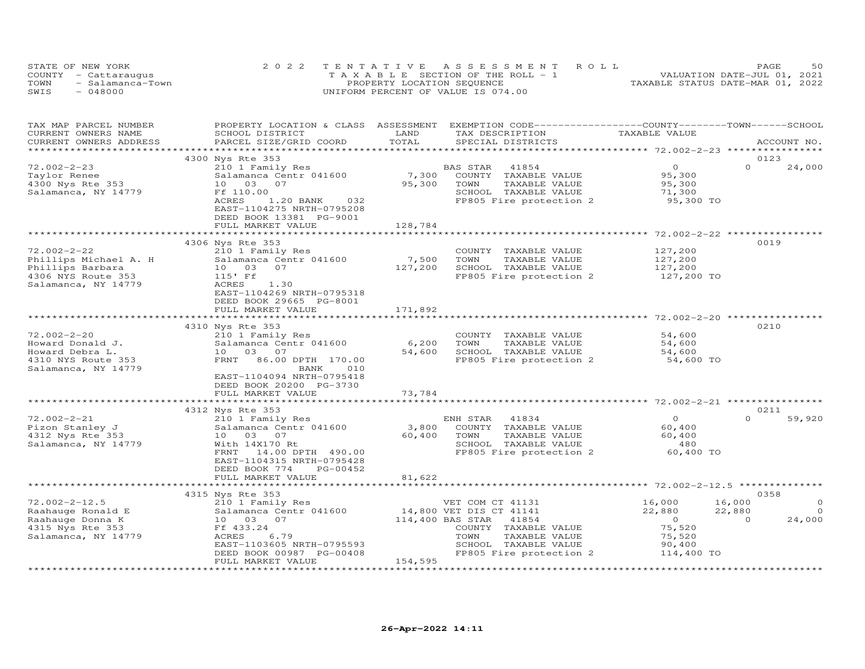| STATE OF NEW YORK        | 2022 TENTATIVE ASSESSMENT ROLL        | 50<br>PAGE                       |
|--------------------------|---------------------------------------|----------------------------------|
| COUNTY - Cattaraugus     | T A X A B L E SECTION OF THE ROLL - 1 | VALUATION DATE-JUL 01, 2021      |
| TOWN<br>- Salamanca-Town | PROPERTY LOCATION SEQUENCE            | TAXABLE STATUS DATE-MAR 01, 2022 |
| - 048000<br>SWIS         | UNIFORM PERCENT OF VALUE IS 074.00    |                                  |

| TAX MAP PARCEL NUMBER  | PROPERTY LOCATION & CLASS ASSESSMENT                |                  | EXEMPTION CODE-----------------COUNTY-------TOWN------SCHOOL |                                            |                          |
|------------------------|-----------------------------------------------------|------------------|--------------------------------------------------------------|--------------------------------------------|--------------------------|
| CURRENT OWNERS NAME    | SCHOOL DISTRICT                                     | LAND             | TAX DESCRIPTION                                              | TAXABLE VALUE                              |                          |
| CURRENT OWNERS ADDRESS | PARCEL SIZE/GRID COORD                              | TOTAL            | SPECIAL DISTRICTS                                            |                                            | ACCOUNT NO.              |
|                        |                                                     |                  |                                                              |                                            |                          |
|                        | 4300 Nys Rte 353                                    |                  |                                                              |                                            | 0123                     |
| $72.002 - 2 - 23$      | 210 1 Family Res                                    |                  | BAS STAR<br>41854                                            | $\overline{O}$                             | $\Omega$<br>24,000       |
| Taylor Renee           | Salamanca Centr 041600                              | 7,300            | COUNTY TAXABLE VALUE                                         | 95,300                                     |                          |
| 4300 Nys Rte 353       | 10 03 07                                            | 95,300           | TOWN<br>TAXABLE VALUE                                        | 95,300                                     |                          |
| Salamanca, NY 14779    | Ff 110.00                                           |                  | SCHOOL TAXABLE VALUE                                         | 71,300                                     |                          |
|                        | 1.20 BANK 032<br>ACRES<br>EAST-1104275 NRTH-0795208 |                  | FP805 Fire protection 2 95,300 TO                            |                                            |                          |
|                        | DEED BOOK 13381 PG-9001                             |                  |                                                              |                                            |                          |
|                        | FULL MARKET VALUE                                   | 128,784          |                                                              |                                            |                          |
|                        |                                                     |                  | ************************************2.002-2-22 **********    |                                            |                          |
|                        | 4306 Nys Rte 353                                    |                  |                                                              |                                            | 0019                     |
| $72.002 - 2 - 22$      |                                                     |                  | COUNTY TAXABLE VALUE                                         | 127,200                                    |                          |
|                        | 210 1 Family Res                                    | 7,500            |                                                              |                                            |                          |
| Phillips Michael A. H  | Salamanca Centr 041600                              |                  | TOWN<br>TAXABLE VALUE                                        | 127,200                                    |                          |
| Phillips Barbara       | 07<br>10 03                                         | 127,200          | SCHOOL TAXABLE VALUE                                         | 127,200                                    |                          |
| 4306 NYS Route 353     | 115' Ff                                             |                  | FP805 Fire protection 2                                      | 127,200 TO                                 |                          |
| Salamanca, NY 14779    | 1.30<br>ACRES                                       |                  |                                                              |                                            |                          |
|                        | EAST-1104269 NRTH-0795318                           |                  |                                                              |                                            |                          |
|                        | DEED BOOK 29665 PG-8001                             |                  |                                                              |                                            |                          |
|                        | FULL MARKET VALUE                                   | 171,892          |                                                              |                                            |                          |
|                        |                                                     |                  |                                                              |                                            |                          |
|                        | 4310 Nys Rte 353                                    |                  |                                                              |                                            | 0210                     |
| $72.002 - 2 - 20$      | 210 1 Family Res                                    |                  | COUNTY TAXABLE VALUE                                         | 54,600                                     |                          |
| Howard Donald J.       | Salamanca Centr 041600                              | 6,200            | TOWN<br>TAXABLE VALUE                                        | 54,600                                     |                          |
| Howard Debra L.        | 10 03 07                                            | 54,600           | SCHOOL TAXABLE VALUE                                         | 54,600                                     |                          |
| 4310 NYS Route 353     | FRNT 86.00 DPTH 170.00                              |                  | FP805 Fire protection 2                                      | 54,600 TO                                  |                          |
| Salamanca, NY 14779    | 010<br>BANK                                         |                  |                                                              |                                            |                          |
|                        | EAST-1104094 NRTH-0795418                           |                  |                                                              |                                            |                          |
|                        | DEED BOOK 20200 PG-3730                             |                  |                                                              |                                            |                          |
|                        | FULL MARKET VALUE                                   | 73,784           |                                                              |                                            |                          |
|                        |                                                     |                  |                                                              |                                            |                          |
|                        | 4312 Nys Rte 353                                    |                  |                                                              |                                            | 0211                     |
| $72.002 - 2 - 21$      | 210 1 Family Res                                    |                  | ENH STAR<br>41834                                            | $\overline{O}$                             | $\Omega$<br>59,920       |
|                        |                                                     |                  |                                                              |                                            |                          |
| Pizon Stanley J        | Salamanca Centr 041600                              | 3,800            | COUNTY TAXABLE VALUE                                         | 60,400                                     |                          |
| 4312 Nys Rte 353       | 10 03 07                                            | 60,400           | TOWN<br>TAXABLE VALUE                                        | 60,400                                     |                          |
| Salamanca, NY 14779    | With 14X170 Rt                                      |                  | SCHOOL TAXABLE VALUE                                         | 480                                        |                          |
|                        | 14.00 DPTH 490.00<br>FRNT                           |                  | FP805 Fire protection 2                                      | 60,400 TO                                  |                          |
|                        | EAST-1104315 NRTH-0795428                           |                  |                                                              |                                            |                          |
|                        | DEED BOOK 774<br>PG-00452                           |                  |                                                              |                                            |                          |
|                        | FULL MARKET VALUE                                   | 81,622           |                                                              |                                            |                          |
|                        |                                                     |                  |                                                              |                                            |                          |
|                        | 4315 Nys Rte 353                                    |                  |                                                              |                                            | 0358                     |
| $72.002 - 2 - 12.5$    | 210 1 Family Res                                    |                  | VET COM CT 41131                                             | 16,000                                     | $\Omega$<br>16,000       |
| Raahauge Ronald E      | Salamanca Centr 041600                              |                  | 14,800 VET DIS CT 41141                                      | 22,880                                     | 22,880<br>$\Omega$       |
| Raahauge Donna K       | 10 03 07                                            | 114,400 BAS STAR | 41854                                                        |                                            | $\overline{0}$<br>24,000 |
| 4315 Nys Rte 353       | Ff 433.24                                           |                  | COUNTY TAXABLE VALUE                                         | $\begin{array}{c} 0 \\ 75,520 \end{array}$ |                          |
| Salamanca, NY 14779    | 6.79<br>ACRES                                       |                  | TAXABLE VALUE<br>TOWN                                        | 75,520                                     |                          |
|                        | EAST-1103605 NRTH-0795593                           |                  | SCHOOL TAXABLE VALUE                                         | 90,400                                     |                          |
|                        | DEED BOOK 00987 PG-00408                            |                  | FP805 Fire protection 2                                      | 114,400 TO                                 |                          |
|                        | FULL MARKET VALUE                                   | 154,595          |                                                              |                                            |                          |
|                        |                                                     |                  |                                                              |                                            |                          |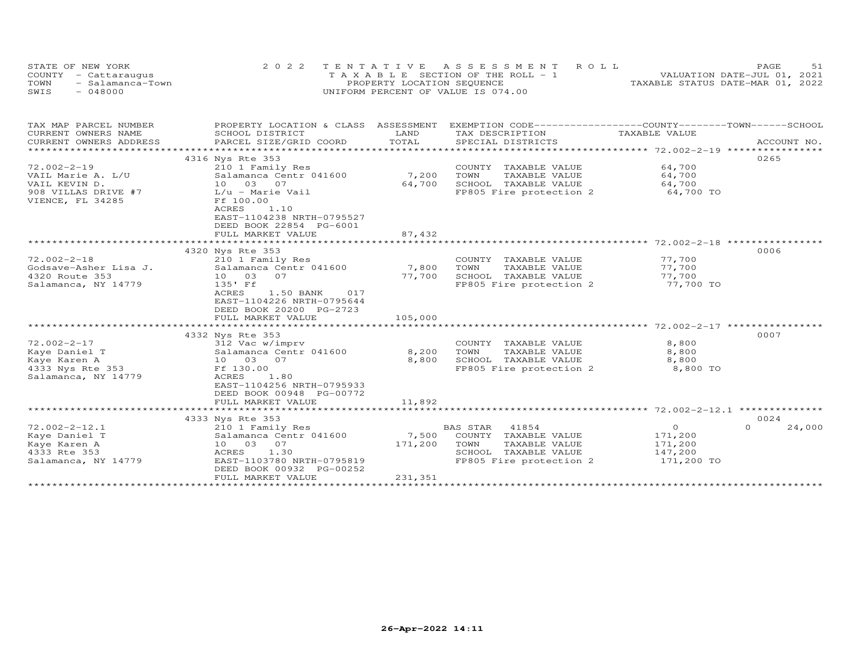| STATE OF NEW YORK        | 2022 TENTATIVE ASSESSMENT ROLL     | 51<br>PAGE                       |
|--------------------------|------------------------------------|----------------------------------|
| COUNTY - Cattaraugus     | TAXABLE SECTION OF THE ROLL - 1    | VALUATION DATE-JUL 01, 2021      |
| TOWN<br>- Salamanca-Town | PROPERTY LOCATION SEQUENCE         | TAXABLE STATUS DATE-MAR 01, 2022 |
| $-048000$<br>SWIS        | UNIFORM PERCENT OF VALUE IS 074.00 |                                  |

| TAX MAP PARCEL NUMBER                   | PROPERTY LOCATION & CLASS ASSESSMENT EXEMPTION CODE----------------COUNTY-------TOWN------SCHOOL         |                 |                                                 |                  |                    |
|-----------------------------------------|----------------------------------------------------------------------------------------------------------|-----------------|-------------------------------------------------|------------------|--------------------|
| CURRENT OWNERS NAME                     | SCHOOL DISTRICT                                                                                          | LAND            | TAX DESCRIPTION                                 | TAXABLE VALUE    |                    |
| CURRENT OWNERS ADDRESS                  | PARCEL SIZE/GRID COORD                                                                                   | TOTAL           | SPECIAL DISTRICTS                               |                  | ACCOUNT NO.        |
|                                         |                                                                                                          |                 |                                                 |                  |                    |
|                                         | 4316 Nys Rte 353                                                                                         |                 |                                                 |                  | 0265               |
| $72.002 - 2 - 19$                       | 210 1 Family Res                                                                                         |                 | COUNTY TAXABLE VALUE                            | 64,700           |                    |
| VAIL Marie A. L/U                       | Salamanca Centr 041600                                                                                   | 7,200           | TOWN<br>TAXABLE VALUE                           | 64,700           |                    |
| VAIL KEVIN D.                           | 10 03 07                                                                                                 | 64,700          | SCHOOL TAXABLE VALUE                            | 64,700           |                    |
| 908 VILLAS DRIVE #7<br>VIENCE, FL 34285 | L/u - Marie Vail<br>Ff 100.00<br>ACRES<br>1.10<br>EAST-1104238 NRTH-0795527<br>DEED BOOK 22854 PG-6001   |                 | FP805 Fire protection 2                         | 64,700 TO        |                    |
|                                         | FULL MARKET VALUE                                                                                        | 87,432          |                                                 |                  |                    |
|                                         |                                                                                                          |                 |                                                 |                  |                    |
|                                         | 4320 Nys Rte 353                                                                                         |                 |                                                 |                  | 0006               |
| $72.002 - 2 - 18$                       | 210 1 Family Res                                                                                         |                 | COUNTY TAXABLE VALUE                            | 77,700           |                    |
| Godsave-Asher Lisa J.<br>4320 Route 353 | Salamanca Centr 041600<br>10 03<br>07                                                                    | 7,800<br>77,700 | TOWN<br>TAXABLE VALUE                           | 77,700<br>77,700 |                    |
| Salamanca, NY 14779                     | 135' Ff                                                                                                  |                 | SCHOOL TAXABLE VALUE<br>FP805 Fire protection 2 | 77,700 TO        |                    |
|                                         | ACRES<br>017<br>1.50 BANK<br>EAST-1104226 NRTH-0795644<br>DEED BOOK 20200 PG-2723<br>FULL MARKET VALUE   | 105,000         |                                                 |                  |                    |
|                                         |                                                                                                          |                 |                                                 |                  |                    |
|                                         | 4332 Nys Rte 353                                                                                         |                 |                                                 |                  | 0007               |
| $72.002 - 2 - 17$                       | 312 Vac w/imprv                                                                                          |                 | COUNTY TAXABLE VALUE                            | 8,800            |                    |
| Kaye Daniel T                           | Salamanca Centr 041600                                                                                   | 8,200           | TOWN<br>TAXABLE VALUE                           | 8,800            |                    |
| Kaye Karen A                            | 10 03 07                                                                                                 | 8,800           | SCHOOL TAXABLE VALUE                            | 8,800            |                    |
| 4333 Nys Rte 353<br>Salamanca, NY 14779 | Ff 130.00<br>ACRES<br>1.80<br>EAST-1104256 NRTH-0795933<br>DEED BOOK 00948 PG-00772<br>FULL MARKET VALUE | 11,892          | FP805 Fire protection 2                         | 8,800 TO         |                    |
|                                         | *************************                                                                                | ************    |                                                 |                  |                    |
|                                         | 4333 Nys Rte 353                                                                                         |                 |                                                 |                  | 0024               |
| $72.002 - 2 - 12.1$                     | 210 1 Family Res                                                                                         |                 | 41854<br>BAS STAR                               | $\overline{O}$   | $\Omega$<br>24,000 |
| Kaye Daniel T                           | Salamanca Centr 041600                                                                                   | 7,500           | COUNTY TAXABLE VALUE                            | 171,200          |                    |
| Kaye Karen A                            | 10 03 07                                                                                                 | 171,200         | TOWN<br>TAXABLE VALUE                           | 171,200          |                    |
| 4333 Rte 353                            | ACRES 1.30                                                                                               |                 | SCHOOL TAXABLE VALUE                            | 147,200          |                    |
| Salamanca, NY 14779                     | EAST-1103780 NRTH-0795819<br>DEED BOOK 00932 PG-00252<br>FULL MARKET VALUE                               | 231,351         | FP805 Fire protection 2                         | 171,200 TO       |                    |
|                                         |                                                                                                          |                 |                                                 |                  |                    |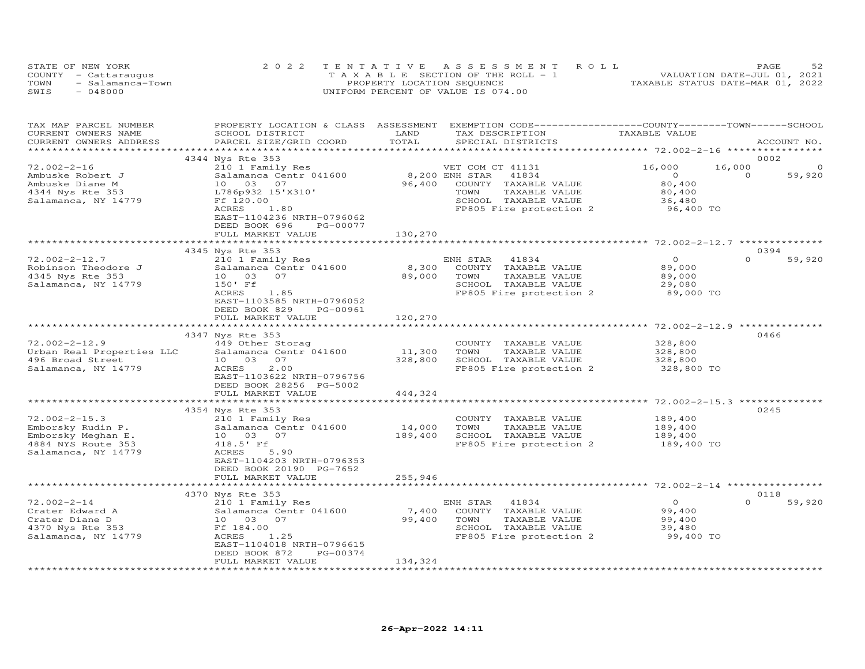| STATE OF NEW YORK        | 2022 TENTATIVE ASSESSMENT ROLL        | 52<br>PAGE                       |
|--------------------------|---------------------------------------|----------------------------------|
| COUNTY - Cattaraugus     | T A X A B L E SECTION OF THE ROLL - 1 | VALUATION DATE-JUL 01, 2021      |
| TOWN<br>- Salamanca-Town | PROPERTY LOCATION SEQUENCE            | TAXABLE STATUS DATE-MAR 01, 2022 |
| $-048000$<br>SWIS        | UNIFORM PERCENT OF VALUE IS 074.00    |                                  |

| TAX MAP PARCEL NUMBER     |                             |                       | PROPERTY LOCATION & CLASS ASSESSMENT EXEMPTION CODE-----------------COUNTY-------TOWN------SCHOOL |                     |                    |
|---------------------------|-----------------------------|-----------------------|---------------------------------------------------------------------------------------------------|---------------------|--------------------|
| CURRENT OWNERS NAME       | SCHOOL DISTRICT             | LAND                  | TAX DESCRIPTION                                                                                   | TAXABLE VALUE       |                    |
| CURRENT OWNERS ADDRESS    | PARCEL SIZE/GRID COORD      | TOTAL                 | SPECIAL DISTRICTS                                                                                 |                     | ACCOUNT NO.        |
|                           |                             |                       |                                                                                                   |                     |                    |
|                           | 4344 Nys Rte 353            |                       |                                                                                                   |                     | 0002               |
| $72.002 - 2 - 16$         | 210 1 Family Res            |                       | VET COM CT 41131                                                                                  | 16,000              | 16,000<br>$\circ$  |
| Ambuske Robert J          | Salamanca Centr 041600      |                       | 8,200 ENH STAR<br>41834                                                                           | $\circ$             | 59,920<br>$\Omega$ |
| Ambuske Diane M           | 10 03 07                    | 96,400                | COUNTY TAXABLE VALUE                                                                              | 80,400              |                    |
| 4344 Nys Rte 353          | L786p932 15'X310'           |                       | TOWN<br>TAXABLE VALUE                                                                             | 80,400              |                    |
|                           | Ff 120.00                   |                       | SCHOOL TAXABLE VALUE                                                                              |                     |                    |
| Salamanca, NY 14779       |                             |                       |                                                                                                   | 36,480<br>96,400 TO |                    |
|                           | ACRES<br>1.80               |                       | FP805 Fire protection 2                                                                           |                     |                    |
|                           | EAST-1104236 NRTH-0796062   |                       |                                                                                                   |                     |                    |
|                           | DEED BOOK 696<br>PG-00077   |                       |                                                                                                   |                     |                    |
|                           | FULL MARKET VALUE           | 130,270               |                                                                                                   |                     |                    |
|                           |                             |                       |                                                                                                   |                     |                    |
|                           | 4345 Nys Rte 353            |                       |                                                                                                   |                     | 0394               |
| $72.002 - 2 - 12.7$       | 210 1 Family Res            |                       | ENH STAR<br>41834                                                                                 | $\overline{O}$      | $\Omega$<br>59,920 |
| Robinson Theodore J       | Salamanca Centr 041600      | 8,300                 | COUNTY TAXABLE VALUE                                                                              | 89,000              |                    |
| 4345 Nys Rte 353          | 07<br>10 03                 | 89,000                | TOWN<br>TAXABLE VALUE                                                                             | 89,000              |                    |
| Salamanca, NY 14779       | 150' Ff                     |                       | SCHOOL TAXABLE VALUE                                                                              | 29,080              |                    |
|                           | ACRES<br>1.85               |                       | FP805 Fire protection 2                                                                           | 89,000 TO           |                    |
|                           | EAST-1103585 NRTH-0796052   |                       |                                                                                                   |                     |                    |
|                           | DEED BOOK 829<br>PG-00961   |                       |                                                                                                   |                     |                    |
|                           | FULL MARKET VALUE           | 120,270               |                                                                                                   |                     |                    |
|                           |                             |                       |                                                                                                   |                     |                    |
|                           |                             |                       |                                                                                                   |                     | 0466               |
|                           | 4347 Nys Rte 353            |                       |                                                                                                   |                     |                    |
| $72.002 - 2 - 12.9$       | 449 Other Storag            |                       | COUNTY TAXABLE VALUE                                                                              | 328,800             |                    |
| Urban Real Properties LLC | Salamanca Centr 041600      | 11,300                | TOWN<br>TAXABLE VALUE                                                                             | 328,800             |                    |
| 496 Broad Street          | 10 03<br>07                 | 328,800               | SCHOOL TAXABLE VALUE                                                                              | 328,800             |                    |
| Salamanca, NY 14779       | 2.00<br>ACRES               |                       | FP805 Fire protection 2                                                                           | 328,800 TO          |                    |
|                           | EAST-1103622 NRTH-0796756   |                       |                                                                                                   |                     |                    |
|                           | DEED BOOK 28256 PG-5002     |                       |                                                                                                   |                     |                    |
|                           | FULL MARKET VALUE           | 444,324               |                                                                                                   |                     |                    |
|                           | *************************** | ********************* |                                                                                                   |                     |                    |
|                           | 4354 Nys Rte 353            |                       |                                                                                                   |                     | 0245               |
| $72.002 - 2 - 15.3$       | 210 1 Family Res            |                       | COUNTY TAXABLE VALUE                                                                              | 189,400             |                    |
| Emborsky Rudin P.         | Salamanca Centr 041600      | 14,000                | TOWN<br>TAXABLE VALUE                                                                             | 189,400             |                    |
| Emborsky Meghan E.        | 10 03 07                    | 189,400               | SCHOOL TAXABLE VALUE                                                                              | 189,400             |                    |
| 4884 NYS Route 353        | 418.5' Ff                   |                       | FP805 Fire protection 2                                                                           | 189,400 TO          |                    |
| Salamanca, NY 14779       | 5.90<br>ACRES               |                       |                                                                                                   |                     |                    |
|                           | EAST-1104203 NRTH-0796353   |                       |                                                                                                   |                     |                    |
|                           | DEED BOOK 20190 PG-7652     |                       |                                                                                                   |                     |                    |
|                           |                             |                       |                                                                                                   |                     |                    |
|                           | FULL MARKET VALUE           | 255,946               |                                                                                                   |                     |                    |
|                           |                             |                       |                                                                                                   |                     |                    |
|                           | 4370 Nys Rte 353            |                       |                                                                                                   |                     | 0118               |
| $72.002 - 2 - 14$         | 210 1 Family Res            |                       | ENH STAR<br>41834                                                                                 | $\circ$             | $\Omega$<br>59,920 |
| Crater Edward A           | Salamanca Centr 041600      | 7,400                 | COUNTY TAXABLE VALUE                                                                              | 99,400              |                    |
| Crater Diane D            | 10 03 07                    | 99,400                | TOWN<br>TAXABLE VALUE                                                                             | 99,400              |                    |
| 4370 Nys Rte 353          | Ff 184.00                   |                       | SCHOOL TAXABLE VALUE                                                                              | 39,480              |                    |
| Salamanca, NY 14779       | ACRES<br>1.25               |                       | FP805 Fire protection 2                                                                           | 99,400 TO           |                    |
|                           | EAST-1104018 NRTH-0796615   |                       |                                                                                                   |                     |                    |
|                           | DEED BOOK 872<br>PG-00374   |                       |                                                                                                   |                     |                    |
|                           | FULL MARKET VALUE           | 134,324               |                                                                                                   |                     |                    |
|                           |                             |                       |                                                                                                   |                     |                    |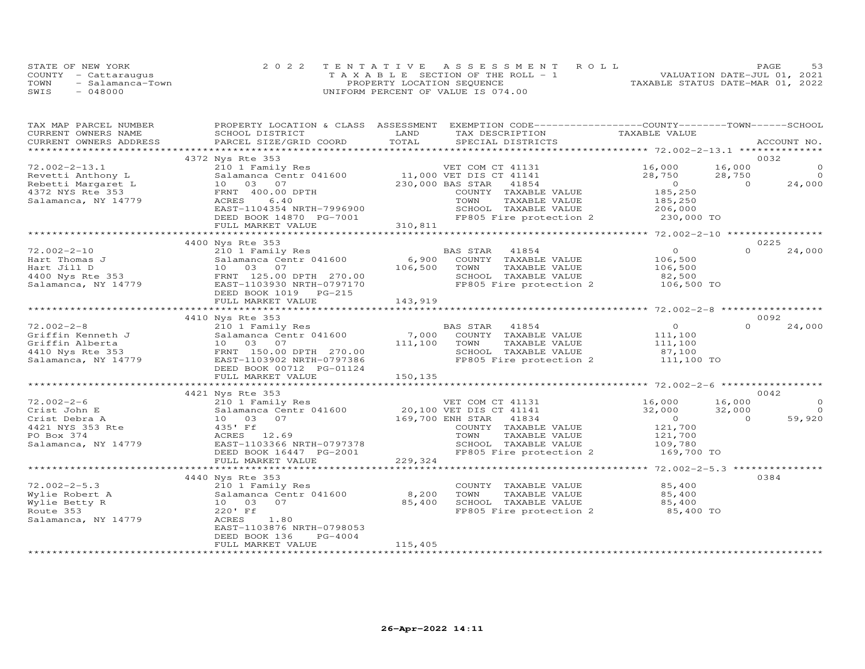|      | STATE OF NEW YORK    | 2022 TENTATIVE ASSESSMENT ROLL        | 53<br>PAGE                       |
|------|----------------------|---------------------------------------|----------------------------------|
|      | COUNTY - Cattaraugus | T A X A B L E SECTION OF THE ROLL - 1 | VALUATION DATE-JUL 01, 2021      |
| TOWN | - Salamanca-Town     | PROPERTY LOCATION SEQUENCE            | TAXABLE STATUS DATE-MAR 01, 2022 |
| SWIS | $-048000$            | UNIFORM PERCENT OF VALUE IS 074.00    |                                  |

| TAX MAP PARCEL NUMBER                        | PROPERTY LOCATION & CLASS ASSESSMENT       |                                                                                                       | EXEMPTION CODE-----------------COUNTY-------TOWN------SCHOOL |
|----------------------------------------------|--------------------------------------------|-------------------------------------------------------------------------------------------------------|--------------------------------------------------------------|
| CURRENT OWNERS NAME                          | SCHOOL DISTRICT                            | LAND<br>TAX DESCRIPTION                                                                               | TAXABLE VALUE                                                |
| CURRENT OWNERS ADDRESS                       | PARCEL SIZE/GRID COORD                     | TOTAL<br>SPECIAL DISTRICTS                                                                            | ACCOUNT NO.                                                  |
|                                              |                                            |                                                                                                       |                                                              |
|                                              | 4372 Nys Rte 353                           |                                                                                                       | 0032                                                         |
| $72.002 - 2 - 13.1$                          | 210 1 Family Res                           | VET COM CT 41131                                                                                      | $\circ$<br>16,000<br>16,000                                  |
| Revetti Anthony L                            |                                            | Salamanca Centr 041600 11,000 VET DIS CT 41141                                                        | 28,750<br>28,750<br>$\Omega$                                 |
| Rebetti Margaret L                           | 10 03 07                                   | 230,000 BAS STAR<br>41854                                                                             | $\overline{O}$<br>24,000<br>$\overline{a}$                   |
| 4372 NYS Rte 353                             | FRNT 400.00 DPTH                           | COUNTY TAXABLE VALUE                                                                                  | 185,250                                                      |
| Salamanca, NY 14779                          | 6.40<br>ACRES                              | TOWN<br>TAXABLE VALUE                                                                                 | 185,250                                                      |
|                                              | EAST-1104354 NRTH-7996900                  |                                                                                                       |                                                              |
|                                              | DEED BOOK 14870 PG-7001                    |                                                                                                       |                                                              |
|                                              | FULL MARKET VALUE                          | 310,811<br>******************************                                                             | ***************** 72.002-2-10 ****************               |
|                                              |                                            |                                                                                                       | 0225                                                         |
| $72.002 - 2 - 10$                            | 4400 Nys Rte 353                           | BAS STAR<br>41854                                                                                     | $\overline{O}$<br>$\Omega$                                   |
|                                              | 210 1 Family Res<br>Salamanca Centr 041600 | $6,900$ <sup>B<sub>2</sub></sup>                                                                      | 24,000<br>106,500                                            |
| Hart Thomas J                                | 10 03 07                                   | COUNTY TAXABLE VALUE<br>TOWN                                                                          |                                                              |
|                                              | FRNT 125.00 DPTH 270.00                    | 106,500<br>TAXABLE VALUE<br>SCHOOL TAXABLE VALUE                                                      | 106,500<br>82,500                                            |
| Hart Jill D<br>4400 Nys Rte 353<br>Salamanci |                                            |                                                                                                       |                                                              |
| Salamanca, NY 14779                          | EAST-1103930 NRTH-0797170                  | FP805 Fire protection 2 106,500 TO                                                                    |                                                              |
|                                              |                                            |                                                                                                       |                                                              |
|                                              | FULL MARKET VALUE                          | 143,919                                                                                               |                                                              |
|                                              | 4410 Nys Rte 353                           |                                                                                                       | 0092                                                         |
| $72.002 - 2 - 8$                             | 210 1 Family Res                           | BAS STAR<br>41854                                                                                     | $\overline{O}$<br>$\Omega$<br>24,000                         |
| Griffin Kenneth J                            | Salamanca Centr 041600                     | 7,000<br>COUNTY TAXABLE VALUE                                                                         | 111,100                                                      |
| Griffin Alberta                              | 10 03 07                                   | 111,100<br>TOWN<br>TAXABLE VALUE                                                                      | 111,100                                                      |
| 4410 Nys Rte 353                             | FRNT 150.00 DPTH 270.00                    | SCHOOL TAXABLE VALUE                                                                                  | 87,100                                                       |
| Salamanca, NY 14779                          | EAST-1103902 NRTH-0797386                  | FP805 Fire protection 2 111,100 TO                                                                    |                                                              |
|                                              | DEED BOOK 00712 PG-01124                   |                                                                                                       |                                                              |
|                                              | FULL MARKET VALUE                          | 150,135                                                                                               |                                                              |
|                                              |                                            |                                                                                                       |                                                              |
|                                              | 4421 Nys Rte 353                           |                                                                                                       | 0042                                                         |
| $72.002 - 2 - 6$                             |                                            | VET COM CT 41131 16,000                                                                               | 16,000<br>$\circ$                                            |
| Crist John E                                 |                                            | 210 1 Family Res<br>Salamanca Centr 041600 20,100 VET DIS CT 41141<br>10 03 07 169,700 ENH STAR 41834 | 32,000<br>$\overline{a}$<br>32,000                           |
| Crist Debra A                                |                                            |                                                                                                       | 59,920<br>$\overline{0}$<br>$\Omega$                         |
| 4421 NYS 353 Rte                             | 435' Ff                                    | COUNTY TAXABLE VALUE                                                                                  | 121,700                                                      |
| PO Box 374                                   | ACRES 12.69                                | TOWN<br>TAXABLE VALUE                                                                                 |                                                              |
| Salamanca, NY 14779                          | EAST-1103366 NRTH-0797378                  | SCHOOL TAXABLE VALUE                                                                                  | 121,700<br>109,780                                           |
|                                              | DEED BOOK 16447 PG-2001                    | FP805 Fire protection 2 169,700 TO                                                                    |                                                              |
|                                              | FULL MARKET VALUE                          | 229, 324                                                                                              |                                                              |
|                                              |                                            |                                                                                                       |                                                              |
|                                              | 4440 Nys Rte 353                           |                                                                                                       | 0384                                                         |
| $72.002 - 2 - 5.3$                           | 210 1 Family Res                           | COUNTY TAXABLE VALUE                                                                                  | 85,400                                                       |
| Wylie Robert A                               | Salamanca Centr 041600                     | 8,200<br>TOWN<br>TAXABLE VALUE                                                                        | 85,400                                                       |
| Wylie Betty R                                | 10 03 07                                   | 85,400                                                                                                |                                                              |
| Route 353                                    | 220' Ff                                    | SCHOOL TAXABLE VALUE 85,400<br>FP805 Fire protection 2 85,400 TO                                      |                                                              |
| Salamanca, NY 14779                          | ACRES<br>1.80                              |                                                                                                       |                                                              |
|                                              | EAST-1103876 NRTH-0798053                  |                                                                                                       |                                                              |
|                                              | DEED BOOK 136<br>PG-4004                   |                                                                                                       |                                                              |
|                                              | FULL MARKET VALUE                          | 115,405                                                                                               |                                                              |
|                                              |                                            |                                                                                                       |                                                              |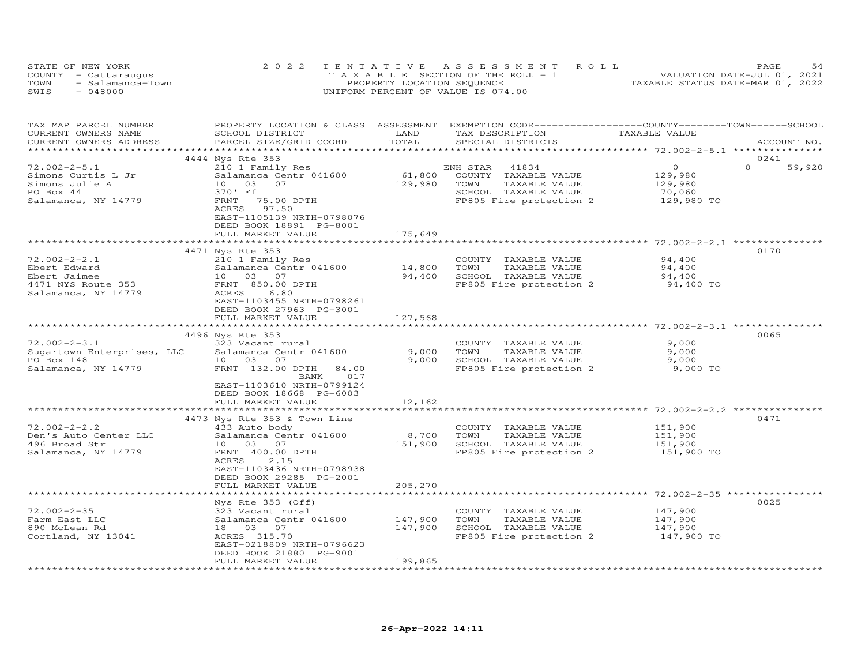| STATE OF NEW YORK |                      | 2022 TENTATIVE ASSESSMENT ROLL        | 54<br>PAGE.                      |
|-------------------|----------------------|---------------------------------------|----------------------------------|
|                   | COUNTY - Cattaraugus | T A X A B L E SECTION OF THE ROLL - 1 | VALUATION DATE-JUL 01, 2021      |
| TOWN              | - Salamanca-Town     | PROPERTY LOCATION SEQUENCE            | TAXABLE STATUS DATE-MAR 01, 2022 |
| SWIS              | - 048000             | UNIFORM PERCENT OF VALUE IS 074.00    |                                  |

| TAX MAP PARCEL NUMBER<br>CURRENT OWNERS NAME<br>CURRENT OWNERS ADDRESS                          | SCHOOL DISTRICT<br>PARCEL SIZE/GRID COORD                                                                                                                                                             | LAND<br>TOTAL               | PROPERTY LOCATION & CLASS ASSESSMENT EXEMPTION CODE----------------COUNTY-------TOWN-----SCHOOL<br>TAX DESCRIPTION<br>SPECIAL DISTRICTS | TAXABLE VALUE                               | ACCOUNT NO.                |
|-------------------------------------------------------------------------------------------------|-------------------------------------------------------------------------------------------------------------------------------------------------------------------------------------------------------|-----------------------------|-----------------------------------------------------------------------------------------------------------------------------------------|---------------------------------------------|----------------------------|
|                                                                                                 |                                                                                                                                                                                                       |                             |                                                                                                                                         |                                             |                            |
| $72.002 - 2 - 5.1$<br>Simons Curtis L Jr                                                        | 4444 Nys Rte 353<br>210 1 Family Res<br>Salamanca Centr 041600                                                                                                                                        | 61,800                      | ENH STAR<br>41834<br>COUNTY TAXABLE VALUE                                                                                               | $\circ$<br>129,980                          | 0241<br>$\Omega$<br>59,920 |
| Simons Julie A<br>PO Box 44<br>Salamanca, NY 14779                                              | 10 03<br>07<br>370' Ff<br>FRNT<br>75.00 DPTH<br>97.50<br>ACRES<br>EAST-1105139 NRTH-0798076                                                                                                           | 129,980                     | TOWN<br>TAXABLE VALUE<br>SCHOOL TAXABLE VALUE<br>FP805 Fire protection 2                                                                | 129,980<br>70,060<br>129,980 TO             |                            |
|                                                                                                 | DEED BOOK 18891 PG-8001<br>FULL MARKET VALUE                                                                                                                                                          | 175,649                     |                                                                                                                                         |                                             |                            |
|                                                                                                 | 4471 Nys Rte 353                                                                                                                                                                                      |                             |                                                                                                                                         |                                             | 0170                       |
| $72.002 - 2 - 2.1$<br>Ebert Edward<br>Ebert Jaimee<br>4471 NYS Route 353<br>Salamanca, NY 14779 | 210 1 Family Res<br>Salamanca Centr 041600<br>10 03 07<br>FRNT 850.00 DPTH<br>ACRES<br>6.80<br>EAST-1103455 NRTH-0798261<br>DEED BOOK 27963 PG-3001                                                   | 14,800<br>94,400            | COUNTY TAXABLE VALUE<br>TAXABLE VALUE<br>TOWN<br>SCHOOL TAXABLE VALUE<br>FP805 Fire protection 2                                        | 94,400<br>94,400<br>94,400<br>94,400 TO     |                            |
|                                                                                                 | FULL MARKET VALUE                                                                                                                                                                                     | 127,568                     |                                                                                                                                         |                                             |                            |
|                                                                                                 |                                                                                                                                                                                                       |                             |                                                                                                                                         |                                             | 0065                       |
| $72.002 - 2 - 3.1$<br>Sugartown Enterprises, LLC<br>PO Box 148<br>Salamanca, NY 14779           | 4496 Nys Rte 353<br>323 Vacant rural<br>Salamanca Centr 041600<br>10 03 07<br>FRNT 132.00 DPTH<br>84.00<br>BANK<br>017<br>EAST-1103610 NRTH-0799124                                                   | 9,000<br>9,000              | COUNTY TAXABLE VALUE<br>TOWN<br>TAXABLE VALUE<br>SCHOOL TAXABLE VALUE<br>FP805 Fire protection 2                                        | 9,000<br>9,000<br>9,000<br>9,000 TO         |                            |
|                                                                                                 | DEED BOOK 18668 PG-6003<br>FULL MARKET VALUE                                                                                                                                                          | 12,162                      |                                                                                                                                         |                                             |                            |
|                                                                                                 |                                                                                                                                                                                                       |                             |                                                                                                                                         |                                             |                            |
| $72.002 - 2 - 2.2$<br>Den's Auto Center LLC<br>496 Broad Str<br>Salamanca, NY 14779             | 4473 Nys Rte 353 & Town Line<br>433 Auto body<br>Salamanca Centr 041600<br>10 03 07<br>FRNT 400.00 DPTH<br>ACRES<br>2.15<br>EAST-1103436 NRTH-0798938<br>DEED BOOK 29285 PG-2001<br>FULL MARKET VALUE | 8,700<br>151,900<br>205,270 | COUNTY TAXABLE VALUE<br>TOWN<br>TAXABLE VALUE<br>SCHOOL TAXABLE VALUE<br>FP805 Fire protection 2                                        | 151,900<br>151,900<br>151,900<br>151,900 TO | 0471                       |
|                                                                                                 | Nys Rte 353 (Off)                                                                                                                                                                                     |                             |                                                                                                                                         |                                             | 0025                       |
| $72.002 - 2 - 35$<br>Farm East LLC<br>890 McLean Rd<br>Cortland, NY 13041                       | 323 Vacant rural<br>Salamanca Centr 041600<br>18  03  07<br>ACRES 315.70<br>EAST-0218809 NRTH-0796623<br>DEED BOOK 21880 PG-9001                                                                      | 147,900<br>147,900          | COUNTY TAXABLE VALUE<br>TOWN<br>TAXABLE VALUE<br>SCHOOL TAXABLE VALUE<br>FP805 Fire protection 2                                        | 147,900<br>147,900<br>147,900<br>147,900 TO |                            |
|                                                                                                 | FULL MARKET VALUE                                                                                                                                                                                     | 199,865                     |                                                                                                                                         |                                             |                            |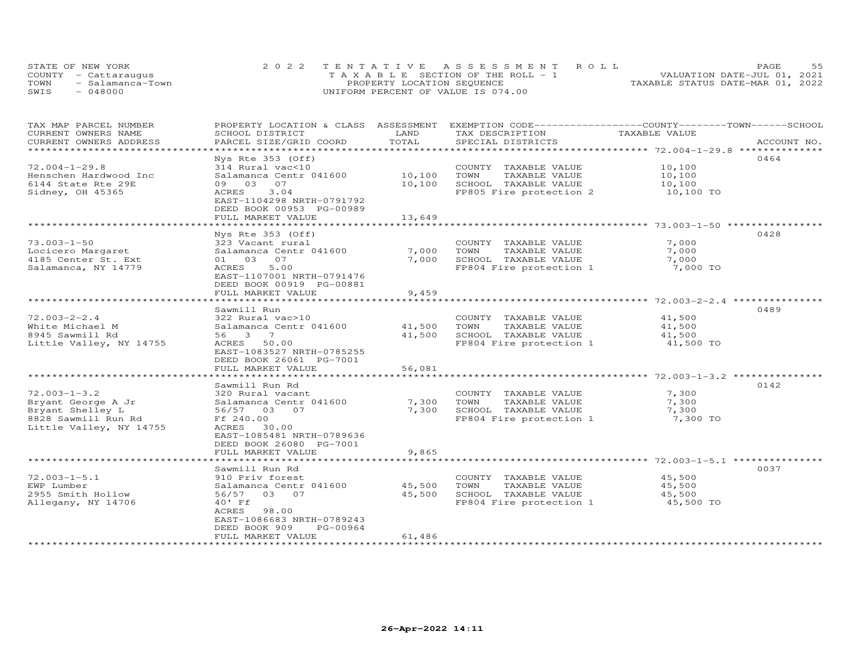|      | STATE OF NEW YORK    | 2022 TENTATIVE ASSESSMENT ROLL        | <b>PAGE</b>                      |
|------|----------------------|---------------------------------------|----------------------------------|
|      | COUNTY - Cattaraugus | T A X A B L E SECTION OF THE ROLL - 1 | VALUATION DATE-JUL 01, 2021      |
| TOWN | - Salamanca-Town     | PROPERTY LOCATION SEQUENCE            | TAXABLE STATUS DATE-MAR 01, 2022 |
| SWIS | $-048000$            | UNIFORM PERCENT OF VALUE IS 074.00    |                                  |

| TAX MAP PARCEL NUMBER   | PROPERTY LOCATION & CLASS ASSESSMENT |        | EXEMPTION CODE-----------------COUNTY-------TOWN------SCHOOL |               |             |
|-------------------------|--------------------------------------|--------|--------------------------------------------------------------|---------------|-------------|
| CURRENT OWNERS NAME     | SCHOOL DISTRICT                      | LAND   | TAX DESCRIPTION                                              | TAXABLE VALUE |             |
| CURRENT OWNERS ADDRESS  | PARCEL SIZE/GRID COORD               | TOTAL  | SPECIAL DISTRICTS                                            |               | ACCOUNT NO. |
|                         |                                      |        |                                                              |               |             |
|                         | Nys Rte 353 (Off)                    |        |                                                              |               | 0464        |
| $72.004 - 1 - 29.8$     |                                      |        |                                                              |               |             |
|                         | 314 Rural vac<10                     |        | COUNTY TAXABLE VALUE                                         | 10,100        |             |
| Henschen Hardwood Inc   | Salamanca Centr 041600               | 10,100 | TAXABLE VALUE<br>TOWN                                        | 10,100        |             |
| 6144 State Rte 29E      | 09 03 07                             | 10,100 | SCHOOL TAXABLE VALUE                                         | 10,100        |             |
| Sidney, OH 45365        | ACRES<br>3.04                        |        | FP805 Fire protection 2                                      | 10,100 TO     |             |
|                         | EAST-1104298 NRTH-0791792            |        |                                                              |               |             |
|                         | DEED BOOK 00953 PG-00989             |        |                                                              |               |             |
|                         | FULL MARKET VALUE                    | 13,649 |                                                              |               |             |
|                         |                                      |        |                                                              |               |             |
|                         |                                      |        |                                                              |               |             |
|                         | Nys Rte 353 (Off)                    |        |                                                              |               | 0428        |
| $73.003 - 1 - 50$       | 323 Vacant rural                     |        | COUNTY TAXABLE VALUE                                         | 7,000         |             |
| Locicero Margaret       | Salamanca Centr 041600               | 7,000  | TOWN<br>TAXABLE VALUE                                        | 7,000         |             |
| 4185 Center St. Ext     | 01 03 07                             | 7,000  | SCHOOL TAXABLE VALUE                                         | 7,000         |             |
| Salamanca, NY 14779     | ACRES<br>5.00                        |        | FP804 Fire protection 1                                      | 7,000 TO      |             |
|                         | EAST-1107001 NRTH-0791476            |        |                                                              |               |             |
|                         | DEED BOOK 00919 PG-00881             |        |                                                              |               |             |
|                         |                                      |        |                                                              |               |             |
|                         | FULL MARKET VALUE                    | 9,459  |                                                              |               |             |
|                         |                                      |        |                                                              |               |             |
|                         | Sawmill Run                          |        |                                                              |               | 0489        |
| $72.003 - 2 - 2.4$      | 322 Rural vac>10                     |        | COUNTY TAXABLE VALUE                                         | 41,500        |             |
| White Michael M         | Salamanca Centr 041600               | 41,500 | TAXABLE VALUE<br>TOWN                                        | 41,500        |             |
| 8945 Sawmill Rd         | 56 3 7                               | 41,500 | SCHOOL TAXABLE VALUE                                         | 41,500        |             |
| Little Valley, NY 14755 | ACRES 50.00                          |        | FP804 Fire protection 1                                      | 41,500 TO     |             |
|                         |                                      |        |                                                              |               |             |
|                         | EAST-1083527 NRTH-0785255            |        |                                                              |               |             |
|                         | DEED BOOK 26061 PG-7001              |        |                                                              |               |             |
|                         | FULL MARKET VALUE                    | 56,081 |                                                              |               |             |
|                         |                                      |        |                                                              |               |             |
|                         | Sawmill Run Rd                       |        |                                                              |               | 0142        |
| $72.003 - 1 - 3.2$      | 320 Rural vacant                     |        | COUNTY TAXABLE VALUE                                         | 7,300         |             |
| Bryant George A Jr      | Salamanca Centr 041600               | 7,300  | TAXABLE VALUE<br>TOWN                                        | 7,300         |             |
| Bryant Shelley L        | 56/57 03 07                          | 7,300  | SCHOOL TAXABLE VALUE                                         | 7,300         |             |
|                         |                                      |        |                                                              |               |             |
| 8828 Sawmill Run Rd     | Ff 240.00                            |        | FP804 Fire protection 1                                      | 7,300 TO      |             |
| Little Valley, NY 14755 | ACRES<br>30.00                       |        |                                                              |               |             |
|                         | EAST-1085481 NRTH-0789636            |        |                                                              |               |             |
|                         | DEED BOOK 26080 PG-7001              |        |                                                              |               |             |
|                         | FULL MARKET VALUE                    | 9,865  |                                                              |               |             |
|                         |                                      |        |                                                              |               |             |
|                         | Sawmill Run Rd                       |        |                                                              |               | 0037        |
| $72.003 - 1 - 5.1$      |                                      |        | COUNTY TAXABLE VALUE                                         |               |             |
|                         | 910 Priv forest                      |        |                                                              | 45,500        |             |
| EWP Lumber              | Salamanca Centr 041600               | 45,500 | TOWN<br>TAXABLE VALUE                                        | 45,500        |             |
| 2955 Smith Hollow       | 03 07<br>56/57                       | 45,500 | SCHOOL TAXABLE VALUE                                         | 45,500        |             |
| Allegany, NY 14706      | $40'$ Ff                             |        | FP804 Fire protection 1                                      | 45,500 TO     |             |
|                         | ACRES<br>98.00                       |        |                                                              |               |             |
|                         | EAST-1086683 NRTH-0789243            |        |                                                              |               |             |
|                         | DEED BOOK 909<br>PG-00964            |        |                                                              |               |             |
|                         | FULL MARKET VALUE                    | 61,486 |                                                              |               |             |
|                         |                                      |        | ******************************                               |               |             |
|                         |                                      |        |                                                              |               |             |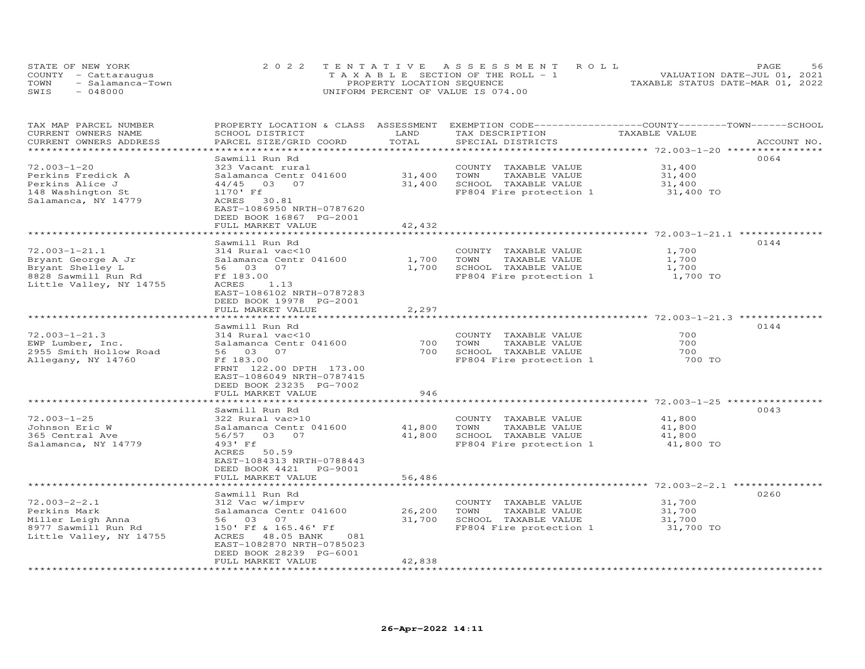|      | STATE OF NEW YORK    | 2022 TENTATIVE ASSESSMENT ROLL        | 56<br>PAGE                       |
|------|----------------------|---------------------------------------|----------------------------------|
|      | COUNTY - Cattaraugus | T A X A B L E SECTION OF THE ROLL - 1 | VALUATION DATE-JUL 01, 2021      |
| TOWN | - Salamanca-Town     | PROPERTY LOCATION SEQUENCE            | TAXABLE STATUS DATE-MAR 01, 2022 |
| SWIS | - 048000             | UNIFORM PERCENT OF VALUE IS 074.00    |                                  |

| TAX MAP PARCEL NUMBER<br>CURRENT OWNERS NAME<br>CURRENT OWNERS ADDRESS               | PROPERTY LOCATION & CLASS ASSESSMENT<br>SCHOOL DISTRICT<br>PARCEL SIZE/GRID COORD                                 | LAND<br>TOTAL               | EXEMPTION CODE-----------------COUNTY-------TOWN------SCHOOL<br>TAX DESCRIPTION<br>SPECIAL DISTRICTS | TAXABLE VALUE                       | ACCOUNT NO. |
|--------------------------------------------------------------------------------------|-------------------------------------------------------------------------------------------------------------------|-----------------------------|------------------------------------------------------------------------------------------------------|-------------------------------------|-------------|
|                                                                                      |                                                                                                                   |                             |                                                                                                      |                                     |             |
| $72.003 - 1 - 20$<br>Perkins Fredick A<br>Perkins Alice J                            | Sawmill Run Rd<br>323 Vacant rural<br>Salamanca Centr 041600<br>03 07<br>44/45                                    | 31,400<br>31,400            | COUNTY TAXABLE VALUE<br>TOWN<br>TAXABLE VALUE<br>SCHOOL TAXABLE VALUE                                | 31,400<br>31,400<br>31,400          | 0064        |
| 148 Washington St<br>Salamanca, NY 14779                                             | 1170' Ff<br>ACRES<br>30.81<br>EAST-1086950 NRTH-0787620<br>DEED BOOK 16867 PG-2001<br>FULL MARKET VALUE           | 42,432                      | FP804 Fire protection 1                                                                              | 31,400 TO                           |             |
|                                                                                      |                                                                                                                   |                             |                                                                                                      |                                     |             |
|                                                                                      | Sawmill Run Rd                                                                                                    |                             |                                                                                                      |                                     | 0144        |
| $72.003 - 1 - 21.1$<br>Bryant George A Jr<br>Bryant Shelley L<br>8828 Sawmill Run Rd | 314 Rural vac<10<br>Salamanca Centr 041600<br>56 03 07<br>Ff 183.00                                               | 1,700<br>1,700              | COUNTY TAXABLE VALUE<br>TAXABLE VALUE<br>TOWN<br>SCHOOL TAXABLE VALUE<br>FP804 Fire protection 1     | 1,700<br>1,700<br>1,700<br>1,700 TO |             |
| Little Valley, NY 14755                                                              | ACRES<br>1.13<br>EAST-1086102 NRTH-0787283<br>DEED BOOK 19978 PG-2001<br>FULL MARKET VALUE                        | 2,297                       |                                                                                                      |                                     |             |
|                                                                                      |                                                                                                                   |                             |                                                                                                      |                                     |             |
| $72.003 - 1 - 21.3$                                                                  | Sawmill Run Rd<br>314 Rural vac<10                                                                                |                             | COUNTY TAXABLE VALUE                                                                                 | 700                                 | 0144        |
| EWP Lumber, Inc.                                                                     | Salamanca Centr 041600                                                                                            | 700                         | TOWN<br>TAXABLE VALUE                                                                                | 700                                 |             |
| 2955 Smith Hollow Road                                                               | 56 03 07                                                                                                          | 700                         | SCHOOL TAXABLE VALUE                                                                                 | 700                                 |             |
| Allegany, NY 14760                                                                   | Ff 183.00<br>FRNT 122.00 DPTH 173.00<br>EAST-1086049 NRTH-0787415<br>DEED BOOK 23235 PG-7002<br>FULL MARKET VALUE | 946                         | FP804 Fire protection 1                                                                              | 700 TO                              |             |
|                                                                                      | *********************                                                                                             | **********                  |                                                                                                      |                                     |             |
|                                                                                      | Sawmill Run Rd                                                                                                    |                             |                                                                                                      |                                     | 0043        |
| $72.003 - 1 - 25$                                                                    | 322 Rural vac>10                                                                                                  |                             | COUNTY TAXABLE VALUE                                                                                 | 41,800                              |             |
| Johnson Eric W                                                                       | Salamanca Centr 041600                                                                                            | 41,800                      | TOWN<br>TAXABLE VALUE                                                                                | 41,800                              |             |
| 365 Central Ave<br>Salamanca, NY 14779                                               | 56/57 03 07<br>493' Ff<br>ACRES 50.59<br>EAST-1084313 NRTH-0788443<br>DEED BOOK 4421 PG-9001                      | 41,800                      | SCHOOL TAXABLE VALUE<br>FP804 Fire protection 1                                                      | 41,800<br>41,800 TO                 |             |
|                                                                                      | FULL MARKET VALUE                                                                                                 | 56,486                      |                                                                                                      |                                     |             |
|                                                                                      | ***********************                                                                                           | * * * * * * * * * * * * * * |                                                                                                      |                                     | 0260        |
| $72.003 - 2 - 2.1$                                                                   | Sawmill Run Rd<br>312 Vac w/imprv                                                                                 |                             | COUNTY TAXABLE VALUE                                                                                 | 31,700                              |             |
| Perkins Mark                                                                         | Salamanca Centr 041600                                                                                            | 26,200                      | TAXABLE VALUE<br>TOWN                                                                                | 31,700                              |             |
| Miller Leigh Anna                                                                    | 56 03 07                                                                                                          | 31,700                      | SCHOOL TAXABLE VALUE                                                                                 | 31,700                              |             |
| 8977 Sawmill Run Rd<br>Little Valley, NY 14755                                       | 150' Ff & 165.46' Ff<br>ACRES 48.05 BANK<br>081<br>EAST-1082870 NRTH-0785023<br>DEED BOOK 28239 PG-6001           |                             | FP804 Fire protection 1                                                                              | 31,700 TO                           |             |
|                                                                                      | FULL MARKET VALUE                                                                                                 | 42,838                      |                                                                                                      |                                     |             |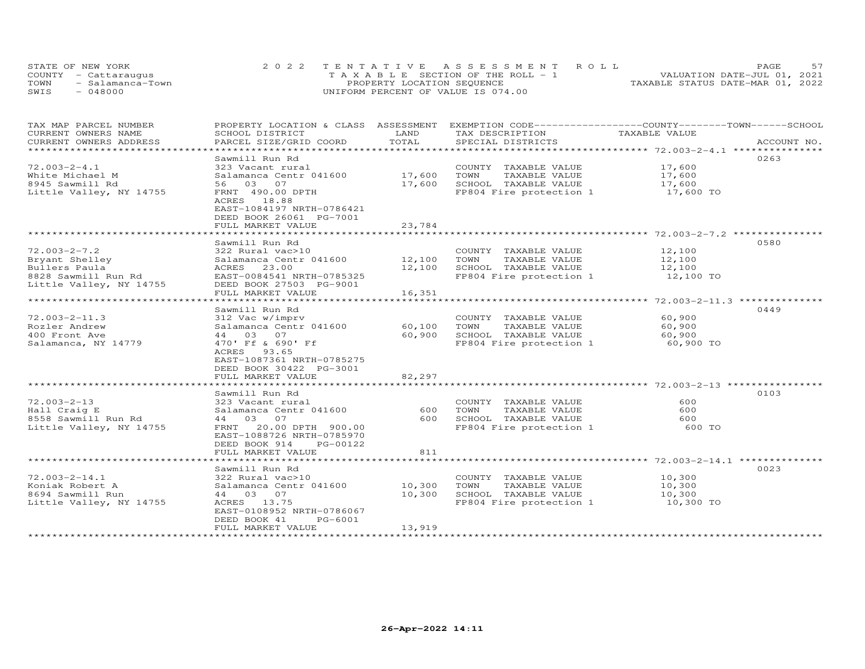|      | STATE OF NEW YORK    | 2022 TENTATIVE ASSESSMENT ROLL        | <b>PAGE</b>                      |
|------|----------------------|---------------------------------------|----------------------------------|
|      | COUNTY - Cattaraugus | T A X A B L E SECTION OF THE ROLL - 1 | VALUATION DATE-JUL 01, 2021      |
| TOWN | - Salamanca-Town     | PROPERTY LOCATION SEQUENCE            | TAXABLE STATUS DATE-MAR 01, 2022 |
| SWIS | $-048000$            | UNIFORM PERCENT OF VALUE IS 074.00    |                                  |

| TAX MAP PARCEL NUMBER                         | PROPERTY LOCATION & CLASS ASSESSMENT      |               | EXEMPTION CODE-----------------COUNTY-------TOWN------SCHOOL | TAXABLE VALUE                                     |             |
|-----------------------------------------------|-------------------------------------------|---------------|--------------------------------------------------------------|---------------------------------------------------|-------------|
| CURRENT OWNERS NAME<br>CURRENT OWNERS ADDRESS | SCHOOL DISTRICT<br>PARCEL SIZE/GRID COORD | LAND<br>TOTAL | TAX DESCRIPTION<br>SPECIAL DISTRICTS                         |                                                   | ACCOUNT NO. |
| *******************                           |                                           |               |                                                              |                                                   |             |
|                                               | Sawmill Run Rd                            |               |                                                              |                                                   | 0263        |
| $72.003 - 2 - 4.1$                            | 323 Vacant rural                          |               | COUNTY TAXABLE VALUE                                         | 17,600                                            |             |
| White Michael M                               | Salamanca Centr 041600                    | 17,600        | TOWN<br>TAXABLE VALUE                                        | 17,600                                            |             |
| 8945 Sawmill Rd                               | 56 03 07                                  | 17,600        | SCHOOL TAXABLE VALUE                                         | 17,600                                            |             |
| Little Valley, NY 14755                       | FRNT 490.00 DPTH                          |               | FP804 Fire protection 1                                      | 17,600 TO                                         |             |
|                                               | ACRES 18.88                               |               |                                                              |                                                   |             |
|                                               | EAST-1084197 NRTH-0786421                 |               |                                                              |                                                   |             |
|                                               | DEED BOOK 26061 PG-7001                   |               |                                                              |                                                   |             |
|                                               | FULL MARKET VALUE                         | 23,784        |                                                              |                                                   |             |
|                                               |                                           |               |                                                              |                                                   |             |
|                                               | Sawmill Run Rd                            |               |                                                              |                                                   | 0580        |
| $72.003 - 2 - 7.2$                            | 322 Rural vac>10                          |               | COUNTY TAXABLE VALUE                                         | 12,100                                            |             |
| Bryant Shelley                                | Salamanca Centr 041600                    | 12,100        | TAXABLE VALUE<br>TOWN                                        | 12,100                                            |             |
| Bullers Paula                                 | ACRES 23.00                               | 12,100        | SCHOOL TAXABLE VALUE                                         | 12,100                                            |             |
| 8828 Sawmill Run Rd                           | EAST-0084541 NRTH-0785325                 |               | FP804 Fire protection 1                                      | 12,100 TO                                         |             |
| Little Valley, NY 14755                       | DEED BOOK 27503 PG-9001                   |               |                                                              |                                                   |             |
|                                               | FULL MARKET VALUE                         | 16,351        |                                                              |                                                   |             |
|                                               | ******************                        |               |                                                              | ************************ 72.003-2-11.3 **         |             |
|                                               | Sawmill Run Rd                            |               |                                                              |                                                   | 0449        |
| $72.003 - 2 - 11.3$                           | 312 Vac w/imprv                           |               | COUNTY TAXABLE VALUE                                         | 60,900                                            |             |
| Rozler Andrew                                 | Salamanca Centr 041600                    | 60,100        | TOWN<br>TAXABLE VALUE                                        | 60,900                                            |             |
| 400 Front Ave                                 | 44 03 07                                  | 60,900        | SCHOOL TAXABLE VALUE                                         | 60,900                                            |             |
| Salamanca, NY 14779                           | 470' Ff & 690' Ff                         |               | FP804 Fire protection 1                                      | 60,900 TO                                         |             |
|                                               | ACRES<br>93.65                            |               |                                                              |                                                   |             |
|                                               | EAST-1087361 NRTH-0785275                 |               |                                                              |                                                   |             |
|                                               | DEED BOOK 30422 PG-3001                   |               |                                                              |                                                   |             |
|                                               | FULL MARKET VALUE                         | 82,297        |                                                              |                                                   |             |
|                                               |                                           |               |                                                              | ************************* 72.003-2-13 *********** |             |
|                                               | Sawmill Run Rd                            |               |                                                              |                                                   | 0103        |
| $72.003 - 2 - 13$                             | 323 Vacant rural                          |               | COUNTY TAXABLE VALUE                                         | 600                                               |             |
| Hall Craig E                                  | Salamanca Centr 041600                    | 600           | TOWN<br>TAXABLE VALUE                                        | 600                                               |             |
| 8558 Sawmill Run Rd                           | 44 03 07                                  | 600           | SCHOOL TAXABLE VALUE                                         | 600                                               |             |
| Little Valley, NY 14755                       | 20.00 DPTH 900.00<br>FRNT                 |               | FP804 Fire protection 1                                      | 600 TO                                            |             |
|                                               | EAST-1088726 NRTH-0785970                 |               |                                                              |                                                   |             |
|                                               | DEED BOOK 914<br>PG-00122                 |               |                                                              |                                                   |             |
|                                               | FULL MARKET VALUE                         | 811           |                                                              |                                                   |             |
|                                               |                                           | ***********   | ******************************** 72.003-2-14.1 *********     |                                                   |             |
|                                               | Sawmill Run Rd                            |               |                                                              |                                                   | 0023        |
| $72.003 - 2 - 14.1$                           | 322 Rural vac>10                          |               | COUNTY TAXABLE VALUE                                         | 10,300                                            |             |
| Koniak Robert A                               | Salamanca Centr 041600                    | 10,300        | TOWN<br>TAXABLE VALUE                                        | 10,300                                            |             |
| 8694 Sawmill Run                              | 44 03 07                                  | 10,300        | SCHOOL TAXABLE VALUE                                         | 10,300                                            |             |
| Little Valley, NY 14755                       | ACRES 13.75                               |               | FP804 Fire protection 1 10,300 TO                            |                                                   |             |
|                                               | EAST-0108952 NRTH-0786067                 |               |                                                              |                                                   |             |
|                                               | DEED BOOK 41<br>PG-6001                   |               |                                                              |                                                   |             |
|                                               | FULL MARKET VALUE                         | 13,919        |                                                              |                                                   |             |
|                                               |                                           |               |                                                              |                                                   |             |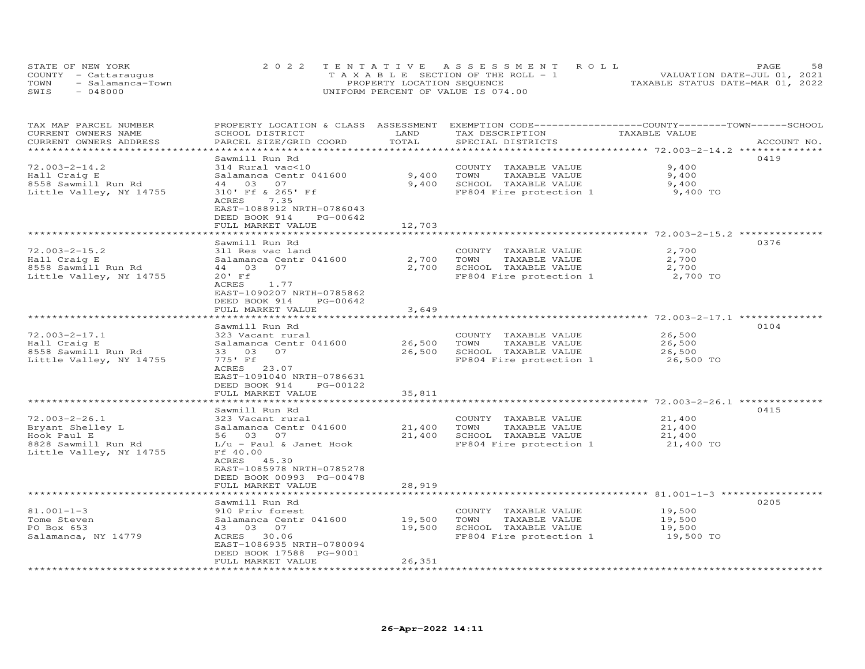|      | STATE OF NEW YORK    | 2022 TENTATIVE ASSESSMENT ROLL        | 58<br>PAGE                       |
|------|----------------------|---------------------------------------|----------------------------------|
|      | COUNTY - Cattaraugus | T A X A B L E SECTION OF THE ROLL - 1 | VALUATION DATE-JUL 01, 2021      |
| TOWN | - Salamanca-Town     | PROPERTY LOCATION SEQUENCE            | TAXABLE STATUS DATE-MAR 01, 2022 |
| SWIS | - 048000             | UNIFORM PERCENT OF VALUE IS 074.00    |                                  |

| TAX MAP PARCEL NUMBER<br>CURRENT OWNERS NAME<br>CURRENT OWNERS ADDRESS | PROPERTY LOCATION & CLASS ASSESSMENT EXEMPTION CODE----------------COUNTY-------TOWN------SCHOOL<br>SCHOOL DISTRICT<br>PARCEL SIZE/GRID COORD | LAND<br>TOTAL        | TAX DESCRIPTION<br>SPECIAL DISTRICTS                                  | TAXABLE VALUE                                          | ACCOUNT NO. |
|------------------------------------------------------------------------|-----------------------------------------------------------------------------------------------------------------------------------------------|----------------------|-----------------------------------------------------------------------|--------------------------------------------------------|-------------|
| $72.003 - 2 - 14.2$<br>Hall Craig E<br>8558 Sawmill Run Rd             | Sawmill Run Rd<br>314 Rural vac<10<br>Salamanca Centr 041600<br>44 03 07                                                                      | 9,400<br>9,400       | COUNTY TAXABLE VALUE<br>TAXABLE VALUE<br>TOWN<br>SCHOOL TAXABLE VALUE | 9,400<br>9,400<br>9,400                                | 0419        |
| Little Valley, NY 14755                                                | 310' Ff & 265' Ff<br>7.35<br>ACRES<br>EAST-1088912 NRTH-0786043<br>DEED BOOK 914<br>PG-00642<br>FULL MARKET VALUE                             | 12,703               | FP804 Fire protection 1                                               | 9,400 TO                                               |             |
|                                                                        | *******************                                                                                                                           | *******************  |                                                                       |                                                        |             |
|                                                                        | Sawmill Run Rd                                                                                                                                |                      |                                                                       |                                                        | 0376        |
| $72.003 - 2 - 15.2$                                                    | 311 Res vac land                                                                                                                              |                      | COUNTY TAXABLE VALUE                                                  | 2,700                                                  |             |
| Hall Craig E                                                           | Salamanca Centr 041600                                                                                                                        | 2,700                | TOWN<br>TAXABLE VALUE                                                 | 2,700                                                  |             |
| 8558 Sawmill Run Rd                                                    | 44 03 07                                                                                                                                      | 2,700                | SCHOOL TAXABLE VALUE                                                  | 2,700                                                  |             |
| Little Valley, NY 14755                                                | $20'$ Ff<br>1.77<br>ACRES<br>EAST-1090207 NRTH-0785862<br>DEED BOOK 914<br>PG-00642                                                           |                      | FP804 Fire protection 1                                               | 2,700 TO                                               |             |
|                                                                        | FULL MARKET VALUE<br>*******************                                                                                                      | 3,649<br>*********** |                                                                       | ***************************** 72.003-2-17.1 ********** |             |
|                                                                        | Sawmill Run Rd                                                                                                                                |                      |                                                                       |                                                        | 0104        |
| $72.003 - 2 - 17.1$                                                    | 323 Vacant rural                                                                                                                              |                      | COUNTY TAXABLE VALUE                                                  | 26,500                                                 |             |
| Hall Craig E                                                           | Salamanca Centr 041600                                                                                                                        | 26,500               | TOWN<br>TAXABLE VALUE                                                 | 26,500                                                 |             |
| 8558 Sawmill Run Rd                                                    | 33 03 07                                                                                                                                      | 26,500               | SCHOOL TAXABLE VALUE                                                  | 26,500                                                 |             |
| Little Valley, NY 14755                                                | 775' Ff<br>ACRES 23.07<br>EAST-1091040 NRTH-0786631<br>DEED BOOK 914<br>PG-00122                                                              |                      | FP804 Fire protection 1                                               | 26,500 TO                                              |             |
|                                                                        | FULL MARKET VALUE                                                                                                                             | 35,811               |                                                                       |                                                        |             |
|                                                                        | Sawmill Run Rd                                                                                                                                |                      |                                                                       |                                                        | 0415        |
| $72.003 - 2 - 26.1$                                                    | 323 Vacant rural                                                                                                                              |                      | COUNTY TAXABLE VALUE                                                  | 21,400                                                 |             |
| Bryant Shelley L                                                       | Salamanca Centr 041600                                                                                                                        | 21,400               | TOWN<br>TAXABLE VALUE                                                 | 21,400                                                 |             |
| Hook Paul E                                                            | 56 03 07                                                                                                                                      | 21,400               | SCHOOL TAXABLE VALUE                                                  | 21,400                                                 |             |
| 8828 Sawmill Run Rd<br>Little Valley, NY 14755                         | $L/u$ - Paul & Janet Hook<br>Ff 40.00<br>ACRES 45.30<br>EAST-1085978 NRTH-0785278<br>DEED BOOK 00993 PG-00478<br>FULL MARKET VALUE            | 28,919               | FP804 Fire protection 1                                               | 21,400 TO                                              |             |
|                                                                        |                                                                                                                                               |                      |                                                                       |                                                        | 0205        |
| $81.001 - 1 - 3$                                                       | Sawmill Run Rd<br>910 Priv forest                                                                                                             |                      | COUNTY TAXABLE VALUE                                                  | 19,500                                                 |             |
| Tome Steven                                                            | Salamanca Centr 041600                                                                                                                        | 19,500               | TOWN<br>TAXABLE VALUE                                                 | 19,500                                                 |             |
| PO Box 653                                                             | 43 03 07                                                                                                                                      | 19,500               | SCHOOL TAXABLE VALUE                                                  | 19,500                                                 |             |
| Salamanca, NY 14779                                                    | ACRES 30.06<br>EAST-1086935 NRTH-0780094<br>DEED BOOK 17588 PG-9001<br>FULL MARKET VALUE                                                      | 26,351               | FP804 Fire protection 1                                               | 19,500 TO                                              |             |
|                                                                        |                                                                                                                                               |                      |                                                                       |                                                        |             |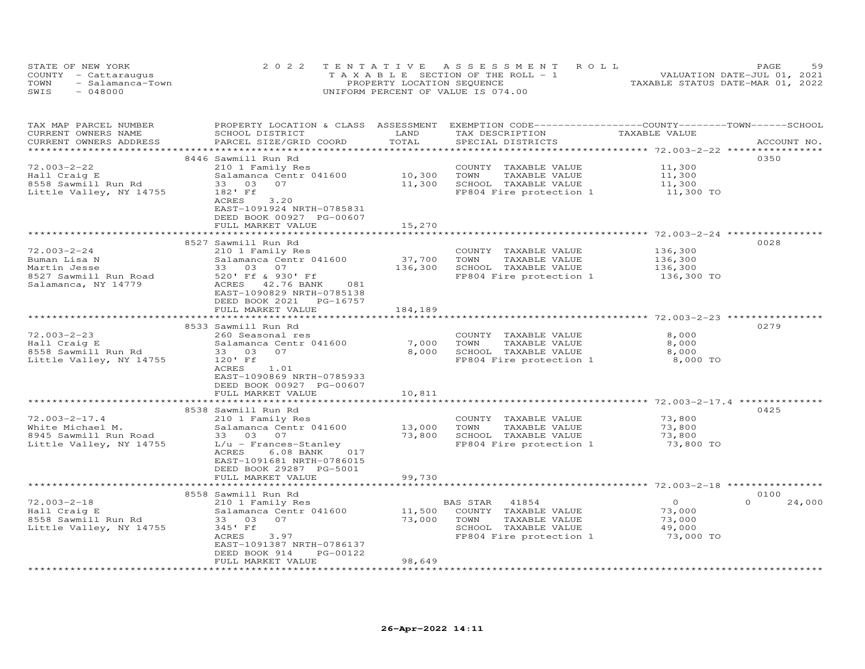| STATE OF NEW YORK        | 2022 TENTATIVE ASSESSMENT ROLL        | 59<br>PAGE                       |
|--------------------------|---------------------------------------|----------------------------------|
| COUNTY - Cattaraugus     | T A X A B L E SECTION OF THE ROLL - 1 | VALUATION DATE-JUL 01, 2021      |
| TOWN<br>- Salamanca-Town | PROPERTY LOCATION SEQUENCE            | TAXABLE STATUS DATE-MAR 01, 2022 |
| $-048000$<br>SWIS        | UNIFORM PERCENT OF VALUE IS 074.00    |                                  |

| TAX MAP PARCEL NUMBER<br>CURRENT OWNERS NAME<br>CURRENT OWNERS ADDRESS | PROPERTY LOCATION & CLASS ASSESSMENT<br>SCHOOL DISTRICT<br>PARCEL SIZE/GRID COORD                              | LAND<br>TOTAL           | EXEMPTION CODE------------------COUNTY-------TOWN-----SCHOOL<br>TAX DESCRIPTION<br>SPECIAL DISTRICTS | TAXABLE VALUE       | ACCOUNT NO. |
|------------------------------------------------------------------------|----------------------------------------------------------------------------------------------------------------|-------------------------|------------------------------------------------------------------------------------------------------|---------------------|-------------|
|                                                                        |                                                                                                                |                         |                                                                                                      |                     |             |
|                                                                        | 8446 Sawmill Run Rd                                                                                            |                         |                                                                                                      |                     | 0350        |
| $72.003 - 2 - 22$                                                      | 210 1 Family Res                                                                                               |                         | COUNTY TAXABLE VALUE                                                                                 | 11,300              |             |
| Hall Craig E                                                           | Salamanca Centr 041600                                                                                         | 10,300                  | TOWN<br>TAXABLE VALUE                                                                                | 11,300              |             |
| 8558 Sawmill Run Rd                                                    | 33 03<br>07                                                                                                    | 11,300                  | SCHOOL TAXABLE VALUE                                                                                 | 11,300              |             |
| Little Valley, NY 14755                                                | 182' Ff<br>ACRES<br>3,20<br>EAST-1091924 NRTH-0785831<br>DEED BOOK 00927 PG-00607<br>FULL MARKET VALUE         | 15,270                  | FP804 Fire protection 1                                                                              | 11,300 TO           |             |
|                                                                        |                                                                                                                |                         |                                                                                                      |                     |             |
|                                                                        | 8527 Sawmill Run Rd                                                                                            |                         |                                                                                                      |                     | 0028        |
| $72.003 - 2 - 24$                                                      | 210 1 Family Res                                                                                               |                         | COUNTY TAXABLE VALUE                                                                                 | 136,300             |             |
| Buman Lisa N                                                           | Salamanca Centr 041600                                                                                         | 37,700                  | TAXABLE VALUE<br>TOWN                                                                                | 136,300             |             |
| Martin Jesse                                                           | 33 03 07                                                                                                       | 136,300                 | SCHOOL TAXABLE VALUE                                                                                 | 136,300             |             |
| 8527 Sawmill Run Road                                                  | 520' Ff & 930' Ff                                                                                              |                         | FP804 Fire protection 1                                                                              | 136,300 TO          |             |
| Salamanca, NY 14779                                                    | ACRES 42.76 BANK<br>081<br>EAST-1090829 NRTH-0785138<br>DEED BOOK 2021<br>PG-16757<br>FULL MARKET VALUE        | 184,189                 |                                                                                                      |                     |             |
|                                                                        | ***************************                                                                                    |                         |                                                                                                      |                     |             |
|                                                                        | 8533 Sawmill Run Rd                                                                                            |                         |                                                                                                      |                     | 0279        |
| $72.003 - 2 - 23$                                                      | 260 Seasonal res                                                                                               |                         | COUNTY TAXABLE VALUE                                                                                 | 8,000               |             |
| Hall Craig E                                                           | Salamanca Centr 041600                                                                                         | 7,000                   | TOWN<br>TAXABLE VALUE                                                                                | 8,000               |             |
| 8558 Sawmill Run Rd                                                    | 07<br>33 03                                                                                                    | 8,000                   | SCHOOL TAXABLE VALUE                                                                                 | 8,000               |             |
| Little Valley, NY 14755                                                | 120' Ff<br>ACRES<br>1.01<br>EAST-1090869 NRTH-0785933<br>DEED BOOK 00927 PG-00607                              |                         | FP804 Fire protection 1                                                                              | 8,000 TO            |             |
|                                                                        | FULL MARKET VALUE<br>***********************                                                                   | 10,811<br>************* |                                                                                                      |                     |             |
|                                                                        |                                                                                                                |                         |                                                                                                      |                     |             |
| $72.003 - 2 - 17.4$                                                    | 8538 Sawmill Run Rd                                                                                            |                         | COUNTY TAXABLE VALUE                                                                                 | 73,800              | 0425        |
| White Michael M.                                                       | 210 1 Family Res<br>Salamanca Centr 041600                                                                     | 13,000                  | TOWN<br>TAXABLE VALUE                                                                                | 73,800              |             |
| 8945 Sawmill Run Road                                                  | 33 03 07                                                                                                       | 73,800                  | SCHOOL TAXABLE VALUE                                                                                 | 73,800              |             |
| Little Valley, NY 14755                                                | $L/u$ - Frances-Stanley<br>ACRES<br>$6.08$ BANK<br>017<br>EAST-1091681 NRTH-0786015<br>DEED BOOK 29287 PG-5001 |                         | FP804 Fire protection 1                                                                              | 73,800 TO           |             |
|                                                                        | FULL MARKET VALUE                                                                                              | 99,730                  |                                                                                                      |                     |             |
|                                                                        |                                                                                                                |                         |                                                                                                      |                     |             |
|                                                                        | 8558 Sawmill Run Rd                                                                                            |                         |                                                                                                      |                     | 0100        |
| $72.003 - 2 - 18$                                                      | 210 1 Family Res                                                                                               |                         | BAS STAR<br>41854                                                                                    | $\overline{O}$      | 24,000      |
| Hall Craig E                                                           | Salamanca Centr 041600                                                                                         | 11,500                  | COUNTY TAXABLE VALUE                                                                                 | 73,000              |             |
| 8558 Sawmill Run Rd                                                    | 33 03 07                                                                                                       | 73,000                  | TOWN<br>TAXABLE VALUE                                                                                | 73,000              |             |
| Little Valley, NY 14755                                                | 345' Ff<br>3.97<br>ACRES                                                                                       |                         | SCHOOL TAXABLE VALUE<br>FP804 Fire protection 1                                                      | 49,000<br>73,000 TO |             |
|                                                                        | EAST-1091387 NRTH-0786137                                                                                      |                         |                                                                                                      |                     |             |
|                                                                        | PG-00122<br>DEED BOOK 914                                                                                      |                         |                                                                                                      |                     |             |
|                                                                        | FULL MARKET VALUE                                                                                              | 98,649                  |                                                                                                      |                     |             |
|                                                                        |                                                                                                                |                         |                                                                                                      |                     |             |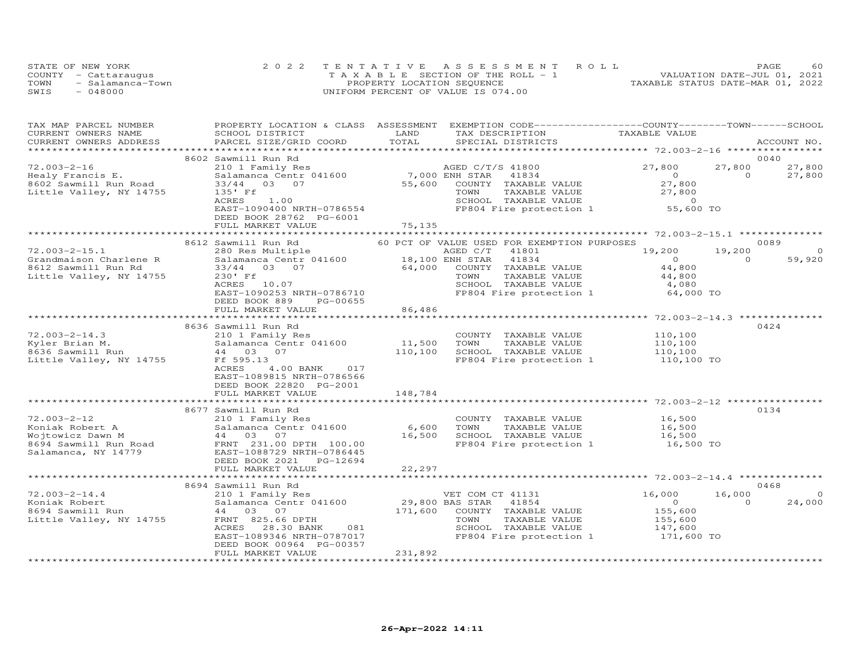|      | STATE OF NEW YORK    | 2022 TENTATIVE ASSESSMENT ROLL        | 60<br>PAGE                       |
|------|----------------------|---------------------------------------|----------------------------------|
|      | COUNTY - Cattaraugus | T A X A B L E SECTION OF THE ROLL - 1 | VALUATION DATE-JUL 01, 2021      |
| TOWN | - Salamanca-Town     | PROPERTY LOCATION SEQUENCE            | TAXABLE STATUS DATE-MAR 01, 2022 |
| SWIS | $-048000$            | UNIFORM PERCENT OF VALUE IS 074.00    |                                  |

| TAX MAP PARCEL NUMBER                                                 | PROPERTY LOCATION & CLASS ASSESSMENT                                                                                                                                                                                          |                | EXEMPTION CODE-----------------COUNTY-------TOWN------SCHOOL                                                  |                                                |               |             |
|-----------------------------------------------------------------------|-------------------------------------------------------------------------------------------------------------------------------------------------------------------------------------------------------------------------------|----------------|---------------------------------------------------------------------------------------------------------------|------------------------------------------------|---------------|-------------|
| CURRENT OWNERS NAME                                                   | SCHOOL DISTRICT                                                                                                                                                                                                               | LAND           | TAX DESCRIPTION                                                                                               | TAXABLE VALUE                                  |               |             |
| CURRENT OWNERS ADDRESS                                                | PARCEL SIZE/GRID COORD                                                                                                                                                                                                        | TOTAL          | SPECIAL DISTRICTS                                                                                             |                                                |               | ACCOUNT NO. |
|                                                                       | **************************************                                                                                                                                                                                        |                |                                                                                                               | ********************** 72.003-2-16 *********** |               |             |
|                                                                       | 8602 Sawmill Run Rd                                                                                                                                                                                                           |                |                                                                                                               |                                                |               | 0040        |
| $72.003 - 2 - 16$                                                     | 210 1 Family Res                                                                                                                                                                                                              |                | AGED C/T/S 41800                                                                                              | 27,800                                         |               | 27,800      |
|                                                                       | Salamanca Centr 041600 7,000 ENH STAR 41834<br>33/44 03 07 55,600 COUNTY TAXABLE VALUE                                                                                                                                        |                |                                                                                                               | $\overline{0}$                                 | $27,800$<br>0 | 27,800      |
| Healy Francis E. Salamanca Centr<br>8602 Sawmill Run Road 33/44 03 07 |                                                                                                                                                                                                                               |                |                                                                                                               | 27,800                                         |               |             |
| Little Valley, NY 14755                                               | 135' Ff                                                                                                                                                                                                                       |                |                                                                                                               |                                                |               |             |
|                                                                       | 1.00<br>ACRES                                                                                                                                                                                                                 |                |                                                                                                               |                                                |               |             |
|                                                                       | EAST-1090400 NRTH-0786554                                                                                                                                                                                                     |                | TOWN TAXABLE VALUE $27,800$<br>SCHOOL TAXABLE VALUE $0$<br>FP804 Fire protection 1 55,600 TO                  |                                                |               |             |
|                                                                       |                                                                                                                                                                                                                               |                |                                                                                                               |                                                |               |             |
|                                                                       | DEED BOOK 28762 PG-6001                                                                                                                                                                                                       | 75,135         |                                                                                                               |                                                |               |             |
|                                                                       | FULL MARKET VALUE                                                                                                                                                                                                             |                |                                                                                                               |                                                |               |             |
|                                                                       |                                                                                                                                                                                                                               |                |                                                                                                               |                                                |               |             |
|                                                                       | 8612 Sawmill Run Rd                                                                                                                                                                                                           |                | 60 PCT OF VALUE USED FOR EXEMPTION PURPOSES                                                                   |                                                |               | 0089        |
|                                                                       | Crandmaison Charlene R<br>Calamanca Centr 041600 18,100 ENH STAR<br>8612 Salamanca Centr 041600 18,100 ENH STAR<br>861.000 COUNTY 14755                                                                                       |                | 41801                                                                                                         | 19,200                                         | 19,200        | $\Omega$    |
|                                                                       |                                                                                                                                                                                                                               |                | 41834                                                                                                         | $\begin{array}{c}0\\44,800\end{array}$         | $\Omega$      | 59,920      |
|                                                                       |                                                                                                                                                                                                                               |                | 64,000 COUNTY TAXABLE VALUE                                                                                   |                                                |               |             |
| Little Valley, NY 14755 230' Ff                                       |                                                                                                                                                                                                                               |                | TOWN<br>TAXABLE VALUE                                                                                         | 44,800                                         |               |             |
|                                                                       | ACRES 10.07                                                                                                                                                                                                                   |                | SCHOOL TAXABLE VALUE                                                                                          | 4,080                                          |               |             |
|                                                                       | EAST-1090253 NRTH-0786710                                                                                                                                                                                                     |                | FP804 Fire protection 1 64,000 TO                                                                             |                                                |               |             |
|                                                                       | DEED BOOK 889<br>PG-00655                                                                                                                                                                                                     |                |                                                                                                               |                                                |               |             |
|                                                                       | FULL MARKET VALUE                                                                                                                                                                                                             | 86,486         |                                                                                                               |                                                |               |             |
|                                                                       | **********************************                                                                                                                                                                                            | ************** |                                                                                                               |                                                |               |             |
|                                                                       | 8636 Sawmill Run Rd                                                                                                                                                                                                           |                |                                                                                                               |                                                |               | 0424        |
|                                                                       |                                                                                                                                                                                                                               |                | COUNTY TAXABLE VALUE                                                                                          |                                                |               |             |
|                                                                       |                                                                                                                                                                                                                               |                | TAXABLE VALUE                                                                                                 | 110,100<br>110,100                             |               |             |
|                                                                       |                                                                                                                                                                                                                               |                |                                                                                                               |                                                |               |             |
|                                                                       |                                                                                                                                                                                                                               |                | SCHOOL TAXABLE VALUE 110,100<br>FP804 Fire protection 1 110,100 TO                                            |                                                |               |             |
|                                                                       | ACRES<br>4.00 BANK 017                                                                                                                                                                                                        |                |                                                                                                               |                                                |               |             |
|                                                                       | EAST-1089815 NRTH-0786566                                                                                                                                                                                                     |                |                                                                                                               |                                                |               |             |
|                                                                       | DEED BOOK 22820 PG-2001                                                                                                                                                                                                       |                |                                                                                                               |                                                |               |             |
|                                                                       | FULL MARKET VALUE                                                                                                                                                                                                             | 148,784        |                                                                                                               |                                                |               |             |
|                                                                       |                                                                                                                                                                                                                               |                |                                                                                                               |                                                |               |             |
|                                                                       | 8677 Sawmill Run Rd                                                                                                                                                                                                           |                |                                                                                                               |                                                |               | 0134        |
| 72.003-2-12                                                           | 210 1 Family Res                                                                                                                                                                                                              |                | COUNTY TAXABLE VALUE 16,500                                                                                   |                                                |               |             |
|                                                                       |                                                                                                                                                                                                                               |                |                                                                                                               |                                                |               |             |
|                                                                       | Salamanca Centr 041600 6,600 TOWN                                                                                                                                                                                             |                | TAXABLE VALUE                                                                                                 | 16,500                                         |               |             |
|                                                                       |                                                                                                                                                                                                                               |                | 16,500 SCHOOL TAXABLE VALUE 16,500<br>16,500 SCHOOL TAXABLE VALUE 16,500<br>FP804 Fire protection 1 16,500 TO |                                                |               |             |
|                                                                       | Extra 2.1 and 2.1 and 2.1 and 2.1 and 2.1 and 2.1 and 2.1 and 2.1 and 2.1 and 2.1 and 2.1 and 2.1 and 2.1 and 2.1 and 2.1 and 2.1 and 2.1 and 2.1 and 2.1 and 2.1 and 2.1 and 2.1 and 2.1 and 2.1 and 2.1 and 2.1 and 2.1 and |                |                                                                                                               |                                                |               |             |
|                                                                       |                                                                                                                                                                                                                               |                |                                                                                                               |                                                |               |             |
|                                                                       | DEED BOOK 2021    PG-12694                                                                                                                                                                                                    |                |                                                                                                               |                                                |               |             |
|                                                                       | FULL MARKET VALUE                                                                                                                                                                                                             | 22,297         |                                                                                                               |                                                |               |             |
|                                                                       |                                                                                                                                                                                                                               |                |                                                                                                               |                                                |               |             |
|                                                                       | 8694 Sawmill Run Rd                                                                                                                                                                                                           |                |                                                                                                               |                                                |               | 0468        |
| $72.003 - 2 - 14.4$                                                   | 210 1 Family Res                                                                                                                                                                                                              |                | VET COM CT 41131<br>29,800 BAS STAR 41854<br>VET COM CT 41131                                                 | 16,000                                         | 16,000        | $\Omega$    |
| Koniak Robert                                                         | Salamanca Centr 041600                                                                                                                                                                                                        |                |                                                                                                               | $\overline{0}$                                 | $\Omega$      | 24,000      |
| 8694 Sawmill Run                                                      |                                                                                                                                                                                                                               |                | 171,600 COUNTY TAXABLE VALUE                                                                                  |                                                |               |             |
| Little Valley, NY 14755                                               |                                                                                                                                                                                                                               |                | TOWN<br>TAXABLE VALUE                                                                                         | 155,600<br>155,600                             |               |             |
|                                                                       | ACRES 28.30 BANK<br>081                                                                                                                                                                                                       |                |                                                                                                               |                                                |               |             |
|                                                                       | EAST-1089346 NRTH-0787017                                                                                                                                                                                                     |                | SCHOOL TAXABLE VALUE 147,600<br>FP804 Fire protection 1 171,600 TO                                            |                                                |               |             |
|                                                                       | DEED BOOK 00964 PG-00357                                                                                                                                                                                                      |                |                                                                                                               |                                                |               |             |
|                                                                       | FULL MARKET VALUE                                                                                                                                                                                                             | 231,892        |                                                                                                               |                                                |               |             |
|                                                                       |                                                                                                                                                                                                                               |                |                                                                                                               |                                                |               |             |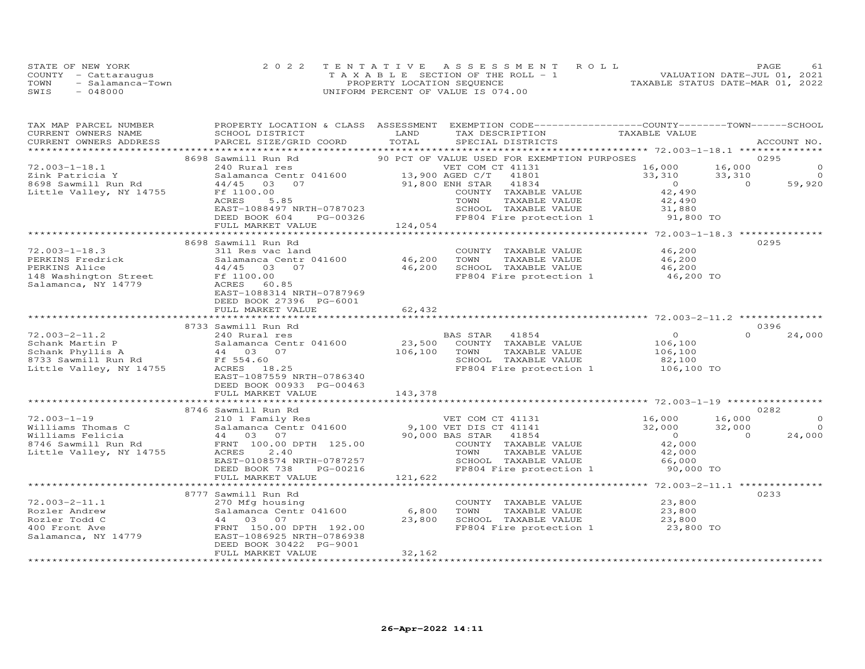|      | STATE OF NEW YORK    | 2022 TENTATIVE ASSESSMENT ROLL        | - 61<br>PAGE                     |
|------|----------------------|---------------------------------------|----------------------------------|
|      | COUNTY - Cattaraugus | T A X A B L E SECTION OF THE ROLL - 1 | VALUATION DATE-JUL 01, 2021      |
| TOWN | - Salamanca-Town     | PROPERTY LOCATION SEQUENCE            | TAXABLE STATUS DATE-MAR 01, 2022 |
| SWIS | - 048000             | UNIFORM PERCENT OF VALUE IS 074.00    |                                  |

| TAX MAP PARCEL NUMBER<br>CURRENT OWNERS NAME                            | SCHOOL DISTRICT                                                                                  | PROPERTY LOCATION & CLASS ASSESSMENT EXEMPTION CODE----------------COUNTY-------TOWN------SCHOOL<br>LAND<br>TAX DESCRIPTION<br>TOTAL | TAXABLE VALUE                                     |
|-------------------------------------------------------------------------|--------------------------------------------------------------------------------------------------|--------------------------------------------------------------------------------------------------------------------------------------|---------------------------------------------------|
| CURRENT OWNERS ADDRESS                                                  | PARCEL SIZE/GRID COORD                                                                           | SPECIAL DISTRICTS                                                                                                                    | ACCOUNT NO.                                       |
|                                                                         | 8698 Sawmill Run Rd                                                                              | 90 PCT OF VALUE USED FOR EXEMPTION PURPOSES                                                                                          | 0295                                              |
| $72.003 - 1 - 18.1$                                                     | 240 Rural res                                                                                    | VET COM CT 41131                                                                                                                     | 16,000<br>16,000<br>$\Omega$                      |
| Zink Patricia Y                                                         |                                                                                                  | 41801                                                                                                                                | 33,310<br>33,310<br>$\Omega$                      |
| 8698 Sawmill Run Rd                                                     | Salamanca Centr 041600 $\frac{13,900 \text{ AGED C/T}}{13,900 \text{ A}&\text{J}$<br>44/45 03 07 | 91,800 ENH STAR<br>41834                                                                                                             | $\overline{0}$<br>59,920                          |
| Little Valley, NY 14755                                                 | Ff 1100.00                                                                                       | COUNTY TAXABLE VALUE                                                                                                                 | $0$<br>42,490                                     |
|                                                                         | 5.85<br>ACRES                                                                                    | TOWN<br>TAXABLE VALUE                                                                                                                | 42,490                                            |
|                                                                         | EAST-1088497 NRTH-0787023                                                                        | SCHOOL TAXABLE VALUE                                                                                                                 | 31,880                                            |
|                                                                         | DEED BOOK 604                                                                                    | FP804 Fire protection 1 91,800 TO                                                                                                    |                                                   |
|                                                                         | FULL MARKET VALUE                                                                                | $PG-00326$<br>$124,054$<br>************************                                                                                  |                                                   |
|                                                                         | ****************************                                                                     |                                                                                                                                      | ******************** 72.003-1-18.3 ************** |
|                                                                         | 8698 Sawmill Run Rd                                                                              |                                                                                                                                      | 0295                                              |
| $72.003 - 1 - 18.3$                                                     | 311 Res vac land                                                                                 | COUNTY TAXABLE VALUE                                                                                                                 | 46,200                                            |
| PERKINS Fredrick                                                        | Salamanca Centr 041600 46,200                                                                    | TAXABLE VALUE<br>TOWN                                                                                                                | 46,200                                            |
| PERKINS Alice                                                           | 44/45 03 07                                                                                      | 46,200<br>SCHOOL TAXABLE VALUE                                                                                                       | 46,200                                            |
| 148 Washington Street<br>Salamanca NY 14770                             |                                                                                                  | FP804 Fire protection 1 46,200 TO                                                                                                    |                                                   |
| Salamanca, NY 14779                                                     | ACRES<br>60.85                                                                                   |                                                                                                                                      |                                                   |
|                                                                         | EAST-1088314 NRTH-0787969                                                                        |                                                                                                                                      |                                                   |
|                                                                         | DEED BOOK 27396 PG-6001                                                                          |                                                                                                                                      |                                                   |
|                                                                         | FULL MARKET VALUE                                                                                | 62,432                                                                                                                               |                                                   |
|                                                                         |                                                                                                  |                                                                                                                                      |                                                   |
|                                                                         | 8733 Sawmill Run Rd                                                                              |                                                                                                                                      | 0396                                              |
| $72.003 - 2 - 11.2$                                                     | 240 Rural res                                                                                    | BAS STAR<br>41854                                                                                                                    | $\overline{0}$<br>$\Omega$<br>24,000              |
| Schank Martin P<br>Schank Phyllis A<br>8733 Sawmill Run Rd<br>Ff 554.60 | Salamanca Centr 041600                                                                           | 23,500<br>COUNTY TAXABLE VALUE                                                                                                       | 106,100                                           |
|                                                                         |                                                                                                  | 106,100<br>TAXABLE VALUE<br>TOWN                                                                                                     | 106, 100                                          |
|                                                                         |                                                                                                  | SCHOOL TAXABLE VALUE                                                                                                                 | 82,100                                            |
| Little Valley, NY 14755                                                 | ACRES 18.25                                                                                      | FP804 Fire protection 1                                                                                                              | 106,100 TO                                        |
|                                                                         | EAST-1087559 NRTH-0786340                                                                        |                                                                                                                                      |                                                   |
|                                                                         | DEED BOOK 00933 PG-00463                                                                         |                                                                                                                                      |                                                   |
|                                                                         | FULL MARKET VALUE                                                                                | 143,378                                                                                                                              |                                                   |
|                                                                         | 8746 Sawmill Run Rd                                                                              |                                                                                                                                      | 0282                                              |
| $72.003 - 1 - 19$                                                       |                                                                                                  |                                                                                                                                      | 16,000<br>$\circ$                                 |
| Williams Thomas C                                                       |                                                                                                  | 210 1 Family Res<br>Salamanca Centr 041600 9,100 VET DIS CT 41141<br>VET COM CT 41131 16,000                                         | 32,000<br>32,000<br>$\overline{O}$                |
| Williams Felicia                                                        |                                                                                                  | 41854                                                                                                                                | $\Omega$<br>24,000                                |
|                                                                         | Salamanca Centr 041600<br>44 03 07<br>d FRNT 100.00 DPTH 125.00                                  | 90,000 BAS STAR<br>COUNTY                                                                                                            | $\begin{array}{c} 0 \\ 42 \end{array}$            |
| 8746 Sawmill Run Rd<br>Little Valley, NY 14755                          | ACRES<br>2.40                                                                                    | COUNTY TAXABLE VALUE                                                                                                                 | 42,000                                            |
|                                                                         | EAST-0108574 NRTH-0787257                                                                        | TOWN      TAXABLE VALUE<br>SCHOOL   TAXABLE VALUE                                                                                    | 66,000                                            |
|                                                                         | DEED BOOK 738<br>PG-00216                                                                        | FP804 Fire protection 1                                                                                                              | 90,000 TO                                         |
|                                                                         |                                                                                                  | 121,622                                                                                                                              |                                                   |
|                                                                         | FULL MARKET VALUE                                                                                |                                                                                                                                      |                                                   |
|                                                                         | 8777 Sawmill Run Rd                                                                              |                                                                                                                                      | 0233                                              |
| $72.003 - 2 - 11.1$                                                     | 270 Mfg housing                                                                                  | COUNTY TAXABLE VALUE 23,800                                                                                                          |                                                   |
| Rozler Andrew                                                           | Salamanca Centr 041600                                                                           | 6,800                                                                                                                                |                                                   |
| Rozler Todd C                                                           | 44 03 07                                                                                         | TOWN TAXABLE VALUE 23,800<br>SCHOOL TAXABLE VALUE 23,800<br>23,800                                                                   |                                                   |
| 400 Front Ave                                                           | FRNT 150.00 DPTH 192.00                                                                          | FP804 Fire protection 1                                                                                                              | 23,800 TO                                         |
| Salamanca, NY 14779                                                     | EAST-1086925 NRTH-0786938                                                                        |                                                                                                                                      |                                                   |
|                                                                         | DEED BOOK 30422 PG-9001                                                                          |                                                                                                                                      |                                                   |
|                                                                         | FULL MARKET VALUE                                                                                | 32,162                                                                                                                               |                                                   |
|                                                                         |                                                                                                  |                                                                                                                                      |                                                   |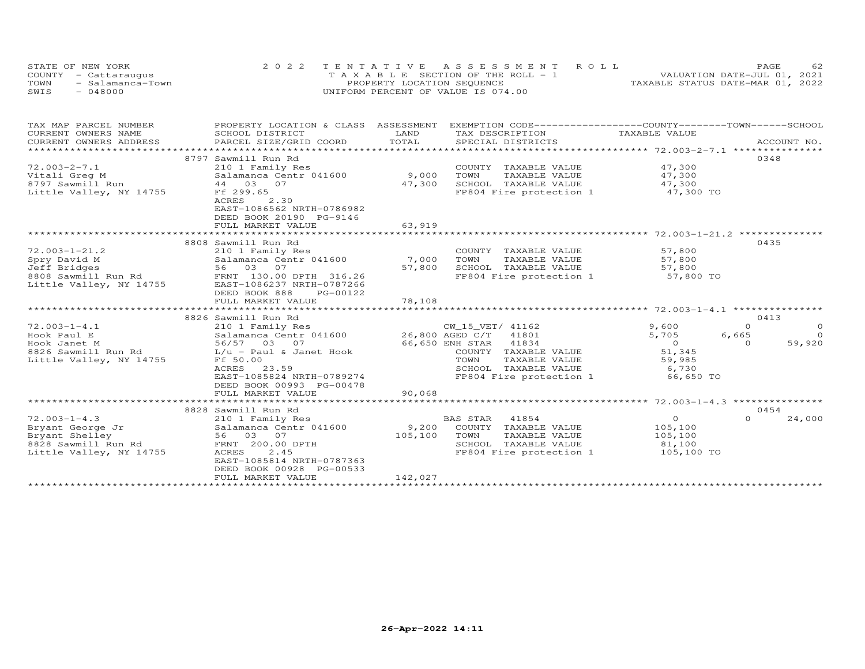| STATE OF NEW YORK        | 2022 TENTATIVE ASSESSMENT ROLL        | PAGE                             |
|--------------------------|---------------------------------------|----------------------------------|
| COUNTY - Cattaraugus     | T A X A B L E SECTION OF THE ROLL - 1 | VALUATION DATE-JUL 01, 2021      |
| TOWN<br>- Salamanca-Town | PROPERTY LOCATION SEQUENCE            | TAXABLE STATUS DATE-MAR 01, 2022 |
| SWIS<br>$-048000$        | UNIFORM PERCENT OF VALUE IS 074.00    |                                  |

| TAX MAP PARCEL NUMBER<br>CURRENT OWNERS NAME<br>CURRENT OWNERS ADDRESS                                     | PROPERTY LOCATION & CLASS ASSESSMENT EXEMPTION CODE----------------COUNTY-------TOWN-----SCHOOL<br>SCHOOL DISTRICT<br>PARCEL SIZE/GRID COORD                                                                                      | LAND<br>TOTAL                              | TAX DESCRIPTION<br>SPECIAL DISTRICTS                                                                                                                   | TAXABLE VALUE                                                              | ACCOUNT NO.                                                                  |
|------------------------------------------------------------------------------------------------------------|-----------------------------------------------------------------------------------------------------------------------------------------------------------------------------------------------------------------------------------|--------------------------------------------|--------------------------------------------------------------------------------------------------------------------------------------------------------|----------------------------------------------------------------------------|------------------------------------------------------------------------------|
| $72.003 - 2 - 7.1$<br>Vitali Greg M<br>8797 Sawmill Run<br>Little Valley, NY 14755                         | 8797 Sawmill Run Rd<br>210 1 Family Res<br>Salamanca Centr 041600<br>44 03 07<br>Ff 299.65<br>2.30<br>ACRES<br>EAST-1086562 NRTH-0786982<br>DEED BOOK 20190 PG-9146<br>FULL MARKET VALUE                                          | 9,000<br>TOWN<br>47,300<br>63,919          | COUNTY TAXABLE VALUE<br>TAXABLE VALUE<br>SCHOOL TAXABLE VALUE<br>FP804 Fire protection 1                                                               | 47,300<br>47,300<br>47,300<br>47,300 TO                                    | 0348                                                                         |
| $72.003 - 1 - 21.2$<br>Spry David M<br>Jeff Bridges<br>8808 Sawmill Run Rd<br>Little Valley, NY 14755      | 8808 Sawmill Run Rd<br>210 1 Family Res<br>Salamanca Centr 041600<br>56 03 07<br>FRNT 130.00 DPTH 316.26<br>EAST-1086237 NRTH-0787266<br>DEED BOOK 888<br>PG-00122<br>FULL MARKET VALUE                                           | 7,000<br>57,800<br>78,108                  | COUNTY TAXABLE VALUE<br>TOWN<br>TAXABLE VALUE<br>SCHOOL TAXABLE VALUE<br>FP804 Fire protection 1                                                       | 57,800<br>57,800<br>57,800<br>57,800 TO                                    | 0435                                                                         |
| $72.003 - 1 - 4.1$<br>Hook Paul E<br>Hook Janet M<br>8826 Sawmill Run Rd<br>Little Valley, NY 14755        | 8826 Sawmill Run Rd<br>210 1 Family Res<br>Salamanca Centr 041600<br>56/57 03 07<br>L/u - Paul & Janet Hook<br>Ff 50.00<br>ACRES 23.59<br>EAST-1085824 NRTH-0789274<br>DEED BOOK 00993 PG-00478<br>FULL MARKET VALUE              | $CW_15_VE_1/$<br>26,800 AGED C/T<br>90,068 | CW_15_VET/ 41162<br>41801<br>66,650 ENH STAR 41834<br>COUNTY TAXABLE VALUE<br>TOWN<br>TAXABLE VALUE<br>SCHOOL TAXABLE VALUE<br>FP804 Fire protection 1 | 9,600<br>5,705<br>$\overline{0}$<br>51,345<br>59,985<br>6,730<br>66,650 TO | 0413<br>$\circ$<br>$\Omega$<br>$\overline{0}$<br>6,665<br>59,920<br>$\Omega$ |
| $72.003 - 1 - 4.3$<br>Bryant George Jr<br>Bryant Shelley<br>8828 Sawmill Run Rd<br>Little Valley, NY 14755 | *****************************<br>8828 Sawmill Run Rd<br>210 1 Family Res<br>Salamanca Centr 041600<br>56 03 07<br>FRNT 200.00 DPTH<br>2.45<br>ACRES<br>EAST-1085814 NRTH-0787363<br>DEED BOOK 00928 PG-00533<br>FULL MARKET VALUE | 9,200<br>105,100<br>TOWN<br>142,027        | BAS STAR 41854<br>COUNTY TAXABLE VALUE<br>TAXABLE VALUE<br>SCHOOL TAXABLE VALUE<br>FP804 Fire protection 1                                             | $\overline{O}$<br>105,100<br>105,100<br>81,100<br>105,100 TO               | 0454<br>$\Omega$<br>24,000                                                   |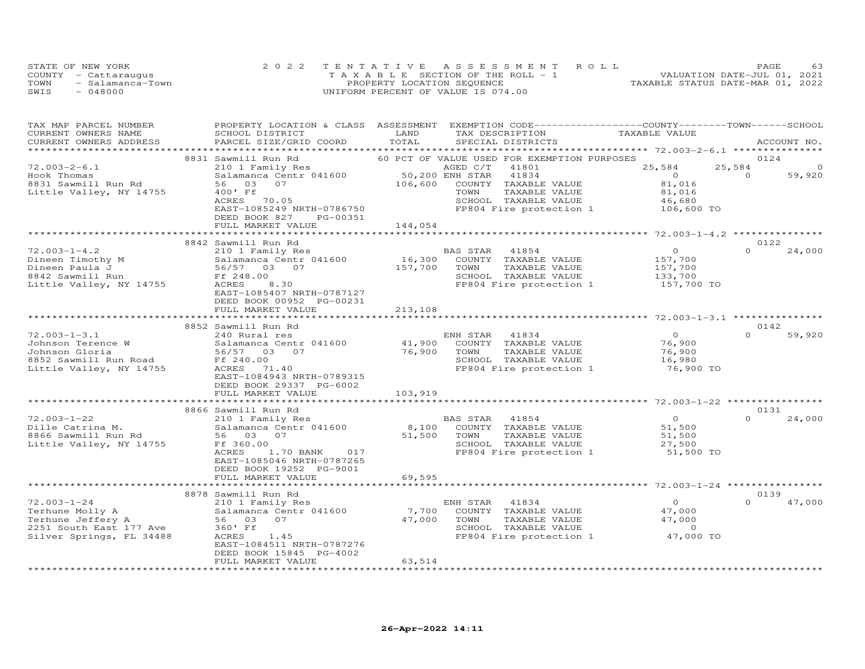| STATE OF NEW YORK        | 2022 TENTATIVE ASSESSMENT ROLL        | 63<br>PAGE                       |
|--------------------------|---------------------------------------|----------------------------------|
| COUNTY - Cattaraugus     | T A X A B L E SECTION OF THE ROLL - 1 | VALUATION DATE-JUL 01, 2021      |
| TOWN<br>- Salamanca-Town | PROPERTY LOCATION SEQUENCE            | TAXABLE STATUS DATE-MAR 01, 2022 |
| SWIS<br>- 048000         | UNIFORM PERCENT OF VALUE IS 074.00    |                                  |

| TAX MAP PARCEL NUMBER<br>CURRENT OWNERS NAME<br>CURRENT OWNERS ADDRESS                                                                                                | PROPERTY LOCATION & CLASS ASSESSMENT EXEMPTION CODE----------------COUNTY-------TOWN------SCHOOL<br>SCHOOL DISTRICT<br>PARCEL SIZE/GRID COORD TOTAL | LAND                              | TAX DESCRIPTION<br>SPECIAL DISTRICTS                                               | TAXABLE VALUE                 | ACCOUNT NO.                |
|-----------------------------------------------------------------------------------------------------------------------------------------------------------------------|-----------------------------------------------------------------------------------------------------------------------------------------------------|-----------------------------------|------------------------------------------------------------------------------------|-------------------------------|----------------------------|
|                                                                                                                                                                       |                                                                                                                                                     |                                   |                                                                                    |                               |                            |
|                                                                                                                                                                       | 8831 Sawmill Run Rd                                                                                                                                 |                                   | 60 PCT OF VALUE USED FOR EXEMPTION PURPOSES                                        |                               | 0124                       |
| $72.003 - 2 - 6.1$                                                                                                                                                    | 210 1 Family Res                                                                                                                                    |                                   | AGED C/T<br>41801                                                                  | 25,584                        | 25,584<br>$\circ$          |
| Hook Thomas                                                                                                                                                           | Salamanca Centr 041600                                                                                                                              | 50,200 ENH STAR<br>106,600 COUNTY | 41834                                                                              | $\overline{0}$                | $\sim$ 0<br>59,920         |
| 8831 Sawmill Run Rd                                                                                                                                                   | 56 03<br>07                                                                                                                                         |                                   | COUNTY TAXABLE VALUE                                                               | 81,016                        |                            |
| Little Valley, NY 14755                                                                                                                                               | 400' Ff                                                                                                                                             |                                   | TOWN<br>TAXABLE VALUE                                                              | 81,016                        |                            |
|                                                                                                                                                                       | ACRES 70.05                                                                                                                                         |                                   | SCHOOL TAXABLE VALUE                                                               | 46,680<br>106,600 TO          |                            |
|                                                                                                                                                                       | EAST-1085249 NRTH-0786750                                                                                                                           |                                   | FP804 Fire protection 1                                                            |                               |                            |
|                                                                                                                                                                       | DEED BOOK 827<br>PG-00351                                                                                                                           |                                   |                                                                                    |                               |                            |
|                                                                                                                                                                       | FULL MARKET VALUE                                                                                                                                   | 144,054                           |                                                                                    |                               |                            |
|                                                                                                                                                                       |                                                                                                                                                     |                                   |                                                                                    |                               |                            |
| $72.003 - 1 - 4.2$                                                                                                                                                    | 8842 Sawmill Run Rd                                                                                                                                 |                                   | BAS STAR 41854                                                                     | $\overline{O}$                | 0122<br>24,000<br>$\Omega$ |
| V2.003-1-4.2<br>Dineen Timothy M<br>Dineen Paula J<br>8842 Sawmill Run Ff 248.00<br>Little Valley, NY 14755<br>ACRES 8.30                                             | 210 1 Family Res                                                                                                                                    |                                   |                                                                                    |                               |                            |
|                                                                                                                                                                       |                                                                                                                                                     | 157,700                           | 16,300 COUNTY TAXABLE VALUE<br>157.700 TOWN TAXABLE VALUE<br>TAXABLE VALUE<br>TOWN | 157,700<br>157,700<br>133,700 |                            |
|                                                                                                                                                                       |                                                                                                                                                     |                                   | SCHOOL TAXABLE VALUE                                                               |                               |                            |
|                                                                                                                                                                       |                                                                                                                                                     |                                   | FP804 Fire protection 1 157,700 TO                                                 |                               |                            |
|                                                                                                                                                                       | EAST-1085407 NRTH-0787127                                                                                                                           |                                   |                                                                                    |                               |                            |
|                                                                                                                                                                       | DEED BOOK 00952 PG-00231                                                                                                                            |                                   |                                                                                    |                               |                            |
|                                                                                                                                                                       | FULL MARKET VALUE                                                                                                                                   | 213,108                           |                                                                                    |                               |                            |
|                                                                                                                                                                       |                                                                                                                                                     |                                   |                                                                                    |                               |                            |
|                                                                                                                                                                       | 8852 Sawmill Run Rd                                                                                                                                 |                                   |                                                                                    |                               | 0142                       |
| $72.003 - 1 - 3.1$                                                                                                                                                    | 240 Rural res                                                                                                                                       |                                   | ENH STAR 41834                                                                     | $\overline{0}$                | $\Omega$<br>59,920         |
|                                                                                                                                                                       |                                                                                                                                                     |                                   | 41,900 COUNTY TAXABLE VALUE                                                        | 76,900                        |                            |
|                                                                                                                                                                       |                                                                                                                                                     | 76,900 TOWN                       | TAXABLE VALUE                                                                      |                               |                            |
|                                                                                                                                                                       |                                                                                                                                                     |                                   | SCHOOL TAXABLE VALUE                                                               | 76,900<br>16,980              |                            |
| % 12.003-1-3.1<br>Johnson Terence W 31 Salamanca Centr 041600<br>Johnson Gloria 56/57 03 07<br>8852 Sawmill Run Road Ff 240.00<br>Little Valley, NY 14755 ACRES 71.40 |                                                                                                                                                     |                                   | FP804 Fire protection 1 76,900 TO                                                  |                               |                            |
|                                                                                                                                                                       | EAST-1084943 NRTH-0789315                                                                                                                           |                                   |                                                                                    |                               |                            |
|                                                                                                                                                                       | DEED BOOK 29337 PG-6002                                                                                                                             |                                   |                                                                                    |                               |                            |
|                                                                                                                                                                       | FULL MARKET VALUE                                                                                                                                   | 103,919                           |                                                                                    |                               |                            |
|                                                                                                                                                                       |                                                                                                                                                     |                                   |                                                                                    |                               |                            |
|                                                                                                                                                                       | 8866 Sawmill Run Rd                                                                                                                                 |                                   |                                                                                    |                               | 0131                       |
| $72.003 - 1 - 22$                                                                                                                                                     | 210 1 Family Res                                                                                                                                    |                                   | BAS STAR 41854                                                                     | $\overline{0}$                | $\Omega$<br>24,000         |
| Dille Catrina M.                                                                                                                                                      | Salamanca Centr 041600                                                                                                                              |                                   | 8,100 COUNTY TAXABLE VALUE                                                         | 51,500                        |                            |
| 8866 Sawmill Run Rd                                                                                                                                                   | 56 03 07                                                                                                                                            | 51,500 TOWN                       | TAXABLE VALUE                                                                      | 51,500<br>27,500              |                            |
| Little Valley, NY 14755                                                                                                                                               | Ff 360.00                                                                                                                                           |                                   | SCHOOL TAXABLE VALUE                                                               |                               |                            |
|                                                                                                                                                                       | ACRES<br>1.70 BANK 017                                                                                                                              |                                   | FP804 Fire protection 1 51,500 TO                                                  |                               |                            |
|                                                                                                                                                                       | EAST-1085046 NRTH-0787265                                                                                                                           |                                   |                                                                                    |                               |                            |
|                                                                                                                                                                       | DEED BOOK 19252 PG-9001                                                                                                                             |                                   |                                                                                    |                               |                            |
|                                                                                                                                                                       | FULL MARKET VALUE                                                                                                                                   | 69,595                            |                                                                                    |                               |                            |
|                                                                                                                                                                       |                                                                                                                                                     |                                   |                                                                                    |                               |                            |
|                                                                                                                                                                       | 8878 Sawmill Run Rd                                                                                                                                 |                                   |                                                                                    |                               | 0139<br>$\Omega$           |
| $72.003 - 1 - 24$                                                                                                                                                     | 210 1 Family Res                                                                                                                                    |                                   | ENH STAR<br>41834                                                                  | $\overline{0}$                | 47,000                     |
|                                                                                                                                                                       | Salamanca Centr 041600                                                                                                                              | 7,700                             | COUNTY TAXABLE VALUE                                                               | 47,000                        |                            |
| Terhune Molly A<br>Terhune Jeffery A<br>2251 South East 177 Ave<br>Silver Springs - Theory                                                                            | 56 03 07                                                                                                                                            |                                   | TAXABLE VALUE<br>47,000 TOWN                                                       | 47,000                        |                            |
|                                                                                                                                                                       | 360' Ff<br>1.45                                                                                                                                     |                                   | SCHOOL TAXABLE VALUE<br>FP804 Fire protection 1 47,000 TO                          | $\sim$ 0                      |                            |
| Silver Springs, FL 34488                                                                                                                                              | ACRES<br>EAST-1084511 NRTH-0787276                                                                                                                  |                                   |                                                                                    |                               |                            |
|                                                                                                                                                                       | DEED BOOK 15845 PG-4002                                                                                                                             |                                   |                                                                                    |                               |                            |
|                                                                                                                                                                       | FULL MARKET VALUE                                                                                                                                   | 63,514                            |                                                                                    |                               |                            |
|                                                                                                                                                                       |                                                                                                                                                     |                                   |                                                                                    |                               |                            |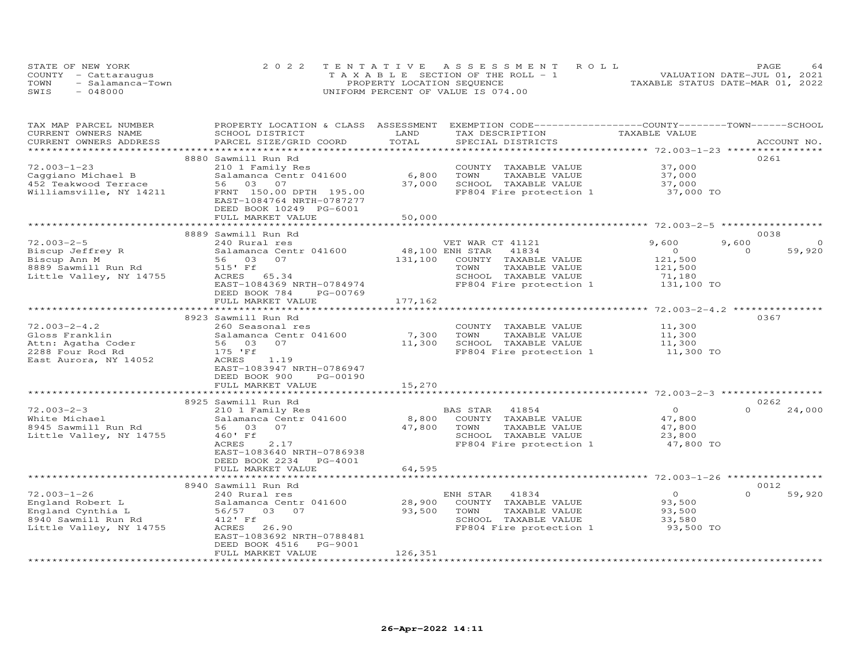|      | STATE OF NEW YORK    | 2022 TENTATIVE ASSESSMENT ROLL        | 64<br>PAGE                       |
|------|----------------------|---------------------------------------|----------------------------------|
|      | COUNTY - Cattaraugus | T A X A B L E SECTION OF THE ROLL - 1 | VALUATION DATE-JUL 01, 2021      |
| TOWN | - Salamanca-Town     | PROPERTY LOCATION SEQUENCE            | TAXABLE STATUS DATE-MAR 01, 2022 |
| SWIS | - 048000             | UNIFORM PERCENT OF VALUE IS 074.00    |                                  |

| TAX MAP PARCEL NUMBER   | PROPERTY LOCATION & CLASS | ASSESSMENT           | EXEMPTION CODE-----------------COUNTY-------TOWN------SCHOOL |                                         |                    |
|-------------------------|---------------------------|----------------------|--------------------------------------------------------------|-----------------------------------------|--------------------|
| CURRENT OWNERS NAME     | SCHOOL DISTRICT           | LAND                 | TAX DESCRIPTION                                              | TAXABLE VALUE                           |                    |
| CURRENT OWNERS ADDRESS  | PARCEL SIZE/GRID COORD    | TOTAL                | SPECIAL DISTRICTS                                            |                                         | ACCOUNT NO.        |
|                         |                           | *****************    |                                                              | ***************** 72.003-1-23 ********* |                    |
|                         | 8880 Sawmill Run Rd       |                      |                                                              |                                         | 0261               |
| $72.003 - 1 - 23$       | 210 1 Family Res          |                      | COUNTY TAXABLE VALUE                                         | 37,000                                  |                    |
|                         | Salamanca Centr 041600    | 6,800                | TOWN<br>TAXABLE VALUE                                        | 37,000                                  |                    |
| Caggiano Michael B      |                           |                      |                                                              |                                         |                    |
| 452 Teakwood Terrace    | 56 03 07                  | 37,000               | SCHOOL TAXABLE VALUE                                         | 37,000                                  |                    |
| Williamsville, NY 14211 | FRNT 150.00 DPTH 195.00   |                      | FP804 Fire protection 1                                      | 37,000 TO                               |                    |
|                         | EAST-1084764 NRTH-0787277 |                      |                                                              |                                         |                    |
|                         | DEED BOOK 10249 PG-6001   |                      |                                                              |                                         |                    |
|                         | FULL MARKET VALUE         | 50,000               |                                                              |                                         |                    |
|                         |                           |                      |                                                              |                                         |                    |
|                         | 8889 Sawmill Run Rd       |                      |                                                              |                                         | 0038               |
| $72.003 - 2 - 5$        | 240 Rural res             |                      | VET WAR CT 41121                                             | 9,600                                   | 9,600              |
| Biscup Jeffrey R        | Salamanca Centr 041600    | 48,100 ENH STAR      | 41834                                                        | $\circ$                                 | $\Omega$<br>59,920 |
|                         | 07                        |                      |                                                              |                                         |                    |
| Biscup Ann M            | 56 03                     | 131,100              | COUNTY TAXABLE VALUE                                         | 121,500                                 |                    |
| 8889 Sawmill Run Rd     | 515' Ff                   |                      | TOWN<br>TAXABLE VALUE                                        | 121,500                                 |                    |
| Little Valley, NY 14755 | ACRES 65.34               |                      | SCHOOL TAXABLE VALUE                                         | 71,180                                  |                    |
|                         | EAST-1084369 NRTH-0784974 |                      | FP804 Fire protection 1                                      | 131,100 TO                              |                    |
|                         | DEED BOOK 784<br>PG-00769 |                      |                                                              |                                         |                    |
|                         | FULL MARKET VALUE         | 177,162              |                                                              |                                         |                    |
|                         |                           |                      |                                                              |                                         |                    |
|                         | 8923 Sawmill Run Rd       |                      |                                                              |                                         | 0367               |
| $72.003 - 2 - 4.2$      | 260 Seasonal res          |                      | COUNTY TAXABLE VALUE                                         | 11,300                                  |                    |
|                         |                           |                      |                                                              |                                         |                    |
| Gloss Franklin          | Salamanca Centr 041600    | 7,300                | TOWN<br>TAXABLE VALUE                                        | 11,300                                  |                    |
| Attn: Agatha Coder      | 07<br>56 03               | 11,300               | SCHOOL TAXABLE VALUE                                         | 11,300                                  |                    |
| 2288 Four Rod Rd        | 175 'Ff                   |                      | FP804 Fire protection 1                                      | 11,300 TO                               |                    |
| East Aurora, NY 14052   | ACRES<br>1.19             |                      |                                                              |                                         |                    |
|                         | EAST-1083947 NRTH-0786947 |                      |                                                              |                                         |                    |
|                         | DEED BOOK 900<br>PG-00190 |                      |                                                              |                                         |                    |
|                         | FULL MARKET VALUE         | 15,270               |                                                              |                                         |                    |
|                         |                           |                      |                                                              |                                         |                    |
|                         | 8925 Sawmill Run Rd       |                      |                                                              |                                         | 0262               |
| $72.003 - 2 - 3$        |                           |                      | 41854                                                        | $\overline{O}$                          | $\Omega$           |
|                         | 210 1 Family Res          |                      | BAS STAR                                                     |                                         | 24,000             |
| White Michael           | Salamanca Centr 041600    | 8,800                | COUNTY TAXABLE VALUE                                         | 47,800                                  |                    |
| 8945 Sawmill Run Rd     | 56 03<br>07               | 47,800               | TOWN<br>TAXABLE VALUE                                        | 47,800                                  |                    |
| Little Valley, NY 14755 | 460' Ff                   |                      | SCHOOL TAXABLE VALUE                                         | 23,800                                  |                    |
|                         | ACRES<br>2.17             |                      | FP804 Fire protection 1                                      | 47,800 TO                               |                    |
|                         | EAST-1083640 NRTH-0786938 |                      |                                                              |                                         |                    |
|                         | DEED BOOK 2234<br>PG-4001 |                      |                                                              |                                         |                    |
|                         | FULL MARKET VALUE         | 64,595               |                                                              |                                         |                    |
|                         | ************************  | ******************** |                                                              |                                         |                    |
|                         | 8940 Sawmill Run Rd       |                      |                                                              |                                         | 0012               |
|                         |                           |                      |                                                              |                                         |                    |
| $72.003 - 1 - 26$       | 240 Rural res             |                      | 41834<br>ENH STAR                                            | $\circ$                                 | $\Omega$<br>59,920 |
| England Robert L        | Salamanca Centr 041600    | 28,900               | COUNTY TAXABLE VALUE                                         | 93,500                                  |                    |
| England Cynthia L       | 56/57 03 07               | 93,500               | TOWN<br>TAXABLE VALUE                                        | 93,500                                  |                    |
| 8940 Sawmill Run Rd     | 412' Ff                   |                      | SCHOOL TAXABLE VALUE                                         | 33,580                                  |                    |
| Little Valley, NY 14755 | 26.90<br>ACRES            |                      | FP804 Fire protection 1                                      | 93,500 TO                               |                    |
|                         | EAST-1083692 NRTH-0788481 |                      |                                                              |                                         |                    |
|                         | DEED BOOK 4516<br>PG-9001 |                      |                                                              |                                         |                    |
|                         | FULL MARKET VALUE         | 126,351              |                                                              |                                         |                    |
| ******************      | ************************* | *******************  |                                                              |                                         |                    |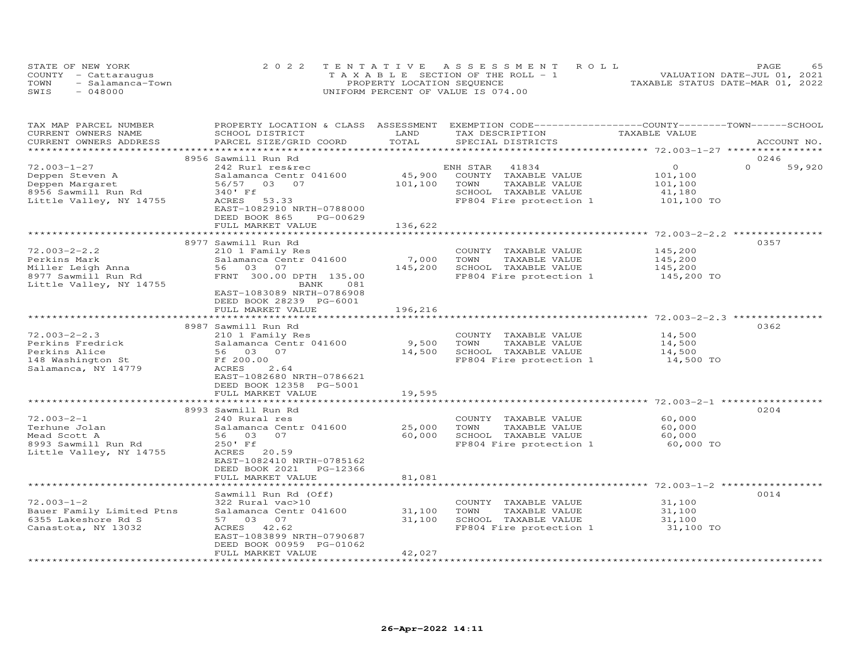| STATE OF NEW YORK |                      | 2022 TENTATIVE ASSESSMENT ROLL        | PAGE                             |
|-------------------|----------------------|---------------------------------------|----------------------------------|
|                   | COUNTY - Cattaraugus | T A X A B L E SECTION OF THE ROLL - 1 | VALUATION DATE-JUL 01, 2021      |
| TOWN              | - Salamanca-Town     | PROPERTY LOCATION SEQUENCE            | TAXABLE STATUS DATE-MAR 01, 2022 |
| SWIS              | $-048000$            | UNIFORM PERCENT OF VALUE IS 074.00    |                                  |

| LAND<br>CURRENT OWNERS NAME<br>SCHOOL DISTRICT<br>TAX DESCRIPTION<br>TAXABLE VALUE<br>TOTAL<br>SPECIAL DISTRICTS<br>CURRENT OWNERS ADDRESS<br>PARCEL SIZE/GRID COORD<br>ACCOUNT NO.<br>8956 Sawmill Run Rd<br>0246<br>$\Omega$ | 59,920 |
|--------------------------------------------------------------------------------------------------------------------------------------------------------------------------------------------------------------------------------|--------|
|                                                                                                                                                                                                                                |        |
|                                                                                                                                                                                                                                |        |
|                                                                                                                                                                                                                                |        |
|                                                                                                                                                                                                                                |        |
| $72.003 - 1 - 27$<br>$\circ$<br>242 Rurl res&rec<br>ENH STAR<br>41834                                                                                                                                                          |        |
| 45,900<br>Deppen Steven A<br>Salamanca Centr 041600<br>COUNTY TAXABLE VALUE<br>101,100                                                                                                                                         |        |
| 101,100<br>03 07<br>TOWN<br>TAXABLE VALUE<br>Deppen Margaret<br>56/57<br>101,100                                                                                                                                               |        |
| 8956 Sawmill Run Rd<br>340' Ff<br>SCHOOL TAXABLE VALUE<br>41,180                                                                                                                                                               |        |
| 101,100 TO<br>Little Valley, NY 14755<br>ACRES 53.33<br>FP804 Fire protection 1                                                                                                                                                |        |
| EAST-1082910 NRTH-0788000                                                                                                                                                                                                      |        |
| DEED BOOK 865<br>PG-00629                                                                                                                                                                                                      |        |
| FULL MARKET VALUE<br>136,622                                                                                                                                                                                                   |        |
|                                                                                                                                                                                                                                |        |
| 8977 Sawmill Run Rd<br>0357                                                                                                                                                                                                    |        |
| $72.003 - 2 - 2.2$<br>145,200<br>210 1 Family Res<br>COUNTY TAXABLE VALUE                                                                                                                                                      |        |
| Salamanca Centr 041600<br>7,000<br>TOWN<br>TAXABLE VALUE<br>145,200<br>Perkins Mark                                                                                                                                            |        |
| 56 03 07<br>145,200<br>Miller Leigh Anna<br>SCHOOL TAXABLE VALUE<br>145,200                                                                                                                                                    |        |
| FRNT 300.00 DPTH 135.00<br>FP804 Fire protection 1 145,200 TO<br>8977 Sawmill Run Rd                                                                                                                                           |        |
| Little Valley, NY 14755<br>BANK<br>081                                                                                                                                                                                         |        |
| EAST-1083089 NRTH-0786908                                                                                                                                                                                                      |        |
| DEED BOOK 28239 PG-6001                                                                                                                                                                                                        |        |
| FULL MARKET VALUE<br>196,216                                                                                                                                                                                                   |        |
|                                                                                                                                                                                                                                |        |
| 8987 Sawmill Run Rd<br>0362                                                                                                                                                                                                    |        |
| $72.003 - 2 - 2.3$<br>14,500<br>210 1 Family Res<br>COUNTY TAXABLE VALUE                                                                                                                                                       |        |
| 9,500<br>TOWN<br>14,500<br>Perkins Fredrick<br>Salamanca Centr 041600<br>TAXABLE VALUE                                                                                                                                         |        |
| Perkins Alice<br>56 03 07<br>14,500<br>SCHOOL TAXABLE VALUE<br>14,500                                                                                                                                                          |        |
| FP804 Fire protection 1<br>14,500 TO<br>148 Washington St<br>Ff 200.00                                                                                                                                                         |        |
| Salamanca, NY 14779                                                                                                                                                                                                            |        |
| ACRES<br>2.64<br>EAST-1082680 NRTH-0786621                                                                                                                                                                                     |        |
|                                                                                                                                                                                                                                |        |
| DEED BOOK 12358 PG-5001                                                                                                                                                                                                        |        |
| FULL MARKET VALUE<br>19,595                                                                                                                                                                                                    |        |
| 8993 Sawmill Run Rd<br>0204                                                                                                                                                                                                    |        |
| $72.003 - 2 - 1$<br>240 Rural res<br>COUNTY TAXABLE VALUE<br>60,000                                                                                                                                                            |        |
| 25,000<br>Terhune Jolan<br>Salamanca Centr 041600<br>TOWN<br>TAXABLE VALUE                                                                                                                                                     |        |
| 60,000<br>60,000<br>SCHOOL TAXABLE VALUE<br>Mead Scott A<br>56 03 07<br>60,000                                                                                                                                                 |        |
|                                                                                                                                                                                                                                |        |
| 8993 Sawmill Run Rd<br>250' Ff<br>FP804 Fire protection 1<br>60,000 TO                                                                                                                                                         |        |
| Little Valley, NY 14755<br>ACRES 20.59<br>EAST-1082410 NRTH-0785162                                                                                                                                                            |        |
|                                                                                                                                                                                                                                |        |
| DEED BOOK 2021<br>PG-12366                                                                                                                                                                                                     |        |
| 81,081<br>FULL MARKET VALUE                                                                                                                                                                                                    |        |
|                                                                                                                                                                                                                                |        |
| 0014<br>Sawmill Run Rd (Off)<br>$72.003 - 1 - 2$                                                                                                                                                                               |        |
| 322 Rural vac>10<br>COUNTY TAXABLE VALUE<br>31,100                                                                                                                                                                             |        |
| Salamanca Centr 041600<br>31,100<br>Bauer Family Limited Ptns<br>TOWN<br>TAXABLE VALUE<br>31,100                                                                                                                               |        |
| 31,100<br>6355 Lakeshore Rd S<br>57 03 07<br>SCHOOL TAXABLE VALUE<br>31,100                                                                                                                                                    |        |
| Canastota, NY 13032<br>FP804 Fire protection 1<br>ACRES 42.62<br>31,100 TO                                                                                                                                                     |        |
| EAST-1083899 NRTH-0790687                                                                                                                                                                                                      |        |
| DEED BOOK 00959 PG-01062                                                                                                                                                                                                       |        |
| FULL MARKET VALUE<br>42,027                                                                                                                                                                                                    |        |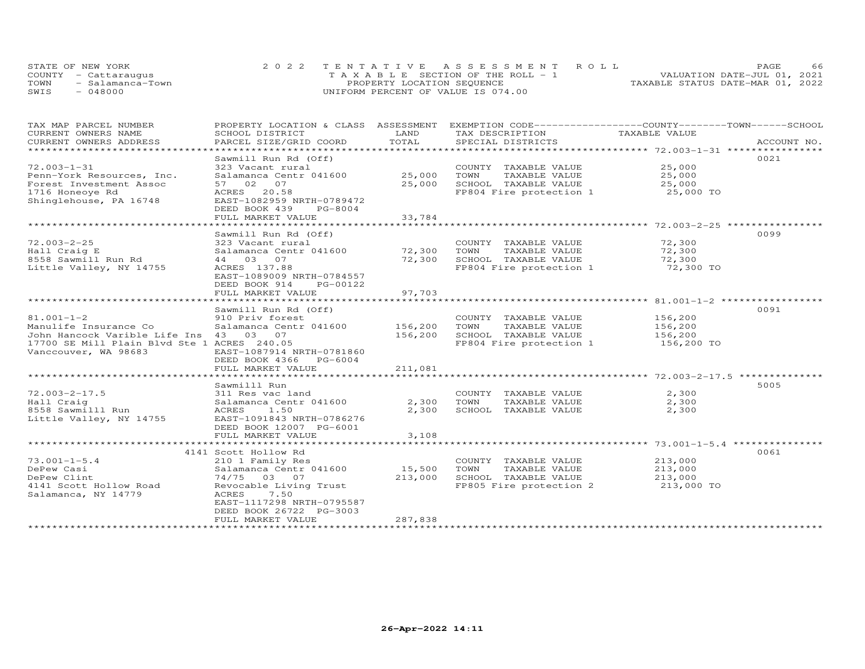| STATE OF NEW YORK    |                  | 2022 TENTATIVE ASSESSMENT ROLL        |  |  |                                  | <b>PAGE</b> |  |
|----------------------|------------------|---------------------------------------|--|--|----------------------------------|-------------|--|
| COUNTY - Cattaraugus |                  | T A X A B L E SECTION OF THE ROLL - 1 |  |  | VALUATION DATE-JUL 01, 2021      |             |  |
| TOWN                 | - Salamanca-Town | PROPERTY LOCATION SEQUENCE            |  |  | TAXABLE STATUS DATE-MAR 01, 2022 |             |  |
| SWIS<br>$-048000$    |                  | UNIFORM PERCENT OF VALUE IS 074.00    |  |  |                                  |             |  |

| TAX MAP PARCEL NUMBER                             | PROPERTY LOCATION & CLASS ASSESSMENT EXEMPTION CODE-----------------COUNTY-------TOWN------SCHOOL |         |                                   |                       |             |
|---------------------------------------------------|---------------------------------------------------------------------------------------------------|---------|-----------------------------------|-----------------------|-------------|
| CURRENT OWNERS NAME                               | SCHOOL DISTRICT                                                                                   | LAND    | TAX DESCRIPTION                   | TAXABLE VALUE         |             |
| CURRENT OWNERS ADDRESS<br>*********************** | PARCEL SIZE/GRID COORD                                                                            | TOTAL   | SPECIAL DISTRICTS                 |                       | ACCOUNT NO. |
|                                                   |                                                                                                   |         |                                   |                       |             |
|                                                   | Sawmill Run Rd (Off)                                                                              |         |                                   |                       | 0021        |
| $72.003 - 1 - 31$                                 | 323 Vacant rural                                                                                  |         | COUNTY TAXABLE VALUE              | 25,000                |             |
| Penn-York Resources, Inc.                         | Salamanca Centr 041600                                                                            | 25,000  | TOWN<br>TAXABLE VALUE             | 25,000                |             |
| Forest Investment Assoc                           | 57 02 07                                                                                          | 25,000  | SCHOOL TAXABLE VALUE              | 25,000                |             |
| 1716 Honeoye Rd                                   | ACRES 20.58                                                                                       |         | FP804 Fire protection 1 25,000 TO |                       |             |
| Shinglehouse, PA 16748                            | EAST-1082959 NRTH-0789472                                                                         |         |                                   |                       |             |
|                                                   | DEED BOOK 439<br>PG-8004                                                                          |         |                                   |                       |             |
|                                                   | FULL MARKET VALUE                                                                                 | 33,784  |                                   |                       |             |
|                                                   |                                                                                                   |         |                                   |                       |             |
|                                                   | Sawmill Run Rd (Off)                                                                              |         |                                   |                       | 0099        |
| 72.003-2-25                                       | 323 Vacant rural                                                                                  |         | COUNTY TAXABLE VALUE              | 72,300                |             |
| Hall Craig E                                      |                                                                                                   |         | TAXABLE VALUE                     | 72,300                |             |
| 8558 Sawmill Run Rd                               | 44 03 07                                                                                          |         | 72,300 SCHOOL TAXABLE VALUE       | 72,300                |             |
| Little Valley, NY 14755                           | ACRES 137.88                                                                                      |         | FP804 Fire protection 1           | 72,300 TO             |             |
|                                                   | EAST-1089009 NRTH-0784557                                                                         |         |                                   |                       |             |
|                                                   | DEED BOOK 914<br>PG-00122                                                                         |         |                                   |                       |             |
|                                                   | FULL MARKET VALUE                                                                                 | 97,703  |                                   |                       |             |
|                                                   |                                                                                                   |         |                                   |                       |             |
|                                                   | Sawmill Run Rd (Off)                                                                              |         |                                   |                       | 0091        |
| $81.001 - 1 - 2$                                  | 910 Priv forest                                                                                   |         | COUNTY TAXABLE VALUE              |                       |             |
|                                                   |                                                                                                   |         | TAXABLE VALUE<br>TOWN             | 156,200<br>156,200    |             |
| John Hancock Varible Life Ins 43 03 07            |                                                                                                   | 156,200 | SCHOOL TAXABLE VALUE              |                       |             |
| 17700 SE Mill Plain Blvd Ste 1 ACRES 240.05       |                                                                                                   |         | FP804 Fire protection 1           | 156,200<br>156,200 TO |             |
| Vanccouver, WA 98683                              | EAST-1087914 NRTH-0781860                                                                         |         |                                   |                       |             |
|                                                   | DEED BOOK 4366 PG-6004                                                                            |         |                                   |                       |             |
|                                                   | FULL MARKET VALUE                                                                                 | 211,081 |                                   |                       |             |
|                                                   |                                                                                                   |         |                                   |                       |             |
|                                                   | Sawmilll Run                                                                                      |         |                                   |                       | 5005        |
| $72.003 - 2 - 17.5$                               |                                                                                                   |         | COUNTY TAXABLE VALUE              | 2,300                 |             |
|                                                   | Salamanca Centr 041600                                                                            | 2,300   | TAXABLE VALUE<br>TOWN             | 2,300                 |             |
|                                                   |                                                                                                   | 2,300   | SCHOOL TAXABLE VALUE              | 2,300                 |             |
|                                                   |                                                                                                   |         |                                   |                       |             |
|                                                   | DEED BOOK 12007 PG-6001                                                                           |         |                                   |                       |             |
|                                                   | FULL MARKET VALUE                                                                                 | 3,108   |                                   |                       |             |
|                                                   |                                                                                                   |         |                                   |                       |             |
|                                                   | 4141 Scott Hollow Rd                                                                              |         |                                   |                       | 0061        |
| $73.001 - 1 - 5.4$                                | 210 1 Family Res                                                                                  |         | COUNTY TAXABLE VALUE              | 213,000               |             |
| DePew Casi                                        | Salamanca Centr 041600                                                                            | 15,500  | TOWN<br>TAXABLE VALUE             | 213,000               |             |
| DePew Clint                                       | 74/75 03 07                                                                                       | 213,000 | SCHOOL TAXABLE VALUE 213,000      |                       |             |
| 4141 Scott Hollow Road                            | Revocable Living Trust                                                                            |         | FP805 Fire protection 2           | 213,000 TO            |             |
| Salamanca, NY 14779                               | ACRES<br>7.50                                                                                     |         |                                   |                       |             |
|                                                   | EAST-1117298 NRTH-0795587                                                                         |         |                                   |                       |             |
|                                                   | DEED BOOK 26722 PG-3003                                                                           |         |                                   |                       |             |
|                                                   | FULL MARKET VALUE                                                                                 | 287,838 |                                   |                       |             |
|                                                   |                                                                                                   |         |                                   |                       |             |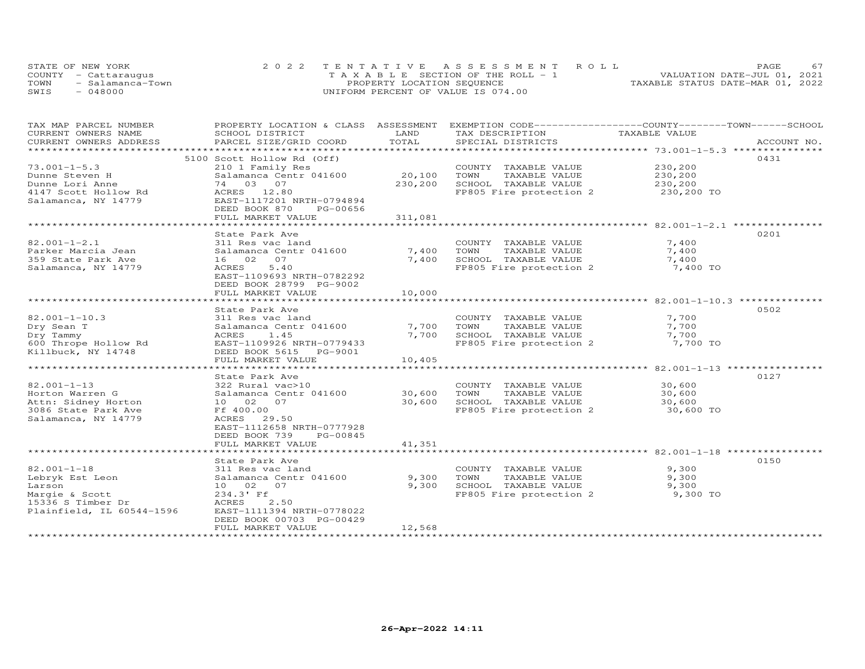| STATE OF NEW YORK    |                  |                                    |                            | 2022 TENTATIVE ASSESSMENT ROLL        |                                  | <b>PAGE</b> |  |
|----------------------|------------------|------------------------------------|----------------------------|---------------------------------------|----------------------------------|-------------|--|
| COUNTY - Cattaraugus |                  |                                    |                            | T A X A B L E SECTION OF THE ROLL - 1 | VALUATION DATE-JUL 01, 2021      |             |  |
| TOWN                 | - Salamanca-Town |                                    | PROPERTY LOCATION SEQUENCE |                                       | TAXABLE STATUS DATE-MAR 01, 2022 |             |  |
| SWIS                 | 048000           | UNIFORM PERCENT OF VALUE IS 074.00 |                            |                                       |                                  |             |  |

| TAX MAP PARCEL NUMBER     | PROPERTY LOCATION & CLASS ASSESSMENT |         | EXEMPTION CODE-----------------COUNTY-------TOWN------SCHOOL |               |             |
|---------------------------|--------------------------------------|---------|--------------------------------------------------------------|---------------|-------------|
| CURRENT OWNERS NAME       | SCHOOL DISTRICT                      | LAND    | TAX DESCRIPTION                                              | TAXABLE VALUE |             |
| CURRENT OWNERS ADDRESS    | PARCEL SIZE/GRID COORD               | TOTAL   | SPECIAL DISTRICTS                                            |               | ACCOUNT NO. |
|                           |                                      |         |                                                              |               |             |
|                           | 5100 Scott Hollow Rd (Off)           |         |                                                              |               | 0431        |
| $73.001 - 1 - 5.3$        | 210 1 Family Res                     |         | COUNTY TAXABLE VALUE                                         | 230,200       |             |
| Dunne Steven H            | Salamanca Centr 041600               | 20,100  | TAXABLE VALUE<br>TOWN                                        | 230,200       |             |
| Dunne Lori Anne           | 74 03 07                             | 230,200 | SCHOOL TAXABLE VALUE                                         | 230,200       |             |
| 4147 Scott Hollow Rd      | ACRES 12.80                          |         | FP805 Fire protection 2                                      | 230,200 TO    |             |
| Salamanca, NY 14779       | EAST-1117201 NRTH-0794894            |         |                                                              |               |             |
|                           | DEED BOOK 870<br>PG-00656            |         |                                                              |               |             |
|                           | FULL MARKET VALUE                    | 311,081 |                                                              |               |             |
|                           |                                      |         |                                                              |               |             |
|                           | State Park Ave                       |         |                                                              |               | 0201        |
| $82.001 - 1 - 2.1$        | 311 Res vac land                     |         | COUNTY TAXABLE VALUE                                         | 7,400         |             |
| Parker Marcia Jean        | Salamanca Centr 041600               | 7,400   | TAXABLE VALUE<br>TOWN                                        | 7,400         |             |
| 359 State Park Ave        | 16 02<br>07                          | 7,400   | SCHOOL TAXABLE VALUE                                         | 7,400         |             |
|                           | 5.40<br>ACRES                        |         | FP805 Fire protection 2                                      | 7,400 TO      |             |
| Salamanca, NY 14779       |                                      |         |                                                              |               |             |
|                           | EAST-1109693 NRTH-0782292            |         |                                                              |               |             |
|                           | DEED BOOK 28799 PG-9002              |         |                                                              |               |             |
|                           | FULL MARKET VALUE                    | 10,000  |                                                              |               |             |
|                           |                                      |         |                                                              |               |             |
|                           | State Park Ave                       |         |                                                              |               | 0502        |
| $82.001 - 1 - 10.3$       | 311 Res vac land                     |         | COUNTY TAXABLE VALUE                                         | 7,700         |             |
| Dry Sean T                | Salamanca Centr 041600               | 7,700   | TOWN<br>TAXABLE VALUE                                        | 7,700         |             |
| Dry Tammy                 | 1.45<br>ACRES                        | 7,700   | SCHOOL TAXABLE VALUE                                         | 7,700         |             |
| 600 Thrope Hollow Rd      | EAST-1109926 NRTH-0779433            |         | FP805 Fire protection 2                                      | 7,700 TO      |             |
| Killbuck, NY 14748        | DEED BOOK 5615 PG-9001               |         |                                                              |               |             |
|                           | FULL MARKET VALUE                    | 10,405  |                                                              |               |             |
|                           |                                      |         |                                                              |               |             |
|                           | State Park Ave                       |         |                                                              |               | 0127        |
| $82.001 - 1 - 13$         | 322 Rural vac>10                     |         | COUNTY TAXABLE VALUE                                         | 30,600        |             |
| Horton Warren G           | Salamanca Centr 041600               | 30,600  | TOWN<br>TAXABLE VALUE                                        | 30,600        |             |
| Attn: Sidney Horton       | 10 02 07                             | 30,600  | SCHOOL TAXABLE VALUE                                         | 30,600        |             |
| 3086 State Park Ave       | Ff 400.00                            |         | FP805 Fire protection 2                                      | 30,600 TO     |             |
| Salamanca, NY 14779       | ACRES 29.50                          |         |                                                              |               |             |
|                           | EAST-1112658 NRTH-0777928            |         |                                                              |               |             |
|                           | DEED BOOK 739<br>PG-00845            |         |                                                              |               |             |
|                           | FULL MARKET VALUE                    | 41,351  |                                                              |               |             |
|                           |                                      |         |                                                              |               |             |
|                           | State Park Ave                       |         |                                                              |               | 0150        |
| 82.001-1-18               |                                      |         | COUNTY TAXABLE VALUE                                         | 9,300         |             |
|                           | 311 Res vac land                     |         |                                                              |               |             |
| Lebryk Est Leon           | Salamanca Centr 041600               | 9,300   | TOWN<br>TAXABLE VALUE                                        | 9,300         |             |
| Larson                    | 10 02 07                             | 9,300   | SCHOOL TAXABLE VALUE                                         | 9,300         |             |
| Margie & Scott            | 234.3' Ff                            |         | FP805 Fire protection 2                                      | 9,300 TO      |             |
| 15336 S Timber Dr         | 2.50<br>ACRES                        |         |                                                              |               |             |
| Plainfield, IL 60544-1596 | EAST-1111394 NRTH-0778022            |         |                                                              |               |             |
|                           | DEED BOOK 00703 PG-00429             |         |                                                              |               |             |
|                           | FULL MARKET VALUE                    | 12,568  |                                                              |               |             |
|                           |                                      |         |                                                              |               |             |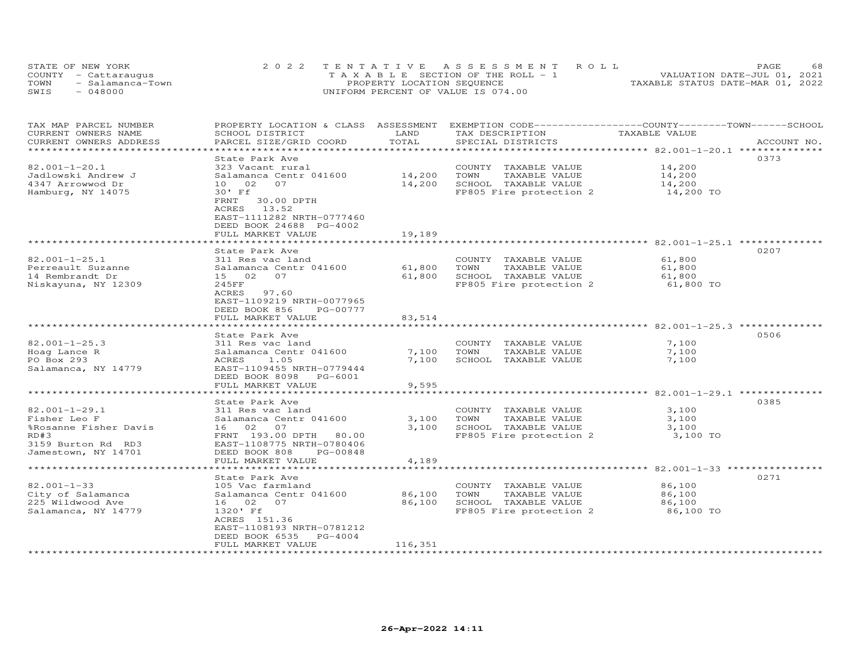| STATE OF NEW YORK        | 2022 TENTATIVE ASSESSMENT ROLL        | 68<br>PAGE.                      |
|--------------------------|---------------------------------------|----------------------------------|
| COUNTY - Cattaraugus     | T A X A B L E SECTION OF THE ROLL - 1 | VALUATION DATE-JUL 01, 2021      |
| TOWN<br>- Salamanca-Town | PROPERTY LOCATION SEQUENCE            | TAXABLE STATUS DATE-MAR 01, 2022 |
| SWIS<br>$-048000$        | UNIFORM PERCENT OF VALUE IS 074.00    |                                  |

| TAX MAP PARCEL NUMBER<br>CURRENT OWNERS NAME | PROPERTY LOCATION & CLASS ASSESSMENT<br>SCHOOL DISTRICT | LAND                | EXEMPTION CODE------------------COUNTY-------TOWN------SCHOOL<br>TAX DESCRIPTION | TAXABLE VALUE                                          |             |
|----------------------------------------------|---------------------------------------------------------|---------------------|----------------------------------------------------------------------------------|--------------------------------------------------------|-------------|
| CURRENT OWNERS ADDRESS                       | PARCEL SIZE/GRID COORD                                  | TOTAL               | SPECIAL DISTRICTS                                                                |                                                        | ACCOUNT NO. |
| **************                               | *****************                                       | ******************* |                                                                                  | ********************** 82.001-1-20.1 ***************   |             |
|                                              | State Park Ave                                          |                     |                                                                                  |                                                        | 0373        |
| $82.001 - 1 - 20.1$                          | 323 Vacant rural                                        |                     | COUNTY TAXABLE VALUE                                                             | 14,200                                                 |             |
| Jadlowski Andrew J                           | Salamanca Centr 041600                                  | 14,200              | TOWN<br>TAXABLE VALUE                                                            | 14,200                                                 |             |
| 4347 Arrowwod Dr                             | 10 02<br>07                                             | 14,200              | SCHOOL TAXABLE VALUE                                                             | 14,200                                                 |             |
| Hamburg, NY 14075                            | 30' Ff                                                  |                     | FP805 Fire protection 2                                                          | 14,200 TO                                              |             |
|                                              | FRNT<br>30.00 DPTH                                      |                     |                                                                                  |                                                        |             |
|                                              | ACRES<br>13.52                                          |                     |                                                                                  |                                                        |             |
|                                              | EAST-1111282 NRTH-0777460                               |                     |                                                                                  |                                                        |             |
|                                              | DEED BOOK 24688 PG-4002                                 |                     |                                                                                  |                                                        |             |
|                                              | FULL MARKET VALUE                                       | 19,189              |                                                                                  |                                                        |             |
|                                              | ******************                                      |                     |                                                                                  | ******************** 82.001-1-25.1 *********           |             |
|                                              | State Park Ave                                          |                     |                                                                                  |                                                        | 0207        |
| $82.001 - 1 - 25.1$                          | 311 Res vac land                                        |                     | COUNTY TAXABLE VALUE                                                             | 61,800                                                 |             |
| Perreault Suzanne                            | Salamanca Centr 041600                                  | 61,800              | TAXABLE VALUE<br>TOWN                                                            | 61,800                                                 |             |
| 14 Rembrandt Dr                              | 15 02 07                                                | 61,800              | SCHOOL TAXABLE VALUE                                                             | 61,800                                                 |             |
| Niskayuna, NY 12309                          | 245FF<br>97.60                                          |                     | FP805 Fire protection 2                                                          | 61,800 TO                                              |             |
|                                              | ACRES<br>EAST-1109219 NRTH-0077965                      |                     |                                                                                  |                                                        |             |
|                                              | DEED BOOK 856<br>PG-00777                               |                     |                                                                                  |                                                        |             |
|                                              | FULL MARKET VALUE                                       | 83,514              |                                                                                  |                                                        |             |
|                                              |                                                         |                     | ******************************** 82.001-1-25.3 ***************                   |                                                        |             |
|                                              | State Park Ave                                          |                     |                                                                                  |                                                        | 0506        |
| $82.001 - 1 - 25.3$                          | 311 Res vac land                                        |                     | COUNTY<br>TAXABLE VALUE                                                          | 7,100                                                  |             |
| Hoag Lance R                                 | Salamanca Centr 041600                                  | 7,100               | TOWN<br>TAXABLE VALUE                                                            | 7,100                                                  |             |
| PO Box 293                                   | ACRES<br>1.05                                           | 7,100               | SCHOOL TAXABLE VALUE                                                             | 7,100                                                  |             |
| Salamanca, NY 14779                          | EAST-1109455 NRTH-0779444                               |                     |                                                                                  |                                                        |             |
|                                              | DEED BOOK 8098<br>PG-6001                               |                     |                                                                                  |                                                        |             |
|                                              | FULL MARKET VALUE                                       | 9,595               |                                                                                  |                                                        |             |
|                                              | *****************                                       |                     |                                                                                  | ************************ 82.001-1-29.1 *************** |             |
|                                              | State Park Ave                                          |                     |                                                                                  |                                                        | 0385        |
| $82.001 - 1 - 29.1$                          | 311 Res vac land                                        |                     | COUNTY TAXABLE VALUE                                                             | 3,100                                                  |             |
| Fisher Leo F                                 | Salamanca Centr 041600                                  | 3,100               | TOWN<br>TAXABLE VALUE                                                            | 3,100                                                  |             |
| %Rosanne Fisher Davis                        | 16 02<br>07                                             | 3,100               | SCHOOL TAXABLE VALUE                                                             | 3,100                                                  |             |
| RD#3                                         | FRNT 193.00 DPTH<br>80.00                               |                     | FP805 Fire protection 2                                                          | 3,100 TO                                               |             |
| 3159 Burton Rd RD3                           | EAST-1108775 NRTH-0780406<br>PG-00848                   |                     |                                                                                  |                                                        |             |
| Jamestown, NY 14701                          | DEED BOOK 808<br>FULL MARKET VALUE                      | 4,189               |                                                                                  |                                                        |             |
|                                              |                                                         |                     |                                                                                  | ******* 82.001-1-33 *****                              |             |
|                                              | State Park Ave                                          |                     |                                                                                  |                                                        | 0271        |
| $82.001 - 1 - 33$                            | 105 Vac farmland                                        |                     | COUNTY TAXABLE VALUE                                                             | 86,100                                                 |             |
| City of Salamanca                            | Salamanca Centr 041600                                  | 86,100              | TAXABLE VALUE<br>TOWN                                                            | 86,100                                                 |             |
| 225 Wildwood Ave                             | 16 02<br>07                                             | 86,100              | SCHOOL TAXABLE VALUE                                                             | 86,100                                                 |             |
| Salamanca, NY 14779                          | 1320' Ff                                                |                     | FP805 Fire protection 2                                                          | 86,100 TO                                              |             |
|                                              | ACRES 151.36                                            |                     |                                                                                  |                                                        |             |
|                                              | EAST-1108193 NRTH-0781212                               |                     |                                                                                  |                                                        |             |
|                                              | DEED BOOK 6535<br>$PG-4004$                             |                     |                                                                                  |                                                        |             |
|                                              | FULL MARKET VALUE                                       | 116,351             |                                                                                  |                                                        |             |
| *********************                        | ************************                                | ******************* |                                                                                  |                                                        |             |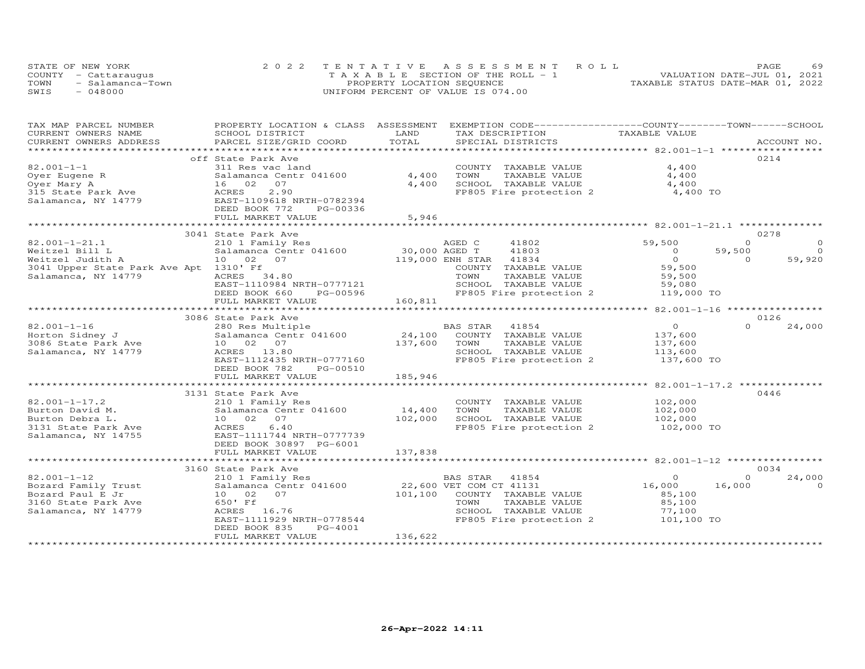| STATE OF NEW YORK        | 2022 TENTATIVE ASSESSMENT ROLL        | 69<br>PAGE.                      |
|--------------------------|---------------------------------------|----------------------------------|
| COUNTY - Cattaraugus     | T A X A B L E SECTION OF THE ROLL - 1 | VALUATION DATE-JUL 01, 2021      |
| TOWN<br>- Salamanca-Town | PROPERTY LOCATION SEQUENCE            | TAXABLE STATUS DATE-MAR 01, 2022 |
| SWIS<br>- 048000         | UNIFORM PERCENT OF VALUE IS 074.00    |                                  |

| TAX MAP PARCEL NUMBER                      | PROPERTY LOCATION & CLASS ASSESSMENT EXEMPTION CODE----------------COUNTY-------TOWN------SCHOOL |               |                              |                |                     |
|--------------------------------------------|--------------------------------------------------------------------------------------------------|---------------|------------------------------|----------------|---------------------|
| CURRENT OWNERS NAME                        | SCHOOL DISTRICT                                                                                  | LAND          | TAX DESCRIPTION              | TAXABLE VALUE  |                     |
| CURRENT OWNERS ADDRESS                     | PARCEL SIZE/GRID COORD                                                                           | TOTAL         | SPECIAL DISTRICTS            |                | ACCOUNT NO.         |
|                                            |                                                                                                  |               |                              |                |                     |
|                                            | off State Park Ave                                                                               |               |                              |                | 0214                |
| $82.001 - 1 - 1$                           | 311 Res vac land                                                                                 |               | COUNTY TAXABLE VALUE         | 4,400          |                     |
| Oyer Eugene R                              | Salamanca Centr 041600                                                                           | 4,400         | TOWN<br>TAXABLE VALUE        | 4,400          |                     |
| Oyer Mary A                                | 16 02<br>07                                                                                      | 4,400         | SCHOOL TAXABLE VALUE         | 4,400          |                     |
| 315 State Park Ave                         | 2.90<br>ACRES                                                                                    |               | FP805 Fire protection 2      | 4,400 TO       |                     |
| Salamanca, NY 14779                        | EAST-1109618 NRTH-0782394                                                                        |               |                              |                |                     |
|                                            | DEED BOOK 772<br>PG-00336                                                                        |               |                              |                |                     |
|                                            | FULL MARKET VALUE                                                                                | 5,946         |                              |                |                     |
|                                            |                                                                                                  |               |                              |                |                     |
|                                            | 3041 State Park Ave                                                                              |               |                              |                | 0278                |
| 82.001-1-21.1                              | 210 1 Family Res                                                                                 |               | AGED C<br>41802              | 59,500         | $\Omega$<br>$\circ$ |
| Weitzel Bill L                             | Salamanca Centr 041600                                                                           | 30,000 AGED T | 41803                        | $\Omega$       | $\Omega$<br>59,500  |
| Weitzel Judith A                           | 10 02 07                                                                                         |               | 119,000 ENH STAR<br>41834    | $\overline{0}$ | 59,920<br>$\Omega$  |
| 3041 Upper State Park Ave Apt 1310' Ff     |                                                                                                  |               | COUNTY TAXABLE VALUE         | 59,500         |                     |
| Salamanca, NY 14779                        | ACRES<br>34.80                                                                                   |               | TOWN<br>TAXABLE VALUE        | 59,500         |                     |
|                                            | EAST-1110984 NRTH-0777121                                                                        |               | SCHOOL TAXABLE VALUE         | 59,080         |                     |
|                                            | DEED BOOK 660<br>PG-00596                                                                        |               | FP805 Fire protection 2      | 119,000 TO     |                     |
|                                            | FULL MARKET VALUE                                                                                | 160,811       |                              |                |                     |
|                                            | *****************************                                                                    |               |                              |                |                     |
|                                            | 3086 State Park Ave                                                                              |               |                              |                | 0126                |
| $82.001 - 1 - 16$                          | 280 Res Multiple                                                                                 |               | BAS STAR<br>41854            | $\overline{0}$ | 24,000<br>$\Omega$  |
| Horton Sidney J                            | Salamanca Centr 041600                                                                           | 24,100        | COUNTY TAXABLE VALUE         | 137,600        |                     |
| 3086 State Park Ave                        | 10 02 07                                                                                         | 137,600       | TOWN<br>TAXABLE VALUE        | 137,600        |                     |
| Salamanca, NY 14779                        | ACRES 13.80                                                                                      |               | SCHOOL TAXABLE VALUE         | 113,600        |                     |
|                                            | EAST-1112435 NRTH-0777160                                                                        |               | FP805 Fire protection 2      | 137,600 TO     |                     |
|                                            | DEED BOOK 782<br>PG-00510                                                                        |               |                              |                |                     |
|                                            | FULL MARKET VALUE                                                                                | 185,946       |                              |                |                     |
|                                            |                                                                                                  |               |                              |                |                     |
|                                            | 3131 State Park Ave                                                                              |               |                              |                | 0446                |
| $82.001 - 1 - 17.2$                        | 210 1 Family Res                                                                                 |               | COUNTY TAXABLE VALUE         | 102,000        |                     |
| Burton David M.                            | Salamanca Centr 041600                                                                           | 14,400        | TOWN<br>TAXABLE VALUE        | 102,000        |                     |
|                                            | 10 02 07                                                                                         | 102,000       | SCHOOL TAXABLE VALUE         | 102,000        |                     |
| Burton Debra L.                            | 6.40<br>ACRES                                                                                    |               | FP805 Fire protection 2      |                |                     |
| 3131 State Park Ave<br>Salamanca, NY 14755 | EAST-1111744 NRTH-0777739                                                                        |               |                              | 102,000 TO     |                     |
|                                            | DEED BOOK 30897 PG-6001                                                                          |               |                              |                |                     |
|                                            | FULL MARKET VALUE                                                                                | 137,838       |                              |                |                     |
|                                            |                                                                                                  |               |                              |                |                     |
|                                            |                                                                                                  |               |                              |                | 0034                |
|                                            | 3160 State Park Ave                                                                              |               |                              |                | $\Omega$            |
| $82.001 - 1 - 12$                          | 210 1 Family Res                                                                                 |               | BAS STAR 41854               | $\circ$        | 24,000<br>$\Omega$  |
| Bozard Family Trust                        | Salamanca Centr 041600                                                                           |               | 22,600 VET COM CT 41131      | 16,000         | 16,000              |
| Bozard Paul E Jr                           | 10 02 07                                                                                         |               | 101,100 COUNTY TAXABLE VALUE | 85,100         |                     |
| 3160 State Park Ave                        | 650' Ff                                                                                          |               | TOWN<br>TAXABLE VALUE        | 85,100         |                     |
| Salamanca, NY 14779                        | ACRES 16.76                                                                                      |               | SCHOOL TAXABLE VALUE         | 77,100         |                     |
|                                            | EAST-1111929 NRTH-0778544                                                                        |               | FP805 Fire protection 2      | 101,100 TO     |                     |
|                                            | DEED BOOK 835<br>PG-4001                                                                         |               |                              |                |                     |
|                                            | FULL MARKET VALUE                                                                                | 136,622       |                              |                |                     |
|                                            |                                                                                                  |               |                              |                |                     |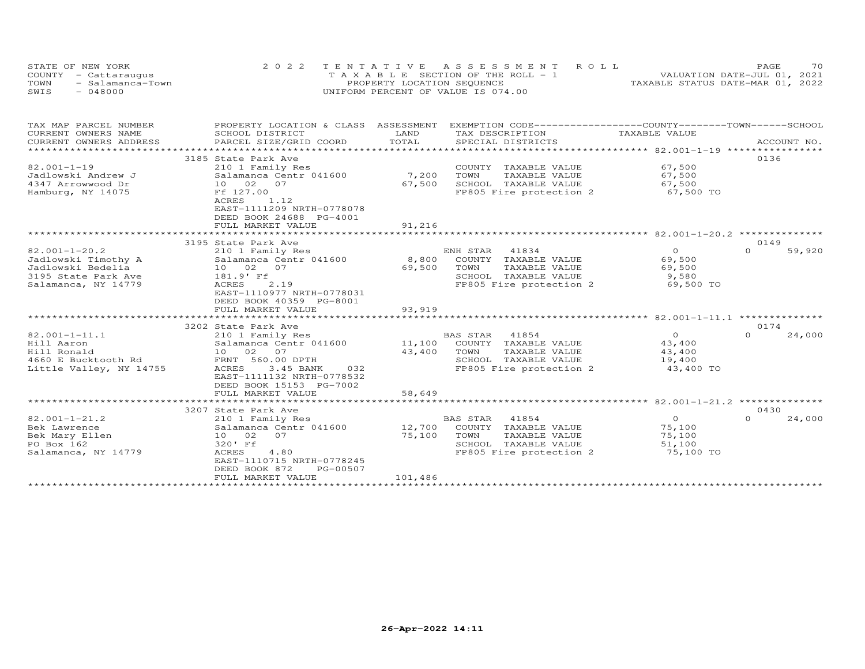| STATE OF NEW YORK        | 2022 TENTATIVE ASSESSMENT ROLL        | 70<br>PAGE.                      |
|--------------------------|---------------------------------------|----------------------------------|
| COUNTY - Cattaraugus     | T A X A B L E SECTION OF THE ROLL - 1 | VALUATION DATE-JUL 01, 2021      |
| TOWN<br>- Salamanca-Town | PROPERTY LOCATION SEQUENCE            | TAXABLE STATUS DATE-MAR 01, 2022 |
| $-048000$<br>SWIS        | UNIFORM PERCENT OF VALUE IS 074.00    |                                  |

| TAX MAP PARCEL NUMBER<br>CURRENT OWNERS NAME<br>CURRENT OWNERS ADDRESS<br>**********************              | PROPERTY LOCATION & CLASS ASSESSMENT<br>SCHOOL DISTRICT<br>PARCEL SIZE/GRID COORD                                                                                                                                      | LAND<br>TAX DESCRIPTION<br>TOTAL<br>SPECIAL DISTRICTS                                                                                             | EXEMPTION CODE-----------------COUNTY-------TOWN------SCHOOL<br>TAXABLE VALUE<br>ACCOUNT NO. |
|---------------------------------------------------------------------------------------------------------------|------------------------------------------------------------------------------------------------------------------------------------------------------------------------------------------------------------------------|---------------------------------------------------------------------------------------------------------------------------------------------------|----------------------------------------------------------------------------------------------|
| 82.001-1-19<br>Jadlowski Andrew J<br>4347 Arrowwood Dr<br>Hamburg, NY 14075                                   | 3185 State Park Ave<br>210 1 Family Res<br>Salamanca Centr 041600<br>10 02 07<br>Ff 127.00<br>1.12<br>ACRES<br>EAST-1111209 NRTH-0778078<br>DEED BOOK 24688 PG-4001<br>FULL MARKET VALUE<br>************************** | COUNTY TAXABLE VALUE<br>7,200<br>TOWN<br>TAXABLE VALUE<br>67,500<br>SCHOOL TAXABLE VALUE<br>FP805 Fire protection 2<br>91,216                     | 0136<br>67,500<br>67,500<br>67,500<br>67,500 TO                                              |
|                                                                                                               | 3195 State Park Ave                                                                                                                                                                                                    |                                                                                                                                                   | 0149                                                                                         |
| $82.001 - 1 - 20.2$<br>Jadlowski Timothy A<br>Jadlowski Bedelia<br>3195 State Park Ave<br>Salamanca, NY 14779 | 210 1 Family Res<br>Salamanca Centr 041600<br>10 02 07<br>181.9' Ff<br>ACRES<br>2.19<br>EAST-1110977 NRTH-0778031<br>DEED BOOK 40359 PG-8001<br>FULL MARKET VALUE                                                      | ENH STAR<br>41834<br>8,800 COUNTY TAXABLE VALUE<br>69,500<br>TOWN<br>TAXABLE VALUE<br>SCHOOL TAXABLE VALUE<br>FP805 Fire protection 2<br>93,919   | $\overline{O}$<br>$\Omega$<br>59,920<br>69,500<br>69,500<br>9,580<br>69,500 TO               |
|                                                                                                               |                                                                                                                                                                                                                        |                                                                                                                                                   |                                                                                              |
| $82.001 - 1 - 11.1$<br>Hill Aaron<br>Hill Ronald<br>4660 E Bucktooth Rd<br>Little Valley, NY 14755            | 3202 State Park Ave<br>210 1 Family Res<br>Salamanca Centr 041600 11,100<br>10 02 07<br>FRNT 560.00 DPTH<br>3.45 BANK<br>ACRES<br>032<br>EAST-1111132 NRTH-0778532<br>DEED BOOK 15153 PG-7002<br>FULL MARKET VALUE     | BAS STAR 41854<br>COUNTY TAXABLE VALUE<br>43,400<br>TOWN<br>TAXABLE VALUE<br>SCHOOL TAXABLE VALUE<br>FP805 Fire protection 2<br>58,649            | 0174<br>$\overline{O}$<br>$\Omega$<br>24,000<br>43,400<br>43,400<br>19,400<br>43,400 TO      |
|                                                                                                               |                                                                                                                                                                                                                        |                                                                                                                                                   |                                                                                              |
| $82.001 - 1 - 21.2$<br>Bek Lawrence<br>Bek Mary Ellen<br>PO Box 162<br>Salamanca, NY 14779                    | 3207 State Park Ave<br>210 1 Family Res<br>Salamanca Centr 041600<br>10 02<br>07<br>320' Ff<br>ACRES<br>4.80<br>EAST-1110715 NRTH-0778245<br>DEED BOOK 872<br>PG-00507<br>FULL MARKET VALUE                            | BAS STAR 41854<br>12,700<br>COUNTY TAXABLE VALUE<br>75,100<br>TOWN<br>TAXABLE VALUE<br>SCHOOL TAXABLE VALUE<br>FP805 Fire protection 2<br>101,486 | 0430<br>$\overline{O}$<br>$\Omega$<br>24,000<br>75,100<br>75,100<br>51,100<br>75,100 TO      |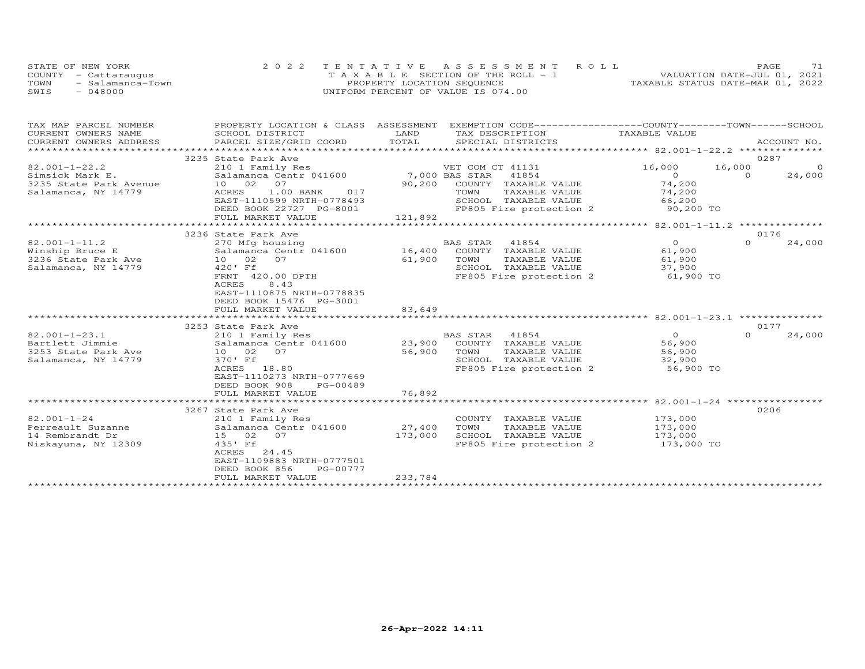| STATE OF NEW YORK        | 2022 TENTATIVE ASSESSMENT ROLL        | 71<br>PAGE.                      |
|--------------------------|---------------------------------------|----------------------------------|
| COUNTY - Cattaraugus     | T A X A B L E SECTION OF THE ROLL - 1 | VALUATION DATE-JUL 01, 2021      |
| TOWN<br>- Salamanca-Town | PROPERTY LOCATION SEQUENCE            | TAXABLE STATUS DATE-MAR 01, 2022 |
| SWIS<br>- 048000         | UNIFORM PERCENT OF VALUE IS 074.00    |                                  |

| TAX MAP PARCEL NUMBER<br>CURRENT OWNERS NAME<br>CURRENT OWNERS ADDRESS | PROPERTY LOCATION & CLASS ASSESSMENT<br>SCHOOL DISTRICT<br>PARCEL SIZE/GRID COORD | EXEMPTION CODE------------------COUNTY-------TOWN------SCHOOL<br>LAND<br>TAX DESCRIPTION<br>TOTAL<br>SPECIAL DISTRICTS | TAXABLE VALUE                                             | ACCOUNT NO. |
|------------------------------------------------------------------------|-----------------------------------------------------------------------------------|------------------------------------------------------------------------------------------------------------------------|-----------------------------------------------------------|-------------|
| ***********************                                                | 3235 State Park Ave                                                               |                                                                                                                        |                                                           | 0287        |
| $82.001 - 1 - 22.2$                                                    | 210 1 Family Res                                                                  | VET COM CT 41131                                                                                                       | 16,000<br>16,000                                          | $\Omega$    |
| Simsick Mark E.                                                        | Salamanca Centr 041600                                                            | 7,000 BAS STAR<br>41854                                                                                                | $\Omega$<br>$\Omega$                                      | 24,000      |
| 3235 State Park Avenue                                                 | 10 02 07                                                                          | 90,200<br>COUNTY TAXABLE VALUE                                                                                         | 74,200                                                    |             |
| Salamanca, NY 14779                                                    | 1.00 BANK<br>ACRES<br>017                                                         | TOWN<br>TAXABLE VALUE                                                                                                  | 74,200                                                    |             |
|                                                                        | EAST-1110599 NRTH-0778493                                                         | SCHOOL TAXABLE VALUE                                                                                                   | 66,200                                                    |             |
|                                                                        | DEED BOOK 22727 PG-8001<br>FULL MARKET VALUE                                      | FP805 Fire protection 2<br>121,892                                                                                     | 90,200 TO                                                 |             |
|                                                                        | 3236 State Park Ave                                                               |                                                                                                                        | ******* 82.001-1-11.2 ***************                     | 0176        |
| $82.001 - 1 - 11.2$                                                    | 270 Mfg housing                                                                   | <b>BAS STAR</b><br>41854                                                                                               | $\overline{0}$<br>$\Omega$                                | 24,000      |
| Winship Bruce E                                                        | Salamanca Centr 041600                                                            | 16,400<br>COUNTY TAXABLE VALUE                                                                                         | 61,900                                                    |             |
| 3236 State Park Ave                                                    | 10 02<br>07                                                                       | 61,900<br>TOWN<br>TAXABLE VALUE                                                                                        | 61,900                                                    |             |
| Salamanca, NY 14779                                                    | 420' Ff                                                                           | SCHOOL TAXABLE VALUE                                                                                                   | 37,900                                                    |             |
|                                                                        | FRNT 420.00 DPTH                                                                  | FP805 Fire protection 2                                                                                                | 61,900 TO                                                 |             |
|                                                                        | 8.43<br>ACRES                                                                     |                                                                                                                        |                                                           |             |
|                                                                        | EAST-1110875 NRTH-0778835                                                         |                                                                                                                        |                                                           |             |
|                                                                        | DEED BOOK 15476 PG-3001                                                           |                                                                                                                        |                                                           |             |
|                                                                        | FULL MARKET VALUE                                                                 | 83,649                                                                                                                 |                                                           |             |
|                                                                        | **************************                                                        | ***************                                                                                                        |                                                           |             |
|                                                                        | 3253 State Park Ave                                                               |                                                                                                                        |                                                           | 0177        |
| $82.001 - 1 - 23.1$<br>Bartlett Jimmie                                 | 210 1 Family Res                                                                  | BAS STAR<br>41854<br>23,900<br>COUNTY TAXABLE VALUE                                                                    | $\circ$<br>$\Omega$<br>56,900                             | 24,000      |
| 3253 State Park Ave                                                    | Salamanca Centr 041600<br>10 02<br>07                                             | 56,900<br>TOWN<br>TAXABLE VALUE                                                                                        | 56,900                                                    |             |
| Salamanca, NY 14779                                                    | 370' Ff                                                                           | SCHOOL TAXABLE VALUE                                                                                                   | 32,900                                                    |             |
|                                                                        | ACRES 18.80                                                                       | FP805 Fire protection 2                                                                                                | 56,900 TO                                                 |             |
|                                                                        | EAST-1110273 NRTH-0777669                                                         |                                                                                                                        |                                                           |             |
|                                                                        | DEED BOOK 908<br>PG-00489                                                         |                                                                                                                        |                                                           |             |
|                                                                        | FULL MARKET VALUE                                                                 | 76,892                                                                                                                 |                                                           |             |
|                                                                        | *************************                                                         | *********                                                                                                              | $\frac{x}{x}$ ************** 82.001-1-24 **************** |             |
|                                                                        | 3267 State Park Ave                                                               |                                                                                                                        |                                                           | 0206        |
| $82.001 - 1 - 24$                                                      | 210 1 Family Res                                                                  | COUNTY TAXABLE VALUE                                                                                                   | 173,000                                                   |             |
| Perreault Suzanne                                                      | Salamanca Centr 041600                                                            | 27,400<br>TOWN<br>TAXABLE VALUE                                                                                        | 173,000                                                   |             |
| 14 Rembrandt Dr                                                        | 15 02<br>07                                                                       | 173,000<br>SCHOOL TAXABLE VALUE                                                                                        | 173,000                                                   |             |
| Niskayuna, NY 12309                                                    | 435' Ff                                                                           | FP805 Fire protection 2                                                                                                | 173,000 TO                                                |             |
|                                                                        | ACRES 24.45                                                                       |                                                                                                                        |                                                           |             |
|                                                                        | EAST-1109883 NRTH-0777501                                                         |                                                                                                                        |                                                           |             |
|                                                                        | DEED BOOK 856<br>PG-00777                                                         |                                                                                                                        |                                                           |             |
|                                                                        | FULL MARKET VALUE                                                                 | 233,784                                                                                                                |                                                           |             |
|                                                                        |                                                                                   |                                                                                                                        |                                                           |             |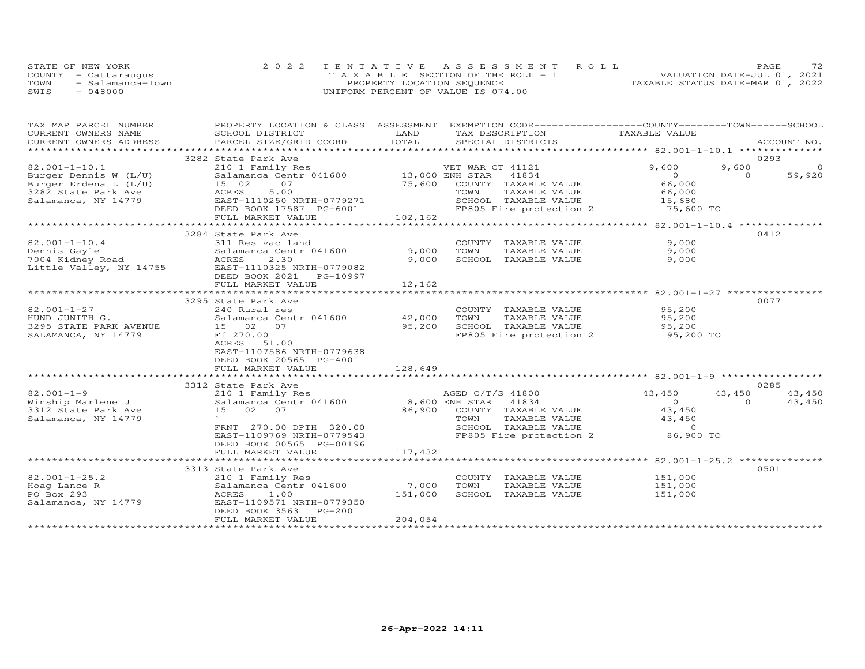|      | STATE OF NEW YORK    | 2022 TENTATIVE ASSESSMENT ROLL        | 72.<br>PAGE                      |
|------|----------------------|---------------------------------------|----------------------------------|
|      | COUNTY - Cattaraugus | T A X A B L E SECTION OF THE ROLL - 1 | VALUATION DATE-JUL 01, 2021      |
| TOWN | - Salamanca-Town     | PROPERTY LOCATION SEQUENCE            | TAXABLE STATUS DATE-MAR 01, 2022 |
| SWIS | $-048000$            | UNIFORM PERCENT OF VALUE IS 074.00    |                                  |

| TAX MAP PARCEL NUMBER                            | PROPERTY LOCATION & CLASS ASSESSMENT                       |         | EXEMPTION CODE-----------------COUNTY-------TOWN-----SCHOOL |                     |          |             |
|--------------------------------------------------|------------------------------------------------------------|---------|-------------------------------------------------------------|---------------------|----------|-------------|
| CURRENT OWNERS NAME                              | SCHOOL DISTRICT                                            | LAND    | TAX DESCRIPTION                                             | TAXABLE VALUE       |          |             |
| CURRENT OWNERS ADDRESS<br>********************** | PARCEL SIZE/GRID COORD                                     | TOTAL   | SPECIAL DISTRICTS                                           |                     |          | ACCOUNT NO. |
|                                                  | 3282 State Park Ave                                        |         |                                                             |                     |          | 0293        |
| $82.001 - 1 - 10.1$                              | 210 1 Family Res                                           |         | VET WAR CT 41121                                            | 9,600               | 9,600    | $\Omega$    |
| Burger Dennis W (L/U)                            | 210 1 Family Res<br>Salamanca Centr 041600 13,000 ENH STAR |         | 41834                                                       | $\Omega$            | $\Omega$ | 59,920      |
| Burger Erdena L (L/U)                            | 07<br>15 02                                                | 75,600  | COUNTY TAXABLE VALUE                                        | 66,000              |          |             |
|                                                  | 5.00                                                       |         |                                                             | 66,000              |          |             |
| 3282 State Park Ave                              | ACRES<br>EAST-1110250 NRTH-0779271                         |         | TAXABLE VALUE<br>TOWN<br>SCHOOL TAXABLE VALUE               |                     |          |             |
| Salamanca, NY 14779                              | DEED BOOK 17587 PG-6001                                    |         | FP805 Fire protection 2                                     | 15,680<br>75,600 TO |          |             |
|                                                  | FULL MARKET VALUE                                          | 102,162 |                                                             |                     |          |             |
|                                                  | ******************************                             |         |                                                             |                     |          |             |
|                                                  | 3284 State Park Ave                                        |         |                                                             |                     |          | 0412        |
| $82.001 - 1 - 10.4$                              | 311 Res vac land                                           |         | COUNTY TAXABLE VALUE                                        | 9,000               |          |             |
| Dennis Gayle                                     | Salamanca Centr 041600                                     | 9,000   | TOWN<br>TAXABLE VALUE                                       | 9,000               |          |             |
| 7004 Kidney Road                                 | ACRES<br>2.30                                              | 9,000   | SCHOOL TAXABLE VALUE                                        | 9,000               |          |             |
| Little Valley, NY 14755                          | EAST-1110325 NRTH-0779082                                  |         |                                                             |                     |          |             |
|                                                  | DEED BOOK 2021<br>PG-10997                                 |         |                                                             |                     |          |             |
|                                                  | FULL MARKET VALUE                                          | 12,162  |                                                             |                     |          |             |
|                                                  |                                                            |         |                                                             |                     |          |             |
|                                                  | 3295 State Park Ave                                        |         |                                                             |                     |          | 0077        |
| $82.001 - 1 - 27$                                | 240 Rural res                                              |         | COUNTY TAXABLE VALUE                                        | 95,200              |          |             |
| HUND JUNITH G.                                   | Salamanca Centr 041600                                     | 42,000  | TOWN<br>TAXABLE VALUE                                       | 95,200              |          |             |
| 3295 STATE PARK AVENUE                           | 15 02 07                                                   | 95,200  | SCHOOL TAXABLE VALUE                                        | 95,200              |          |             |
| SALAMANCA, NY 14779                              | Ff 270.00                                                  |         | FP805 Fire protection 2 95,200 TO                           |                     |          |             |
|                                                  | ACRES 51.00                                                |         |                                                             |                     |          |             |
|                                                  | EAST-1107586 NRTH-0779638                                  |         |                                                             |                     |          |             |
|                                                  | DEED BOOK 20565 PG-4001                                    |         |                                                             |                     |          |             |
|                                                  | FULL MARKET VALUE                                          | 128,649 |                                                             |                     |          |             |
|                                                  |                                                            |         |                                                             |                     |          |             |
|                                                  | 3312 State Park Ave                                        |         |                                                             |                     |          | 0285        |
| $82.001 - 1 - 9$                                 | 210 1 Family Res                                           |         | AGED C/T/S 41800                                            | 43,450              | 43,450   | 43,450      |
| Winship Marlene J                                | Salamanca Centr 041600                                     |         | 8,600 ENH STAR 41834                                        | $\overline{O}$      | $\Omega$ | 43,450      |
| 3312 State Park Ave                              | 15<br>02 07                                                | 86,900  | COUNTY TAXABLE VALUE                                        | 43,450              |          |             |
| Salamanca, NY 14779                              |                                                            |         | TOWN<br>TAXABLE VALUE                                       | 43,450              |          |             |
|                                                  | FRNT 270.00 DPTH 320.00                                    |         | SCHOOL TAXABLE VALUE                                        | $\overline{0}$      |          |             |
|                                                  | EAST-1109769 NRTH-0779543                                  |         | FP805 Fire protection 2                                     | 86,900 TO           |          |             |
|                                                  | DEED BOOK 00565 PG-00196                                   |         |                                                             |                     |          |             |
|                                                  | FULL MARKET VALUE                                          | 117,432 |                                                             |                     |          |             |
|                                                  |                                                            |         |                                                             |                     |          |             |
|                                                  | 3313 State Park Ave                                        |         |                                                             |                     |          | 0501        |
| $82.001 - 1 - 25.2$                              | 210 1 Family Res                                           |         | COUNTY TAXABLE VALUE                                        | 151,000             |          |             |
| Hoag Lance R                                     | Salamanca Centr 041600                                     | 7,000   | TOWN<br>TAXABLE VALUE                                       | 151,000             |          |             |
| PO Box 293                                       | 1.00<br>ACRES                                              | 151,000 | SCHOOL TAXABLE VALUE                                        | 151,000             |          |             |
| Salamanca, NY 14779                              | EAST-1109571 NRTH-0779350                                  |         |                                                             |                     |          |             |
|                                                  | DEED BOOK 3563<br>PG-2001                                  |         |                                                             |                     |          |             |
|                                                  | FULL MARKET VALUE                                          | 204,054 |                                                             |                     |          |             |
|                                                  |                                                            |         |                                                             |                     |          |             |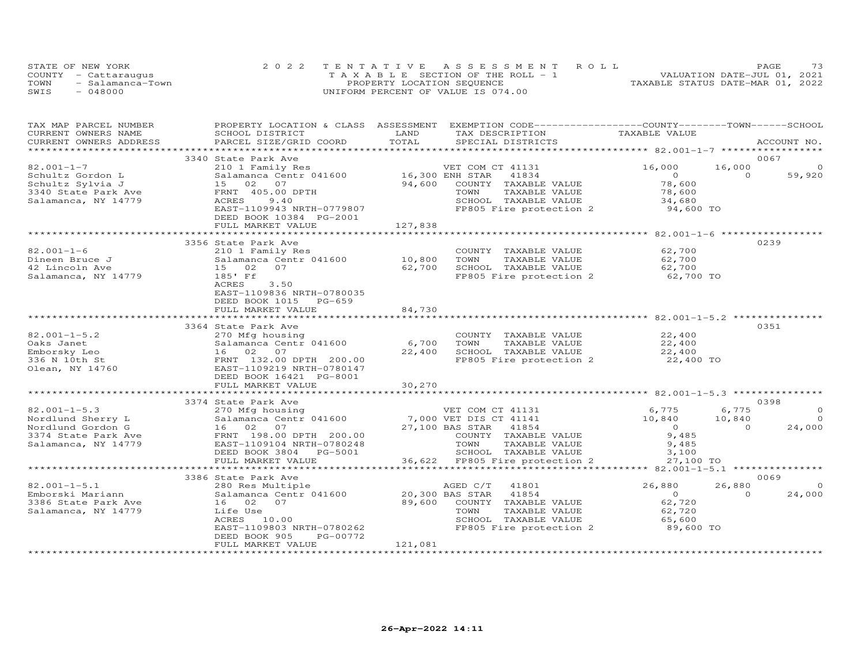| STATE OF NEW YORK |                      | 2022 TENTATIVE ASSESSMENT ROLL        | 73<br>PAGE                       |
|-------------------|----------------------|---------------------------------------|----------------------------------|
|                   | COUNTY - Cattaraugus | T A X A B L E SECTION OF THE ROLL - 1 | VALUATION DATE-JUL 01, 2021      |
| TOWN              | - Salamanca-Town     | PROPERTY LOCATION SEQUENCE            | TAXABLE STATUS DATE-MAR 01, 2022 |
| SWIS              | - 048000             | UNIFORM PERCENT OF VALUE IS 074.00    |                                  |

| TAX MAP PARCEL NUMBER  | PROPERTY LOCATION & CLASS ASSESSMENT EXEMPTION CODE----------------COUNTY-------TOWN------SCHOOL |                 |                                                        |                                                |          |             |
|------------------------|--------------------------------------------------------------------------------------------------|-----------------|--------------------------------------------------------|------------------------------------------------|----------|-------------|
| CURRENT OWNERS NAME    | SCHOOL DISTRICT                                                                                  | LAND            | TAX DESCRIPTION                                        | TAXABLE VALUE                                  |          |             |
| CURRENT OWNERS ADDRESS | PARCEL SIZE/GRID COORD                                                                           | TOTAL           | SPECIAL DISTRICTS                                      |                                                |          | ACCOUNT NO. |
|                        | 3340 State Park Ave                                                                              |                 |                                                        |                                                |          | 0067        |
| $82.001 - 1 - 7$       | 210 1 Family Res                                                                                 |                 | VET COM CT 41131                                       | 16,000                                         | 16,000   | $\circ$     |
| Schultz Gordon L       | Salamanca Centr 041600 16,300 ENH STAR                                                           |                 | 41834                                                  | $\overline{O}$                                 | $\Omega$ | 59,920      |
| Schultz Sylvia J       | 15 02 07                                                                                         | 94,600          | COUNTY TAXABLE VALUE                                   | 78,600                                         |          |             |
| 3340 State Park Ave    | FRNT 405.00 DPTH                                                                                 |                 | TOWN<br>TAXABLE VALUE                                  | 78,600                                         |          |             |
| Salamanca, NY 14779    | ACRES<br>9.40                                                                                    |                 | SCHOOL TAXABLE VALUE                                   | 34,680                                         |          |             |
|                        | EAST-1109943 NRTH-0779807                                                                        |                 | FP805 Fire protection 2 94,600 TO                      |                                                |          |             |
|                        | DEED BOOK 10384 PG-2001                                                                          |                 |                                                        |                                                |          |             |
|                        | FULL MARKET VALUE                                                                                | 127,838         |                                                        |                                                |          |             |
|                        |                                                                                                  | **************  |                                                        | ****************** 82.001-1-6 **************** |          |             |
|                        | 3356 State Park Ave                                                                              |                 |                                                        |                                                |          | 0239        |
| $82.001 - 1 - 6$       | 210 1 Family Res                                                                                 |                 | COUNTY TAXABLE VALUE                                   | 62,700                                         |          |             |
| Dineen Bruce J         | Salamanca Centr 041600                                                                           | 10,800          | TOWN<br>TAXABLE VALUE                                  | 62,700                                         |          |             |
| 42 Lincoln Ave         | 15 02<br>07                                                                                      | 62,700          | SCHOOL TAXABLE VALUE                                   |                                                |          |             |
| Salamanca, NY 14779    | 185' Ff                                                                                          |                 | FP805 Fire protection 2                                | 62,700<br>62,700 TO                            |          |             |
|                        | ACRES<br>3.50                                                                                    |                 |                                                        |                                                |          |             |
|                        | EAST-1109836 NRTH-0780035                                                                        |                 |                                                        |                                                |          |             |
|                        | DEED BOOK 1015<br>$PG-659$                                                                       |                 |                                                        |                                                |          |             |
|                        | FULL MARKET VALUE                                                                                | 84,730          |                                                        |                                                |          |             |
|                        |                                                                                                  |                 |                                                        |                                                |          |             |
|                        | 3364 State Park Ave                                                                              |                 |                                                        |                                                |          | 0351        |
| $82.001 - 1 - 5.2$     | 270 Mfg housing                                                                                  |                 | COUNTY TAXABLE VALUE                                   | 22,400                                         |          |             |
| Oaks Janet             | Salamanca Centr 041600 6,700                                                                     |                 | TOWN<br>TAXABLE VALUE                                  | 22,400                                         |          |             |
| Emborsky Leo           |                                                                                                  | 22,400          | SCHOOL TAXABLE VALUE                                   | 22,400                                         |          |             |
| 336 N 10th St          |                                                                                                  |                 | FP805 Fire protection 2 $22,400$ TO                    |                                                |          |             |
| Olean, NY 14760        | 16 02 07<br>FRNT 132.00 DPTH 200.00<br>EAST-1109219 NRTH-0780147<br>FAST-1109219 NRTH-0780147    |                 |                                                        |                                                |          |             |
|                        | DEED BOOK 16421 PG-8001                                                                          |                 |                                                        |                                                |          |             |
|                        | FULL MARKET VALUE<br>**************************                                                  | 30,270          |                                                        |                                                |          |             |
|                        | 3374 State Park Ave                                                                              |                 |                                                        |                                                |          | 0398        |
| $82.001 - 1 - 5.3$     | 270 Mfg housing                                                                                  |                 | VET COM CT 41131                                       | 6,775                                          | 6,775    | $\circ$     |
| Nordlund Sherry L      | Salamanca Centr 041600                                                                           |                 | 7,000 VET DIS CT 41141                                 | 10,840                                         | 10,840   | $\Omega$    |
| Nordlund Gordon G      | 16 02 07                                                                                         |                 | 27,100 BAS STAR 41854                                  | $\overline{0}$                                 | $\Omega$ | 24,000      |
| 3374 State Park Ave    | FRNT 198.00 DPTH 200.00                                                                          |                 | COUNTY TAXABLE VALUE                                   | 9,485                                          |          |             |
| Salamanca, NY 14779    | EAST-1109104 NRTH-0780248                                                                        |                 | TOWN<br>TAXABLE VALUE                                  | 9,485                                          |          |             |
|                        | DEED BOOK 3804 PG-5001                                                                           |                 | SCHOOL TAXABLE VALUE                                   | 3,100                                          |          |             |
|                        | FULL MARKET VALUE                                                                                |                 | SCHOOL IAAABLE VALUE<br>36,622 FP805 Fire protection 2 | 27,100 TO                                      |          |             |
|                        | **************************                                                                       |                 |                                                        |                                                |          |             |
|                        | 3386 State Park Ave                                                                              |                 |                                                        |                                                |          | 0069        |
| $82.001 - 1 - 5.1$     | 280 Res Multiple                                                                                 |                 | AGED C/T<br>41801                                      | 26,880                                         | 26,880   | $\Omega$    |
| Emborski Mariann       | Salamanca Centr 041600                                                                           | 20,300 BAS STAR | 41854                                                  | $\overline{O}$                                 | $\Omega$ | 24,000      |
| 3386 State Park Ave    | 16 02 07                                                                                         |                 | 89,600 COUNTY TAXABLE VALUE                            | 62,720                                         |          |             |
| Salamanca, NY 14779    | Life Use                                                                                         |                 | TOWN<br>TAXABLE VALUE                                  | 62,720                                         |          |             |
|                        | ACRES 10.00                                                                                      |                 | SCHOOL TAXABLE VALUE                                   | 65,600                                         |          |             |
|                        | EAST-1109803 NRTH-0780262                                                                        |                 | FP805 Fire protection 2                                | 89,600 TO                                      |          |             |
|                        | DEED BOOK 905<br>PG-00772                                                                        |                 |                                                        |                                                |          |             |
|                        | FULL MARKET VALUE                                                                                | 121,081         |                                                        |                                                |          |             |
|                        |                                                                                                  |                 |                                                        |                                                |          |             |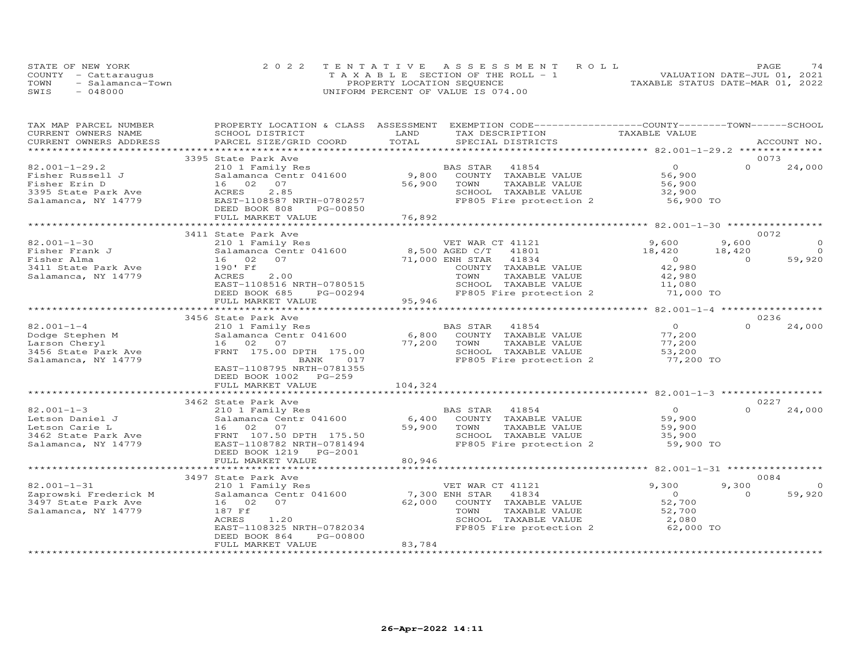| STATE OF NEW YORK        | 2022 TENTATIVE ASSESSMENT ROLL        | 74<br>PAGE                       |
|--------------------------|---------------------------------------|----------------------------------|
| COUNTY - Cattaraugus     | T A X A B L E SECTION OF THE ROLL - 1 | VALUATION DATE-JUL 01, 2021      |
| TOWN<br>- Salamanca-Town | PROPERTY LOCATION SEQUENCE            | TAXABLE STATUS DATE-MAR 01, 2022 |
| $-048000$<br>SWIS        | UNIFORM PERCENT OF VALUE IS 074.00    |                                  |

| TAX MAP PARCEL NUMBER<br>CURRENT OWNERS NAME | SCHOOL DISTRICT                                | LAND    | PROPERTY LOCATION & CLASS ASSESSMENT EXEMPTION CODE----------------COUNTY-------TOWN------SCHOOL<br>TAX DESCRIPTION | TAXABLE VALUE       |          |                |
|----------------------------------------------|------------------------------------------------|---------|---------------------------------------------------------------------------------------------------------------------|---------------------|----------|----------------|
| CURRENT OWNERS ADDRESS                       | PARCEL SIZE/GRID COORD                         | TOTAL   | SPECIAL DISTRICTS                                                                                                   |                     |          | ACCOUNT NO.    |
|                                              |                                                |         |                                                                                                                     |                     |          | 0073           |
| $82.001 - 1 - 29.2$                          | 3395 State Park Ave<br>210 1 Family Res        |         | BAS STAR<br>41854                                                                                                   | $\Omega$            | $\Omega$ | 24,000         |
| Fisher Russell J                             | Salamanca Centr 041600                         | 9,800   | COUNTY TAXABLE VALUE                                                                                                | 56,900              |          |                |
| Fisher Erin D                                | 16 02 07                                       | 56,900  | TOWN<br>TAXABLE VALUE                                                                                               | 56,900              |          |                |
|                                              |                                                |         |                                                                                                                     |                     |          |                |
| 3395 State Park Ave                          | ACRES<br>2.85<br>EAST-1108587 NRTH-0780257     |         | SCHOOL TAXABLE VALUE<br>FP805 Fire protection 2                                                                     | 32,900<br>56,900 TO |          |                |
| Salamanca, NY 14779                          | DEED BOOK 808<br>PG-00850                      |         |                                                                                                                     |                     |          |                |
|                                              | FULL MARKET VALUE                              | 76,892  |                                                                                                                     |                     |          |                |
|                                              |                                                |         |                                                                                                                     |                     |          |                |
|                                              | 3411 State Park Ave                            |         |                                                                                                                     |                     |          | 0072           |
| $82.001 - 1 - 30$                            | 210 1 Family Res                               |         | VET WAR CT 41121                                                                                                    | 9,600               | 9,600    | $\Omega$       |
| Fisher Frank J                               | Salamanca Centr 041600 8,500 AGED C/T          |         | 41801                                                                                                               | 18,420              | 18,420   | $\overline{O}$ |
| Fisher Alma                                  | 16 02<br>07                                    |         | 71,000 ENH STAR<br>41834                                                                                            | $\overline{0}$      | $\Omega$ | 59,920         |
| 3411 State Park Ave                          | 190' Ff                                        |         | COUNTY TAXABLE VALUE                                                                                                | 42,980              |          |                |
| Salamanca, NY 14779                          | ACRES<br>2.00                                  |         | TOWN<br>TAXABLE VALUE                                                                                               | 42,980              |          |                |
|                                              | EAST-1108516 NRTH-0780515                      |         | SCHOOL TAXABLE VALUE                                                                                                | 11,080              |          |                |
|                                              | DEED BOOK 685<br>PG-00294                      |         | FP805 Fire protection 2                                                                                             | 71,000 TO           |          |                |
|                                              | FULL MARKET VALUE                              | 95,946  |                                                                                                                     |                     |          |                |
|                                              |                                                |         |                                                                                                                     |                     |          |                |
|                                              | 3456 State Park Ave                            |         |                                                                                                                     |                     |          | 0236           |
| $82.001 - 1 - 4$                             | 210 1 Family Res                               |         | BAS STAR<br>41854                                                                                                   | $\overline{0}$      | $\Omega$ | 24,000         |
| Dodge Stephen M                              | Salamanca Centr 041600                         | 6,800   | COUNTY TAXABLE VALUE                                                                                                | 77,200              |          |                |
| Larson Cheryl                                | 16 02 07                                       | 77,200  | TOWN<br>TAXABLE VALUE                                                                                               | 77,200              |          |                |
| 3456 State Park Ave                          | FRNT 175.00 DPTH 175.00                        |         | SCHOOL TAXABLE VALUE                                                                                                | 53,200              |          |                |
| Salamanca, NY 14779                          | <b>BANK</b><br>017                             |         | FP805 Fire protection 2                                                                                             | 77,200 TO           |          |                |
|                                              | EAST-1108795 NRTH-0781355                      |         |                                                                                                                     |                     |          |                |
|                                              | DEED BOOK 1002 PG-259                          |         |                                                                                                                     |                     |          |                |
|                                              | FULL MARKET VALUE                              | 104,324 |                                                                                                                     |                     |          |                |
|                                              |                                                |         |                                                                                                                     |                     |          |                |
|                                              | 3462 State Park Ave                            |         |                                                                                                                     |                     |          | 0227           |
| $82.001 - 1 - 3$                             | 210 1 Family Res                               |         | 41854<br>BAS STAR                                                                                                   | $\overline{0}$      |          | 24,000         |
| Letson Daniel J                              | Salamanca Centr 041600                         | 6,400   | COUNTY TAXABLE VALUE                                                                                                | 59,900              |          |                |
| Letson Carie L                               | 16 02 07                                       | 59,900  | TOWN<br>TAXABLE VALUE                                                                                               | 59,900              |          |                |
| 3462 State Park Ave                          | FRNT 107.50 DPTH 175.50                        |         | SCHOOL TAXABLE VALUE                                                                                                | 35,900              |          |                |
| Salamanca, NY 14779                          | EAST-1108782 NRTH-0781494                      |         | FP805 Fire protection 2                                                                                             | 59,900 TO           |          |                |
|                                              | DEED BOOK 1219 PG-2001                         |         |                                                                                                                     |                     |          |                |
|                                              | FULL MARKET VALUE<br>************************* | 80,946  |                                                                                                                     |                     |          |                |
|                                              | 3497 State Park Ave                            |         |                                                                                                                     |                     |          | 0084           |
| $82.001 - 1 - 31$                            | 210 1 Family Res                               |         | VET WAR CT 41121                                                                                                    | 9,300               | 9,300    | $\Omega$       |
| Zaprowski Frederick M                        | Salamanca Centr 041600                         |         | 7,300 ENH STAR<br>41834                                                                                             | $\bigcirc$          | $\Omega$ | 59,920         |
| 3497 State Park Ave                          | 16 02 07                                       | 62,000  | COUNTY TAXABLE VALUE                                                                                                | 52,700              |          |                |
| Salamanca, NY 14779                          | 187 Ff                                         |         | TAXABLE VALUE<br>TOWN                                                                                               | 52,700              |          |                |
|                                              | ACRES<br>1,20                                  |         | SCHOOL TAXABLE VALUE                                                                                                | 2,080               |          |                |
|                                              | EAST-1108325 NRTH-0782034                      |         | FP805 Fire protection 2                                                                                             | 62,000 TO           |          |                |
|                                              | DEED BOOK 864<br>PG-00800                      |         |                                                                                                                     |                     |          |                |
|                                              | FULL MARKET VALUE                              | 83,784  |                                                                                                                     |                     |          |                |
|                                              |                                                |         |                                                                                                                     |                     |          |                |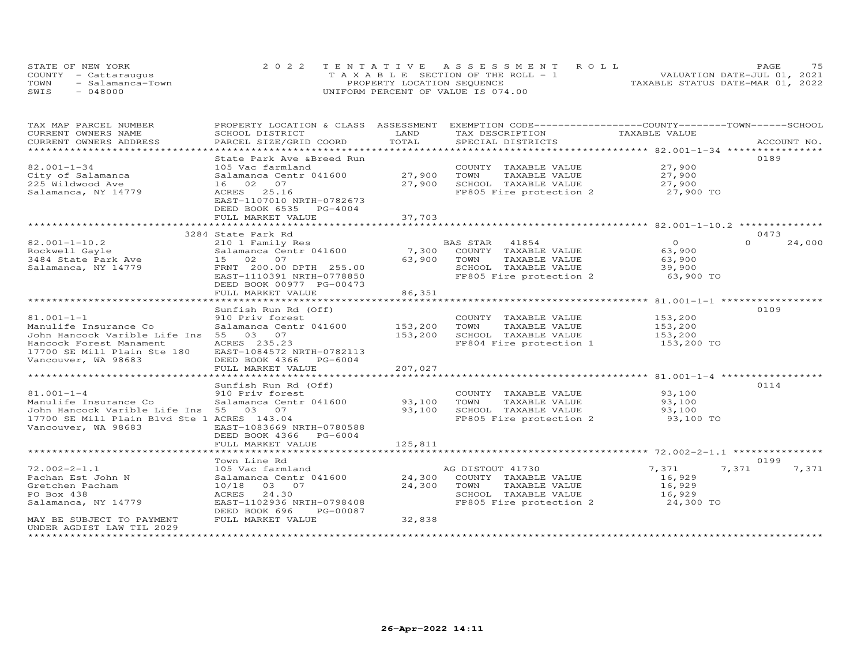| STATE OF NEW YORK        | 2022 TENTATIVE ASSESSMENT ROLL        | 75<br>PAGE.                      |
|--------------------------|---------------------------------------|----------------------------------|
| COUNTY - Cattaraugus     | T A X A B L E SECTION OF THE ROLL - 1 | VALUATION DATE-JUL 01, 2021      |
| TOWN<br>- Salamanca-Town | PROPERTY LOCATION SEQUENCE            | TAXABLE STATUS DATE-MAR 01, 2022 |
| $-048000$<br>SWIS        | UNIFORM PERCENT OF VALUE IS 074.00    |                                  |

| TAX MAP PARCEL NUMBER                                                                 | PROPERTY LOCATION & CLASS ASSESSMENT |         | EXEMPTION CODE-----------------COUNTY-------TOWN------SCHOOL |                     |                    |
|---------------------------------------------------------------------------------------|--------------------------------------|---------|--------------------------------------------------------------|---------------------|--------------------|
| CURRENT OWNERS NAME                                                                   | SCHOOL DISTRICT                      | LAND    | TAX DESCRIPTION                                              | TAXABLE VALUE       |                    |
| CURRENT OWNERS ADDRESS                                                                | PARCEL SIZE/GRID COORD               | TOTAL   | SPECIAL DISTRICTS                                            |                     | ACCOUNT NO.        |
| ***********************                                                               |                                      |         |                                                              |                     |                    |
|                                                                                       | State Park Ave & Breed Run           |         |                                                              |                     | 0189               |
| $82.001 - 1 - 34$                                                                     | 105 Vac farmland                     |         | COUNTY TAXABLE VALUE                                         | 27,900              |                    |
| City of Salamanca                                                                     | Salamanca Centr 041600               | 27,900  | TOWN<br>TAXABLE VALUE                                        | 27,900              |                    |
| 225 Wildwood Ave                                                                      | 16 02 07                             | 27,900  | SCHOOL TAXABLE VALUE                                         | 27,900              |                    |
| Salamanca, NY 14779                                                                   | ACRES 25.16                          |         | FP805 Fire protection 2                                      | 27,900 TO           |                    |
|                                                                                       | EAST-1107010 NRTH-0782673            |         |                                                              |                     |                    |
|                                                                                       | DEED BOOK 6535 PG-4004               |         |                                                              |                     |                    |
|                                                                                       | FULL MARKET VALUE                    | 37,703  |                                                              |                     |                    |
|                                                                                       |                                      |         |                                                              |                     |                    |
|                                                                                       | 3284 State Park Rd                   |         |                                                              |                     | 0473               |
| $82.001 - 1 - 10.2$                                                                   | 210 1 Family Res                     |         | BAS STAR 41854                                               | $\Omega$            | $\Omega$<br>24,000 |
| Rockwell Gayle                                                                        | Salamanca Centr 041600               | 7,300   | COUNTY TAXABLE VALUE                                         | 63,900              |                    |
| 3484 State Park Ave                                                                   | 15 02 07                             | 63,900  | TOWN<br>TAXABLE VALUE                                        | 63,900              |                    |
| Salamanca, NY 14779                                                                   | FRNT 200.00 DPTH 255.00              |         | SCHOOL TAXABLE VALUE                                         | 39,900              |                    |
|                                                                                       | EAST-1110391 NRTH-0778850            |         | FP805 Fire protection 2                                      | 63,900 TO           |                    |
|                                                                                       | DEED BOOK 00977 PG-00473             |         |                                                              |                     |                    |
|                                                                                       | FULL MARKET VALUE                    | 86,351  |                                                              |                     |                    |
|                                                                                       |                                      |         |                                                              |                     |                    |
|                                                                                       | Sunfish Run Rd (Off)                 |         |                                                              |                     | 0109               |
| $81.001 - 1 - 1$                                                                      | 910 Priv forest                      |         | COUNTY TAXABLE VALUE                                         | 153,200             |                    |
| Manulife Insurance Co                                                                 | Salamanca Centr 041600               | 153,200 | TAXABLE VALUE<br>TOWN                                        | 153,200             |                    |
| John Hancock Varible Life Ins 55 03 07                                                |                                      | 153,200 | SCHOOL TAXABLE VALUE                                         | 153,200             |                    |
| Hancock Forest Manament                                                               | ACRES 235.23                         |         | FP804 Fire protection 1                                      | 153,200 TO          |                    |
| 17700 SE Mill Plain Ste 180                                                           | EAST-1084572 NRTH-0782113            |         |                                                              |                     |                    |
| Vancouver, WA 98683                                                                   | DEED BOOK 4366 PG-6004               |         |                                                              |                     |                    |
|                                                                                       | FULL MARKET VALUE                    | 207,027 |                                                              |                     |                    |
|                                                                                       |                                      |         |                                                              |                     |                    |
|                                                                                       | Sunfish Run Rd (Off)                 |         |                                                              |                     | 0114               |
| $81.001 - 1 - 4$<br>Manulife Insurance Co                                             | 910 Priv forest                      |         | COUNTY TAXABLE VALUE                                         | 93,100              |                    |
|                                                                                       | Salamanca Centr 041600 93,100        | 93,100  | TAXABLE VALUE<br>TOWN<br>SCHOOL TAXABLE VALUE                | 93,100              |                    |
| John Hancock Varible Life Ins 55 03 07<br>17700 SE Mill Plain Blvd Ste 1 ACRES 143.04 |                                      |         | FP805 Fire protection 2                                      | 93,100<br>93,100 TO |                    |
| Vancouver, WA 98683                                                                   | EAST-1083669 NRTH-0780588            |         |                                                              |                     |                    |
|                                                                                       | DEED BOOK 4366 PG-6004               |         |                                                              |                     |                    |
|                                                                                       | FULL MARKET VALUE                    | 125,811 |                                                              |                     |                    |
|                                                                                       |                                      |         |                                                              |                     |                    |
|                                                                                       | Town Line Rd                         |         |                                                              |                     | 0199               |
| $72.002 - 2 - 1.1$                                                                    | 105 Vac farmland                     |         | AG DISTOUT 41730                                             | 7,371               | 7,371<br>7,371     |
| Pachan Est John N                                                                     | Salamanca Centr 041600               | 24,300  | COUNTY TAXABLE VALUE                                         | 16,929              |                    |
| Gretchen Pacham                                                                       | 10/18 03 07                          | 24,300  | TOWN<br>TAXABLE VALUE                                        | 16,929              |                    |
| PO Box 438                                                                            | ACRES 24.30                          |         | SCHOOL TAXABLE VALUE                                         |                     |                    |
| Salamanca, NY 14779                                                                   | EAST-1102936 NRTH-0798408            |         | FP805 Fire protection 2                                      | 16,929<br>24,300 TO |                    |
|                                                                                       | DEED BOOK 696<br>PG-00087            |         |                                                              |                     |                    |
| MAY BE SUBJECT TO PAYMENT                                                             | FULL MARKET VALUE                    | 32,838  |                                                              |                     |                    |
| UNDER AGDIST LAW TIL 2029                                                             |                                      |         |                                                              |                     |                    |
| *********************                                                                 |                                      |         |                                                              |                     |                    |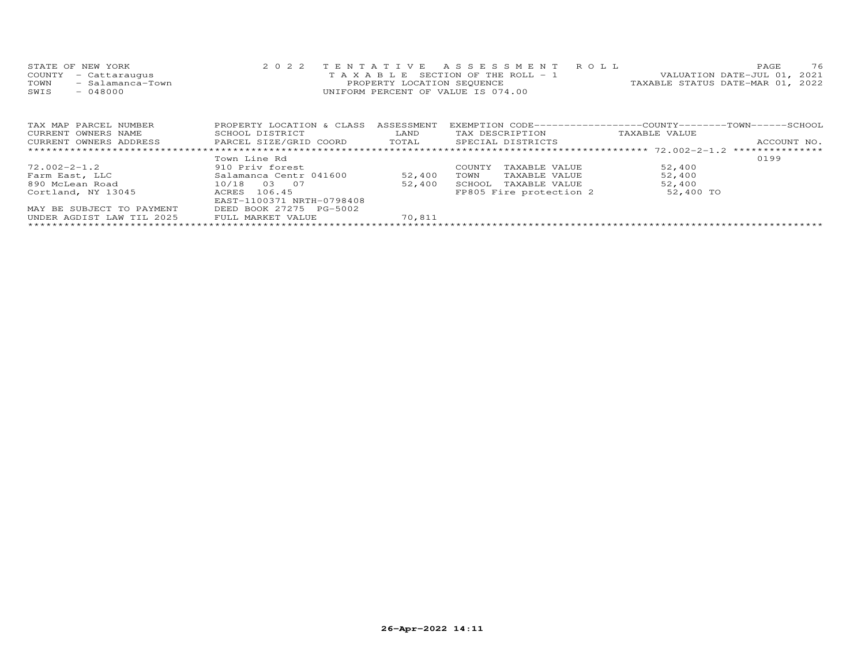| STATE OF NEW YORK        | 2022 TENTATIVE ASSESSMENT ROLL     | 76<br><b>PAGE</b>                |
|--------------------------|------------------------------------|----------------------------------|
| COUNTY - Cattaraugus     | TAXABLE SECTION OF THE ROLL - 1    | VALUATION DATE-JUL 01, 2021      |
| - Salamanca-Town<br>TOWN | PROPERTY LOCATION SEQUENCE         | TAXABLE STATUS DATE-MAR 01, 2022 |
| $-048000$<br>SWIS        | UNIFORM PERCENT OF VALUE IS 074.00 |                                  |
|                          |                                    |                                  |

| TAX MAP PARCEL NUMBER     | PROPERTY LOCATION & CLASS | ASSESSMENT | EXEMPTION CODE-----------------COUNTY-------TOWN-----SCHOOL |               |             |
|---------------------------|---------------------------|------------|-------------------------------------------------------------|---------------|-------------|
| CURRENT OWNERS NAME       | SCHOOL DISTRICT           | LAND       | TAX DESCRIPTION                                             | TAXABLE VALUE |             |
| CURRENT OWNERS ADDRESS    | PARCEL SIZE/GRID COORD    | TOTAL      | SPECIAL DISTRICTS                                           |               | ACCOUNT NO. |
|                           |                           |            |                                                             |               |             |
|                           | Town Line Rd              |            |                                                             |               | 0199        |
| 72.002-2-1.2              | 910 Priv forest           |            | TAXABLE VALUE<br><b>COUNTY</b>                              | 52,400        |             |
| Farm East, LLC            | Salamanca Centr 041600    | 52,400     | TAXABLE VALUE<br>TOWN                                       | 52,400        |             |
| 890 McLean Road           | 10/18<br>03 07            | 52,400     | TAXABLE VALUE<br>SCHOOL                                     | 52,400        |             |
| Cortland, NY 13045        | ACRES 106.45              |            | FP805 Fire protection 2                                     | 52,400 TO     |             |
|                           | EAST-1100371 NRTH-0798408 |            |                                                             |               |             |
| MAY BE SUBJECT TO PAYMENT | DEED BOOK 27275 PG-5002   |            |                                                             |               |             |
| UNDER AGDIST LAW TIL 2025 | FULL MARKET VALUE         | 70,811     |                                                             |               |             |
|                           |                           |            |                                                             |               |             |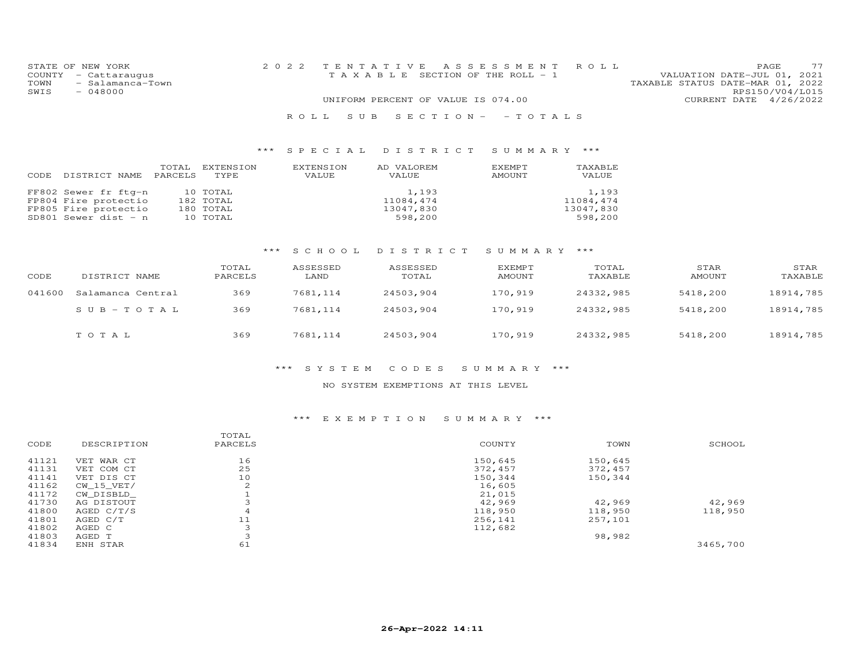|      | STATE OF NEW YORK    | 2022 TENTATIVE ASSESSMENT ROLL                                       | <b>PAGE</b>     | 77 |
|------|----------------------|----------------------------------------------------------------------|-----------------|----|
|      | COUNTY - Cattaraugus | VALUATION DATE-JUL 01, 2021<br>T A X A B L E SECTION OF THE ROLL - 1 |                 |    |
| TOWN | - Salamanca-Town     | TAXABLE STATUS DATE-MAR 01, 2022                                     |                 |    |
| SWIS | $-048000$            |                                                                      | RPS150/V04/L015 |    |
|      |                      | UNIFORM PERCENT OF VALUE IS 074.00<br>CURRENT DATE 4/26/2022         |                 |    |
|      |                      |                                                                      |                 |    |

## R O L L S U B S E C T I O N - - T O T A L S

## \*\*\* S P E C I A L D I S T R I C T S U M M A R Y \*\*\*

| CODE. | DISTRICT NAME                                                                                | TOTAL<br>PARCELS | EXTENSION<br>TYPE                              | EXTENSION<br>VALUE | AD VALOREM<br>VALUE                        | EXEMPT<br>AMOUNT | TAXABLE<br>VALUE                           |
|-------|----------------------------------------------------------------------------------------------|------------------|------------------------------------------------|--------------------|--------------------------------------------|------------------|--------------------------------------------|
|       | FF802 Sewer fr ftg-n<br>FP804 Fire protectio<br>FP805 Fire protectio<br>SD801 Sewer dist - n |                  | 10 TOTAL<br>182 TOTAL<br>180 TOTAL<br>10 TOTAL |                    | 1,193<br>11084,474<br>13047,830<br>598,200 |                  | 1,193<br>11084,474<br>13047,830<br>598,200 |

# \*\*\* S C H O O L D I S T R I C T S U M M A R Y \*\*\*

| CODE   | DISTRICT NAME     | TOTAL<br>PARCELS | ASSESSED<br>LAND | ASSESSED<br>TOTAL | EXEMPT<br>AMOUNT | TOTAL<br>TAXABLE | STAR<br>AMOUNT | STAR<br>TAXABLE |
|--------|-------------------|------------------|------------------|-------------------|------------------|------------------|----------------|-----------------|
| 041600 | Salamanca Central | 369              | 7681,114         | 24503,904         | 170,919          | 24332,985        | 5418,200       | 18914,785       |
|        | $SUB - TO T AL$   | 369              | 7681,114         | 24503,904         | 170,919          | 24332,985        | 5418,200       | 18914,785       |
|        | TOTAL             | 369              | 7681,114         | 24503,904         | 170,919          | 24332,985        | 5418,200       | 18914,785       |

### \*\*\* S Y S T E M C O D E S S U M M A R Y \*\*\*

### NO SYSTEM EXEMPTIONS AT THIS LEVEL

## \*\*\* E X E M P T I O N S U M M A R Y \*\*\*

|       |              | TOTAL   |         |         |          |
|-------|--------------|---------|---------|---------|----------|
| CODE  | DESCRIPTION  | PARCELS | COUNTY  | TOWN    | SCHOOL   |
| 41121 | VET WAR CT   | 16      | 150,645 | 150,645 |          |
| 41131 | VET COM CT   | 25      | 372,457 | 372,457 |          |
| 41141 | VET DIS CT   | 10      | 150,344 | 150,344 |          |
| 41162 | CW 15 VET/   | 2       | 16,605  |         |          |
| 41172 | CW_DISBLD    |         | 21,015  |         |          |
| 41730 | AG DISTOUT   | 3       | 42,969  | 42,969  | 42,969   |
| 41800 | AGED $C/T/S$ | 4       | 118,950 | 118,950 | 118,950  |
| 41801 | AGED C/T     | 11      | 256,141 | 257,101 |          |
| 41802 | AGED C       | 3       | 112,682 |         |          |
| 41803 | AGED T       |         |         | 98,982  |          |
| 41834 | ENH STAR     | 61      |         |         | 3465,700 |
|       |              |         |         |         |          |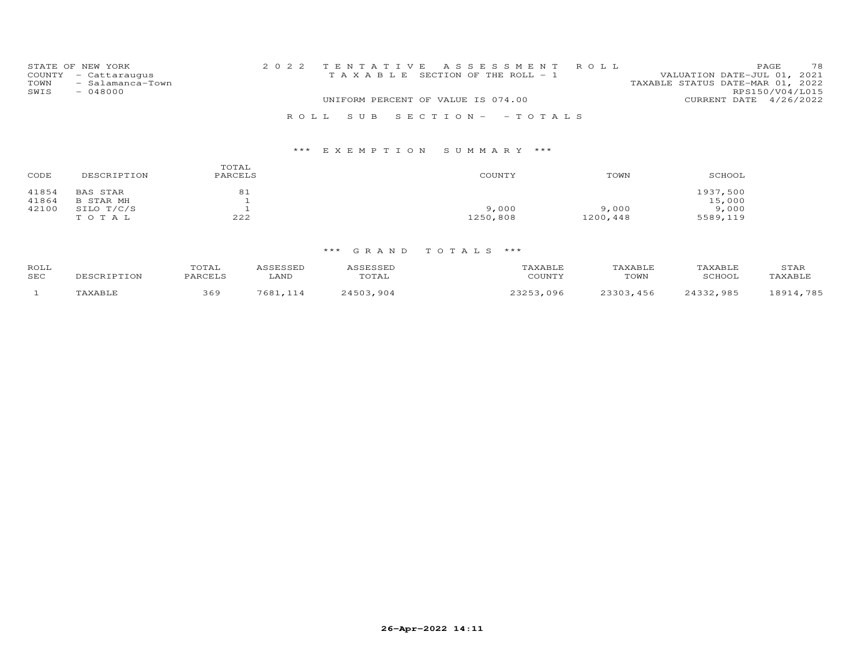|      | STATE OF NEW YORK    |                                    |  | 2022 TENTATIVE ASSESSMENT ROLL        |                                  |                        | PAGE. | 78 |
|------|----------------------|------------------------------------|--|---------------------------------------|----------------------------------|------------------------|-------|----|
|      | COUNTY - Cattaraugus |                                    |  | T A X A B L E SECTION OF THE ROLL - 1 | VALUATION DATE-JUL 01, 2021      |                        |       |    |
| TOWN | - Salamanca-Town     |                                    |  |                                       | TAXABLE STATUS DATE-MAR 01, 2022 |                        |       |    |
| SWIS | $-048000$            |                                    |  |                                       |                                  | RPS150/V04/L015        |       |    |
|      |                      | UNIFORM PERCENT OF VALUE IS 074.00 |  |                                       |                                  | CURRENT DATE 4/26/2022 |       |    |
|      |                      |                                    |  | ROLL SUB SECTION- - TOTALS            |                                  |                        |       |    |

| CODE  | DESCRIPTION | TOTAL<br>PARCELS | COUNTY   | TOWN     | SCHOOL   |
|-------|-------------|------------------|----------|----------|----------|
| 41854 | BAS STAR    | 81               |          |          | 1937,500 |
| 41864 | B STAR MH   |                  |          |          | 15,000   |
| 42100 | SILO T/C/S  |                  | 9,000    | 9,000    | 9,000    |
|       | TOTAL       | 222              | 1250,808 | 1200,448 | 5589,119 |

| ROLL<br>SEC | <b>DESCRIPTION</b>    | TOTAL<br><b>DARCELS</b> | LAND | للتلادرت<br>UIAL | 'AXABLF<br>COUNTY | TAXABLE<br>TOWN | <b>TAXABLE</b><br>SCHOOL | STAR<br><b>TAXABLE</b> |
|-------------|-----------------------|-------------------------|------|------------------|-------------------|-----------------|--------------------------|------------------------|
|             | <b><i>FAXABLE</i></b> | 369                     | 7681 | 904<br>1.501     | 096               | . 456<br>つついつ   | 1つつつ<br>QQL              | 785<br>$9011$          |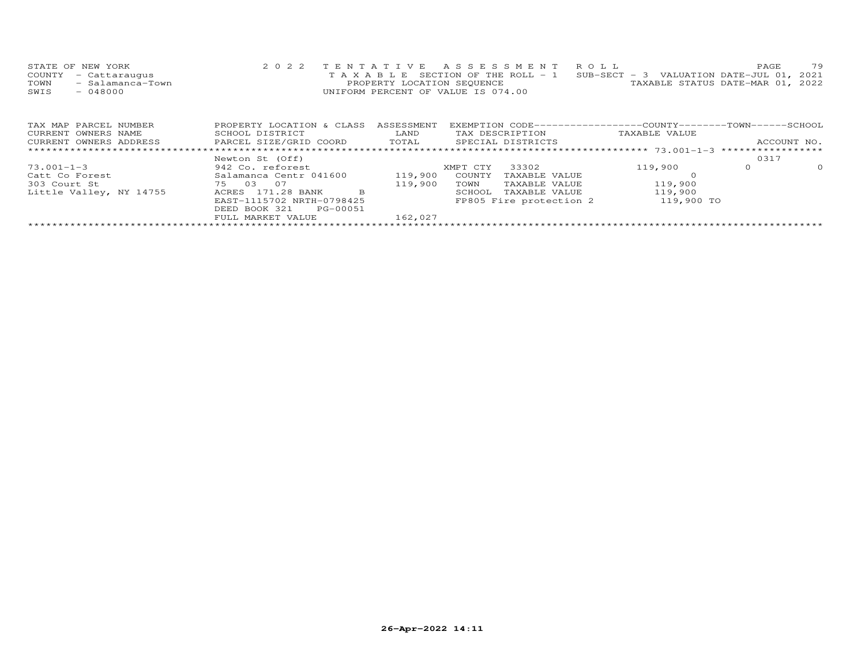| STATE OF NEW YORK        | 2022 TENTATIVE ASSESSMENT ROLL                                                 | 79<br>PAGE.                      |
|--------------------------|--------------------------------------------------------------------------------|----------------------------------|
| COUNTY - Cattaraugus     | T A X A B L E SECTION OF THE ROLL - 1 SUB-SECT - 3 VALUATION DATE-JUL 01, 2021 |                                  |
| - Salamanca-Town<br>TOWN | PROPERTY LOCATION SEOUENCE                                                     | TAXABLE STATUS DATE-MAR 01, 2022 |
| SWIS<br>- 048000         | UNIFORM PERCENT OF VALUE IS 074.00                                             |                                  |
|                          |                                                                                |                                  |

| TAX MAP PARCEL NUMBER   | PROPERTY LOCATION & CLASS | ASSESSMENT |          |                         | EXEMPTION CODE-----------------COUNTY-------TOWN-----SCHOOL |      |             |
|-------------------------|---------------------------|------------|----------|-------------------------|-------------------------------------------------------------|------|-------------|
| CURRENT OWNERS NAME     | SCHOOL DISTRICT           | LAND       |          | TAX DESCRIPTION         | TAXABLE VALUE                                               |      |             |
| CURRENT OWNERS ADDRESS  | PARCEL SIZE/GRID COORD    | TOTAL      |          | SPECIAL DISTRICTS       |                                                             |      | ACCOUNT NO. |
|                         |                           |            |          |                         |                                                             |      |             |
|                         | Newton St (Off)           |            |          |                         |                                                             | 0317 |             |
| $73.001 - 1 - 3$        | 942 Co. reforest          |            | XMPT CTY | 33302                   | 119,900                                                     |      | $\Omega$    |
| Catt Co Forest          | Salamanca Centr 041600    | 119,900    | COUNTY   | TAXABLE VALUE           |                                                             |      |             |
| 303 Court St            | - 0.7<br>0.3<br>75        | 119,900    | TOWN     | TAXABLE VALUE           | 119,900                                                     |      |             |
| Little Valley, NY 14755 | 171.28 BANK<br>ACRES<br>B |            | SCHOOL   | TAXABLE VALUE           | 119,900                                                     |      |             |
|                         | EAST-1115702 NRTH-0798425 |            |          | FP805 Fire protection 2 | 119,900 TO                                                  |      |             |
|                         | DEED BOOK 321<br>PG-00051 |            |          |                         |                                                             |      |             |
|                         | FULL MARKET VALUE         | 162,027    |          |                         |                                                             |      |             |
|                         |                           |            |          |                         |                                                             |      |             |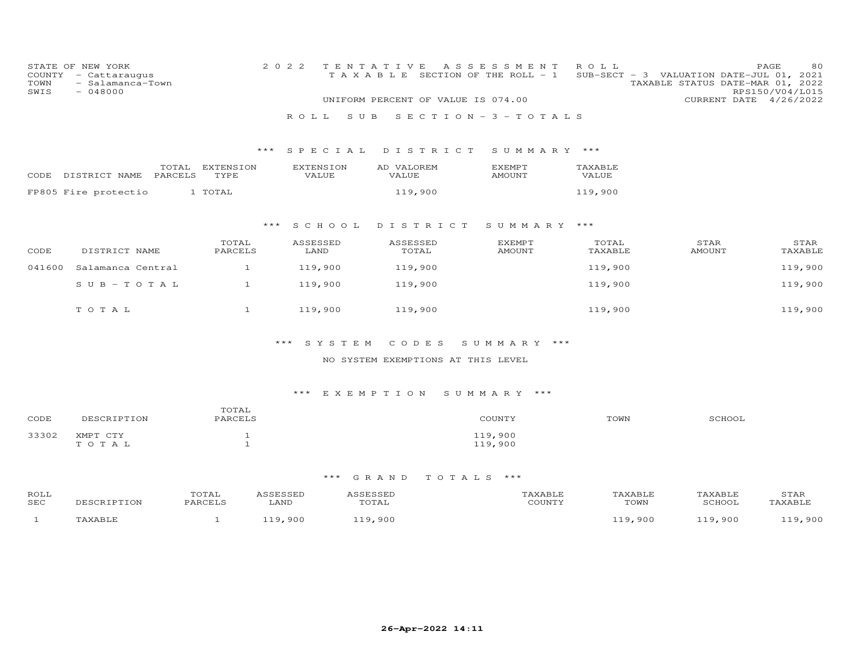| COUNTY<br>TOWN<br>SWIS | STATE OF NEW YORK<br>- Cattaraugus<br>- Salamanca-Town<br>$-048000$ |                   | 2 0 2 2<br>ROLL<br>S U B  | TENTATIVE<br>TAXABLE SECTION OF THE ROLL - 1<br>UNIFORM PERCENT OF VALUE IS 074.00 | A S S E S S M E N T<br>$S E C T I O N - 3 - T O T A L S$ | ROLL             | PAGE<br>SUB-SECT - 3 VALUATION DATE-JUL 01, 2021<br>TAXABLE STATUS DATE-MAR 01, 2022<br>CURRENT DATE 4/26/2022 | 80<br>RPS150/V04/L015 |
|------------------------|---------------------------------------------------------------------|-------------------|---------------------------|------------------------------------------------------------------------------------|----------------------------------------------------------|------------------|----------------------------------------------------------------------------------------------------------------|-----------------------|
|                        |                                                                     | $***$             |                           |                                                                                    |                                                          |                  |                                                                                                                |                       |
|                        |                                                                     |                   | SPECIAL                   | DISTRICT                                                                           | SUMMARY ***                                              |                  |                                                                                                                |                       |
|                        | TOTAL<br>PARCELS<br>CODE DISTRICT NAME                              | EXTENSION<br>TYPE | <b>EXTENSION</b><br>VALUE | AD VALOREM<br>VALUE                                                                | EXEMPT<br>AMOUNT                                         | TAXABLE<br>VALUE |                                                                                                                |                       |
|                        | FP805 Fire protectio                                                | 1 TOTAL           |                           | 119,900                                                                            |                                                          | 119,900          |                                                                                                                |                       |
|                        |                                                                     |                   |                           |                                                                                    |                                                          |                  |                                                                                                                |                       |
|                        |                                                                     | $***$             | SCHOOL                    | DISTRICT                                                                           | SUMMARY ***                                              |                  |                                                                                                                |                       |
| CODE                   | DISTRICT NAME                                                       | TOTAL<br>PARCELS  | ASSESSED<br>LAND          | ASSESSED<br>TOTAL                                                                  | <b>EXEMPT</b><br><b>AMOUNT</b>                           | TOTAL<br>TAXABLE | STAR<br><b>AMOUNT</b>                                                                                          | STAR<br>TAXABLE       |
| 041600                 | Salamanca Central                                                   | $\mathbf{1}$      | 119,900                   | 119,900                                                                            |                                                          | 119,900          |                                                                                                                | 119,900               |
|                        | $S \cup B - T \cup T A L$                                           | $\mathbf{1}$      | 119,900                   | 119,900                                                                            |                                                          | 119,900          |                                                                                                                | 119,900               |
|                        | TOTAL                                                               | $\mathbf{1}$      | 119,900                   | 119,900                                                                            |                                                          | 119,900          |                                                                                                                | 119,900               |
|                        |                                                                     |                   |                           |                                                                                    |                                                          |                  |                                                                                                                |                       |
|                        |                                                                     |                   | ***<br>SYSTEM             | CODES                                                                              | SUMMARY ***                                              |                  |                                                                                                                |                       |
|                        |                                                                     |                   |                           | NO SYSTEM EXEMPTIONS AT THIS LEVEL                                                 |                                                          |                  |                                                                                                                |                       |
|                        |                                                                     |                   | ***                       | EXEMPTION SUMMARY ***                                                              |                                                          |                  |                                                                                                                |                       |
| CODE                   | DESCRIPTION                                                         | TOTAL<br>PARCELS  |                           |                                                                                    | COUNTY                                                   | TOWN             | SCHOOL                                                                                                         |                       |

# \*\*\* G R A N D T O T A L S \*\*\*

119,900<br>119,900

33302 XMPT CTY 1 1<br>
TO TAL 119,900

| ROLL<br>SEC | TPTTON | TOTAL<br><b>DARCELS</b> | LAND  | $\alpha$ m $\alpha$ $\alpha$ mr<br>.<br>TOTAL | CCTNTT1 | <b>AXABLE</b><br>TOWN | TAXABLE<br>SCHOOI | STAR<br><i>NY</i> ARTI |
|-------------|--------|-------------------------|-------|-----------------------------------------------|---------|-----------------------|-------------------|------------------------|
|             |        |                         | 9 N C | . 900                                         |         | . 900                 | . 900             | 900                    |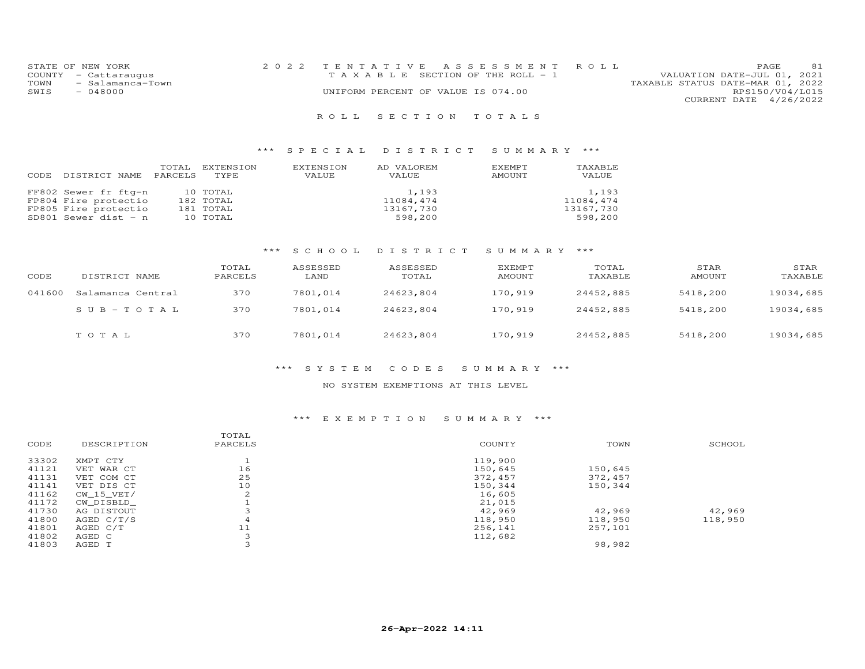| STATE OF NEW YORK        | 2022 TENTATIVE ASSESSMENT ROLL     | 81<br>PAGE.                      |
|--------------------------|------------------------------------|----------------------------------|
| COUNTY - Cattaraugus     | TAXABLE SECTION OF THE ROLL - 1    | VALUATION DATE-JUL 01, 2021      |
| TOWN<br>- Salamanca-Town |                                    | TAXABLE STATUS DATE-MAR 01, 2022 |
| SWIS<br>- 048000         | UNIFORM PERCENT OF VALUE IS 074.00 | RPS150/V04/L015                  |
|                          |                                    | CURRENT DATE 4/26/2022           |

## R O L L S E C T I O N T O T A L S

## \*\*\* S P E C I A L D I S T R I C T S U M M A R Y \*\*\*

| CODE | DISTRICT NAME                                                                                | TOTAL<br>PARCELS | EXTENSION<br>TYPE.                             | EXTENSION<br>VALUE | AD VALOREM<br>VALUE                        | EXEMPT<br>AMOUNT | TAXABLE<br>VALUE                           |
|------|----------------------------------------------------------------------------------------------|------------------|------------------------------------------------|--------------------|--------------------------------------------|------------------|--------------------------------------------|
|      | FF802 Sewer fr ftg-n<br>FP804 Fire protectio<br>FP805 Fire protectio<br>SD801 Sewer dist - n |                  | 10 TOTAL<br>182 TOTAL<br>181 TOTAL<br>10 TOTAL |                    | 1,193<br>11084,474<br>13167,730<br>598,200 |                  | 1,193<br>11084,474<br>13167,730<br>598,200 |

# \*\*\* S C H O O L D I S T R I C T S U M M A R Y \*\*\*

| CODE   | DISTRICT NAME     | TOTAL<br>PARCELS | ASSESSED<br>LAND | ASSESSED<br>TOTAL | EXEMPT<br>AMOUNT | TOTAL<br>TAXABLE | STAR<br>AMOUNT | STAR<br>TAXABLE |
|--------|-------------------|------------------|------------------|-------------------|------------------|------------------|----------------|-----------------|
| 041600 | Salamanca Central | 370              | 7801,014         | 24623,804         | 170,919          | 24452,885        | 5418,200       | 19034,685       |
|        | $SUB - TO T AL$   | 370              | 7801,014         | 24623,804         | 170,919          | 24452,885        | 5418,200       | 19034,685       |
|        | TOTAL             | 370              | 7801,014         | 24623,804         | 170,919          | 24452,885        | 5418,200       | 19034,685       |

### \*\*\* S Y S T E M C O D E S S U M M A R Y \*\*\*

### NO SYSTEM EXEMPTIONS AT THIS LEVEL

## \*\*\* E X E M P T I O N S U M M A R Y \*\*\*

| CODE  | DESCRIPTION    | TOTAL<br>PARCELS | COUNTY  | TOWN    | SCHOOL  |
|-------|----------------|------------------|---------|---------|---------|
|       |                |                  |         |         |         |
| 33302 | XMPT CTY       |                  | 119,900 |         |         |
| 41121 | VET WAR CT     | 16               | 150,645 | 150,645 |         |
| 41131 | VET COM CT     | 25               | 372,457 | 372,457 |         |
| 41141 | VET DIS CT     | 10               | 150,344 | 150,344 |         |
| 41162 | $CW$ 15 $VET/$ | 2                | 16,605  |         |         |
| 41172 | CW DISBLD      |                  | 21,015  |         |         |
| 41730 | AG DISTOUT     |                  | 42,969  | 42,969  | 42,969  |
| 41800 | AGED $C/T/S$   | $\overline{4}$   | 118,950 | 118,950 | 118,950 |
| 41801 | AGED C/T       | 11               | 256,141 | 257,101 |         |
| 41802 | AGED C         | З                | 112,682 |         |         |
| 41803 | AGED T         |                  |         | 98,982  |         |
|       |                |                  |         |         |         |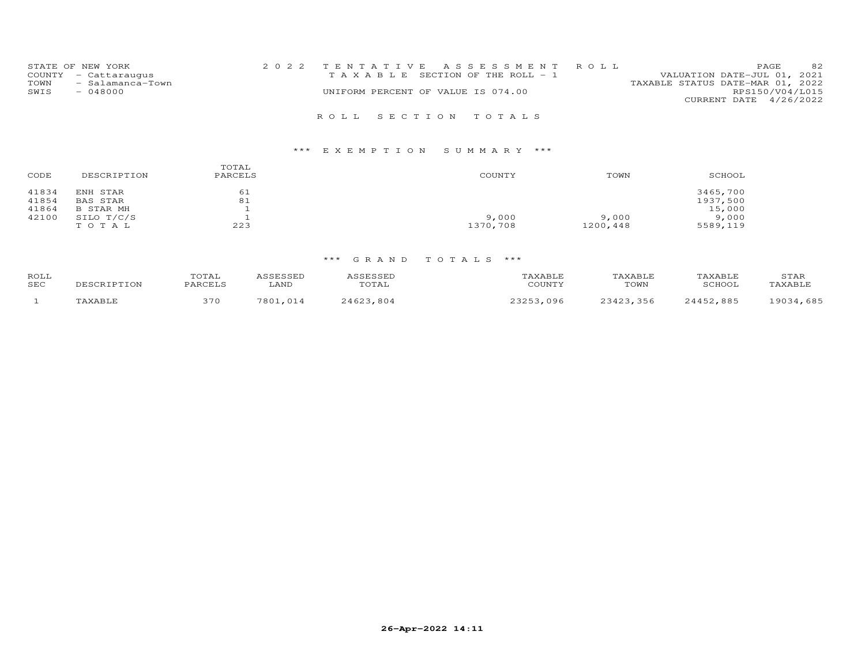| STATE OF NEW YORK<br>COUNTY - Cattaraugus<br>- Salamanca-Town<br>TOWN<br>SWIS<br>$-048000$ | 2022 TENTATIVE ASSESSMENT ROLL<br>T A X A B L E SECTION OF THE ROLL - 1<br>UNIFORM PERCENT OF VALUE IS 074.00 | 82<br>PAGE<br>VALUATION DATE-JUL 01, 2021<br>TAXABLE STATUS DATE-MAR 01, 2022<br>RPS150/V04/L015<br>CURRENT DATE 4/26/2022 |
|--------------------------------------------------------------------------------------------|---------------------------------------------------------------------------------------------------------------|----------------------------------------------------------------------------------------------------------------------------|
|                                                                                            | ROLL SECTION TOTALS                                                                                           |                                                                                                                            |

| CODE  | DESCRIPTION | TOTAL<br>PARCELS | COUNTY   | TOWN     | SCHOOL   |
|-------|-------------|------------------|----------|----------|----------|
| 41834 | ENH STAR    | 61               |          |          | 3465,700 |
| 41854 | BAS STAR    | 81               |          |          | 1937,500 |
| 41864 | B STAR MH   |                  |          |          | 15,000   |
| 42100 | SILO T/C/S  |                  | 9,000    | 9,000    | 9,000    |
|       | TOTAL       | 223              | 1370,708 | 1200,448 | 5589,119 |

| ROLL<br>SEC | DESCRIPTION | TOTAL<br>PARCELS | ASSESSED<br>LAND | ASSESSED<br>TOTAL | TAXABLE<br>COUNTY | TAXABLE<br>TOWN | TAXABLE<br>SCHOOL | STAR<br>TAXABLE |
|-------------|-------------|------------------|------------------|-------------------|-------------------|-----------------|-------------------|-----------------|
|             | TAXABLE     | 370              | 7801,014         | 24623,804         | 23253,096         | 23423.356       | 24452,885         | 19034,685       |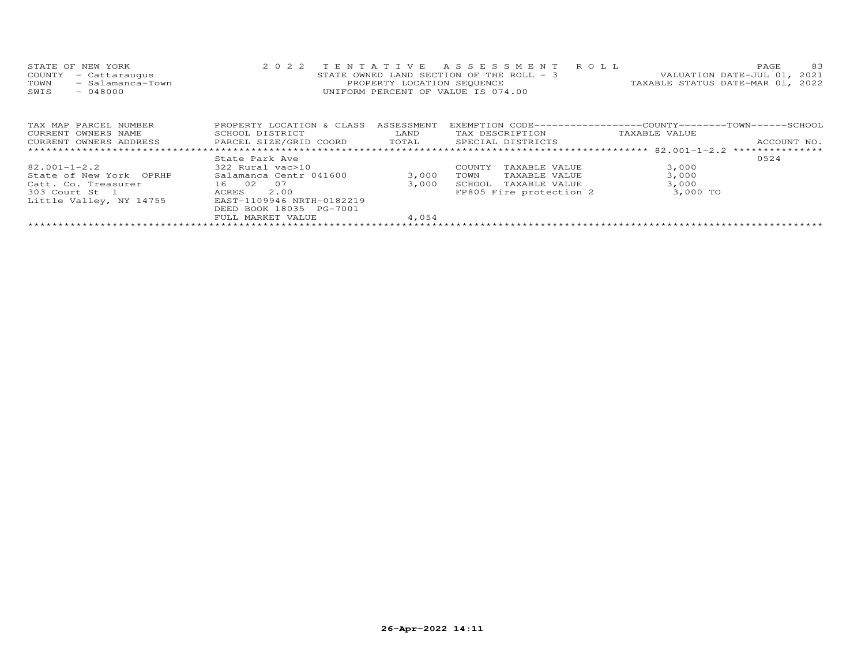| STATE OF NEW YORK        |                                    | 2022 TENTATIVE ASSESSMENT ROLL           |                                  | PAGE. | 83 |
|--------------------------|------------------------------------|------------------------------------------|----------------------------------|-------|----|
| COUNTY - Cattaraugus     |                                    | STATE OWNED LAND SECTION OF THE ROLL - 3 | VALUATION DATE-JUL 01, 2021      |       |    |
| - Salamanca-Town<br>TOWN | PROPERTY LOCATION SEQUENCE         |                                          | TAXABLE STATUS DATE-MAR 01, 2022 |       |    |
| SWIS<br>$-048000$        | UNIFORM PERCENT OF VALUE IS 074.00 |                                          |                                  |       |    |
|                          |                                    |                                          |                                  |       |    |
|                          |                                    |                                          |                                  |       |    |
|                          |                                    |                                          |                                  |       |    |

| TAX MAP PARCEL NUMBER<br>CURRENT OWNERS NAME | PROPERTY LOCATION & CLASS<br>SCHOOL DISTRICT | ASSESSMENT<br>LAND | EXEMPTION CODE-----------------COUNTY------TOWN------SCHOOL<br>TAX DESCRIPTION | TAXABLE VALUE |             |
|----------------------------------------------|----------------------------------------------|--------------------|--------------------------------------------------------------------------------|---------------|-------------|
| CURRENT OWNERS ADDRESS                       | PARCEL SIZE/GRID COORD                       | TOTAL              | SPECIAL DISTRICTS                                                              |               | ACCOUNT NO. |
|                                              | State Park Ave                               |                    |                                                                                |               | 0524        |
| $82.001 - 1 - 2.2$                           | 322 Rural vac>10                             |                    | TAXABLE VALUE<br>COUNTY                                                        | 3,000         |             |
| State of New York OPRHP                      | Salamanca Centr 041600                       | 3,000              | TAXABLE VALUE<br>TOWN                                                          | 3,000         |             |
| Catt. Co. Treasurer                          | 16 02<br>- 0.7                               | 3,000              | SCHOOL<br>TAXABLE VALUE                                                        | 3,000         |             |
| 303 Court St 1                               | 2.00<br>ACRES                                |                    | FP805 Fire protection 2                                                        | 3,000 TO      |             |
| Little Valley, NY 14755                      | EAST-1109946 NRTH-0182219                    |                    |                                                                                |               |             |
|                                              | DEED BOOK 18035 PG-7001                      |                    |                                                                                |               |             |
|                                              | FULL MARKET VALUE                            | 4,054              |                                                                                |               |             |
|                                              |                                              |                    |                                                                                |               |             |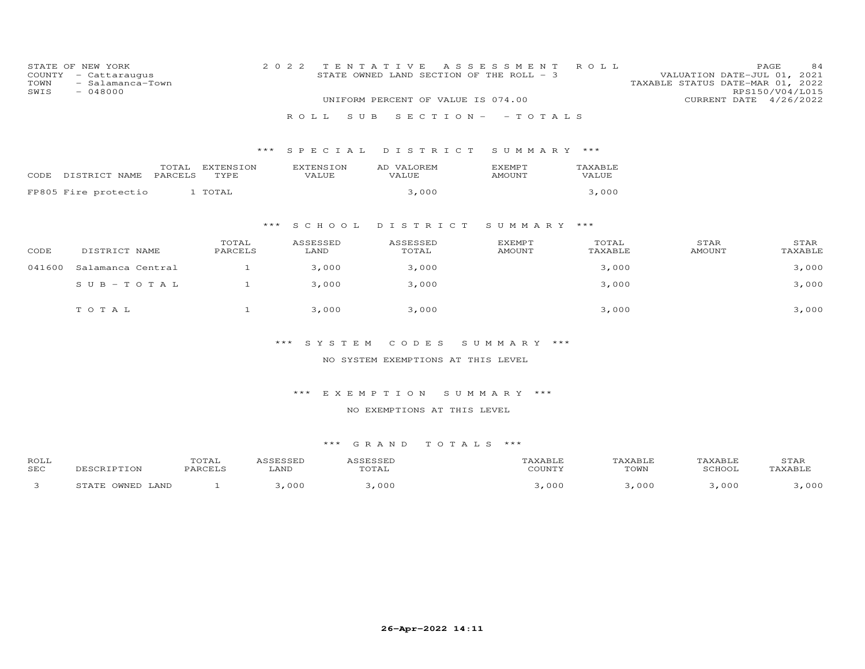| TOWN<br>SWIS | STATE OF NEW YORK<br>COUNTY - Cattaraugus<br>- Salamanca-Town<br>$-048000$ |                                      | 2 0 2 2                   | TENTATIVE<br>STATE OWNED LAND SECTION OF THE ROLL - 3 | A S S E S S M E N T            | ROLL             | VALUATION DATE-JUL 01, 2021<br>TAXABLE STATUS DATE-MAR 01, 2022 | PAGE<br>84<br>RPS150/V04/L015 |
|--------------|----------------------------------------------------------------------------|--------------------------------------|---------------------------|-------------------------------------------------------|--------------------------------|------------------|-----------------------------------------------------------------|-------------------------------|
|              |                                                                            |                                      |                           | UNIFORM PERCENT OF VALUE IS 074.00                    |                                |                  |                                                                 | CURRENT DATE 4/26/2022        |
|              |                                                                            |                                      | S U B<br>R O L L          |                                                       | $S E C T I ON - - TO T AL S$   |                  |                                                                 |                               |
|              |                                                                            | $***$                                | SPECIAL                   | DISTRICT                                              | SUMMARY ***                    |                  |                                                                 |                               |
| CODE         | TOTAL<br>PARCELS<br>DISTRICT NAME                                          | EXTENSION<br>TYPE                    | <b>EXTENSION</b><br>VALUE | AD VALOREM<br>VALUE                                   | <b>EXEMPT</b><br><b>AMOUNT</b> | TAXABLE<br>VALUE |                                                                 |                               |
|              | FP805 Fire protectio                                                       | 1 TOTAL                              |                           | 3,000                                                 |                                | 3,000            |                                                                 |                               |
|              |                                                                            | $***$                                | S C H O O L               | DISTRICT                                              | SUMMARY ***                    |                  |                                                                 |                               |
| CODE         | DISTRICT NAME                                                              | TOTAL<br>PARCELS                     | ASSESSED<br>LAND          | ASSESSED<br>TOTAL                                     | <b>EXEMPT</b><br><b>AMOUNT</b> | TOTAL<br>TAXABLE | STAR<br><b>AMOUNT</b>                                           | STAR<br>TAXABLE               |
| 041600       | Salamanca Central                                                          | $\mathbf{1}$                         | 3,000                     | 3,000                                                 |                                | 3,000            |                                                                 | 3,000                         |
|              | $S$ U B - T O T A L                                                        | $\mathbf{1}$                         | 3,000                     | 3,000                                                 |                                | 3,000            |                                                                 | 3,000                         |
|              | TOTAL                                                                      | $\mathbf{1}$                         | 3,000                     | 3,000                                                 |                                | 3,000            |                                                                 | 3,000                         |
|              |                                                                            |                                      | ***<br>SYSTEM             | CODES                                                 | SUMMARY ***                    |                  |                                                                 |                               |
|              |                                                                            |                                      |                           | NO SYSTEM EXEMPTIONS AT THIS LEVEL                    |                                |                  |                                                                 |                               |
|              |                                                                            |                                      | $***$                     | EXEMPTION                                             | SUMMARY ***                    |                  |                                                                 |                               |
|              |                                                                            |                                      |                           | NO EXEMPTIONS AT THIS LEVEL                           |                                |                  |                                                                 |                               |
|              |                                                                            |                                      |                           |                                                       |                                |                  |                                                                 |                               |
|              |                                                                            |                                      |                           | *** GRAND<br>TOTALS ***                               |                                |                  |                                                                 |                               |
| ROLL<br>SEC  | DESCRIPTION                                                                | TOTAL<br>ASSESSED<br>PARCELS<br>LAND |                           | ASSESSED<br>TOTAL                                     | TAXABLE<br>COUNTY              |                  | TAXABLE<br>TAXABLE<br>TOWN<br>SCHOOL                            | STAR<br>TAXABLE               |
| 3            | STATE OWNED LAND                                                           | $\mathbf{1}$                         | 3,000                     | 3,000                                                 | 3,000                          |                  | 3,000<br>3,000                                                  | 3,000                         |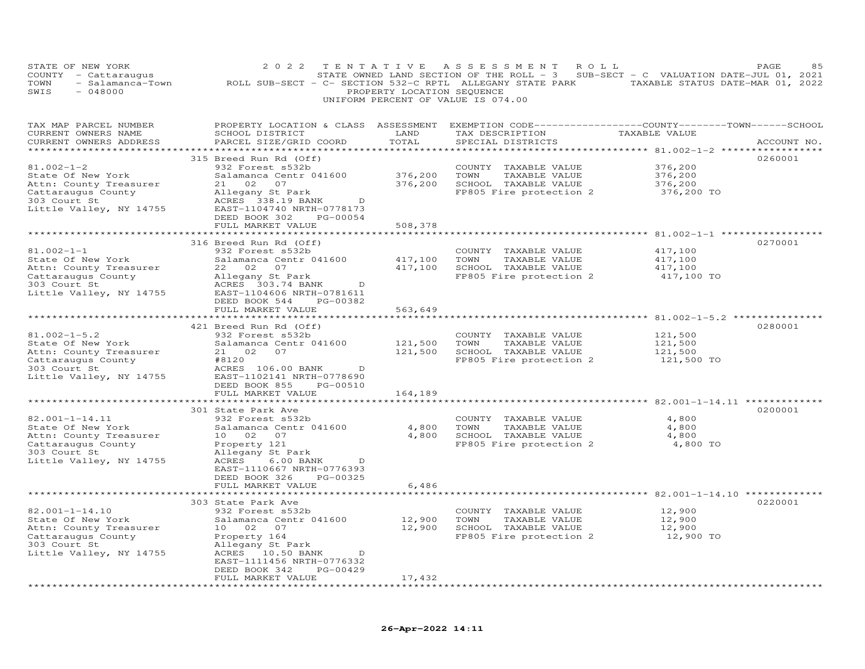|                                    | STATE OF NEW YORK    |                                                           |  |                            | 2022 TENTATIVE ASSESSMENT ROLL |  |                                                                                     | PAGE. | 85 |
|------------------------------------|----------------------|-----------------------------------------------------------|--|----------------------------|--------------------------------|--|-------------------------------------------------------------------------------------|-------|----|
|                                    | COUNTY - Cattaraugus |                                                           |  |                            |                                |  | STATE OWNED LAND SECTION OF THE ROLL - $3$ SUB-SECT - C VALUATION DATE-JUL 01, 2021 |       |    |
| TOWN                               | - Salamanca-Town     | ROLL SUB-SECT - C- SECTION 532-C RPTL ALLEGANY STATE PARK |  |                            |                                |  | TAXABLE STATUS DATE-MAR 01, 2022                                                    |       |    |
| SWIS                               | - 048000             |                                                           |  | PROPERTY LOCATION SEOUENCE |                                |  |                                                                                     |       |    |
| UNIFORM PERCENT OF VALUE IS 074.00 |                      |                                                           |  |                            |                                |  |                                                                                     |       |    |

| TAX MAP PARCEL NUMBER<br>CURRENT OWNERS NAME                                                                                         | PROPERTY LOCATION & CLASS ASSESSMENT<br>SCHOOL DISTRICT                                                                                                                                                                                             | LAND                          | EXEMPTION CODE-----------------COUNTY-------TOWN------SCHOOL<br>TAX DESCRIPTION                          | TAXABLE VALUE                               |             |
|--------------------------------------------------------------------------------------------------------------------------------------|-----------------------------------------------------------------------------------------------------------------------------------------------------------------------------------------------------------------------------------------------------|-------------------------------|----------------------------------------------------------------------------------------------------------|---------------------------------------------|-------------|
| CURRENT OWNERS ADDRESS                                                                                                               | PARCEL SIZE/GRID COORD                                                                                                                                                                                                                              | TOTAL                         | SPECIAL DISTRICTS                                                                                        |                                             | ACCOUNT NO. |
| $81.002 - 1 - 2$<br>State Of New York<br>Attn: County Treasurer<br>Cattaraugus County<br>303 Court St<br>Little Valley, NY 14755     | **********************************<br>315 Breed Run Rd (Off)<br>932 Forest s532b<br>Salamanca Centr 041600<br>21 02 07<br>Allegany St Park<br>ACRES 338.19 BANK<br>D<br>EAST-1104740 NRTH-0778173<br>PG-00054<br>DEED BOOK 302<br>FULL MARKET VALUE | 376,200<br>376,200<br>508,378 | COUNTY TAXABLE VALUE<br>TOWN<br>TAXABLE VALUE<br>SCHOOL TAXABLE VALUE<br>FP805 Fire protection 2         | 376,200<br>376,200<br>376,200<br>376,200 TO | 0260001     |
|                                                                                                                                      |                                                                                                                                                                                                                                                     |                               |                                                                                                          |                                             |             |
| $81.002 - 1 - 1$<br>State Of New York<br>Attn: County Treasurer<br>Cattaraugus County<br>303 Court St<br>Little Valley, NY 14755     | 316 Breed Run Rd (Off)<br>932 Forest s532b<br>Salamanca Centr 041600<br>22 02 07<br>Allegany St Park<br>ACRES 303.74 BANK<br>D<br>EAST-1104606 NRTH-0781611<br>PG-00382<br>DEED BOOK 544                                                            | 417,100                       | COUNTY TAXABLE VALUE<br>TOWN<br>TAXABLE VALUE<br>417,100 SCHOOL TAXABLE VALUE<br>FP805 Fire protection 2 | 417,100<br>417,100<br>417,100<br>417,100 TO | 0270001     |
|                                                                                                                                      | FULL MARKET VALUE                                                                                                                                                                                                                                   | 563,649                       |                                                                                                          |                                             |             |
|                                                                                                                                      | 421 Breed Run Rd (Off)                                                                                                                                                                                                                              |                               |                                                                                                          |                                             | 0280001     |
| $81.002 - 1 - 5.2$<br>State Of New York<br>Attn: County Treasurer<br>Cattaraugus County<br>303 Court St<br>Little Valley, NY 14755   | 932 Forest s532b<br>Salamanca Centr 041600<br>21 02 07<br>#8120<br>ACRES 106.00 BANK<br>D<br>EAST-1102141 NRTH-0778690<br>DEED BOOK 855<br>PG-00510<br>FULL MARKET VALUE                                                                            | 121,500<br>121,500<br>164,189 | COUNTY TAXABLE VALUE<br>TOWN<br>TAXABLE VALUE<br>SCHOOL TAXABLE VALUE<br>FP805 Fire protection 2         | 121,500<br>121,500<br>121,500<br>121,500 TO |             |
|                                                                                                                                      | 301 State Park Ave                                                                                                                                                                                                                                  |                               |                                                                                                          |                                             | 0200001     |
| 82.001-1-14.11<br>State Of New York<br>Attn: County Treasurer<br>Cattaraugus County<br>303 Court St<br>Little Valley, NY 14755       | 932 Forest s532b<br>Salamanca Centr 041600<br>10 02 07<br>Property 121<br>Allegany St Park<br>6.00 BANK<br>ACRES<br>D<br>EAST-1110667 NRTH-0776393<br>DEED BOOK 326<br>PG-00325                                                                     | 4,800                         | COUNTY TAXABLE VALUE<br>TOWN<br>TAXABLE VALUE<br>4,800 SCHOOL TAXABLE VALUE<br>FP805 Fire protection 2   | 4,800<br>4,800<br>4,800<br>4,800 TO         |             |
|                                                                                                                                      | FULL MARKET VALUE                                                                                                                                                                                                                                   | 6,486                         |                                                                                                          |                                             |             |
| $82.001 - 1 - 14.10$<br>State Of New York<br>Attn: County Treasurer<br>Cattaraugus County<br>303 Court St<br>Little Valley, NY 14755 | **************************<br>303 State Park Ave<br>932 Forest s532b<br>Salamanca Centr 041600<br>10 02 07<br>Property 164<br>Allegany St Park<br>ACRES 10.50 BANK<br>$\Box$<br>EAST-1111456 NRTH-0776332<br>DEED BOOK 342<br>PG-00429              | 12,900<br>12,900              | COUNTY TAXABLE VALUE<br>TOWN<br>TAXABLE VALUE<br>SCHOOL TAXABLE VALUE<br>FP805 Fire protection 2         | 12,900<br>12,900<br>12,900<br>12,900 TO     | 0220001     |
|                                                                                                                                      | FULL MARKET VALUE                                                                                                                                                                                                                                   | 17,432                        |                                                                                                          |                                             |             |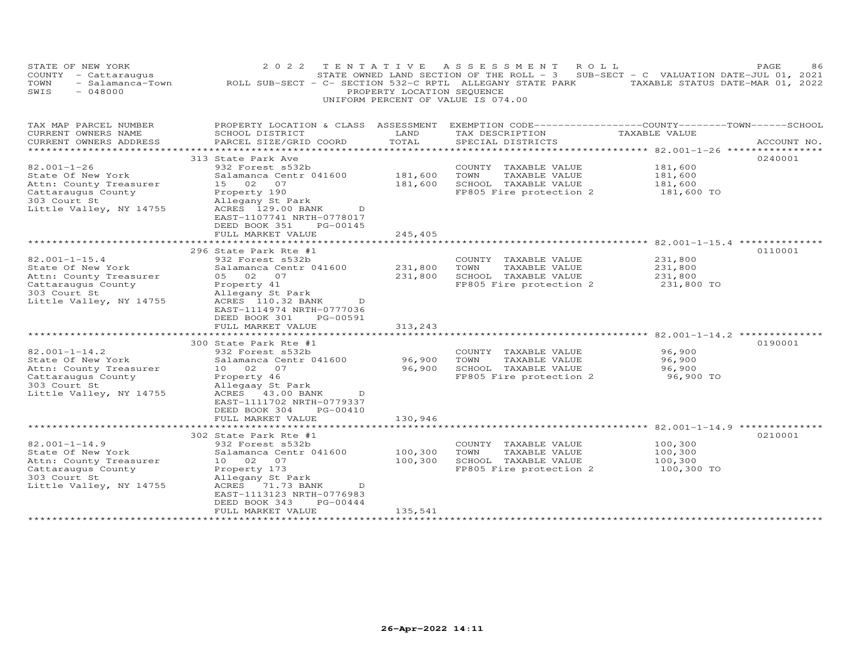| STATE OF NEW YORK<br>COUNTY - Cattaraugus<br>TOWN<br>$-048000$<br>SWIS                                                              | - Salamanca-Town 60LL SUB-SECT - C- SECTION 532-C RPTL ALLEGANY STATE PARK TAXABLE STATUS DATE-MAR 01, 2022                                                                                                                                                             | PROPERTY LOCATION SEQUENCE                       | 2022 TENTATIVE ASSESSMENT ROLL<br>UNIFORM PERCENT OF VALUE IS 074.00                             | STATE OWNED LAND SECTION OF THE ROLL - 3 SUB-SECT - C VALUATION DATE-JUL 01, 2021 | PAGE<br>86  |
|-------------------------------------------------------------------------------------------------------------------------------------|-------------------------------------------------------------------------------------------------------------------------------------------------------------------------------------------------------------------------------------------------------------------------|--------------------------------------------------|--------------------------------------------------------------------------------------------------|-----------------------------------------------------------------------------------|-------------|
| TAX MAP PARCEL NUMBER<br>CURRENT OWNERS NAME<br>CURRENT OWNERS ADDRESS                                                              | PROPERTY LOCATION & CLASS ASSESSMENT EXEMPTION CODE----------------COUNTY-------TOWN------SCHOOL<br>SCHOOL DISTRICT<br>PARCEL SIZE/GRID COORD                                                                                                                           | LAND<br>TOTAL                                    | TAX DESCRIPTION<br>SPECIAL DISTRICTS                                                             | TAXABLE VALUE                                                                     | ACCOUNT NO. |
| $82.001 - 1 - 26$<br>State Of New York<br>Attn: County Treasurer<br>Cattaraugus County<br>303 Court St<br>Little Valley, NY 14755   | 313 State Park Ave<br>932 Forest s532b<br>Salamanca Centr 041600<br>15 02 07<br>Property 190<br>Allegany St Park<br>ACRES 129.00 BANK<br>D<br>EAST-1107741 NRTH-0778017<br>DEED BOOK 351<br>PG-00145<br>FULL MARKET VALUE                                               | 181,600<br>181,600<br>245,405                    | COUNTY TAXABLE VALUE<br>TAXABLE VALUE<br>TOWN<br>SCHOOL TAXABLE VALUE<br>FP805 Fire protection 2 | 181,600<br>181,600<br>181,600<br>181,600 TO                                       | 0240001     |
|                                                                                                                                     | ***************************                                                                                                                                                                                                                                             |                                                  |                                                                                                  | ******************************* 82.001–1–15.4 **************                      |             |
| $82.001 - 1 - 15.4$<br>State Of New York<br>Attn: County Treasurer<br>Cattaraugus County<br>303 Court St<br>Little Valley, NY 14755 | 296 State Park Rte #1<br>932 Forest s532b<br>Salamanca Centr 041600<br>05 02 07<br>Property 41<br>Allegany St Park<br>ACRES 110.32 BANK<br>$\overline{D}$<br>EAST-1114974 NRTH-0777036<br>DEED BOOK 301<br>PG-00591<br>FULL MARKET VALUE<br>*************************** | 231,800<br>231,800<br>313,243<br>*************** | COUNTY TAXABLE VALUE<br>TOWN<br>TAXABLE VALUE<br>SCHOOL TAXABLE VALUE<br>FP805 Fire protection 2 | 231,800<br>231,800<br>231,800<br>231,800 TO                                       | 0110001     |
| $82.001 - 1 - 14.2$<br>State Of New York<br>Attn: County Treasurer<br>Cattaraugus County<br>303 Court St<br>Little Valley, NY 14755 | 300 State Park Rte #1<br>932 Forest s532b<br>Salamanca Centr 041600<br>10  02  07<br>Property 46<br>Allegaay St Park<br>ACRES 43.00 BANK<br>D<br>EAST-1111702 NRTH-0779337<br>PG-00410<br>DEED BOOK 304<br>FULL MARKET VALUE                                            | 96,900<br>96,900<br>130,946                      | COUNTY TAXABLE VALUE<br>TOWN<br>TAXABLE VALUE<br>SCHOOL TAXABLE VALUE<br>FP805 Fire protection 2 | 96,900<br>96,900<br>96,900<br>96,900 TO                                           | 0190001     |
|                                                                                                                                     | ********************************                                                                                                                                                                                                                                        |                                                  |                                                                                                  |                                                                                   |             |
| $82.001 - 1 - 14.9$<br>State Of New York<br>Attn: County Treasurer<br>Cattaraugus County<br>303 Court St<br>Little Valley, NY 14755 | 302 State Park Rte #1<br>932 Forest s532b<br>Salamanca Centr 041600<br>10 02 07<br>Property 173<br>Allegany St Park<br>ACRES 71.73 BANK<br>$\overline{D}$<br>EAST-1113123 NRTH-0776983<br>DEED BOOK 343<br>PG-00444<br>FULL MARKET VALUE                                | 100,300<br>100,300<br>135,541                    | COUNTY TAXABLE VALUE<br>TOWN<br>TAXABLE VALUE<br>SCHOOL TAXABLE VALUE<br>FP805 Fire protection 2 | 100,300<br>100,300<br>100,300<br>100,300 TO                                       | 0210001     |
| *************************                                                                                                           |                                                                                                                                                                                                                                                                         |                                                  |                                                                                                  |                                                                                   |             |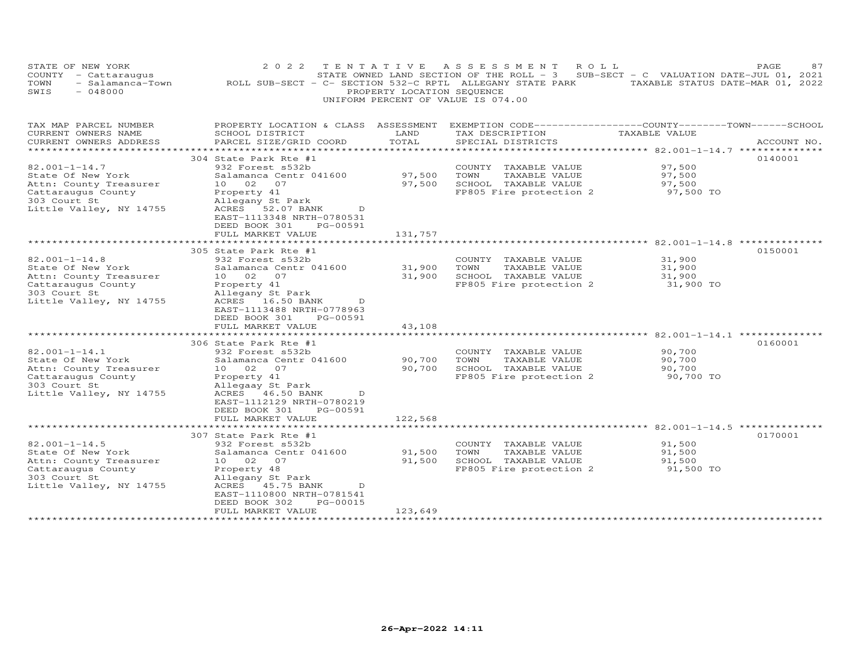| STATE OF NEW YORK<br>COUNTY - Cattaraugus<br>TOWN<br>- Salamanca-Town<br>$-048000$<br>SWIS                                          | 2 0 2 2<br>ROLL SUB-SECT - C- SECTION 532-C RPTL ALLEGANY STATE PARK TAXABLE STATUS DATE-MAR 01, 2022                                                                                                                      | PROPERTY LOCATION SEQUENCE  | TENTATIVE ASSESSMENT<br>STATE OWNED LAND SECTION OF THE ROLL - 3<br>UNIFORM PERCENT OF VALUE IS 074.00 | ROLL<br>SUB-SECT - C VALUATION DATE-JUL 01, 2021 | 87<br>PAGE  |
|-------------------------------------------------------------------------------------------------------------------------------------|----------------------------------------------------------------------------------------------------------------------------------------------------------------------------------------------------------------------------|-----------------------------|--------------------------------------------------------------------------------------------------------|--------------------------------------------------|-------------|
| TAX MAP PARCEL NUMBER<br>CURRENT OWNERS NAME<br>CURRENT OWNERS ADDRESS<br>**********************                                    | PROPERTY LOCATION & CLASS ASSESSMENT EXEMPTION CODE----------------COUNTY-------TOWN-----SCHOOL<br>SCHOOL DISTRICT<br>PARCEL SIZE/GRID COORD                                                                               | LAND<br>TOTAL               | TAX DESCRIPTION<br>SPECIAL DISTRICTS                                                                   | TAXABLE VALUE                                    | ACCOUNT NO. |
| $82.001 - 1 - 14.7$<br>State Of New York<br>Attn: County Treasurer<br>Cattaraugus County<br>303 Court St<br>Little Valley, NY 14755 | 304 State Park Rte #1<br>932 Forest s532b<br>Salamanca Centr 041600<br>10 02 07<br>Property 41<br>Allegany St Park<br>ACRES 52.07 BANK<br>D<br>EAST-1113348 NRTH-0780531<br>DEED BOOK 301<br>PG-00591<br>FULL MARKET VALUE | 97,500<br>97,500<br>131,757 | COUNTY TAXABLE VALUE<br>TOWN<br>TAXABLE VALUE<br>SCHOOL TAXABLE VALUE<br>FP805 Fire protection 2       | 97,500<br>97,500<br>97,500<br>97,500 TO          | 0140001     |
|                                                                                                                                     | *******************<br>305 State Park Rte #1                                                                                                                                                                               |                             |                                                                                                        |                                                  | 0150001     |
| $82.001 - 1 - 14.8$<br>State Of New York<br>Attn: County Treasurer<br>Cattaraugus County<br>303 Court St<br>Little Valley, NY 14755 | 932 Forest s532b<br>Salamanca Centr 041600<br>10 02 07<br>Property 41<br>Allegany St Park<br>ACRES 16.50 BANK<br>D<br>EAST-1113488 NRTH-0778963<br>DEED BOOK 301<br>PG-00591<br>FULL MARKET VALUE                          | 31,900<br>31,900<br>43,108  | COUNTY TAXABLE VALUE<br>TOWN<br>TAXABLE VALUE<br>SCHOOL TAXABLE VALUE<br>FP805 Fire protection 2       | 31,900<br>31,900<br>31,900<br>31,900 TO          |             |
|                                                                                                                                     |                                                                                                                                                                                                                            |                             |                                                                                                        |                                                  |             |
| $82.001 - 1 - 14.1$<br>State Of New York<br>Attn: County Treasurer<br>Cattaraugus County<br>303 Court St<br>Little Valley, NY 14755 | 306 State Park Rte #1<br>932 Forest s532b<br>Salamanca Centr 041600<br>10 02 07<br>Property 41<br>Allegaay St Park<br>ACRES 46.50 BANK<br>D<br>EAST-1112129 NRTH-0780219<br>DEED BOOK 301<br>PG-00591                      | 90,700<br>90,700            | COUNTY TAXABLE VALUE<br>TOWN<br>TAXABLE VALUE<br>SCHOOL TAXABLE VALUE<br>FP805 Fire protection 2       | 90,700<br>90,700<br>90,700<br>90,700 TO          | 0160001     |
|                                                                                                                                     | FULL MARKET VALUE                                                                                                                                                                                                          | 122,568                     |                                                                                                        |                                                  |             |
| $82.001 - 1 - 14.5$<br>State Of New York<br>Attn: County Treasurer<br>Cattaraugus County<br>303 Court St<br>Little Valley, NY 14755 | 307 State Park Rte #1<br>932 Forest s532b<br>Salamanca Centr 041600<br>10 02 07<br>Property 48<br>Allegany St Park<br>ACRES 45.75 BANK<br>D<br>EAST-1110800 NRTH-0781541<br>DEED BOOK 302<br>PG-00015                      | 91,500<br>91,500            | COUNTY TAXABLE VALUE<br>TOWN<br>TAXABLE VALUE<br>SCHOOL TAXABLE VALUE<br>FP805 Fire protection 2       | 91,500<br>91,500<br>91,500<br>91,500 TO          | 0170001     |
| *********************                                                                                                               | FULL MARKET VALUE                                                                                                                                                                                                          | 123,649                     |                                                                                                        |                                                  |             |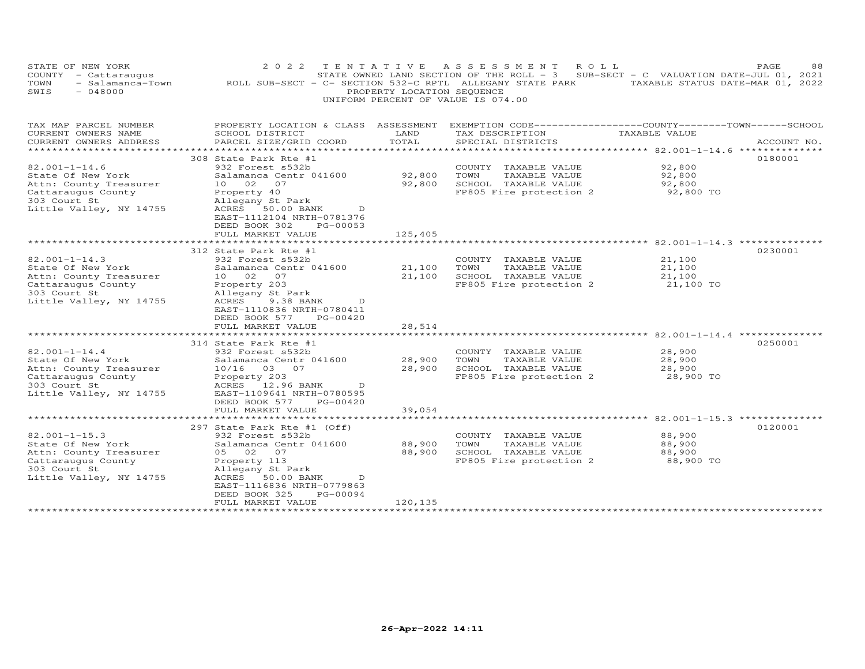| STATE OF NEW YORK<br>COUNTY - Cattaraugus<br>TOWN<br>$-048000$<br>SWIS                                                              | 2 0 2 2<br>TENTATIVE<br>- Salamanca-Town MOLL SUB-SECT - C- SECTION 532-C RPTL ALLEGANY STATE PARK                                                                                                               | PROPERTY LOCATION SEQUENCE | ASSESSMENT<br>STATE OWNED LAND SECTION OF THE ROLL - 3 SUB-SECT - C VALUATION DATE-JUL 01, 2021<br>UNIFORM PERCENT OF VALUE IS 074.00 | ROLL<br>TAXABLE STATUS DATE-MAR 01, 2022                                      | PAGE<br>88  |
|-------------------------------------------------------------------------------------------------------------------------------------|------------------------------------------------------------------------------------------------------------------------------------------------------------------------------------------------------------------|----------------------------|---------------------------------------------------------------------------------------------------------------------------------------|-------------------------------------------------------------------------------|-------------|
| TAX MAP PARCEL NUMBER<br>CURRENT OWNERS NAME<br>CURRENT OWNERS ADDRESS                                                              | PROPERTY LOCATION & CLASS ASSESSMENT<br>SCHOOL DISTRICT<br>PARCEL SIZE/GRID COORD                                                                                                                                | LAND<br>TOTAL              | TAX DESCRIPTION<br>SPECIAL DISTRICTS                                                                                                  | EXEMPTION CODE-----------------COUNTY-------TOWN------SCHOOL<br>TAXABLE VALUE | ACCOUNT NO. |
| *********************                                                                                                               |                                                                                                                                                                                                                  | *************              |                                                                                                                                       |                                                                               |             |
| $82.001 - 1 - 14.6$<br>State Of New York<br>Attn: County Treasurer<br>Cattaraugus County<br>303 Court St<br>Little Valley, NY 14755 | 308 State Park Rte #1<br>932 Forest s532b<br>Salamanca Centr 041600<br>10 02<br>07<br>Property 40<br>Allegany St Park<br>ACRES 50.00 BANK<br>D<br>EAST-1112104 NRTH-0781376<br>DEED BOOK 302<br>PG-00053         | 92,800<br>92,800           | COUNTY TAXABLE VALUE<br>TOWN<br>TAXABLE VALUE<br>SCHOOL TAXABLE VALUE<br>FP805 Fire protection 2                                      | 92,800<br>92,800<br>92,800<br>92,800 TO                                       | 0180001     |
|                                                                                                                                     | FULL MARKET VALUE                                                                                                                                                                                                | 125,405                    |                                                                                                                                       |                                                                               |             |
|                                                                                                                                     |                                                                                                                                                                                                                  |                            |                                                                                                                                       |                                                                               |             |
| $82.001 - 1 - 14.3$<br>State Of New York<br>Attn: County Treasurer<br>Cattaraugus County<br>303 Court St<br>Little Valley, NY 14755 | 312 State Park Rte #1<br>932 Forest s532b<br>Salamanca Centr 041600<br>10 02<br>07<br>Property 203<br>Allegany St Park<br>ACRES<br>9.38 BANK<br>D<br>EAST-1110836 NRTH-0780411<br>DEED BOOK 577<br>PG-00420      | 21,100<br>21,100           | COUNTY TAXABLE VALUE<br>TOWN<br>TAXABLE VALUE<br>SCHOOL TAXABLE VALUE<br>FP805 Fire protection 2                                      | 21,100<br>21,100<br>21,100<br>21,100 TO                                       | 0230001     |
|                                                                                                                                     | FULL MARKET VALUE                                                                                                                                                                                                | 28,514                     |                                                                                                                                       |                                                                               |             |
|                                                                                                                                     | *********************<br>314 State Park Rte #1                                                                                                                                                                   | * * * * * * * * * *        |                                                                                                                                       |                                                                               | 0250001     |
| $82.001 - 1 - 14.4$<br>State Of New York<br>Attn: County Treasurer<br>Cattaraugus County<br>303 Court St<br>Little Valley, NY 14755 | 932 Forest s532b<br>Salamanca Centr 041600<br>10/16 03 07<br>Property 203<br>ACRES<br>12.96 BANK<br>D<br>EAST-1109641 NRTH-0780595<br>DEED BOOK 577<br>PG-00420<br>FULL MARKET VALUE                             | 28,900<br>28,900<br>39,054 | COUNTY TAXABLE VALUE<br>TOWN<br>TAXABLE VALUE<br>SCHOOL TAXABLE VALUE<br>FP805 Fire protection 2                                      | 28,900<br>28,900<br>28,900<br>28,900 TO                                       |             |
|                                                                                                                                     |                                                                                                                                                                                                                  |                            |                                                                                                                                       |                                                                               |             |
| $82.001 - 1 - 15.3$<br>State Of New York<br>Attn: County Treasurer<br>Cattaraugus County<br>303 Court St<br>Little Valley, NY 14755 | 297 State Park Rte #1 (Off)<br>932 Forest s532b<br>Salamanca Centr 041600<br>05 02<br>07<br>Property 113<br>Allegany St Park<br>ACRES 50.00 BANK<br>D.<br>EAST-1116836 NRTH-0779863<br>DEED BOOK 325<br>PG-00094 | 88,900<br>88,900           | COUNTY TAXABLE VALUE<br>TOWN<br>TAXABLE VALUE<br>SCHOOL TAXABLE VALUE<br>FP805 Fire protection 2                                      | 88,900<br>88,900<br>88,900<br>88,900 TO                                       | 0120001     |
|                                                                                                                                     | FULL MARKET VALUE                                                                                                                                                                                                | 120,135                    | ***********************************                                                                                                   |                                                                               |             |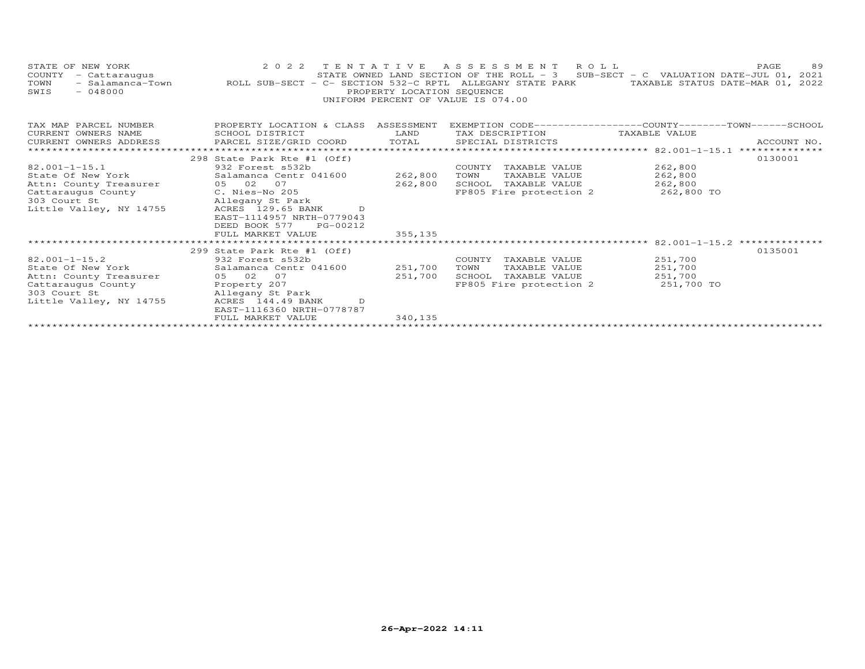| STATE OF NEW YORK<br>COUNTY<br>- Cattaraugus<br>- Salamanca-Town<br>TOWN<br>$-048000$<br>SWIS | 2022 TENTATIVE<br>ROLL SUB-SECT - C- SECTION 532-C RPTL ALLEGANY STATE PARK                                            | PROPERTY LOCATION SEQUENCE | ASSESSMENT ROLL<br>STATE OWNED LAND SECTION OF THE ROLL - 3<br>UNIFORM PERCENT OF VALUE IS 074.00 | SUB-SECT - C VALUATION DATE-JUL 01, 2021<br>TAXABLE STATUS DATE-MAR 01, | 89<br>PAGE<br>2022 |
|-----------------------------------------------------------------------------------------------|------------------------------------------------------------------------------------------------------------------------|----------------------------|---------------------------------------------------------------------------------------------------|-------------------------------------------------------------------------|--------------------|
| TAX MAP PARCEL NUMBER<br>CURRENT OWNERS NAME                                                  | PROPERTY LOCATION & CLASS ASSESSMENT<br>SCHOOL DISTRICT                                                                | LAND                       | EXEMPTION CODE-----------------COUNTY-------TOWN------SCHOOL<br>TAX DESCRIPTION                   | TAXABLE VALUE                                                           |                    |
| CURRENT OWNERS ADDRESS                                                                        | PARCEL SIZE/GRID COORD                                                                                                 | TOTAL                      | SPECIAL DISTRICTS                                                                                 |                                                                         | ACCOUNT NO.        |
| **************************                                                                    |                                                                                                                        |                            |                                                                                                   |                                                                         |                    |
|                                                                                               | 298 State Park Rte #1 (Off)                                                                                            |                            |                                                                                                   |                                                                         | 0130001            |
| $82.001 - 1 - 15.1$                                                                           | 932 Forest s532b                                                                                                       |                            | COUNTY TAXABLE VALUE                                                                              | 262,800                                                                 |                    |
| State Of New York                                                                             | Salamanca Centr 041600                                                                                                 | 262,800                    | TOWN<br>TAXABLE VALUE                                                                             | 262,800                                                                 |                    |
| Attn: County Treasurer                                                                        | 05 02 07                                                                                                               | 262,800                    | SCHOOL TAXABLE VALUE                                                                              | 262,800                                                                 |                    |
| Cattaraugus County<br>303 Court St<br>Little Valley, NY 14755                                 | C. Nies-No 205<br>Allegany St Park<br>ACRES 129.65 BANK<br>D<br>EAST-1114957 NRTH-0779043<br>DEED BOOK 577<br>PG-00212 |                            | FP805 Fire protection 2                                                                           | 262,800 TO                                                              |                    |
|                                                                                               | FULL MARKET VALUE                                                                                                      | 355,135                    |                                                                                                   |                                                                         |                    |
|                                                                                               |                                                                                                                        |                            |                                                                                                   |                                                                         |                    |
|                                                                                               | 299 State Park Rte #1 (Off)                                                                                            |                            |                                                                                                   |                                                                         | 0135001            |
| $82.001 - 1 - 15.2$                                                                           | 932 Forest s532b                                                                                                       |                            | COUNTY<br>TAXABLE VALUE                                                                           | 251,700                                                                 |                    |
| State Of New York                                                                             | Salamanca Centr 041600                                                                                                 | 251,700                    | TOWN<br>TAXABLE VALUE                                                                             | 251,700                                                                 |                    |
| Attn: County Treasurer                                                                        | 05 02<br>07                                                                                                            | 251,700                    | SCHOOL<br>TAXABLE VALUE                                                                           | 251,700                                                                 |                    |
| Cattaraugus County                                                                            | Property 207                                                                                                           |                            | FP805 Fire protection 2                                                                           | 251,700 TO                                                              |                    |
| 303 Court St                                                                                  | Allegany St Park<br>ACRES 144.49 BANK                                                                                  |                            |                                                                                                   |                                                                         |                    |
| Little Valley, NY 14755                                                                       | D<br>EAST-1116360 NRTH-0778787                                                                                         |                            |                                                                                                   |                                                                         |                    |
|                                                                                               | FULL MARKET VALUE                                                                                                      | 340, 135                   |                                                                                                   |                                                                         |                    |
|                                                                                               |                                                                                                                        |                            |                                                                                                   |                                                                         |                    |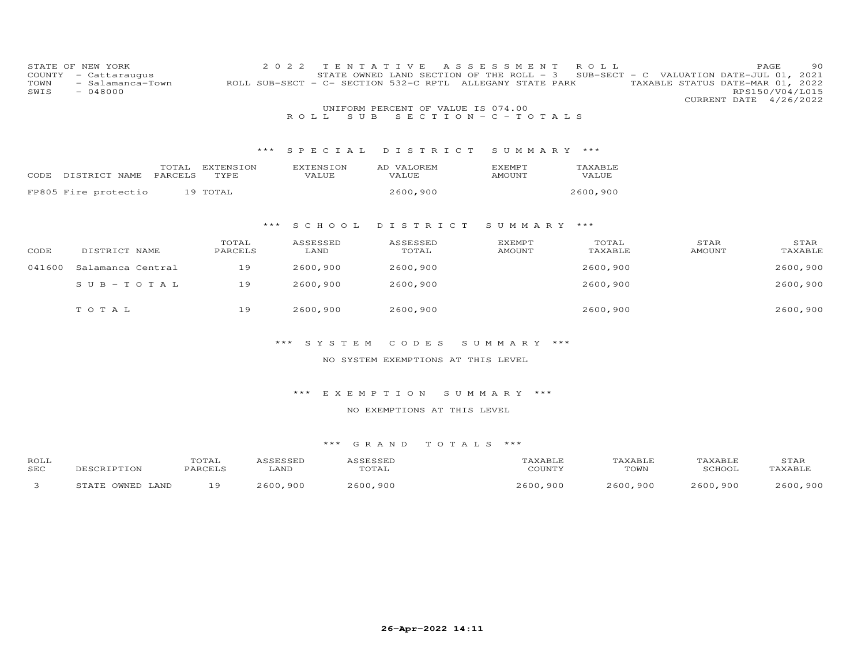| COUNTY<br>TOWN<br>SWIS                     | STATE OF NEW YORK<br>- Cattaraugus<br>- Salamanca-Town<br>$-048000$ | 2 0 2 2                 | TENTATIVE<br>ROLL.<br>S U B | UNIFORM PERCENT OF VALUE IS 074.00 | A S S E S S M E N T<br>STATE OWNED LAND SECTION OF THE ROLL - 3<br>ROLL SUB-SECT - C- SECTION 532-C RPTL ALLEGANY STATE PARK<br>SECTION - $C$ - TOTALS | ROLL             | SUB-SECT - C VALUATION DATE-JUL 01, 2021<br>TAXABLE STATUS DATE-MAR 01, 2022 | 90<br>PAGE<br>RPS150/V04/L015<br>CURRENT DATE 4/26/2022 |  |
|--------------------------------------------|---------------------------------------------------------------------|-------------------------|-----------------------------|------------------------------------|--------------------------------------------------------------------------------------------------------------------------------------------------------|------------------|------------------------------------------------------------------------------|---------------------------------------------------------|--|
|                                            |                                                                     |                         |                             | *** SPECIAL DISTRICT               | SUMMARY ***                                                                                                                                            |                  |                                                                              |                                                         |  |
| CODE                                       | DISTRICT NAME<br>PARCELS                                            | TOTAL EXTENSION<br>TYPE | <b>EXTENSION</b><br>VALUE   | AD VALOREM<br>VALUE                | <b>EXEMPT</b><br>AMOUNT                                                                                                                                | TAXABLE<br>VALUE |                                                                              |                                                         |  |
|                                            | FP805 Fire protectio                                                | 19 TOTAL                |                             | 2600,900                           |                                                                                                                                                        | 2600,900         |                                                                              |                                                         |  |
| ***<br>S C H O O L<br>DISTRICT SUMMARY *** |                                                                     |                         |                             |                                    |                                                                                                                                                        |                  |                                                                              |                                                         |  |
| CODE                                       | DISTRICT NAME                                                       | TOTAL<br>PARCELS        | ASSESSED<br>LAND            | ASSESSED<br>TOTAL                  | EXEMPT<br><b>AMOUNT</b>                                                                                                                                | TOTAL<br>TAXABLE | STAR<br><b>AMOUNT</b>                                                        | STAR<br>TAXABLE                                         |  |
| 041600                                     | Salamanca Central                                                   | 19                      | 2600,900                    | 2600,900                           |                                                                                                                                                        | 2600,900         |                                                                              | 2600,900                                                |  |
|                                            | SUB-TOTAL                                                           | 19                      | 2600,900                    | 2600,900                           |                                                                                                                                                        | 2600,900         |                                                                              | 2600,900                                                |  |
|                                            | TOTAL                                                               | 19                      | 2600,900                    | 2600,900                           |                                                                                                                                                        | 2600,900         |                                                                              | 2600,900                                                |  |
|                                            |                                                                     | $***$                   | S Y S T E M                 | CODES                              | SUMMARY ***                                                                                                                                            |                  |                                                                              |                                                         |  |
|                                            |                                                                     |                         |                             | NO SYSTEM EXEMPTIONS AT THIS LEVEL |                                                                                                                                                        |                  |                                                                              |                                                         |  |
|                                            |                                                                     |                         | *** EXEMPTION               |                                    | SUMMARY ***                                                                                                                                            |                  |                                                                              |                                                         |  |
|                                            |                                                                     |                         |                             | NO EXEMPTIONS AT THIS LEVEL        |                                                                                                                                                        |                  |                                                                              |                                                         |  |
|                                            |                                                                     |                         |                             |                                    |                                                                                                                                                        |                  |                                                                              |                                                         |  |
|                                            |                                                                     |                         |                             | *** GRAND TOTALS ***               |                                                                                                                                                        |                  |                                                                              |                                                         |  |

| ROLL<br>SEC | DESCRIPTION           | TOTAL<br>PARCELS | ASSESSED<br>LAND | ASSESSED<br>TOTAL | TAXABLE<br>COUNTY | TAXABLE<br>TOWN | TAXABLE<br>SCHOOL | STAR<br>TAXABLE |
|-------------|-----------------------|------------------|------------------|-------------------|-------------------|-----------------|-------------------|-----------------|
|             | . OWNED LAND<br>STATE |                  | 2600,900         | 2600,900          | 2600,900          | 2600,900        | 2600,900          | 2600,900        |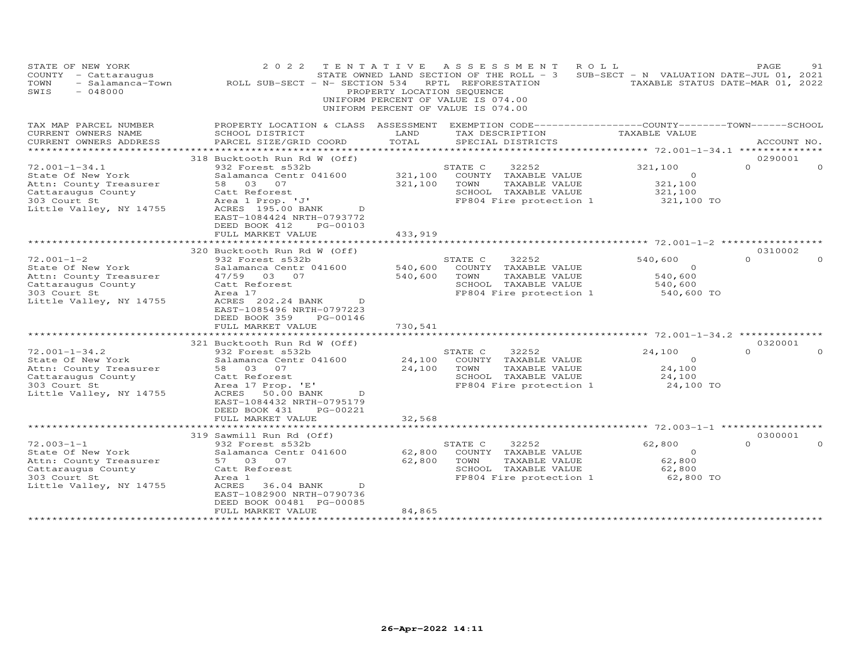| STATE OF NEW YORK<br>COUNTY - Cattaraugus<br>- Salamanca-Town<br>TOWN<br>$-048000$<br>SWIS                                                                                                                                                                              | 2 0 2 2<br>ROLL SUB-SECT - N- SECTION 534                                                                                                                                                                                                                                                                                                                     | TENTATIVE<br>PROPERTY LOCATION SEQUENCE           | A S S E S S M E N T<br>STATE OWNED LAND SECTION OF THE ROLL - 3<br>RPTL REFORESTATION<br>UNIFORM PERCENT OF VALUE IS 074.00<br>UNIFORM PERCENT OF VALUE IS 074.00                                                                               | ROLL<br>SUB-SECT - N VALUATION DATE-JUL 01, 2021                                                              | PAGE<br>91<br>TAXABLE STATUS DATE-MAR 01, 2022          |
|-------------------------------------------------------------------------------------------------------------------------------------------------------------------------------------------------------------------------------------------------------------------------|---------------------------------------------------------------------------------------------------------------------------------------------------------------------------------------------------------------------------------------------------------------------------------------------------------------------------------------------------------------|---------------------------------------------------|-------------------------------------------------------------------------------------------------------------------------------------------------------------------------------------------------------------------------------------------------|---------------------------------------------------------------------------------------------------------------|---------------------------------------------------------|
| TAX MAP PARCEL NUMBER<br>CURRENT OWNERS NAME<br>CURRENT OWNERS ADDRESS                                                                                                                                                                                                  | PROPERTY LOCATION & CLASS ASSESSMENT EXEMPTION CODE----------------COUNTY-------TOWN------SCHOOL<br>SCHOOL DISTRICT<br>PARCEL SIZE/GRID COORD                                                                                                                                                                                                                 | LAND<br>TOTAL                                     | TAX DESCRIPTION<br>SPECIAL DISTRICTS                                                                                                                                                                                                            | TAXABLE VALUE                                                                                                 | ACCOUNT NO.                                             |
|                                                                                                                                                                                                                                                                         | 318 Bucktooth Run Rd W (Off)                                                                                                                                                                                                                                                                                                                                  |                                                   |                                                                                                                                                                                                                                                 |                                                                                                               | 0290001                                                 |
| $72.001 - 1 - 34.1$<br>State Of New York<br>Attn: County Treasurer<br>Cattaraugus County<br>303 Court St<br>Little Valley, NY 14755                                                                                                                                     | 932 Forest s532b<br>Salamanca Centr 041600<br>58 03 07<br>Catt Reforest<br>Area 1 Prop. 'J'<br>ACRES 195.00 BANK<br>D<br>EAST-1084424 NRTH-0793772                                                                                                                                                                                                            | 321,100<br>321,100                                | STATE C<br>32252<br>COUNTY TAXABLE VALUE<br>TOWN<br>TAXABLE VALUE<br>SCHOOL TAXABLE VALUE<br>FP804 Fire protection 1                                                                                                                            | 321,100<br>$\circ$<br>321,100<br>321,100<br>321,100 TO                                                        | $\Omega$<br>$\Omega$                                    |
|                                                                                                                                                                                                                                                                         | DEED BOOK 412<br>PG-00103<br>FULL MARKET VALUE<br>********************                                                                                                                                                                                                                                                                                        | 433,919                                           |                                                                                                                                                                                                                                                 |                                                                                                               |                                                         |
|                                                                                                                                                                                                                                                                         | 320 Bucktooth Run Rd W (Off)                                                                                                                                                                                                                                                                                                                                  |                                                   |                                                                                                                                                                                                                                                 |                                                                                                               | 0310002                                                 |
| $72.001 - 1 - 2$<br>State Of New York<br>Attn: County Treasurer<br>Cattaraugus County<br>303 Court St<br>Little Valley, NY 14755<br>$72.001 - 1 - 34.2$<br>State Of New York<br>Attn: County Treasurer<br>Cattaraugus County<br>303 Court St<br>Little Valley, NY 14755 | 932 Forest s532b<br>Salamanca Centr 041600<br>47/59 03 07<br>Catt Reforest<br>Area 17<br>ACRES 202.24 BANK<br>D<br>EAST-1085496 NRTH-0797223<br>PG-00146<br>DEED BOOK 359<br>FULL MARKET VALUE<br>321 Bucktooth Run Rd W (Off)<br>932 Forest s532b<br>Salamanca Centr 041600<br>58 03<br>07<br>Catt Reforest<br>Area 17 Prop. 'E'<br>50.00 BANK<br>ACRES<br>D | 540,600<br>540,600<br>730,541<br>24,100<br>24,100 | 32252<br>STATE C<br>COUNTY TAXABLE VALUE<br>TAXABLE VALUE<br>TOWN<br>SCHOOL TAXABLE VALUE<br>FP804 Fire protection 1<br>STATE C<br>32252<br>COUNTY<br>TAXABLE VALUE<br>TOWN<br>TAXABLE VALUE<br>SCHOOL TAXABLE VALUE<br>FP804 Fire protection 1 | 540,600<br>$\Omega$<br>540,600<br>540,600<br>540,600 TO<br>24,100<br>$\circ$<br>24,100<br>24,100<br>24,100 TO | $\Omega$<br>$\Omega$<br>0320001<br>$\Omega$<br>$\Omega$ |
|                                                                                                                                                                                                                                                                         | EAST-1084432 NRTH-0795179<br>DEED BOOK 431<br>PG-00221<br>FULL MARKET VALUE<br>**************************                                                                                                                                                                                                                                                     | 32,568                                            |                                                                                                                                                                                                                                                 |                                                                                                               |                                                         |
|                                                                                                                                                                                                                                                                         | 319 Sawmill Run Rd (Off)                                                                                                                                                                                                                                                                                                                                      |                                                   |                                                                                                                                                                                                                                                 |                                                                                                               | 0300001                                                 |
| $72.003 - 1 - 1$<br>State Of New York<br>Attn: County Treasurer<br>Cattaraugus County<br>303 Court St<br>Little Valley, NY 14755                                                                                                                                        | 932 Forest s532b<br>Salamanca Centr 041600<br>57 03<br>07<br>Catt Reforest<br>Area 1<br>ACRES<br>D<br>36.04 BANK<br>EAST-1082900 NRTH-0790736<br>DEED BOOK 00481 PG-00085                                                                                                                                                                                     | 62,800<br>62,800                                  | 32252<br>STATE C<br>COUNTY TAXABLE VALUE<br>TOWN<br>TAXABLE VALUE<br>SCHOOL TAXABLE VALUE<br>FP804 Fire protection 1                                                                                                                            | 62,800<br>$\circ$<br>62,800<br>62,800<br>62,800 TO                                                            | $\Omega$<br>$\Omega$                                    |
|                                                                                                                                                                                                                                                                         | FULL MARKET VALUE<br>*********************                                                                                                                                                                                                                                                                                                                    | 84,865                                            |                                                                                                                                                                                                                                                 |                                                                                                               |                                                         |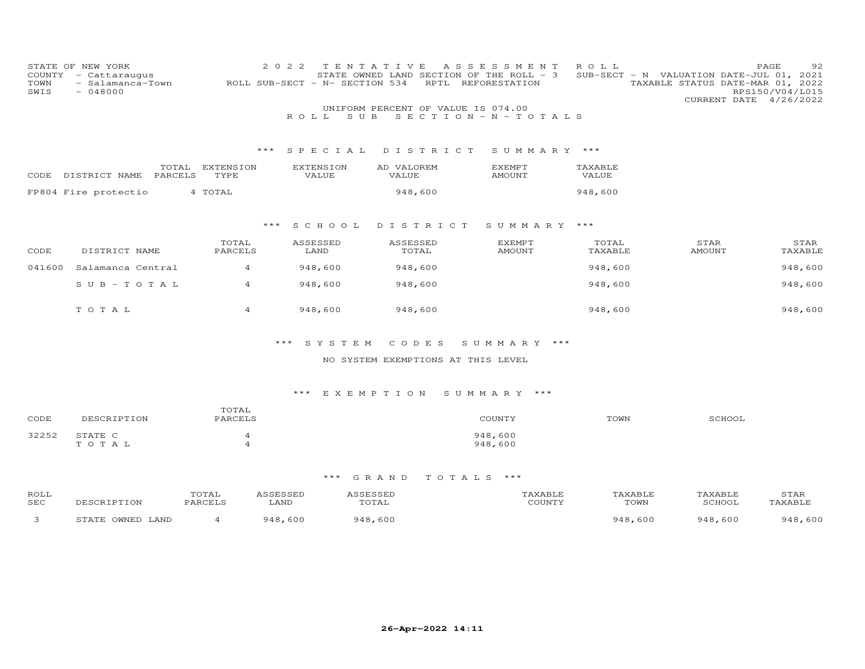| COUNTY<br>TOWN<br>SWIS | STATE OF NEW YORK<br>- Cattaraugus<br>- Salamanca-Town<br>$-048000$ |                   | 2 0 2 2<br>ROLL SUB-SECT - N- SECTION 534 | TENTATIVE<br>RPTL                  | A S S E S S M E N T<br>STATE OWNED LAND SECTION OF THE ROLL - 3<br>REFORESTATION | ROLL             | SUB-SECT - N VALUATION DATE-JUL 01, 2021<br>TAXABLE STATUS DATE-MAR 01, 2022 | 92<br>PAGE<br>RPS150/V04/L015<br>CURRENT DATE 4/26/2022 |
|------------------------|---------------------------------------------------------------------|-------------------|-------------------------------------------|------------------------------------|----------------------------------------------------------------------------------|------------------|------------------------------------------------------------------------------|---------------------------------------------------------|
|                        |                                                                     |                   | S U B<br>R O L L                          | UNIFORM PERCENT OF VALUE IS 074.00 | SECTION - N - TOTALS                                                             |                  |                                                                              |                                                         |
|                        |                                                                     | * * *             | SPECIAL                                   | DISTRICT                           | SUMMARY ***                                                                      |                  |                                                                              |                                                         |
| CODE                   | TOTAL<br>PARCELS<br>DISTRICT NAME                                   | EXTENSION<br>TYPE | <b>EXTENSION</b><br><b>VALUE</b>          | AD VALOREM<br>VALUE                | <b>EXEMPT</b><br><b>AMOUNT</b>                                                   | TAXABLE<br>VALUE |                                                                              |                                                         |
|                        | FP804 Fire protectio                                                | 4 TOTAL           |                                           | 948,600                            |                                                                                  | 948,600          |                                                                              |                                                         |
|                        |                                                                     | $***$             | S C H O O L                               | DISTRICT                           | SUMMARY ***                                                                      |                  |                                                                              |                                                         |
| CODE                   | DISTRICT NAME                                                       | TOTAL<br>PARCELS  | ASSESSED<br>LAND                          | <b>ASSESSED</b><br>TOTAL           | <b>EXEMPT</b><br><b>AMOUNT</b>                                                   | TOTAL<br>TAXABLE | STAR<br><b>AMOUNT</b>                                                        | STAR<br>TAXABLE                                         |
| 041600                 | Salamanca Central                                                   | $\overline{4}$    | 948,600                                   | 948,600                            |                                                                                  | 948,600          |                                                                              | 948,600                                                 |
|                        | $S \cup B - TO T A L$                                               | $\overline{4}$    | 948,600                                   | 948,600                            |                                                                                  | 948,600          |                                                                              | 948,600                                                 |
|                        | TOTAL                                                               | $\overline{4}$    | 948,600                                   | 948,600                            |                                                                                  | 948,600          |                                                                              | 948,600                                                 |
|                        |                                                                     |                   | SYSTEM<br>***                             | CODES                              | SUMMARY ***                                                                      |                  |                                                                              |                                                         |
|                        |                                                                     |                   |                                           | NO SYSTEM EXEMPTIONS AT THIS LEVEL |                                                                                  |                  |                                                                              |                                                         |

| CODE  | DESCRIPTION      | TOTAL<br>PARCELS | COUNTY             | TOWN | SCHOOL |
|-------|------------------|------------------|--------------------|------|--------|
| 32252 | STATE C<br>TOTAL |                  | 948,600<br>948,600 |      |        |

| ROLL<br>SEC | TON                           | TOTAL<br>PARCELS | LAND | 0.000000<br>.<br>TOTAL | CCTNTT1 | TOWN        | TAXABLF<br>SCHOOT | STAR<br>AXABI - |
|-------------|-------------------------------|------------------|------|------------------------|---------|-------------|-------------------|-----------------|
|             | <b>OMNED</b><br>STATE<br>LAND |                  | -600 | . 600<br>Q 4 R         |         | 948<br>-600 | 948,600           | ,600<br>948     |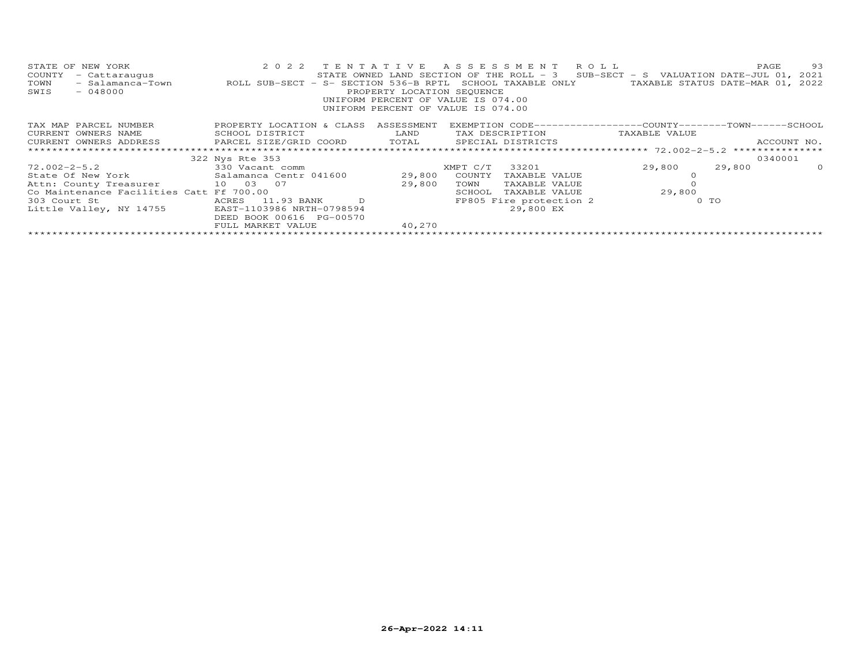| STATE OF NEW YORK<br>- Cattaraugus<br>COUNTY<br>- Salamanca-Town<br>TOWN<br>SWIS<br>$-048000$ | 2022 TENTATIVE ASSESSMENT ROLL<br>ROLL SUB-SECT - S- SECTION 536-B RPTL SCHOOL TAXABLE ONLY | PROPERTY LOCATION SEQUENCE | STATE OWNED LAND SECTION OF THE ROLL - 3 SUB-SECT - S VALUATION DATE-JUL 01, 2021<br>UNIFORM PERCENT OF VALUE IS 074.00<br>UNIFORM PERCENT OF VALUE IS 074.00 |               | TAXABLE STATUS DATE-MAR 01, 2022 | PAGE        | 93      |
|-----------------------------------------------------------------------------------------------|---------------------------------------------------------------------------------------------|----------------------------|---------------------------------------------------------------------------------------------------------------------------------------------------------------|---------------|----------------------------------|-------------|---------|
| TAX MAP PARCEL NUMBER                                                                         | PROPERTY LOCATION & CLASS ASSESSMENT                                                        |                            | EXEMPTION CODE-----------------COUNTY-------TOWN------SCHOOL                                                                                                  |               |                                  |             |         |
| CURRENT OWNERS NAME                                                                           | <b>EXAMPLE TO A LAND</b><br>SCHOOL DISTRICT                                                 |                            | TAX DESCRIPTION                                                                                                                                               |               | TAXABLE VALUE                    |             |         |
| CURRENT OWNERS ADDRESS         PARCEL SIZE/GRID COORD       TOTAL       SPECIAL DISTRICTS     |                                                                                             |                            |                                                                                                                                                               |               |                                  | ACCOUNT NO. |         |
| **************************                                                                    |                                                                                             |                            |                                                                                                                                                               |               |                                  |             |         |
|                                                                                               | 322 Nys Rte 353                                                                             |                            |                                                                                                                                                               |               |                                  | 0340001     |         |
| $72.002 - 2 - 5.2$                                                                            | 330 Vacant comm                                                                             |                            | XMPT C/T 33201                                                                                                                                                |               | 29,800                           | 29,800      | $\circ$ |
| State Of New York Salamanca Centr 041600 29,800                                               |                                                                                             |                            | COUNTY                                                                                                                                                        | TAXABLE VALUE |                                  |             |         |
| Attn: County Treasurer 10 03 07                                                               |                                                                                             | 29,800                     | TOWN                                                                                                                                                          | TAXABLE VALUE |                                  |             |         |
| Co Maintenance Facilities Catt Ff 700.00                                                      |                                                                                             |                            | SCHOOL                                                                                                                                                        | TAXABLE VALUE | 29,800                           |             |         |
| 303 Court St                                                                                  | 11.93 BANK D<br>ACRES                                                                       |                            | FP805 Fire protection 2                                                                                                                                       |               | $0$ TO                           |             |         |
| Little Valley, NY 14755                                                                       | EAST-1103986 NRTH-0798594                                                                   |                            | 29,800 EX                                                                                                                                                     |               |                                  |             |         |
|                                                                                               | DEED BOOK 00616 PG-00570                                                                    |                            |                                                                                                                                                               |               |                                  |             |         |
|                                                                                               | FULL MARKET VALUE                                                                           | 40,270                     |                                                                                                                                                               |               |                                  |             |         |
|                                                                                               |                                                                                             |                            |                                                                                                                                                               |               |                                  |             |         |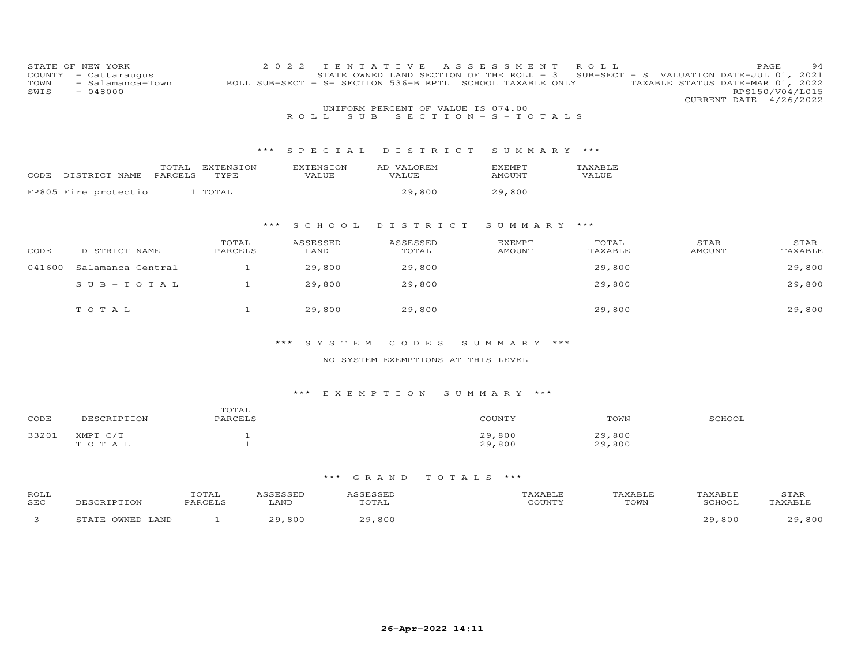| COUNTY<br>TOWN<br>SWIS | STATE OF NEW YORK<br>- Cattaraugus<br>- Salamanca-Town<br>$-048000$ |              | 2 0 2 2<br>ROLL SUB-SECT - S- SECTION 536-B RPTL | T E N T A T T V E<br>STATE OWNED LAND SECTION OF THE ROLL - 3 | A S S E S S M E N T<br>SCHOOL TAXABLE ONLY | ROLL    | PAGE<br>SUB-SECT - S VALUATION DATE-JUL 01, 2021<br>TAXABLE STATUS DATE-MAR 01, 2022<br>CURRENT DATE 4/26/2022 | 94<br>RPS150/V04/L015 |
|------------------------|---------------------------------------------------------------------|--------------|--------------------------------------------------|---------------------------------------------------------------|--------------------------------------------|---------|----------------------------------------------------------------------------------------------------------------|-----------------------|
|                        |                                                                     |              |                                                  | UNIFORM PERCENT OF VALUE IS 074.00                            |                                            |         |                                                                                                                |                       |
|                        |                                                                     |              | SUB<br>ROLL                                      |                                                               | $S E C T I O N - S - T O T A L S$          |         |                                                                                                                |                       |
|                        |                                                                     |              |                                                  |                                                               |                                            |         |                                                                                                                |                       |
|                        |                                                                     | ***          | SPECIAL                                          | DISTRICT                                                      | SUMMARY ***                                |         |                                                                                                                |                       |
|                        | TOTAL                                                               | EXTENSION    | <b>EXTENSION</b>                                 | AD VALOREM                                                    | <b>EXEMPT</b>                              | TAXABLE |                                                                                                                |                       |
| CODE                   | PARCELS<br>DISTRICT NAME                                            | TYPE         | VALUE                                            | VALUE                                                         | <b>AMOUNT</b>                              | VALUE   |                                                                                                                |                       |
|                        | FP805 Fire protectio                                                | 1 TOTAL      |                                                  | 29,800                                                        | 29,800                                     |         |                                                                                                                |                       |
|                        |                                                                     |              |                                                  |                                                               |                                            |         |                                                                                                                |                       |
|                        |                                                                     |              |                                                  |                                                               |                                            |         |                                                                                                                |                       |
|                        |                                                                     | ***          | S C H O O L                                      | DISTRICT                                                      | SUMMARY ***                                |         |                                                                                                                |                       |
|                        |                                                                     | TOTAL        | ASSESSED                                         | ASSESSED                                                      | <b>EXEMPT</b>                              | TOTAL   | STAR                                                                                                           | STAR                  |
| CODE                   | DISTRICT NAME                                                       | PARCELS      | LAND                                             | TOTAL                                                         | <b>AMOUNT</b>                              | TAXABLE | AMOUNT                                                                                                         | TAXABLE               |
| 041600                 | Salamanca Central                                                   | $\mathbf{1}$ | 29,800                                           | 29,800                                                        |                                            | 29,800  |                                                                                                                | 29,800                |
|                        | $S$ U B - T O T A L                                                 | $\mathbf{1}$ | 29,800                                           | 29,800                                                        |                                            | 29,800  |                                                                                                                | 29,800                |
|                        |                                                                     |              |                                                  |                                                               |                                            |         |                                                                                                                |                       |
|                        | TOTAL                                                               | 1            | 29,800                                           | 29,800                                                        |                                            | 29,800  |                                                                                                                | 29,800                |
|                        |                                                                     |              |                                                  |                                                               |                                            |         |                                                                                                                |                       |
|                        |                                                                     |              |                                                  |                                                               |                                            |         |                                                                                                                |                       |
|                        |                                                                     |              | $***$<br>SYSTEM                                  | CODES                                                         | SUMMARY ***                                |         |                                                                                                                |                       |
|                        |                                                                     |              |                                                  | $\cdots$ cucant publications in oute thus                     |                                            |         |                                                                                                                |                       |

# NO SYSTEM EXEMPTIONS AT THIS LEVEL

# \*\*\* E X E M P T I O N S U M M A R Y \*\*\*

| CODE  | DESCRIPTION       | TOTAL<br>PARCELS | COUNTY           | TOWN             | SCHOOL |
|-------|-------------------|------------------|------------------|------------------|--------|
| 33201 | XMPT C/T<br>TOTAL |                  | 29,800<br>29,800 | 29,800<br>29,800 |        |

| ROLL<br>SEC |                                | TOTAL<br>PARCEL | LAND                 | TOTAL             | CCTNTT1 | TOWN | <b><i>FAXABLF</i></b><br>CCHOOT | STAR       |
|-------------|--------------------------------|-----------------|----------------------|-------------------|---------|------|---------------------------------|------------|
|             | OWNED LAND<br><b>C T A T L</b> |                 | 800<br>$\cap$ $\cap$ | ,800<br><u>ാവ</u> |         |      | ,800                            | 800<br>റ വ |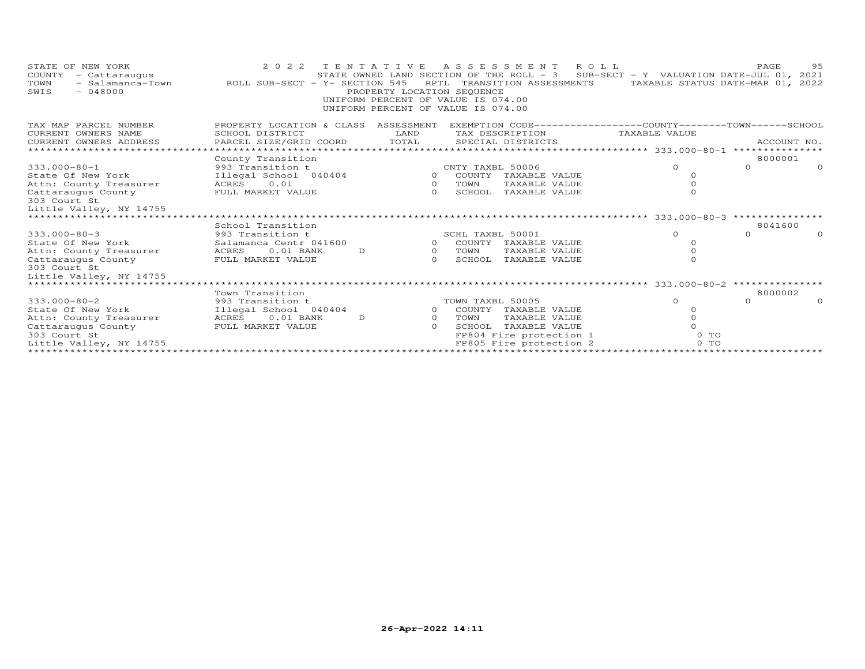| STATE OF NEW YORK<br>COUNTY<br>- Cattaraugus<br>TOWN<br>- Salamanca-Town<br>$-048000$<br>SWIS | 2 0 2 2<br>TENTATIVE<br>ROLL SUB-SECT - Y- SECTION 545 | PROPERTY LOCATION SEQUENCE | ASSESSMENT ROLL<br>STATE OWNED LAND SECTION OF THE ROLL - 3<br>RPTL TRANSITION ASSESSMENTS<br>UNIFORM PERCENT OF VALUE IS 074.00<br>UNIFORM PERCENT OF VALUE IS 074.00 | SUB-SECT - Y VALUATION DATE-JUL 01, 2021<br>TAXABLE STATUS DATE-MAR 01, 2022 | 95<br>PAGE           |
|-----------------------------------------------------------------------------------------------|--------------------------------------------------------|----------------------------|------------------------------------------------------------------------------------------------------------------------------------------------------------------------|------------------------------------------------------------------------------|----------------------|
| TAX MAP PARCEL NUMBER                                                                         | PROPERTY LOCATION & CLASS                              | ASSESSMENT                 | EXEMPTION CODE-----------------COUNTY-------TOWN------SCHOOL                                                                                                           |                                                                              |                      |
| CURRENT OWNERS NAME                                                                           | SCHOOL DISTRICT                                        | LAND                       | TAX DESCRIPTION                                                                                                                                                        | TAXABLE VALUE                                                                |                      |
| CURRENT OWNERS ADDRESS                                                                        | PARCEL SIZE/GRID COORD                                 | TOTAL                      | SPECIAL DISTRICTS                                                                                                                                                      |                                                                              | ACCOUNT NO.          |
|                                                                                               |                                                        |                            |                                                                                                                                                                        |                                                                              |                      |
|                                                                                               | County Transition                                      |                            |                                                                                                                                                                        |                                                                              | 8000001              |
| $333.000 - 80 - 1$                                                                            | 993 Transition t                                       |                            | CNTY TAXBL 50006                                                                                                                                                       | $\Omega$                                                                     | $\Omega$<br>$\Omega$ |
| State Of New York<br>Attn: County Treasurer                                                   | Illegal School 040404<br>ACRES 0.01                    | $\circ$                    | 0 COUNTY TAXABLE VALUE<br>TOWN<br>TAXABLE VALUE                                                                                                                        | $\Omega$<br>$\Omega$                                                         |                      |
| Cattaraugus County                                                                            | FULL MARKET VALUE                                      | $\Omega$                   | SCHOOL<br>TAXABLE VALUE                                                                                                                                                | $\Omega$                                                                     |                      |
| 303 Court St                                                                                  |                                                        |                            |                                                                                                                                                                        |                                                                              |                      |
| Little Valley, NY 14755                                                                       |                                                        |                            |                                                                                                                                                                        |                                                                              |                      |
| ***************************                                                                   |                                                        |                            |                                                                                                                                                                        |                                                                              |                      |
|                                                                                               | School Transition                                      |                            |                                                                                                                                                                        |                                                                              | 8041600              |
| $333.000 - 80 - 3$                                                                            | 993 Transition t                                       |                            | SCHL TAXBL 50001                                                                                                                                                       | $\Omega$                                                                     | $\Omega$<br>$\Omega$ |
| State Of New York                                                                             | Salamanca Centr 041600                                 |                            | 0 COUNTY TAXABLE VALUE                                                                                                                                                 | $\Omega$                                                                     |                      |
| Attn: County Treasurer                                                                        | $0.01$ BANK<br>ACRES<br>D                              | $\overline{O}$             | TOWN<br>TAXABLE VALUE                                                                                                                                                  |                                                                              |                      |
| Cattaraugus County                                                                            | FULL MARKET VALUE                                      | $\Omega$                   | SCHOOL<br>TAXABLE VALUE                                                                                                                                                | $\Omega$                                                                     |                      |
| 303 Court St                                                                                  |                                                        |                            |                                                                                                                                                                        |                                                                              |                      |
| Little Valley, NY 14755                                                                       |                                                        |                            |                                                                                                                                                                        |                                                                              |                      |
| ******************************                                                                |                                                        |                            |                                                                                                                                                                        |                                                                              |                      |
|                                                                                               | Town Transition                                        |                            |                                                                                                                                                                        |                                                                              | 8000002              |
| $333.000 - 80 - 2$                                                                            | 993 Transition t                                       |                            | TOWN TAXBL 50005                                                                                                                                                       | $\Omega$                                                                     | $\Omega$<br>$\Omega$ |
| State Of New York                                                                             | Illegal School 040404                                  |                            | 0 COUNTY TAXABLE VALUE                                                                                                                                                 |                                                                              |                      |
| Attn: County Treasurer                                                                        | $0.01$ BANK<br>ACRES<br>D                              | $\Omega$                   | TOWN<br>TAXABLE VALUE                                                                                                                                                  |                                                                              |                      |
| Cattaraugus County                                                                            | FULL MARKET VALUE                                      | $\Omega$                   | SCHOOL TAXABLE VALUE                                                                                                                                                   |                                                                              |                      |
| 303 Court St                                                                                  |                                                        |                            | FP804 Fire protection 1                                                                                                                                                | 0 TO<br>$0$ TO                                                               |                      |
| Little Valley, NY 14755                                                                       |                                                        |                            | FP805 Fire protection 2                                                                                                                                                |                                                                              |                      |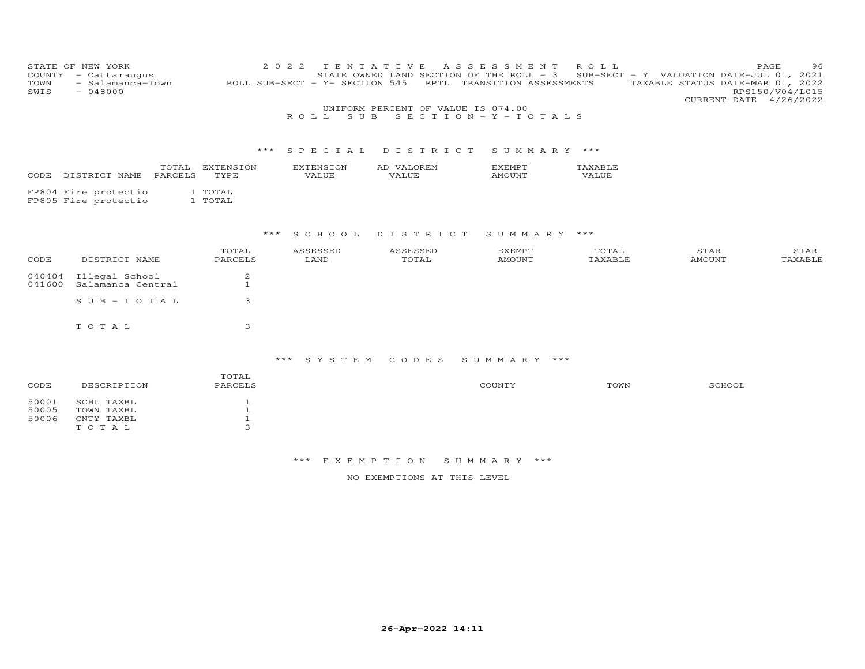| COUNTY<br>TOWN<br>SWIS  | STATE OF NEW YORK<br>- Cattaraugus<br>- Salamanca-Town<br>$-048000$ |                                              | 2 0 2 2<br>ROLL SUB-SECT - Y- SECTION 545<br>ROLL<br>S U B | TENTATIVE<br>STATE OWNED LAND SECTION OF THE ROLL - 3<br>UNIFORM PERCENT OF VALUE IS 074.00 | A S S E S S M E N T<br>RPTL TRANSITION ASSESSMENTS<br>$S E C T I O N - Y - T O T A L S$ | ROLL             | SUB-SECT - Y VALUATION DATE-JUL 01, 2021<br>TAXABLE STATUS DATE-MAR 01, 2022<br>CURRENT DATE 4/26/2022 | PAGE<br>96<br>RPS150/V04/L015 |
|-------------------------|---------------------------------------------------------------------|----------------------------------------------|------------------------------------------------------------|---------------------------------------------------------------------------------------------|-----------------------------------------------------------------------------------------|------------------|--------------------------------------------------------------------------------------------------------|-------------------------------|
|                         |                                                                     | * * *                                        | SPECIAL                                                    | DISTRICT                                                                                    | SUMMARY ***                                                                             |                  |                                                                                                        |                               |
| CODE                    | TOTAL<br>PARCELS<br>DISTRICT NAME                                   | EXTENSION<br>TYPE                            | <b>EXTENSION</b><br>VALUE                                  | AD VALOREM<br>VALUE                                                                         | <b>EXEMPT</b><br><b>AMOUNT</b>                                                          | TAXABLE<br>VALUE |                                                                                                        |                               |
|                         | FP804 Fire protectio<br>FP805 Fire protectio                        | 1 TOTAL<br>1 TOTAL                           |                                                            |                                                                                             |                                                                                         |                  |                                                                                                        |                               |
|                         |                                                                     | $***$                                        | S C H O O L                                                | DISTRICT                                                                                    | SUMMARY ***                                                                             |                  |                                                                                                        |                               |
| CODE                    | DISTRICT NAME                                                       | TOTAL<br>PARCELS                             | ASSESSED<br>LAND                                           | ASSESSED<br>TOTAL                                                                           | <b>EXEMPT</b><br><b>AMOUNT</b>                                                          | TOTAL<br>TAXABLE | STAR<br><b>AMOUNT</b>                                                                                  | STAR<br>TAXABLE               |
| 040404<br>041600        | Illegal School<br>Salamanca Central                                 | $\overline{c}$<br>$\mathbf{1}$               |                                                            |                                                                                             |                                                                                         |                  |                                                                                                        |                               |
|                         | $S \cup B - T \cup T A L$                                           | 3                                            |                                                            |                                                                                             |                                                                                         |                  |                                                                                                        |                               |
|                         | TOTAL                                                               | 3                                            |                                                            |                                                                                             |                                                                                         |                  |                                                                                                        |                               |
|                         |                                                                     |                                              | ***<br>SYSTEM                                              | CODES                                                                                       | SUMMARY ***                                                                             |                  |                                                                                                        |                               |
| CODE                    | DESCRIPTION                                                         | TOTAL<br>PARCELS                             |                                                            |                                                                                             | COUNTY                                                                                  | TOWN             | SCHOOL                                                                                                 |                               |
| 50001<br>50005<br>50006 | SCHL TAXBL<br>TOWN TAXBL<br>CNTY TAXBL                              | $\mathbf{1}$<br>$\mathbf{1}$<br>$\mathbf{1}$ |                                                            |                                                                                             |                                                                                         |                  |                                                                                                        |                               |

T O T A L 3

NO EXEMPTIONS AT THIS LEVEL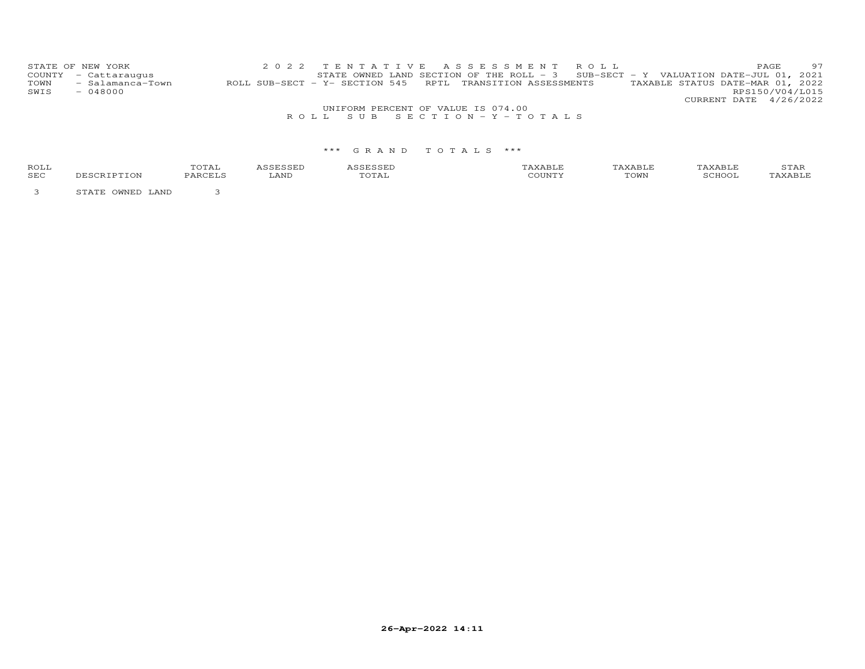|      | STATE OF NEW YORK    |                                                            |  |  |  | 2022 TENTATIVE ASSESSMENT ROLL                                                      |  |                                  | PAGE. | 97 |
|------|----------------------|------------------------------------------------------------|--|--|--|-------------------------------------------------------------------------------------|--|----------------------------------|-------|----|
|      | COUNTY - Cattaraugus |                                                            |  |  |  | STATE OWNED LAND SECTION OF THE ROLL - $3$ SUB-SECT - Y VALUATION DATE-JUL 01, 2021 |  |                                  |       |    |
| TOWN | - Salamanca-Town     | ROLL SUB-SECT - Y- SECTION 545 RPTL TRANSITION ASSESSMENTS |  |  |  |                                                                                     |  | TAXABLE STATUS DATE-MAR 01, 2022 |       |    |
| SWIS | $-048000$            |                                                            |  |  |  |                                                                                     |  | RPS150/V04/L015                  |       |    |
|      |                      |                                                            |  |  |  |                                                                                     |  | CURRENT DATE 4/26/2022           |       |    |

## UNIFORM PERCENT OF VALUE IS 074.00R O L L S U B S E C T I O N - Y - T O T A L S

## \*\*\* G R A N D T O T A L S \*\*\*

| <b>ROLI</b> | $\Delta$ |      |                                    |      | ∸⊷ |
|-------------|----------|------|------------------------------------|------|----|
| <b>SEC</b>  | ـد ،     | LAND | , . <del>. .</del> .<br>$\sqrt{ }$ | TOWN |    |

3 STATE OWNED LAND 3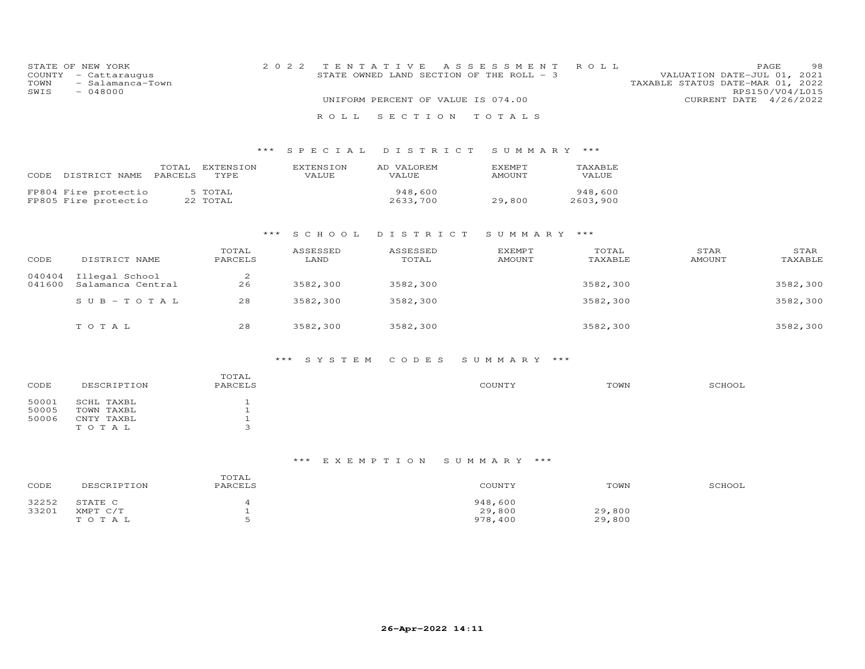| COUNTY<br>TOWN<br>SWIS | STATE OF NEW YORK<br>- Cattaraugus<br>- Salamanca-Town<br>$-048000$ |                  |                     | 2 0 2 2 | T E N                     | I V<br>E<br>A S S<br>STATE OWNED LAND SECTION OF THE ROLL - 3<br>UNIFORM PERCENT OF VALUE IS 074.00 | E<br>SSME<br>N T               | R O L L             | TAXABLE STATUS DATE-MAR 01, 2022 | PAGE<br>VALUATION DATE-JUL 01, 2021<br>RPS150/V04/L015<br>CURRENT DATE 4/26/2022 | -98             |
|------------------------|---------------------------------------------------------------------|------------------|---------------------|---------|---------------------------|-----------------------------------------------------------------------------------------------------|--------------------------------|---------------------|----------------------------------|----------------------------------------------------------------------------------|-----------------|
|                        |                                                                     |                  |                     |         | ROLL                      | SECTION                                                                                             | TOTALS                         |                     |                                  |                                                                                  |                 |
|                        |                                                                     |                  |                     | ***     | S P E C I A L             | DISTRICT                                                                                            | SUMMARY ***                    |                     |                                  |                                                                                  |                 |
| CODE                   | DISTRICT NAME                                                       | TOTAL<br>PARCELS | EXTENSION<br>TYPE   |         | <b>EXTENSION</b><br>VALUE | AD VALOREM<br>VALUE                                                                                 | EXEMPT<br>AMOUNT               | TAXABLE<br>VALUE    |                                  |                                                                                  |                 |
|                        | FP804 Fire protectio<br>FP805 Fire protectio                        |                  | 5 TOTAL<br>22 TOTAL |         |                           | 948,600<br>2633,700                                                                                 | 29,800                         | 948,600<br>2603,900 |                                  |                                                                                  |                 |
|                        |                                                                     |                  |                     | $***$   | S C H O O L               | DISTRICT                                                                                            | SUMMARY                        | ***                 |                                  |                                                                                  |                 |
| CODE                   | DISTRICT NAME                                                       |                  | TOTAL<br>PARCELS    |         | ASSESSED<br>LAND          | ASSESSED<br>TOTAL                                                                                   | <b>EXEMPT</b><br><b>AMOUNT</b> | TOTAL<br>TAXABLE    | STAR<br><b>AMOUNT</b>            |                                                                                  | STAR<br>TAXABLE |
| 040404<br>041600       | Illegal School<br>Salamanca Central                                 |                  | $\mathbf{2}$<br>26  |         | 3582,300                  | 3582,300                                                                                            |                                | 3582,300            |                                  |                                                                                  | 3582,300        |
|                        | $SUB - TO TAL$                                                      |                  | 28                  |         | 3582,300                  | 3582,300                                                                                            |                                | 3582,300            |                                  |                                                                                  | 3582,300        |
|                        | TOTAL                                                               |                  | 28                  |         | 3582,300                  | 3582,300                                                                                            |                                | 3582,300            |                                  |                                                                                  | 3582,300        |

# \*\*\* S Y S T E M C O D E S S U M M A R Y \*\*\*

| CODE  | DESCRIPTION | TOTAL<br>PARCELS | COUNTY | TOWN | SCHOOL |
|-------|-------------|------------------|--------|------|--------|
| 50001 | SCHL TAXBL  |                  |        |      |        |
| 50005 | TOWN TAXBL  |                  |        |      |        |
| 50006 | CNTY TAXBL  |                  |        |      |        |
|       | TOTAL       |                  |        |      |        |

# \*\*\* E X E M P T I O N S U M M A R Y \*\*\*

| CODE  | DESCRIPTION | TOTAL<br>PARCELS | COUNTY  | TOWN   | SCHOOL |
|-------|-------------|------------------|---------|--------|--------|
| 32252 | STATE C     |                  | 948,600 |        |        |
| 33201 | XMPT C/T    |                  | 29,800  | 29,800 |        |
|       | тотаь       |                  | 978,400 | 29,800 |        |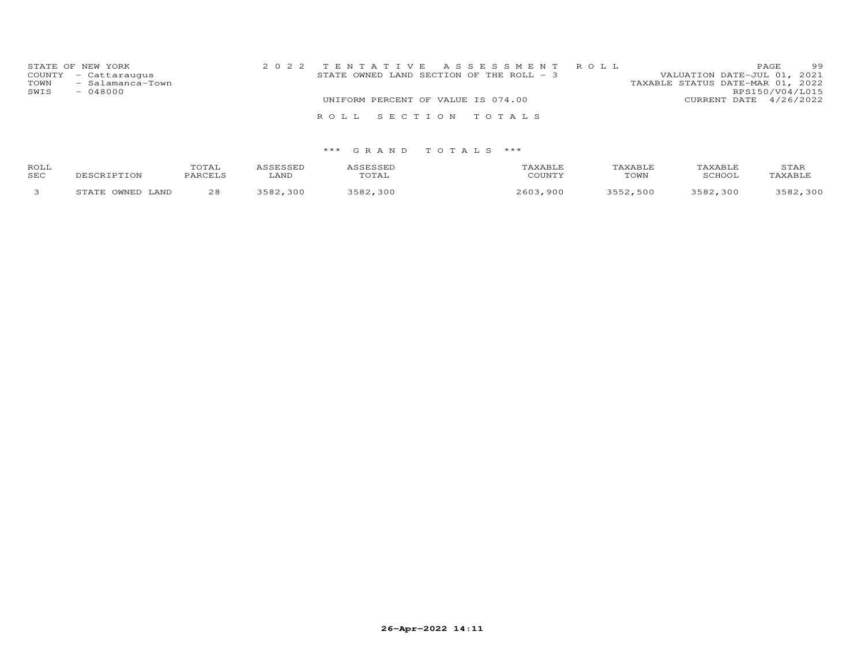|              | STATE OF NEW YORK<br>COUNTY - Cattaraugus | STATE OWNED LAND SECTION OF THE ROLL $-$ 3 |                                    |  | 2022 TENTATIVE ASSESSMENT ROLL | VALUATION DATE-JUL 01, 2021      |                        | PAGE | 99 |
|--------------|-------------------------------------------|--------------------------------------------|------------------------------------|--|--------------------------------|----------------------------------|------------------------|------|----|
| TOWN<br>SWIS | - Salamanca-Town<br>$-048000$             |                                            |                                    |  |                                | TAXABLE STATUS DATE-MAR 01, 2022 | RPS150/V04/L015        |      |    |
|              |                                           |                                            | UNIFORM PERCENT OF VALUE IS 074.00 |  |                                |                                  | CURRENT DATE 4/26/2022 |      |    |
|              |                                           |                                            |                                    |  |                                |                                  |                        |      |    |
|              |                                           | ROLL SECTION TOTALS                        |                                    |  |                                |                                  |                        |      |    |
|              |                                           |                                            |                                    |  |                                |                                  |                        |      |    |

| ROLL<br>SEC | DESCRIPTION         | TOTAL<br>PARCELS | ASSESSED<br>LAND | ASSESSED<br>TOTAL | TAXABLE<br>COUNTY | TAXABLE<br>TOWN | TAXABLE<br>SCHOOL | STAR<br>TAXABLE |
|-------------|---------------------|------------------|------------------|-------------------|-------------------|-----------------|-------------------|-----------------|
|             | STATE OWNED<br>LAND | 28               | 3582,300         | 3582,300          | 2603,900          | 3552,500        | 3582,300          | 3582,300        |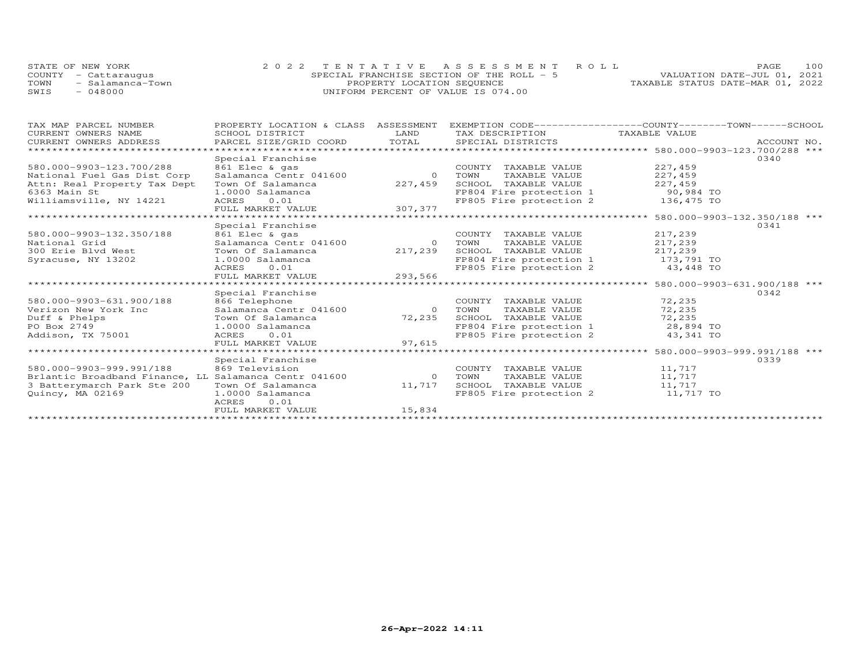|      | STATE OF NEW YORK    | 2022 TENTATIVE ASSESSMENT ROLL            | 100<br>PAGE                      |
|------|----------------------|-------------------------------------------|----------------------------------|
|      | COUNTY - Cattaraugus | SPECIAL FRANCHISE SECTION OF THE ROLL - 5 | VALUATION DATE-JUL 01, 2021      |
| TOWN | - Salamanca-Town     | PROPERTY LOCATION SEQUENCE                | TAXABLE STATUS DATE-MAR 01, 2022 |
| SWIS | $-048000$            | UNIFORM PERCENT OF VALUE IS 074.00        |                                  |

| TAX MAP PARCEL NUMBER                                 | PROPERTY LOCATION & CLASS | ASSESSMENT     | EXEMPTION CODE------------------COUNTY-------TOWN------SCHOOL |                                              |             |
|-------------------------------------------------------|---------------------------|----------------|---------------------------------------------------------------|----------------------------------------------|-------------|
| CURRENT OWNERS NAME                                   | SCHOOL DISTRICT           | LAND           | TAX DESCRIPTION TAXABLE VALUE                                 |                                              |             |
| CURRENT OWNERS ADDRESS                                | PARCEL SIZE/GRID COORD    | TOTAL          | SPECIAL DISTRICTS                                             |                                              | ACCOUNT NO. |
| *******************                                   |                           |                |                                                               |                                              |             |
|                                                       | Special Franchise         |                |                                                               |                                              | 0340        |
| 580.000-9903-123.700/288                              | 861 Elec & gas            |                | COUNTY TAXABLE VALUE                                          | 227,459                                      |             |
| National Fuel Gas Dist Corp                           | Salamanca Centr 041600    | $\overline{0}$ | TAXABLE VALUE<br>TOWN                                         | 227,459                                      |             |
| Attn: Real Property Tax Dept                          | Town Of Salamanca         | 227,459        | SCHOOL TAXABLE VALUE                                          | 227,459                                      |             |
| 6363 Main St                                          | 1.0000 Salamanca          |                | FP804 Fire protection 1                                       | 90,984 TO                                    |             |
| Williamsville, NY 14221                               | ACRES<br>0.01             |                | FP805 Fire protection 2                                       | 136,475 TO                                   |             |
|                                                       | FULL MARKET VALUE         | 307,377        |                                                               |                                              |             |
|                                                       |                           |                |                                                               |                                              |             |
|                                                       | Special Franchise         |                |                                                               |                                              | 0341        |
| 580.000-9903-132.350/188                              | 861 Elec & gas            |                | COUNTY TAXABLE VALUE                                          | 217,239                                      |             |
| National Grid                                         | Salamanca Centr 041600    | $\Omega$       | TOWN<br>TAXABLE VALUE                                         | 217,239                                      |             |
| 300 Erie Blyd West                                    | Town Of Salamanca         | 217,239        | SCHOOL TAXABLE VALUE                                          | 217,239                                      |             |
| Syracuse, NY 13202                                    | 1.0000 Salamanca          |                | FP804 Fire protection 1                                       | 173,791 TO                                   |             |
|                                                       | ACRES<br>0.01             |                | FP805 Fire protection 2                                       | 43,448 TO                                    |             |
|                                                       | FULL MARKET VALUE         | 293,566        |                                                               |                                              |             |
|                                                       | **************            |                |                                                               | *************** 580.000-9903-631.900/188 *** |             |
|                                                       | Special Franchise         |                |                                                               |                                              | 0342        |
| 580.000-9903-631.900/188                              | 866 Telephone             |                | COUNTY TAXABLE VALUE                                          | 72,235                                       |             |
| Verizon New York Inc                                  | Salamanca Centr 041600    | $\overline{O}$ | TAXABLE VALUE<br>TOWN                                         | 72,235                                       |             |
| Duff & Phelps                                         | Town Of Salamanca         | 72,235         | SCHOOL TAXABLE VALUE                                          | 72,235                                       |             |
| PO Box 2749                                           | 1.0000 Salamanca          |                | FP804 Fire protection 1                                       | 28,894 TO                                    |             |
| Addison, TX 75001                                     | 0.01<br>ACRES             |                | FP805 Fire protection 2                                       | 43,341 TO                                    |             |
|                                                       | FULL MARKET VALUE         | 97,615         |                                                               |                                              |             |
| ******************************                        |                           |                |                                                               |                                              |             |
|                                                       | Special Franchise         |                |                                                               |                                              | 0339        |
| 580.000-9903-999.991/188                              | 869 Television            |                | COUNTY TAXABLE VALUE                                          | 11,717                                       |             |
| Brlantic Broadband Finance, LL Salamanca Centr 041600 |                           | $\overline{0}$ | TAXABLE VALUE<br>TOWN                                         | 11,717                                       |             |
| 3 Batterymarch Park Ste 200                           | Town Of Salamanca         | 11,717         | SCHOOL TAXABLE VALUE                                          | 11,717                                       |             |
| Quincy, MA 02169                                      | 1.0000 Salamanca          |                | FP805 Fire protection 2 11,717 TO                             |                                              |             |
|                                                       | 0.01<br>ACRES             |                |                                                               |                                              |             |
|                                                       | FULL MARKET VALUE         | 15,834         |                                                               |                                              |             |
|                                                       |                           |                |                                                               |                                              |             |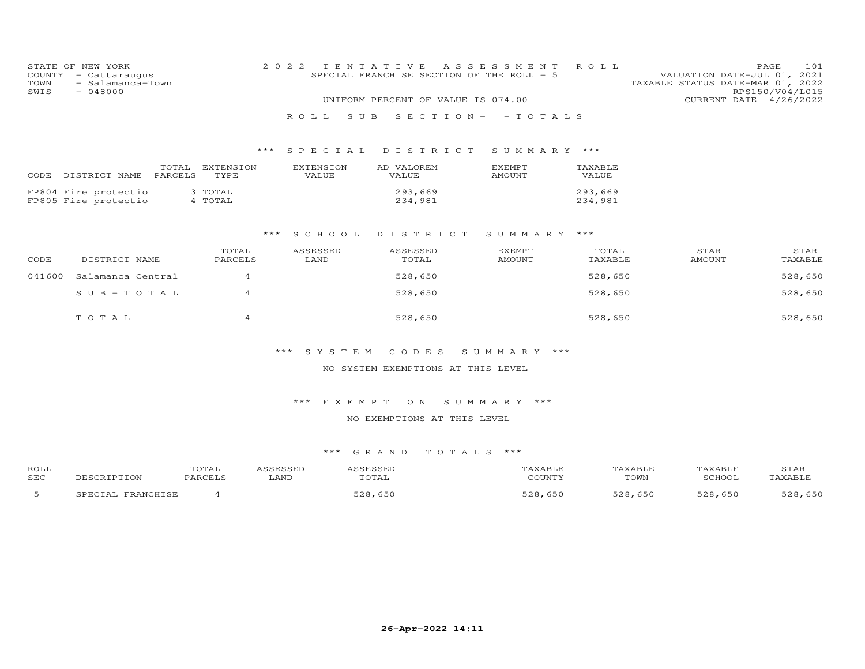| COUNTY<br>TOWN<br>SWIS | STATE OF NEW YORK<br>- Cattaraugus<br>- Salamanca-Town<br>$-048000$ |                         | 2 0 2 2<br>ROLL.<br>S U B | TENTATIVE<br>SPECIAL FRANCHISE SECTION OF THE ROLL - 5<br>UNIFORM PERCENT OF VALUE IS 074.00 | A S S E S S M E N T<br>$S E C T I O N - - T O T A L S$ | ROLL               | VALUATION DATE-JUL 01, 2021<br>TAXABLE STATUS DATE-MAR 01, 2022 | 101<br>PAGE<br>RPS150/V04/L015<br>CURRENT DATE 4/26/2022 |
|------------------------|---------------------------------------------------------------------|-------------------------|---------------------------|----------------------------------------------------------------------------------------------|--------------------------------------------------------|--------------------|-----------------------------------------------------------------|----------------------------------------------------------|
|                        |                                                                     |                         |                           | *** SPECIAL DISTRICT                                                                         | SUMMARY ***                                            |                    |                                                                 |                                                          |
| CODE                   | DISTRICT NAME<br>PARCELS                                            | TOTAL EXTENSION<br>TYPE | EXTENSION<br>VALUE        | AD VALOREM<br>VALUE                                                                          | EXEMPT<br>AMOUNT                                       | TAXABLE<br>VALUE   |                                                                 |                                                          |
|                        | FP804 Fire protectio<br>FP805 Fire protectio                        | 3 TOTAL<br>4 TOTAL      |                           | 293,669<br>234,981                                                                           |                                                        | 293,669<br>234,981 |                                                                 |                                                          |
|                        |                                                                     | ***                     | S C H O O L               | DISTRICT                                                                                     | SUMMARY ***                                            |                    |                                                                 |                                                          |
| CODE                   | DISTRICT NAME                                                       | TOTAL<br>PARCELS        | ASSESSED<br>LAND          | ASSESSED<br>TOTAL                                                                            | EXEMPT<br><b>AMOUNT</b>                                | TOTAL<br>TAXABLE   | STAR<br><b>AMOUNT</b>                                           | STAR<br>TAXABLE                                          |
| 041600                 | Salamanca Central                                                   | $\overline{4}$          |                           | 528,650                                                                                      |                                                        | 528,650            |                                                                 | 528,650                                                  |
|                        | $SUB - TO TAL$                                                      | 4                       |                           | 528,650                                                                                      |                                                        | 528,650            |                                                                 | 528,650                                                  |
|                        | TOTAL                                                               | $\overline{4}$          |                           | 528,650                                                                                      |                                                        | 528,650            |                                                                 | 528,650                                                  |
|                        |                                                                     |                         | *** SYSTEM                | CODES                                                                                        | SUMMARY ***                                            |                    |                                                                 |                                                          |
|                        |                                                                     |                         |                           | NO SYSTEM EXEMPTIONS AT THIS LEVEL                                                           |                                                        |                    |                                                                 |                                                          |
|                        |                                                                     |                         |                           | *** EXEMPTION SUMMARY ***                                                                    |                                                        |                    |                                                                 |                                                          |

## NO EXEMPTIONS AT THIS LEVEL

| <b>ROL1</b> | ◡▴▱▴ |      | $\alpha$ $\alpha$ $\pi$ |      | .      | T.AR |
|-------------|------|------|-------------------------|------|--------|------|
| <b>SEC</b>  |      | LAND | ΆI                      | TOWN | $\sim$ |      |
|             |      |      |                         | 651  |        |      |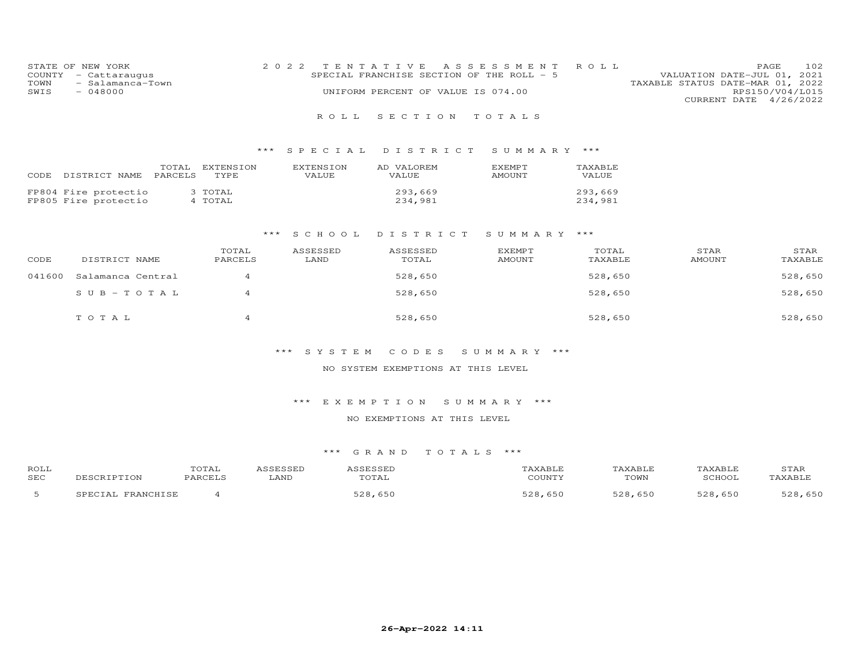| STATE OF NEW YORK        | 2022 TENTATIVE ASSESSMENT ROLL            | 102<br>PAGE.                     |
|--------------------------|-------------------------------------------|----------------------------------|
| COUNTY - Cattaraugus     | SPECIAL FRANCHISE SECTION OF THE ROLL - 5 | VALUATION DATE-JUL 01, 2021      |
| TOWN<br>- Salamanca-Town |                                           | TAXABLE STATUS DATE-MAR 01, 2022 |
| SWIS<br>- 048000         | UNIFORM PERCENT OF VALUE IS 074.00        | RPS150/V04/L015                  |
|                          |                                           | CURRENT DATE 4/26/2022           |

## R O L L S E C T I O N T O T A L S

## \*\*\* S P E C I A L D I S T R I C T S U M M A R Y \*\*\*

| CODE | DISTRICT NAME                                | TOTAL<br><b>PARCELS</b> | EXTENSION<br>TYPE. | <b>EXTENSION</b><br>VALUE. | AD VALOREM<br>VALUE | <b>F.XFMPT</b><br>AMOUNT | TAXABLE<br>VALUE   |
|------|----------------------------------------------|-------------------------|--------------------|----------------------------|---------------------|--------------------------|--------------------|
|      | FP804 Fire protectio<br>FP805 Fire protectio |                         | 3 TOTAL<br>4 TOTAL |                            | 293,669<br>234,981  |                          | 293,669<br>234,981 |

#### \*\*\* S C H O O L D I S T R I C T S U M M A R Y \*\*\*

| CODE   | DISTRICT NAME     | TOTAL<br>PARCELS | ASSESSED<br>LAND | ASSESSED<br>TOTAL | <b>EXEMPT</b><br>AMOUNT | TOTAL<br>TAXABLE | STAR<br>AMOUNT | STAR<br>TAXABLE |
|--------|-------------------|------------------|------------------|-------------------|-------------------------|------------------|----------------|-----------------|
| 041600 | Salamanca Central | 4                |                  | 528,650           |                         | 528,650          |                | 528,650         |
|        | $SUB - TO T AL$   | 4                |                  | 528,650           |                         | 528,650          |                | 528,650         |
|        | TOTAL             |                  |                  | 528,650           |                         | 528,650          |                | 528,650         |

## \*\*\* S Y S T E M C O D E S S U M M A R Y \*\*\*

### NO SYSTEM EXEMPTIONS AT THIS LEVEL

### \*\*\* E X E M P T I O N S U M M A R Y \*\*\*

### NO EXEMPTIONS AT THIS LEVEL

| ROLL       |                          | TOTAL   | <b>CCFCCFD</b><br>ലാംപ | ASSESSED<br>100500 <del>00</del> | AXABLE       | TAXABLE       | TAXABLE                 | STAF                |
|------------|--------------------------|---------|------------------------|----------------------------------|--------------|---------------|-------------------------|---------------------|
| <b>SEC</b> |                          | PARCELS | LAND                   | TOTAL                            | COUNTY       | TOWN          | SCHOOL                  | TAXABLE             |
|            | <b>TRANCHICE</b><br>т "д |         |                        | $=$ $\cap$ $\cap$                | <b>E</b> വെറ | $\Box$<br>650 | $\tau \cap \cap$<br>650 | 650<br>۔ ص <i>م</i> |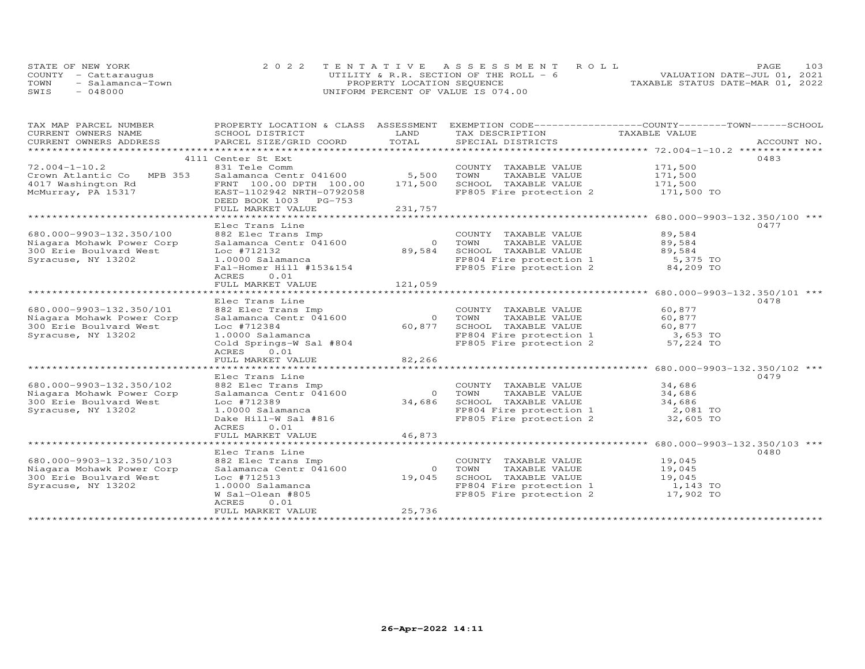|      | STATE OF NEW YORK    | 2022 TENTATIVE ASSESSMENT ROLL         | 103<br><b>PAGE</b>               |
|------|----------------------|----------------------------------------|----------------------------------|
|      | COUNTY - Cattaraugus | UTILITY & R.R. SECTION OF THE ROLL - 6 | VALUATION DATE-JUL 01, 2021      |
| TOWN | - Salamanca-Town     | PROPERTY LOCATION SEQUENCE             | TAXABLE STATUS DATE-MAR 01, 2022 |
| SWIS | - 048000             | UNIFORM PERCENT OF VALUE IS 074.00     |                                  |

| TAX MAP PARCEL NUMBER     | PROPERTY LOCATION & CLASS ASSESSMENT |          | EXEMPTION CODE-----------------COUNTY-------TOWN------SCHOOL |                                                     |             |
|---------------------------|--------------------------------------|----------|--------------------------------------------------------------|-----------------------------------------------------|-------------|
| CURRENT OWNERS NAME       | SCHOOL DISTRICT                      | LAND     | TAX DESCRIPTION                                              | TAXABLE VALUE                                       |             |
| CURRENT OWNERS ADDRESS    | PARCEL SIZE/GRID COORD               | TOTAL    | SPECIAL DISTRICTS                                            |                                                     | ACCOUNT NO. |
| *********************     |                                      |          |                                                              |                                                     |             |
|                           | 4111 Center St Ext                   |          |                                                              |                                                     | 0483        |
| $72.004 - 1 - 10.2$       | 831 Tele Comm                        |          | COUNTY TAXABLE VALUE                                         | 171,500                                             |             |
| Crown Atlantic Co MPB 353 | Salamanca Centr 041600               | 5,500    | TOWN<br>TAXABLE VALUE                                        |                                                     |             |
|                           |                                      |          |                                                              | 171,500<br>171,500                                  |             |
| 4017 Washington Rd        | FRNT 100.00 DPTH 100.00              | 171,500  | SCHOOL TAXABLE VALUE                                         |                                                     |             |
| McMurray, PA 15317        | EAST-1102942 NRTH-0792058            |          | FP805 Fire protection 2 171,500 TO                           |                                                     |             |
|                           | DEED BOOK 1003 PG-753                |          |                                                              |                                                     |             |
|                           | FULL MARKET VALUE                    | 231,757  |                                                              |                                                     |             |
|                           |                                      |          |                                                              |                                                     |             |
|                           | Elec Trans Line                      |          |                                                              |                                                     | 0477        |
| 680.000-9903-132.350/100  | 882 Elec Trans Imp                   |          | COUNTY TAXABLE VALUE                                         | 89,584                                              |             |
| Niagara Mohawk Power Corp | Salamanca Centr 041600               |          | 0 TOWN<br>TAXABLE VALUE                                      | 89,584                                              |             |
| 300 Erie Boulvard West    | Loc #712132                          | 89,584   | SCHOOL TAXABLE VALUE                                         | 89,584                                              |             |
| Syracuse, NY 13202        | 1.0000 Salamanca                     |          | FP804 Fire protection 1                                      | 5,375 TO                                            |             |
|                           | Fal-Homer Hill #153&154              |          | FP805 Fire protection 2 84,209 TO                            |                                                     |             |
|                           | 0.01<br>ACRES                        |          |                                                              |                                                     |             |
|                           | FULL MARKET VALUE                    | 121,059  |                                                              |                                                     |             |
|                           |                                      |          |                                                              |                                                     |             |
|                           |                                      |          |                                                              |                                                     |             |
|                           | Elec Trans Line                      |          |                                                              |                                                     | 0478        |
| 680.000-9903-132.350/101  | 882 Elec Trans Imp                   |          | COUNTY TAXABLE VALUE                                         | 60,877                                              |             |
| Niagara Mohawk Power Corp | Salamanca Centr 041600               |          | TAXABLE VALUE<br>0 TOWN                                      | 60,877                                              |             |
| 300 Erie Boulvard West    | Loc #712384                          | 60,877   | SCHOOL TAXABLE VALUE                                         | 60,877                                              |             |
| Syracuse, NY 13202        | 1.0000 Salamanca                     |          | FP804 Fire protection 1<br>FP805 Fire protection 2           | 3,653 TO                                            |             |
|                           | Cold Springs-W Sal #804              |          |                                                              | 57,224 TO                                           |             |
|                           | ACRES<br>0.01                        |          |                                                              |                                                     |             |
|                           | FULL MARKET VALUE                    | 82,266   |                                                              |                                                     |             |
|                           | ************************             |          |                                                              | ********************** 680.000-9903-132.350/102 *** |             |
|                           | Elec Trans Line                      |          |                                                              |                                                     | 0479        |
| 680.000-9903-132.350/102  | 882 Elec Trans Imp                   |          | COUNTY TAXABLE VALUE                                         | 34,686                                              |             |
| Niagara Mohawk Power Corp | Salamanca Centr 041600               | $\circ$  | TOWN<br>TAXABLE VALUE                                        | 34,686                                              |             |
| 300 Erie Boulvard West    | Loc #712389                          | 34,686   | SCHOOL TAXABLE VALUE                                         | 34,686                                              |             |
| Syracuse, NY 13202        | 1.0000 Salamanca                     |          | FP804 Fire protection 1                                      | $2,081$ TO                                          |             |
|                           | Dake Hill-W Sal #816                 |          | FP805 Fire protection 2                                      | 32,605 TO                                           |             |
|                           |                                      |          |                                                              |                                                     |             |
|                           | ACRES<br>0.01                        |          |                                                              |                                                     |             |
|                           | FULL MARKET VALUE                    | 46,873   |                                                              |                                                     |             |
|                           |                                      |          |                                                              | ******************* 680.000-9903-132.350/103 ***    |             |
|                           | Elec Trans Line                      |          |                                                              |                                                     | 0480        |
| 680.000-9903-132.350/103  | 882 Elec Trans Imp                   |          | COUNTY TAXABLE VALUE                                         | 19,045                                              |             |
| Niagara Mohawk Power Corp | Salamanca Centr 041600               | $\Omega$ | TOWN<br>TAXABLE VALUE                                        | 19,045                                              |             |
| 300 Erie Boulvard West    | Loc #712513                          | 19,045   | SCHOOL TAXABLE VALUE                                         | 19,045                                              |             |
| Syracuse, NY 13202        | 1.0000 Salamanca                     |          | FP804 Fire protection 1                                      | 1,143 TO                                            |             |
|                           | W Sal-Olean #805                     |          | FP805 Fire protection 2                                      | 17,902 TO                                           |             |
|                           | ACRES<br>0.01                        |          |                                                              |                                                     |             |
|                           | FULL MARKET VALUE                    | 25,736   |                                                              |                                                     |             |
|                           |                                      |          |                                                              |                                                     |             |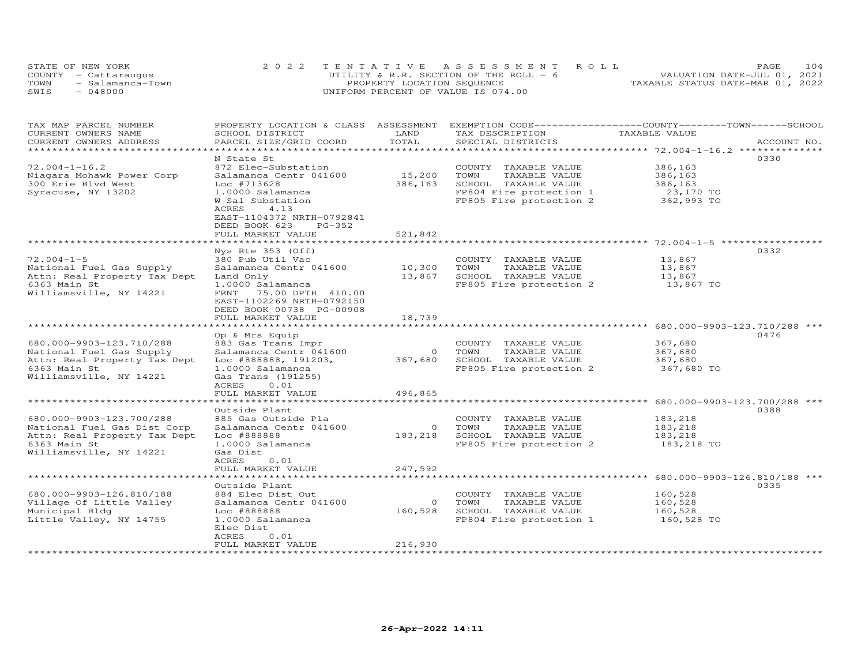|      | STATE OF NEW YORK    | 2022 TENTATIVE ASSESSMENT ROLL         | 104<br>PAGE.                     |
|------|----------------------|----------------------------------------|----------------------------------|
|      | COUNTY - Cattaraugus | UTILITY & R.R. SECTION OF THE ROLL - 6 | VALUATION DATE-JUL 01, 2021      |
| TOWN | - Salamanca-Town     | PROPERTY LOCATION SEQUENCE             | TAXABLE STATUS DATE-MAR 01, 2022 |
| SWIS | $-048000$            | UNIFORM PERCENT OF VALUE IS 074.00     |                                  |

| TAX MAP PARCEL NUMBER        | PROPERTY LOCATION & CLASS ASSESSMENT |         | EXEMPTION CODE-----------------COUNTY-------TOWN------SCHOOL |                                                   |             |
|------------------------------|--------------------------------------|---------|--------------------------------------------------------------|---------------------------------------------------|-------------|
| CURRENT OWNERS NAME          | SCHOOL DISTRICT                      | LAND    | TAX DESCRIPTION                                              | TAXABLE VALUE                                     |             |
| CURRENT OWNERS ADDRESS       | PARCEL SIZE/GRID COORD               | TOTAL   | SPECIAL DISTRICTS                                            |                                                   | ACCOUNT NO. |
| ******************           |                                      |         |                                                              |                                                   |             |
|                              | N State St                           |         |                                                              |                                                   | 0330        |
| $72.004 - 1 - 16.2$          | 872 Elec-Substation                  |         | COUNTY TAXABLE VALUE                                         | 386,163                                           |             |
| Niagara Mohawk Power Corp    | Salamanca Centr 041600               | 15,200  | TOWN<br>TAXABLE VALUE                                        | 386,163                                           |             |
| 300 Erie Blvd West           | Loc #713628                          | 386,163 | SCHOOL TAXABLE VALUE                                         | 386,163                                           |             |
| Syracuse, NY 13202           | 1.0000 Salamanca                     |         | FP804 Fire protection 1                                      | 23,170 TO                                         |             |
|                              | W Sal Substation                     |         | FP805 Fire protection 2                                      | 362,993 TO                                        |             |
|                              | 4.13<br>ACRES                        |         |                                                              |                                                   |             |
|                              | EAST-1104372 NRTH-0792841            |         |                                                              |                                                   |             |
|                              | DEED BOOK 623<br>PG-352              |         |                                                              |                                                   |             |
|                              | FULL MARKET VALUE                    | 521,842 |                                                              |                                                   |             |
|                              |                                      |         |                                                              |                                                   |             |
|                              | Nys Rte 353 (Off)                    |         |                                                              |                                                   | 0332        |
| $72.004 - 1 - 5$             | 380 Pub Util Vac                     |         | COUNTY TAXABLE VALUE                                         | 13,867                                            |             |
| National Fuel Gas Supply     | Salamanca Centr 041600               | 10,300  | TOWN<br>TAXABLE VALUE                                        | 13,867                                            |             |
| Attn: Real Property Tax Dept | Land Only                            | 13,867  | SCHOOL TAXABLE VALUE                                         | 13,867                                            |             |
| 6363 Main St                 | 1.0000 Salamanca                     |         | FP805 Fire protection 2                                      | 13,867 TO                                         |             |
| Williamsville, NY 14221      | FRNT<br>75.00 DPTH 410.00            |         |                                                              |                                                   |             |
|                              | EAST-1102269 NRTH-0792150            |         |                                                              |                                                   |             |
|                              | DEED BOOK 00738 PG-00908             |         |                                                              |                                                   |             |
|                              | FULL MARKET VALUE                    | 18,739  |                                                              |                                                   |             |
|                              |                                      |         |                                                              |                                                   |             |
|                              | Op & Mrs Equip                       |         |                                                              |                                                   | 0476        |
| 680.000-9903-123.710/288     | 883 Gas Trans Impr                   |         | COUNTY TAXABLE VALUE                                         | 367,680                                           |             |
| National Fuel Gas Supply     | Salamanca Centr 041600               | $\circ$ | TOWN<br>TAXABLE VALUE                                        | 367,680                                           |             |
| Attn: Real Property Tax Dept | Loc #888888, 191203,                 | 367,680 | SCHOOL TAXABLE VALUE                                         | 367,680                                           |             |
| 6363 Main St                 | 1.0000 Salamanca                     |         | FP805 Fire protection 2                                      | 367,680 TO                                        |             |
| Williamsville, NY 14221      | Gas Trans (191255)                   |         |                                                              |                                                   |             |
|                              | 0.01<br>ACRES                        |         |                                                              |                                                   |             |
|                              | FULL MARKET VALUE                    | 496,865 |                                                              |                                                   |             |
|                              | Outside Plant                        |         |                                                              |                                                   | 0388        |
| 680.000-9903-123.700/288     | 885 Gas Outside Pla                  |         | COUNTY TAXABLE VALUE                                         | 183,218                                           |             |
| National Fuel Gas Dist Corp  | Salamanca Centr 041600               | $\circ$ | TOWN<br>TAXABLE VALUE                                        | 183,218                                           |             |
| Attn: Real Property Tax Dept | Loc #888888                          | 183,218 | SCHOOL TAXABLE VALUE                                         | 183,218                                           |             |
| 6363 Main St                 | 1.0000 Salamanca                     |         | FP805 Fire protection 2                                      | 183,218 TO                                        |             |
| Williamsville, NY 14221      | Gas Dist                             |         |                                                              |                                                   |             |
|                              | ACRES<br>0.01                        |         |                                                              |                                                   |             |
|                              | FULL MARKET VALUE                    | 247,592 |                                                              |                                                   |             |
|                              | ******************                   |         |                                                              | ******************** 680.000-9903-126.810/188 *** |             |
|                              | Outside Plant                        |         |                                                              |                                                   | 0335        |
| 680.000-9903-126.810/188     | 884 Elec Dist Out                    |         | COUNTY TAXABLE VALUE                                         | 160,528                                           |             |
| Village Of Little Valley     | Salamanca Centr 041600               | $\circ$ | TOWN<br>TAXABLE VALUE                                        | 160,528                                           |             |
| Municipal Bldg               | Loc #888888                          | 160,528 | SCHOOL TAXABLE VALUE                                         | 160,528                                           |             |
| Little Valley, NY 14755      | 1.0000 Salamanca                     |         | FP804 Fire protection 1                                      | 160,528 TO                                        |             |
|                              | Elec Dist                            |         |                                                              |                                                   |             |
|                              | ACRES<br>0.01                        |         |                                                              |                                                   |             |
|                              | FULL MARKET VALUE                    | 216,930 |                                                              |                                                   |             |
|                              |                                      |         |                                                              |                                                   |             |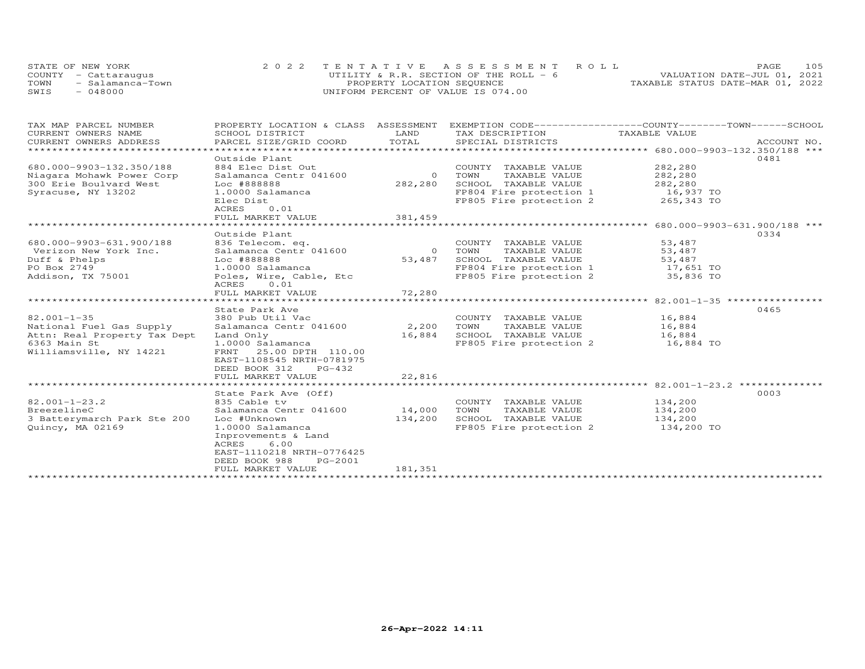|      | STATE OF NEW YORK    | 2022 TENTATIVE ASSESSMENT ROLL           | 105<br>PAGE.                     |
|------|----------------------|------------------------------------------|----------------------------------|
|      | COUNTY - Cattaraugus | UTILITY & R.R. SECTION OF THE ROLL - $6$ | VALUATION DATE-JUL 01, 2021      |
| TOWN | - Salamanca-Town     | PROPERTY LOCATION SEQUENCE               | TAXABLE STATUS DATE-MAR 01, 2022 |
| SWIS | $-048000$            | UNIFORM PERCENT OF VALUE IS 074.00       |                                  |

| TAX MAP PARCEL NUMBER        | PROPERTY LOCATION & CLASS ASSESSMENT EXEMPTION CODE----------------COUNTY-------TOWN------SCHOOL |          |                         |                                                   |             |
|------------------------------|--------------------------------------------------------------------------------------------------|----------|-------------------------|---------------------------------------------------|-------------|
| CURRENT OWNERS NAME          | SCHOOL DISTRICT                                                                                  | LAND     | TAX DESCRIPTION         | TAXABLE VALUE                                     |             |
| CURRENT OWNERS ADDRESS       | PARCEL SIZE/GRID COORD                                                                           | TOTAL    | SPECIAL DISTRICTS       |                                                   | ACCOUNT NO. |
|                              |                                                                                                  |          |                         |                                                   |             |
|                              | Outside Plant                                                                                    |          |                         |                                                   | 0481        |
| 680.000-9903-132.350/188     | 884 Elec Dist Out                                                                                |          | COUNTY TAXABLE VALUE    | 282,280                                           |             |
| Niagara Mohawk Power Corp    | Salamanca Centr 041600                                                                           | $\Omega$ | TOWN<br>TAXABLE VALUE   | 282,280                                           |             |
| 300 Erie Boulvard West       | Loc #888888                                                                                      | 282,280  | SCHOOL TAXABLE VALUE    | 282,280                                           |             |
| Syracuse, NY 13202           | 1.0000 Salamanca                                                                                 |          | FP804 Fire protection 1 | 16,937 TO                                         |             |
|                              | Elec Dist                                                                                        |          | FP805 Fire protection 2 | 265,343 TO                                        |             |
|                              | 0.01<br>ACRES                                                                                    |          |                         |                                                   |             |
|                              | FULL MARKET VALUE                                                                                | 381,459  |                         |                                                   |             |
|                              |                                                                                                  |          |                         |                                                   |             |
|                              | Outside Plant                                                                                    |          |                         |                                                   | 0334        |
| 680.000-9903-631.900/188     | 836 Telecom. eq.                                                                                 |          | COUNTY TAXABLE VALUE    | 53,487                                            |             |
| Verizon New York Inc.        | Salamanca Centr 041600                                                                           | $\circ$  | TAXABLE VALUE<br>TOWN   | 53,487                                            |             |
| Duff & Phelps                | Loc #888888                                                                                      | 53,487   | SCHOOL TAXABLE VALUE    | 53,487                                            |             |
| PO Box 2749                  | 1.0000 Salamanca                                                                                 |          | FP804 Fire protection 1 | 17,651 TO                                         |             |
| Addison, TX 75001            | Poles, Wire, Cable, Etc                                                                          |          | FP805 Fire protection 2 | 35,836 TO                                         |             |
|                              | 0.01<br>ACRES                                                                                    |          |                         |                                                   |             |
|                              | FULL MARKET VALUE                                                                                | 72,280   |                         |                                                   |             |
|                              |                                                                                                  |          |                         | ******************* 82.001-1-35 ***************** |             |
|                              | State Park Ave                                                                                   |          |                         |                                                   | 0465        |
| $82.001 - 1 - 35$            | 380 Pub Util Vac                                                                                 |          | COUNTY TAXABLE VALUE    | 16,884                                            |             |
| National Fuel Gas Supply     | Salamanca Centr 041600                                                                           | 2,200    | TOWN<br>TAXABLE VALUE   | 16,884                                            |             |
| Attn: Real Property Tax Dept | Land Only                                                                                        | 16,884   | SCHOOL TAXABLE VALUE    | 16,884                                            |             |
| 6363 Main St                 | 1.0000 Salamanca                                                                                 |          | FP805 Fire protection 2 | 16,884 TO                                         |             |
| Williamsville, NY 14221      | FRNT<br>25.00 DPTH 110.00                                                                        |          |                         |                                                   |             |
|                              | EAST-1108545 NRTH-0781975                                                                        |          |                         |                                                   |             |
|                              | DEED BOOK 312<br>PG-432                                                                          |          |                         |                                                   |             |
|                              | FULL MARKET VALUE                                                                                | 22,816   |                         |                                                   |             |
|                              |                                                                                                  |          |                         |                                                   |             |
|                              |                                                                                                  |          |                         |                                                   | 0003        |
|                              | State Park Ave (Off)                                                                             |          |                         |                                                   |             |
| $82.001 - 1 - 23.2$          | 835 Cable tv                                                                                     |          | COUNTY TAXABLE VALUE    | 134,200                                           |             |
| BreezelineC                  | Salamanca Centr 041600 14,000                                                                    |          | TOWN<br>TAXABLE VALUE   | 134,200                                           |             |
| 3 Batterymarch Park Ste 200  | Loc #Unknown                                                                                     | 134,200  | SCHOOL TAXABLE VALUE    | 134,200                                           |             |
| Quincy, MA 02169             | 1.0000 Salamanca                                                                                 |          | FP805 Fire protection 2 | 134,200 TO                                        |             |
|                              | Inprovements & Land                                                                              |          |                         |                                                   |             |
|                              | 6.00<br>ACRES                                                                                    |          |                         |                                                   |             |
|                              | EAST-1110218 NRTH-0776425                                                                        |          |                         |                                                   |             |
|                              | DEED BOOK 988<br>PG-2001                                                                         |          |                         |                                                   |             |
|                              | FULL MARKET VALUE                                                                                | 181,351  |                         |                                                   |             |
|                              |                                                                                                  |          |                         |                                                   |             |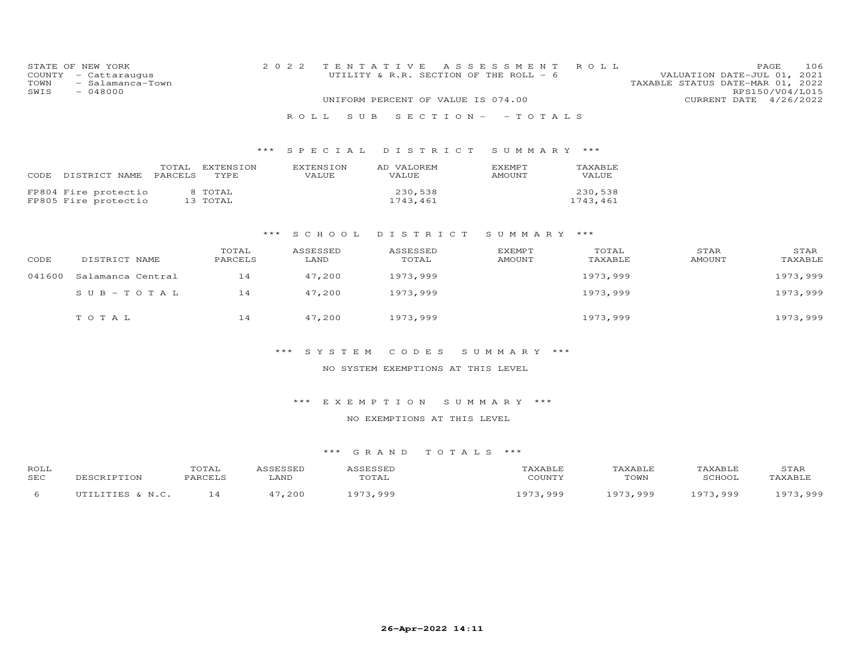| COUNTY<br>TOWN<br>SWIS | STATE OF NEW YORK<br>- Cattaraugus<br>- Salamanca-Town<br>$-048000$ |                         | 2 0 2 2            | TENTATIVE<br>UNIFORM PERCENT OF VALUE IS 074.00 | A S S E S S M E N T<br>UTILITY & R.R. SECTION OF THE ROLL - 6 | ROLL                    | PAGE<br>106<br>VALUATION DATE-JUL 01, 2021<br>TAXABLE STATUS DATE-MAR 01, 2022<br>RPS150/V04/L015<br>CURRENT DATE 4/26/2022 |
|------------------------|---------------------------------------------------------------------|-------------------------|--------------------|-------------------------------------------------|---------------------------------------------------------------|-------------------------|-----------------------------------------------------------------------------------------------------------------------------|
|                        |                                                                     |                         |                    |                                                 |                                                               |                         |                                                                                                                             |
|                        |                                                                     |                         | ROLL<br>S U B      |                                                 | $S E C T I O N - - T O T A L S$                               |                         |                                                                                                                             |
|                        |                                                                     | ***                     | SPECIAL            | DISTRICT                                        | SUMMARY ***                                                   |                         |                                                                                                                             |
| CODE                   | PARCELS<br>DISTRICT NAME                                            | TOTAL EXTENSION<br>TYPE | EXTENSION<br>VALUE | AD VALOREM<br><b>VALUE</b>                      | EXEMPT<br>AMOUNT                                              | TAXABLE<br><b>VALUE</b> |                                                                                                                             |
|                        | FP804 Fire protectio<br>FP805 Fire protectio                        | 8 TOTAL<br>13 TOTAL     |                    | 230,538<br>1743,461                             |                                                               | 230,538<br>1743,461     |                                                                                                                             |
|                        |                                                                     | ***                     | SCHOOL             | DISTRICT                                        | SUMMARY ***                                                   |                         |                                                                                                                             |
|                        |                                                                     |                         |                    |                                                 |                                                               |                         |                                                                                                                             |
| CODE                   | DISTRICT NAME                                                       | TOTAL<br>PARCELS        | ASSESSED<br>LAND   | ASSESSED<br>TOTAL                               | <b>EXEMPT</b><br><b>AMOUNT</b>                                | TOTAL<br>TAXABLE        | STAR<br>STAR<br>AMOUNT<br>TAXABLE                                                                                           |
| 041600                 | Salamanca Central                                                   | 14                      | 47,200             | 1973,999                                        |                                                               | 1973,999                | 1973,999                                                                                                                    |
|                        | $S \cup B - TO T A L$                                               | 14                      | 47,200             | 1973,999                                        |                                                               | 1973,999                | 1973,999                                                                                                                    |
|                        | TO TAL                                                              | 14                      | 47,200             | 1973,999                                        |                                                               | 1973,999                | 1973,999                                                                                                                    |
|                        |                                                                     |                         | $***$<br>SYSTEM    | CODES                                           | SUMMARY ***                                                   |                         |                                                                                                                             |
|                        |                                                                     |                         |                    | NO SYSTEM EXEMPTIONS AT THIS LEVEL              |                                                               |                         |                                                                                                                             |

NO EXEMPTIONS AT THIS LEVEL

| ROLL       |             | TOTAL   | 000000 |                   |                                 | 'AXABLE       | 'AXABLE      | STAR          |
|------------|-------------|---------|--------|-------------------|---------------------------------|---------------|--------------|---------------|
| <b>SEC</b> |             | PARCELS | LAND   | momn.<br>' UIAL   | $C$ $C$ $T$ $T$ $T$ $T$ $T$ $T$ | TOWN          | SCHOO1       |               |
|            | IITTI.TTTRS |         | ,200   | 999<br>$\Omega$ . | $\Omega$<br>999                 | 1.077<br>.999 | . 07<br>.999 | QQQ<br>$\cap$ |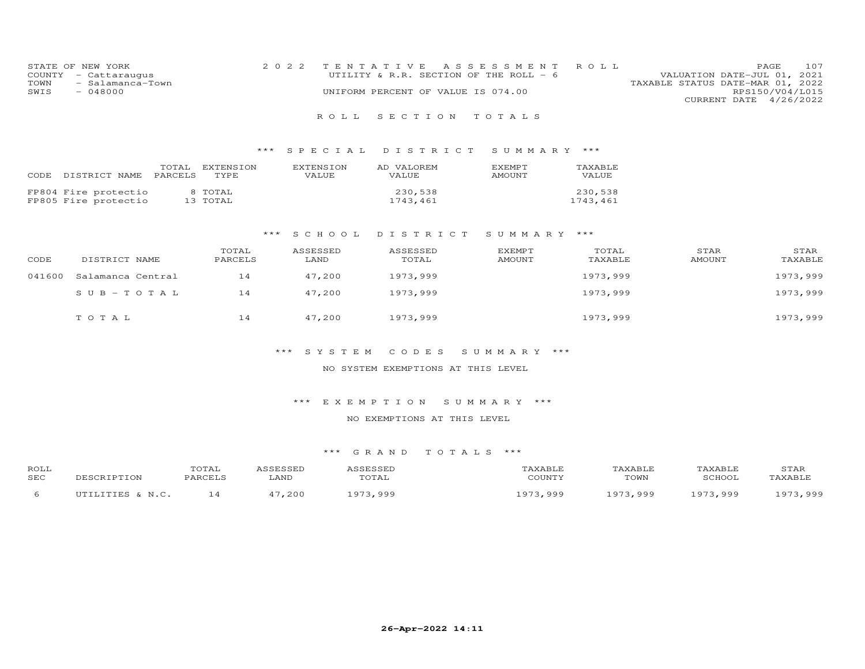| STATE OF NEW YORK     | 2022 TENTATIVE ASSESSMENT ROLL     |                                        |                                  | <b>PAGE</b>            | 107 |
|-----------------------|------------------------------------|----------------------------------------|----------------------------------|------------------------|-----|
| COUNTY - Cattaraugus  |                                    | UTILITY & R.R. SECTION OF THE ROLL - 6 | VALUATION DATE-JUL 01, 2021      |                        |     |
| TOWN - Salamanca-Town |                                    |                                        | TAXABLE STATUS DATE-MAR 01, 2022 |                        |     |
| SWIS<br>$-048000$     | UNIFORM PERCENT OF VALUE IS 074.00 |                                        |                                  | RPS150/V04/L015        |     |
|                       |                                    |                                        |                                  | CURRENT DATE 4/26/2022 |     |
|                       |                                    |                                        |                                  |                        |     |

## R O L L S E C T I O N T O T A L S

## \*\*\* S P E C I A L D I S T R I C T S U M M A R Y \*\*\*

| CODE | DISTRICT NAME                                | TOTAL<br><b>PARCELS</b> | EXTENSION<br>TYPE.  | <b>EXTENSION</b><br>VALUE. | AD VALOREM<br>VALUE. | <b>F.XFMPT</b><br><b>AMOUNT</b> | TAXABLE<br>VALUE    |
|------|----------------------------------------------|-------------------------|---------------------|----------------------------|----------------------|---------------------------------|---------------------|
|      | FP804 Fire protectio<br>FP805 Fire protectio |                         | 8 TOTAL<br>13 TOTAL |                            | 230,538<br>1743.461  |                                 | 230,538<br>1743.461 |

#### \*\*\* S C H O O L D I S T R I C T S U M M A R Y \*\*\*

| CODE   | DISTRICT NAME     | TOTAL<br>PARCELS | ASSESSED<br>LAND | ASSESSED<br>TOTAL | <b>EXEMPT</b><br>AMOUNT | TOTAL<br>TAXABLE | STAR<br>AMOUNT | STAR<br>TAXABLE |
|--------|-------------------|------------------|------------------|-------------------|-------------------------|------------------|----------------|-----------------|
| 041600 | Salamanca Central | 14               | 47,200           | 1973,999          |                         | 1973,999         |                | 1973,999        |
|        | $SUB - TO TAL$    | 14               | 47,200           | 1973,999          |                         | 1973,999         |                | 1973,999        |
|        | TOTAL             | 14               | 47,200           | 1973,999          |                         | 1973,999         |                | 1973,999        |

## \*\*\* S Y S T E M C O D E S S U M M A R Y \*\*\*

### NO SYSTEM EXEMPTIONS AT THIS LEVEL

#### \*\*\* E X E M P T I O N S U M M A R Y \*\*\*

### NO EXEMPTIONS AT THIS LEVEL

| ROLL       |                  | TOTAL   | ICCFCCFD | ASSESSED | TAXABLE      | TAXABLE  | TAXABLE  | STAR     |
|------------|------------------|---------|----------|----------|--------------|----------|----------|----------|
| <b>SEC</b> | DESCRIPTION      | PARCELS | LAND     | TOTAL    | COUNTY       | TOWN     | SCHOOL   | TAXABLE  |
|            | UTILITIES & N.C. | 14      | 47,200   | 1973 999 | 073<br>999 ر | 1973,999 | 1973,999 | 1973 999 |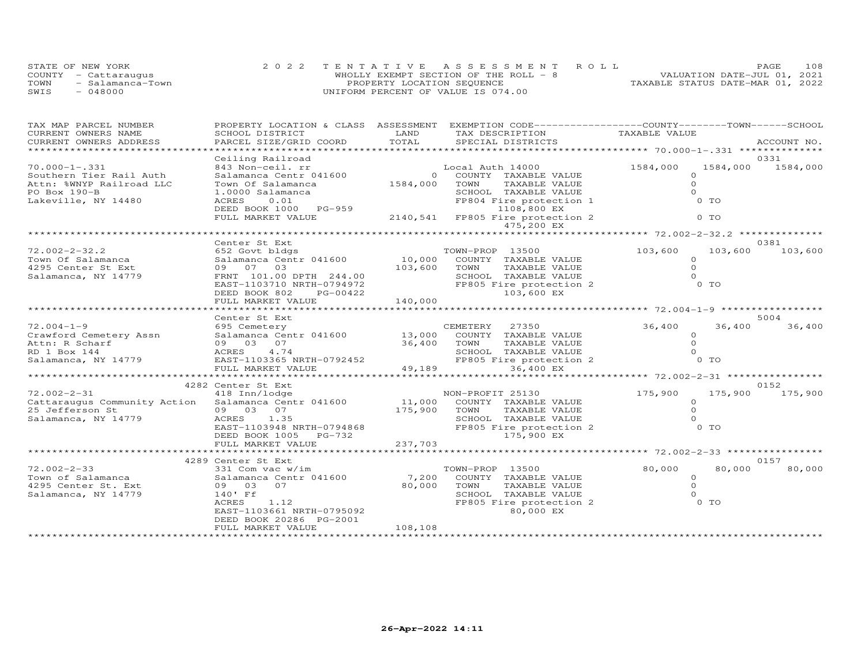|      | STATE OF NEW YORK    |                                    | 2022 TENTATIVE ASSESSMENT ROLL         |                                  | PAGE | 108 |
|------|----------------------|------------------------------------|----------------------------------------|----------------------------------|------|-----|
|      | COUNTY - Cattaraugus |                                    | WHOLLY EXEMPT SECTION OF THE ROLL $-8$ | VALUATION DATE-JUL 01, 2021      |      |     |
| TOWN | - Salamanca-Town     | PROPERTY LOCATION SEQUENCE         |                                        | TAXABLE STATUS DATE-MAR 01, 2022 |      |     |
| SWIS | $-048000$            | UNIFORM PERCENT OF VALUE IS 074.00 |                                        |                                  |      |     |

| TAX MAP PARCEL NUMBER        | PROPERTY LOCATION & CLASS ASSESSMENT |               | EXEMPTION CODE-----------------COUNTY-------TOWN------SCHOOL   |                |                      |  |  |  |
|------------------------------|--------------------------------------|---------------|----------------------------------------------------------------|----------------|----------------------|--|--|--|
| CURRENT OWNERS NAME          | SCHOOL DISTRICT                      | LAND          | TAX DESCRIPTION                                                | TAXABLE VALUE  |                      |  |  |  |
| CURRENT OWNERS ADDRESS       | PARCEL SIZE/GRID COORD               | TOTAL         | SPECIAL DISTRICTS                                              |                | ACCOUNT NO.          |  |  |  |
|                              |                                      |               |                                                                |                |                      |  |  |  |
|                              | Ceiling Railroad                     |               |                                                                |                | 0331                 |  |  |  |
| $70.000 - 1 - .331$          | 843 Non-ceil. rr                     |               | Local Auth 14000                                               | 1584,000       | 1584,000<br>1584,000 |  |  |  |
| Southern Tier Rail Auth      | Salamanca Centr 041600               | $\Omega$      | COUNTY TAXABLE VALUE                                           | $\Omega$       |                      |  |  |  |
| Attn: %WNYP Railroad LLC     | Town Of Salamanca                    | 1584,000      | TAXABLE VALUE<br>TOWN                                          | $\circ$        |                      |  |  |  |
| PO Box 190-B                 | 1.0000 Salamanca                     |               | SCHOOL TAXABLE VALUE                                           | $\Omega$       |                      |  |  |  |
| Lakeville, NY 14480          | 0.01<br>ACRES                        |               | FP804 Fire protection 1                                        | $0$ TO         |                      |  |  |  |
|                              | DEED BOOK 1000 PG-959                |               | 1108,800 EX                                                    |                |                      |  |  |  |
|                              | FULL MARKET VALUE                    |               | 2140,541 FP805 Fire protection 2                               | 0 <sub>T</sub> |                      |  |  |  |
|                              |                                      |               | 475,200 EX                                                     |                |                      |  |  |  |
|                              |                                      |               |                                                                |                |                      |  |  |  |
|                              | Center St Ext                        |               |                                                                |                | 0381                 |  |  |  |
| $72.002 - 2 - 32.2$          | 652 Govt bldgs                       |               | TOWN-PROP 13500                                                | 103,600        | 103,600<br>103,600   |  |  |  |
| Town Of Salamanca            | Salamanca Centr 041600               | 10,000        | COUNTY TAXABLE VALUE                                           | $\Omega$       |                      |  |  |  |
| 4295 Center St Ext           | 09 07 03                             | 103,600       | TOWN<br>TAXABLE VALUE                                          | $\Omega$       |                      |  |  |  |
| Salamanca, NY 14779          | FRNT 101.00 DPTH 244.00              |               | SCHOOL TAXABLE VALUE                                           | $\Omega$       |                      |  |  |  |
|                              | EAST-1103710 NRTH-0794972            |               | FP805 Fire protection 2                                        | 0 <sub>T</sub> |                      |  |  |  |
|                              | DEED BOOK 802<br>PG-00422            |               | 103,600 EX                                                     |                |                      |  |  |  |
|                              | FULL MARKET VALUE                    | 140,000       |                                                                |                |                      |  |  |  |
|                              |                                      |               |                                                                |                |                      |  |  |  |
|                              | Center St Ext                        |               |                                                                |                | 5004                 |  |  |  |
| $72.004 - 1 - 9$             | 695 Cemetery                         |               | 27350<br>CEMETERY                                              | 36,400         | 36,400<br>36,400     |  |  |  |
| Crawford Cemetery Assn       | Salamanca Centr 041600               | 13,000        | COUNTY TAXABLE VALUE                                           | $\circ$        |                      |  |  |  |
| Attn: R Scharf               | 09 03 07                             | 36,400        | TOWN<br>TAXABLE VALUE                                          | $\Omega$       |                      |  |  |  |
| RD 1 Box 144                 | 4.74<br>ACRES                        |               | SCHOOL TAXABLE VALUE                                           | $\Omega$       |                      |  |  |  |
| Salamanca, NY 14779          | EAST-1103365 NRTH-0792452            |               | FP805 Fire protection 2                                        | $0$ TO         |                      |  |  |  |
|                              | FULL MARKET VALUE                    | 49,189        | 36,400 EX                                                      |                |                      |  |  |  |
|                              |                                      | ************* | ******************************** 72.002-2-31 ***************** |                |                      |  |  |  |
|                              | 4282 Center St Ext                   |               |                                                                |                | 0152                 |  |  |  |
| $72.002 - 2 - 31$            | 418 Inn/lodge                        |               | NON-PROFIT 25130                                               | 175,900        | 175,900<br>175,900   |  |  |  |
| Cattaraugus Community Action | Salamanca Centr 041600               | 11,000        | COUNTY TAXABLE VALUE                                           | $\circ$        |                      |  |  |  |
| 25 Jefferson St              | 09 03 07                             | 175,900       | TOWN<br>TAXABLE VALUE                                          | $\Omega$       |                      |  |  |  |
| Salamanca, NY 14779          | 1.35<br>ACRES                        |               | SCHOOL TAXABLE VALUE                                           | $\Omega$       |                      |  |  |  |
|                              | EAST-1103948 NRTH-0794868            |               | FP805 Fire protection 2                                        | 0 TO           |                      |  |  |  |
|                              | DEED BOOK 1005<br>PG-732             |               | 175,900 EX                                                     |                |                      |  |  |  |
|                              | FULL MARKET VALUE                    | 237,703       |                                                                |                |                      |  |  |  |
|                              |                                      |               |                                                                |                |                      |  |  |  |
|                              | 4289 Center St Ext                   |               |                                                                |                | 0157                 |  |  |  |
| $72.002 - 2 - 33$            | 331 Com vac w/im                     |               | TOWN-PROP 13500                                                | 80,000         | 80,000<br>80,000     |  |  |  |
| Town of Salamanca            | Salamanca Centr 041600               | 7,200         | COUNTY TAXABLE VALUE                                           | $\circ$        |                      |  |  |  |
| 4295 Center St. Ext          | 07<br>09 03                          | 80,000        | TOWN<br>TAXABLE VALUE                                          | $\Omega$       |                      |  |  |  |
| Salamanca, NY 14779          | 140' Ff                              |               | SCHOOL TAXABLE VALUE                                           | $\Omega$       |                      |  |  |  |
|                              | ACRES<br>1.12                        |               | FP805 Fire protection 2                                        | O TO           |                      |  |  |  |
|                              | EAST-1103661 NRTH-0795092            |               | 80,000 EX                                                      |                |                      |  |  |  |
|                              | DEED BOOK 20286 PG-2001              |               |                                                                |                |                      |  |  |  |
|                              | FULL MARKET VALUE                    | 108,108       |                                                                |                |                      |  |  |  |
|                              |                                      |               |                                                                |                |                      |  |  |  |
|                              |                                      |               |                                                                |                |                      |  |  |  |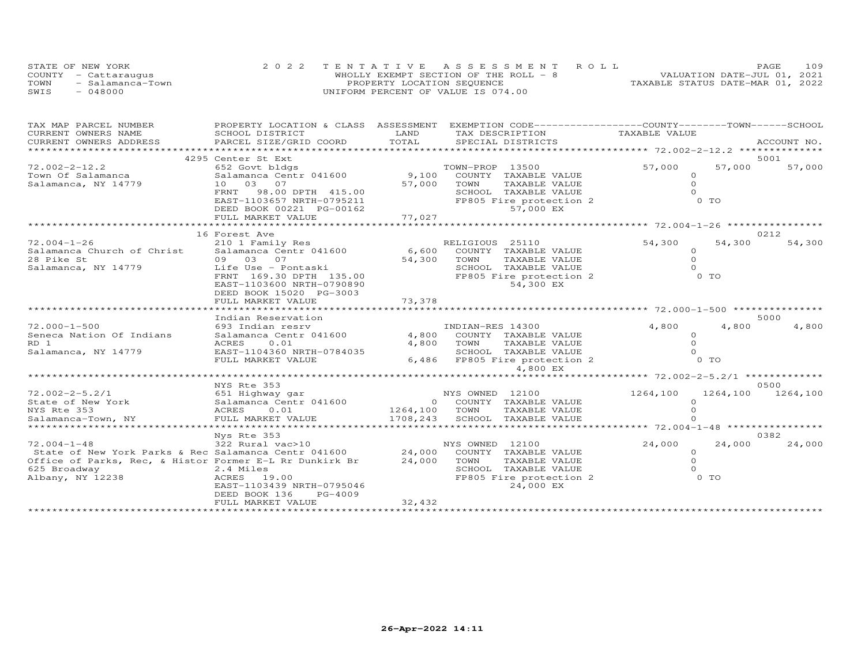|      | STATE OF NEW YORK    |                                    | 2022 TENTATIVE ASSESSMENT ROLL        |                                  | PAGE | 109 |
|------|----------------------|------------------------------------|---------------------------------------|----------------------------------|------|-----|
|      | COUNTY - Cattaraugus |                                    | WHOLLY EXEMPT SECTION OF THE ROLL - 8 | VALUATION DATE-JUL 01, 2021      |      |     |
| TOWN | - Salamanca-Town     | PROPERTY LOCATION SEQUENCE         |                                       | TAXABLE STATUS DATE-MAR 01, 2022 |      |     |
| SWIS | - 048000             | UNIFORM PERCENT OF VALUE IS 074.00 |                                       |                                  |      |     |

| TAX MAP PARCEL NUMBER                                                   | PROPERTY LOCATION & CLASS ASSESSMENT          |               | EXEMPTION CODE-----------------COUNTY-------TOWN-----SCHOOL |                                        |                |             |
|-------------------------------------------------------------------------|-----------------------------------------------|---------------|-------------------------------------------------------------|----------------------------------------|----------------|-------------|
| CURRENT OWNERS NAME                                                     | SCHOOL DISTRICT                               | LAND          | TAX DESCRIPTION                                             | TAXABLE VALUE                          |                |             |
| CURRENT OWNERS ADDRESS                                                  | PARCEL SIZE/GRID COORD                        | TOTAL         | SPECIAL DISTRICTS                                           |                                        |                | ACCOUNT NO. |
| *********************                                                   |                                               |               |                                                             |                                        |                |             |
|                                                                         | 4295 Center St Ext                            |               |                                                             |                                        |                | 5001        |
| $72.002 - 2 - 12.2$                                                     | 652 Govt bldgs                                |               | TOWN-PROP 13500                                             | 57,000                                 | 57,000         | 57,000      |
| Town Of Salamanca                                                       | Salamanca Centr 041600                        | 9,100         | COUNTY TAXABLE VALUE                                        | $\Omega$                               |                |             |
| Salamanca, NY 14779                                                     | 10 03 07                                      | 57,000        | TAXABLE VALUE<br>TOWN                                       | $\Omega$                               |                |             |
|                                                                         | 98.00 DPTH 415.00<br>FRNT                     |               | SCHOOL TAXABLE VALUE                                        |                                        |                |             |
|                                                                         | EAST-1103657 NRTH-0795211                     |               | FP805 Fire protection 2                                     |                                        | $0$ TO         |             |
|                                                                         | DEED BOOK 00221 PG-00162                      |               | 57,000 EX                                                   |                                        |                |             |
|                                                                         | FULL MARKET VALUE                             | 77,027        |                                                             |                                        |                |             |
|                                                                         |                                               |               |                                                             |                                        |                |             |
|                                                                         | 16 Forest Ave                                 |               |                                                             |                                        |                | 0212        |
| $72.004 - 1 - 26$                                                       | 210 1 Family Res                              |               | RELIGIOUS 25110                                             | 54,300                                 | 54,300         | 54,300      |
| Salamanca Church of Christ Salamanca Centr 041600                       |                                               | 6,600         | COUNTY TAXABLE VALUE                                        | $\Omega$                               |                |             |
| 28 Pike St                                                              | 09 03 07                                      | 54,300        | TOWN<br>TAXABLE VALUE                                       | $\Omega$                               |                |             |
| Salamanca, NY 14779                                                     | Life Use - Pontaski                           |               | SCHOOL TAXABLE VALUE                                        |                                        |                |             |
|                                                                         | FRNT 169.30 DPTH 135.00                       |               | FP805 Fire protection 2                                     |                                        | $0$ TO         |             |
|                                                                         | EAST-1103600 NRTH-0790890                     |               | 54,300 EX                                                   |                                        |                |             |
|                                                                         | DEED BOOK 15020 PG-3003                       |               |                                                             |                                        |                |             |
|                                                                         | FULL MARKET VALUE                             | 73,378        |                                                             |                                        |                |             |
|                                                                         |                                               |               |                                                             |                                        |                |             |
|                                                                         | Indian Reservation                            |               |                                                             |                                        |                | 5000        |
| $72.000 - 1 - 500$                                                      | 693 Indian resrv                              |               | INDIAN-RES 14300                                            | 4,800                                  | 4,800          | 4,800       |
| Seneca Nation Of Indians                                                | Salamanca Centr 041600                        | 4,800         | COUNTY TAXABLE VALUE                                        | $\Omega$                               |                |             |
| RD 1                                                                    | ACRES<br>0.01                                 | 4,800         | TOWN<br>TAXABLE VALUE                                       | $\Omega$                               |                |             |
| Salamanca, NY 14779                                                     | EAST-1104360 NRTH-0784035                     |               | SCHOOL TAXABLE VALUE                                        | $\Omega$                               |                |             |
|                                                                         | FULL MARKET VALUE                             |               | 6,486 FP805 Fire protection 2                               |                                        | 0 <sub>T</sub> |             |
|                                                                         |                                               |               | 4,800 EX                                                    |                                        |                |             |
|                                                                         |                                               |               |                                                             | ********* 72.002-2-5.2/1 ************* |                |             |
|                                                                         | NYS Rte 353                                   |               |                                                             |                                        |                | 0500        |
| $72.002 - 2 - 5.2/1$                                                    | 651 Highway gar                               |               | NYS OWNED 12100                                             | 1264,100                               | 1264,100       | 1264,100    |
| State of New York                                                       | Salamanca Centr 041600                        |               | 0 COUNTY TAXABLE VALUE                                      | $\Omega$                               |                |             |
| NYS Rte 353                                                             | ACRES<br>0.01                                 | 1264,100 TOWN | TAXABLE VALUE                                               |                                        |                |             |
| Salamanca-Town, NY                                                      | FULL MARKET VALUE                             |               | 1708, 243 SCHOOL TAXABLE VALUE                              |                                        |                |             |
|                                                                         |                                               |               |                                                             |                                        |                |             |
| $72.004 - 1 - 48$                                                       | Nys Rte 353                                   |               |                                                             |                                        |                | 0382        |
|                                                                         | 322 Rural vac>10                              |               | NYS OWNED 12100<br>COUNTY TAXABLE VALUE                     | 24,000                                 | 24,000         | 24,000      |
| State of New York Parks & Rec Salamanca Centr 041600 24,000             |                                               |               |                                                             | $\circ$<br>$\Omega$                    |                |             |
| Office of Parks, Rec, & Histor Former E-L Rr Dunkirk Br<br>625 Broadway | 2.4 Miles                                     | 24,000        | TOWN<br>TAXABLE VALUE<br>SCHOOL TAXABLE VALUE               |                                        |                |             |
|                                                                         |                                               |               |                                                             |                                        | 0 TO           |             |
| Albany, NY 12238                                                        | ACRES 19.00                                   |               | FP805 Fire protection 2                                     |                                        |                |             |
|                                                                         | EAST-1103439 NRTH-0795046                     |               | 24,000 EX                                                   |                                        |                |             |
|                                                                         | DEED BOOK 136<br>PG-4009<br>FULL MARKET VALUE | 32,432        |                                                             |                                        |                |             |
|                                                                         |                                               |               |                                                             |                                        |                |             |
|                                                                         |                                               |               |                                                             |                                        |                |             |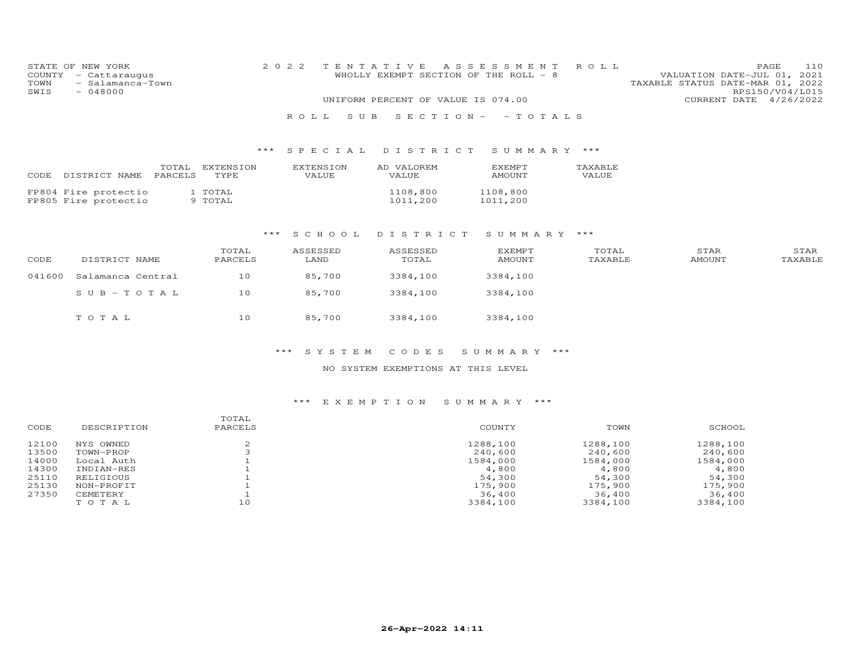| COUNTY<br>TOWN<br>SWIS | STATE OF NEW YORK<br>- Cattaraugus<br>- Salamanca-Town<br>$-048000$ |                                       | 2 0 2 2 |                           | TENTATIVE<br>WHOLLY EXEMPT SECTION OF THE ROLL - 8 | A S S E S S M E N T            | ROLL             | VALUATION DATE-JUL 01,<br>TAXABLE STATUS DATE-MAR 01, 2022 | 110<br>PAGE<br>2021<br>RPS150/V04/L015 |
|------------------------|---------------------------------------------------------------------|---------------------------------------|---------|---------------------------|----------------------------------------------------|--------------------------------|------------------|------------------------------------------------------------|----------------------------------------|
|                        |                                                                     |                                       |         |                           | UNIFORM PERCENT OF VALUE IS 074.00                 |                                |                  | CURRENT DATE 4/26/2022                                     |                                        |
|                        |                                                                     |                                       |         | S U B<br>ROLL             | $S$ E C T I O N -                                  | $-TOTALS$                      |                  |                                                            |                                        |
|                        |                                                                     |                                       | ***     | SPECIAL                   | DISTRICT                                           | SUMMARY ***                    |                  |                                                            |                                        |
|                        | CODE DISTRICT NAME                                                  | TOTAL<br>EXTENSION<br>PARCELS<br>TYPE |         | <b>EXTENSION</b><br>VALUE | AD VALOREM<br>VALUE                                | EXEMPT<br>AMOUNT               | TAXABLE<br>VALUE |                                                            |                                        |
|                        | FP804 Fire protectio<br>FP805 Fire protectio                        | 1 TOTAL<br>9 TOTAL                    |         |                           | 1108,800<br>1011,200                               | 1108,800<br>1011,200           |                  |                                                            |                                        |
|                        |                                                                     |                                       | ***     | S C H O O L               | DISTRICT                                           | SUMMARY                        | ***              |                                                            |                                        |
| CODE                   | DISTRICT NAME                                                       | TOTAL<br>PARCELS                      |         | ASSESSED<br>LAND          | ASSESSED<br>TOTAL                                  | <b>EXEMPT</b><br><b>AMOUNT</b> | TOTAL<br>TAXABLE | STAR<br><b>AMOUNT</b>                                      | STAR<br>TAXABLE                        |
| 041600                 | Salamanca Central                                                   | 10                                    |         | 85,700                    | 3384,100                                           | 3384,100                       |                  |                                                            |                                        |
|                        | $SUB - TO TAL$                                                      | 10                                    |         | 85,700                    | 3384,100                                           | 3384,100                       |                  |                                                            |                                        |

## \*\*\* S Y S T E M C O D E S S U M M A R Y \*\*\*

## NO SYSTEM EXEMPTIONS AT THIS LEVEL

# \*\*\* E X E M P T I O N S U M M A R Y \*\*\*

| CODE  | DESCRIPTION | TOTAL<br>PARCELS | COUNTY   | TOWN     | SCHOOL   |
|-------|-------------|------------------|----------|----------|----------|
| 12100 | NYS OWNED   |                  | 1288,100 | 1288,100 | 1288,100 |
| 13500 | TOWN-PROP   |                  | 240,600  | 240,600  | 240,600  |
| 14000 | Local Auth  |                  | 1584,000 | 1584,000 | 1584,000 |
| 14300 | INDIAN-RES  |                  | 4,800    | 4,800    | 4,800    |
| 25110 | RELIGIOUS   |                  | 54,300   | 54,300   | 54,300   |
| 25130 | NON-PROFIT  |                  | 175,900  | 175,900  | 175,900  |
| 27350 | CEMETERY    |                  | 36,400   | 36,400   | 36,400   |
|       | TOTAL       | 10               | 3384,100 | 3384,100 | 3384,100 |
|       |             |                  |          |          |          |

T O T A L 10 85,700 3384,100 3384,100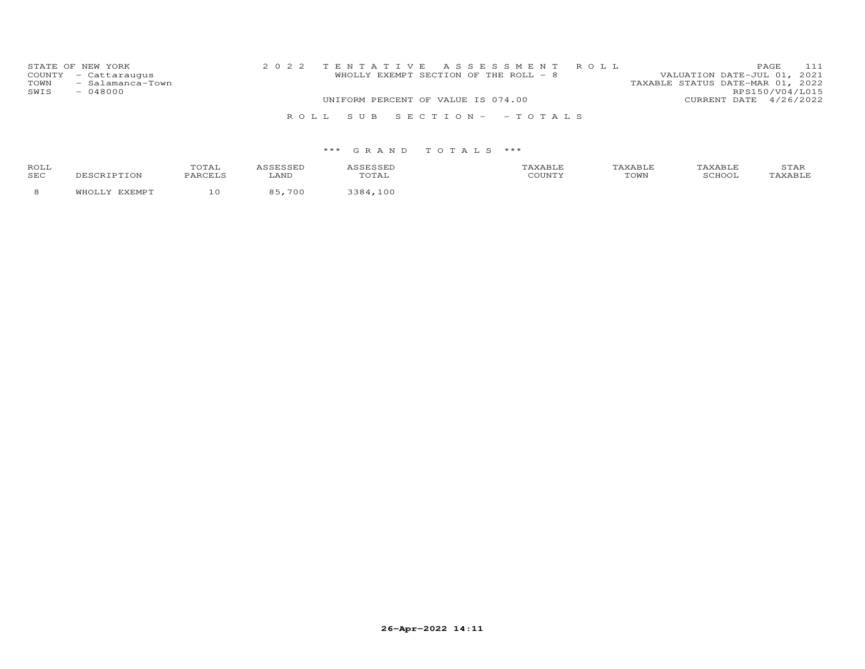| STATE OF NEW YORK<br>COUNTY - Cattaraugus     | 2022 TENTATIVE ASSESSMENT ROLL<br>WHOLLY EXEMPT SECTION OF THE ROLL - 8 | <b>PAGE</b><br>VALUATION DATE-JUL 01, 2021 | 111 |
|-----------------------------------------------|-------------------------------------------------------------------------|--------------------------------------------|-----|
| - Salamanca-Town<br>TOWN<br>$-048000$<br>SWIS | TAXABLE STATUS DATE-MAR 01, 2022                                        | RPS150/V04/L015                            |     |
|                                               | UNIFORM PERCENT OF VALUE IS 074.00                                      | CURRENT DATE 4/26/2022                     |     |
|                                               | ROLL SUB SECTION- - TOTALS                                              |                                            |     |

| <b>ROLI</b><br>SEC |  |            | TOWN | ∸⊷ |
|--------------------|--|------------|------|----|
|                    |  | <u>ດ (</u> |      |    |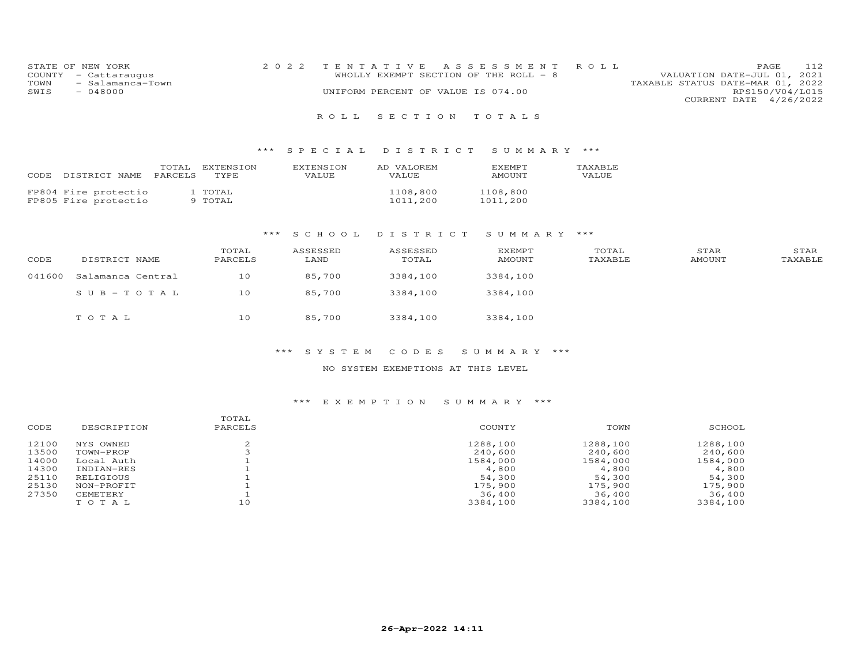| STATE OF NEW YORK        | 2022 TENTATIVE ASSESSMENT ROLL        | 112<br><b>PAGE</b>               |
|--------------------------|---------------------------------------|----------------------------------|
| COUNTY - Cattaraugus     | WHOLLY EXEMPT SECTION OF THE ROLL - 8 | VALUATION DATE-JUL 01, 2021      |
| TOWN<br>- Salamanca-Town |                                       | TAXABLE STATUS DATE-MAR 01, 2022 |
| SWIS<br>- 048000         | UNIFORM PERCENT OF VALUE IS 074.00    | RPS150/V04/L015                  |
|                          |                                       | CURRENT DATE 4/26/2022           |

## R O L L S E C T I O N T O T A L S

## \*\*\* S P E C I A L D I S T R I C T S U M M A R Y \*\*\*

| CODE | DISTRICT NAME                                | TOTAL<br>PARCELS | EXTENSION<br>TYPE. | <b>EXTENSION</b><br>VALUE. | AD VALOREM<br>VALUE. | <b>FXEMPT</b><br>AMOUNT | TAXABLE<br>VALUE. |
|------|----------------------------------------------|------------------|--------------------|----------------------------|----------------------|-------------------------|-------------------|
|      | FP804 Fire protectio<br>FP805 Fire protectio |                  | 1 TOTAL<br>9 TOTAL |                            | 1108,800<br>1011,200 | 1108,800<br>1011,200    |                   |

#### \*\*\* S C H O O L D I S T R I C T S U M M A R Y \*\*\*

| CODE   | DISTRICT NAME     | TOTAL<br>PARCELS | ASSESSED<br>LAND | ASSESSED<br>TOTAL | EXEMPT<br>AMOUNT | TOTAL<br>TAXABLE | STAR<br>AMOUNT | STAR<br>TAXABLE |
|--------|-------------------|------------------|------------------|-------------------|------------------|------------------|----------------|-----------------|
| 041600 | Salamanca Central | 10               | 85,700           | 3384,100          | 3384,100         |                  |                |                 |
|        | $SUB-TOTAL$       | 10               | 85,700           | 3384,100          | 3384,100         |                  |                |                 |
|        | TOTAL             | 10               | 85,700           | 3384,100          | 3384,100         |                  |                |                 |

## \*\*\* S Y S T E M C O D E S S U M M A R Y \*\*\*

#### NO SYSTEM EXEMPTIONS AT THIS LEVEL

#### \*\*\* E X E M P T I O N S U M M A R Y \*\*\*

| CODE  | DESCRIPTION | TOTAL<br>PARCELS | COUNTY   | TOWN     | SCHOOL   |
|-------|-------------|------------------|----------|----------|----------|
| 12100 | NYS OWNED   |                  | 1288,100 | 1288,100 | 1288,100 |
| 13500 | TOWN-PROP   |                  | 240,600  | 240,600  | 240,600  |
| 14000 | Local Auth  |                  | 1584,000 | 1584,000 | 1584,000 |
| 14300 | INDIAN-RES  |                  | 4,800    | 4,800    | 4,800    |
| 25110 | RELIGIOUS   |                  | 54,300   | 54,300   | 54,300   |
| 25130 | NON-PROFIT  |                  | 175,900  | 175,900  | 175,900  |
| 27350 | CEMETERY    |                  | 36,400   | 36,400   | 36,400   |
|       | TOTAL       | 10               | 3384,100 | 3384,100 | 3384,100 |
|       |             |                  |          |          |          |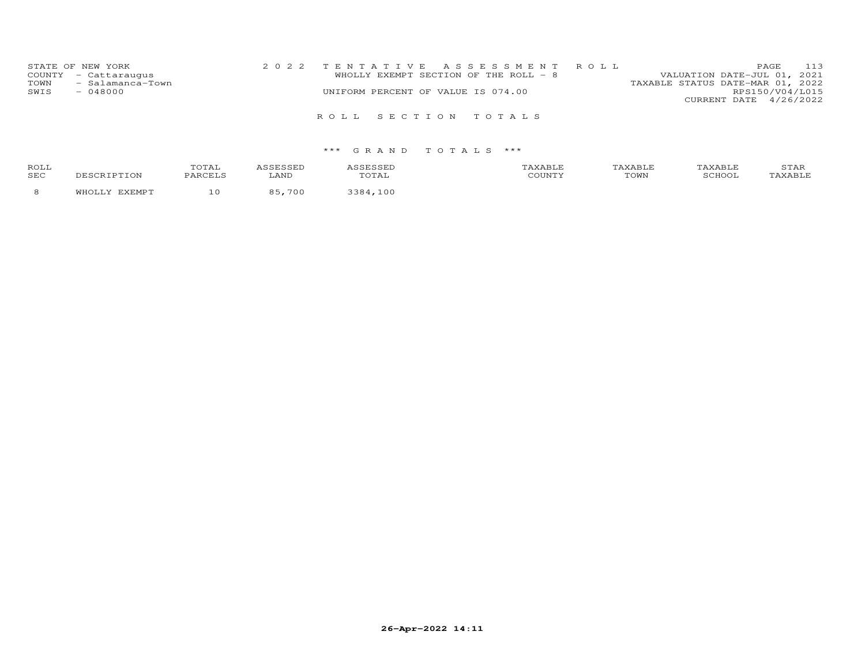| STATE OF NEW YORK<br>COUNTY - Cattaraugus<br>- Salamanca-Town<br>TOWN<br>$-048000$<br>SWIS | UNIFORM PERCENT OF VALUE IS 074.00 | 2022 TENTATIVE ASSESSMENT ROLL<br>WHOLLY EXEMPT SECTION OF THE ROLL - 8 | VALUATION DATE-JUL 01, 2021<br>TAXABLE STATUS DATE-MAR 01, 2022 | <b>PAGE</b><br>RPS150/V04/L015<br>CURRENT DATE 4/26/2022 | 113 |
|--------------------------------------------------------------------------------------------|------------------------------------|-------------------------------------------------------------------------|-----------------------------------------------------------------|----------------------------------------------------------|-----|
|                                                                                            | ROLL SECTION TOTALS                |                                                                         |                                                                 |                                                          |     |

| <b>ROLI</b><br>SEC |  | $\mathcal{R}$ |        | $-1 - 1$ | TOWN | ⊥ ∠า⊥ |
|--------------------|--|---------------|--------|----------|------|-------|
|                    |  |               | $\cap$ |          |      |       |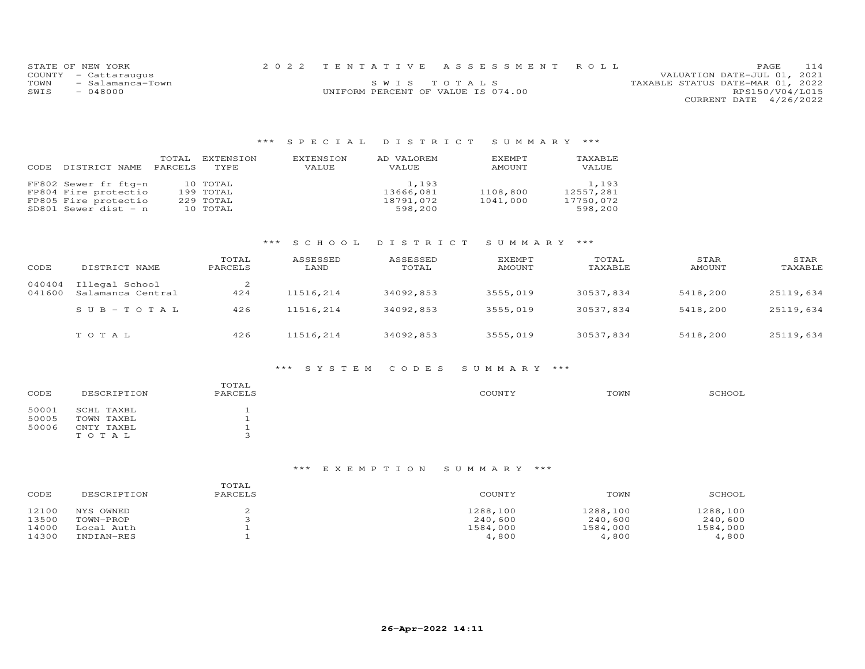|      | STATE OF NEW YORK    |                                    | 2022 TENTATIVE ASSESSMENT ROLL |                                  | PAGE.                  | 114 |
|------|----------------------|------------------------------------|--------------------------------|----------------------------------|------------------------|-----|
|      | COUNTY - Cattaraugus |                                    |                                | VALUATION DATE-JUL 01, 2021      |                        |     |
| TOWN | - Salamanca-Town     |                                    | SWIS TOTALS                    | TAXABLE STATUS DATE-MAR 01, 2022 |                        |     |
| SWIS | - 048000             | UNIFORM PERCENT OF VALUE IS 074.00 |                                |                                  | RPS150/V04/L015        |     |
|      |                      |                                    |                                |                                  | CURRENT DATE 4/26/2022 |     |

## \*\*\* S P E C I A L D I S T R I C T S U M M A R Y \*\*\*

| DISTRICT NAME                                                                                | TOTAL          | EXTENSION                                      | EXTENSION | AD VALOREM                                 | EXEMPT               | TAXABLE                                    |
|----------------------------------------------------------------------------------------------|----------------|------------------------------------------------|-----------|--------------------------------------------|----------------------|--------------------------------------------|
| CODE                                                                                         | <b>PARCELS</b> | TYPE.                                          | VALUE     | VALUE                                      | AMOUNT               | VALUE                                      |
| FF802 Sewer fr ftg-n<br>FP804 Fire protectio<br>FP805 Fire protectio<br>SD801 Sewer dist - n |                | 10 TOTAL<br>199 TOTAL<br>229 TOTAL<br>10 TOTAL |           | 1,193<br>13666,081<br>18791,072<br>598,200 | 1108,800<br>1041,000 | 1,193<br>12557,281<br>17750,072<br>598,200 |

## \*\*\* S C H O O L D I S T R I C T S U M M A R Y \*\*\*

| CODE             | DISTRICT NAME                       | TOTAL<br>PARCELS | ASSESSED<br>LAND | ASSESSED<br>TOTAL | <b>EXEMPT</b><br>AMOUNT | TOTAL<br>TAXABLE | STAR<br>AMOUNT | STAR<br>TAXABLE |
|------------------|-------------------------------------|------------------|------------------|-------------------|-------------------------|------------------|----------------|-----------------|
| 040404<br>041600 | Illegal School<br>Salamanca Central | 424              | 11516,214        | 34092,853         | 3555,019                | 30537,834        | 5418,200       | 25119,634       |
|                  | $SUB - TO TAL$                      | 426              | 11516,214        | 34092,853         | 3555,019                | 30537,834        | 5418,200       | 25119,634       |
|                  | TOTAL                               | 426              | 11516,214        | 34092,853         | 3555,019                | 30537,834        | 5418,200       | 25119,634       |

#### \*\*\* S Y S T E M C O D E S S U M M A R Y \*\*\*

| DESCRIPTION | TOTAL<br>PARCELS         | COUNTY | TOWN | SCHOOL |
|-------------|--------------------------|--------|------|--------|
| SCHL TAXBL  |                          |        |      |        |
| TOWN TAXBL  |                          |        |      |        |
| CNTY TAXBL  |                          |        |      |        |
| TOTAL       | $\overline{\phantom{0}}$ |        |      |        |
|             |                          |        |      |        |

## \*\*\* E X E M P T I O N S U M M A R Y \*\*\*

| CODE                    | DESCRIPTION                          | TOTAL<br>PARCELS | COUNTY                          | TOWN                            | SCHOOL                          |
|-------------------------|--------------------------------------|------------------|---------------------------------|---------------------------------|---------------------------------|
| 12100<br>13500<br>14000 | NYS OWNED<br>TOWN-PROP<br>Local Auth |                  | 1288,100<br>240,600<br>1584,000 | 1288,100<br>240,600<br>1584,000 | 1288,100<br>240,600<br>1584,000 |
| 14300                   | INDIAN-RES                           |                  | 4,800                           | 4,800                           | 4,800                           |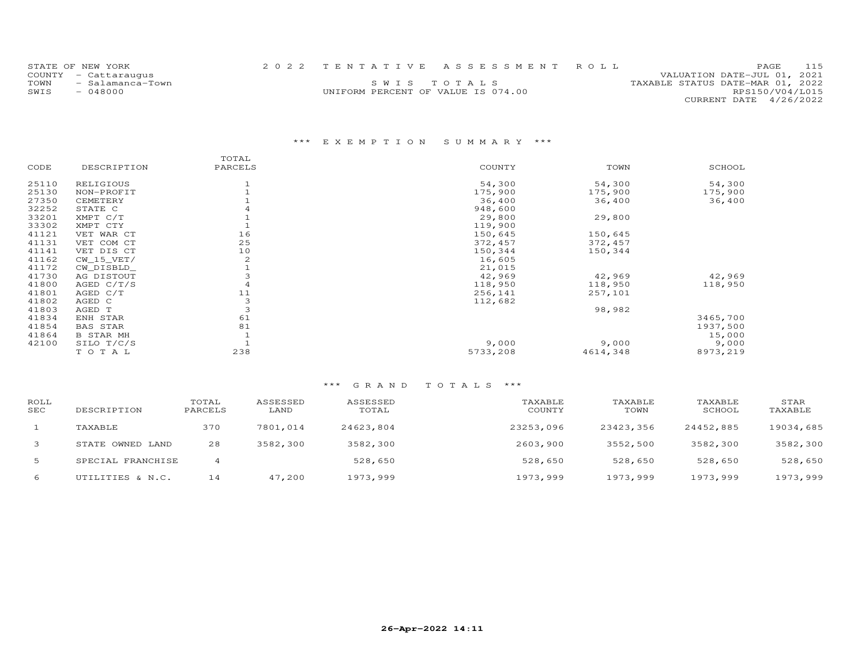|      | STATE OF NEW YORK    |                                    | 2022 TENTATIVE ASSESSMENT ROLL |                                  | PAGE.                  | 115 |
|------|----------------------|------------------------------------|--------------------------------|----------------------------------|------------------------|-----|
|      | COUNTY - Cattaraugus |                                    |                                | VALUATION DATE-JUL 01, 2021      |                        |     |
| TOWN | - Salamanca-Town     |                                    | SWIS TOTALS                    | TAXABLE STATUS DATE-MAR 01, 2022 |                        |     |
| SWIS | $-048000$            | UNIFORM PERCENT OF VALUE IS 074.00 |                                |                                  | RPS150/V04/L015        |     |
|      |                      |                                    |                                |                                  | CURRENT DATE 4/26/2022 |     |

# \*\*\* E X E M P T I O N S U M M A R Y \*\*\*

|       |                  | TOTAL   |          |          |          |
|-------|------------------|---------|----------|----------|----------|
| CODE  | DESCRIPTION      | PARCELS | COUNTY   | TOWN     | SCHOOL   |
| 25110 | RELIGIOUS        |         | 54,300   | 54,300   | 54,300   |
| 25130 | NON-PROFIT       |         | 175,900  | 175,900  | 175,900  |
| 27350 | CEMETERY         |         | 36,400   | 36,400   | 36,400   |
| 32252 | STATE C          |         | 948,600  |          |          |
| 33201 | XMPT C/T         |         | 29,800   | 29,800   |          |
| 33302 | XMPT CTY         |         | 119,900  |          |          |
| 41121 | VET WAR CT       | 16      | 150,645  | 150,645  |          |
| 41131 | VET COM CT       | 25      | 372,457  | 372,457  |          |
| 41141 | VET DIS CT       | 10      | 150,344  | 150,344  |          |
| 41162 | $CW_15_VET/$     | 2       | 16,605   |          |          |
| 41172 | CW_DISBLD_       |         | 21,015   |          |          |
| 41730 | AG DISTOUT       | 3       | 42,969   | 42,969   | 42,969   |
| 41800 | AGED C/T/S       | 4       | 118,950  | 118,950  | 118,950  |
| 41801 | AGED C/T         | 11      | 256,141  | 257,101  |          |
| 41802 | AGED C           | 3       | 112,682  |          |          |
| 41803 | AGED T           | 3       |          | 98,982   |          |
| 41834 | ENH STAR         | 61      |          |          | 3465,700 |
| 41854 | <b>BAS STAR</b>  | 81      |          |          | 1937,500 |
| 41864 | <b>B STAR MH</b> |         |          |          | 15,000   |
| 42100 | SILO T/C/S       |         | 9,000    | 9,000    | 9,000    |
|       | TOTAL            | 238     | 5733,208 | 4614,348 | 8973,219 |

| ROLL<br>SEC | DESCRIPTION       | TOTAL<br>PARCELS | ASSESSED<br>LAND | ASSESSED<br>TOTAL | TAXABLE<br>COUNTY | TAXABLE<br>TOWN | TAXABLE<br>SCHOOL | STAR<br>TAXABLE |
|-------------|-------------------|------------------|------------------|-------------------|-------------------|-----------------|-------------------|-----------------|
|             | TAXABLE           | 370              | 7801,014         | 24623,804         | 23253,096         | 23423,356       | 24452,885         | 19034,685       |
| 3           | STATE OWNED LAND  | 28               | 3582,300         | 3582,300          | 2603,900          | 3552,500        | 3582,300          | 3582,300        |
| 5           | SPECIAL FRANCHISE |                  |                  | 528,650           | 528,650           | 528,650         | 528,650           | 528,650         |
| 6           | UTILITIES & N.C.  | 14               | 47,200           | 1973,999          | 1973,999          | 1973,999        | 1973,999          | 1973,999        |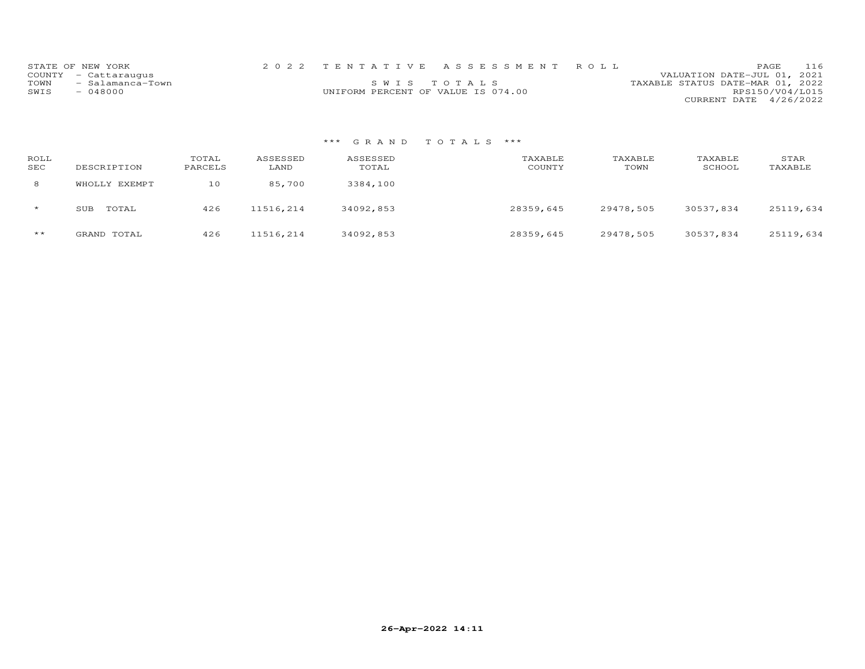|      | STATE OF NEW YORK    |                                    | 2022 TENTATIVE ASSESSMENT ROLL |                                  | PAGE.                  | 116 |
|------|----------------------|------------------------------------|--------------------------------|----------------------------------|------------------------|-----|
|      | COUNTY - Cattaraugus |                                    |                                | VALUATION DATE-JUL 01, 2021      |                        |     |
| TOWN | - Salamanca-Town     |                                    | SWIS TOTALS                    | TAXABLE STATUS DATE-MAR 01, 2022 |                        |     |
| SWIS | $-048000$            | UNIFORM PERCENT OF VALUE IS 074.00 |                                |                                  | RPS150/V04/L015        |     |
|      |                      |                                    |                                |                                  | CURRENT DATE 4/26/2022 |     |

| ROLL<br>SEC | DESCRIPTION   | TOTAL<br>PARCELS | ASSESSED<br>LAND | ASSESSED<br>TOTAL | TAXABLE<br>COUNTY | TAXABLE<br>TOWN | TAXABLE<br>SCHOOL | STAR<br>TAXABLE |
|-------------|---------------|------------------|------------------|-------------------|-------------------|-----------------|-------------------|-----------------|
| 8           | WHOLLY EXEMPT | 10               | 85,700           | 3384,100          |                   |                 |                   |                 |
| $\star$     | TOTAL<br>SUB  | 426              | 11516,214        | 34092,853         | 28359,645         | 29478,505       | 30537,834         | 25119,634       |
| $***$       | GRAND TOTAL   | 426              | 11516,214        | 34092,853         | 28359,645         | 29478,505       | 30537,834         | 25119,634       |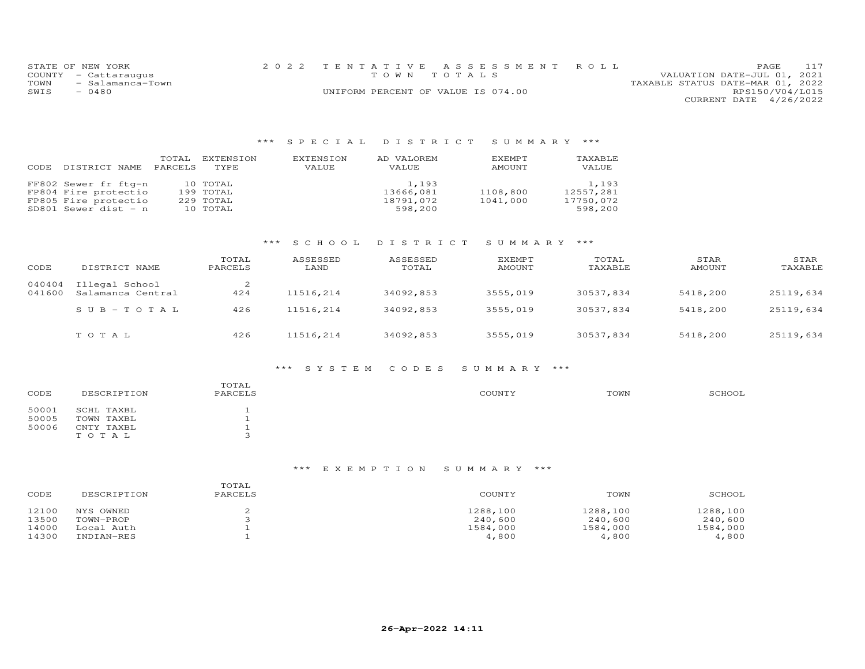|      | STATE OF NEW YORK     | 2022 TENTATIVE ASSESSMENT ROLL     |  |  |                                  |                        | <b>PAGE</b> | 117 |
|------|-----------------------|------------------------------------|--|--|----------------------------------|------------------------|-------------|-----|
|      | COUNTY - Cattaraugus  | TOWN TOTALS                        |  |  | VALUATION DATE-JUL 01, 2021      |                        |             |     |
|      | TOWN - Salamanca-Town |                                    |  |  | TAXABLE STATUS DATE-MAR 01, 2022 |                        |             |     |
| SWIS | - 0480                | UNIFORM PERCENT OF VALUE IS 074.00 |  |  |                                  | RPS150/V04/L015        |             |     |
|      |                       |                                    |  |  |                                  | CURRENT DATE 4/26/2022 |             |     |

## \*\*\* S P E C I A L D I S T R I C T S U M M A R Y \*\*\*

| DISTRICT NAME                                                                                  | TOTAL          | EXTENSION                                      | EXTENSION | AD VALOREM                                 | EXEMPT               | TAXABLE                                    |
|------------------------------------------------------------------------------------------------|----------------|------------------------------------------------|-----------|--------------------------------------------|----------------------|--------------------------------------------|
| CODE                                                                                           | <b>PARCELS</b> | TYPE.                                          | VALUE     | VALUE                                      | AMOUNT               | VALUE                                      |
| FF802 Sewer fr ftg-n<br>FP804 Fire protectio<br>FP805 Fire protectio<br>SD801 Sewer dist $-$ n |                | 10 TOTAL<br>199 TOTAL<br>229 TOTAL<br>10 TOTAL |           | 1,193<br>13666,081<br>18791,072<br>598,200 | 1108,800<br>1041,000 | 1,193<br>12557,281<br>17750,072<br>598,200 |

## \*\*\* S C H O O L D I S T R I C T S U M M A R Y \*\*\*

| CODE             | DISTRICT NAME                       | TOTAL<br>PARCELS | ASSESSED<br>LAND | ASSESSED<br>TOTAL | <b>EXEMPT</b><br>AMOUNT | TOTAL<br>TAXABLE | STAR<br>AMOUNT | STAR<br>TAXABLE |
|------------------|-------------------------------------|------------------|------------------|-------------------|-------------------------|------------------|----------------|-----------------|
| 040404<br>041600 | Illegal School<br>Salamanca Central | 424              | 11516,214        | 34092,853         | 3555,019                | 30537,834        | 5418,200       | 25119,634       |
|                  | $SUB - TO TAL$                      | 426              | 11516,214        | 34092,853         | 3555,019                | 30537,834        | 5418,200       | 25119,634       |
|                  | TOTAL                               | 426              | 11516,214        | 34092,853         | 3555,019                | 30537,834        | 5418,200       | 25119,634       |

#### \*\*\* S Y S T E M C O D E S S U M M A R Y \*\*\*

| DESCRIPTION | TOTAL<br>PARCELS         | COUNTY | TOWN | SCHOOL |
|-------------|--------------------------|--------|------|--------|
| SCHL TAXBL  |                          |        |      |        |
| TOWN TAXBL  |                          |        |      |        |
| CNTY TAXBL  |                          |        |      |        |
| TOTAL       | $\overline{\phantom{0}}$ |        |      |        |
|             |                          |        |      |        |

## \*\*\* E X E M P T I O N S U M M A R Y \*\*\*

| CODE  | DESCRIPTION | TOTAL<br>PARCELS | COUNTY   | TOWN     | SCHOOL   |
|-------|-------------|------------------|----------|----------|----------|
| 12100 | NYS OWNED   |                  | 1288,100 | 1288,100 | 1288,100 |
| 13500 | TOWN-PROP   |                  | 240,600  | 240,600  | 240,600  |
| 14000 | Local Auth  |                  | 1584,000 | 1584,000 | 1584,000 |
| 14300 | INDIAN-RES  |                  | 4,800    | 4,800    | 4,800    |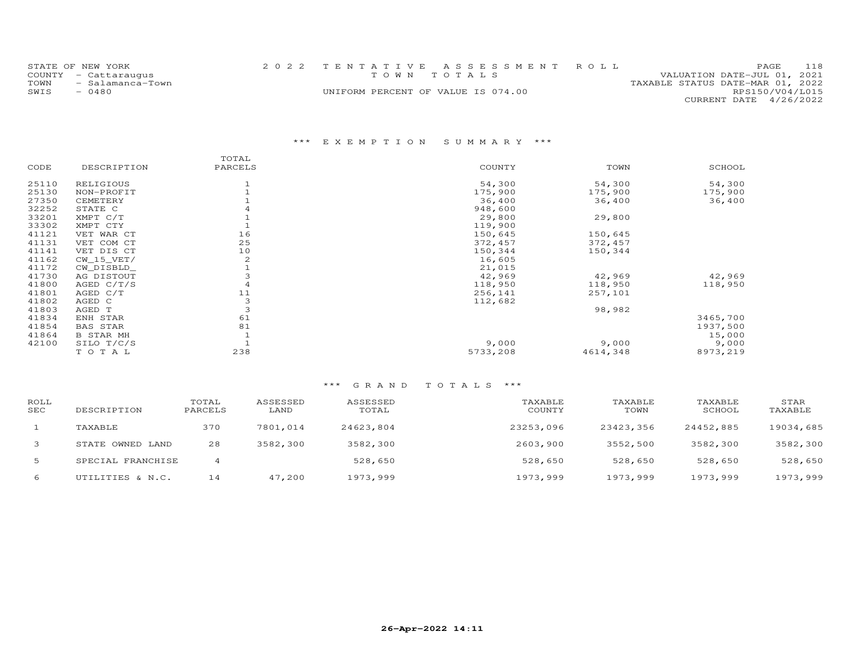|      | STATE OF NEW YORK    |                                    | 2022 TENTATIVE ASSESSMENT ROLL |                                  | PAGE                   | 118 |
|------|----------------------|------------------------------------|--------------------------------|----------------------------------|------------------------|-----|
|      | COUNTY - Cattaraugus |                                    | TOWN TOTALS                    | VALUATION DATE-JUL 01, 2021      |                        |     |
| TOWN | - Salamanca-Town     |                                    |                                | TAXABLE STATUS DATE-MAR 01, 2022 |                        |     |
| SWIS | $-0480$              | UNIFORM PERCENT OF VALUE IS 074.00 |                                |                                  | RPS150/V04/L015        |     |
|      |                      |                                    |                                |                                  | CURRENT DATE 4/26/2022 |     |

# \*\*\* E X E M P T I O N S U M M A R Y \*\*\*

|       |                  | TOTAL   |          |          |          |
|-------|------------------|---------|----------|----------|----------|
| CODE  | DESCRIPTION      | PARCELS | COUNTY   | TOWN     | SCHOOL   |
| 25110 | RELIGIOUS        |         | 54,300   | 54,300   | 54,300   |
| 25130 | NON-PROFIT       |         | 175,900  | 175,900  | 175,900  |
| 27350 | CEMETERY         |         | 36,400   | 36,400   | 36,400   |
| 32252 | STATE C          |         | 948,600  |          |          |
| 33201 | XMPT C/T         |         | 29,800   | 29,800   |          |
| 33302 | XMPT CTY         |         | 119,900  |          |          |
| 41121 | VET WAR CT       | 16      | 150,645  | 150,645  |          |
| 41131 | VET COM CT       | 25      | 372,457  | 372,457  |          |
| 41141 | VET DIS CT       | 10      | 150,344  | 150,344  |          |
| 41162 | $CW_15_VET/$     | 2       | 16,605   |          |          |
| 41172 | CW DISBLD        |         | 21,015   |          |          |
| 41730 | AG DISTOUT       | 3       | 42,969   | 42,969   | 42,969   |
| 41800 | AGED $C/T/S$     |         | 118,950  | 118,950  | 118,950  |
| 41801 | AGED C/T         | 11      | 256,141  | 257,101  |          |
| 41802 | AGED C           | 3       | 112,682  |          |          |
| 41803 | AGED T           | 3       |          | 98,982   |          |
| 41834 | ENH STAR         | 61      |          |          | 3465,700 |
| 41854 | <b>BAS STAR</b>  | 81      |          |          | 1937,500 |
| 41864 | <b>B STAR MH</b> |         |          |          | 15,000   |
| 42100 | SILO T/C/S       |         | 9,000    | 9,000    | 9,000    |
|       | TOTAL            | 238     | 5733,208 | 4614,348 | 8973,219 |

| ROLL<br>SEC  | DESCRIPTION       | TOTAL<br>PARCELS | ASSESSED<br>LAND | ASSESSED<br>TOTAL | TAXABLE<br>COUNTY | TAXABLE<br>TOWN | TAXABLE<br>SCHOOL | STAR<br>TAXABLE |
|--------------|-------------------|------------------|------------------|-------------------|-------------------|-----------------|-------------------|-----------------|
|              | TAXABLE           | 370              | 7801,014         | 24623,804         | 23253,096         | 23423,356       | 24452,885         | 19034,685       |
| $\mathbf{3}$ | STATE OWNED LAND  | 28               | 3582,300         | 3582,300          | 2603,900          | 3552,500        | 3582,300          | 3582,300        |
| 5            | SPECIAL FRANCHISE |                  |                  | 528,650           | 528,650           | 528,650         | 528,650           | 528,650         |
| 6            | UTILITIES & N.C.  | 14               | 47,200           | 1973,999          | 1973,999          | 1973,999        | 1973,999          | 1973,999        |